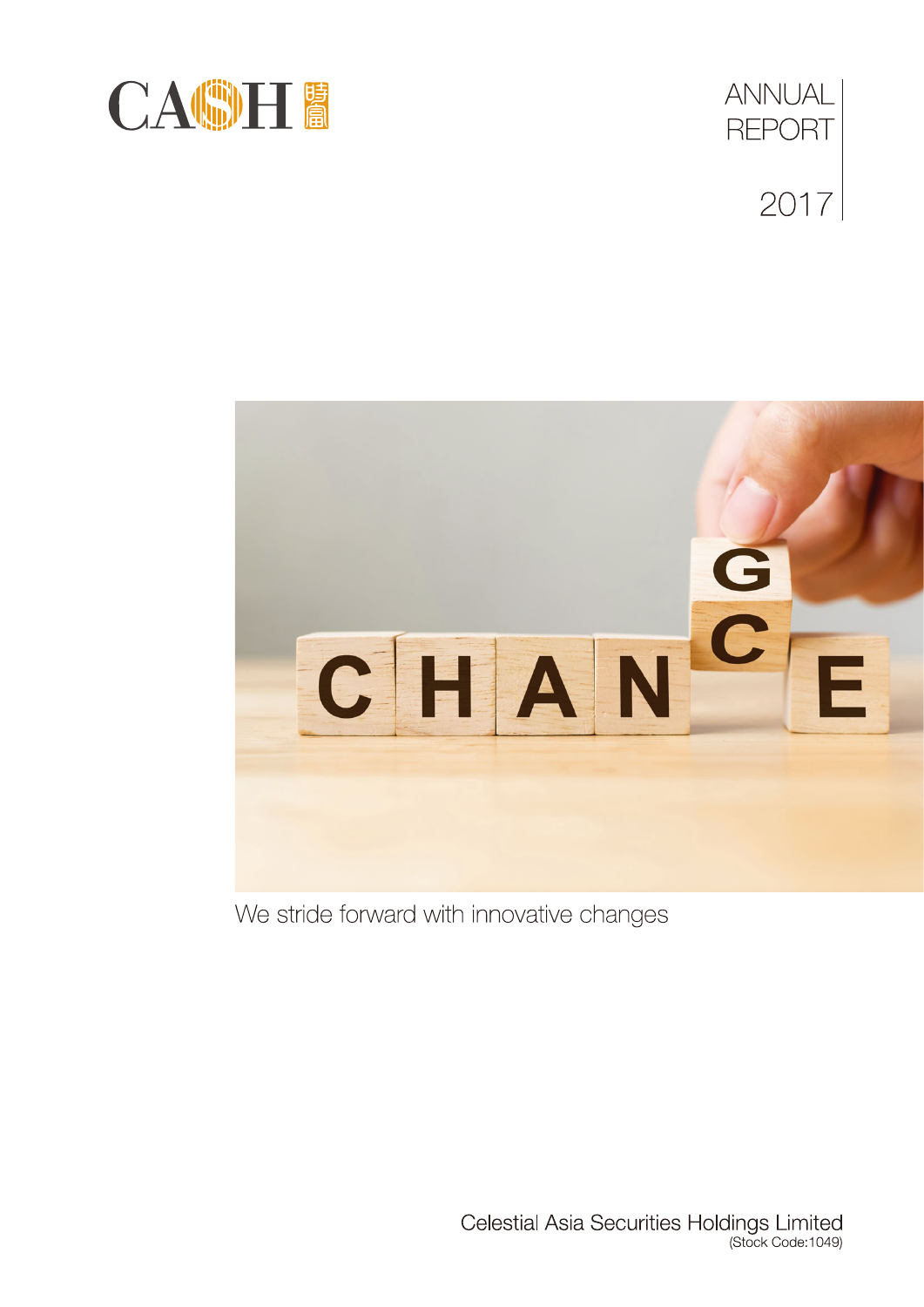





We stride forward with innovative changes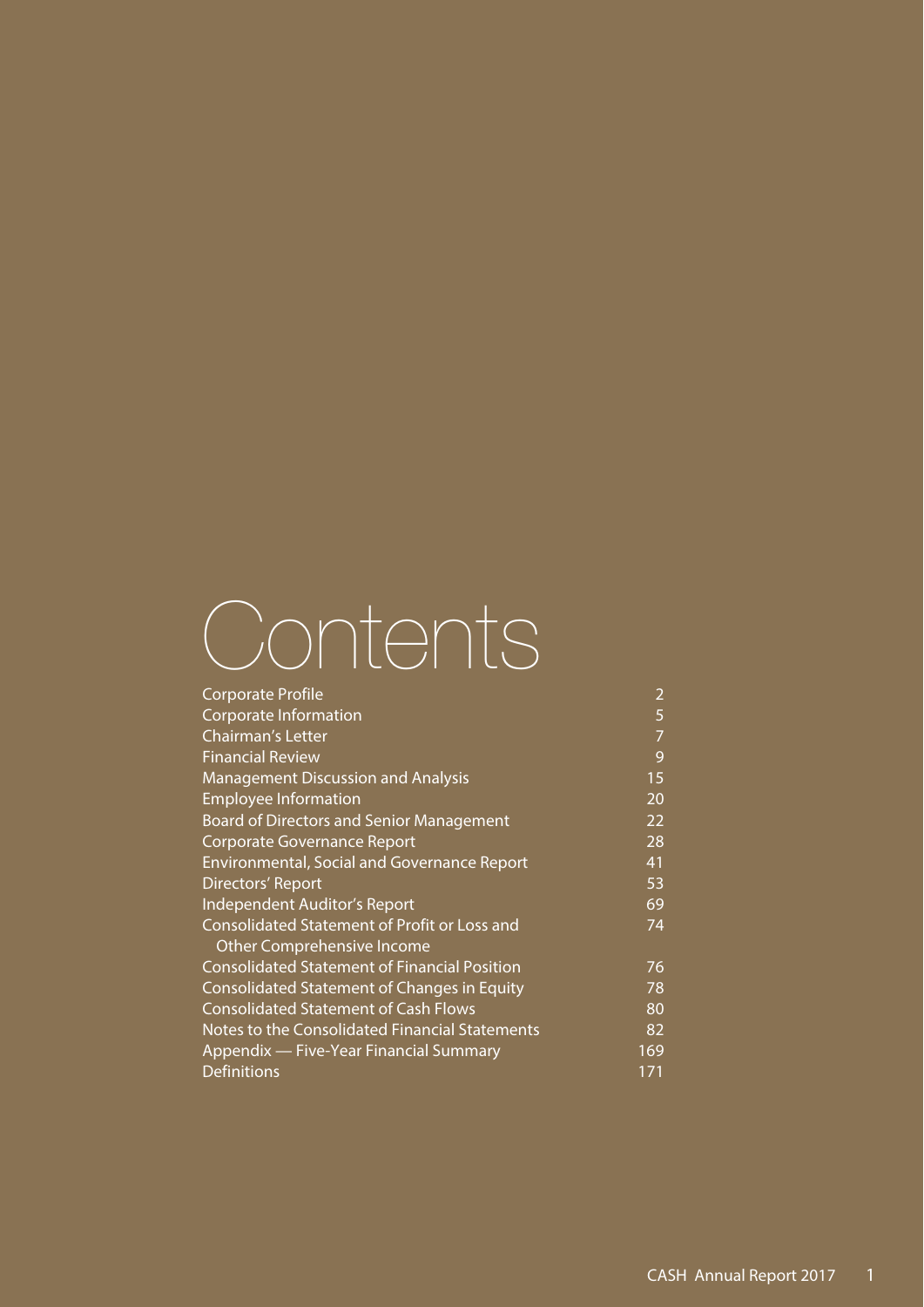# Corporate Profile

| Corporate Profile                                  | $\overline{2}$ |
|----------------------------------------------------|----------------|
| Corporate Information                              | 5              |
| Chairman's Letter                                  | 7              |
| <b>Financial Review</b>                            | 9              |
| <b>Management Discussion and Analysis</b>          | 15             |
| <b>Employee Information</b>                        | 20             |
| <b>Board of Directors and Senior Management</b>    | 22             |
| Corporate Governance Report                        | 28             |
| <b>Environmental, Social and Governance Report</b> | 41             |
| Directors' Report                                  | 53             |
| Independent Auditor's Report                       | 69             |
| Consolidated Statement of Profit or Loss and       | 74             |
| Other Comprehensive Income                         |                |
| Consolidated Statement of Financial Position       | 76             |
| Consolidated Statement of Changes in Equity        | 78             |
| <b>Consolidated Statement of Cash Flows</b>        | 80             |
| Notes to the Consolidated Financial Statements     | 82             |
| Appendix — Five-Year Financial Summary             | 169            |
| <b>Definitions</b>                                 | 171            |
|                                                    |                |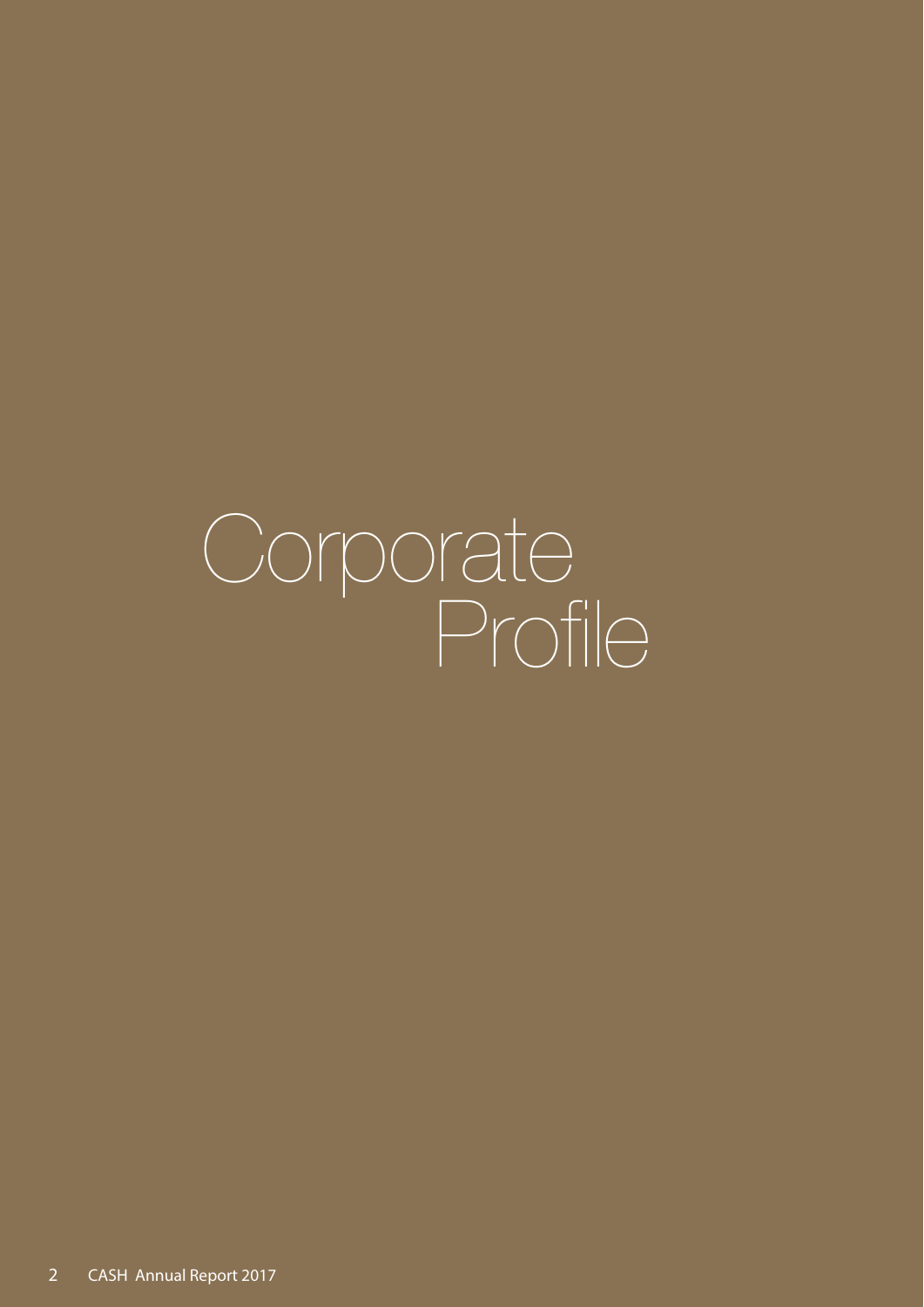# Corporate Profile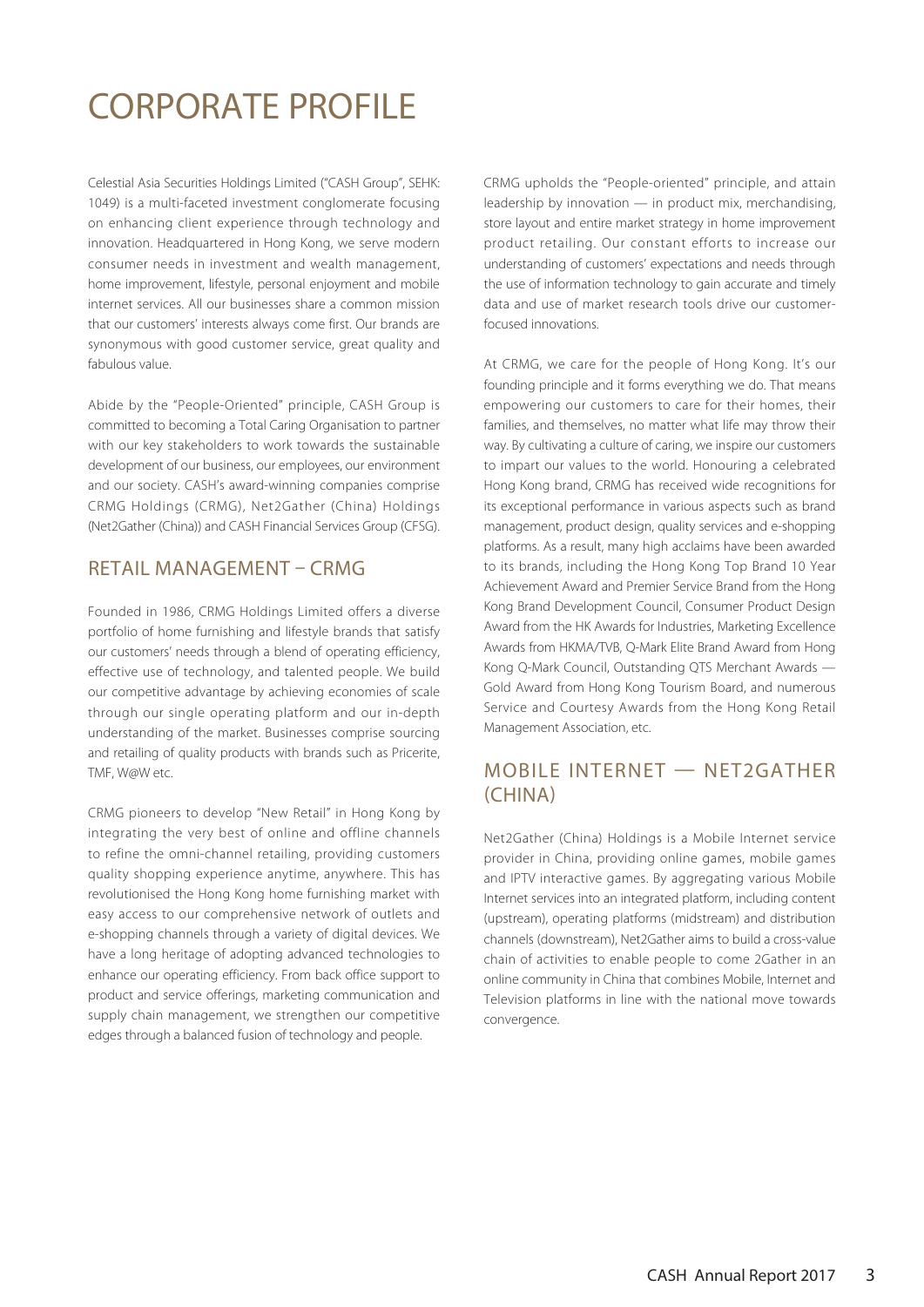# CORPORATE PROFILE

Celestial Asia Securities Holdings Limited ("CASH Group", SEHK: 1049) is a multi-faceted investment conglomerate focusing on enhancing client experience through technology and innovation. Headquartered in Hong Kong, we serve modern consumer needs in investment and wealth management, home improvement, lifestyle, personal enjoyment and mobile internet services. All our businesses share a common mission that our customers' interests always come first. Our brands are synonymous with good customer service, great quality and fabulous value.

Abide by the "People-Oriented" principle, CASH Group is committed to becoming a Total Caring Organisation to partner with our key stakeholders to work towards the sustainable development of our business, our employees, our environment and our society. CASH's award-winning companies comprise CRMG Holdings (CRMG), Net2Gather (China) Holdings (Net2Gather (China)) and CASH Financial Services Group (CFSG).

## RETAIL MANAGEMENT – CRMG

Founded in 1986, CRMG Holdings Limited offers a diverse portfolio of home furnishing and lifestyle brands that satisfy our customers' needs through a blend of operating efficiency, effective use of technology, and talented people. We build our competitive advantage by achieving economies of scale through our single operating platform and our in-depth understanding of the market. Businesses comprise sourcing and retailing of quality products with brands such as Pricerite, TMF, W@W etc.

CRMG pioneers to develop "New Retail" in Hong Kong by integrating the very best of online and offline channels to refine the omni-channel retailing, providing customers quality shopping experience anytime, anywhere. This has revolutionised the Hong Kong home furnishing market with easy access to our comprehensive network of outlets and e-shopping channels through a variety of digital devices. We have a long heritage of adopting advanced technologies to enhance our operating efficiency. From back office support to product and service offerings, marketing communication and supply chain management, we strengthen our competitive edges through a balanced fusion of technology and people.

CRMG upholds the "People-oriented" principle, and attain leadership by innovation — in product mix, merchandising, store layout and entire market strategy in home improvement product retailing. Our constant efforts to increase our understanding of customers' expectations and needs through the use of information technology to gain accurate and timely data and use of market research tools drive our customerfocused innovations.

At CRMG, we care for the people of Hong Kong. It's our founding principle and it forms everything we do. That means empowering our customers to care for their homes, their families, and themselves, no matter what life may throw their way. By cultivating a culture of caring, we inspire our customers to impart our values to the world. Honouring a celebrated Hong Kong brand, CRMG has received wide recognitions for its exceptional performance in various aspects such as brand management, product design, quality services and e-shopping platforms. As a result, many high acclaims have been awarded to its brands, including the Hong Kong Top Brand 10 Year Achievement Award and Premier Service Brand from the Hong Kong Brand Development Council, Consumer Product Design Award from the HK Awards for Industries, Marketing Excellence Awards from HKMA/TVB, Q-Mark Elite Brand Award from Hong Kong Q-Mark Council, Outstanding QTS Merchant Awards — Gold Award from Hong Kong Tourism Board, and numerous Service and Courtesy Awards from the Hong Kong Retail Management Association, etc.

## MOBILE INTERNET — NET2GATHER (CHINA)

Net2Gather (China) Holdings is a Mobile Internet service provider in China, providing online games, mobile games and IPTV interactive games. By aggregating various Mobile Internet services into an integrated platform, including content (upstream), operating platforms (midstream) and distribution channels (downstream), Net2Gather aims to build a cross-value chain of activities to enable people to come 2Gather in an online community in China that combines Mobile, Internet and Television platforms in line with the national move towards convergence.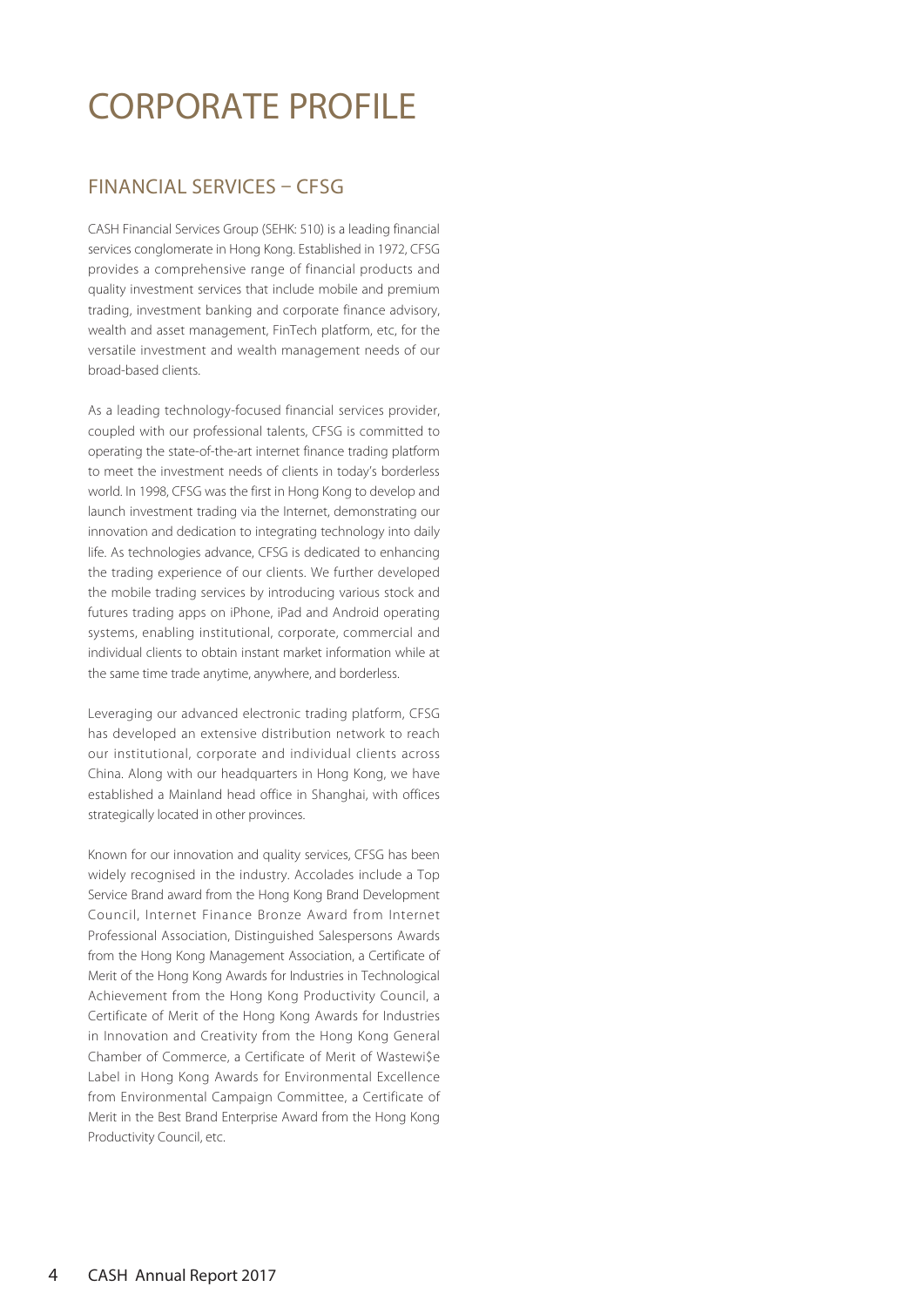# CORPORATE PROFILE

# FINANCIAL SERVICES – CFSG

CASH Financial Services Group (SEHK: 510) is a leading financial services conglomerate in Hong Kong. Established in 1972, CFSG provides a comprehensive range of financial products and quality investment services that include mobile and premium trading, investment banking and corporate finance advisory, wealth and asset management, FinTech platform, etc, for the versatile investment and wealth management needs of our broad-based clients.

As a leading technology-focused financial services provider, coupled with our professional talents, CFSG is committed to operating the state-of-the-art internet finance trading platform to meet the investment needs of clients in today's borderless world. In 1998, CFSG was the first in Hong Kong to develop and launch investment trading via the Internet, demonstrating our innovation and dedication to integrating technology into daily life. As technologies advance, CFSG is dedicated to enhancing the trading experience of our clients. We further developed the mobile trading services by introducing various stock and futures trading apps on iPhone, iPad and Android operating systems, enabling institutional, corporate, commercial and individual clients to obtain instant market information while at the same time trade anytime, anywhere, and borderless.

Leveraging our advanced electronic trading platform, CFSG has developed an extensive distribution network to reach our institutional, corporate and individual clients across China. Along with our headquarters in Hong Kong, we have established a Mainland head office in Shanghai, with offices strategically located in other provinces.

Known for our innovation and quality services, CFSG has been widely recognised in the industry. Accolades include a Top Service Brand award from the Hong Kong Brand Development Council, Internet Finance Bronze Award from Internet Professional Association, Distinguished Salespersons Awards from the Hong Kong Management Association, a Certificate of Merit of the Hong Kong Awards for Industries in Technological Achievement from the Hong Kong Productivity Council, a Certificate of Merit of the Hong Kong Awards for Industries in Innovation and Creativity from the Hong Kong General Chamber of Commerce, a Certificate of Merit of Wastewi\$e Label in Hong Kong Awards for Environmental Excellence from Environmental Campaign Committee, a Certificate of Merit in the Best Brand Enterprise Award from the Hong Kong Productivity Council, etc.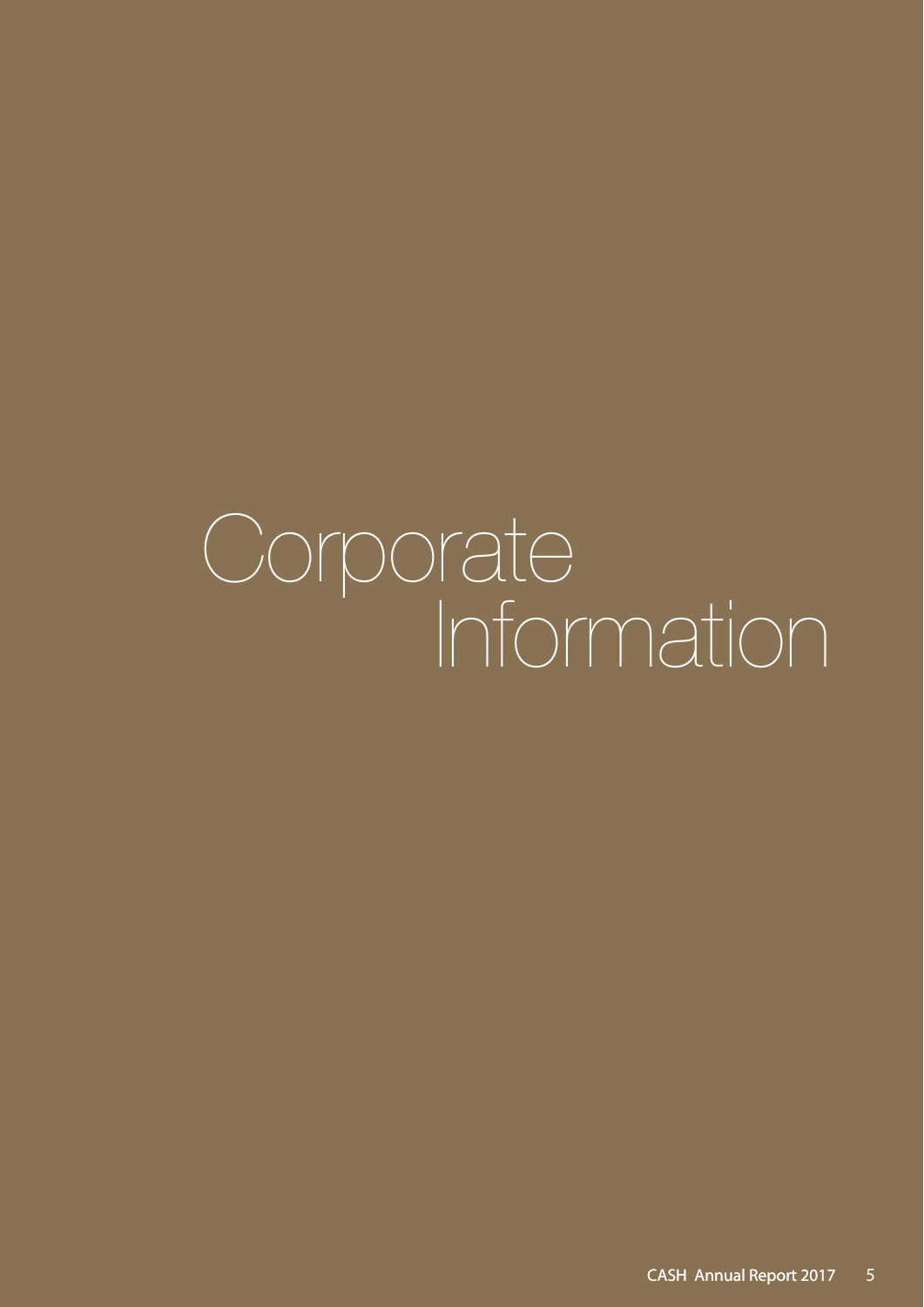# Corporate Information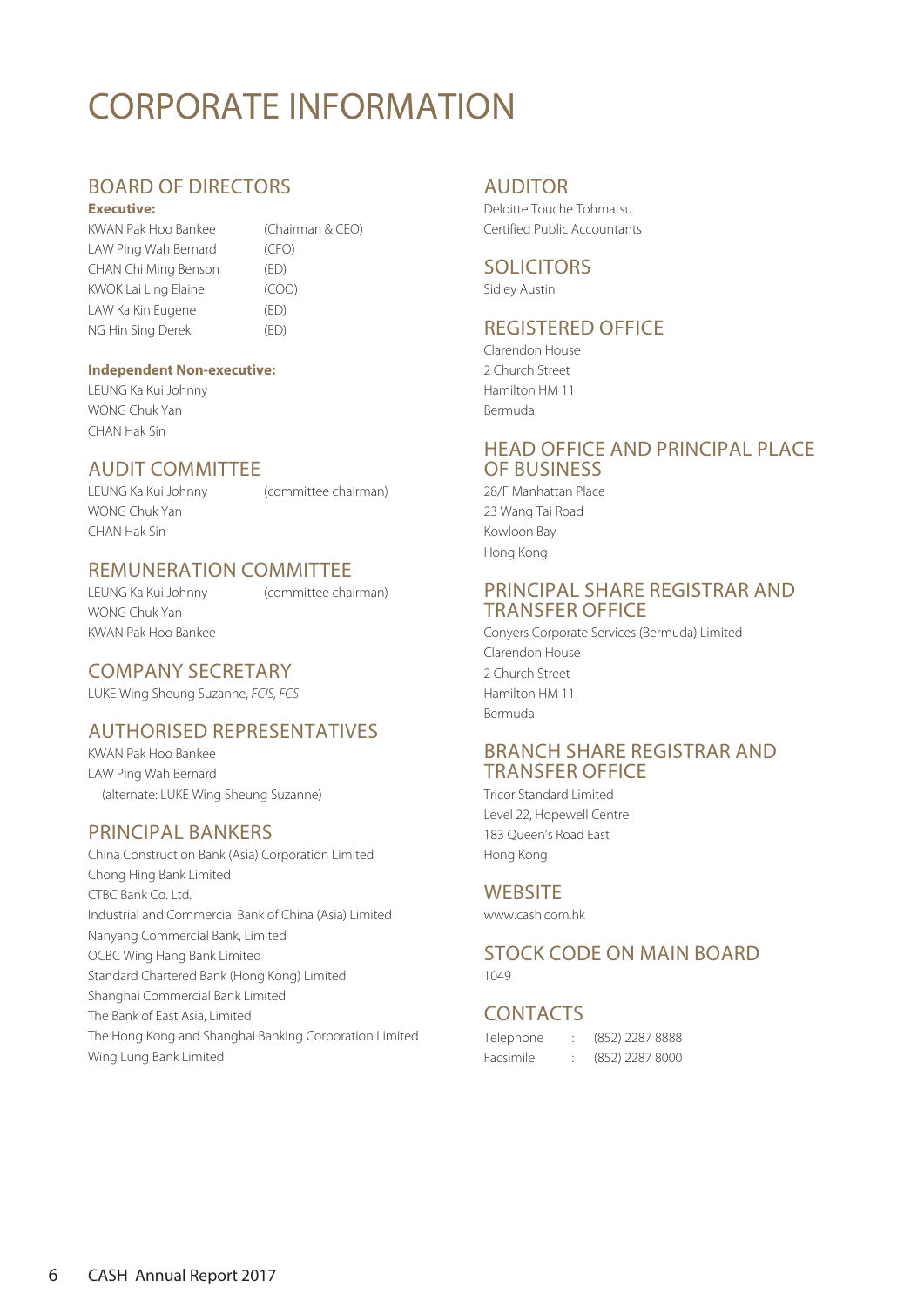# CORPORATE INFORMATION

# BOARD OF DIRECTORS

#### **Executive:**

KWAN Pak Hoo Bankee (Chairman & CEO) LAW Ping Wah Bernard (CFO) CHAN Chi Ming Benson (ED) KWOK Lai Ling Elaine (COO) LAW Ka Kin Eugene (ED) NG Hin Sing Derek (ED)

#### **Independent Non-executive:**

LEUNG Ka Kui Johnny WONG Chuk Yan CHAN Hak Sin

## AUDIT COMMITTEE

WONG Chuk Yan CHAN Hak Sin

LEUNG Ka Kui Johnny (committee chairman)

## REMUNERATION COMMITTEE

LEUNG Ka Kui Johnny (committee chairman) WONG Chuk Yan KWAN Pak Hoo Bankee

## COMPANY SECRETARY

LUKE Wing Sheung Suzanne, FCIS, FCS

## AUTHORISED REPRESENTATIVES

KWAN Pak Hoo Bankee LAW Ping Wah Bernard (alternate: LUKE Wing Sheung Suzanne)

### PRINCIPAL BANKERS

China Construction Bank (Asia) Corporation Limited Chong Hing Bank Limited CTBC Bank Co. Ltd. Industrial and Commercial Bank of China (Asia) Limited Nanyang Commercial Bank, Limited OCBC Wing Hang Bank Limited Standard Chartered Bank (Hong Kong) Limited Shanghai Commercial Bank Limited The Bank of East Asia, Limited The Hong Kong and Shanghai Banking Corporation Limited Wing Lung Bank Limited

## AUDITOR

Deloitte Touche Tohmatsu Certified Public Accountants

## SOLICITORS

Sidley Austin

### REGISTERED OFFICE

Clarendon House 2 Church Street Hamilton HM 11 Bermuda

## HEAD OFFICE AND PRINCIPAL PLACE OF BUSINESS

28/F Manhattan Place 23 Wang Tai Road Kowloon Bay Hong Kong

### PRINCIPAL SHARE REGISTRAR AND TRANSFER OFFICE

Conyers Corporate Services (Bermuda) Limited Clarendon House 2 Church Street Hamilton HM 11 Bermuda

## BRANCH SHARE REGISTRAR AND TRANSFER OFFICE

Tricor Standard Limited Level 22, Hopewell Centre 183 Queen's Road East Hong Kong

### **WEBSITE**

www.cash.com.hk

## STOCK CODE ON MAIN BOARD 1049

## **CONTACTS**

| Telephone |  |
|-----------|--|
| Facsimile |  |

(852) 2287 8888 (852) 2287 8000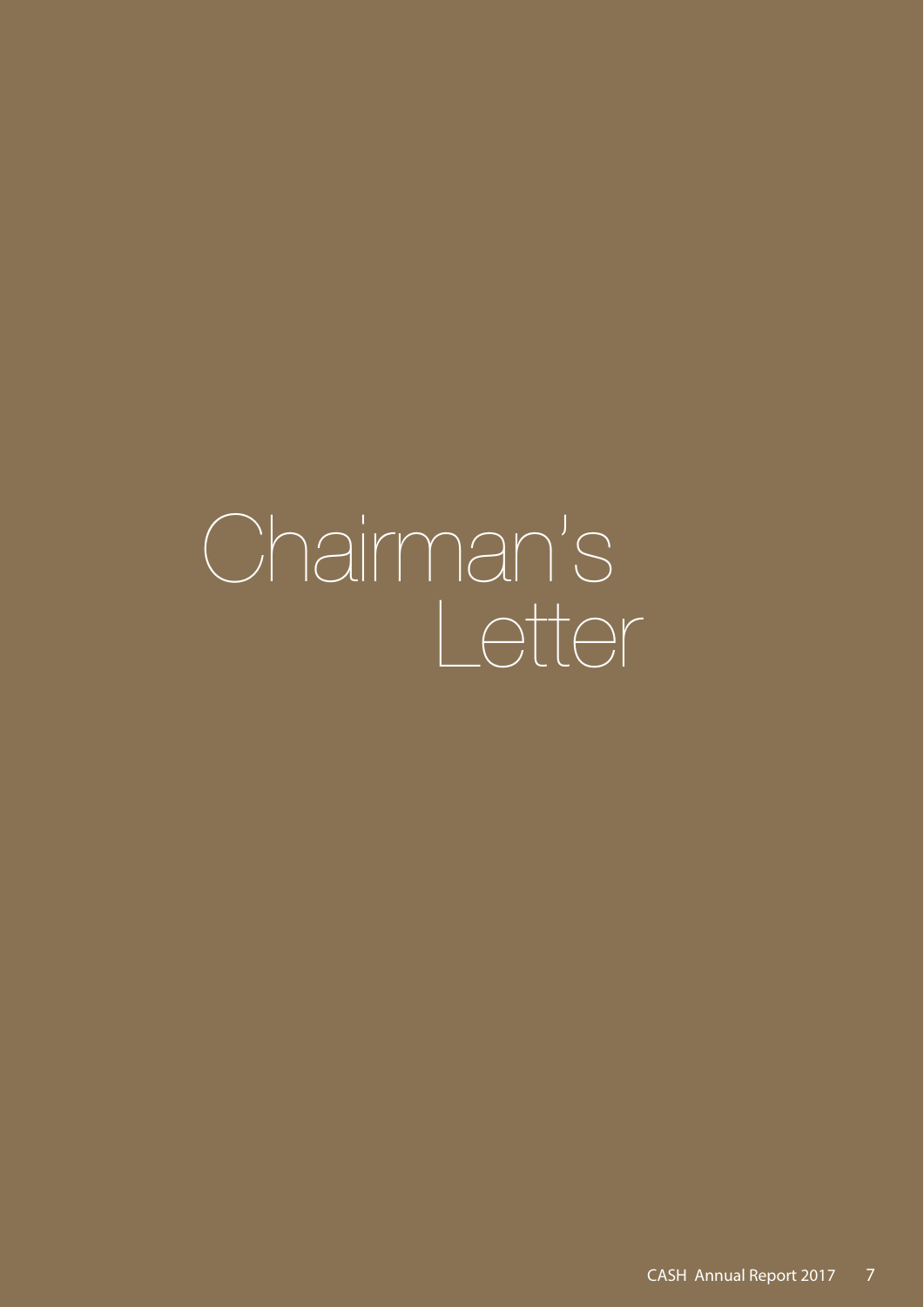# Chairman's Letter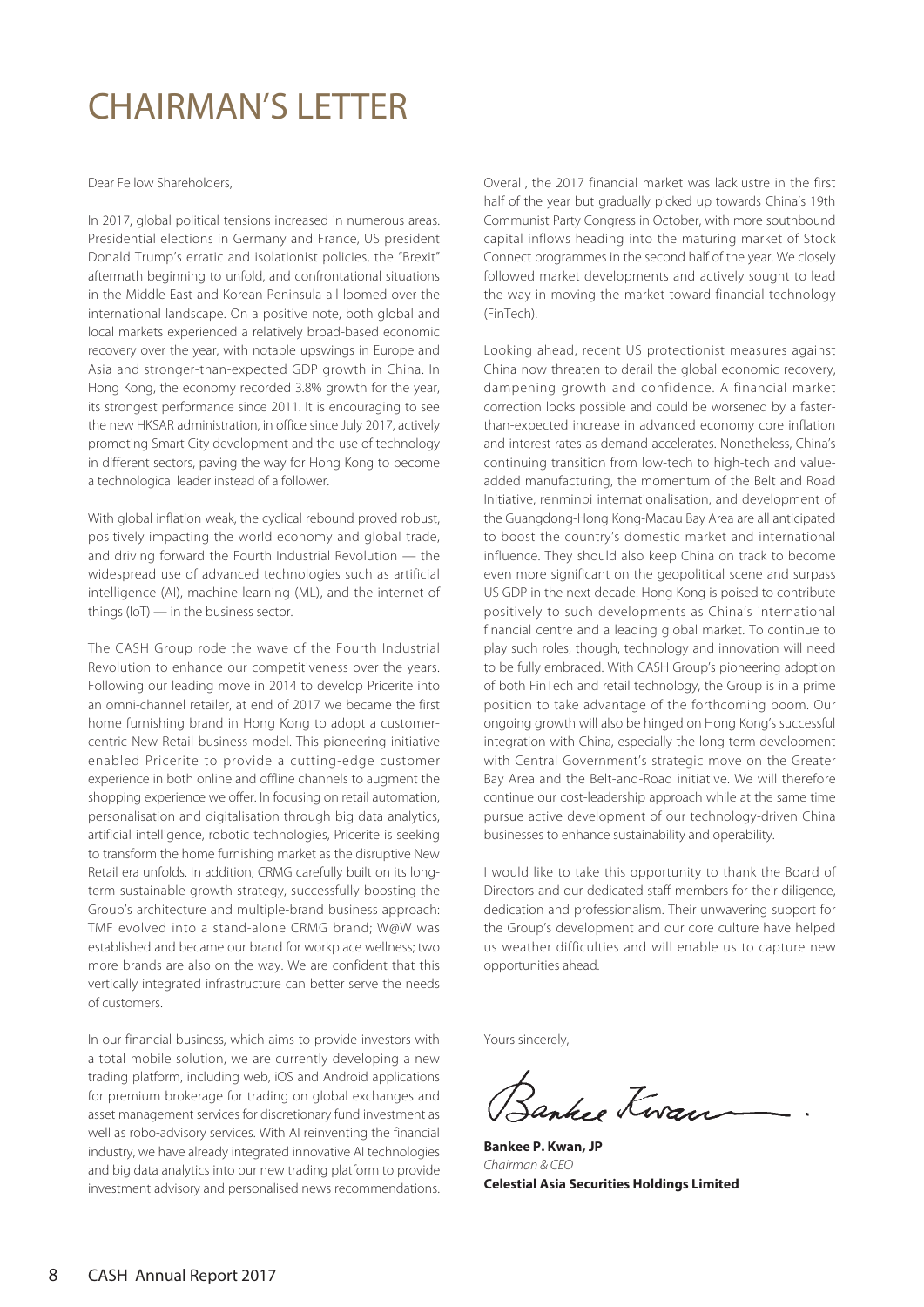# CHAIRMAN'S LETTER

Dear Fellow Shareholders,

In 2017, global political tensions increased in numerous areas. Presidential elections in Germany and France, US president Donald Trump's erratic and isolationist policies, the "Brexit" aftermath beginning to unfold, and confrontational situations in the Middle East and Korean Peninsula all loomed over the international landscape. On a positive note, both global and local markets experienced a relatively broad-based economic recovery over the year, with notable upswings in Europe and Asia and stronger-than-expected GDP growth in China. In Hong Kong, the economy recorded 3.8% growth for the year, its strongest performance since 2011. It is encouraging to see the new HKSAR administration, in office since July 2017, actively promoting Smart City development and the use of technology in different sectors, paving the way for Hong Kong to become a technological leader instead of a follower.

With global inflation weak, the cyclical rebound proved robust, positively impacting the world economy and global trade, and driving forward the Fourth Industrial Revolution — the widespread use of advanced technologies such as artificial intelligence (AI), machine learning (ML), and the internet of things (IoT) — in the business sector.

The CASH Group rode the wave of the Fourth Industrial Revolution to enhance our competitiveness over the years. Following our leading move in 2014 to develop Pricerite into an omni-channel retailer, at end of 2017 we became the first home furnishing brand in Hong Kong to adopt a customercentric New Retail business model. This pioneering initiative enabled Pricerite to provide a cutting-edge customer experience in both online and offline channels to augment the shopping experience we offer. In focusing on retail automation, personalisation and digitalisation through big data analytics, artificial intelligence, robotic technologies, Pricerite is seeking to transform the home furnishing market as the disruptive New Retail era unfolds. In addition, CRMG carefully built on its longterm sustainable growth strategy, successfully boosting the Group's architecture and multiple-brand business approach: TMF evolved into a stand-alone CRMG brand; W@W was established and became our brand for workplace wellness; two more brands are also on the way. We are confident that this vertically integrated infrastructure can better serve the needs of customers.

In our financial business, which aims to provide investors with a total mobile solution, we are currently developing a new trading platform, including web, iOS and Android applications for premium brokerage for trading on global exchanges and asset management services for discretionary fund investment as well as robo-advisory services. With AI reinventing the financial industry, we have already integrated innovative AI technologies and big data analytics into our new trading platform to provide investment advisory and personalised news recommendations. Overall, the 2017 financial market was lacklustre in the first half of the year but gradually picked up towards China's 19th Communist Party Congress in October, with more southbound capital inflows heading into the maturing market of Stock Connect programmes in the second half of the year. We closely followed market developments and actively sought to lead the way in moving the market toward financial technology (FinTech).

Looking ahead, recent US protectionist measures against China now threaten to derail the global economic recovery, dampening growth and confidence. A financial market correction looks possible and could be worsened by a fasterthan-expected increase in advanced economy core inflation and interest rates as demand accelerates. Nonetheless, China's continuing transition from low-tech to high-tech and valueadded manufacturing, the momentum of the Belt and Road Initiative, renminbi internationalisation, and development of the Guangdong-Hong Kong-Macau Bay Area are all anticipated to boost the country's domestic market and international influence. They should also keep China on track to become even more significant on the geopolitical scene and surpass US GDP in the next decade. Hong Kong is poised to contribute positively to such developments as China's international financial centre and a leading global market. To continue to play such roles, though, technology and innovation will need to be fully embraced. With CASH Group's pioneering adoption of both FinTech and retail technology, the Group is in a prime position to take advantage of the forthcoming boom. Our ongoing growth will also be hinged on Hong Kong's successful integration with China, especially the long-term development with Central Government's strategic move on the Greater Bay Area and the Belt-and-Road initiative. We will therefore continue our cost-leadership approach while at the same time pursue active development of our technology-driven China businesses to enhance sustainability and operability.

I would like to take this opportunity to thank the Board of Directors and our dedicated staff members for their diligence, dedication and professionalism. Their unwavering support for the Group's development and our core culture have helped us weather difficulties and will enable us to capture new opportunities ahead.

Yours sincerely,

Jankee Kwan

**Bankee P. Kwan, JP** Chairman & CEO **Celestial Asia Securities Holdings Limited**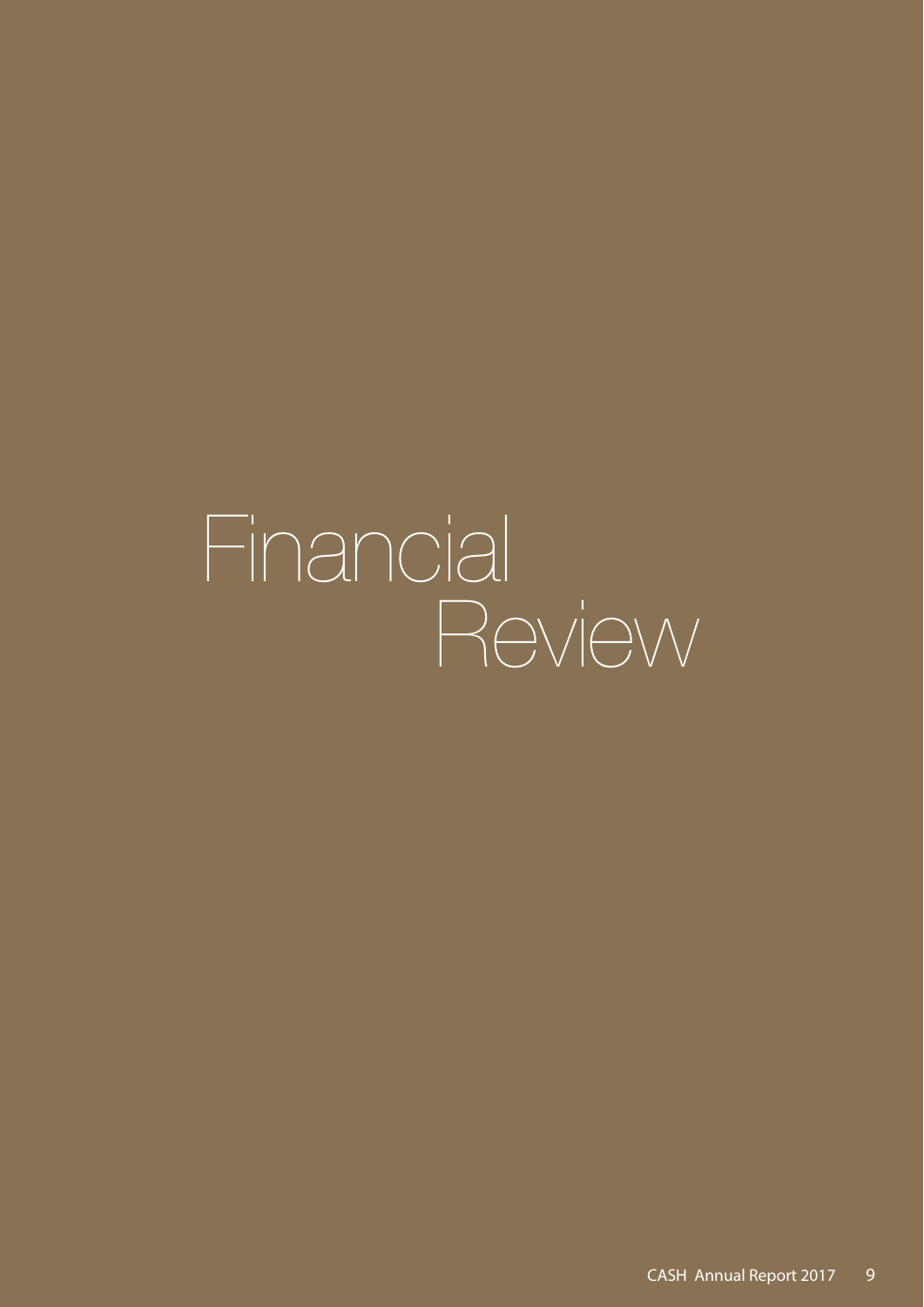# Financial Review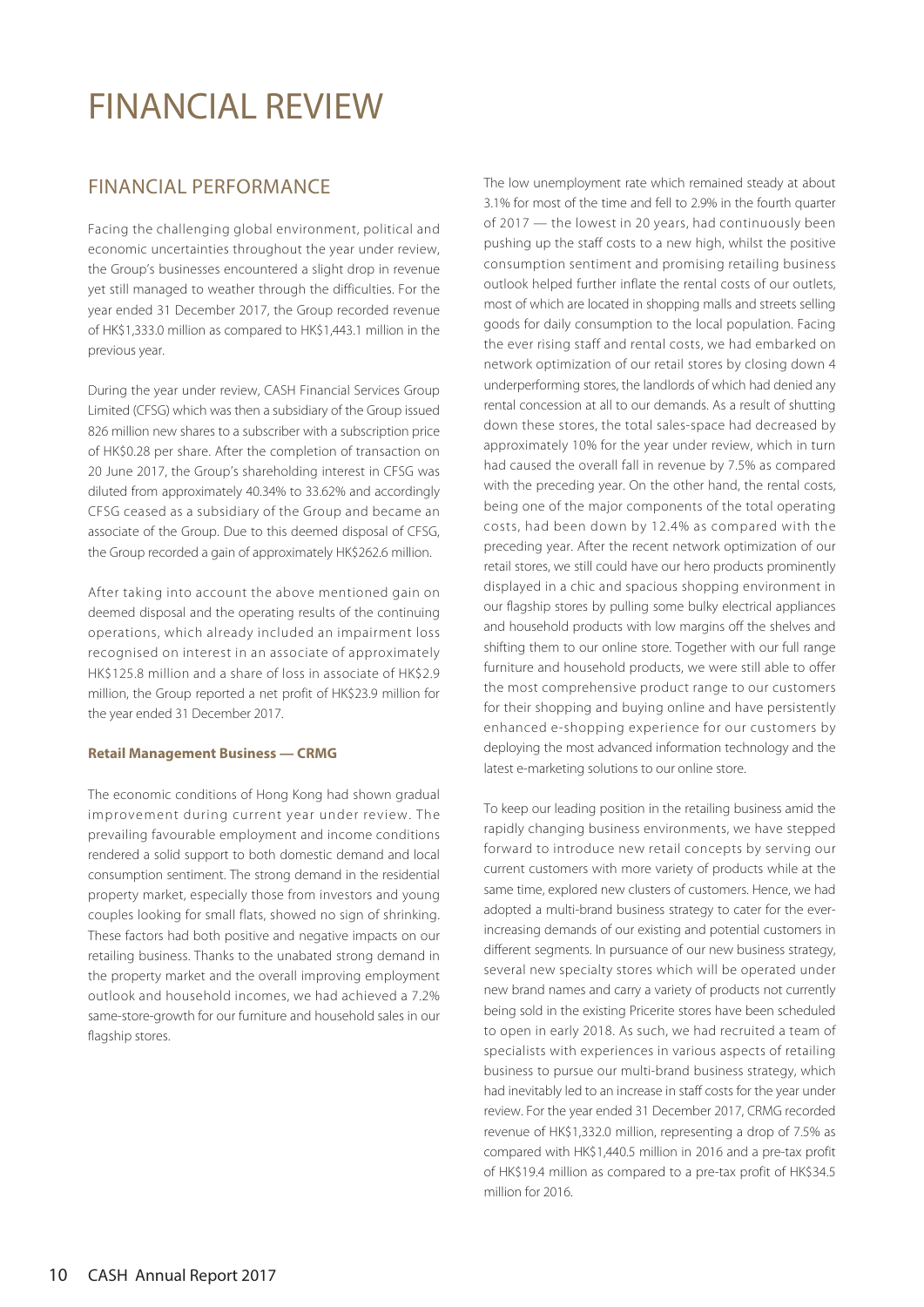# FINANCIAL REVIEW

## FINANCIAL PERFORMANCE

Facing the challenging global environment, political and economic uncertainties throughout the year under review, the Group's businesses encountered a slight drop in revenue yet still managed to weather through the difficulties. For the year ended 31 December 2017, the Group recorded revenue of HK\$1,333.0 million as compared to HK\$1,443.1 million in the previous year.

During the year under review, CASH Financial Services Group Limited (CFSG) which was then a subsidiary of the Group issued 826 million new shares to a subscriber with a subscription price of HK\$0.28 per share. After the completion of transaction on 20 June 2017, the Group's shareholding interest in CFSG was diluted from approximately 40.34% to 33.62% and accordingly CFSG ceased as a subsidiary of the Group and became an associate of the Group. Due to this deemed disposal of CFSG, the Group recorded a gain of approximately HK\$262.6 million.

After taking into account the above mentioned gain on deemed disposal and the operating results of the continuing operations, which already included an impairment loss recognised on interest in an associate of approximately HK\$125.8 million and a share of loss in associate of HK\$2.9 million, the Group reported a net profit of HK\$23.9 million for the year ended 31 December 2017.

#### **Retail Management Business — CRMG**

The economic conditions of Hong Kong had shown gradual improvement during current year under review. The prevailing favourable employment and income conditions rendered a solid support to both domestic demand and local consumption sentiment. The strong demand in the residential property market, especially those from investors and young couples looking for small flats, showed no sign of shrinking. These factors had both positive and negative impacts on our retailing business. Thanks to the unabated strong demand in the property market and the overall improving employment outlook and household incomes, we had achieved a 7.2% same-store-growth for our furniture and household sales in our flagship stores.

The low unemployment rate which remained steady at about 3.1% for most of the time and fell to 2.9% in the fourth quarter of 2017 — the lowest in 20 years, had continuously been pushing up the staff costs to a new high, whilst the positive consumption sentiment and promising retailing business outlook helped further inflate the rental costs of our outlets, most of which are located in shopping malls and streets selling goods for daily consumption to the local population. Facing the ever rising staff and rental costs, we had embarked on network optimization of our retail stores by closing down 4 underperforming stores, the landlords of which had denied any rental concession at all to our demands. As a result of shutting down these stores, the total sales-space had decreased by approximately 10% for the year under review, which in turn had caused the overall fall in revenue by 7.5% as compared with the preceding year. On the other hand, the rental costs, being one of the major components of the total operating costs, had been down by 12.4% as compared with the preceding year. After the recent network optimization of our retail stores, we still could have our hero products prominently displayed in a chic and spacious shopping environment in our flagship stores by pulling some bulky electrical appliances and household products with low margins off the shelves and shifting them to our online store. Together with our full range furniture and household products, we were still able to offer the most comprehensive product range to our customers for their shopping and buying online and have persistently enhanced e-shopping experience for our customers by deploying the most advanced information technology and the latest e-marketing solutions to our online store.

To keep our leading position in the retailing business amid the rapidly changing business environments, we have stepped forward to introduce new retail concepts by serving our current customers with more variety of products while at the same time, explored new clusters of customers. Hence, we had adopted a multi-brand business strategy to cater for the everincreasing demands of our existing and potential customers in different segments. In pursuance of our new business strategy, several new specialty stores which will be operated under new brand names and carry a variety of products not currently being sold in the existing Pricerite stores have been scheduled to open in early 2018. As such, we had recruited a team of specialists with experiences in various aspects of retailing business to pursue our multi-brand business strategy, which had inevitably led to an increase in staff costs for the year under review. For the year ended 31 December 2017, CRMG recorded revenue of HK\$1,332.0 million, representing a drop of 7.5% as compared with HK\$1,440.5 million in 2016 and a pre-tax profit of HK\$19.4 million as compared to a pre-tax profit of HK\$34.5 million for 2016.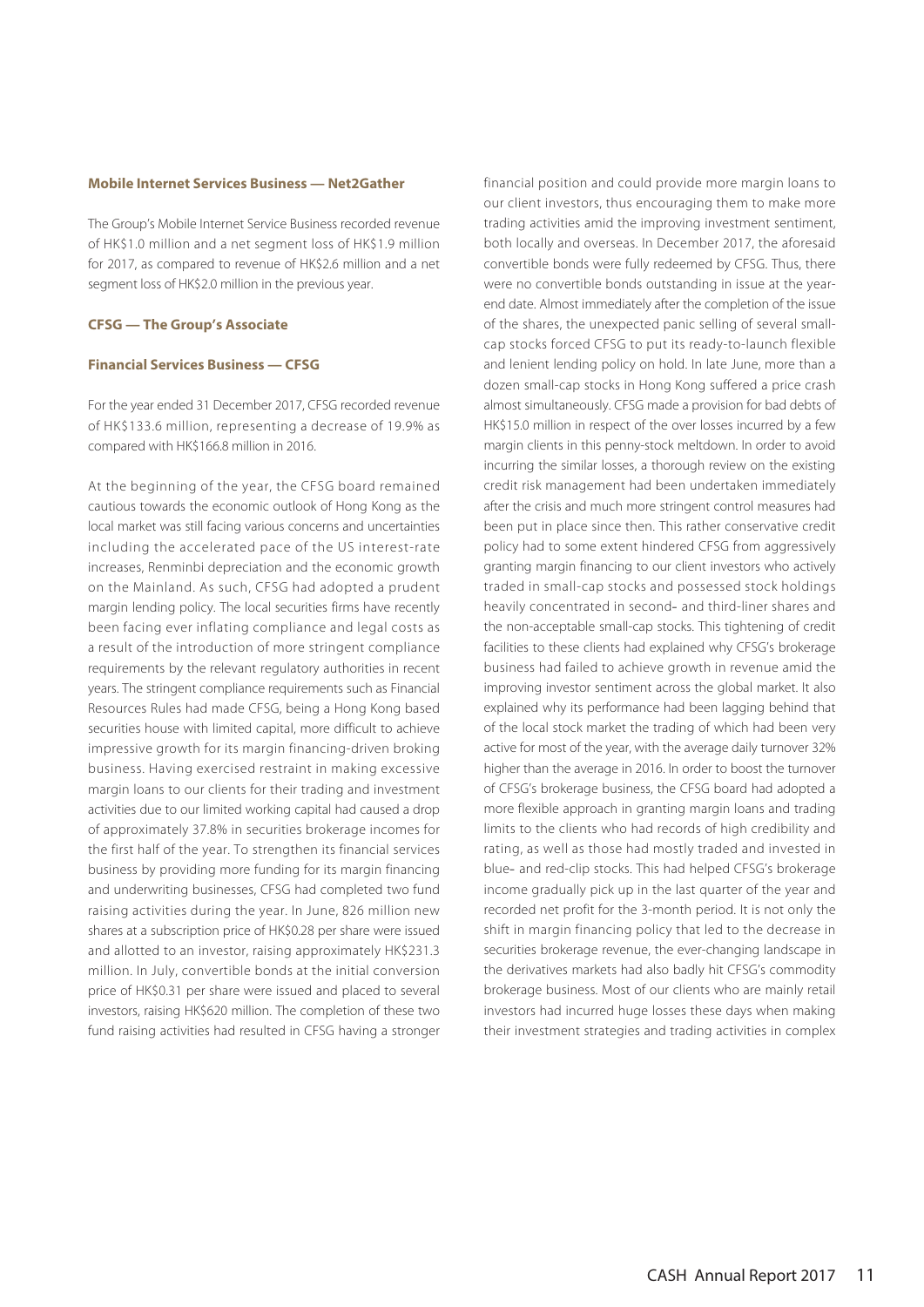#### **Mobile Internet Services Business — Net2Gather**

The Group's Mobile Internet Service Business recorded revenue of HK\$1.0 million and a net segment loss of HK\$1.9 million for 2017, as compared to revenue of HK\$2.6 million and a net segment loss of HK\$2.0 million in the previous year.

#### **CFSG — The Group's Associate**

#### **Financial Services Business — CFSG**

For the year ended 31 December 2017, CFSG recorded revenue of HK\$133.6 million, representing a decrease of 19.9% as compared with HK\$166.8 million in 2016.

At the beginning of the year, the CFSG board remained cautious towards the economic outlook of Hong Kong as the local market was still facing various concerns and uncertainties including the accelerated pace of the US interest-rate increases, Renminbi depreciation and the economic growth on the Mainland. As such, CFSG had adopted a prudent margin lending policy. The local securities firms have recently been facing ever inflating compliance and legal costs as a result of the introduction of more stringent compliance requirements by the relevant regulatory authorities in recent years. The stringent compliance requirements such as Financial Resources Rules had made CFSG, being a Hong Kong based securities house with limited capital, more difficult to achieve impressive growth for its margin financing-driven broking business. Having exercised restraint in making excessive margin loans to our clients for their trading and investment activities due to our limited working capital had caused a drop of approximately 37.8% in securities brokerage incomes for the first half of the year. To strengthen its financial services business by providing more funding for its margin financing and underwriting businesses, CFSG had completed two fund raising activities during the year. In June, 826 million new shares at a subscription price of HK\$0.28 per share were issued and allotted to an investor, raising approximately HK\$231.3 million. In July, convertible bonds at the initial conversion price of HK\$0.31 per share were issued and placed to several investors, raising HK\$620 million. The completion of these two fund raising activities had resulted in CFSG having a stronger

financial position and could provide more margin loans to our client investors, thus encouraging them to make more trading activities amid the improving investment sentiment, both locally and overseas. In December 2017, the aforesaid convertible bonds were fully redeemed by CFSG. Thus, there were no convertible bonds outstanding in issue at the yearend date. Almost immediately after the completion of the issue of the shares, the unexpected panic selling of several smallcap stocks forced CFSG to put its ready-to-launch flexible and lenient lending policy on hold. In late June, more than a dozen small-cap stocks in Hong Kong suffered a price crash almost simultaneously. CFSG made a provision for bad debts of HK\$15.0 million in respect of the over losses incurred by a few margin clients in this penny-stock meltdown. In order to avoid incurring the similar losses, a thorough review on the existing credit risk management had been undertaken immediately after the crisis and much more stringent control measures had been put in place since then. This rather conservative credit policy had to some extent hindered CFSG from aggressively granting margin financing to our client investors who actively traded in small-cap stocks and possessed stock holdings heavily concentrated in second- and third-liner shares and the non-acceptable small-cap stocks. This tightening of credit facilities to these clients had explained why CFSG's brokerage business had failed to achieve growth in revenue amid the improving investor sentiment across the global market. It also explained why its performance had been lagging behind that of the local stock market the trading of which had been very active for most of the year, with the average daily turnover 32% higher than the average in 2016. In order to boost the turnover of CFSG's brokerage business, the CFSG board had adopted a more flexible approach in granting margin loans and trading limits to the clients who had records of high credibility and rating, as well as those had mostly traded and invested in blue- and red-clip stocks. This had helped CFSG's brokerage income gradually pick up in the last quarter of the year and recorded net profit for the 3-month period. It is not only the shift in margin financing policy that led to the decrease in securities brokerage revenue, the ever-changing landscape in the derivatives markets had also badly hit CFSG's commodity brokerage business. Most of our clients who are mainly retail investors had incurred huge losses these days when making their investment strategies and trading activities in complex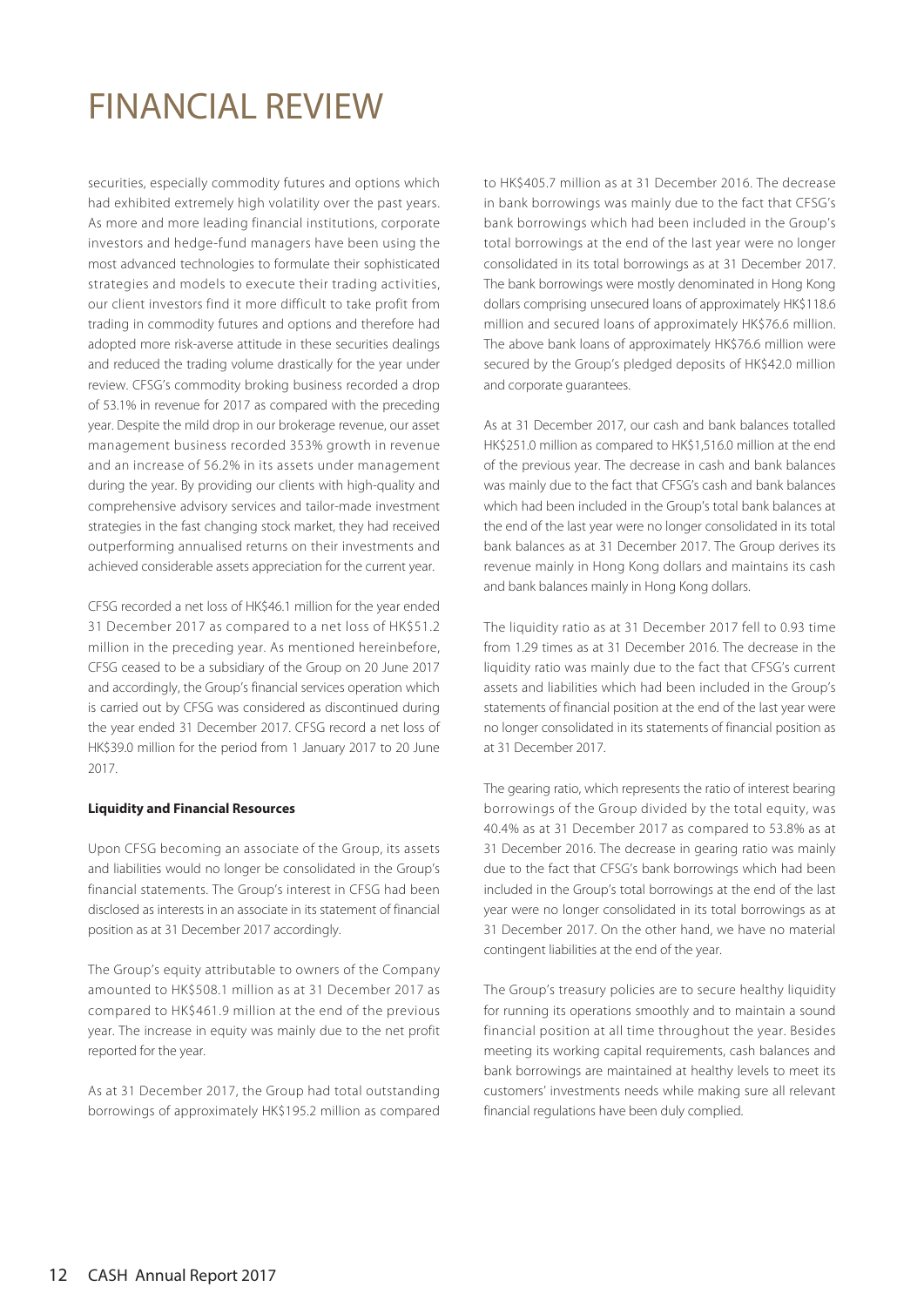# FINANCIAL REVIEW

securities, especially commodity futures and options which had exhibited extremely high volatility over the past years. As more and more leading financial institutions, corporate investors and hedge-fund managers have been using the most advanced technologies to formulate their sophisticated strategies and models to execute their trading activities, our client investors find it more difficult to take profit from trading in commodity futures and options and therefore had adopted more risk-averse attitude in these securities dealings and reduced the trading volume drastically for the year under review. CFSG's commodity broking business recorded a drop of 53.1% in revenue for 2017 as compared with the preceding year. Despite the mild drop in our brokerage revenue, our asset management business recorded 353% growth in revenue and an increase of 56.2% in its assets under management during the year. By providing our clients with high-quality and comprehensive advisory services and tailor-made investment strategies in the fast changing stock market, they had received outperforming annualised returns on their investments and achieved considerable assets appreciation for the current year.

CFSG recorded a net loss of HK\$46.1 million for the year ended 31 December 2017 as compared to a net loss of HK\$51.2 million in the preceding year. As mentioned hereinbefore, CFSG ceased to be a subsidiary of the Group on 20 June 2017 and accordingly, the Group's financial services operation which is carried out by CFSG was considered as discontinued during the year ended 31 December 2017. CFSG record a net loss of HK\$39.0 million for the period from 1 January 2017 to 20 June 2017.

#### **Liquidity and Financial Resources**

Upon CFSG becoming an associate of the Group, its assets and liabilities would no longer be consolidated in the Group's financial statements. The Group's interest in CFSG had been disclosed as interests in an associate in its statement of financial position as at 31 December 2017 accordingly.

The Group's equity attributable to owners of the Company amounted to HK\$508.1 million as at 31 December 2017 as compared to HK\$461.9 million at the end of the previous year. The increase in equity was mainly due to the net profit reported for the year.

As at 31 December 2017, the Group had total outstanding borrowings of approximately HK\$195.2 million as compared

to HK\$405.7 million as at 31 December 2016. The decrease in bank borrowings was mainly due to the fact that CFSG's bank borrowings which had been included in the Group's total borrowings at the end of the last year were no longer consolidated in its total borrowings as at 31 December 2017. The bank borrowings were mostly denominated in Hong Kong dollars comprising unsecured loans of approximately HK\$118.6 million and secured loans of approximately HK\$76.6 million. The above bank loans of approximately HK\$76.6 million were secured by the Group's pledged deposits of HK\$42.0 million and corporate guarantees.

As at 31 December 2017, our cash and bank balances totalled HK\$251.0 million as compared to HK\$1,516.0 million at the end of the previous year. The decrease in cash and bank balances was mainly due to the fact that CFSG's cash and bank balances which had been included in the Group's total bank balances at the end of the last year were no longer consolidated in its total bank balances as at 31 December 2017. The Group derives its revenue mainly in Hong Kong dollars and maintains its cash and bank balances mainly in Hong Kong dollars.

The liquidity ratio as at 31 December 2017 fell to 0.93 time from 1.29 times as at 31 December 2016. The decrease in the liquidity ratio was mainly due to the fact that CFSG's current assets and liabilities which had been included in the Group's statements of financial position at the end of the last year were no longer consolidated in its statements of financial position as at 31 December 2017.

The gearing ratio, which represents the ratio of interest bearing borrowings of the Group divided by the total equity, was 40.4% as at 31 December 2017 as compared to 53.8% as at 31 December 2016. The decrease in gearing ratio was mainly due to the fact that CFSG's bank borrowings which had been included in the Group's total borrowings at the end of the last year were no longer consolidated in its total borrowings as at 31 December 2017. On the other hand, we have no material contingent liabilities at the end of the year.

The Group's treasury policies are to secure healthy liquidity for running its operations smoothly and to maintain a sound financial position at all time throughout the year. Besides meeting its working capital requirements, cash balances and bank borrowings are maintained at healthy levels to meet its customers' investments needs while making sure all relevant financial regulations have been duly complied.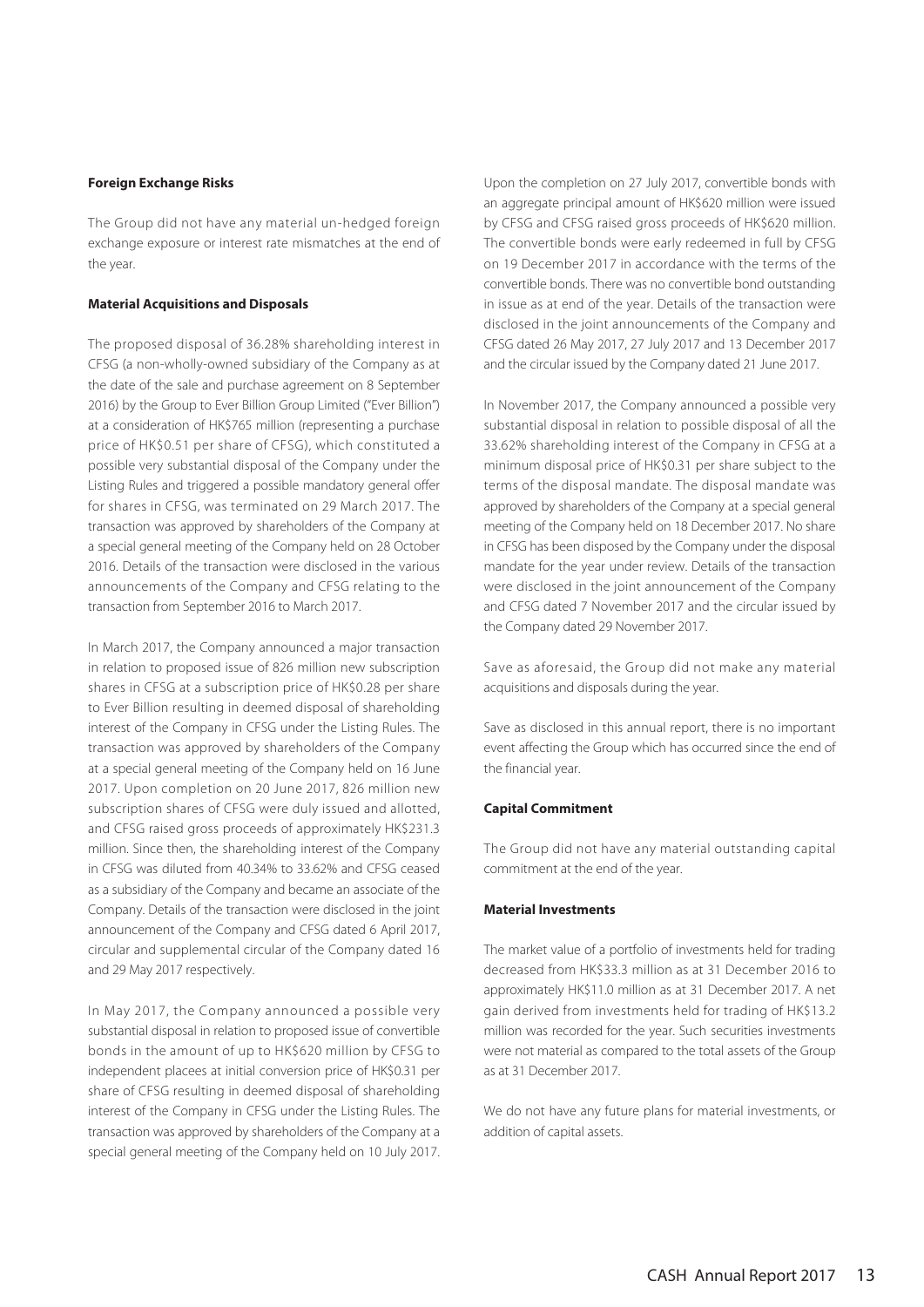#### **Foreign Exchange Risks**

The Group did not have any material un-hedged foreign exchange exposure or interest rate mismatches at the end of the year.

#### **Material Acquisitions and Disposals**

The proposed disposal of 36.28% shareholding interest in CFSG (a non-wholly-owned subsidiary of the Company as at the date of the sale and purchase agreement on 8 September 2016) by the Group to Ever Billion Group Limited ("Ever Billion") at a consideration of HK\$765 million (representing a purchase price of HK\$0.51 per share of CFSG), which constituted a possible very substantial disposal of the Company under the Listing Rules and triggered a possible mandatory general offer for shares in CFSG, was terminated on 29 March 2017. The transaction was approved by shareholders of the Company at a special general meeting of the Company held on 28 October 2016. Details of the transaction were disclosed in the various announcements of the Company and CFSG relating to the transaction from September 2016 to March 2017.

In March 2017, the Company announced a major transaction in relation to proposed issue of 826 million new subscription shares in CFSG at a subscription price of HK\$0.28 per share to Ever Billion resulting in deemed disposal of shareholding interest of the Company in CFSG under the Listing Rules. The transaction was approved by shareholders of the Company at a special general meeting of the Company held on 16 June 2017. Upon completion on 20 June 2017, 826 million new subscription shares of CFSG were duly issued and allotted, and CFSG raised gross proceeds of approximately HK\$231.3 million. Since then, the shareholding interest of the Company in CFSG was diluted from 40.34% to 33.62% and CFSG ceased as a subsidiary of the Company and became an associate of the Company. Details of the transaction were disclosed in the joint announcement of the Company and CFSG dated 6 April 2017, circular and supplemental circular of the Company dated 16 and 29 May 2017 respectively.

In May 2017, the Company announced a possible very substantial disposal in relation to proposed issue of convertible bonds in the amount of up to HK\$620 million by CFSG to independent placees at initial conversion price of HK\$0.31 per share of CFSG resulting in deemed disposal of shareholding interest of the Company in CFSG under the Listing Rules. The transaction was approved by shareholders of the Company at a special general meeting of the Company held on 10 July 2017. Upon the completion on 27 July 2017, convertible bonds with an aggregate principal amount of HK\$620 million were issued by CFSG and CFSG raised gross proceeds of HK\$620 million. The convertible bonds were early redeemed in full by CFSG on 19 December 2017 in accordance with the terms of the convertible bonds. There was no convertible bond outstanding in issue as at end of the year. Details of the transaction were disclosed in the joint announcements of the Company and CFSG dated 26 May 2017, 27 July 2017 and 13 December 2017 and the circular issued by the Company dated 21 June 2017.

In November 2017, the Company announced a possible very substantial disposal in relation to possible disposal of all the 33.62% shareholding interest of the Company in CFSG at a minimum disposal price of HK\$0.31 per share subject to the terms of the disposal mandate. The disposal mandate was approved by shareholders of the Company at a special general meeting of the Company held on 18 December 2017. No share in CFSG has been disposed by the Company under the disposal mandate for the year under review. Details of the transaction were disclosed in the joint announcement of the Company and CFSG dated 7 November 2017 and the circular issued by the Company dated 29 November 2017.

Save as aforesaid, the Group did not make any material acquisitions and disposals during the year.

Save as disclosed in this annual report, there is no important event affecting the Group which has occurred since the end of the financial year.

#### **Capital Commitment**

The Group did not have any material outstanding capital commitment at the end of the year.

#### **Material Investments**

The market value of a portfolio of investments held for trading decreased from HK\$33.3 million as at 31 December 2016 to approximately HK\$11.0 million as at 31 December 2017. A net gain derived from investments held for trading of HK\$13.2 million was recorded for the year. Such securities investments were not material as compared to the total assets of the Group as at 31 December 2017.

We do not have any future plans for material investments, or addition of capital assets.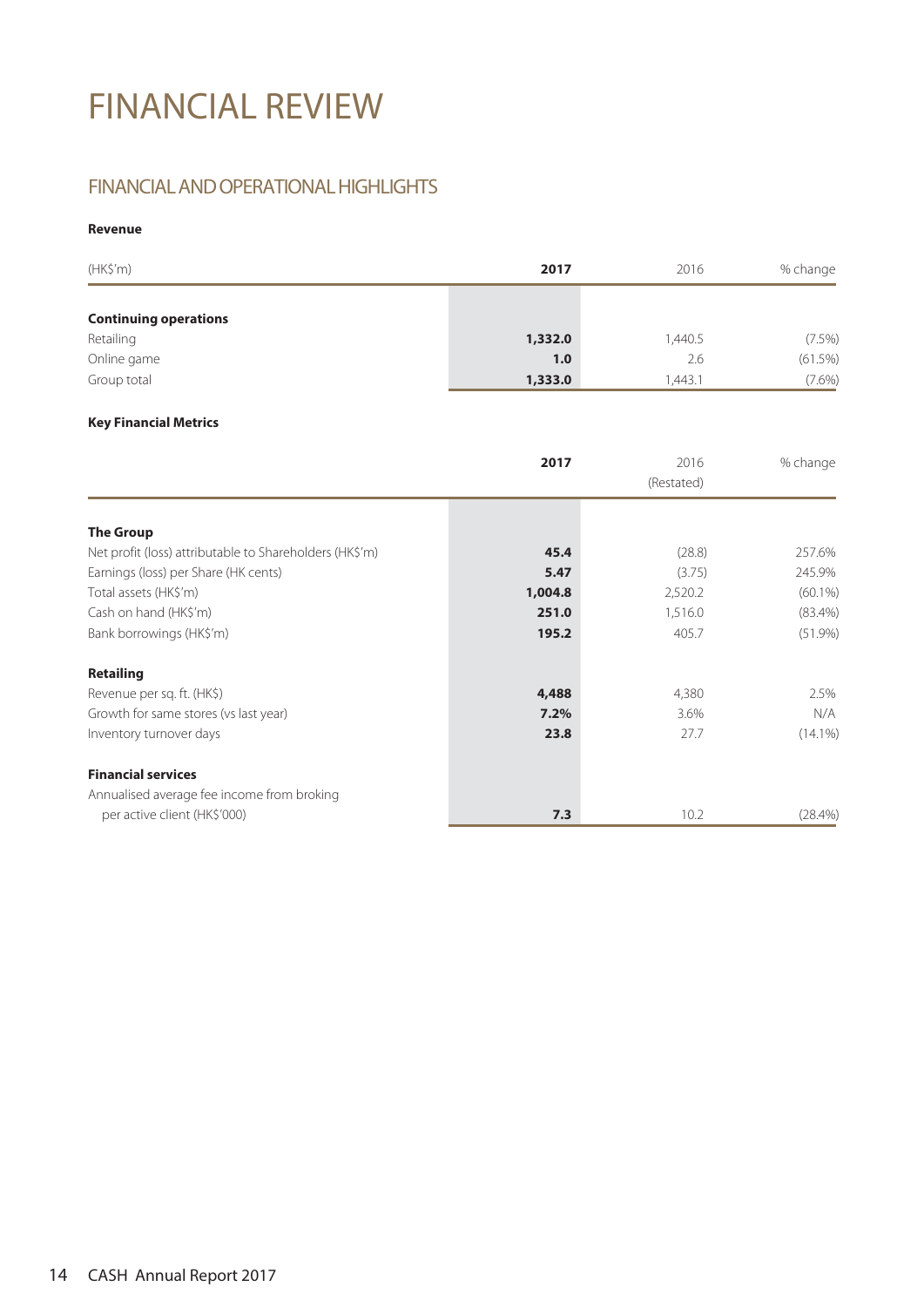# FINANCIAL REVIEW

# FINANCIAL AND OPERATIONAL HIGHLIGHTS

#### **Revenue**

| $(HK\$ {5'm})                | 2017    | 2016    | % change |
|------------------------------|---------|---------|----------|
| <b>Continuing operations</b> |         |         |          |
| Retailing                    | 1,332.0 | 1,440.5 | (7.5%)   |
| Online game                  | 1.0     | 2.6     | (61.5%)  |
| Group total                  | 1,333.0 | 1,443.1 | (7.6%)   |

#### **Key Financial Metrics**

|                                                         | 2017    | 2016<br>(Restated) | % change   |
|---------------------------------------------------------|---------|--------------------|------------|
|                                                         |         |                    |            |
| <b>The Group</b>                                        |         |                    |            |
| Net profit (loss) attributable to Shareholders (HK\$'m) | 45.4    | (28.8)             | 257.6%     |
| Earnings (loss) per Share (HK cents)                    | 5.47    | (3.75)             | 245.9%     |
| Total assets (HK\$'m)                                   | 1,004.8 | 2,520.2            | $(60.1\%)$ |
| Cash on hand (HK\$'m)                                   | 251.0   | 1,516.0            | $(83.4\%)$ |
| Bank borrowings (HK\$'m)                                | 195.2   | 405.7              | $(51.9\%)$ |
| <b>Retailing</b>                                        |         |                    |            |
| Revenue per sq. ft. (HK\$)                              | 4,488   | 4,380              | 2.5%       |
| Growth for same stores (vs last year)                   | 7.2%    | 3.6%               | N/A        |
| Inventory turnover days                                 | 23.8    | 27.7               | $(14.1\%)$ |
| <b>Financial services</b>                               |         |                    |            |
| Annualised average fee income from broking              |         |                    |            |
| per active client (HK\$'000)                            | 7.3     | 10.2               | $(28.4\%)$ |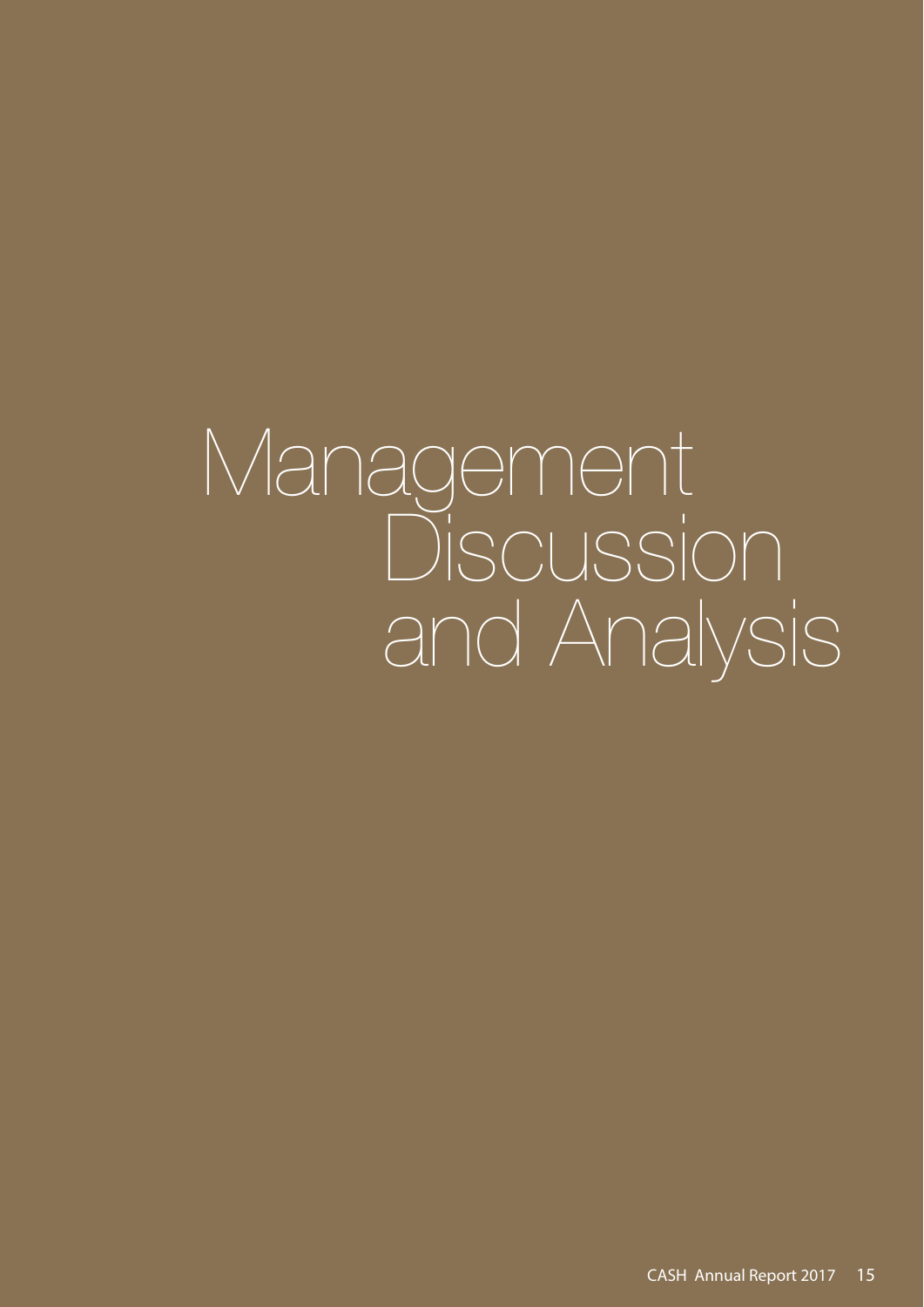# Management Discussion and Analysis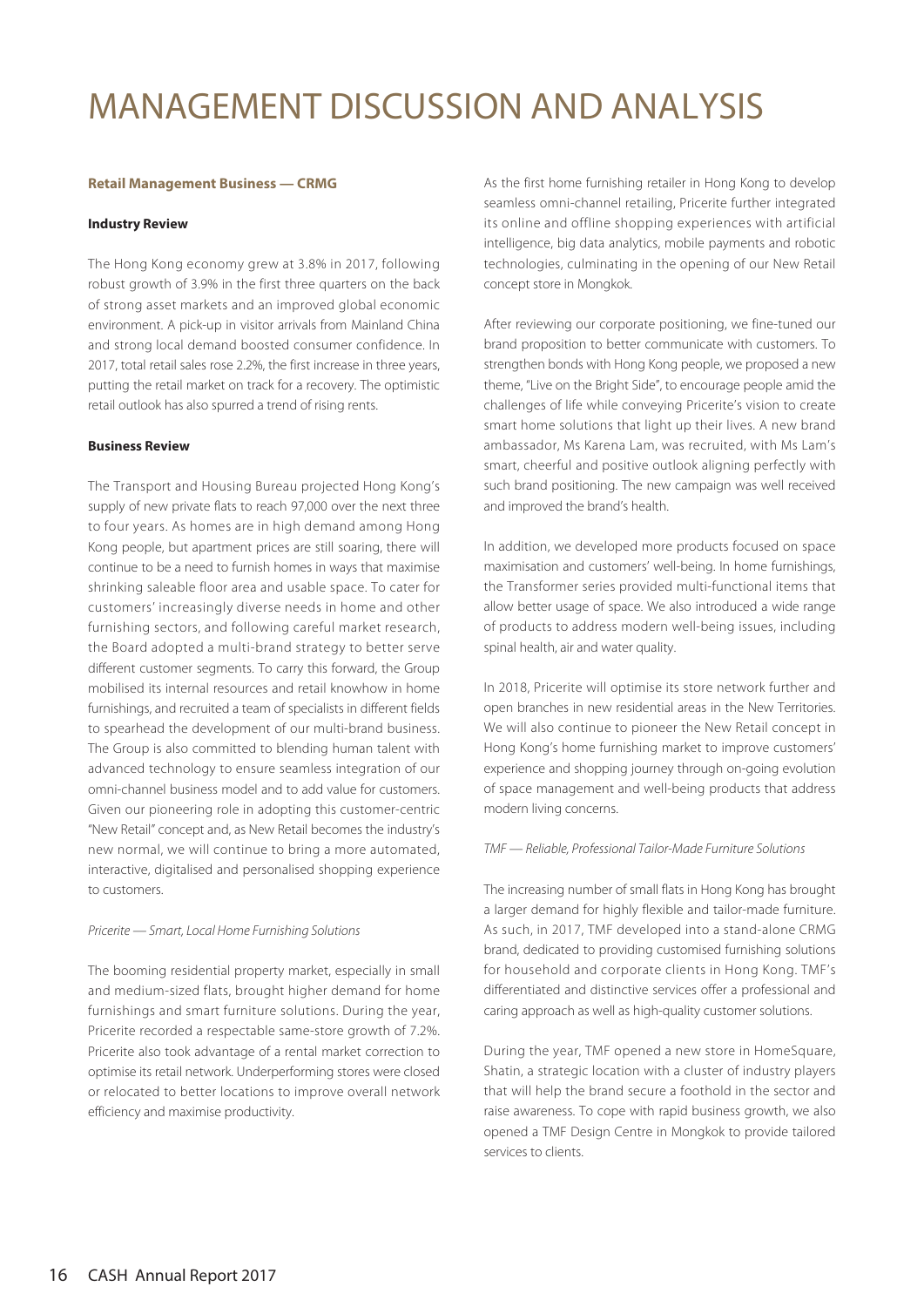# MANAGEMENT DISCUSSION AND ANALYSIS

#### **Retail Management Business — CRMG**

#### **Industry Review**

The Hong Kong economy grew at 3.8% in 2017, following robust growth of 3.9% in the first three quarters on the back of strong asset markets and an improved global economic environment. A pick-up in visitor arrivals from Mainland China and strong local demand boosted consumer confidence. In 2017, total retail sales rose 2.2%, the first increase in three years, putting the retail market on track for a recovery. The optimistic retail outlook has also spurred a trend of rising rents.

#### **Business Review**

The Transport and Housing Bureau projected Hong Kong's supply of new private flats to reach 97,000 over the next three to four years. As homes are in high demand among Hong Kong people, but apartment prices are still soaring, there will continue to be a need to furnish homes in ways that maximise shrinking saleable floor area and usable space. To cater for customers' increasingly diverse needs in home and other furnishing sectors, and following careful market research, the Board adopted a multi-brand strategy to better serve different customer segments. To carry this forward, the Group mobilised its internal resources and retail knowhow in home furnishings, and recruited a team of specialists in different fields to spearhead the development of our multi-brand business. The Group is also committed to blending human talent with advanced technology to ensure seamless integration of our omni-channel business model and to add value for customers. Given our pioneering role in adopting this customer-centric "New Retail" concept and, as New Retail becomes the industry's new normal, we will continue to bring a more automated, interactive, digitalised and personalised shopping experience to customers.

#### Pricerite — Smart, Local Home Furnishing Solutions

The booming residential property market, especially in small and medium-sized flats, brought higher demand for home furnishings and smart furniture solutions. During the year, Pricerite recorded a respectable same-store growth of 7.2%. Pricerite also took advantage of a rental market correction to optimise its retail network. Underperforming stores were closed or relocated to better locations to improve overall network efficiency and maximise productivity.

As the first home furnishing retailer in Hong Kong to develop seamless omni-channel retailing, Pricerite further integrated its online and offline shopping experiences with artificial intelligence, big data analytics, mobile payments and robotic technologies, culminating in the opening of our New Retail concept store in Mongkok.

After reviewing our corporate positioning, we fine-tuned our brand proposition to better communicate with customers. To strengthen bonds with Hong Kong people, we proposed a new theme, "Live on the Bright Side", to encourage people amid the challenges of life while conveying Pricerite's vision to create smart home solutions that light up their lives. A new brand ambassador, Ms Karena Lam, was recruited, with Ms Lam's smart, cheerful and positive outlook aligning perfectly with such brand positioning. The new campaign was well received and improved the brand's health.

In addition, we developed more products focused on space maximisation and customers' well-being. In home furnishings, the Transformer series provided multi-functional items that allow better usage of space. We also introduced a wide range of products to address modern well-being issues, including spinal health, air and water quality.

In 2018, Pricerite will optimise its store network further and open branches in new residential areas in the New Territories. We will also continue to pioneer the New Retail concept in Hong Kong's home furnishing market to improve customers' experience and shopping journey through on-going evolution of space management and well-being products that address modern living concerns.

#### TMF — Reliable, Professional Tailor-Made Furniture Solutions

The increasing number of small flats in Hong Kong has brought a larger demand for highly flexible and tailor-made furniture. As such, in 2017, TMF developed into a stand-alone CRMG brand, dedicated to providing customised furnishing solutions for household and corporate clients in Hong Kong. TMF's differentiated and distinctive services offer a professional and caring approach as well as high-quality customer solutions.

During the year, TMF opened a new store in HomeSquare, Shatin, a strategic location with a cluster of industry players that will help the brand secure a foothold in the sector and raise awareness. To cope with rapid business growth, we also opened a TMF Design Centre in Mongkok to provide tailored services to clients.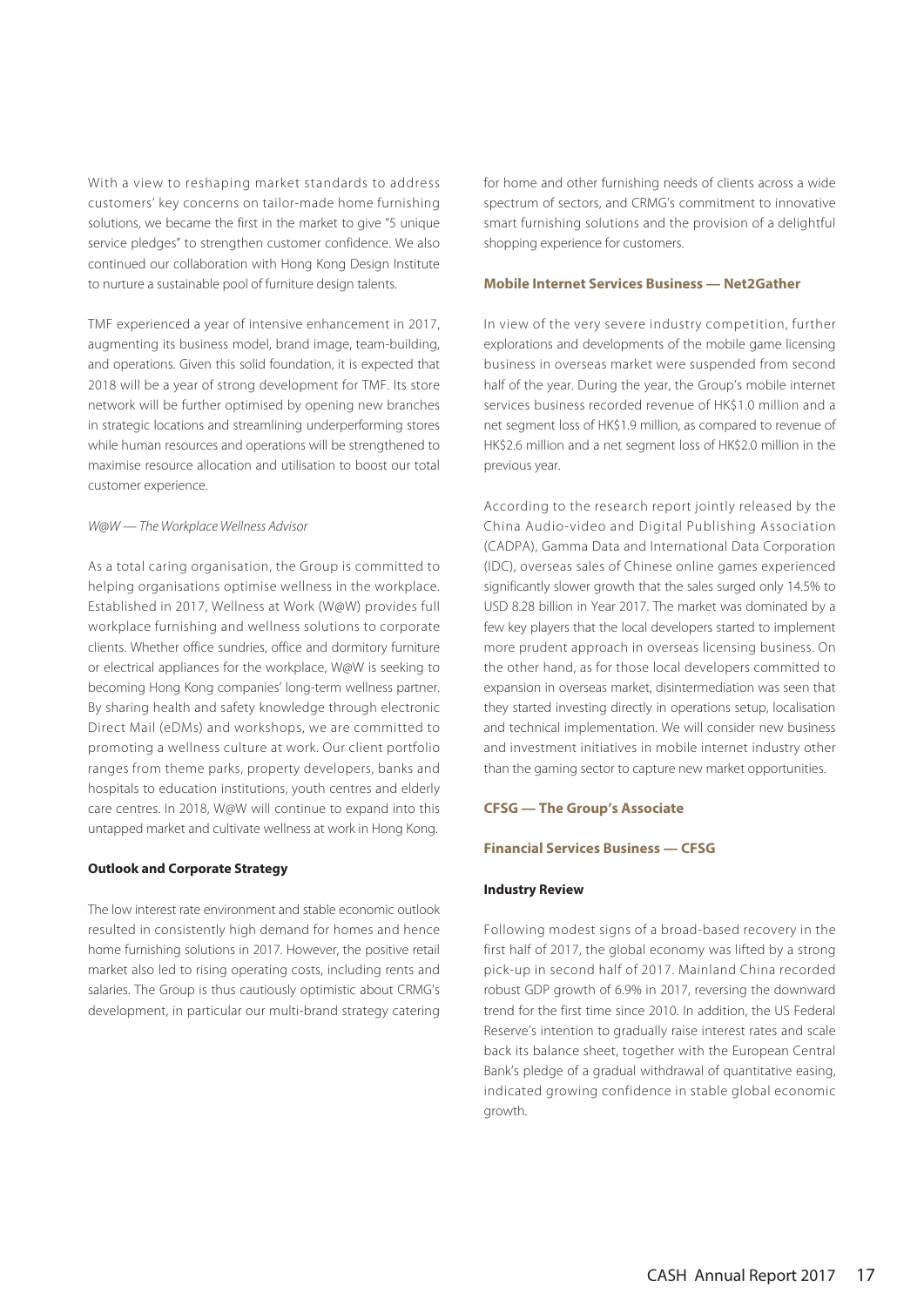With a view to reshaping market standards to address customers' key concerns on tailor-made home furnishing solutions, we became the first in the market to give "5 unique service pledges" to strengthen customer confidence. We also continued our collaboration with Hong Kong Design Institute to nurture a sustainable pool of furniture design talents.

TMF experienced a year of intensive enhancement in 2017, augmenting its business model, brand image, team-building, and operations. Given this solid foundation, it is expected that 2018 will be a year of strong development for TMF. Its store network will be further optimised by opening new branches in strategic locations and streamlining underperforming stores while human resources and operations will be strengthened to maximise resource allocation and utilisation to boost our total customer experience.

#### W@W — The Workplace Wellness Advisor

As a total caring organisation, the Group is committed to helping organisations optimise wellness in the workplace. Established in 2017, Wellness at Work (W@W) provides full workplace furnishing and wellness solutions to corporate clients. Whether office sundries, office and dormitory furniture or electrical appliances for the workplace, W@W is seeking to becoming Hong Kong companies' long-term wellness partner. By sharing health and safety knowledge through electronic Direct Mail (eDMs) and workshops, we are committed to promoting a wellness culture at work. Our client portfolio ranges from theme parks, property developers, banks and hospitals to education institutions, youth centres and elderly care centres. In 2018, W@W will continue to expand into this untapped market and cultivate wellness at work in Hong Kong.

#### **Outlook and Corporate Strategy**

The low interest rate environment and stable economic outlook resulted in consistently high demand for homes and hence home furnishing solutions in 2017. However, the positive retail market also led to rising operating costs, including rents and salaries. The Group is thus cautiously optimistic about CRMG's development, in particular our multi-brand strategy catering

for home and other furnishing needs of clients across a wide spectrum of sectors, and CRMG's commitment to innovative smart furnishing solutions and the provision of a delightful shopping experience for customers.

#### **Mobile Internet Services Business — Net2Gather**

In view of the very severe industry competition, further explorations and developments of the mobile game licensing business in overseas market were suspended from second half of the year. During the year, the Group's mobile internet services business recorded revenue of HK\$1.0 million and a net segment loss of HK\$1.9 million, as compared to revenue of HK\$2.6 million and a net segment loss of HK\$2.0 million in the previous year.

According to the research report jointly released by the China Audio-video and Digital Publishing Association (CADPA), Gamma Data and International Data Corporation (IDC), overseas sales of Chinese online games experienced significantly slower growth that the sales surged only 14.5% to USD 8.28 billion in Year 2017. The market was dominated by a few key players that the local developers started to implement more prudent approach in overseas licensing business. On the other hand, as for those local developers committed to expansion in overseas market, disintermediation was seen that they started investing directly in operations setup, localisation and technical implementation. We will consider new business and investment initiatives in mobile internet industry other than the gaming sector to capture new market opportunities.

#### **CFSG — The Group's Associate**

#### **Financial Services Business — CFSG**

#### **Industry Review**

Following modest signs of a broad-based recovery in the first half of 2017, the global economy was lifted by a strong pick-up in second half of 2017. Mainland China recorded robust GDP growth of 6.9% in 2017, reversing the downward trend for the first time since 2010. In addition, the US Federal Reserve's intention to gradually raise interest rates and scale back its balance sheet, together with the European Central Bank's pledge of a gradual withdrawal of quantitative easing, indicated growing confidence in stable global economic growth.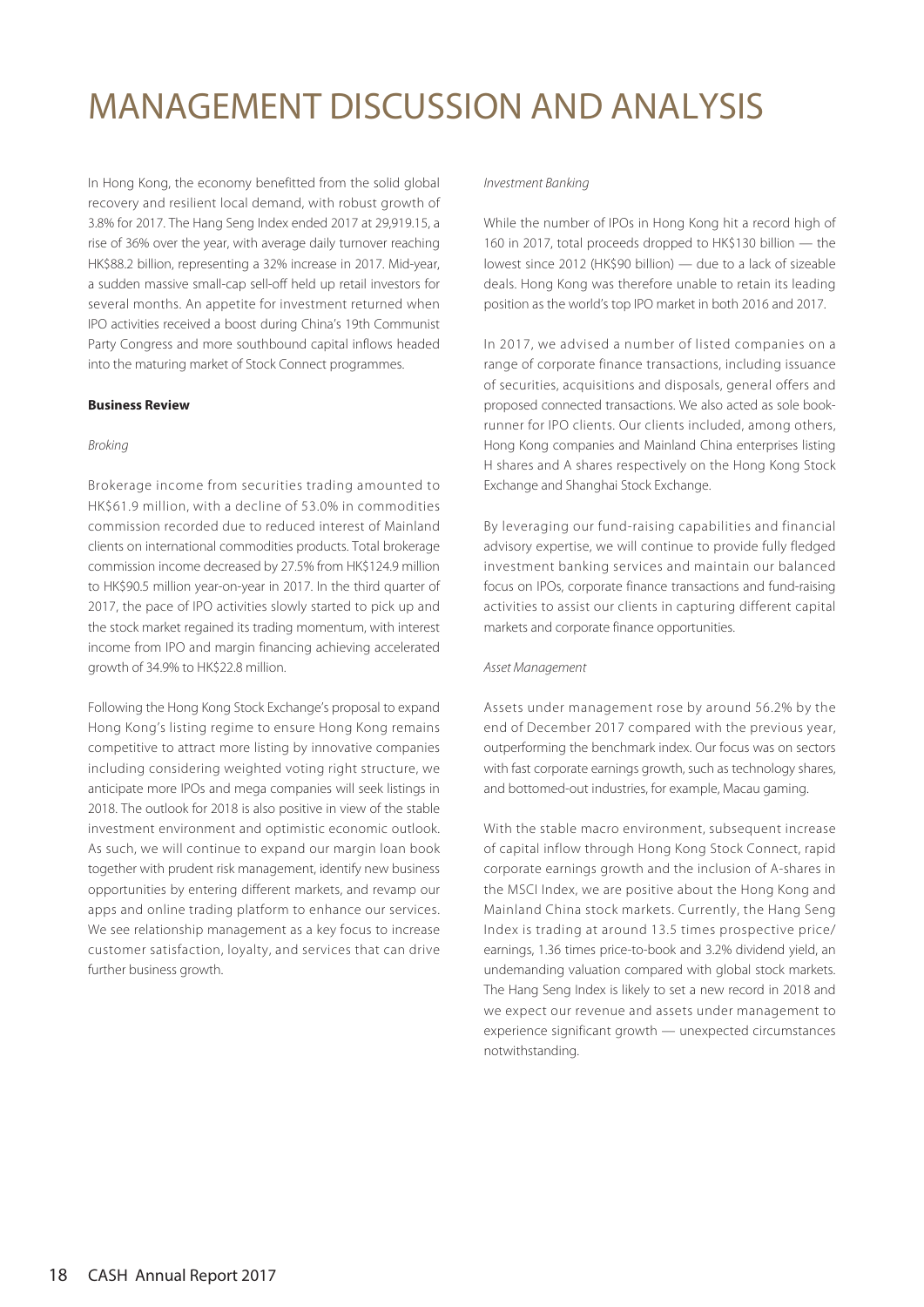# MANAGEMENT DISCUSSION AND ANALYSIS

In Hong Kong, the economy benefitted from the solid global recovery and resilient local demand, with robust growth of 3.8% for 2017. The Hang Seng Index ended 2017 at 29,919.15, a rise of 36% over the year, with average daily turnover reaching HK\$88.2 billion, representing a 32% increase in 2017. Mid-year, a sudden massive small-cap sell-off held up retail investors for several months. An appetite for investment returned when IPO activities received a boost during China's 19th Communist Party Congress and more southbound capital inflows headed into the maturing market of Stock Connect programmes.

#### **Business Review**

#### Broking

Brokerage income from securities trading amounted to HK\$61.9 million, with a decline of 53.0% in commodities commission recorded due to reduced interest of Mainland clients on international commodities products. Total brokerage commission income decreased by 27.5% from HK\$124.9 million to HK\$90.5 million year-on-year in 2017. In the third quarter of 2017, the pace of IPO activities slowly started to pick up and the stock market regained its trading momentum, with interest income from IPO and margin financing achieving accelerated growth of 34.9% to HK\$22.8 million.

Following the Hong Kong Stock Exchange's proposal to expand Hong Kong's listing regime to ensure Hong Kong remains competitive to attract more listing by innovative companies including considering weighted voting right structure, we anticipate more IPOs and mega companies will seek listings in 2018. The outlook for 2018 is also positive in view of the stable investment environment and optimistic economic outlook. As such, we will continue to expand our margin loan book together with prudent risk management, identify new business opportunities by entering different markets, and revamp our apps and online trading platform to enhance our services. We see relationship management as a key focus to increase customer satisfaction, loyalty, and services that can drive further business growth.

#### Investment Banking

While the number of IPOs in Hong Kong hit a record high of 160 in 2017, total proceeds dropped to HK\$130 billion — the lowest since 2012 (HK\$90 billion) — due to a lack of sizeable deals. Hong Kong was therefore unable to retain its leading position as the world's top IPO market in both 2016 and 2017.

In 2017, we advised a number of listed companies on a range of corporate finance transactions, including issuance of securities, acquisitions and disposals, general offers and proposed connected transactions. We also acted as sole bookrunner for IPO clients. Our clients included, among others, Hong Kong companies and Mainland China enterprises listing H shares and A shares respectively on the Hong Kong Stock Exchange and Shanghai Stock Exchange.

By leveraging our fund-raising capabilities and financial advisory expertise, we will continue to provide fully fledged investment banking services and maintain our balanced focus on IPOs, corporate finance transactions and fund-raising activities to assist our clients in capturing different capital markets and corporate finance opportunities.

#### Asset Management

Assets under management rose by around 56.2% by the end of December 2017 compared with the previous year, outperforming the benchmark index. Our focus was on sectors with fast corporate earnings growth, such as technology shares, and bottomed-out industries, for example, Macau gaming.

With the stable macro environment, subsequent increase of capital inflow through Hong Kong Stock Connect, rapid corporate earnings growth and the inclusion of A-shares in the MSCI Index, we are positive about the Hong Kong and Mainland China stock markets. Currently, the Hang Seng Index is trading at around 13.5 times prospective price/ earnings, 1.36 times price-to-book and 3.2% dividend yield, an undemanding valuation compared with global stock markets. The Hang Seng Index is likely to set a new record in 2018 and we expect our revenue and assets under management to experience significant growth — unexpected circumstances notwithstanding.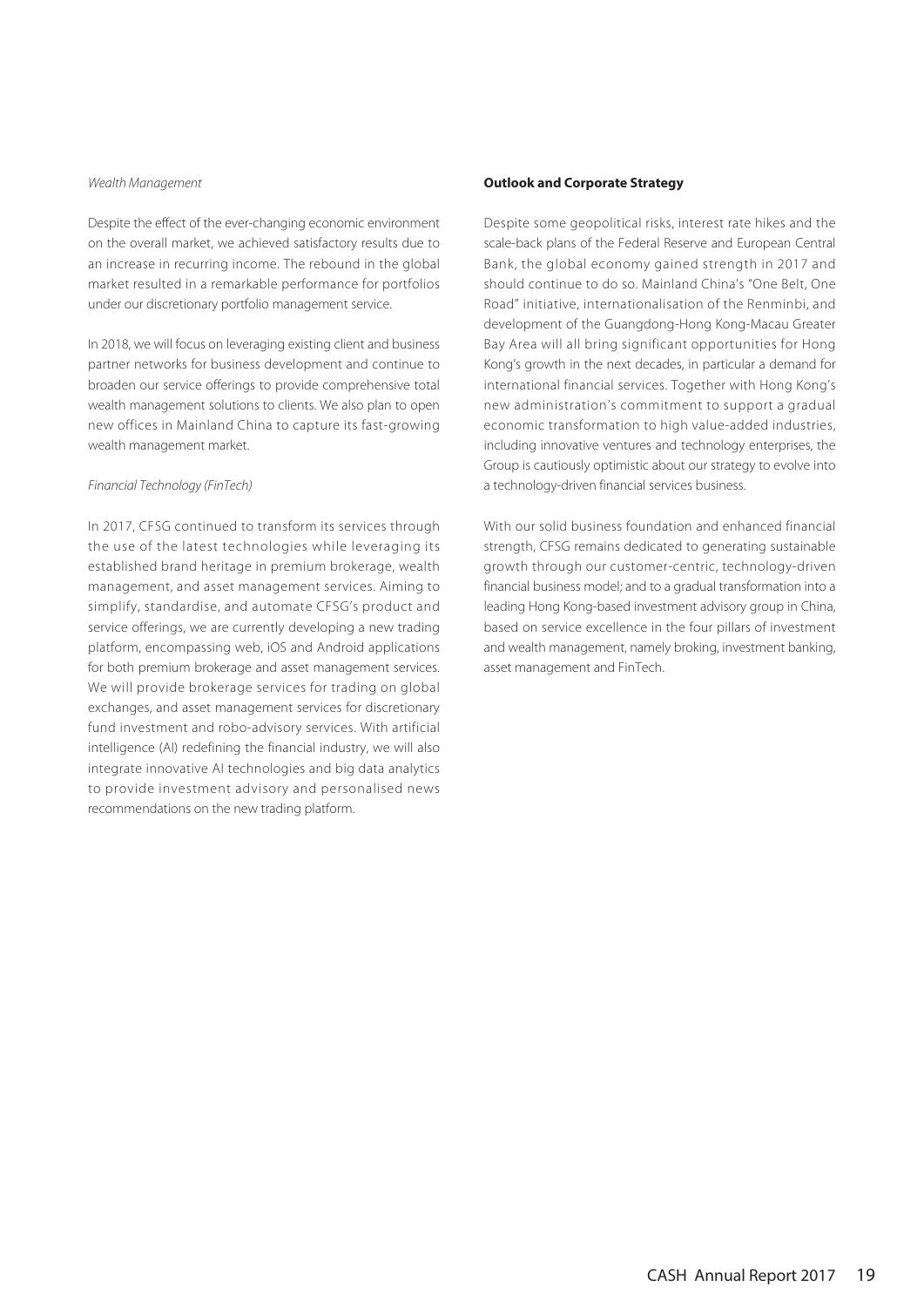#### Wealth Management

Despite the effect of the ever-changing economic environment on the overall market, we achieved satisfactory results due to an increase in recurring income. The rebound in the global market resulted in a remarkable performance for portfolios under our discretionary portfolio management service.

In 2018, we will focus on leveraging existing client and business partner networks for business development and continue to broaden our service offerings to provide comprehensive total wealth management solutions to clients. We also plan to open new offices in Mainland China to capture its fast-growing wealth management market.

#### Financial Technology (FinTech)

In 2017, CFSG continued to transform its services through the use of the latest technologies while leveraging its established brand heritage in premium brokerage, wealth management, and asset management services. Aiming to simplify, standardise, and automate CFSG's product and service offerings, we are currently developing a new trading platform, encompassing web, iOS and Android applications for both premium brokerage and asset management services. We will provide brokerage services for trading on global exchanges, and asset management services for discretionary fund investment and robo-advisory services. With artificial intelligence (AI) redefining the financial industry, we will also integrate innovative AI technologies and big data analytics to provide investment advisory and personalised news recommendations on the new trading platform.

#### **Outlook and Corporate Strategy**

Despite some geopolitical risks, interest rate hikes and the scale-back plans of the Federal Reserve and European Central Bank, the global economy gained strength in 2017 and should continue to do so. Mainland China's "One Belt, One Road" initiative, internationalisation of the Renminbi, and development of the Guangdong-Hong Kong-Macau Greater Bay Area will all bring significant opportunities for Hong Kong's growth in the next decades, in particular a demand for international financial services. Together with Hong Kong's new administration's commitment to support a gradual economic transformation to high value-added industries, including innovative ventures and technology enterprises, the Group is cautiously optimistic about our strategy to evolve into a technology-driven financial services business.

With our solid business foundation and enhanced financial strength, CFSG remains dedicated to generating sustainable growth through our customer-centric, technology-driven financial business model; and to a gradual transformation into a leading Hong Kong-based investment advisory group in China, based on service excellence in the four pillars of investment and wealth management, namely broking, investment banking, asset management and FinTech.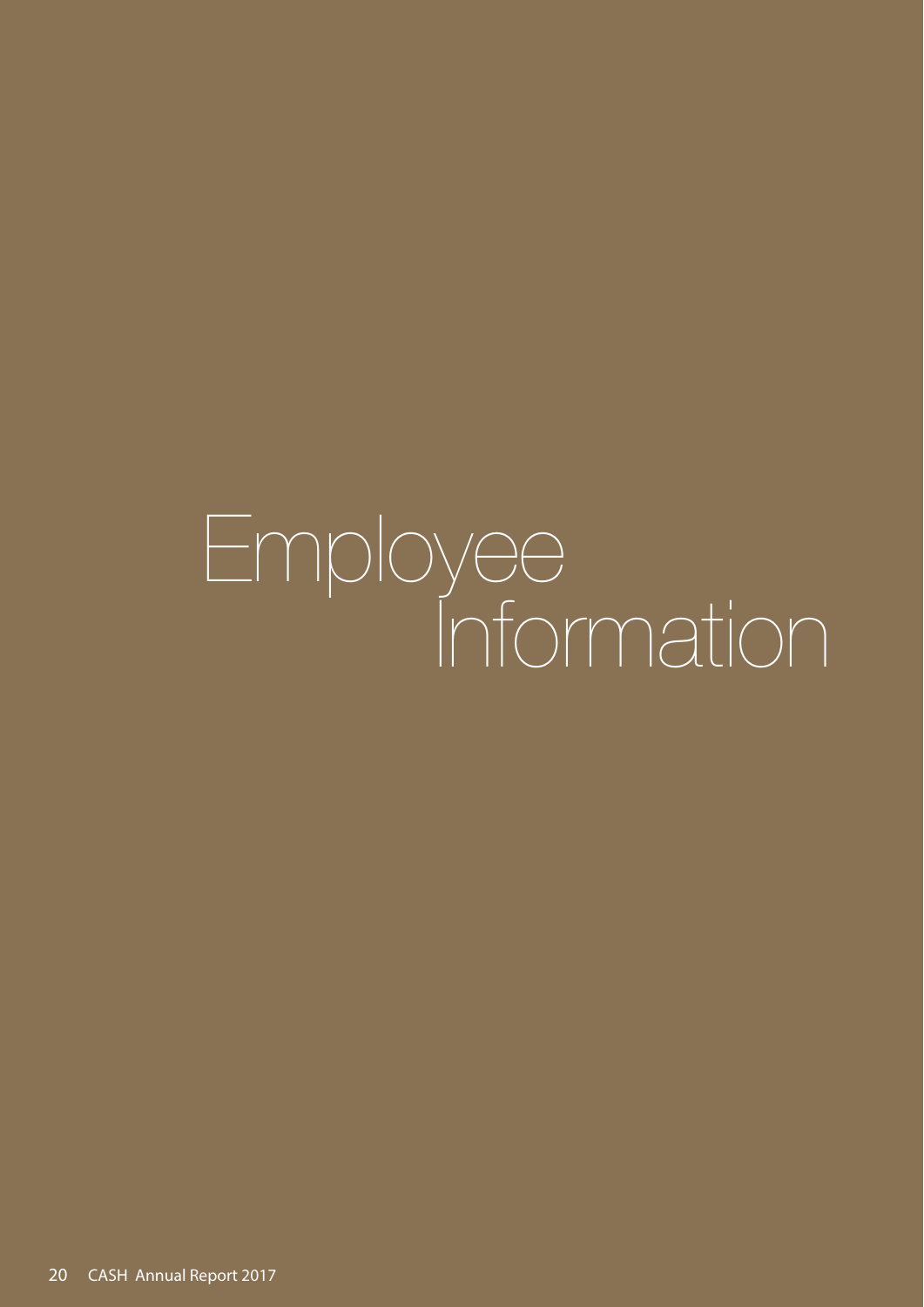# Employee Information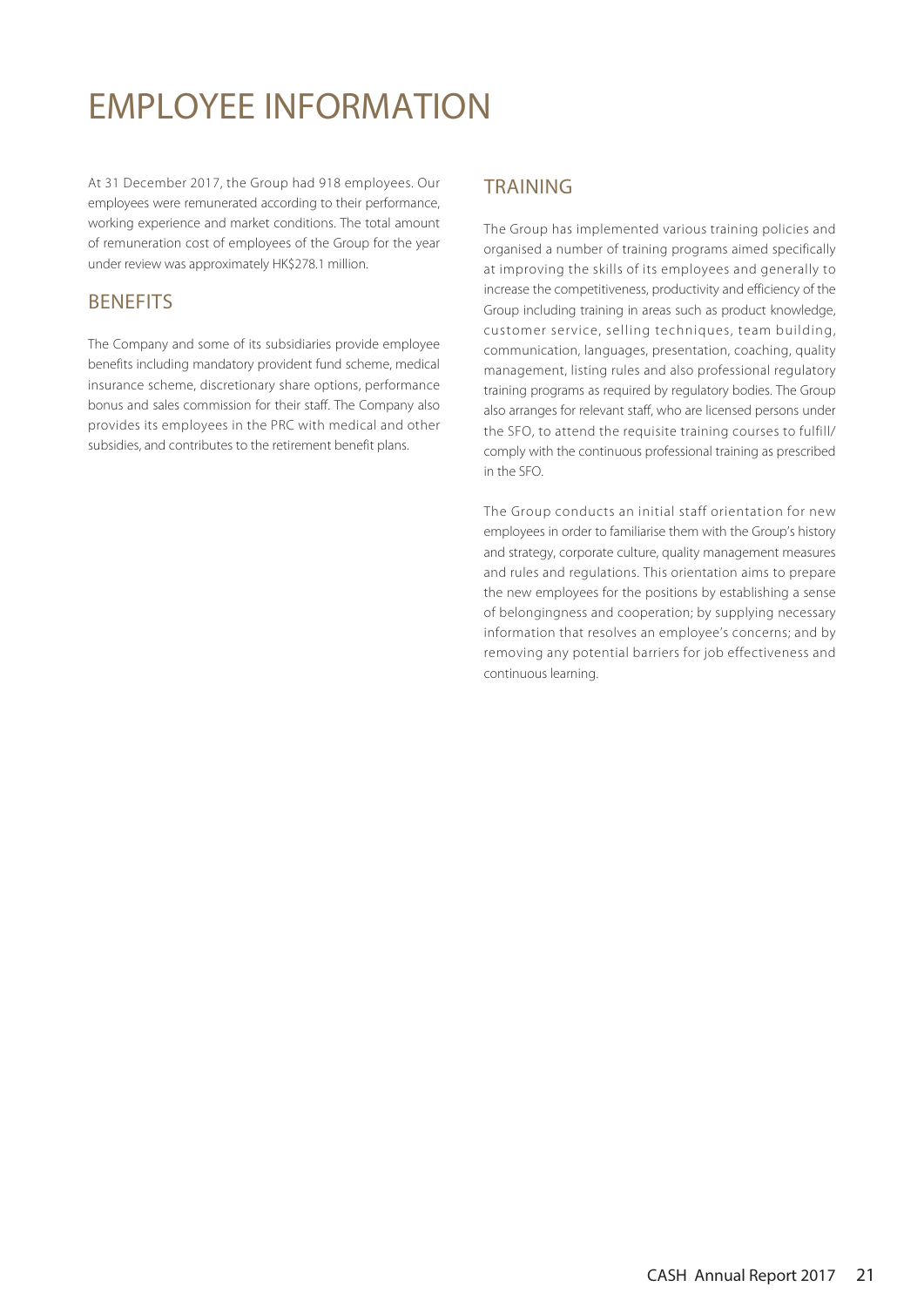# EMPLOYEE INFORMATION

At 31 December 2017, the Group had 918 employees. Our employees were remunerated according to their performance, working experience and market conditions. The total amount of remuneration cost of employees of the Group for the year under review was approximately HK\$278.1 million.

## **BENEFITS**

The Company and some of its subsidiaries provide employee benefits including mandatory provident fund scheme, medical insurance scheme, discretionary share options, performance bonus and sales commission for their staff. The Company also provides its employees in the PRC with medical and other subsidies, and contributes to the retirement benefit plans.

# TRAINING

The Group has implemented various training policies and organised a number of training programs aimed specifically at improving the skills of its employees and generally to increase the competitiveness, productivity and efficiency of the Group including training in areas such as product knowledge, customer service, selling techniques, team building, communication, languages, presentation, coaching, quality management, listing rules and also professional regulatory training programs as required by regulatory bodies. The Group also arranges for relevant staff, who are licensed persons under the SFO, to attend the requisite training courses to fulfill/ comply with the continuous professional training as prescribed in the SFO.

The Group conducts an initial staff orientation for new employees in order to familiarise them with the Group's history and strategy, corporate culture, quality management measures and rules and regulations. This orientation aims to prepare the new employees for the positions by establishing a sense of belongingness and cooperation; by supplying necessary information that resolves an employee's concerns; and by removing any potential barriers for job effectiveness and continuous learning.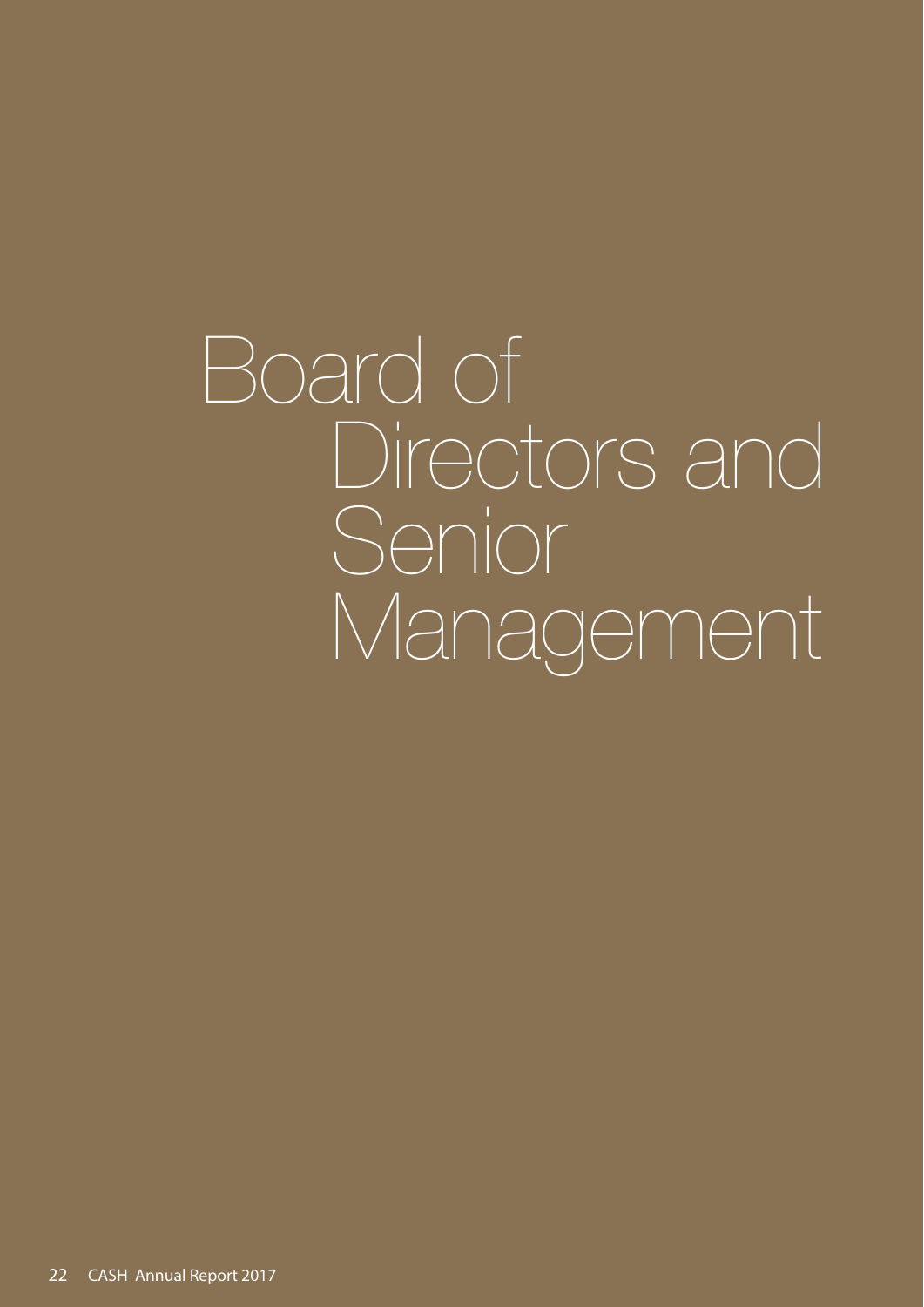# Board of Directors and Senior Management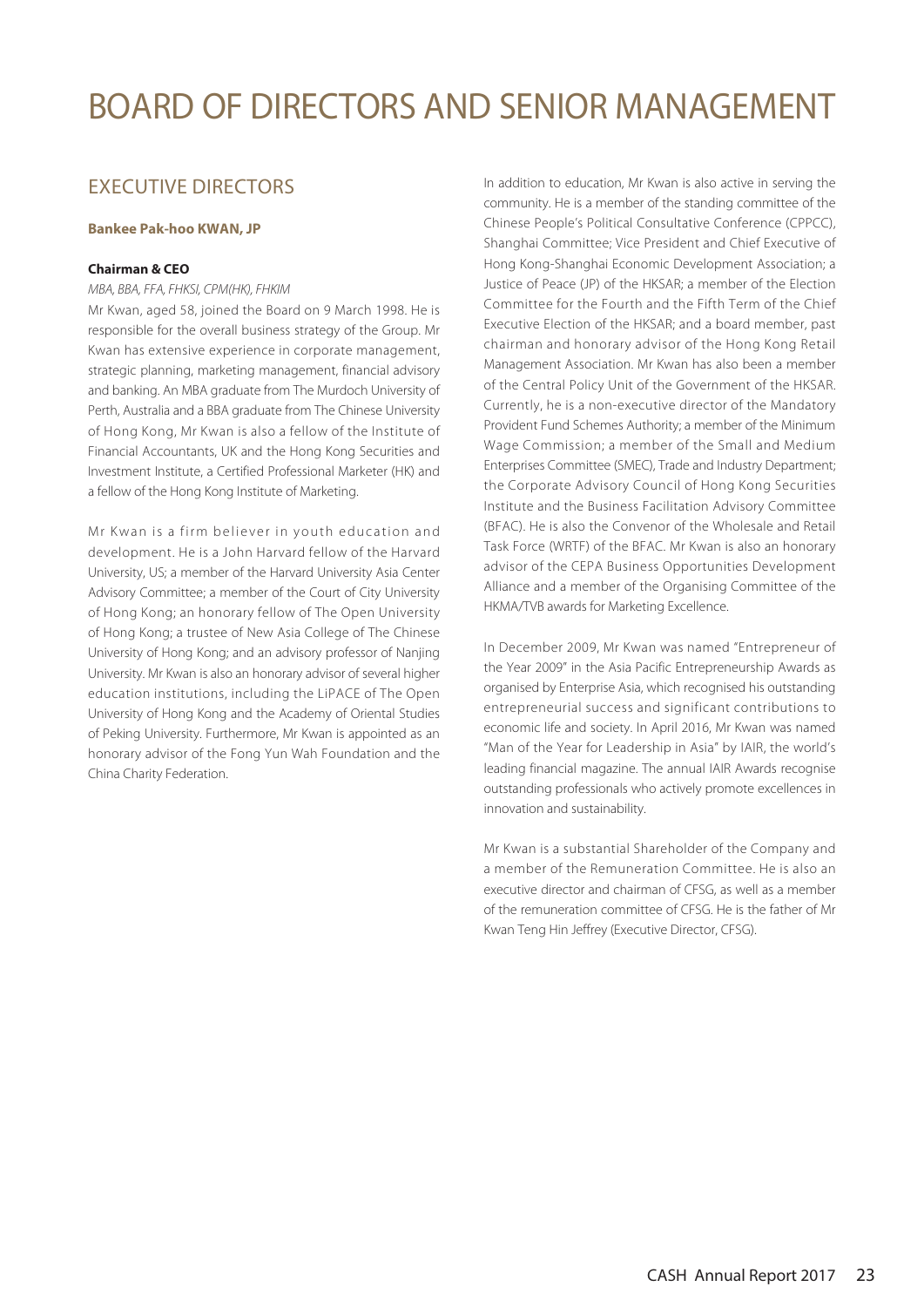# BOARD OF DIRECTORS AND SENIOR MANAGEMENT

# EXECUTIVE DIRECTORS

#### **Bankee Pak-hoo KWAN, JP**

#### **Chairman & CEO**

#### MBA, BBA, FFA, FHKSI, CPM(HK), FHKIM

Mr Kwan, aged 58, joined the Board on 9 March 1998. He is responsible for the overall business strategy of the Group. Mr Kwan has extensive experience in corporate management, strategic planning, marketing management, financial advisory and banking. An MBA graduate from The Murdoch University of Perth, Australia and a BBA graduate from The Chinese University of Hong Kong, Mr Kwan is also a fellow of the Institute of Financial Accountants, UK and the Hong Kong Securities and Investment Institute, a Certified Professional Marketer (HK) and a fellow of the Hong Kong Institute of Marketing.

Mr Kwan is a firm believer in youth education and development. He is a John Harvard fellow of the Harvard University, US; a member of the Harvard University Asia Center Advisory Committee; a member of the Court of City University of Hong Kong; an honorary fellow of The Open University of Hong Kong; a trustee of New Asia College of The Chinese University of Hong Kong; and an advisory professor of Nanjing University. Mr Kwan is also an honorary advisor of several higher education institutions, including the LiPACE of The Open University of Hong Kong and the Academy of Oriental Studies of Peking University. Furthermore, Mr Kwan is appointed as an honorary advisor of the Fong Yun Wah Foundation and the China Charity Federation.

In addition to education, Mr Kwan is also active in serving the community. He is a member of the standing committee of the Chinese People's Political Consultative Conference (CPPCC), Shanghai Committee; Vice President and Chief Executive of Hong Kong-Shanghai Economic Development Association; a Justice of Peace (JP) of the HKSAR; a member of the Election Committee for the Fourth and the Fifth Term of the Chief Executive Election of the HKSAR; and a board member, past chairman and honorary advisor of the Hong Kong Retail Management Association. Mr Kwan has also been a member of the Central Policy Unit of the Government of the HKSAR. Currently, he is a non-executive director of the Mandatory Provident Fund Schemes Authority; a member of the Minimum Wage Commission; a member of the Small and Medium Enterprises Committee (SMEC), Trade and Industry Department; the Corporate Advisory Council of Hong Kong Securities Institute and the Business Facilitation Advisory Committee (BFAC). He is also the Convenor of the Wholesale and Retail Task Force (WRTF) of the BFAC. Mr Kwan is also an honorary advisor of the CEPA Business Opportunities Development Alliance and a member of the Organising Committee of the HKMA/TVB awards for Marketing Excellence.

In December 2009, Mr Kwan was named "Entrepreneur of the Year 2009" in the Asia Pacific Entrepreneurship Awards as organised by Enterprise Asia, which recognised his outstanding entrepreneurial success and significant contributions to economic life and society. In April 2016, Mr Kwan was named "Man of the Year for Leadership in Asia" by IAIR, the world's leading financial magazine. The annual IAIR Awards recognise outstanding professionals who actively promote excellences in innovation and sustainability.

Mr Kwan is a substantial Shareholder of the Company and a member of the Remuneration Committee. He is also an executive director and chairman of CFSG, as well as a member of the remuneration committee of CFSG. He is the father of Mr Kwan Teng Hin Jeffrey (Executive Director, CFSG).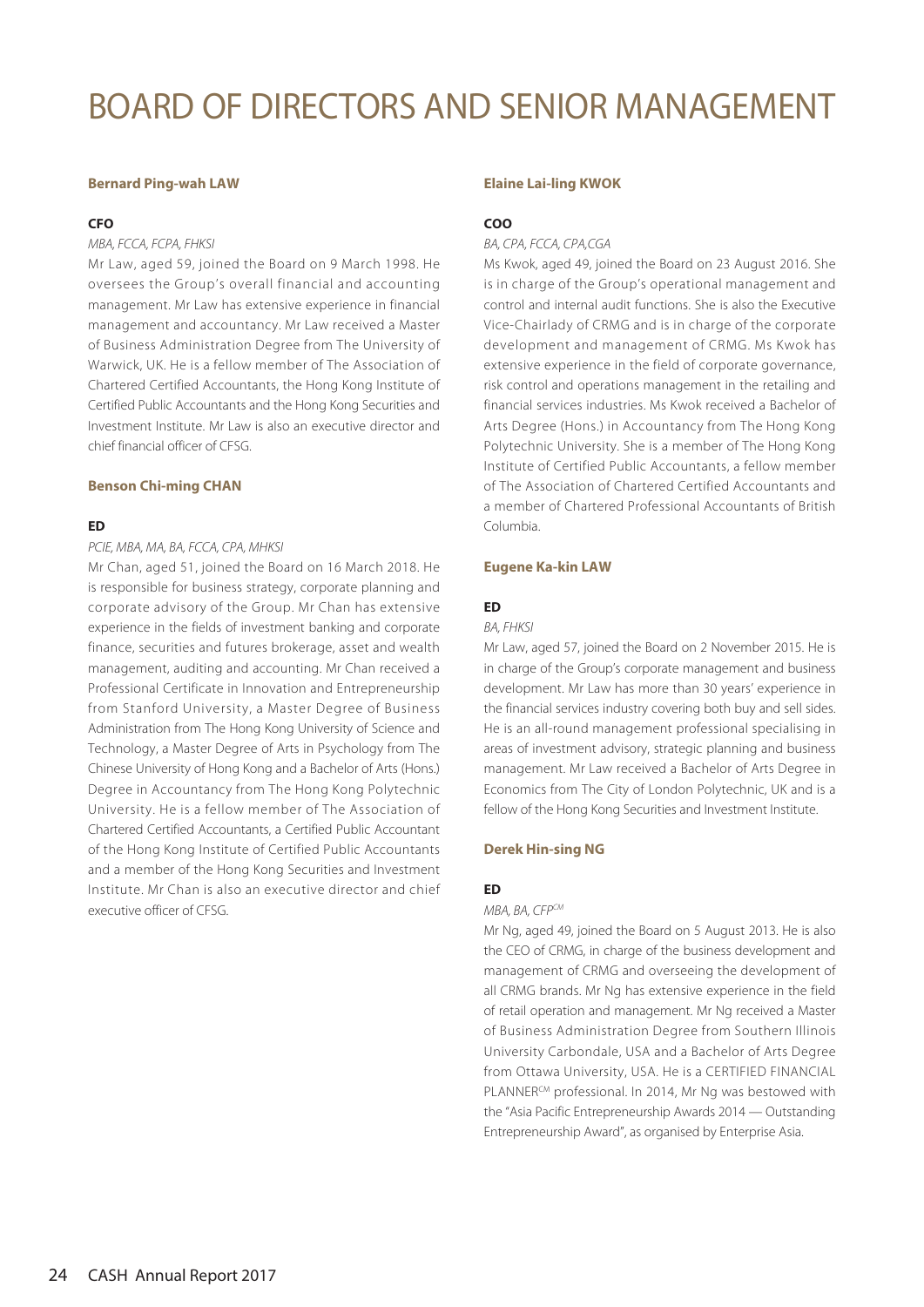# BOARD OF DIRECTORS AND SENIOR MANAGEMENT

#### **Bernard Ping-wah LAW**

#### **CFO**

#### MBA, FCCA, FCPA, FHKSI

Mr Law, aged 59, joined the Board on 9 March 1998. He oversees the Group's overall financial and accounting management. Mr Law has extensive experience in financial management and accountancy. Mr Law received a Master of Business Administration Degree from The University of Warwick, UK. He is a fellow member of The Association of Chartered Certified Accountants, the Hong Kong Institute of Certified Public Accountants and the Hong Kong Securities and Investment Institute. Mr Law is also an executive director and chief financial officer of CFSG.

#### **Benson Chi-ming CHAN**

#### **ED**

#### PCIE, MBA, MA, BA, FCCA, CPA, MHKSI

Mr Chan, aged 51, joined the Board on 16 March 2018. He is responsible for business strategy, corporate planning and corporate advisory of the Group. Mr Chan has extensive experience in the fields of investment banking and corporate finance, securities and futures brokerage, asset and wealth management, auditing and accounting. Mr Chan received a Professional Certificate in Innovation and Entrepreneurship from Stanford University, a Master Degree of Business Administration from The Hong Kong University of Science and Technology, a Master Degree of Arts in Psychology from The Chinese University of Hong Kong and a Bachelor of Arts (Hons.) Degree in Accountancy from The Hong Kong Polytechnic University. He is a fellow member of The Association of Chartered Certified Accountants, a Certified Public Accountant of the Hong Kong Institute of Certified Public Accountants and a member of the Hong Kong Securities and Investment Institute. Mr Chan is also an executive director and chief executive officer of CFSG.

#### **Elaine Lai-ling KWOK**

#### **COO**

BA, CPA, FCCA, CPA,CGA

Ms Kwok, aged 49, joined the Board on 23 August 2016. She is in charge of the Group's operational management and control and internal audit functions. She is also the Executive Vice-Chairlady of CRMG and is in charge of the corporate development and management of CRMG. Ms Kwok has extensive experience in the field of corporate governance, risk control and operations management in the retailing and financial services industries. Ms Kwok received a Bachelor of Arts Degree (Hons.) in Accountancy from The Hong Kong Polytechnic University. She is a member of The Hong Kong Institute of Certified Public Accountants, a fellow member of The Association of Chartered Certified Accountants and a member of Chartered Professional Accountants of British Columbia.

#### **Eugene Ka-kin LAW**

## **ED**

#### BA, FHKSI

Mr Law, aged 57, joined the Board on 2 November 2015. He is in charge of the Group's corporate management and business development. Mr Law has more than 30 years' experience in the financial services industry covering both buy and sell sides. He is an all-round management professional specialising in areas of investment advisory, strategic planning and business management. Mr Law received a Bachelor of Arts Degree in Economics from The City of London Polytechnic, UK and is a fellow of the Hong Kong Securities and Investment Institute.

#### **Derek Hin-sing NG**

#### **ED**

#### MBA, BA, CFPCM

Mr Ng, aged 49, joined the Board on 5 August 2013. He is also the CEO of CRMG, in charge of the business development and management of CRMG and overseeing the development of all CRMG brands. Mr Ng has extensive experience in the field of retail operation and management. Mr Ng received a Master of Business Administration Degree from Southern Illinois University Carbondale, USA and a Bachelor of Arts Degree from Ottawa University, USA. He is a CERTIFIED FINANCIAL PLANNER<sup>CM</sup> professional. In 2014, Mr Ng was bestowed with the "Asia Pacific Entrepreneurship Awards 2014 — Outstanding Entrepreneurship Award", as organised by Enterprise Asia.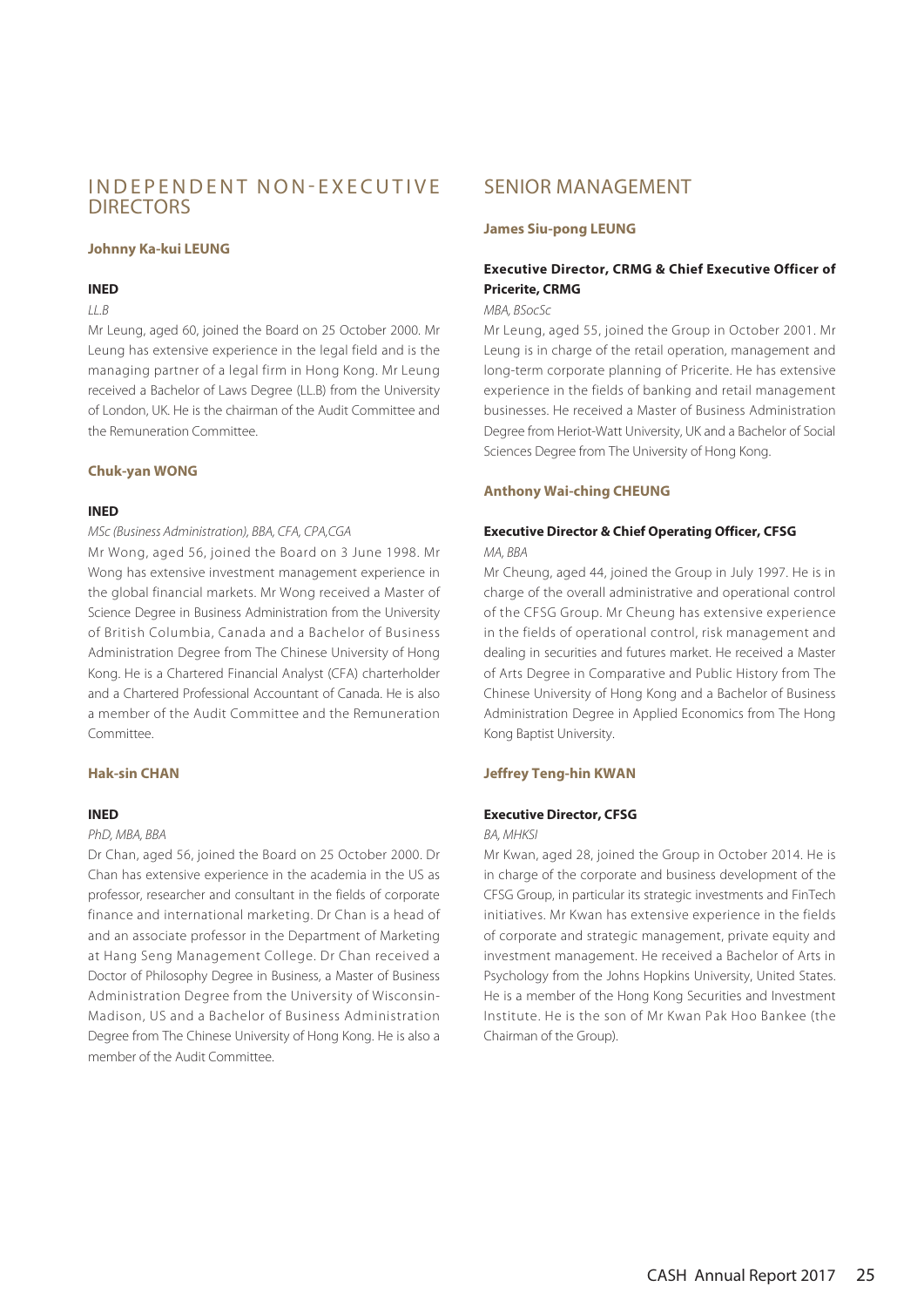## I N D E P E N D E N T N O N - E X E C U T I V E DIRECTORS

#### **Johnny Ka-kui LEUNG**

#### **INED**

#### $IIB$

Mr Leung, aged 60, joined the Board on 25 October 2000. Mr Leung has extensive experience in the legal field and is the managing partner of a legal firm in Hong Kong. Mr Leung received a Bachelor of Laws Degree (LL.B) from the University of London, UK. He is the chairman of the Audit Committee and the Remuneration Committee.

#### **Chuk-yan WONG**

#### **INED**

MSc (Business Administration), BBA, CFA, CPA,CGA

Mr Wong, aged 56, joined the Board on 3 June 1998. Mr Wong has extensive investment management experience in the global financial markets. Mr Wong received a Master of Science Degree in Business Administration from the University of British Columbia, Canada and a Bachelor of Business Administration Degree from The Chinese University of Hong Kong. He is a Chartered Financial Analyst (CFA) charterholder and a Chartered Professional Accountant of Canada. He is also a member of the Audit Committee and the Remuneration Committee.

#### **Hak-sin CHAN**

#### **INED**

#### PhD, MBA, BBA

Dr Chan, aged 56, joined the Board on 25 October 2000. Dr Chan has extensive experience in the academia in the US as professor, researcher and consultant in the fields of corporate finance and international marketing. Dr Chan is a head of and an associate professor in the Department of Marketing at Hang Seng Management College. Dr Chan received a Doctor of Philosophy Degree in Business, a Master of Business Administration Degree from the University of Wisconsin-Madison, US and a Bachelor of Business Administration Degree from The Chinese University of Hong Kong. He is also a member of the Audit Committee.

## SENIOR MANAGEMENT

#### **James Siu-pong LEUNG**

#### **Executive Director, CRMG & Chief Executive Officer of Pricerite, CRMG**

MBA, BSocSc

Mr Leung, aged 55, joined the Group in October 2001. Mr Leung is in charge of the retail operation, management and long-term corporate planning of Pricerite. He has extensive experience in the fields of banking and retail management businesses. He received a Master of Business Administration Degree from Heriot-Watt University, UK and a Bachelor of Social Sciences Degree from The University of Hong Kong.

#### **Anthony Wai-ching CHEUNG**

#### **Executive Director & Chief Operating Officer, CFSG** MA, BBA

Mr Cheung, aged 44, joined the Group in July 1997. He is in charge of the overall administrative and operational control of the CFSG Group. Mr Cheung has extensive experience in the fields of operational control, risk management and dealing in securities and futures market. He received a Master of Arts Degree in Comparative and Public History from The Chinese University of Hong Kong and a Bachelor of Business Administration Degree in Applied Economics from The Hong Kong Baptist University.

#### **Jeffrey Teng-hin KWAN**

#### **Executive Director, CFSG**

#### BA, MHKSI

Mr Kwan, aged 28, joined the Group in October 2014. He is in charge of the corporate and business development of the CFSG Group, in particular its strategic investments and FinTech initiatives. Mr Kwan has extensive experience in the fields of corporate and strategic management, private equity and investment management. He received a Bachelor of Arts in Psychology from the Johns Hopkins University, United States. He is a member of the Hong Kong Securities and Investment Institute. He is the son of Mr Kwan Pak Hoo Bankee (the Chairman of the Group).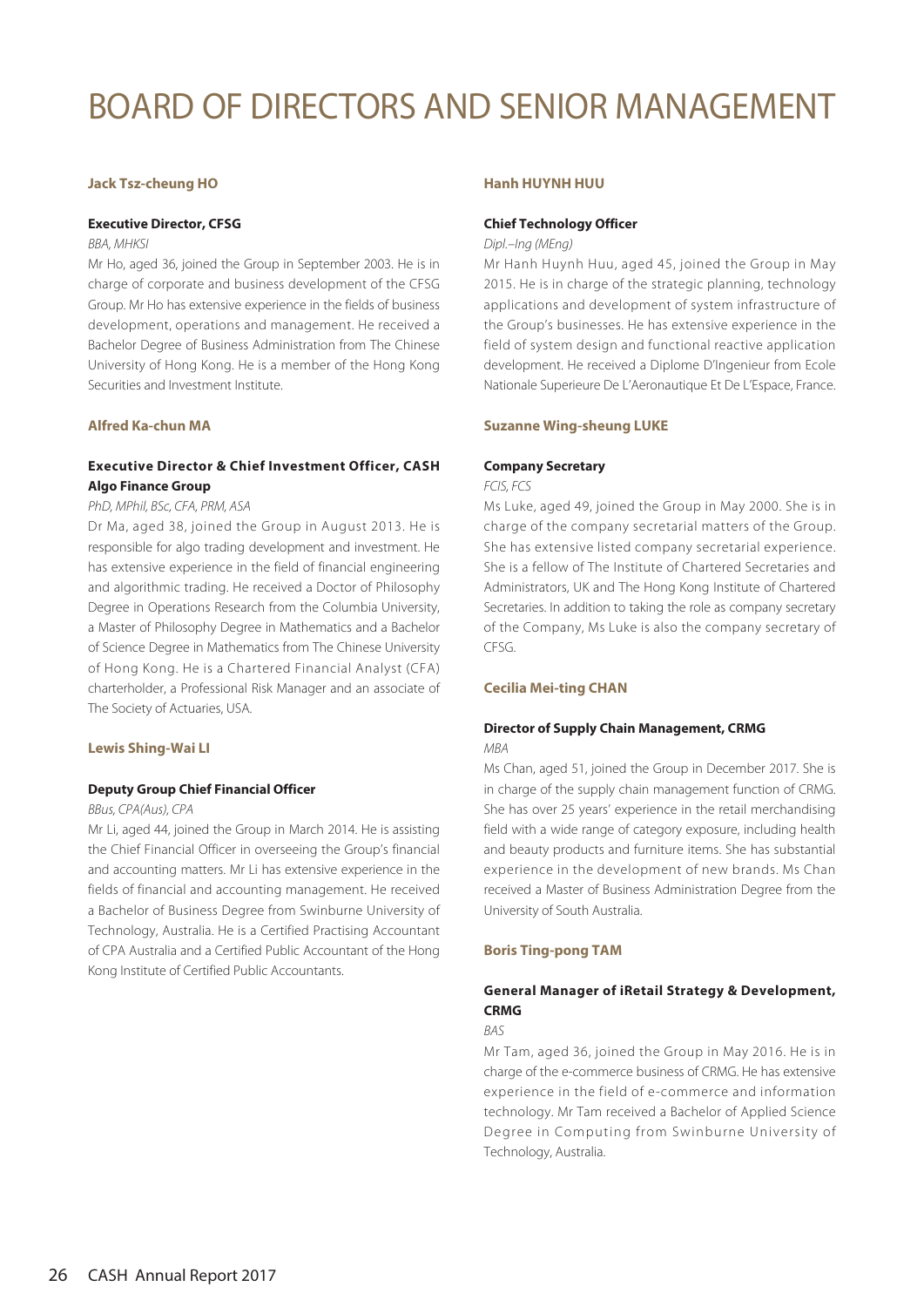# BOARD OF DIRECTORS AND SENIOR MANAGEMENT

#### **Jack Tsz-cheung HO**

#### **Executive Director, CFSG**

BBA, MHKSI

Mr Ho, aged 36, joined the Group in September 2003. He is in charge of corporate and business development of the CFSG Group. Mr Ho has extensive experience in the fields of business development, operations and management. He received a Bachelor Degree of Business Administration from The Chinese University of Hong Kong. He is a member of the Hong Kong Securities and Investment Institute.

#### **Alfred Ka-chun MA**

#### **Executive Director & Chief Investment Officer, CASH Algo Finance Group**

PhD, MPhil, BSc, CFA, PRM, ASA

Dr Ma, aged 38, joined the Group in August 2013. He is responsible for algo trading development and investment. He has extensive experience in the field of financial engineering and algorithmic trading. He received a Doctor of Philosophy Degree in Operations Research from the Columbia University, a Master of Philosophy Degree in Mathematics and a Bachelor of Science Degree in Mathematics from The Chinese University of Hong Kong. He is a Chartered Financial Analyst (CFA) charterholder, a Professional Risk Manager and an associate of The Society of Actuaries, USA.

#### **Lewis Shing-Wai LI**

#### **Deputy Group Chief Financial Officer**

#### BBus, CPA(Aus), CPA

Mr Li, aged 44, joined the Group in March 2014. He is assisting the Chief Financial Officer in overseeing the Group's financial and accounting matters. Mr Li has extensive experience in the fields of financial and accounting management. He received a Bachelor of Business Degree from Swinburne University of Technology, Australia. He is a Certified Practising Accountant of CPA Australia and a Certified Public Accountant of the Hong Kong Institute of Certified Public Accountants.

#### **Hanh HUYNH HUU**

#### **Chief Technology Officer**

Dipl.–Ing (MEng)

Mr Hanh Huynh Huu, aged 45, joined the Group in May 2015. He is in charge of the strategic planning, technology applications and development of system infrastructure of the Group's businesses. He has extensive experience in the field of system design and functional reactive application development. He received a Diplome D'Ingenieur from Ecole Nationale Superieure De L'Aeronautique Et De L'Espace, France.

#### **Suzanne Wing-sheung LUKE**

#### **Company Secretary**

FCIS, FCS

Ms Luke, aged 49, joined the Group in May 2000. She is in charge of the company secretarial matters of the Group. She has extensive listed company secretarial experience. She is a fellow of The Institute of Chartered Secretaries and Administrators, UK and The Hong Kong Institute of Chartered Secretaries. In addition to taking the role as company secretary of the Company, Ms Luke is also the company secretary of CFSG.

#### **Cecilia Mei-ting CHAN**

#### **Director of Supply Chain Management, CRMG**

**MRA** 

Ms Chan, aged 51, joined the Group in December 2017. She is in charge of the supply chain management function of CRMG. She has over 25 years' experience in the retail merchandising field with a wide range of category exposure, including health and beauty products and furniture items. She has substantial experience in the development of new brands. Ms Chan received a Master of Business Administration Degree from the University of South Australia.

#### **Boris Ting-pong TAM**

#### **General Manager of iRetail Strategy & Development, CRMG**

#### **BAS**

Mr Tam, aged 36, joined the Group in May 2016. He is in charge of the e-commerce business of CRMG. He has extensive experience in the field of e-commerce and information technology. Mr Tam received a Bachelor of Applied Science Degree in Computing from Swinburne University of Technology, Australia.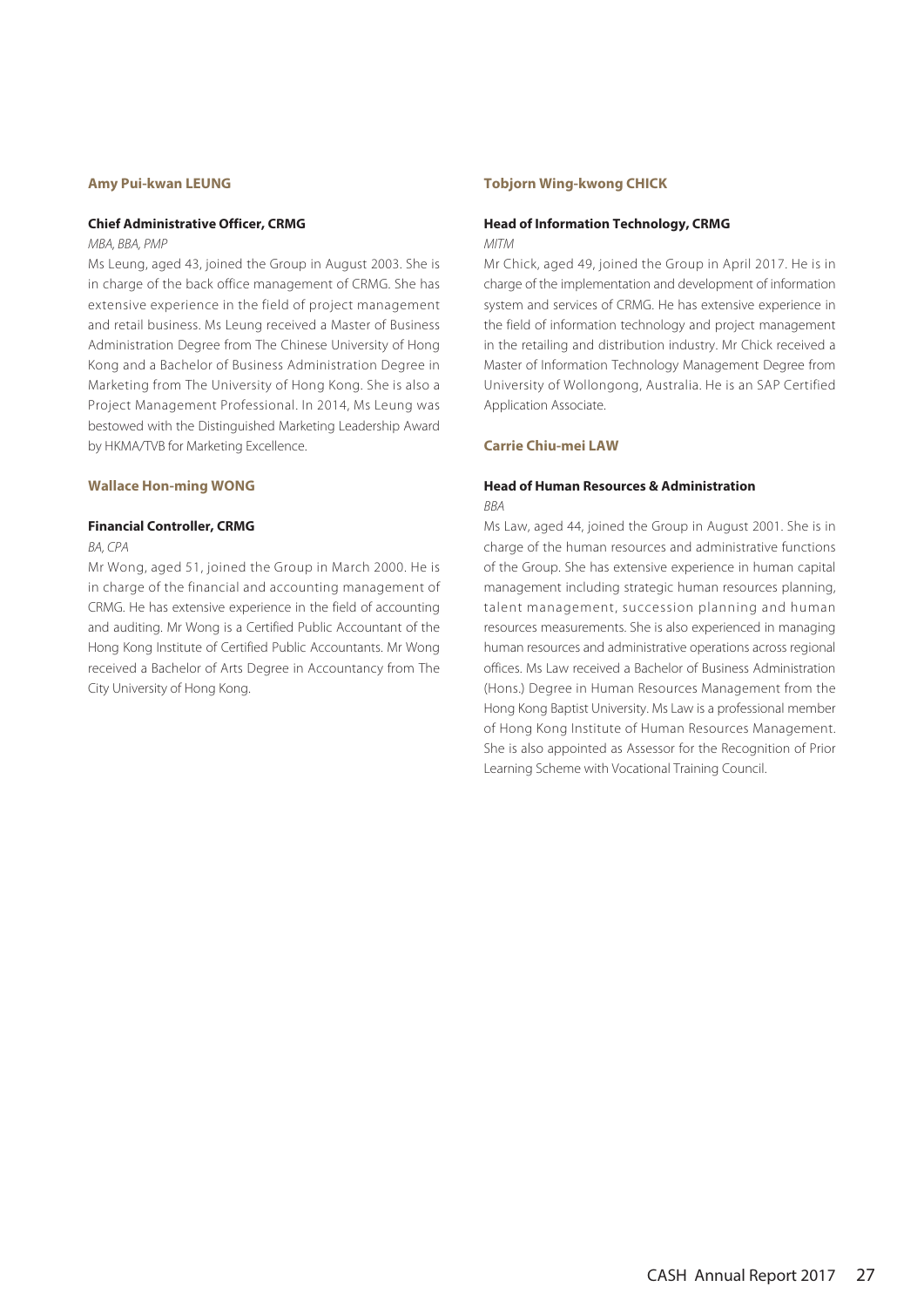#### **Amy Pui-kwan LEUNG**

#### **Chief Administrative Officer, CRMG**

MBA, BBA, PMP

Ms Leung, aged 43, joined the Group in August 2003. She is in charge of the back office management of CRMG. She has extensive experience in the field of project management and retail business. Ms Leung received a Master of Business Administration Degree from The Chinese University of Hong Kong and a Bachelor of Business Administration Degree in Marketing from The University of Hong Kong. She is also a Project Management Professional. In 2014, Ms Leung was bestowed with the Distinguished Marketing Leadership Award by HKMA/TVB for Marketing Excellence.

#### **Wallace Hon-ming WONG**

#### **Financial Controller, CRMG**

 $RA$   $CPA$ 

Mr Wong, aged 51, joined the Group in March 2000. He is in charge of the financial and accounting management of CRMG. He has extensive experience in the field of accounting and auditing. Mr Wong is a Certified Public Accountant of the Hong Kong Institute of Certified Public Accountants. Mr Wong received a Bachelor of Arts Degree in Accountancy from The City University of Hong Kong.

#### **Tobjorn Wing-kwong CHICK**

### **Head of Information Technology, CRMG**

**MITM** 

Mr Chick, aged 49, joined the Group in April 2017. He is in charge of the implementation and development of information system and services of CRMG. He has extensive experience in the field of information technology and project management in the retailing and distribution industry. Mr Chick received a Master of Information Technology Management Degree from University of Wollongong, Australia. He is an SAP Certified Application Associate.

#### **Carrie Chiu-mei LAW**

#### **Head of Human Resources & Administration**  $RRA$

Ms Law, aged 44, joined the Group in August 2001. She is in charge of the human resources and administrative functions of the Group. She has extensive experience in human capital management including strategic human resources planning, talent management, succession planning and human resources measurements. She is also experienced in managing human resources and administrative operations across regional offices. Ms Law received a Bachelor of Business Administration (Hons.) Degree in Human Resources Management from the Hong Kong Baptist University. Ms Law is a professional member of Hong Kong Institute of Human Resources Management. She is also appointed as Assessor for the Recognition of Prior Learning Scheme with Vocational Training Council.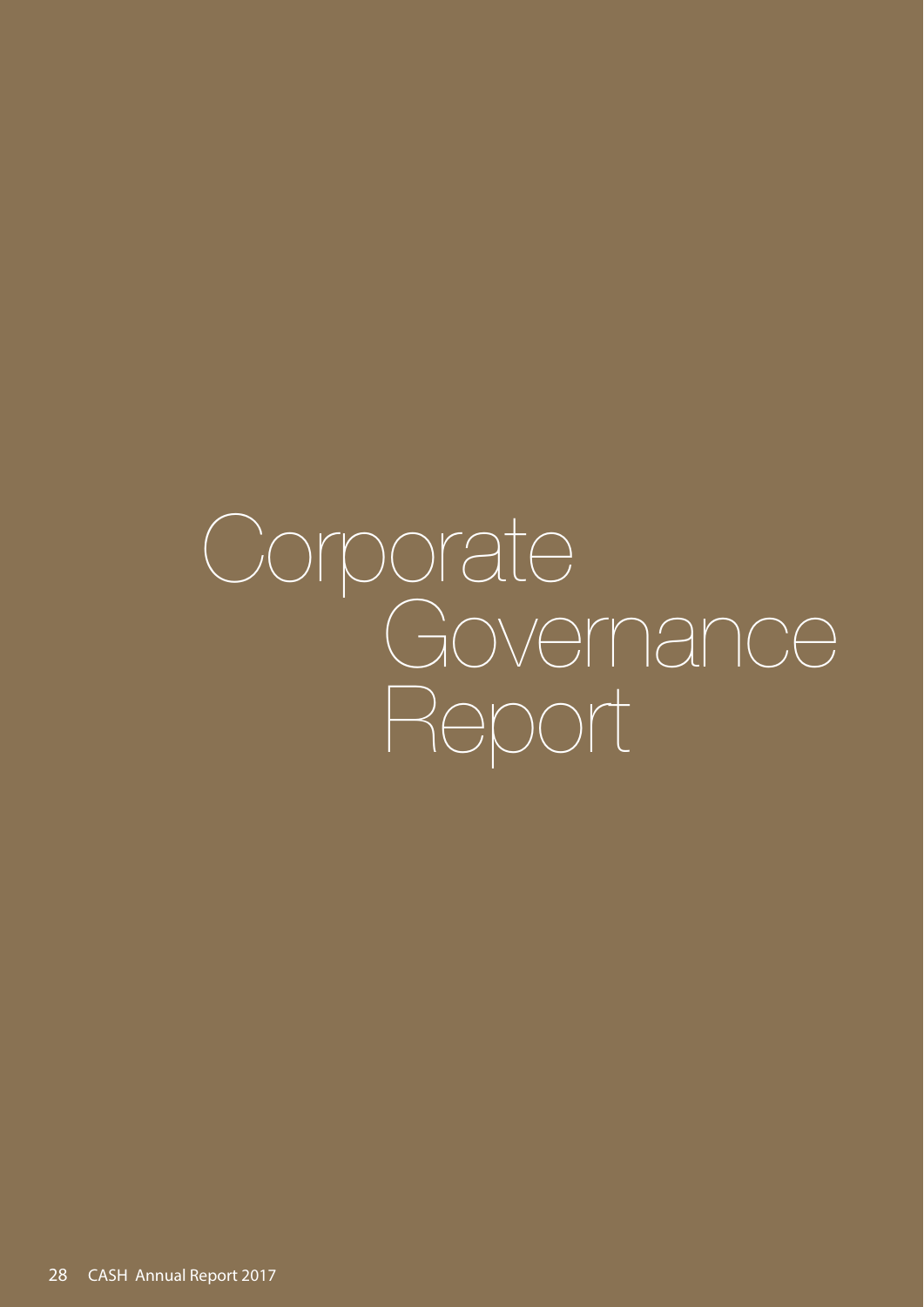# **Corporate**  Governance Report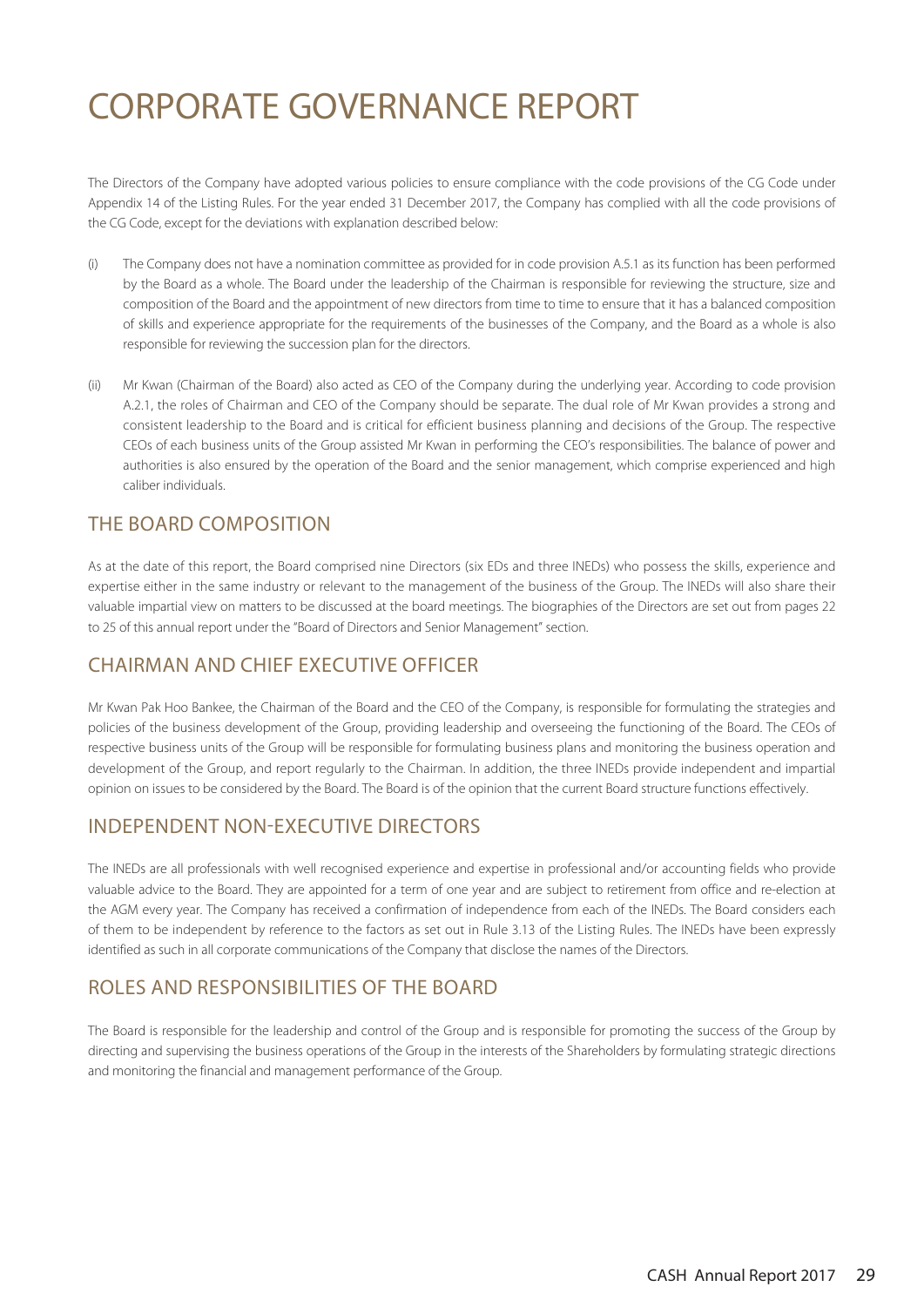# CORPORATE GOVERNANCE REPORT

The Directors of the Company have adopted various policies to ensure compliance with the code provisions of the CG Code under Appendix 14 of the Listing Rules. For the year ended 31 December 2017, the Company has complied with all the code provisions of the CG Code, except for the deviations with explanation described below:

- (i) The Company does not have a nomination committee as provided for in code provision A.5.1 as its function has been performed by the Board as a whole. The Board under the leadership of the Chairman is responsible for reviewing the structure, size and composition of the Board and the appointment of new directors from time to time to ensure that it has a balanced composition of skills and experience appropriate for the requirements of the businesses of the Company, and the Board as a whole is also responsible for reviewing the succession plan for the directors.
- (ii) Mr Kwan (Chairman of the Board) also acted as CEO of the Company during the underlying year. According to code provision A.2.1, the roles of Chairman and CEO of the Company should be separate. The dual role of Mr Kwan provides a strong and consistent leadership to the Board and is critical for efficient business planning and decisions of the Group. The respective CEOs of each business units of the Group assisted Mr Kwan in performing the CEO's responsibilities. The balance of power and authorities is also ensured by the operation of the Board and the senior management, which comprise experienced and high caliber individuals.

# THE BOARD COMPOSITION

As at the date of this report, the Board comprised nine Directors (six EDs and three INEDs) who possess the skills, experience and expertise either in the same industry or relevant to the management of the business of the Group. The INEDs will also share their valuable impartial view on matters to be discussed at the board meetings. The biographies of the Directors are set out from pages 22 to 25 of this annual report under the "Board of Directors and Senior Management" section.

# CHAIRMAN AND CHIEF EXECUTIVE OFFICER

Mr Kwan Pak Hoo Bankee, the Chairman of the Board and the CEO of the Company, is responsible for formulating the strategies and policies of the business development of the Group, providing leadership and overseeing the functioning of the Board. The CEOs of respective business units of the Group will be responsible for formulating business plans and monitoring the business operation and development of the Group, and report regularly to the Chairman. In addition, the three INEDs provide independent and impartial opinion on issues to be considered by the Board. The Board is of the opinion that the current Board structure functions effectively.

# INDEPENDENT NON-EXECUTIVE DIRECTORS

The INEDs are all professionals with well recognised experience and expertise in professional and/or accounting fields who provide valuable advice to the Board. They are appointed for a term of one year and are subject to retirement from office and re-election at the AGM every year. The Company has received a confirmation of independence from each of the INEDs. The Board considers each of them to be independent by reference to the factors as set out in Rule 3.13 of the Listing Rules. The INEDs have been expressly identified as such in all corporate communications of the Company that disclose the names of the Directors.

# ROLES AND RESPONSIBILITIES OF THE BOARD

The Board is responsible for the leadership and control of the Group and is responsible for promoting the success of the Group by directing and supervising the business operations of the Group in the interests of the Shareholders by formulating strategic directions and monitoring the financial and management performance of the Group.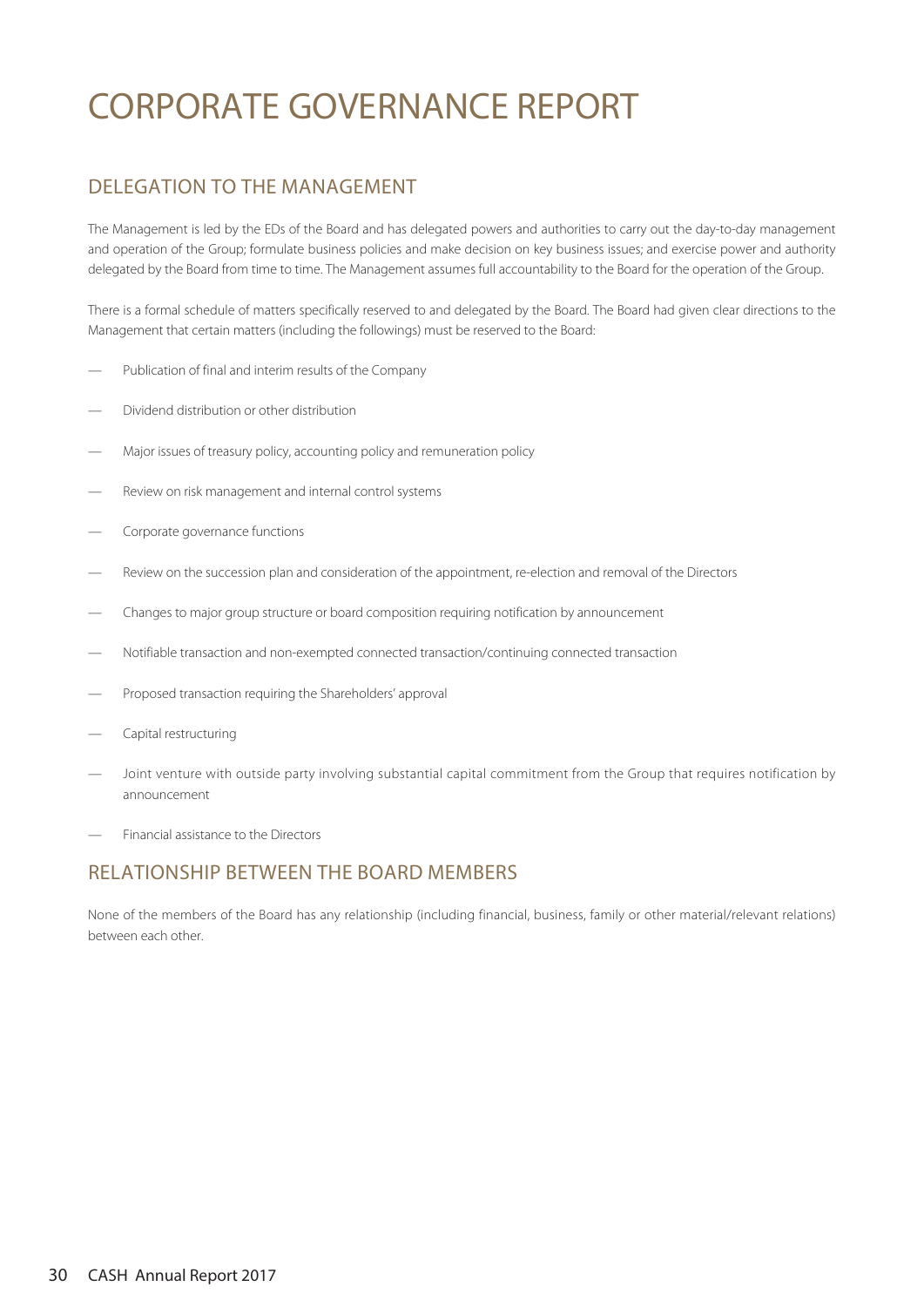# CORPORATE GOVERNANCE REPORT

# DELEGATION TO THE MANAGEMENT

The Management is led by the EDs of the Board and has delegated powers and authorities to carry out the day-to-day management and operation of the Group; formulate business policies and make decision on key business issues; and exercise power and authority delegated by the Board from time to time. The Management assumes full accountability to the Board for the operation of the Group.

There is a formal schedule of matters specifically reserved to and delegated by the Board. The Board had given clear directions to the Management that certain matters (including the followings) must be reserved to the Board:

- Publication of final and interim results of the Company
- Dividend distribution or other distribution
- Major issues of treasury policy, accounting policy and remuneration policy
- Review on risk management and internal control systems
- Corporate governance functions
- Review on the succession plan and consideration of the appointment, re-election and removal of the Directors
- Changes to major group structure or board composition requiring notification by announcement
- Notifiable transaction and non-exempted connected transaction/continuing connected transaction
- Proposed transaction requiring the Shareholders' approval
- Capital restructuring
- Joint venture with outside party involving substantial capital commitment from the Group that requires notification by announcement
- Financial assistance to the Directors

## RELATIONSHIP BETWEEN THE BOARD MEMBERS

None of the members of the Board has any relationship (including financial, business, family or other material/relevant relations) between each other.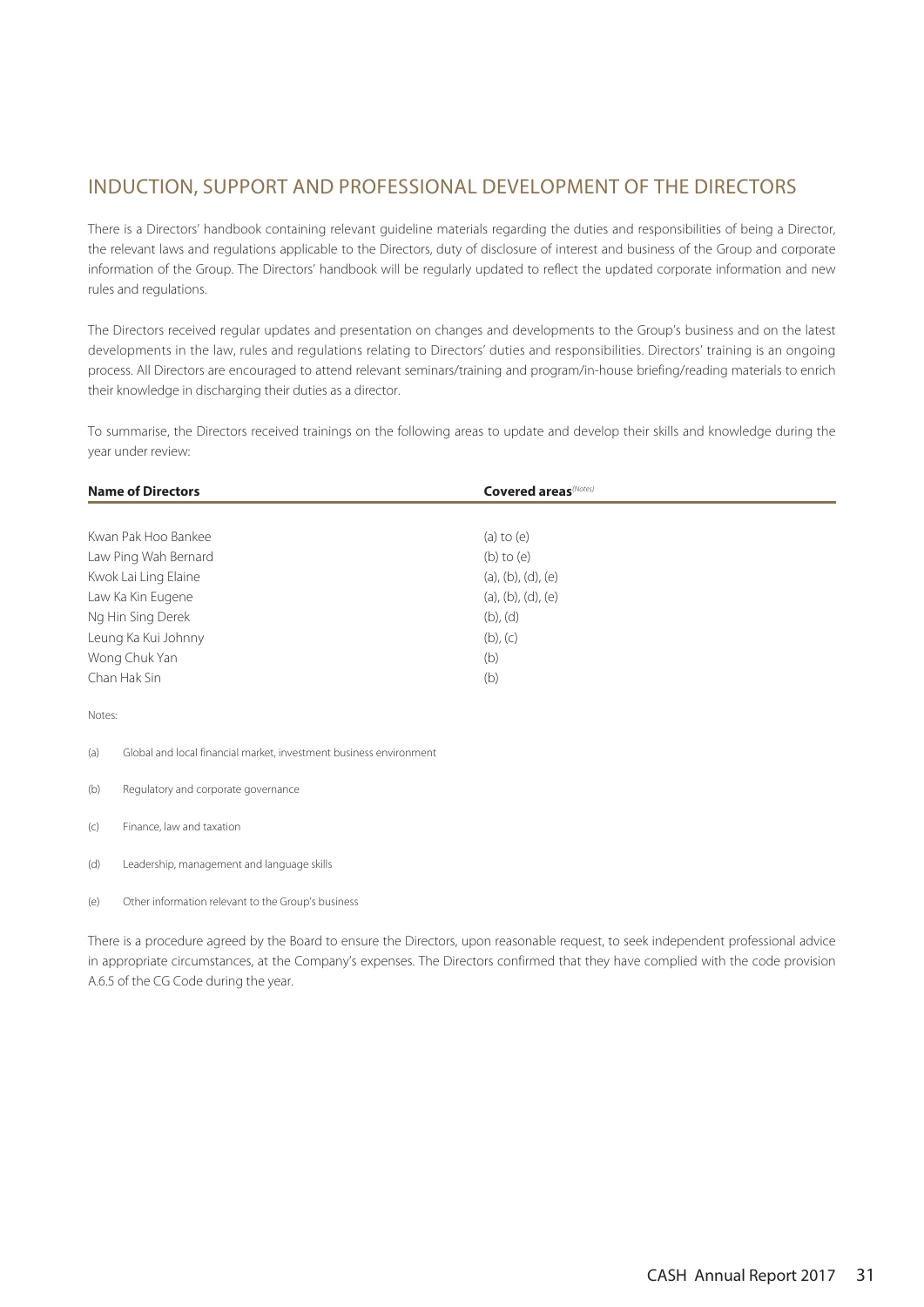# INDUCTION, SUPPORT AND PROFESSIONAL DEVELOPMENT OF THE DIRECTORS

There is a Directors' handbook containing relevant guideline materials regarding the duties and responsibilities of being a Director, the relevant laws and regulations applicable to the Directors, duty of disclosure of interest and business of the Group and corporate information of the Group. The Directors' handbook will be regularly updated to reflect the updated corporate information and new rules and regulations.

The Directors received regular updates and presentation on changes and developments to the Group's business and on the latest developments in the law, rules and regulations relating to Directors' duties and responsibilities. Directors' training is an ongoing process. All Directors are encouraged to attend relevant seminars/training and program/in-house briefing/reading materials to enrich their knowledge in discharging their duties as a director.

To summarise, the Directors received trainings on the following areas to update and develop their skills and knowledge during the year under review:

| <b>Name of Directors</b> | <b>Covered areas</b> <sup>(Notes)</sup> |  |  |
|--------------------------|-----------------------------------------|--|--|
|                          |                                         |  |  |
| Kwan Pak Hoo Bankee      | (a) to $(e)$                            |  |  |
| Law Ping Wah Bernard     | (b) to $(e)$                            |  |  |
| Kwok Lai Ling Elaine     | (a), (b), (d), (e)                      |  |  |
| Law Ka Kin Eugene        | (a), (b), (d), (e)                      |  |  |
| Ng Hin Sing Derek        | $(b)$ , $(d)$                           |  |  |
| Leung Ka Kui Johnny      | $(b)$ , $(c)$                           |  |  |
| Wong Chuk Yan            | (b)                                     |  |  |
| Chan Hak Sin             | (b)                                     |  |  |

Notes:

|--|

- (b) Regulatory and corporate governance
- (c) Finance, law and taxation
- (d) Leadership, management and language skills

There is a procedure agreed by the Board to ensure the Directors, upon reasonable request, to seek independent professional advice in appropriate circumstances, at the Company's expenses. The Directors confirmed that they have complied with the code provision A.6.5 of the CG Code during the year.

<sup>(</sup>e) Other information relevant to the Group's business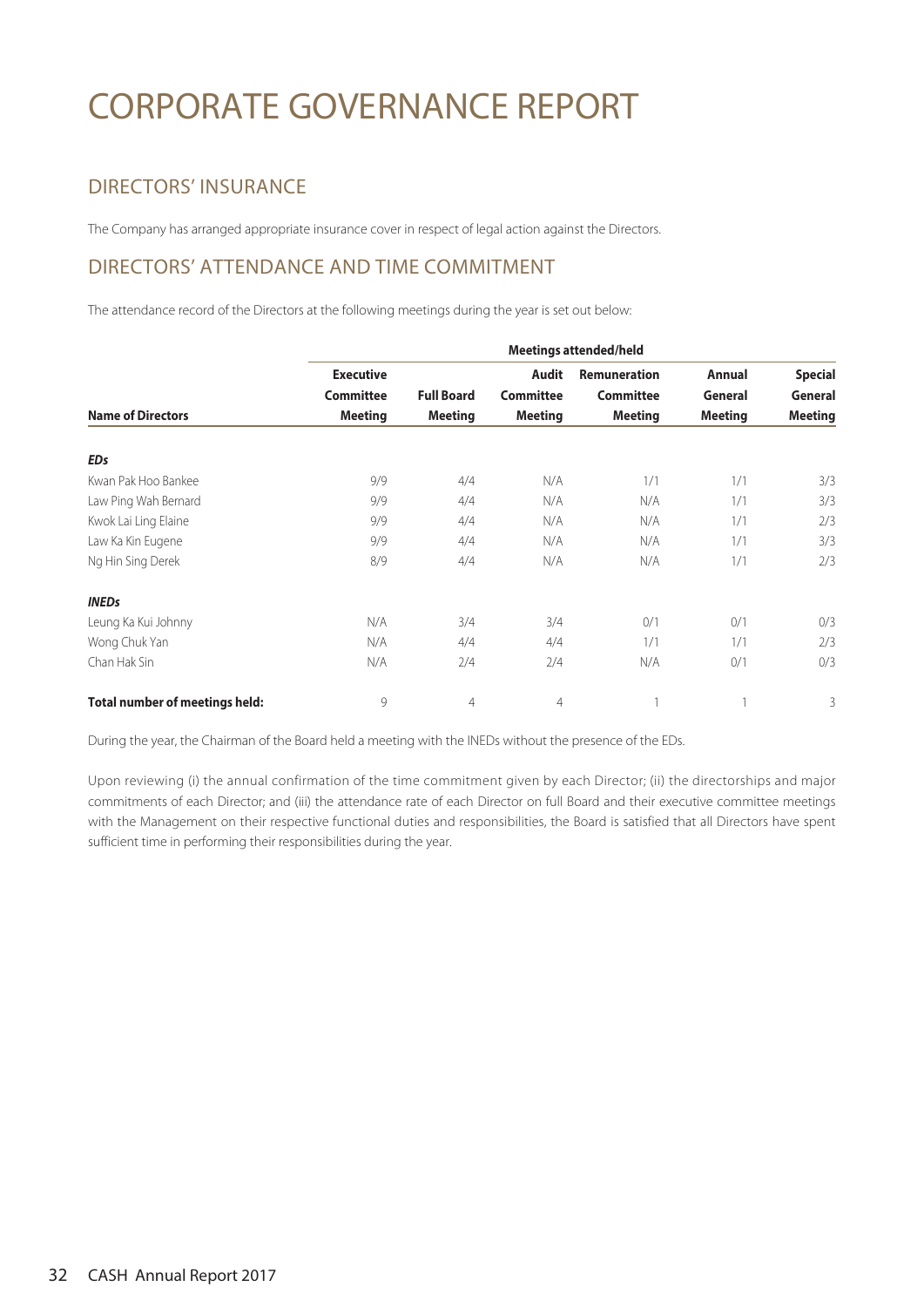# CORPORATE GOVERNANCE REPORT

# DIRECTORS' INSURANCE

The Company has arranged appropriate insurance cover in respect of legal action against the Directors.

## DIRECTORS' ATTENDANCE AND TIME COMMITMENT

The attendance record of the Directors at the following meetings during the year is set out below:

|                                       | <b>Meetings attended/held</b>      |                   |                                    |                                    |                           |                           |
|---------------------------------------|------------------------------------|-------------------|------------------------------------|------------------------------------|---------------------------|---------------------------|
|                                       | <b>Executive</b>                   |                   | <b>Audit</b>                       | <b>Remuneration</b>                | Annual                    | <b>Special</b>            |
| <b>Name of Directors</b>              | <b>Committee</b><br><b>Meeting</b> | <b>Full Board</b> | <b>Committee</b><br><b>Meeting</b> | <b>Committee</b><br><b>Meeting</b> | General<br><b>Meeting</b> | General<br><b>Meeting</b> |
|                                       |                                    | <b>Meeting</b>    |                                    |                                    |                           |                           |
| <b>EDs</b>                            |                                    |                   |                                    |                                    |                           |                           |
| Kwan Pak Hoo Bankee                   | 9/9                                | 4/4               | N/A                                | 1/1                                | 1/1                       | 3/3                       |
| Law Ping Wah Bernard                  | 9/9                                | 4/4               | N/A                                | N/A                                | 1/1                       | 3/3                       |
| Kwok Lai Ling Elaine                  | 9/9                                | 4/4               | N/A                                | N/A                                | 1/1                       | 2/3                       |
| Law Ka Kin Eugene                     | 9/9                                | 4/4               | N/A                                | N/A                                | 1/1                       | 3/3                       |
| Ng Hin Sing Derek                     | 8/9                                | 4/4               | N/A                                | N/A                                | 1/1                       | 2/3                       |
| <b>INEDs</b>                          |                                    |                   |                                    |                                    |                           |                           |
| Leung Ka Kui Johnny                   | N/A                                | 3/4               | 3/4                                | 0/1                                | 0/1                       | 0/3                       |
| Wong Chuk Yan                         | N/A                                | 4/4               | 4/4                                | 1/1                                | 1/1                       | 2/3                       |
| Chan Hak Sin                          | N/A                                | 2/4               | 2/4                                | N/A                                | 0/1                       | 0/3                       |
| <b>Total number of meetings held:</b> | 9                                  | 4                 | 4                                  |                                    | 1                         | 3                         |

During the year, the Chairman of the Board held a meeting with the INEDs without the presence of the EDs.

Upon reviewing (i) the annual confirmation of the time commitment given by each Director; (ii) the directorships and major commitments of each Director; and (iii) the attendance rate of each Director on full Board and their executive committee meetings with the Management on their respective functional duties and responsibilities, the Board is satisfied that all Directors have spent sufficient time in performing their responsibilities during the year.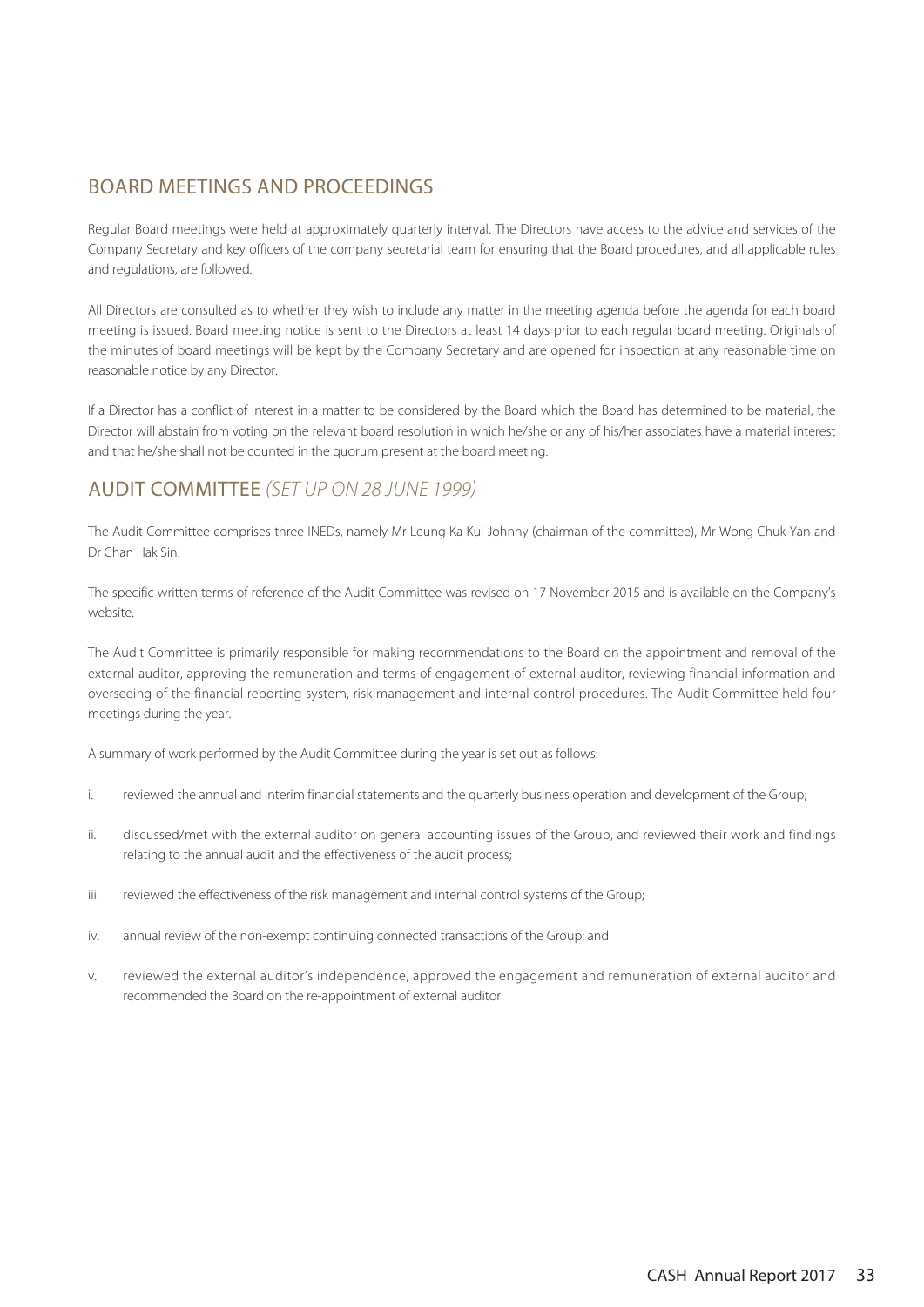# BOARD MEETINGS AND PROCEEDINGS

Regular Board meetings were held at approximately quarterly interval. The Directors have access to the advice and services of the Company Secretary and key officers of the company secretarial team for ensuring that the Board procedures, and all applicable rules and regulations, are followed.

All Directors are consulted as to whether they wish to include any matter in the meeting agenda before the agenda for each board meeting is issued. Board meeting notice is sent to the Directors at least 14 days prior to each regular board meeting. Originals of the minutes of board meetings will be kept by the Company Secretary and are opened for inspection at any reasonable time on reasonable notice by any Director.

If a Director has a conflict of interest in a matter to be considered by the Board which the Board has determined to be material, the Director will abstain from voting on the relevant board resolution in which he/she or any of his/her associates have a material interest and that he/she shall not be counted in the quorum present at the board meeting.

# AUDIT COMMITTEE (SET UP ON 28 JUNE 1999)

The Audit Committee comprises three INEDs, namely Mr Leung Ka Kui Johnny (chairman of the committee), Mr Wong Chuk Yan and Dr Chan Hak Sin.

The specific written terms of reference of the Audit Committee was revised on 17 November 2015 and is available on the Company's website.

The Audit Committee is primarily responsible for making recommendations to the Board on the appointment and removal of the external auditor, approving the remuneration and terms of engagement of external auditor, reviewing financial information and overseeing of the financial reporting system, risk management and internal control procedures. The Audit Committee held four meetings during the year.

A summary of work performed by the Audit Committee during the year is set out as follows:

- i. reviewed the annual and interim financial statements and the quarterly business operation and development of the Group;
- ii. discussed/met with the external auditor on general accounting issues of the Group, and reviewed their work and findings relating to the annual audit and the effectiveness of the audit process;
- iii. reviewed the effectiveness of the risk management and internal control systems of the Group;
- iv. annual review of the non-exempt continuing connected transactions of the Group; and
- v. reviewed the external auditor's independence, approved the engagement and remuneration of external auditor and recommended the Board on the re-appointment of external auditor.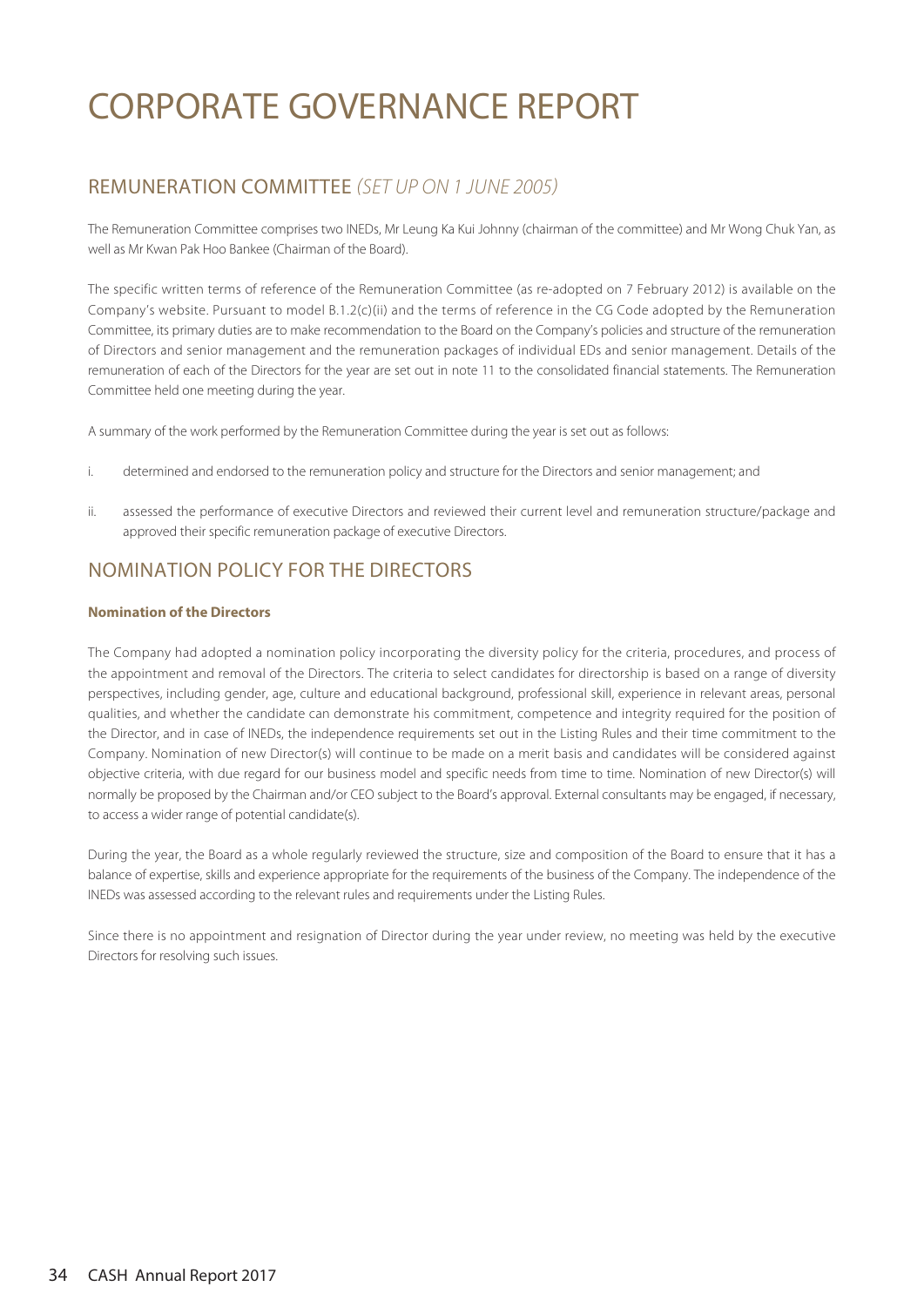# CORPORATE GOVERNANCE REPORT

# REMUNERATION COMMITTEE (SET UP ON 1 JUNE 2005)

The Remuneration Committee comprises two INEDs, Mr Leung Ka Kui Johnny (chairman of the committee) and Mr Wong Chuk Yan, as well as Mr Kwan Pak Hoo Bankee (Chairman of the Board).

The specific written terms of reference of the Remuneration Committee (as re-adopted on 7 February 2012) is available on the Company's website. Pursuant to model B.1.2(c)(ii) and the terms of reference in the CG Code adopted by the Remuneration Committee, its primary duties are to make recommendation to the Board on the Company's policies and structure of the remuneration of Directors and senior management and the remuneration packages of individual EDs and senior management. Details of the remuneration of each of the Directors for the year are set out in note 11 to the consolidated financial statements. The Remuneration Committee held one meeting during the year.

A summary of the work performed by the Remuneration Committee during the year is set out as follows:

- i. determined and endorsed to the remuneration policy and structure for the Directors and senior management; and
- ii. assessed the performance of executive Directors and reviewed their current level and remuneration structure/package and approved their specific remuneration package of executive Directors.

## NOMINATION POLICY FOR THE DIRECTORS

#### **Nomination of the Directors**

The Company had adopted a nomination policy incorporating the diversity policy for the criteria, procedures, and process of the appointment and removal of the Directors. The criteria to select candidates for directorship is based on a range of diversity perspectives, including gender, age, culture and educational background, professional skill, experience in relevant areas, personal qualities, and whether the candidate can demonstrate his commitment, competence and integrity required for the position of the Director, and in case of INEDs, the independence requirements set out in the Listing Rules and their time commitment to the Company. Nomination of new Director(s) will continue to be made on a merit basis and candidates will be considered against objective criteria, with due regard for our business model and specific needs from time to time. Nomination of new Director(s) will normally be proposed by the Chairman and/or CEO subject to the Board's approval. External consultants may be engaged, if necessary, to access a wider range of potential candidate(s).

During the year, the Board as a whole regularly reviewed the structure, size and composition of the Board to ensure that it has a balance of expertise, skills and experience appropriate for the requirements of the business of the Company. The independence of the INEDs was assessed according to the relevant rules and requirements under the Listing Rules.

Since there is no appointment and resignation of Director during the year under review, no meeting was held by the executive Directors for resolving such issues.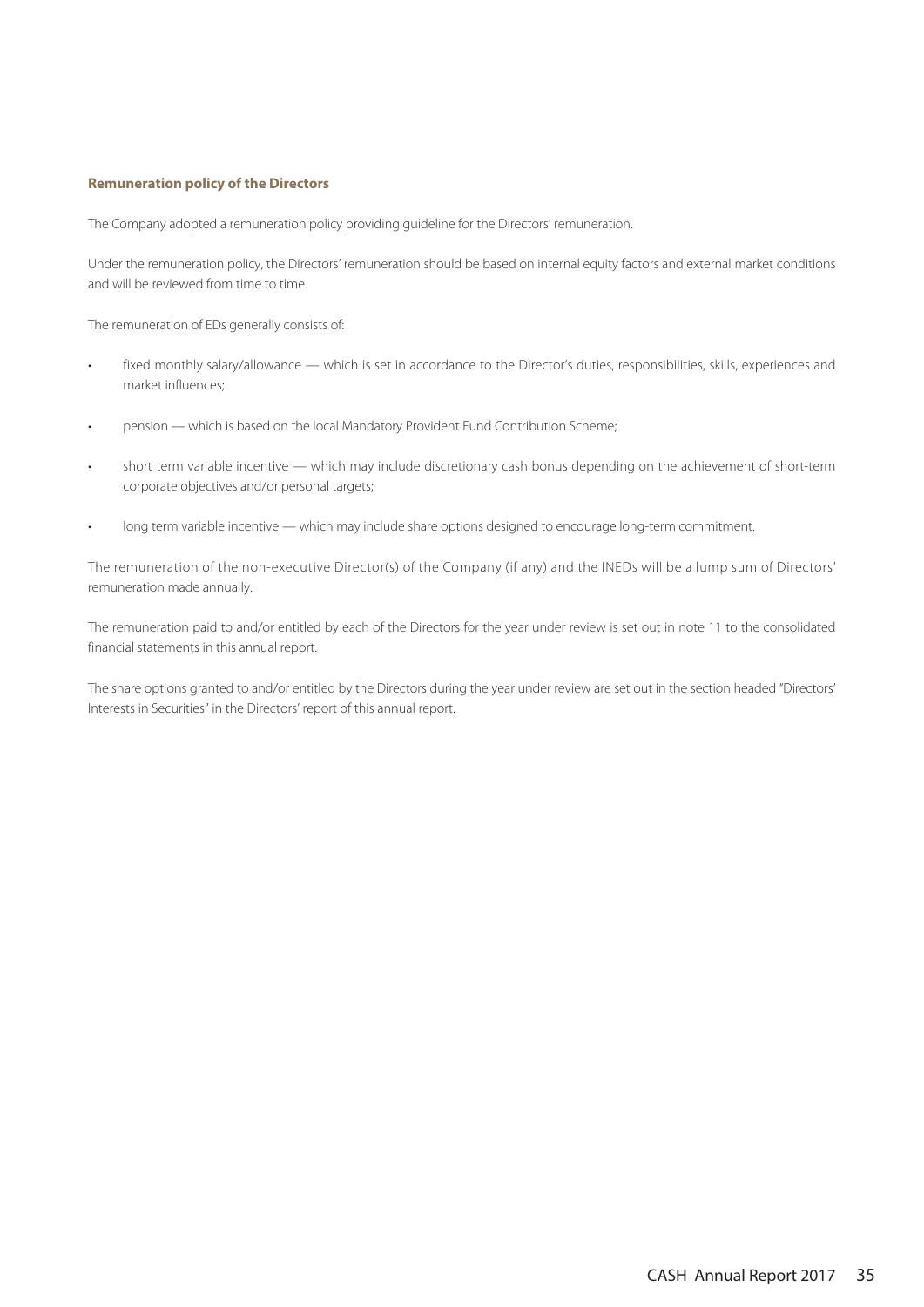#### **Remuneration policy of the Directors**

The Company adopted a remuneration policy providing guideline for the Directors' remuneration.

Under the remuneration policy, the Directors' remuneration should be based on internal equity factors and external market conditions and will be reviewed from time to time.

The remuneration of EDs generally consists of:

- fixed monthly salary/allowance which is set in accordance to the Director's duties, responsibilities, skills, experiences and market influences;
- pension which is based on the local Mandatory Provident Fund Contribution Scheme;
- short term variable incentive which may include discretionary cash bonus depending on the achievement of short-term corporate objectives and/or personal targets;
- long term variable incentive which may include share options designed to encourage long-term commitment.

The remuneration of the non-executive Director(s) of the Company (if any) and the INEDs will be a lump sum of Directors' remuneration made annually.

The remuneration paid to and/or entitled by each of the Directors for the year under review is set out in note 11 to the consolidated financial statements in this annual report.

The share options granted to and/or entitled by the Directors during the year under review are set out in the section headed "Directors' Interests in Securities" in the Directors' report of this annual report.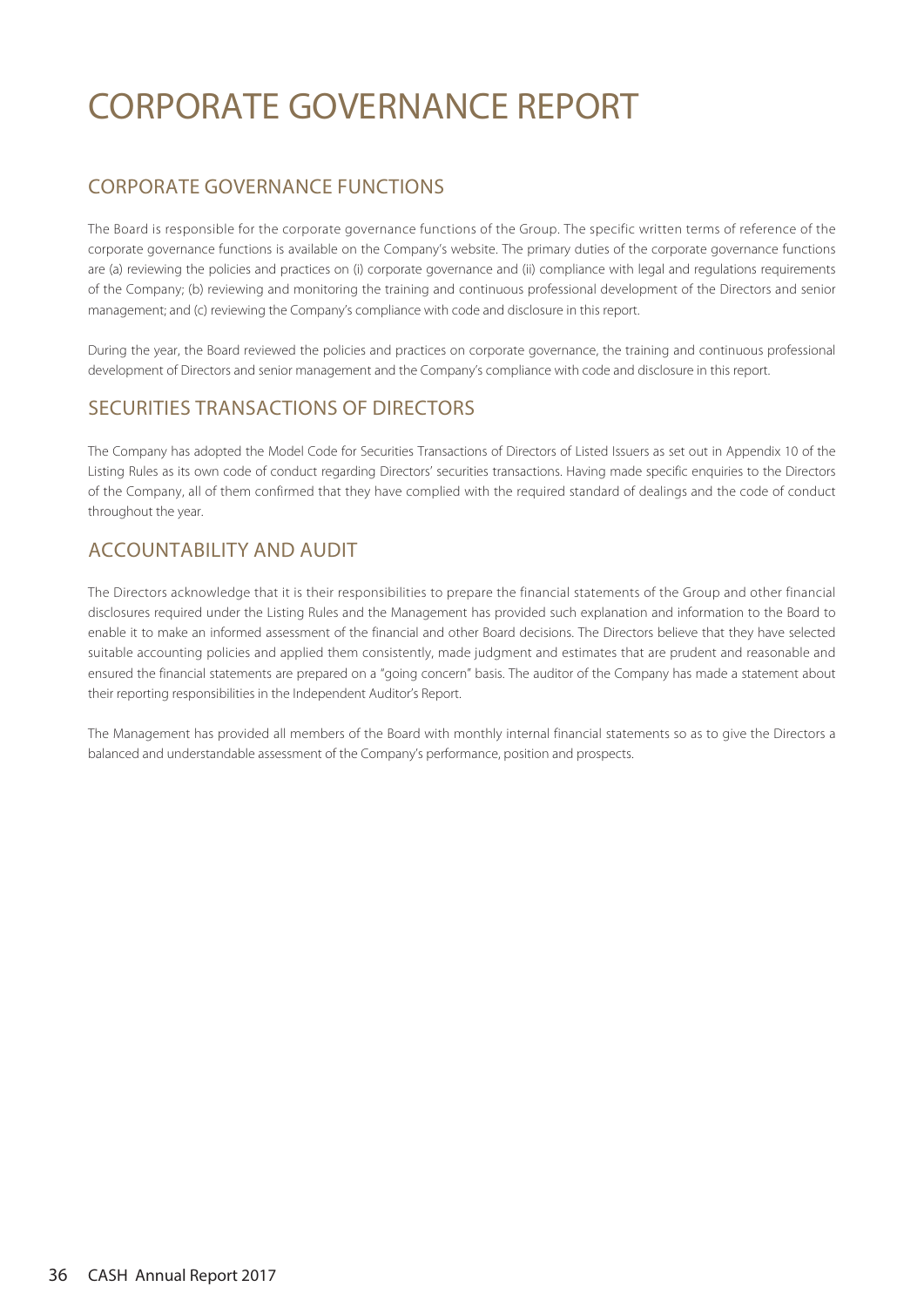## CORPORATE GOVERNANCE REPORT

## CORPORATE GOVERNANCE FUNCTIONS

The Board is responsible for the corporate governance functions of the Group. The specific written terms of reference of the corporate governance functions is available on the Company's website. The primary duties of the corporate governance functions are (a) reviewing the policies and practices on (i) corporate governance and (ii) compliance with legal and regulations requirements of the Company; (b) reviewing and monitoring the training and continuous professional development of the Directors and senior management; and (c) reviewing the Company's compliance with code and disclosure in this report.

During the year, the Board reviewed the policies and practices on corporate governance, the training and continuous professional development of Directors and senior management and the Company's compliance with code and disclosure in this report.

## SECURITIES TRANSACTIONS OF DIRECTORS

The Company has adopted the Model Code for Securities Transactions of Directors of Listed Issuers as set out in Appendix 10 of the Listing Rules as its own code of conduct regarding Directors' securities transactions. Having made specific enquiries to the Directors of the Company, all of them confirmed that they have complied with the required standard of dealings and the code of conduct throughout the year.

## ACCOUNTABILITY AND AUDIT

The Directors acknowledge that it is their responsibilities to prepare the financial statements of the Group and other financial disclosures required under the Listing Rules and the Management has provided such explanation and information to the Board to enable it to make an informed assessment of the financial and other Board decisions. The Directors believe that they have selected suitable accounting policies and applied them consistently, made judgment and estimates that are prudent and reasonable and ensured the financial statements are prepared on a "going concern" basis. The auditor of the Company has made a statement about their reporting responsibilities in the Independent Auditor's Report.

The Management has provided all members of the Board with monthly internal financial statements so as to give the Directors a balanced and understandable assessment of the Company's performance, position and prospects.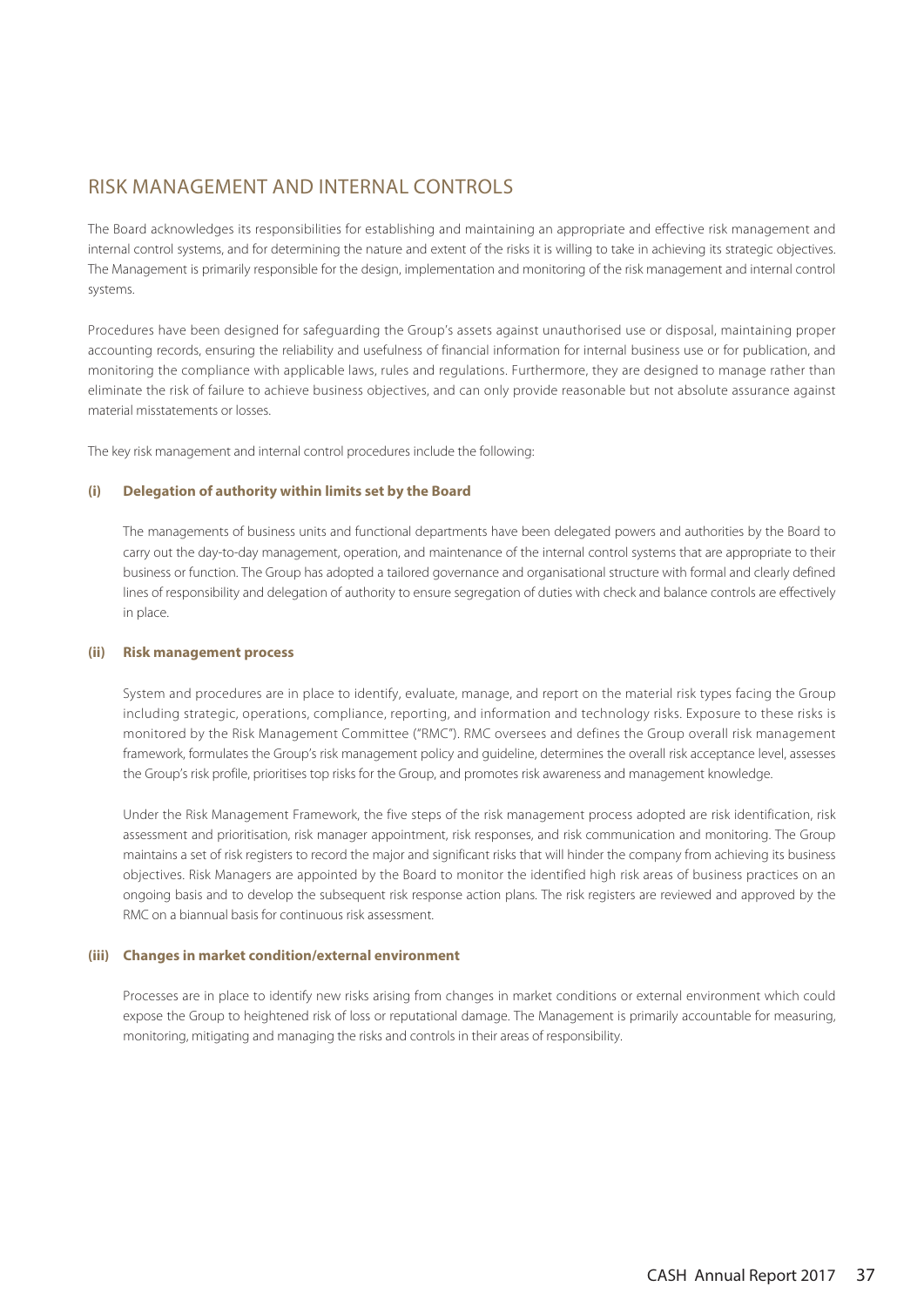## RISK MANAGEMENT AND INTERNAL CONTROLS

The Board acknowledges its responsibilities for establishing and maintaining an appropriate and effective risk management and internal control systems, and for determining the nature and extent of the risks it is willing to take in achieving its strategic objectives. The Management is primarily responsible for the design, implementation and monitoring of the risk management and internal control systems.

Procedures have been designed for safeguarding the Group's assets against unauthorised use or disposal, maintaining proper accounting records, ensuring the reliability and usefulness of financial information for internal business use or for publication, and monitoring the compliance with applicable laws, rules and regulations. Furthermore, they are designed to manage rather than eliminate the risk of failure to achieve business objectives, and can only provide reasonable but not absolute assurance against material misstatements or losses.

The key risk management and internal control procedures include the following:

#### **(i) Delegation of authority within limits set by the Board**

The managements of business units and functional departments have been delegated powers and authorities by the Board to carry out the day-to-day management, operation, and maintenance of the internal control systems that are appropriate to their business or function. The Group has adopted a tailored governance and organisational structure with formal and clearly defined lines of responsibility and delegation of authority to ensure segregation of duties with check and balance controls are effectively in place.

#### **(ii) Risk management process**

System and procedures are in place to identify, evaluate, manage, and report on the material risk types facing the Group including strategic, operations, compliance, reporting, and information and technology risks. Exposure to these risks is monitored by the Risk Management Committee ("RMC"). RMC oversees and defines the Group overall risk management framework, formulates the Group's risk management policy and guideline, determines the overall risk acceptance level, assesses the Group's risk profile, prioritises top risks for the Group, and promotes risk awareness and management knowledge.

Under the Risk Management Framework, the five steps of the risk management process adopted are risk identification, risk assessment and prioritisation, risk manager appointment, risk responses, and risk communication and monitoring. The Group maintains a set of risk registers to record the major and significant risks that will hinder the company from achieving its business objectives. Risk Managers are appointed by the Board to monitor the identified high risk areas of business practices on an ongoing basis and to develop the subsequent risk response action plans. The risk registers are reviewed and approved by the RMC on a biannual basis for continuous risk assessment.

#### **(iii) Changes in market condition/external environment**

Processes are in place to identify new risks arising from changes in market conditions or external environment which could expose the Group to heightened risk of loss or reputational damage. The Management is primarily accountable for measuring, monitoring, mitigating and managing the risks and controls in their areas of responsibility.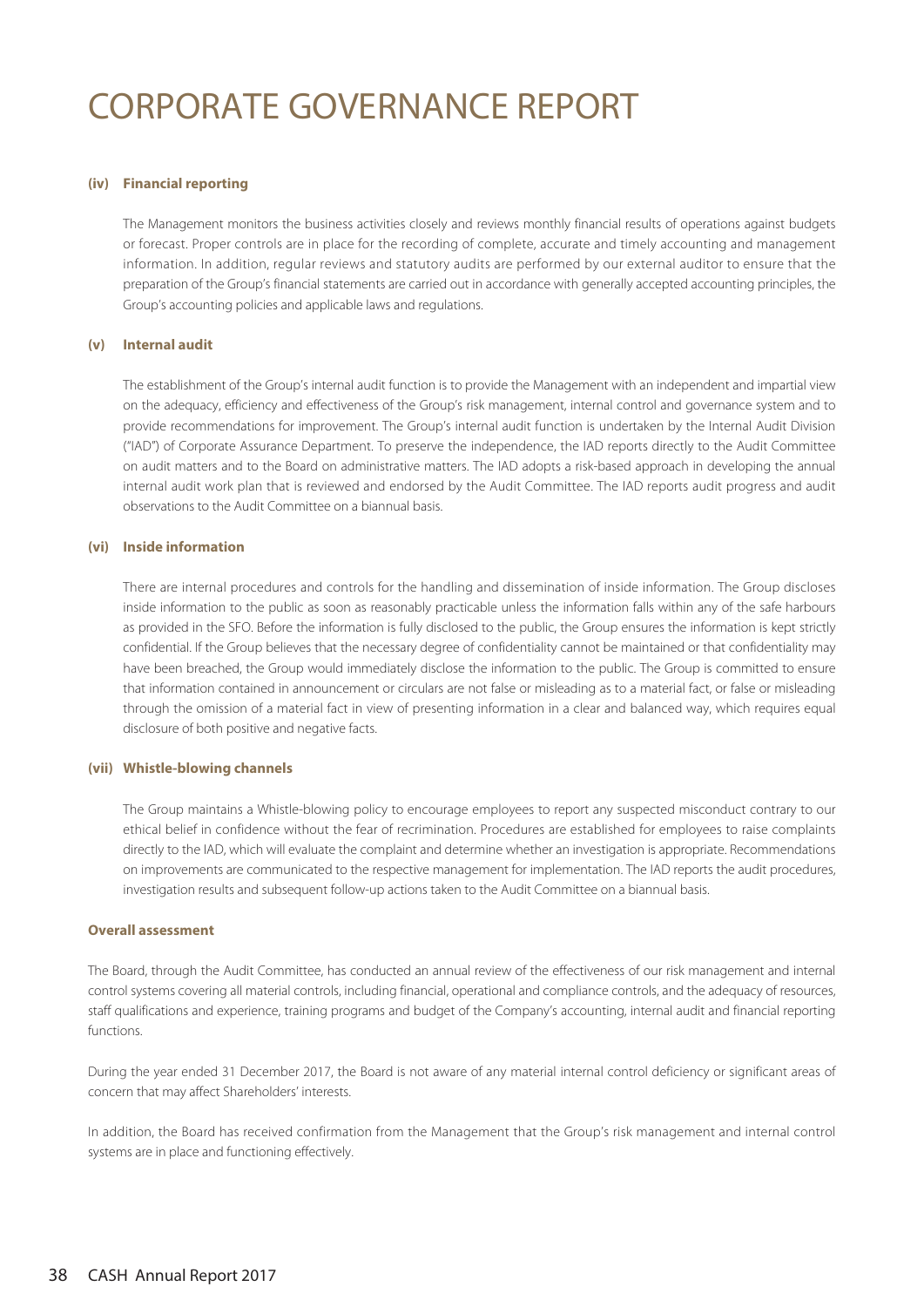## CORPORATE GOVERNANCE REPORT

#### **(iv) Financial reporting**

The Management monitors the business activities closely and reviews monthly financial results of operations against budgets or forecast. Proper controls are in place for the recording of complete, accurate and timely accounting and management information. In addition, regular reviews and statutory audits are performed by our external auditor to ensure that the preparation of the Group's financial statements are carried out in accordance with generally accepted accounting principles, the Group's accounting policies and applicable laws and regulations.

#### **(v) Internal audit**

The establishment of the Group's internal audit function is to provide the Management with an independent and impartial view on the adequacy, efficiency and effectiveness of the Group's risk management, internal control and governance system and to provide recommendations for improvement. The Group's internal audit function is undertaken by the Internal Audit Division ("IAD") of Corporate Assurance Department. To preserve the independence, the IAD reports directly to the Audit Committee on audit matters and to the Board on administrative matters. The IAD adopts a risk-based approach in developing the annual internal audit work plan that is reviewed and endorsed by the Audit Committee. The IAD reports audit progress and audit observations to the Audit Committee on a biannual basis.

### **(vi) Inside information**

There are internal procedures and controls for the handling and dissemination of inside information. The Group discloses inside information to the public as soon as reasonably practicable unless the information falls within any of the safe harbours as provided in the SFO. Before the information is fully disclosed to the public, the Group ensures the information is kept strictly confidential. If the Group believes that the necessary degree of confidentiality cannot be maintained or that confidentiality may have been breached, the Group would immediately disclose the information to the public. The Group is committed to ensure that information contained in announcement or circulars are not false or misleading as to a material fact, or false or misleading through the omission of a material fact in view of presenting information in a clear and balanced way, which requires equal disclosure of both positive and negative facts.

#### **(vii) Whistle-blowing channels**

The Group maintains a Whistle-blowing policy to encourage employees to report any suspected misconduct contrary to our ethical belief in confidence without the fear of recrimination. Procedures are established for employees to raise complaints directly to the IAD, which will evaluate the complaint and determine whether an investigation is appropriate. Recommendations on improvements are communicated to the respective management for implementation. The IAD reports the audit procedures, investigation results and subsequent follow-up actions taken to the Audit Committee on a biannual basis.

#### **Overall assessment**

The Board, through the Audit Committee, has conducted an annual review of the effectiveness of our risk management and internal control systems covering all material controls, including financial, operational and compliance controls, and the adequacy of resources, staff qualifications and experience, training programs and budget of the Company's accounting, internal audit and financial reporting functions.

During the year ended 31 December 2017, the Board is not aware of any material internal control deficiency or significant areas of concern that may affect Shareholders' interests.

In addition, the Board has received confirmation from the Management that the Group's risk management and internal control systems are in place and functioning effectively.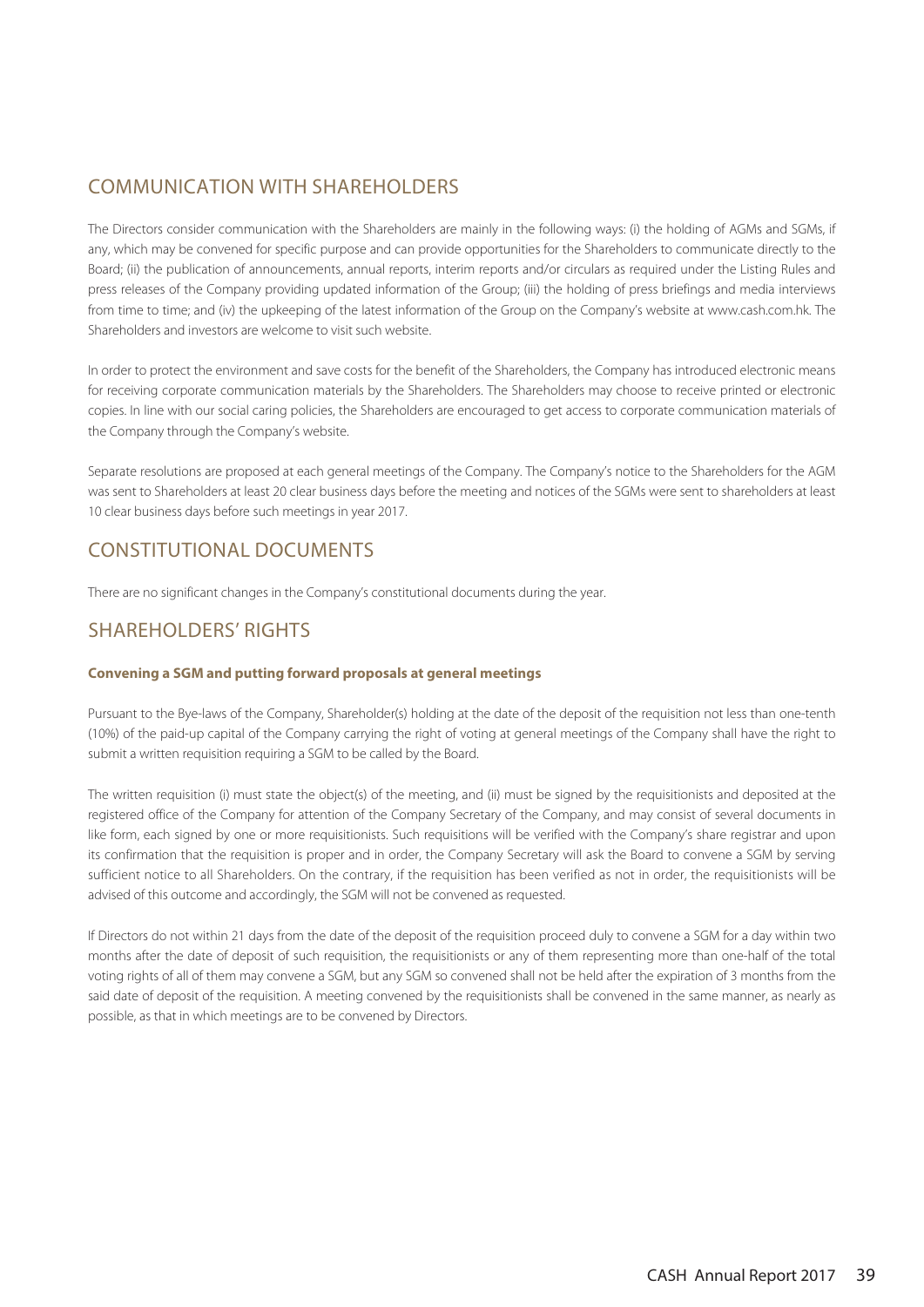## COMMUNICATION WITH SHARFHOLDERS

The Directors consider communication with the Shareholders are mainly in the following ways: (i) the holding of AGMs and SGMs, if any, which may be convened for specific purpose and can provide opportunities for the Shareholders to communicate directly to the Board; (ii) the publication of announcements, annual reports, interim reports and/or circulars as required under the Listing Rules and press releases of the Company providing updated information of the Group; (iii) the holding of press briefings and media interviews from time to time; and (iv) the upkeeping of the latest information of the Group on the Company's website at www.cash.com.hk. The Shareholders and investors are welcome to visit such website.

In order to protect the environment and save costs for the benefit of the Shareholders, the Company has introduced electronic means for receiving corporate communication materials by the Shareholders. The Shareholders may choose to receive printed or electronic copies. In line with our social caring policies, the Shareholders are encouraged to get access to corporate communication materials of the Company through the Company's website.

Separate resolutions are proposed at each general meetings of the Company. The Company's notice to the Shareholders for the AGM was sent to Shareholders at least 20 clear business days before the meeting and notices of the SGMs were sent to shareholders at least 10 clear business days before such meetings in year 2017.

## CONSTITUTIONAL DOCUMENTS

There are no significant changes in the Company's constitutional documents during the year.

## SHAREHOLDERS' RIGHTS

### **Convening a SGM and putting forward proposals at general meetings**

Pursuant to the Bye-laws of the Company, Shareholder(s) holding at the date of the deposit of the requisition not less than one-tenth (10%) of the paid-up capital of the Company carrying the right of voting at general meetings of the Company shall have the right to submit a written requisition requiring a SGM to be called by the Board.

The written requisition (i) must state the object(s) of the meeting, and (ii) must be signed by the requisitionists and deposited at the registered office of the Company for attention of the Company Secretary of the Company, and may consist of several documents in like form, each signed by one or more requisitionists. Such requisitions will be verified with the Company's share registrar and upon its confirmation that the requisition is proper and in order, the Company Secretary will ask the Board to convene a SGM by serving sufficient notice to all Shareholders. On the contrary, if the requisition has been verified as not in order, the requisitionists will be advised of this outcome and accordingly, the SGM will not be convened as requested.

If Directors do not within 21 days from the date of the deposit of the requisition proceed duly to convene a SGM for a day within two months after the date of deposit of such requisition, the requisitionists or any of them representing more than one-half of the total voting rights of all of them may convene a SGM, but any SGM so convened shall not be held after the expiration of 3 months from the said date of deposit of the requisition. A meeting convened by the requisitionists shall be convened in the same manner, as nearly as possible, as that in which meetings are to be convened by Directors.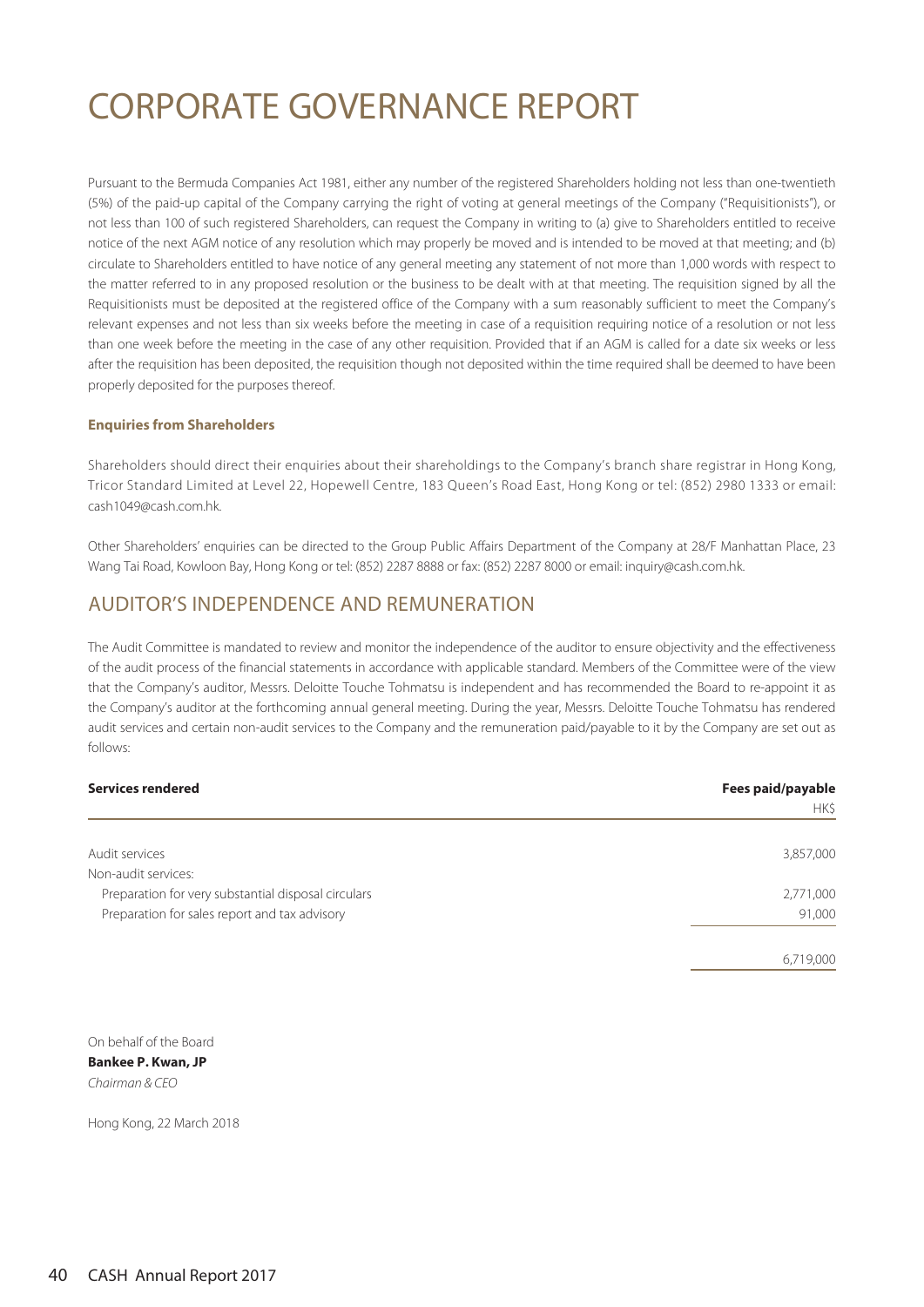## CORPORATE GOVERNANCE REPORT

Pursuant to the Bermuda Companies Act 1981, either any number of the registered Shareholders holding not less than one-twentieth (5%) of the paid-up capital of the Company carrying the right of voting at general meetings of the Company ("Requisitionists"), or not less than 100 of such registered Shareholders, can request the Company in writing to (a) give to Shareholders entitled to receive notice of the next AGM notice of any resolution which may properly be moved and is intended to be moved at that meeting; and (b) circulate to Shareholders entitled to have notice of any general meeting any statement of not more than 1,000 words with respect to the matter referred to in any proposed resolution or the business to be dealt with at that meeting. The requisition signed by all the Requisitionists must be deposited at the registered office of the Company with a sum reasonably sufficient to meet the Company's relevant expenses and not less than six weeks before the meeting in case of a requisition requiring notice of a resolution or not less than one week before the meeting in the case of any other requisition. Provided that if an AGM is called for a date six weeks or less after the requisition has been deposited, the requisition though not deposited within the time required shall be deemed to have been properly deposited for the purposes thereof.

### **Enquiries from Shareholders**

Shareholders should direct their enquiries about their shareholdings to the Company's branch share registrar in Hong Kong, Tricor Standard Limited at Level 22, Hopewell Centre, 183 Queen's Road East, Hong Kong or tel: (852) 2980 1333 or email: cash1049@cash.com.hk.

Other Shareholders' enquiries can be directed to the Group Public Affairs Department of the Company at 28/F Manhattan Place, 23 Wang Tai Road, Kowloon Bay, Hong Kong or tel: (852) 2287 8888 or fax: (852) 2287 8000 or email: inquiry@cash.com.hk.

## AUDITOR'S INDEPENDENCE AND REMUNERATION

The Audit Committee is mandated to review and monitor the independence of the auditor to ensure objectivity and the effectiveness of the audit process of the financial statements in accordance with applicable standard. Members of the Committee were of the view that the Company's auditor, Messrs. Deloitte Touche Tohmatsu is independent and has recommended the Board to re-appoint it as the Company's auditor at the forthcoming annual general meeting. During the year, Messrs. Deloitte Touche Tohmatsu has rendered audit services and certain non-audit services to the Company and the remuneration paid/payable to it by the Company are set out as follows:

| <b>Services rendered</b>                            | Fees paid/payable<br>HK\$ |
|-----------------------------------------------------|---------------------------|
|                                                     |                           |
| Audit services                                      | 3,857,000                 |
| Non-audit services:                                 |                           |
| Preparation for very substantial disposal circulars | 2,771,000                 |
| Preparation for sales report and tax advisory       | 91,000                    |
|                                                     | 6.719.000                 |

On behalf of the Board **Bankee P. Kwan, JP** Chairman & CEO

Hong Kong, 22 March 2018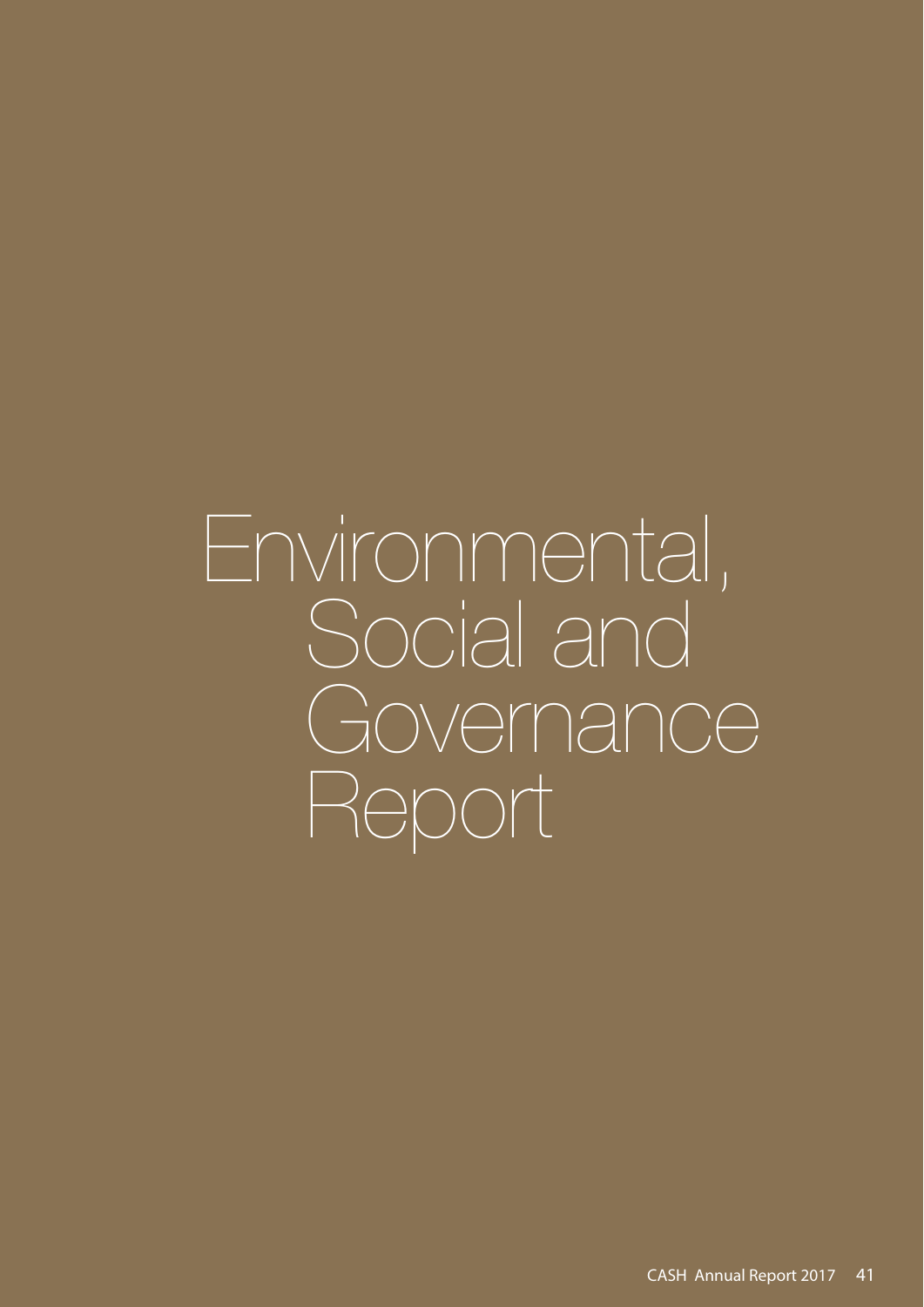Environmental, Social and Governance Report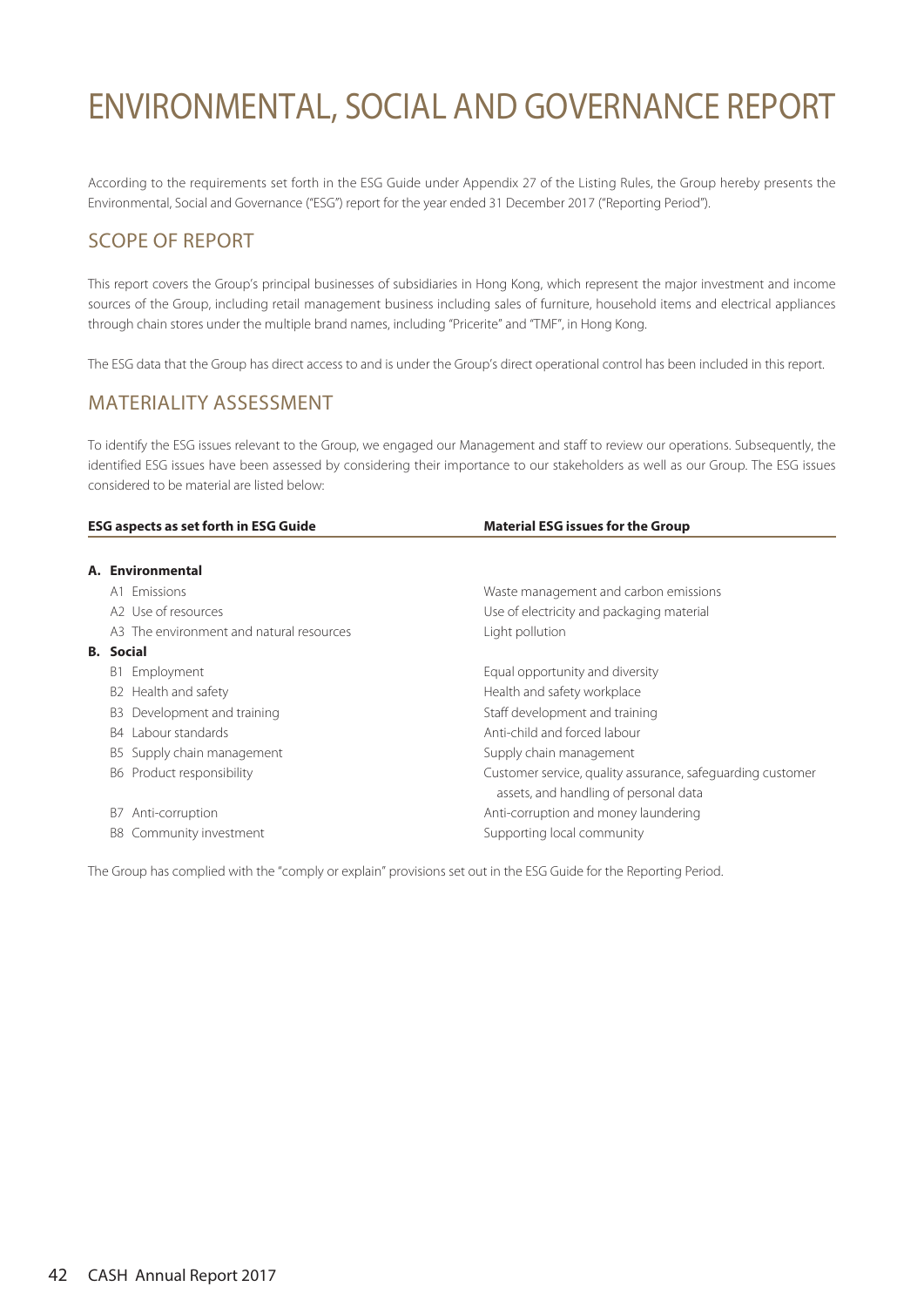## ENVIRONMENTAL, SOCIAL AND GOVERNANCE REPORT

According to the requirements set forth in the ESG Guide under Appendix 27 of the Listing Rules, the Group hereby presents the Environmental, Social and Governance ("ESG") report for the year ended 31 December 2017 ("Reporting Period").

## SCOPE OF REPORT

This report covers the Group's principal businesses of subsidiaries in Hong Kong, which represent the major investment and income sources of the Group, including retail management business including sales of furniture, household items and electrical appliances through chain stores under the multiple brand names, including "Pricerite" and "TMF", in Hong Kong.

The ESG data that the Group has direct access to and is under the Group's direct operational control has been included in this report.

## MATERIALITY ASSESSMENT

To identify the ESG issues relevant to the Group, we engaged our Management and staff to review our operations. Subsequently, the identified ESG issues have been assessed by considering their importance to our stakeholders as well as our Group. The ESG issues considered to be material are listed below:

| <b>ESG aspects as set forth in ESG Guide</b> | <b>Material ESG issues for the Group</b>                   |
|----------------------------------------------|------------------------------------------------------------|
|                                              |                                                            |
| A. Environmental                             |                                                            |
| A1 Emissions                                 | Waste management and carbon emissions                      |
| A <sub>2</sub> Use of resources              | Use of electricity and packaging material                  |
| A3 The environment and natural resources     | Light pollution                                            |
| <b>B.</b> Social                             |                                                            |
| Employment<br><b>B1</b>                      | Equal opportunity and diversity                            |
| B2 Health and safety                         | Health and safety workplace                                |
| Development and training<br>B3               | Staff development and training                             |
| B4 Labour standards                          | Anti-child and forced labour                               |
| B5 Supply chain management                   | Supply chain management                                    |
| B6 Product responsibility                    | Customer service, quality assurance, safeguarding customer |
|                                              | assets, and handling of personal data                      |
| Anti-corruption<br>B7                        | Anti-corruption and money laundering                       |
| B8 Community investment                      | Supporting local community                                 |

The Group has complied with the "comply or explain" provisions set out in the ESG Guide for the Reporting Period.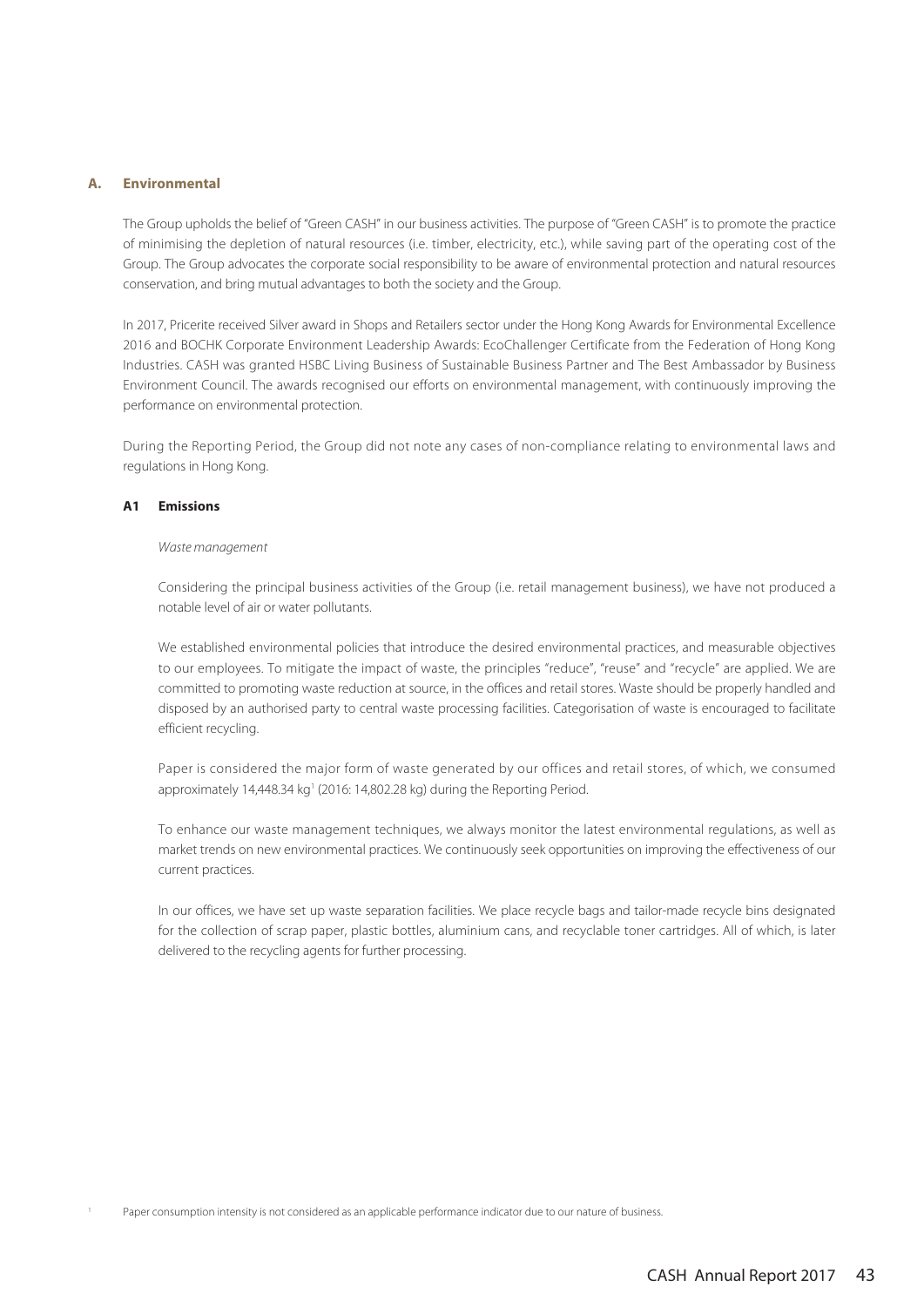### **A. Environmental**

The Group upholds the belief of "Green CASH" in our business activities. The purpose of "Green CASH" is to promote the practice of minimising the depletion of natural resources (i.e. timber, electricity, etc.), while saving part of the operating cost of the Group. The Group advocates the corporate social responsibility to be aware of environmental protection and natural resources conservation, and bring mutual advantages to both the society and the Group.

In 2017, Pricerite received Silver award in Shops and Retailers sector under the Hong Kong Awards for Environmental Excellence 2016 and BOCHK Corporate Environment Leadership Awards: EcoChallenger Certificate from the Federation of Hong Kong Industries. CASH was granted HSBC Living Business of Sustainable Business Partner and The Best Ambassador by Business Environment Council. The awards recognised our efforts on environmental management, with continuously improving the performance on environmental protection.

During the Reporting Period, the Group did not note any cases of non-compliance relating to environmental laws and regulations in Hong Kong.

### **A1 Emissions**

#### Waste management

Considering the principal business activities of the Group (i.e. retail management business), we have not produced a notable level of air or water pollutants.

We established environmental policies that introduce the desired environmental practices, and measurable objectives to our employees. To mitigate the impact of waste, the principles "reduce", "reuse" and "recycle" are applied. We are committed to promoting waste reduction at source, in the offices and retail stores. Waste should be properly handled and disposed by an authorised party to central waste processing facilities. Categorisation of waste is encouraged to facilitate efficient recycling.

Paper is considered the major form of waste generated by our offices and retail stores, of which, we consumed approximately 14,448.34 kg<sup>1</sup> (2016: 14,802.28 kg) during the Reporting Period.

To enhance our waste management techniques, we always monitor the latest environmental regulations, as well as market trends on new environmental practices. We continuously seek opportunities on improving the effectiveness of our current practices.

In our offices, we have set up waste separation facilities. We place recycle bags and tailor-made recycle bins designated for the collection of scrap paper, plastic bottles, aluminium cans, and recyclable toner cartridges. All of which, is later delivered to the recycling agents for further processing.

Paper consumption intensity is not considered as an applicable performance indicator due to our nature of business.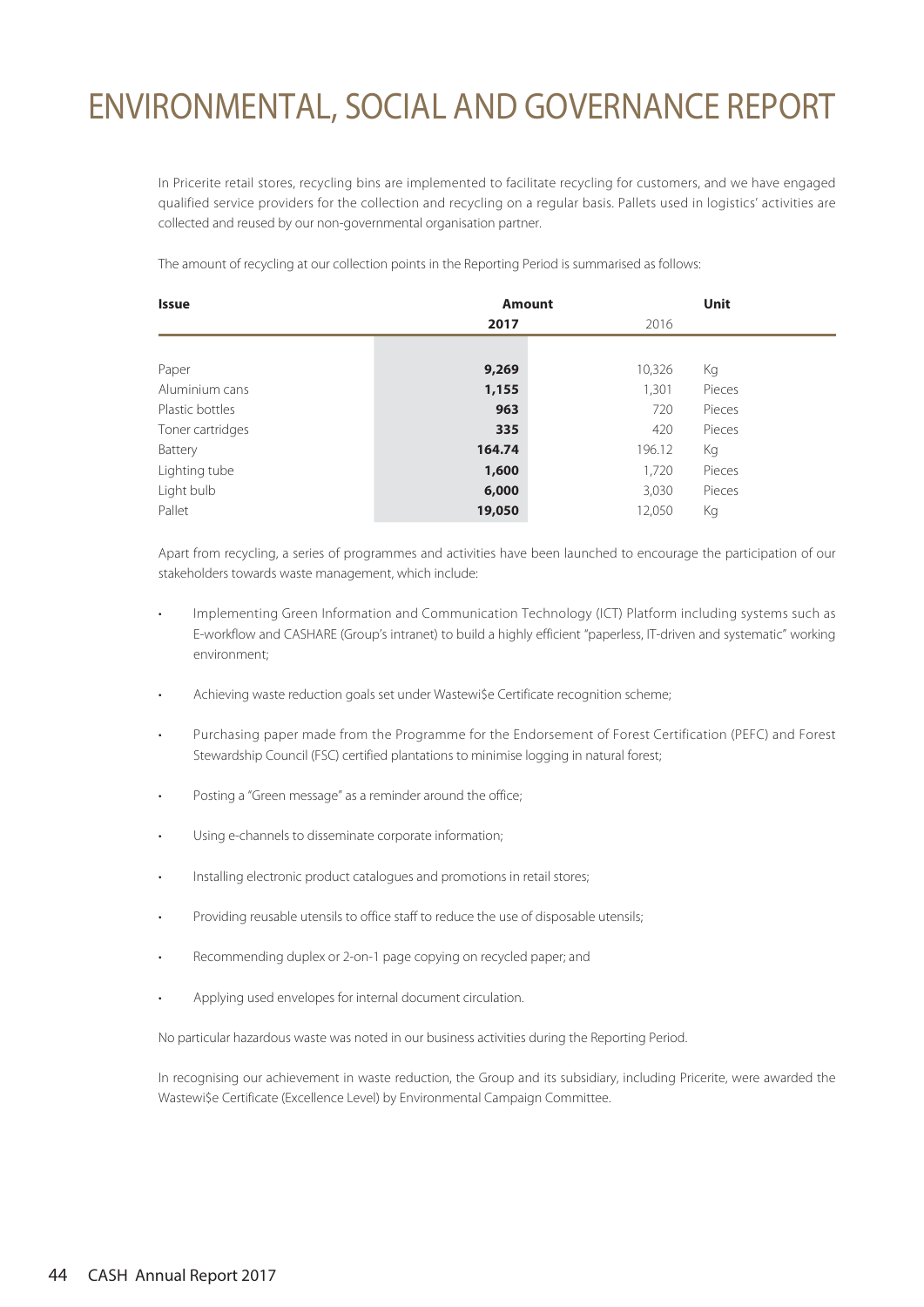## ENVIRONMENTAL, SOCIAL AND GOVERNANCE REPORT

In Pricerite retail stores, recycling bins are implemented to facilitate recycling for customers, and we have engaged qualified service providers for the collection and recycling on a regular basis. Pallets used in logistics' activities are collected and reused by our non-governmental organisation partner.

The amount of recycling at our collection points in the Reporting Period is summarised as follows:

| <b>Issue</b>     | <b>Amount</b> |        | Unit   |  |
|------------------|---------------|--------|--------|--|
|                  | 2017          | 2016   |        |  |
|                  |               |        |        |  |
| Paper            | 9,269         | 10,326 | Кg     |  |
| Aluminium cans   | 1,155         | 1,301  | Pieces |  |
| Plastic bottles  | 963           | 720    | Pieces |  |
| Toner cartridges | 335           | 420    | Pieces |  |
| Battery          | 164.74        | 196.12 | Кg     |  |
| Lighting tube    | 1,600         | 1,720  | Pieces |  |
| Light bulb       | 6,000         | 3,030  | Pieces |  |
| Pallet           | 19,050        | 12,050 | Кg     |  |

Apart from recycling, a series of programmes and activities have been launched to encourage the participation of our stakeholders towards waste management, which include:

- Implementing Green Information and Communication Technology (ICT) Platform including systems such as E-workflow and CASHARE (Group's intranet) to build a highly efficient "paperless, IT-driven and systematic" working environment;
- Achieving waste reduction goals set under Wastewi\$e Certificate recognition scheme;
- Purchasing paper made from the Programme for the Endorsement of Forest Certification (PEFC) and Forest Stewardship Council (FSC) certified plantations to minimise logging in natural forest;
- Posting a "Green message" as a reminder around the office;
- Using e-channels to disseminate corporate information;
- Installing electronic product catalogues and promotions in retail stores;
- Providing reusable utensils to office staff to reduce the use of disposable utensils;
- Recommending duplex or 2-on-1 page copying on recycled paper; and
- Applying used envelopes for internal document circulation.

No particular hazardous waste was noted in our business activities during the Reporting Period.

In recognising our achievement in waste reduction, the Group and its subsidiary, including Pricerite, were awarded the Wastewi\$e Certificate (Excellence Level) by Environmental Campaign Committee.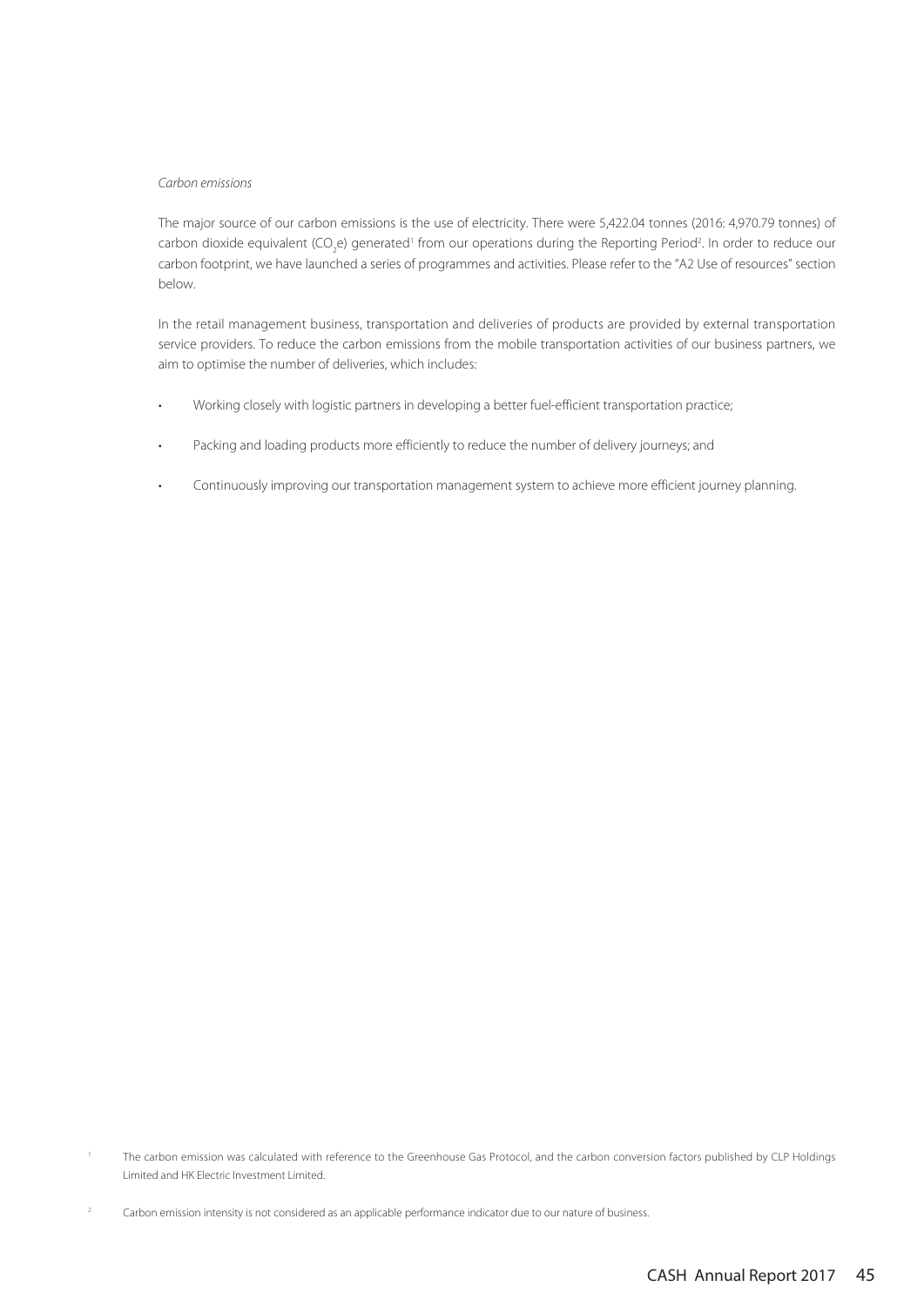#### Carbon emissions

The major source of our carbon emissions is the use of electricity. There were 5,422.04 tonnes (2016: 4,970.79 tonnes) of carbon dioxide equivalent (CO<sub>2</sub>e) generated<sup>1</sup> from our operations during the Reporting Period<sup>2</sup>. In order to reduce our carbon footprint, we have launched a series of programmes and activities. Please refer to the "A2 Use of resources" section below.

In the retail management business, transportation and deliveries of products are provided by external transportation service providers. To reduce the carbon emissions from the mobile transportation activities of our business partners, we aim to optimise the number of deliveries, which includes:

- Working closely with logistic partners in developing a better fuel-efficient transportation practice;
- Packing and loading products more efficiently to reduce the number of delivery journeys; and
- Continuously improving our transportation management system to achieve more efficient journey planning.

The carbon emission was calculated with reference to the Greenhouse Gas Protocol, and the carbon conversion factors published by CLP Holdings Limited and HK Electric Investment Limited.

Carbon emission intensity is not considered as an applicable performance indicator due to our nature of business.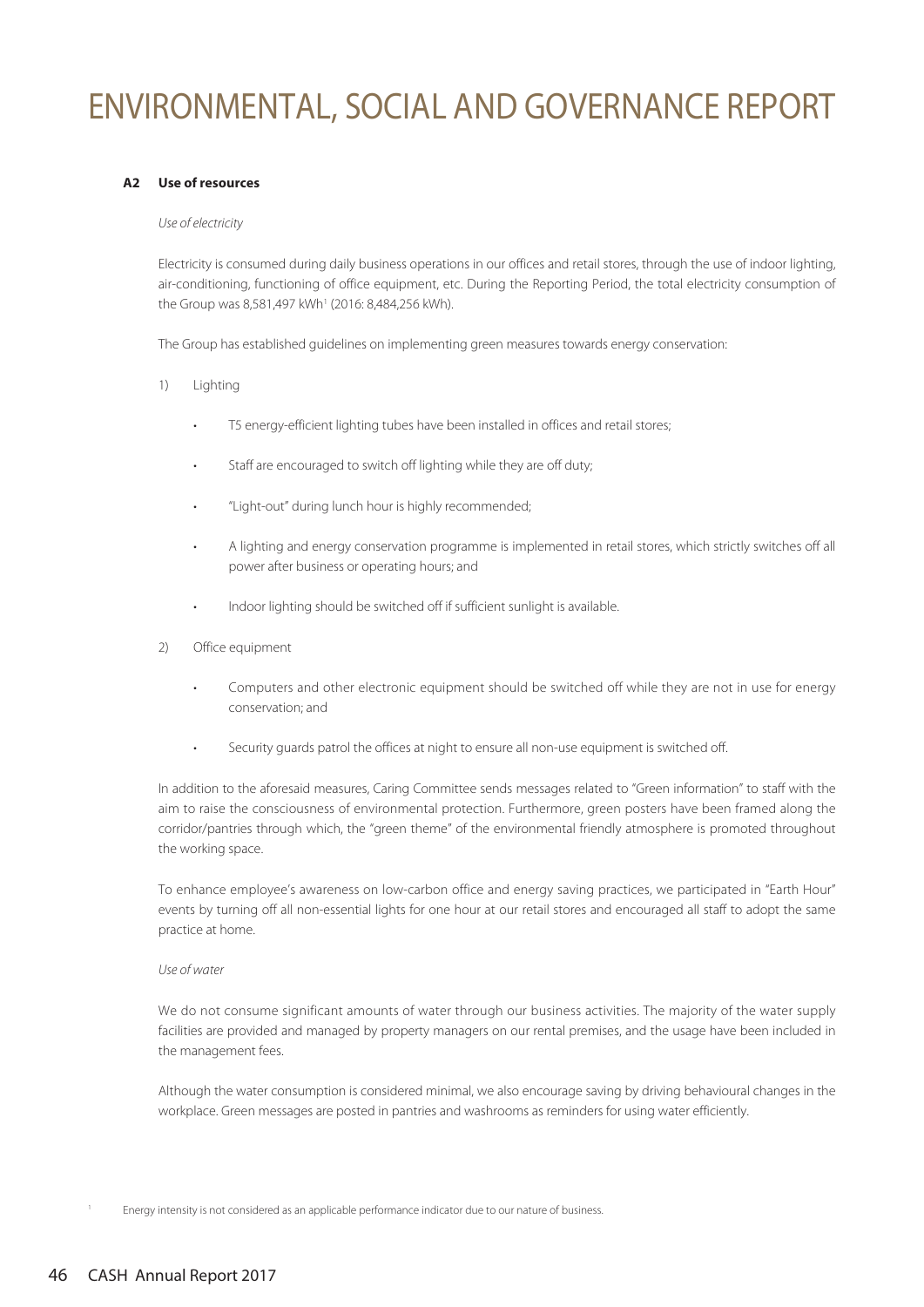## ENVIRONMENTAL, SOCIAL AND GOVERNANCE REPORT

#### **A2 Use of resources**

#### Use of electricity

Electricity is consumed during daily business operations in our offices and retail stores, through the use of indoor lighting, air-conditioning, functioning of office equipment, etc. During the Reporting Period, the total electricity consumption of the Group was 8,581,497 kWh<sup>1</sup> (2016: 8,484,256 kWh).

The Group has established guidelines on implementing green measures towards energy conservation:

- 1) Lighting
	- T5 energy-efficient lighting tubes have been installed in offices and retail stores;
	- Staff are encouraged to switch off lighting while they are off duty;
	- "Light-out" during lunch hour is highly recommended;
	- A lighting and energy conservation programme is implemented in retail stores, which strictly switches off all power after business or operating hours; and
	- Indoor lighting should be switched off if sufficient sunlight is available.
- 2) Office equipment
	- Computers and other electronic equipment should be switched off while they are not in use for energy conservation; and
	- Security guards patrol the offices at night to ensure all non-use equipment is switched off.

In addition to the aforesaid measures, Caring Committee sends messages related to "Green information" to staff with the aim to raise the consciousness of environmental protection. Furthermore, green posters have been framed along the corridor/pantries through which, the "green theme" of the environmental friendly atmosphere is promoted throughout the working space.

To enhance employee's awareness on low-carbon office and energy saving practices, we participated in "Earth Hour" events by turning off all non-essential lights for one hour at our retail stores and encouraged all staff to adopt the same practice at home.

#### Use of water

We do not consume significant amounts of water through our business activities. The majority of the water supply facilities are provided and managed by property managers on our rental premises, and the usage have been included in the management fees.

Although the water consumption is considered minimal, we also encourage saving by driving behavioural changes in the workplace. Green messages are posted in pantries and washrooms as reminders for using water efficiently.

Energy intensity is not considered as an applicable performance indicator due to our nature of business.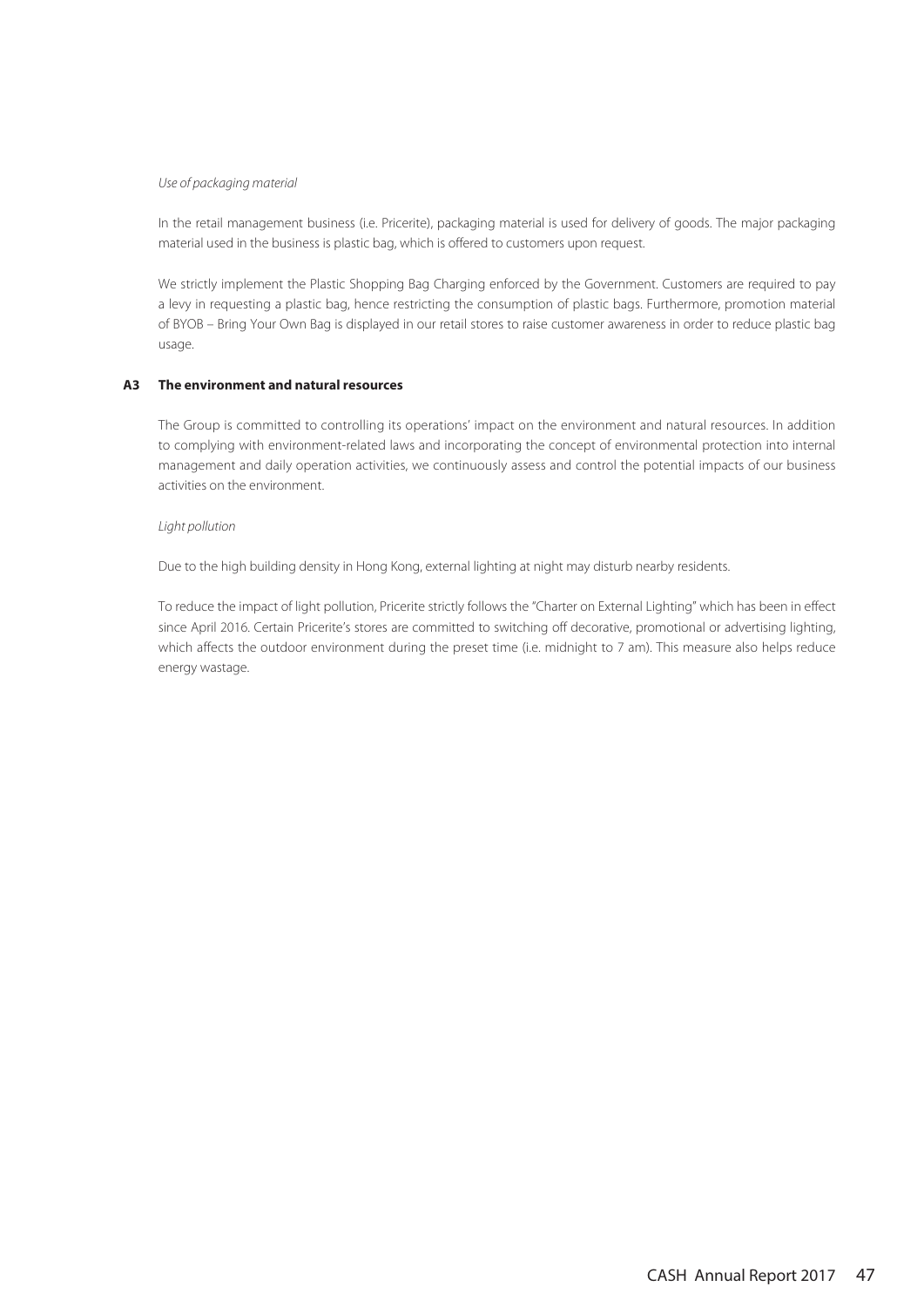#### Use of packaging material

In the retail management business (i.e. Pricerite), packaging material is used for delivery of goods. The major packaging material used in the business is plastic bag, which is offered to customers upon request.

We strictly implement the Plastic Shopping Bag Charging enforced by the Government. Customers are required to pay a levy in requesting a plastic bag, hence restricting the consumption of plastic bags. Furthermore, promotion material of BYOB – Bring Your Own Bag is displayed in our retail stores to raise customer awareness in order to reduce plastic bag usage.

### **A3 The environment and natural resources**

The Group is committed to controlling its operations' impact on the environment and natural resources. In addition to complying with environment-related laws and incorporating the concept of environmental protection into internal management and daily operation activities, we continuously assess and control the potential impacts of our business activities on the environment.

#### Light pollution

Due to the high building density in Hong Kong, external lighting at night may disturb nearby residents.

To reduce the impact of light pollution, Pricerite strictly follows the "Charter on External Lighting" which has been in effect since April 2016. Certain Pricerite's stores are committed to switching off decorative, promotional or advertising lighting, which affects the outdoor environment during the preset time (i.e. midnight to 7 am). This measure also helps reduce energy wastage.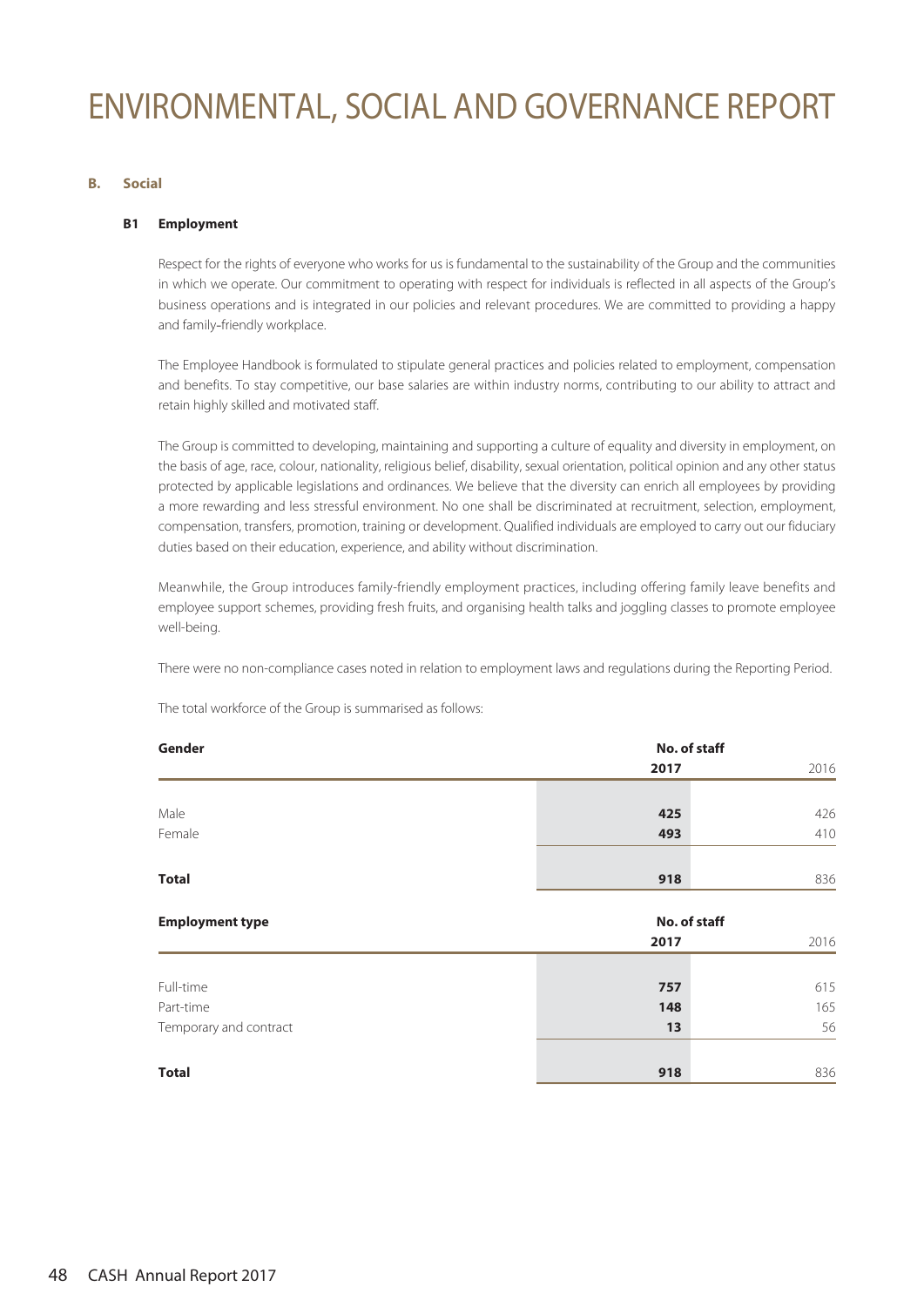## ENVIRONMENTAL, SOCIAL AND GOVERNANCE REPORT

### **B. Social**

### **B1 Employment**

Respect for the rights of everyone who works for us is fundamental to the sustainability of the Group and the communities in which we operate. Our commitment to operating with respect for individuals is reflected in all aspects of the Group's business operations and is integrated in our policies and relevant procedures. We are committed to providing a happy and family-friendly workplace.

The Employee Handbook is formulated to stipulate general practices and policies related to employment, compensation and benefits. To stay competitive, our base salaries are within industry norms, contributing to our ability to attract and retain highly skilled and motivated staff.

The Group is committed to developing, maintaining and supporting a culture of equality and diversity in employment, on the basis of age, race, colour, nationality, religious belief, disability, sexual orientation, political opinion and any other status protected by applicable legislations and ordinances. We believe that the diversity can enrich all employees by providing a more rewarding and less stressful environment. No one shall be discriminated at recruitment, selection, employment, compensation, transfers, promotion, training or development. Qualified individuals are employed to carry out our fiduciary duties based on their education, experience, and ability without discrimination.

Meanwhile, the Group introduces family-friendly employment practices, including offering family leave benefits and employee support schemes, providing fresh fruits, and organising health talks and joggling classes to promote employee well-being.

There were no non-compliance cases noted in relation to employment laws and regulations during the Reporting Period.

**Gender No. of staff 2017** 2016 Male **425** 426 Female **493** 410 **Total 918** 836 **Employment type No. of staff 2017** 2016 Full-time **757** 615 Part-time **148** 165 Temporary and contract **13** 56 **Total 918** 836

The total workforce of the Group is summarised as follows: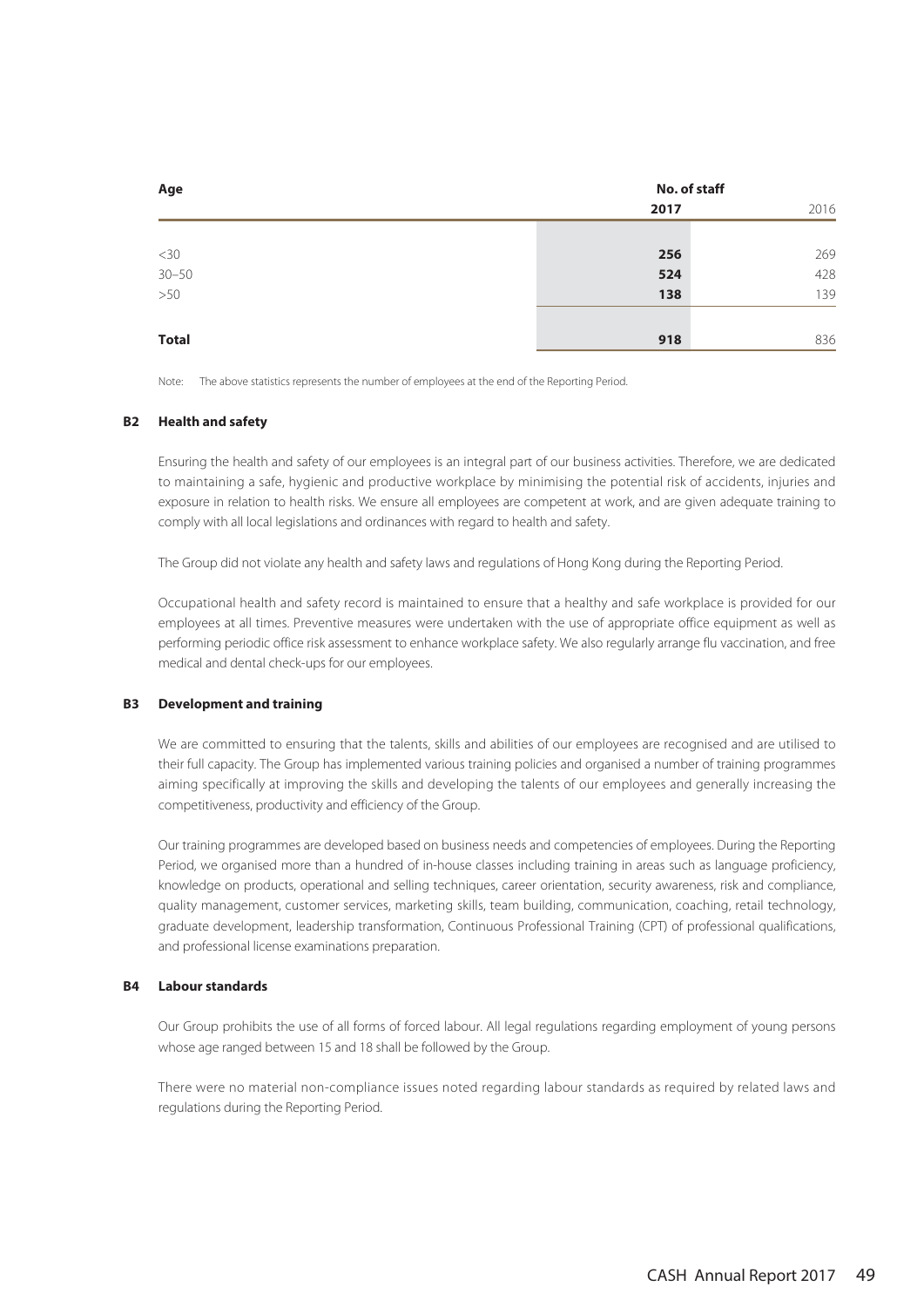| Age          | No. of staff |      |
|--------------|--------------|------|
|              | 2017         | 2016 |
|              |              |      |
| $<$ 30 $\,$  | 256          | 269  |
| $30 - 50$    | 524          | 428  |
| >50          | 138          | 139  |
|              |              |      |
| <b>Total</b> | 918          | 836  |

Note: The above statistics represents the number of employees at the end of the Reporting Period.

#### **B2 Health and safety**

Ensuring the health and safety of our employees is an integral part of our business activities. Therefore, we are dedicated to maintaining a safe, hygienic and productive workplace by minimising the potential risk of accidents, injuries and exposure in relation to health risks. We ensure all employees are competent at work, and are given adequate training to comply with all local legislations and ordinances with regard to health and safety.

The Group did not violate any health and safety laws and regulations of Hong Kong during the Reporting Period.

Occupational health and safety record is maintained to ensure that a healthy and safe workplace is provided for our employees at all times. Preventive measures were undertaken with the use of appropriate office equipment as well as performing periodic office risk assessment to enhance workplace safety. We also regularly arrange flu vaccination, and free medical and dental check-ups for our employees.

#### **B3 Development and training**

We are committed to ensuring that the talents, skills and abilities of our employees are recognised and are utilised to their full capacity. The Group has implemented various training policies and organised a number of training programmes aiming specifically at improving the skills and developing the talents of our employees and generally increasing the competitiveness, productivity and efficiency of the Group.

Our training programmes are developed based on business needs and competencies of employees. During the Reporting Period, we organised more than a hundred of in-house classes including training in areas such as language proficiency, knowledge on products, operational and selling techniques, career orientation, security awareness, risk and compliance, quality management, customer services, marketing skills, team building, communication, coaching, retail technology, graduate development, leadership transformation, Continuous Professional Training (CPT) of professional qualifications, and professional license examinations preparation.

#### **B4 Labour standards**

Our Group prohibits the use of all forms of forced labour. All legal regulations regarding employment of young persons whose age ranged between 15 and 18 shall be followed by the Group.

There were no material non-compliance issues noted regarding labour standards as required by related laws and regulations during the Reporting Period.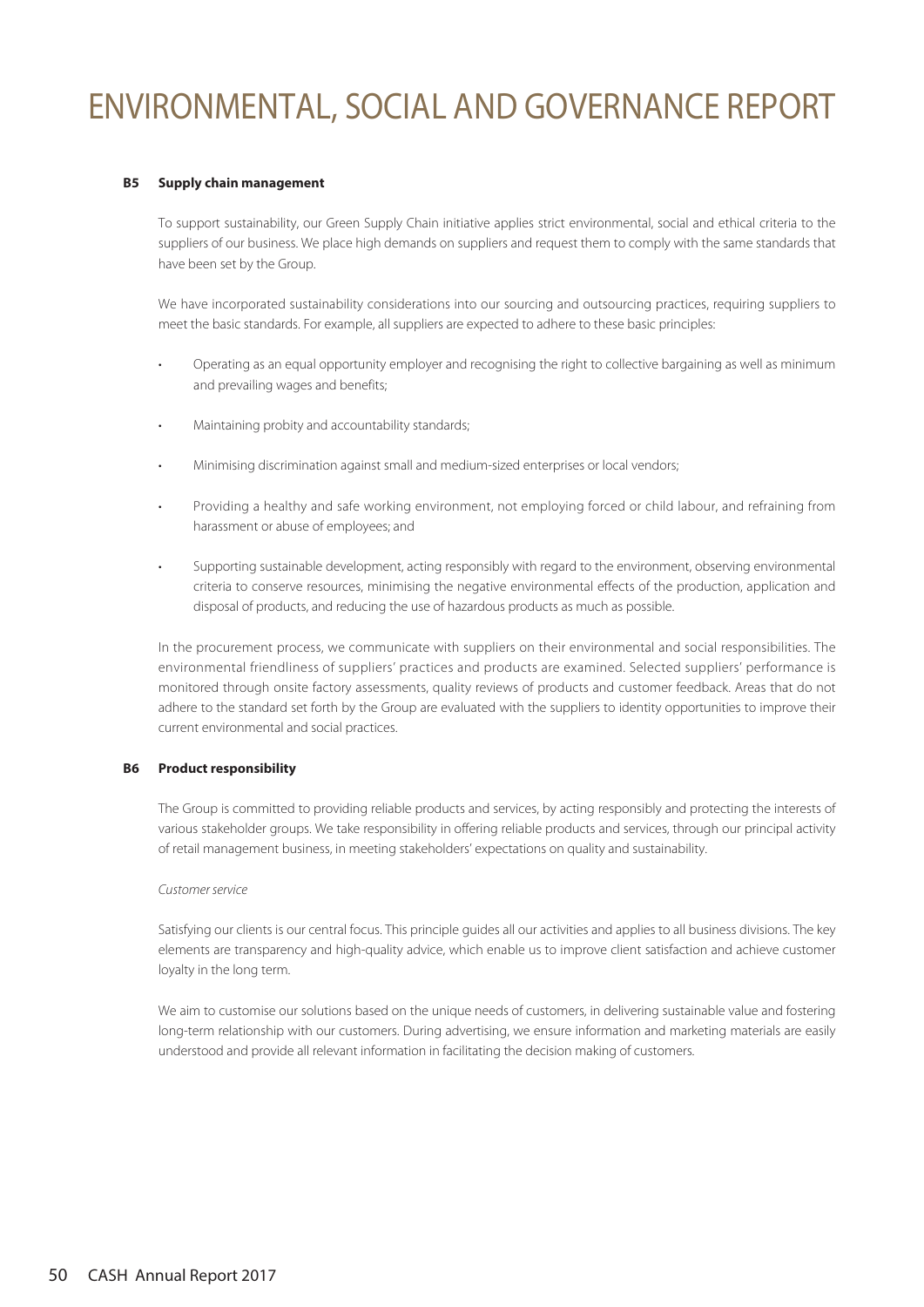## ENVIRONMENTAL, SOCIAL AND GOVERNANCE REPORT

#### **B5 Supply chain management**

To support sustainability, our Green Supply Chain initiative applies strict environmental, social and ethical criteria to the suppliers of our business. We place high demands on suppliers and request them to comply with the same standards that have been set by the Group.

We have incorporated sustainability considerations into our sourcing and outsourcing practices, requiring suppliers to meet the basic standards. For example, all suppliers are expected to adhere to these basic principles:

- Operating as an equal opportunity employer and recognising the right to collective bargaining as well as minimum and prevailing wages and benefits;
- Maintaining probity and accountability standards;
- Minimising discrimination against small and medium-sized enterprises or local vendors;
- Providing a healthy and safe working environment, not employing forced or child labour, and refraining from harassment or abuse of employees; and
- Supporting sustainable development, acting responsibly with regard to the environment, observing environmental criteria to conserve resources, minimising the negative environmental effects of the production, application and disposal of products, and reducing the use of hazardous products as much as possible.

In the procurement process, we communicate with suppliers on their environmental and social responsibilities. The environmental friendliness of suppliers' practices and products are examined. Selected suppliers' performance is monitored through onsite factory assessments, quality reviews of products and customer feedback. Areas that do not adhere to the standard set forth by the Group are evaluated with the suppliers to identity opportunities to improve their current environmental and social practices.

#### **B6 Product responsibility**

The Group is committed to providing reliable products and services, by acting responsibly and protecting the interests of various stakeholder groups. We take responsibility in offering reliable products and services, through our principal activity of retail management business, in meeting stakeholders' expectations on quality and sustainability.

#### Customer service

Satisfying our clients is our central focus. This principle guides all our activities and applies to all business divisions. The key elements are transparency and high-quality advice, which enable us to improve client satisfaction and achieve customer loyalty in the long term.

We aim to customise our solutions based on the unique needs of customers, in delivering sustainable value and fostering long-term relationship with our customers. During advertising, we ensure information and marketing materials are easily understood and provide all relevant information in facilitating the decision making of customers.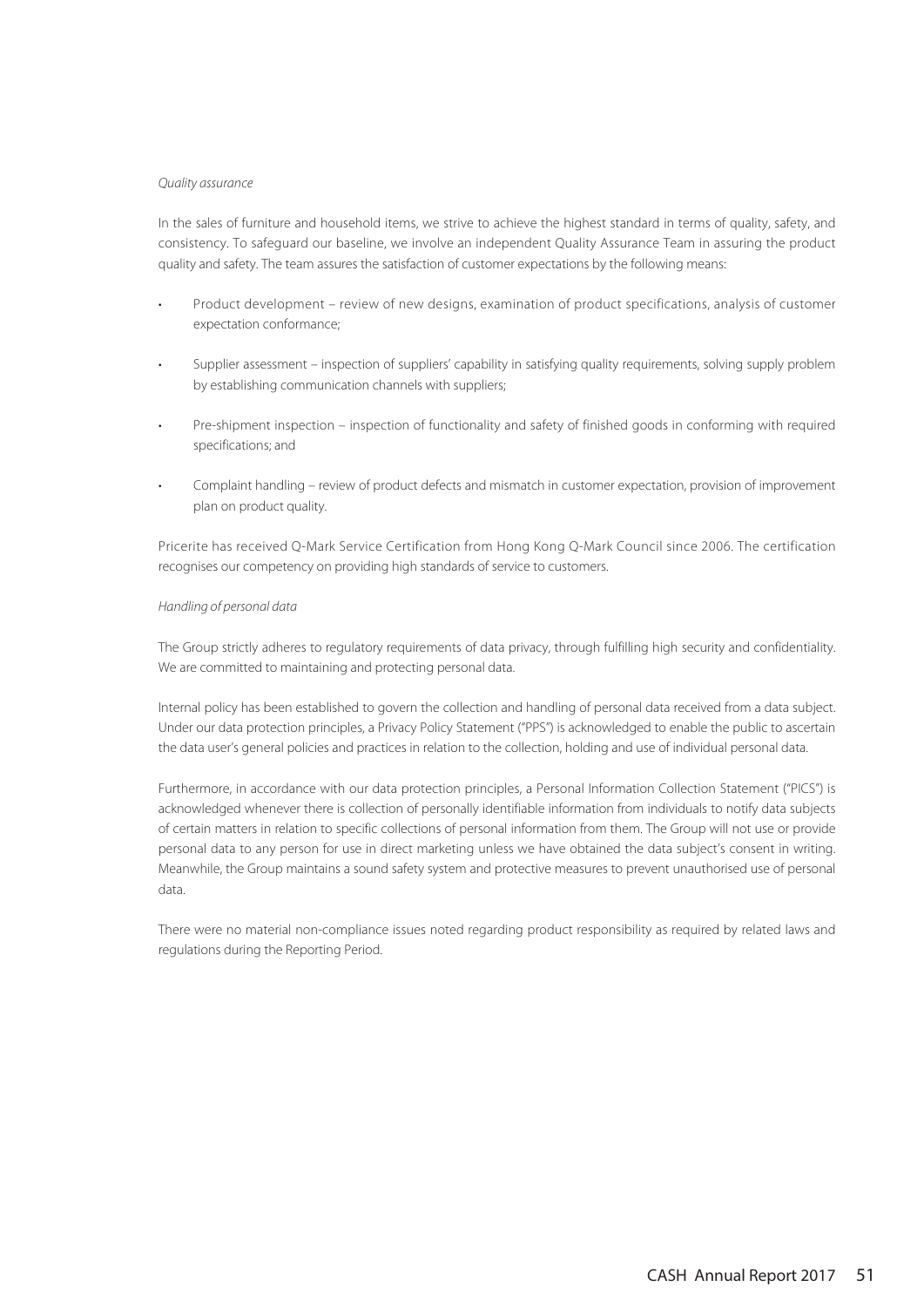#### Quality assurance

In the sales of furniture and household items, we strive to achieve the highest standard in terms of quality, safety, and consistency. To safeguard our baseline, we involve an independent Quality Assurance Team in assuring the product quality and safety. The team assures the satisfaction of customer expectations by the following means:

- Product development review of new designs, examination of product specifications, analysis of customer expectation conformance;
- Supplier assessment inspection of suppliers' capability in satisfying quality requirements, solving supply problem by establishing communication channels with suppliers;
- Pre-shipment inspection inspection of functionality and safety of finished goods in conforming with required specifications; and
- Complaint handling review of product defects and mismatch in customer expectation, provision of improvement plan on product quality.

Pricerite has received Q-Mark Service Certification from Hong Kong Q-Mark Council since 2006. The certification recognises our competency on providing high standards of service to customers.

#### Handling of personal data

The Group strictly adheres to regulatory requirements of data privacy, through fulfilling high security and confidentiality. We are committed to maintaining and protecting personal data.

Internal policy has been established to govern the collection and handling of personal data received from a data subject. Under our data protection principles, a Privacy Policy Statement ("PPS") is acknowledged to enable the public to ascertain the data user's general policies and practices in relation to the collection, holding and use of individual personal data.

Furthermore, in accordance with our data protection principles, a Personal Information Collection Statement ("PICS") is acknowledged whenever there is collection of personally identifiable information from individuals to notify data subjects of certain matters in relation to specific collections of personal information from them. The Group will not use or provide personal data to any person for use in direct marketing unless we have obtained the data subject's consent in writing. Meanwhile, the Group maintains a sound safety system and protective measures to prevent unauthorised use of personal data.

There were no material non-compliance issues noted regarding product responsibility as required by related laws and regulations during the Reporting Period.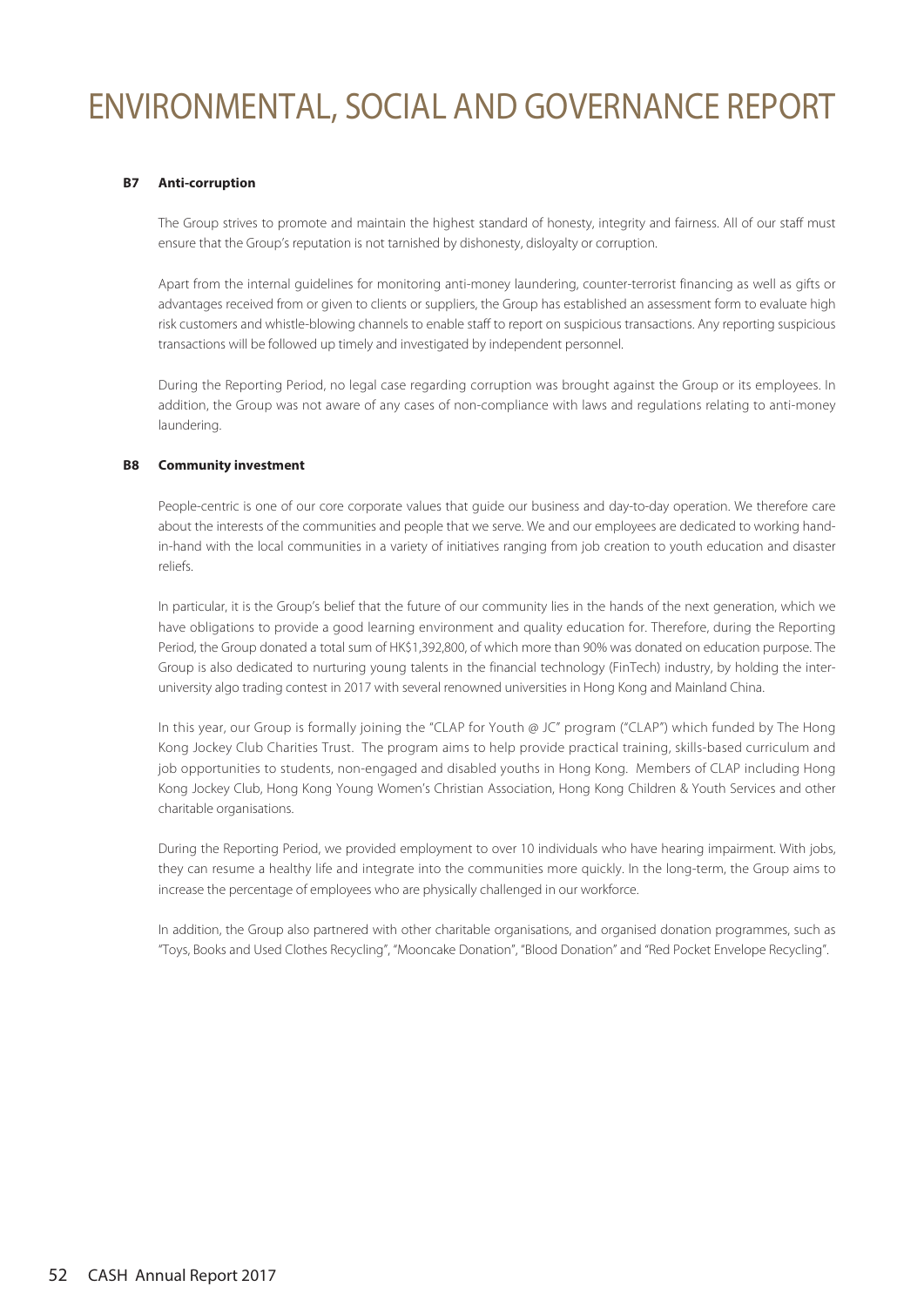## ENVIRONMENTAL, SOCIAL AND GOVERNANCE REPORT

#### **B7 Anti-corruption**

The Group strives to promote and maintain the highest standard of honesty, integrity and fairness. All of our staff must ensure that the Group's reputation is not tarnished by dishonesty, disloyalty or corruption.

Apart from the internal guidelines for monitoring anti-money laundering, counter-terrorist financing as well as gifts or advantages received from or given to clients or suppliers, the Group has established an assessment form to evaluate high risk customers and whistle-blowing channels to enable staff to report on suspicious transactions. Any reporting suspicious transactions will be followed up timely and investigated by independent personnel.

During the Reporting Period, no legal case regarding corruption was brought against the Group or its employees. In addition, the Group was not aware of any cases of non-compliance with laws and regulations relating to anti-money laundering.

#### **B8 Community investment**

People-centric is one of our core corporate values that guide our business and day-to-day operation. We therefore care about the interests of the communities and people that we serve. We and our employees are dedicated to working handin-hand with the local communities in a variety of initiatives ranging from job creation to youth education and disaster reliefs.

In particular, it is the Group's belief that the future of our community lies in the hands of the next generation, which we have obligations to provide a good learning environment and quality education for. Therefore, during the Reporting Period, the Group donated a total sum of HK\$1,392,800, of which more than 90% was donated on education purpose. The Group is also dedicated to nurturing young talents in the financial technology (FinTech) industry, by holding the interuniversity algo trading contest in 2017 with several renowned universities in Hong Kong and Mainland China.

In this year, our Group is formally joining the "CLAP for Youth @ JC" program ("CLAP") which funded by The Hong Kong Jockey Club Charities Trust. The program aims to help provide practical training, skills-based curriculum and job opportunities to students, non-engaged and disabled youths in Hong Kong. Members of CLAP including Hong Kong Jockey Club, Hong Kong Young Women's Christian Association, Hong Kong Children & Youth Services and other charitable organisations.

During the Reporting Period, we provided employment to over 10 individuals who have hearing impairment. With jobs, they can resume a healthy life and integrate into the communities more quickly. In the long-term, the Group aims to increase the percentage of employees who are physically challenged in our workforce.

In addition, the Group also partnered with other charitable organisations, and organised donation programmes, such as "Toys, Books and Used Clothes Recycling", "Mooncake Donation", "Blood Donation" and "Red Pocket Envelope Recycling".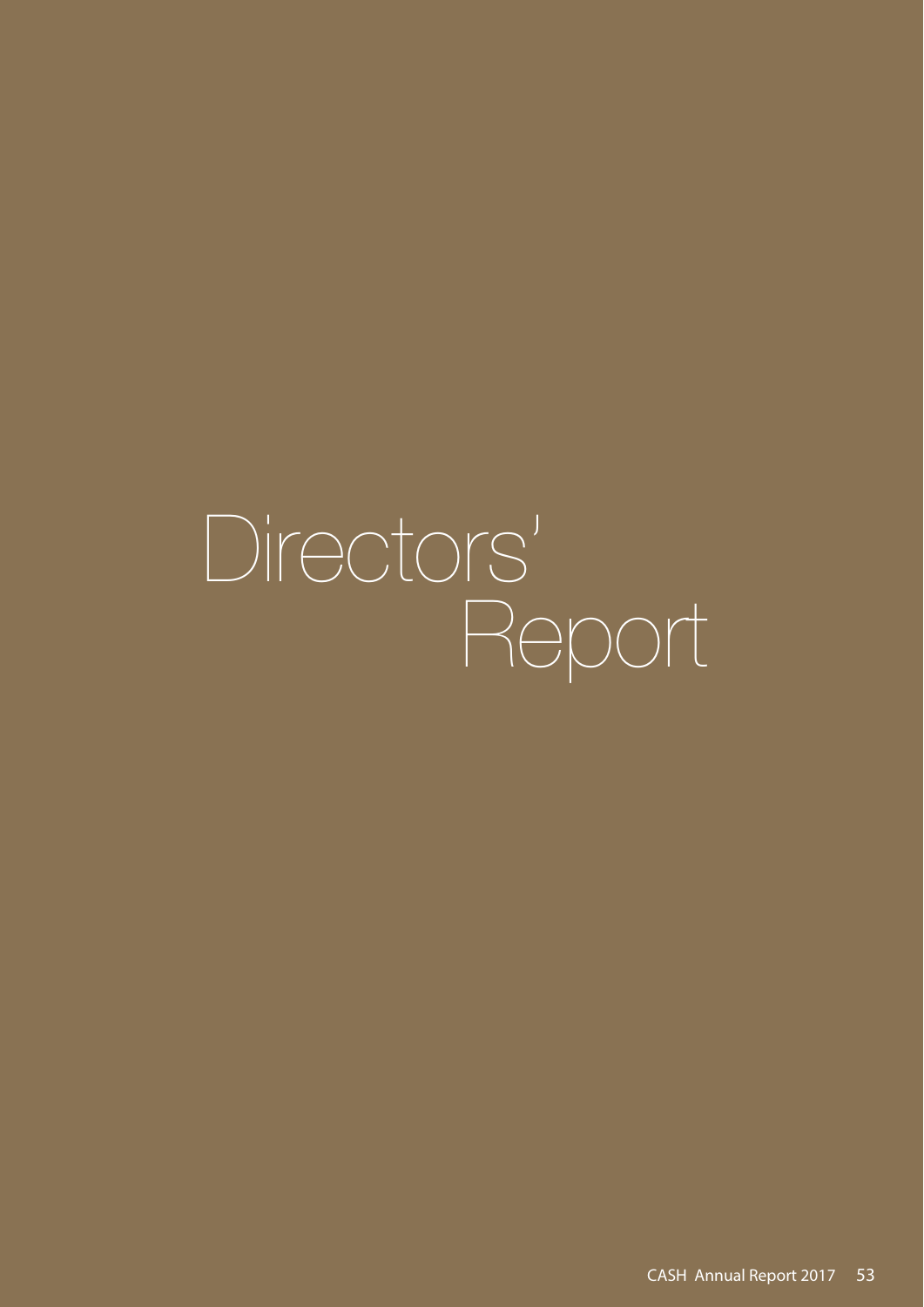# Directors' Report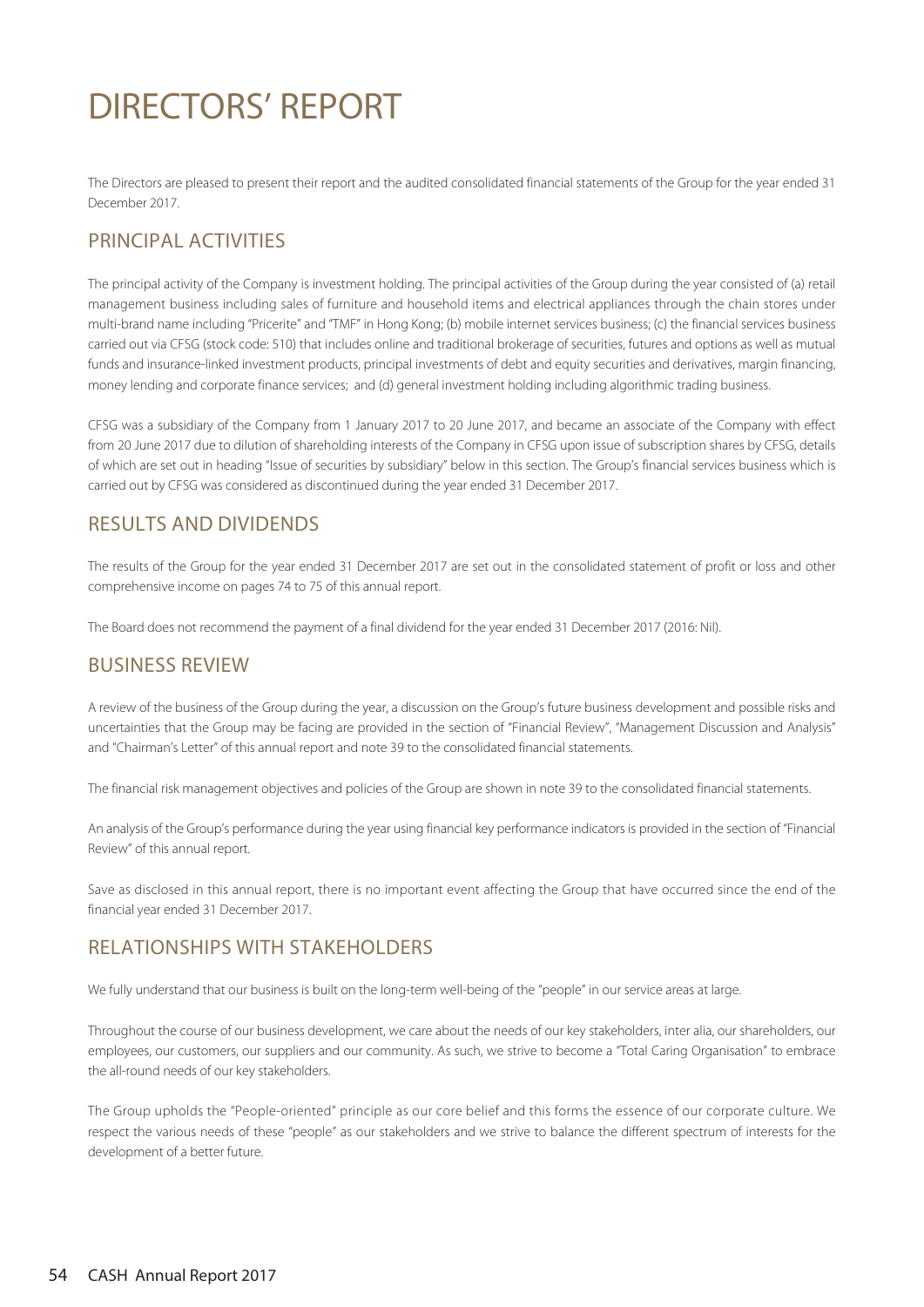The Directors are pleased to present their report and the audited consolidated financial statements of the Group for the year ended 31 December 2017.

## PRINCIPAL ACTIVITIES

The principal activity of the Company is investment holding. The principal activities of the Group during the year consisted of (a) retail management business including sales of furniture and household items and electrical appliances through the chain stores under multi-brand name including "Pricerite" and "TMF" in Hong Kong; (b) mobile internet services business; (c) the financial services business carried out via CFSG (stock code: 510) that includes online and traditional brokerage of securities, futures and options as well as mutual funds and insurance-linked investment products, principal investments of debt and equity securities and derivatives, margin financing, money lending and corporate finance services; and (d) general investment holding including algorithmic trading business.

CFSG was a subsidiary of the Company from 1 January 2017 to 20 June 2017, and became an associate of the Company with effect from 20 June 2017 due to dilution of shareholding interests of the Company in CFSG upon issue of subscription shares by CFSG, details of which are set out in heading "Issue of securities by subsidiary" below in this section. The Group's financial services business which is carried out by CFSG was considered as discontinued during the year ended 31 December 2017.

## RESULTS AND DIVIDENDS

The results of the Group for the year ended 31 December 2017 are set out in the consolidated statement of profit or loss and other comprehensive income on pages 74 to 75 of this annual report.

The Board does not recommend the payment of a final dividend for the year ended 31 December 2017 (2016: Nil).

## BUSINESS REVIEW

A review of the business of the Group during the year, a discussion on the Group's future business development and possible risks and uncertainties that the Group may be facing are provided in the section of "Financial Review", "Management Discussion and Analysis" and "Chairman's Letter" of this annual report and note 39 to the consolidated financial statements.

The financial risk management objectives and policies of the Group are shown in note 39 to the consolidated financial statements.

An analysis of the Group's performance during the year using financial key performance indicators is provided in the section of "Financial Review" of this annual report.

Save as disclosed in this annual report, there is no important event affecting the Group that have occurred since the end of the financial year ended 31 December 2017.

## RELATIONSHIPS WITH STAKEHOLDERS

We fully understand that our business is built on the long-term well-being of the "people" in our service areas at large.

Throughout the course of our business development, we care about the needs of our key stakeholders, inter alia, our shareholders, our employees, our customers, our suppliers and our community. As such, we strive to become a "Total Caring Organisation" to embrace the all-round needs of our key stakeholders.

The Group upholds the "People-oriented" principle as our core belief and this forms the essence of our corporate culture. We respect the various needs of these "people" as our stakeholders and we strive to balance the different spectrum of interests for the development of a better future.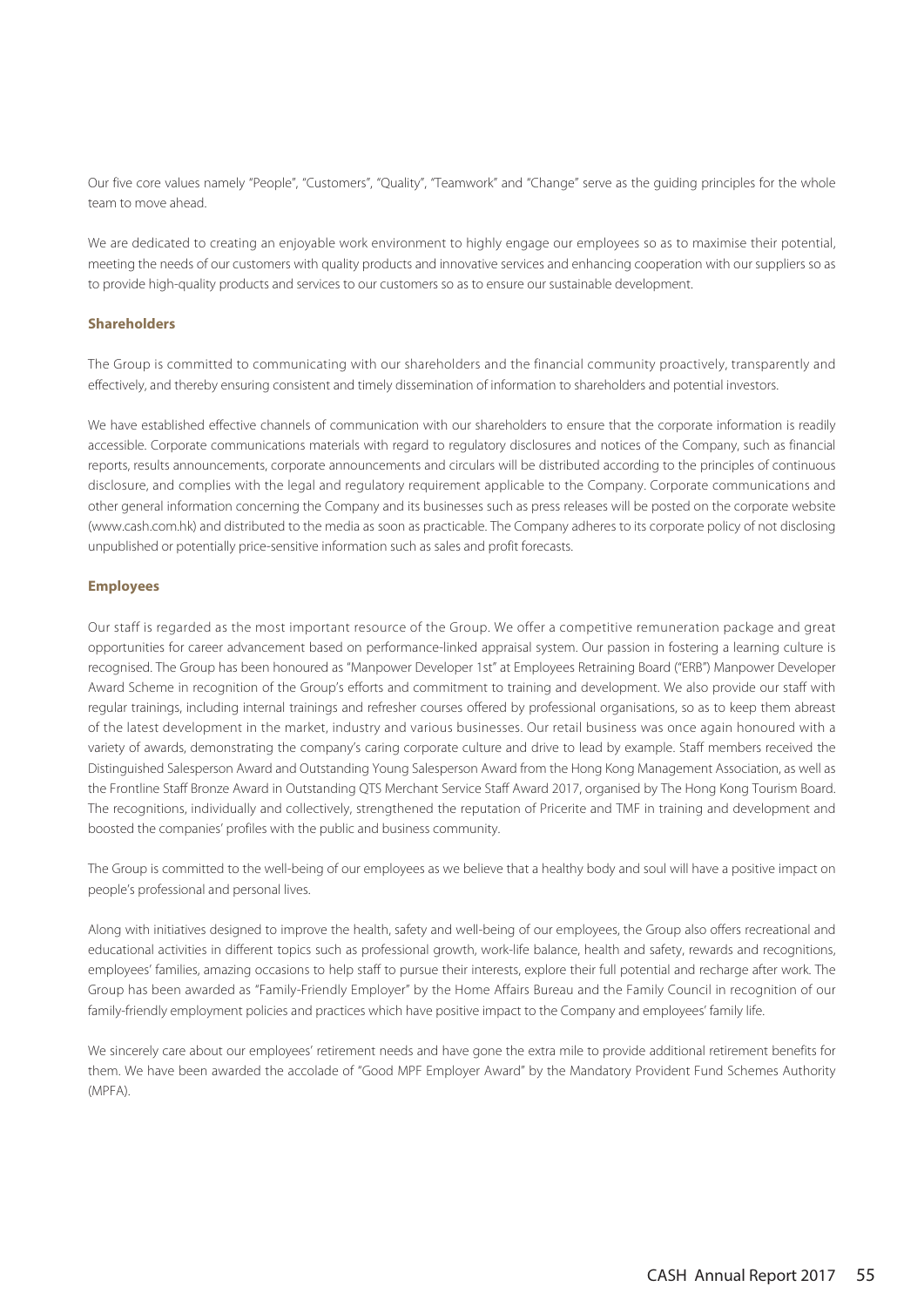Our five core values namely "People", "Customers", "Quality", "Teamwork" and "Change" serve as the guiding principles for the whole team to move ahead.

We are dedicated to creating an enjoyable work environment to highly engage our employees so as to maximise their potential, meeting the needs of our customers with quality products and innovative services and enhancing cooperation with our suppliers so as to provide high-quality products and services to our customers so as to ensure our sustainable development.

### **Shareholders**

The Group is committed to communicating with our shareholders and the financial community proactively, transparently and effectively, and thereby ensuring consistent and timely dissemination of information to shareholders and potential investors.

We have established effective channels of communication with our shareholders to ensure that the corporate information is readily accessible. Corporate communications materials with regard to regulatory disclosures and notices of the Company, such as financial reports, results announcements, corporate announcements and circulars will be distributed according to the principles of continuous disclosure, and complies with the legal and regulatory requirement applicable to the Company. Corporate communications and other general information concerning the Company and its businesses such as press releases will be posted on the corporate website (www.cash.com.hk) and distributed to the media as soon as practicable. The Company adheres to its corporate policy of not disclosing unpublished or potentially price-sensitive information such as sales and profit forecasts.

#### **Employees**

Our staff is regarded as the most important resource of the Group. We offer a competitive remuneration package and great opportunities for career advancement based on performance-linked appraisal system. Our passion in fostering a learning culture is recognised. The Group has been honoured as "Manpower Developer 1st" at Employees Retraining Board ("ERB") Manpower Developer Award Scheme in recognition of the Group's efforts and commitment to training and development. We also provide our staff with regular trainings, including internal trainings and refresher courses offered by professional organisations, so as to keep them abreast of the latest development in the market, industry and various businesses. Our retail business was once again honoured with a variety of awards, demonstrating the company's caring corporate culture and drive to lead by example. Staff members received the Distinguished Salesperson Award and Outstanding Young Salesperson Award from the Hong Kong Management Association, as well as the Frontline Staff Bronze Award in Outstanding QTS Merchant Service Staff Award 2017, organised by The Hong Kong Tourism Board. The recognitions, individually and collectively, strengthened the reputation of Pricerite and TMF in training and development and boosted the companies' profiles with the public and business community.

The Group is committed to the well-being of our employees as we believe that a healthy body and soul will have a positive impact on people's professional and personal lives.

Along with initiatives designed to improve the health, safety and well-being of our employees, the Group also offers recreational and educational activities in different topics such as professional growth, work-life balance, health and safety, rewards and recognitions, employees' families, amazing occasions to help staff to pursue their interests, explore their full potential and recharge after work. The Group has been awarded as "Family-Friendly Employer" by the Home Affairs Bureau and the Family Council in recognition of our family-friendly employment policies and practices which have positive impact to the Company and employees' family life.

We sincerely care about our employees' retirement needs and have gone the extra mile to provide additional retirement benefits for them. We have been awarded the accolade of "Good MPF Employer Award" by the Mandatory Provident Fund Schemes Authority (MPFA).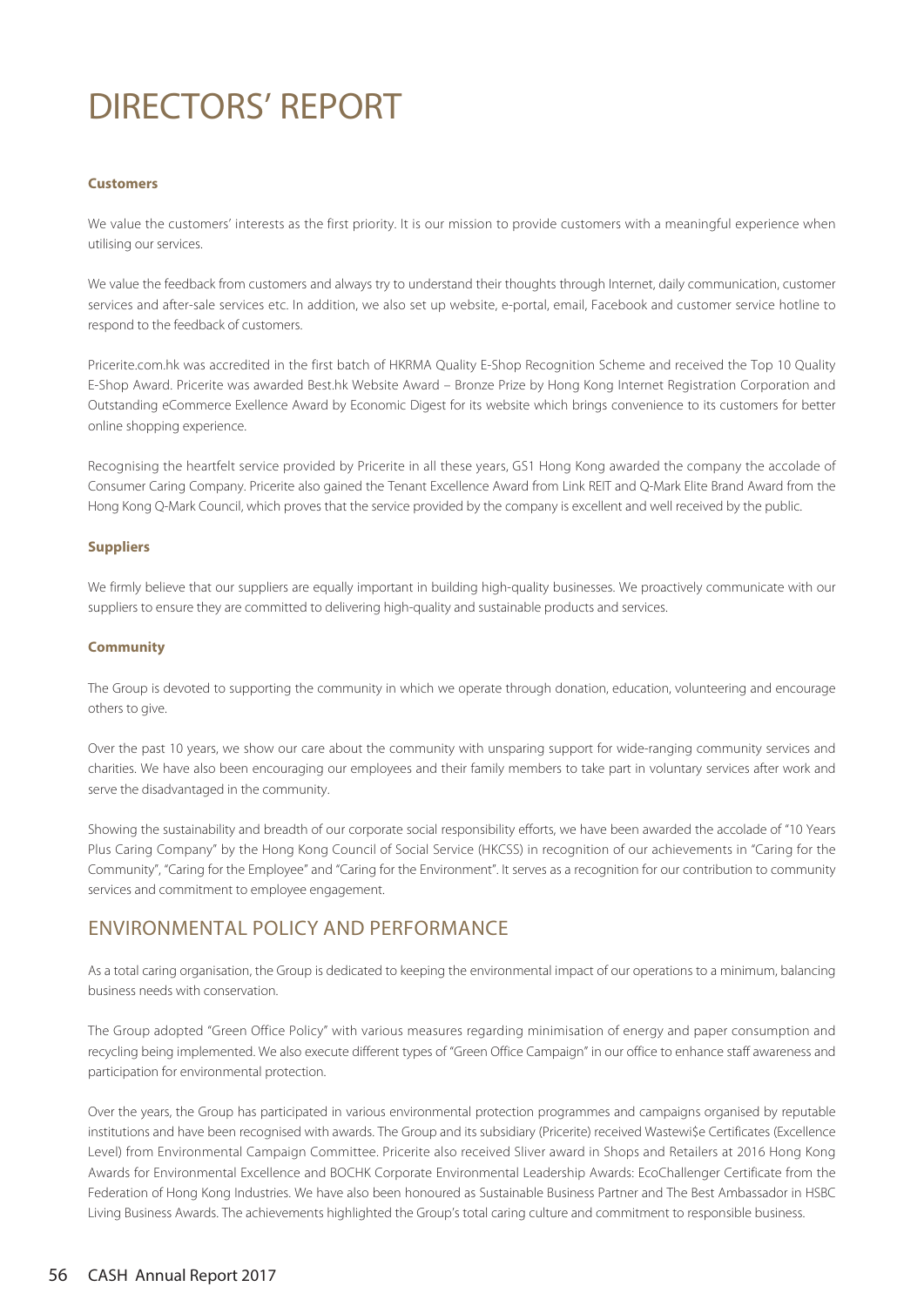### **Customers**

We value the customers' interests as the first priority. It is our mission to provide customers with a meaningful experience when utilising our services.

We value the feedback from customers and always try to understand their thoughts through Internet, daily communication, customer services and after-sale services etc. In addition, we also set up website, e-portal, email, Facebook and customer service hotline to respond to the feedback of customers.

Pricerite.com.hk was accredited in the first batch of HKRMA Quality E-Shop Recognition Scheme and received the Top 10 Quality E-Shop Award. Pricerite was awarded Best.hk Website Award – Bronze Prize by Hong Kong Internet Registration Corporation and Outstanding eCommerce Exellence Award by Economic Digest for its website which brings convenience to its customers for better online shopping experience.

Recognising the heartfelt service provided by Pricerite in all these years, GS1 Hong Kong awarded the company the accolade of Consumer Caring Company. Pricerite also gained the Tenant Excellence Award from Link REIT and Q-Mark Elite Brand Award from the Hong Kong Q-Mark Council, which proves that the service provided by the company is excellent and well received by the public.

#### **Suppliers**

We firmly believe that our suppliers are equally important in building high-quality businesses. We proactively communicate with our suppliers to ensure they are committed to delivering high-quality and sustainable products and services.

#### **Community**

The Group is devoted to supporting the community in which we operate through donation, education, volunteering and encourage others to give.

Over the past 10 years, we show our care about the community with unsparing support for wide-ranging community services and charities. We have also been encouraging our employees and their family members to take part in voluntary services after work and serve the disadvantaged in the community.

Showing the sustainability and breadth of our corporate social responsibility efforts, we have been awarded the accolade of "10 Years Plus Caring Company" by the Hong Kong Council of Social Service (HKCSS) in recognition of our achievements in "Caring for the Community", "Caring for the Employee" and "Caring for the Environment". It serves as a recognition for our contribution to community services and commitment to employee engagement.

## ENVIRONMENTAL POLICY AND PERFORMANCE

As a total caring organisation, the Group is dedicated to keeping the environmental impact of our operations to a minimum, balancing business needs with conservation.

The Group adopted "Green Office Policy" with various measures regarding minimisation of energy and paper consumption and recycling being implemented. We also execute different types of "Green Office Campaign" in our office to enhance staff awareness and participation for environmental protection.

Over the years, the Group has participated in various environmental protection programmes and campaigns organised by reputable institutions and have been recognised with awards. The Group and its subsidiary (Pricerite) received Wastewi\$e Certificates (Excellence Level) from Environmental Campaign Committee. Pricerite also received Sliver award in Shops and Retailers at 2016 Hong Kong Awards for Environmental Excellence and BOCHK Corporate Environmental Leadership Awards: EcoChallenger Certificate from the Federation of Hong Kong Industries. We have also been honoured as Sustainable Business Partner and The Best Ambassador in HSBC Living Business Awards. The achievements highlighted the Group's total caring culture and commitment to responsible business.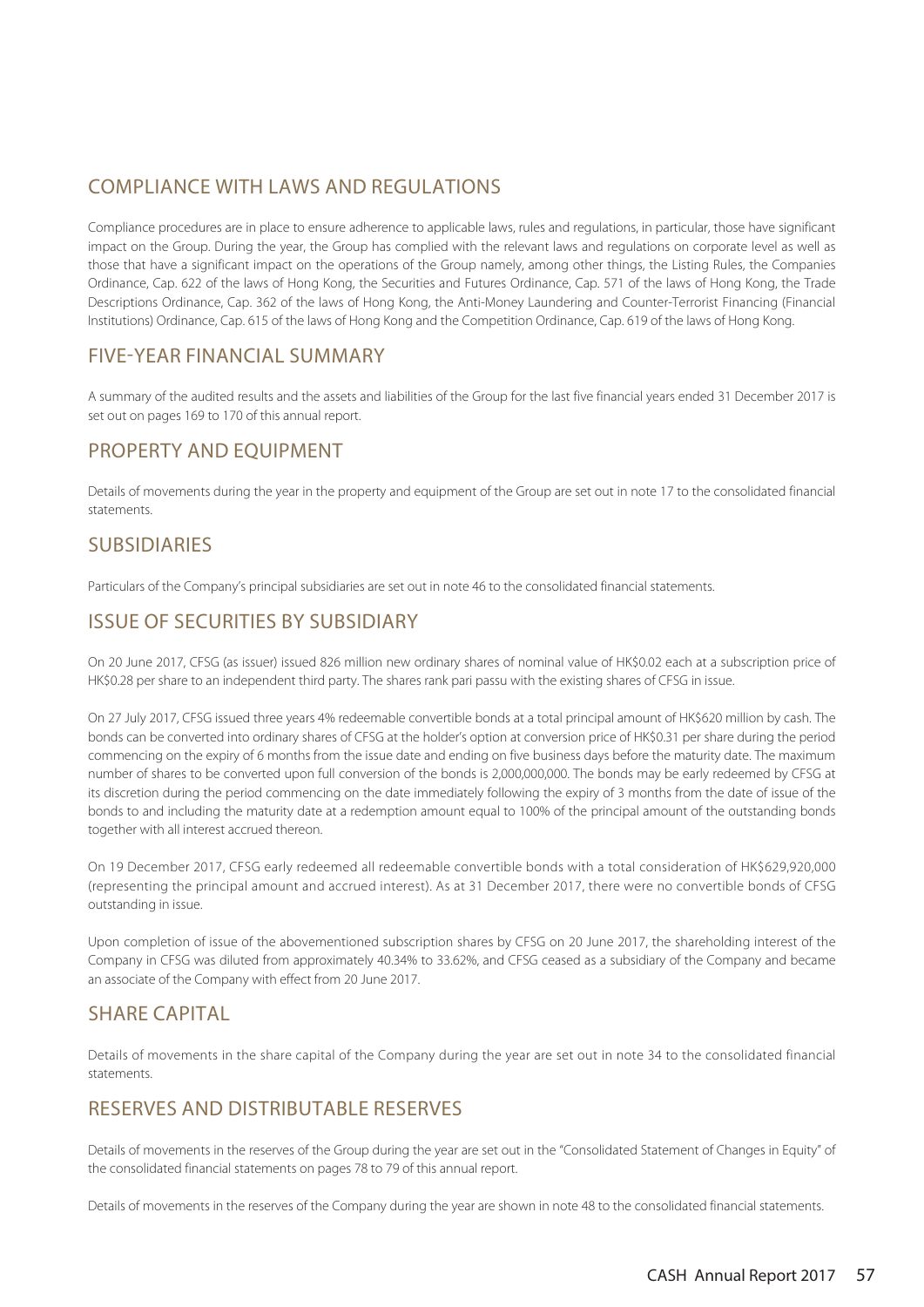## COMPLIANCE WITH LAWS AND REGULATIONS

Compliance procedures are in place to ensure adherence to applicable laws, rules and regulations, in particular, those have significant impact on the Group. During the year, the Group has complied with the relevant laws and regulations on corporate level as well as those that have a significant impact on the operations of the Group namely, among other things, the Listing Rules, the Companies Ordinance, Cap. 622 of the laws of Hong Kong, the Securities and Futures Ordinance, Cap. 571 of the laws of Hong Kong, the Trade Descriptions Ordinance, Cap. 362 of the laws of Hong Kong, the Anti-Money Laundering and Counter-Terrorist Financing (Financial Institutions) Ordinance, Cap. 615 of the laws of Hong Kong and the Competition Ordinance, Cap. 619 of the laws of Hong Kong.

## FIVE-YEAR FINANCIAL SUMMARY

A summary of the audited results and the assets and liabilities of the Group for the last five financial years ended 31 December 2017 is set out on pages 169 to 170 of this annual report.

## PROPERTY AND EQUIPMENT

Details of movements during the year in the property and equipment of the Group are set out in note 17 to the consolidated financial statements.

## SUBSIDIARIES

Particulars of the Company's principal subsidiaries are set out in note 46 to the consolidated financial statements.

## ISSUE OF SECURITIES BY SUBSIDIARY

On 20 June 2017, CFSG (as issuer) issued 826 million new ordinary shares of nominal value of HK\$0.02 each at a subscription price of HK\$0.28 per share to an independent third party. The shares rank pari passu with the existing shares of CFSG in issue.

On 27 July 2017, CFSG issued three years 4% redeemable convertible bonds at a total principal amount of HK\$620 million by cash. The bonds can be converted into ordinary shares of CFSG at the holder's option at conversion price of HK\$0.31 per share during the period commencing on the expiry of 6 months from the issue date and ending on five business days before the maturity date. The maximum number of shares to be converted upon full conversion of the bonds is 2,000,000,000. The bonds may be early redeemed by CFSG at its discretion during the period commencing on the date immediately following the expiry of 3 months from the date of issue of the bonds to and including the maturity date at a redemption amount equal to 100% of the principal amount of the outstanding bonds together with all interest accrued thereon.

On 19 December 2017, CFSG early redeemed all redeemable convertible bonds with a total consideration of HK\$629,920,000 (representing the principal amount and accrued interest). As at 31 December 2017, there were no convertible bonds of CFSG outstanding in issue.

Upon completion of issue of the abovementioned subscription shares by CFSG on 20 June 2017, the shareholding interest of the Company in CFSG was diluted from approximately 40.34% to 33.62%, and CFSG ceased as a subsidiary of the Company and became an associate of the Company with effect from 20 June 2017.

## SHARE CAPITAL

Details of movements in the share capital of the Company during the year are set out in note 34 to the consolidated financial statements.

## RESERVES AND DISTRIBUTABLE RESERVES

Details of movements in the reserves of the Group during the year are set out in the "Consolidated Statement of Changes in Equity" of the consolidated financial statements on pages 78 to 79 of this annual report.

Details of movements in the reserves of the Company during the year are shown in note 48 to the consolidated financial statements.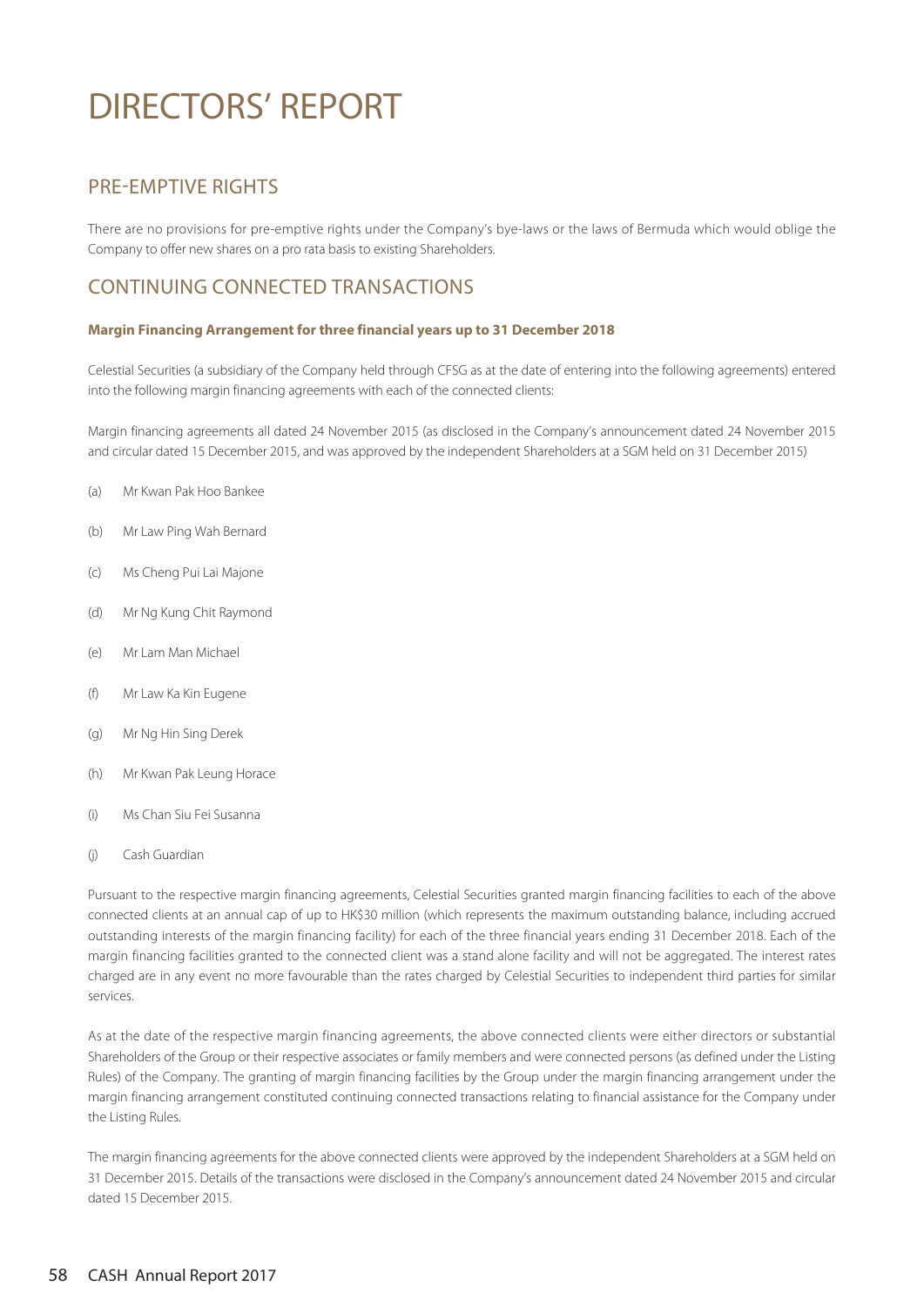## PRE-EMPTIVE RIGHTS

There are no provisions for pre-emptive rights under the Company's bye-laws or the laws of Bermuda which would oblige the Company to offer new shares on a pro rata basis to existing Shareholders.

## CONTINUING CONNECTED TRANSACTIONS

### **Margin Financing Arrangement for three financial years up to 31 December 2018**

Celestial Securities (a subsidiary of the Company held through CFSG as at the date of entering into the following agreements) entered into the following margin financing agreements with each of the connected clients:

Margin financing agreements all dated 24 November 2015 (as disclosed in the Company's announcement dated 24 November 2015 and circular dated 15 December 2015, and was approved by the independent Shareholders at a SGM held on 31 December 2015)

- (a) Mr Kwan Pak Hoo Bankee
- (b) Mr Law Ping Wah Bernard
- (c) Ms Cheng Pui Lai Majone
- (d) Mr Ng Kung Chit Raymond
- (e) Mr Lam Man Michael
- (f) Mr Law Ka Kin Eugene
- (g) Mr Ng Hin Sing Derek
- (h) Mr Kwan Pak Leung Horace
- (i) Ms Chan Siu Fei Susanna
- (j) Cash Guardian

Pursuant to the respective margin financing agreements, Celestial Securities granted margin financing facilities to each of the above connected clients at an annual cap of up to HK\$30 million (which represents the maximum outstanding balance, including accrued outstanding interests of the margin financing facility) for each of the three financial years ending 31 December 2018. Each of the margin financing facilities granted to the connected client was a stand alone facility and will not be aggregated. The interest rates charged are in any event no more favourable than the rates charged by Celestial Securities to independent third parties for similar services.

As at the date of the respective margin financing agreements, the above connected clients were either directors or substantial Shareholders of the Group or their respective associates or family members and were connected persons (as defined under the Listing Rules) of the Company. The granting of margin financing facilities by the Group under the margin financing arrangement under the margin financing arrangement constituted continuing connected transactions relating to financial assistance for the Company under the Listing Rules.

The margin financing agreements for the above connected clients were approved by the independent Shareholders at a SGM held on 31 December 2015. Details of the transactions were disclosed in the Company's announcement dated 24 November 2015 and circular dated 15 December 2015.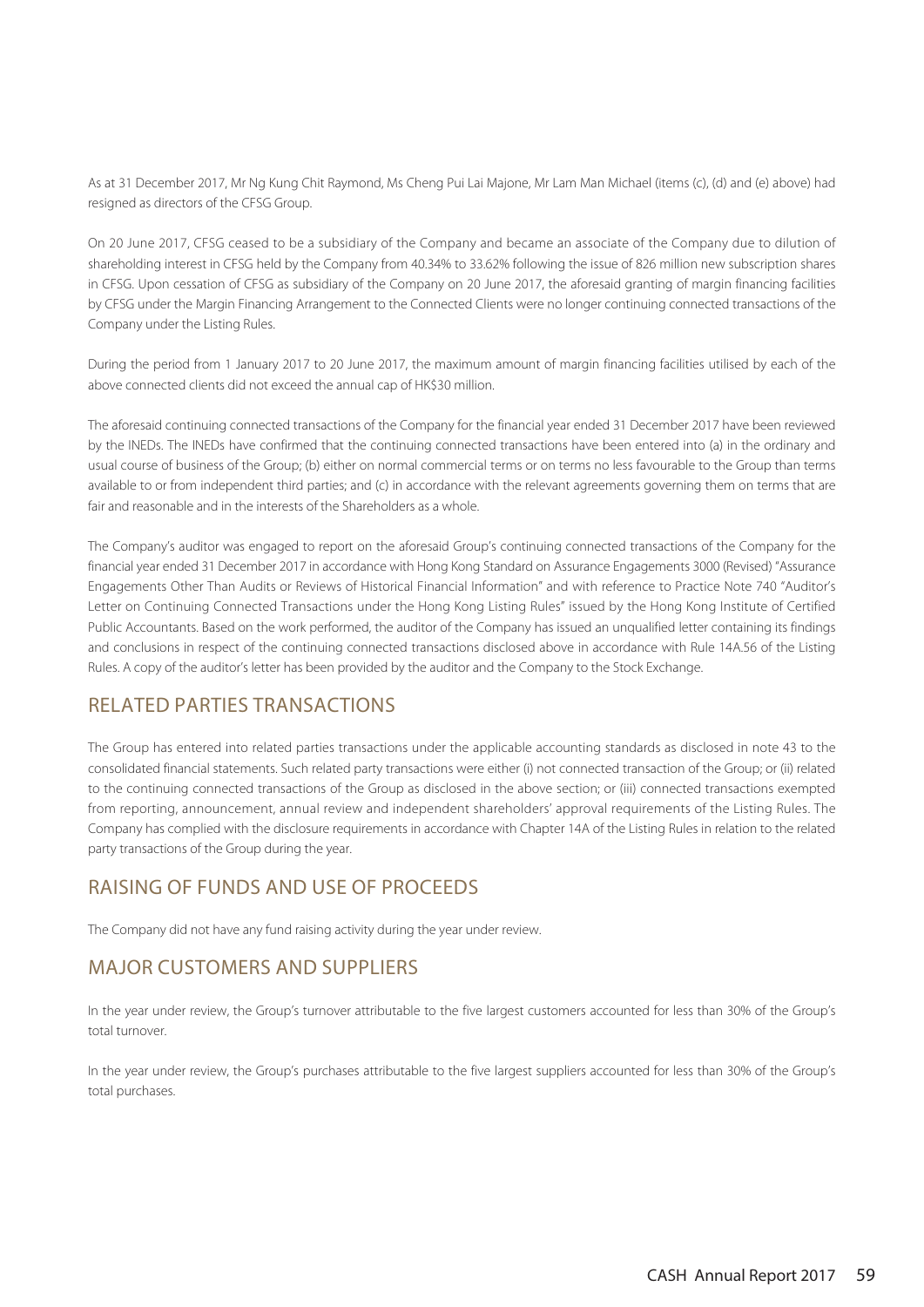As at 31 December 2017, Mr Ng Kung Chit Raymond, Ms Cheng Pui Lai Majone, Mr Lam Man Michael (items (c), (d) and (e) above) had resigned as directors of the CFSG Group.

On 20 June 2017, CFSG ceased to be a subsidiary of the Company and became an associate of the Company due to dilution of shareholding interest in CFSG held by the Company from 40.34% to 33.62% following the issue of 826 million new subscription shares in CFSG. Upon cessation of CFSG as subsidiary of the Company on 20 June 2017, the aforesaid granting of margin financing facilities by CFSG under the Margin Financing Arrangement to the Connected Clients were no longer continuing connected transactions of the Company under the Listing Rules.

During the period from 1 January 2017 to 20 June 2017, the maximum amount of margin financing facilities utilised by each of the above connected clients did not exceed the annual cap of HK\$30 million.

The aforesaid continuing connected transactions of the Company for the financial year ended 31 December 2017 have been reviewed by the INEDs. The INEDs have confirmed that the continuing connected transactions have been entered into (a) in the ordinary and usual course of business of the Group; (b) either on normal commercial terms or on terms no less favourable to the Group than terms available to or from independent third parties; and (c) in accordance with the relevant agreements governing them on terms that are fair and reasonable and in the interests of the Shareholders as a whole.

The Company's auditor was engaged to report on the aforesaid Group's continuing connected transactions of the Company for the financial year ended 31 December 2017 in accordance with Hong Kong Standard on Assurance Engagements 3000 (Revised) "Assurance Engagements Other Than Audits or Reviews of Historical Financial Information" and with reference to Practice Note 740 "Auditor's Letter on Continuing Connected Transactions under the Hong Kong Listing Rules" issued by the Hong Kong Institute of Certified Public Accountants. Based on the work performed, the auditor of the Company has issued an unqualified letter containing its findings and conclusions in respect of the continuing connected transactions disclosed above in accordance with Rule 14A.56 of the Listing Rules. A copy of the auditor's letter has been provided by the auditor and the Company to the Stock Exchange.

## RELATED PARTIES TRANSACTIONS

The Group has entered into related parties transactions under the applicable accounting standards as disclosed in note 43 to the consolidated financial statements. Such related party transactions were either (i) not connected transaction of the Group; or (ii) related to the continuing connected transactions of the Group as disclosed in the above section; or (iii) connected transactions exempted from reporting, announcement, annual review and independent shareholders' approval requirements of the Listing Rules. The Company has complied with the disclosure requirements in accordance with Chapter 14A of the Listing Rules in relation to the related party transactions of the Group during the year.

## RAISING OF FUNDS AND USE OF PROCEEDS

The Company did not have any fund raising activity during the year under review.

## MAJOR CUSTOMERS AND SUPPLIERS

In the year under review, the Group's turnover attributable to the five largest customers accounted for less than 30% of the Group's total turnover.

In the year under review, the Group's purchases attributable to the five largest suppliers accounted for less than 30% of the Group's total purchases.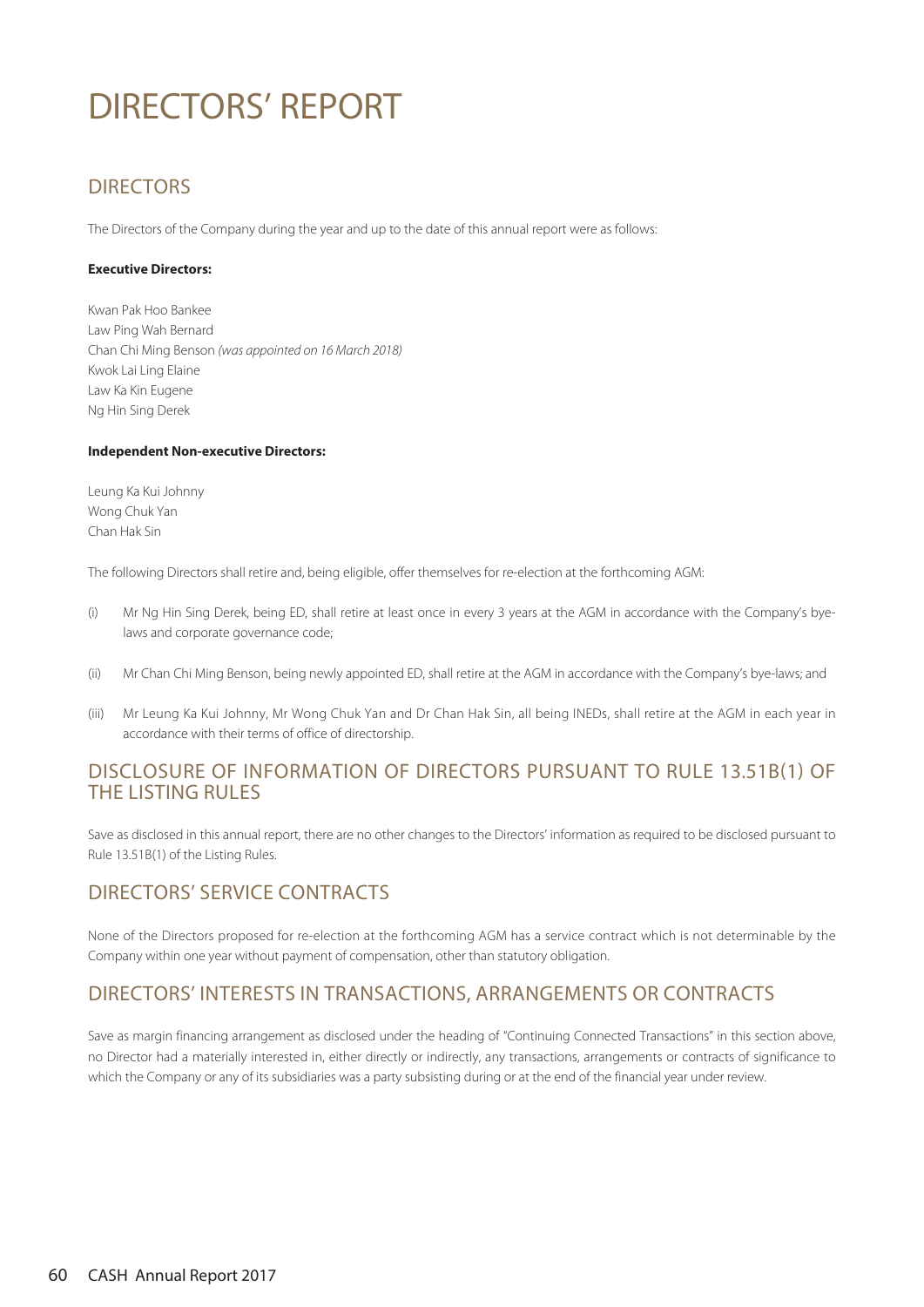## **DIRECTORS**

The Directors of the Company during the year and up to the date of this annual report were as follows:

### **Executive Directors:**

Kwan Pak Hoo Bankee Law Ping Wah Bernard Chan Chi Ming Benson (was appointed on 16 March 2018) Kwok Lai Ling Elaine Law Ka Kin Eugene Ng Hin Sing Derek

#### **Independent Non-executive Directors:**

Leung Ka Kui Johnny Wong Chuk Yan Chan Hak Sin

The following Directors shall retire and, being eligible, offer themselves for re-election at the forthcoming AGM:

- (i) Mr Ng Hin Sing Derek, being ED, shall retire at least once in every 3 years at the AGM in accordance with the Company's byelaws and corporate governance code;
- (ii) Mr Chan Chi Ming Benson, being newly appointed ED, shall retire at the AGM in accordance with the Company's bye-laws; and
- (iii) Mr Leung Ka Kui Johnny, Mr Wong Chuk Yan and Dr Chan Hak Sin, all being INEDs, shall retire at the AGM in each year in accordance with their terms of office of directorship.

## DISCLOSURE OF INFORMATION OF DIRECTORS PURSUANT TO RULE 13.51B(1) OF THE LISTING RULES

Save as disclosed in this annual report, there are no other changes to the Directors' information as required to be disclosed pursuant to Rule 13.51B(1) of the Listing Rules.

## DIRECTORS' SERVICE CONTRACTS

None of the Directors proposed for re-election at the forthcoming AGM has a service contract which is not determinable by the Company within one year without payment of compensation, other than statutory obligation.

## DIRECTORS' INTERESTS IN TRANSACTIONS, ARRANGEMENTS OR CONTRACTS

Save as margin financing arrangement as disclosed under the heading of "Continuing Connected Transactions" in this section above, no Director had a materially interested in, either directly or indirectly, any transactions, arrangements or contracts of significance to which the Company or any of its subsidiaries was a party subsisting during or at the end of the financial year under review.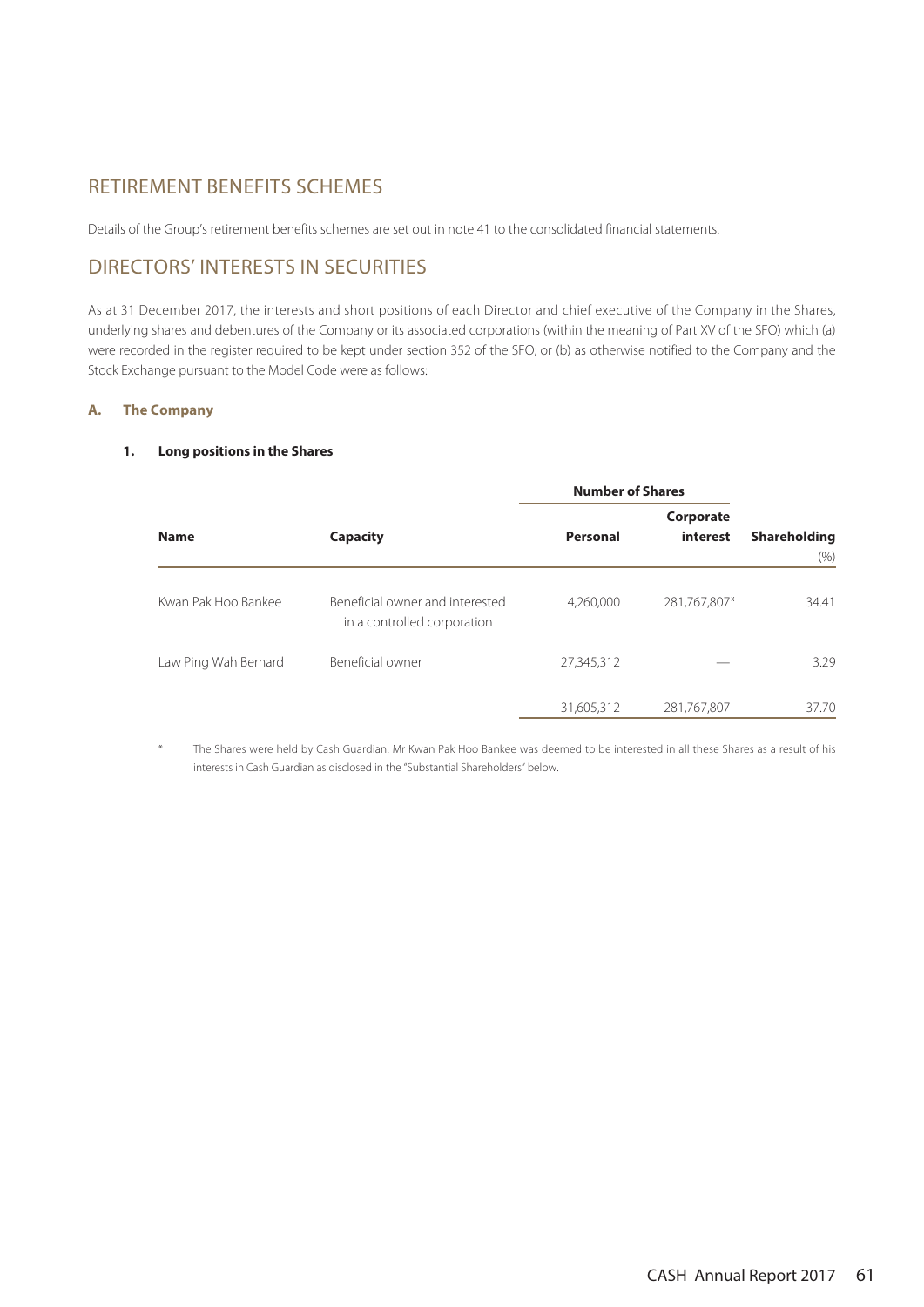## RETIREMENT BENEFITS SCHEMES

Details of the Group's retirement benefits schemes are set out in note 41 to the consolidated financial statements.

## DIRECTORS' INTERESTS IN SECURITIES

As at 31 December 2017, the interests and short positions of each Director and chief executive of the Company in the Shares, underlying shares and debentures of the Company or its associated corporations (within the meaning of Part XV of the SFO) which (a) were recorded in the register required to be kept under section 352 of the SFO; or (b) as otherwise notified to the Company and the Stock Exchange pursuant to the Model Code were as follows:

### **A. The Company**

### **1. Long positions in the Shares**

|                      |                                                                | <b>Number of Shares</b> |                       |                             |
|----------------------|----------------------------------------------------------------|-------------------------|-----------------------|-----------------------------|
| <b>Name</b>          | <b>Capacity</b>                                                | Personal                | Corporate<br>interest | <b>Shareholding</b><br>(% ) |
| Kwan Pak Hoo Bankee  | Beneficial owner and interested<br>in a controlled corporation | 4,260,000               | 281,767,807*          | 34.41                       |
| Law Ping Wah Bernard | Beneficial owner                                               | 27,345,312              |                       | 3.29                        |
|                      |                                                                | 31,605,312              | 281,767,807           | 37.70                       |

The Shares were held by Cash Guardian. Mr Kwan Pak Hoo Bankee was deemed to be interested in all these Shares as a result of his interests in Cash Guardian as disclosed in the "Substantial Shareholders" below.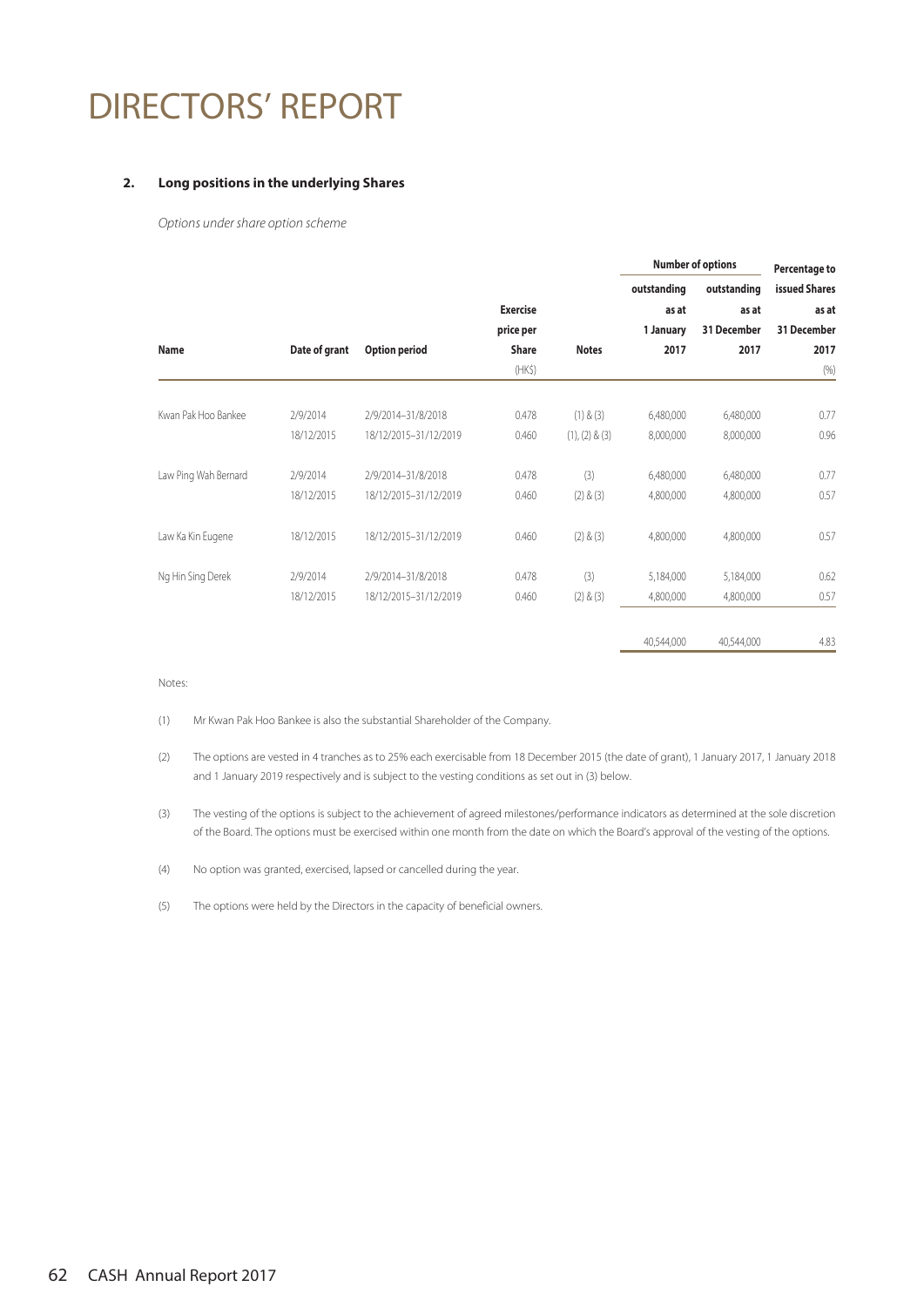### **2. Long positions in the underlying Shares**

Options under share option scheme

|                      |               |                       |                 |                    | <b>Number of options</b> |             | <b>Percentage to</b> |  |
|----------------------|---------------|-----------------------|-----------------|--------------------|--------------------------|-------------|----------------------|--|
|                      |               |                       |                 |                    | outstanding              | outstanding | issued Shares        |  |
|                      |               |                       | <b>Exercise</b> |                    | as at                    | as at       | as at                |  |
|                      |               |                       | price per       |                    | 1 January                | 31 December | 31 December          |  |
| <b>Name</b>          | Date of grant | <b>Option period</b>  | <b>Share</b>    | <b>Notes</b>       | 2017                     | 2017        | 2017                 |  |
|                      |               |                       | $(HK\$          |                    |                          |             | (96)                 |  |
| Kwan Pak Hoo Bankee  | 2/9/2014      | 2/9/2014-31/8/2018    | 0.478           | (1) & (3)          | 6,480,000                | 6,480,000   | 0.77                 |  |
|                      | 18/12/2015    | 18/12/2015-31/12/2019 | 0.460           | $(1), (2)$ & $(3)$ | 8,000,000                | 8,000,000   | 0.96                 |  |
| Law Ping Wah Bernard | 2/9/2014      | 2/9/2014-31/8/2018    | 0.478           | (3)                | 6,480,000                | 6,480,000   | 0.77                 |  |
|                      | 18/12/2015    | 18/12/2015-31/12/2019 | 0.460           | (2) & (3)          | 4,800,000                | 4,800,000   | 0.57                 |  |
| Law Ka Kin Eugene    | 18/12/2015    | 18/12/2015-31/12/2019 | 0.460           | (2) & (3)          | 4,800,000                | 4,800,000   | 0.57                 |  |
| Ng Hin Sing Derek    | 2/9/2014      | 2/9/2014-31/8/2018    | 0.478           | (3)                | 5,184,000                | 5,184,000   | 0.62                 |  |
|                      | 18/12/2015    | 18/12/2015-31/12/2019 | 0.460           | (2) & (3)          | 4,800,000                | 4,800,000   | 0.57                 |  |
|                      |               |                       |                 |                    | 40,544,000               | 40,544,000  | 4.83                 |  |

#### Notes:

- (1) Mr Kwan Pak Hoo Bankee is also the substantial Shareholder of the Company.
- (2) The options are vested in 4 tranches as to 25% each exercisable from 18 December 2015 (the date of grant), 1 January 2017, 1 January 2018 and 1 January 2019 respectively and is subject to the vesting conditions as set out in (3) below.
- (3) The vesting of the options is subject to the achievement of agreed milestones/performance indicators as determined at the sole discretion of the Board. The options must be exercised within one month from the date on which the Board's approval of the vesting of the options.

(4) No option was granted, exercised, lapsed or cancelled during the year.

(5) The options were held by the Directors in the capacity of beneficial owners.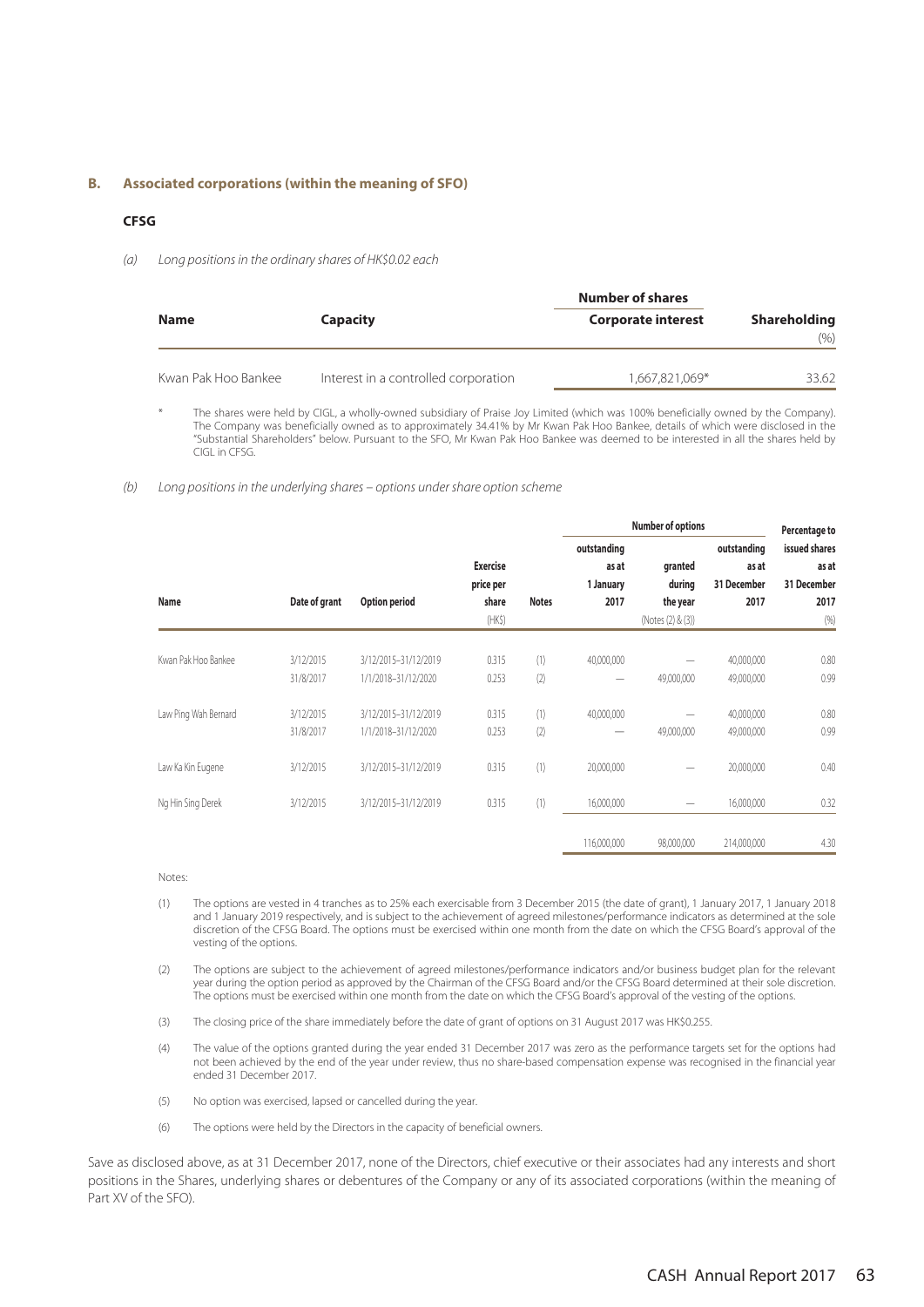### **B. Associated corporations (within the meaning of SFO)**

#### **CFSG**

#### (a) Long positions in the ordinary shares of HK\$0.02 each

|                     |                                      | <b>Number of shares</b>   |                     |  |
|---------------------|--------------------------------------|---------------------------|---------------------|--|
| <b>Name</b>         | <b>Capacity</b>                      | <b>Corporate interest</b> | <b>Shareholding</b> |  |
|                     |                                      |                           | (% )                |  |
| Kwan Pak Hoo Bankee | Interest in a controlled corporation | 1.667.821.069*            | 33.62               |  |

The shares were held by CIGL, a wholly-owned subsidiary of Praise Joy Limited (which was 100% beneficially owned by the Company). The Company was beneficially owned as to approximately 34.41% by Mr Kwan Pak Hoo Bankee, details of which were disclosed in the "Substantial Shareholders" below. Pursuant to the SFO, Mr Kwan Pak Hoo Bankee was deemed to be interested in all the shares held by CIGL in CFSG.

#### (b) Long positions in the underlying shares – options under share option scheme

|                      |               |                      |                 |              | <b>Number of options</b> |                   |             | Percentage to |
|----------------------|---------------|----------------------|-----------------|--------------|--------------------------|-------------------|-------------|---------------|
|                      |               |                      |                 |              | outstanding              |                   | outstanding | issued shares |
|                      |               |                      | <b>Exercise</b> |              | as at                    | granted           | as at       | as at         |
|                      |               |                      | price per       |              | 1 January                | during            | 31 December | 31 December   |
| <b>Name</b>          | Date of grant | Option period        | share           | <b>Notes</b> | 2017                     | the year          | 2017        | 2017          |
|                      |               |                      | $(HK\$          |              |                          | (Notes (2) & (3)) |             | (96)          |
| Kwan Pak Hoo Bankee  | 3/12/2015     | 3/12/2015-31/12/2019 | 0.315           | (1)          | 40,000,000               |                   | 40,000,000  | 0.80          |
|                      | 31/8/2017     | 1/1/2018-31/12/2020  | 0.253           | (2)          |                          | 49,000,000        | 49,000,000  | 0.99          |
| Law Ping Wah Bernard | 3/12/2015     | 3/12/2015-31/12/2019 | 0.315           | (1)          | 40,000,000               |                   | 40,000,000  | 0.80          |
|                      | 31/8/2017     | 1/1/2018-31/12/2020  | 0.253           | (2)          |                          | 49,000,000        | 49,000,000  | 0.99          |
| Law Ka Kin Eugene    | 3/12/2015     | 3/12/2015-31/12/2019 | 0.315           | (1)          | 20,000,000               |                   | 20,000,000  | 0.40          |
| Ng Hin Sing Derek    | 3/12/2015     | 3/12/2015-31/12/2019 | 0.315           | (1)          | 16,000,000               |                   | 16,000,000  | 0.32          |
|                      |               |                      |                 |              | 116,000,000              | 98,000,000        | 214,000,000 | 4.30          |

Notes:

- (1) The options are vested in 4 tranches as to 25% each exercisable from 3 December 2015 (the date of grant), 1 January 2017, 1 January 2018 and 1 January 2019 respectively, and is subject to the achievement of agreed milestones/performance indicators as determined at the sole discretion of the CFSG Board. The options must be exercised within one month from the date on which the CFSG Board's approval of the vesting of the options.
- (2) The options are subject to the achievement of agreed milestones/performance indicators and/or business budget plan for the relevant year during the option period as approved by the Chairman of the CFSG Board and/or the CFSG Board determined at their sole discretion. The options must be exercised within one month from the date on which the CFSG Board's approval of the vesting of the options.
- (3) The closing price of the share immediately before the date of grant of options on 31 August 2017 was HK\$0.255.
- (4) The value of the options granted during the year ended 31 December 2017 was zero as the performance targets set for the options had not been achieved by the end of the year under review, thus no share-based compensation expense was recognised in the financial year ended 31 December 2017.
- (5) No option was exercised, lapsed or cancelled during the year.
- (6) The options were held by the Directors in the capacity of beneficial owners.

Save as disclosed above, as at 31 December 2017, none of the Directors, chief executive or their associates had any interests and short positions in the Shares, underlying shares or debentures of the Company or any of its associated corporations (within the meaning of Part XV of the SFO).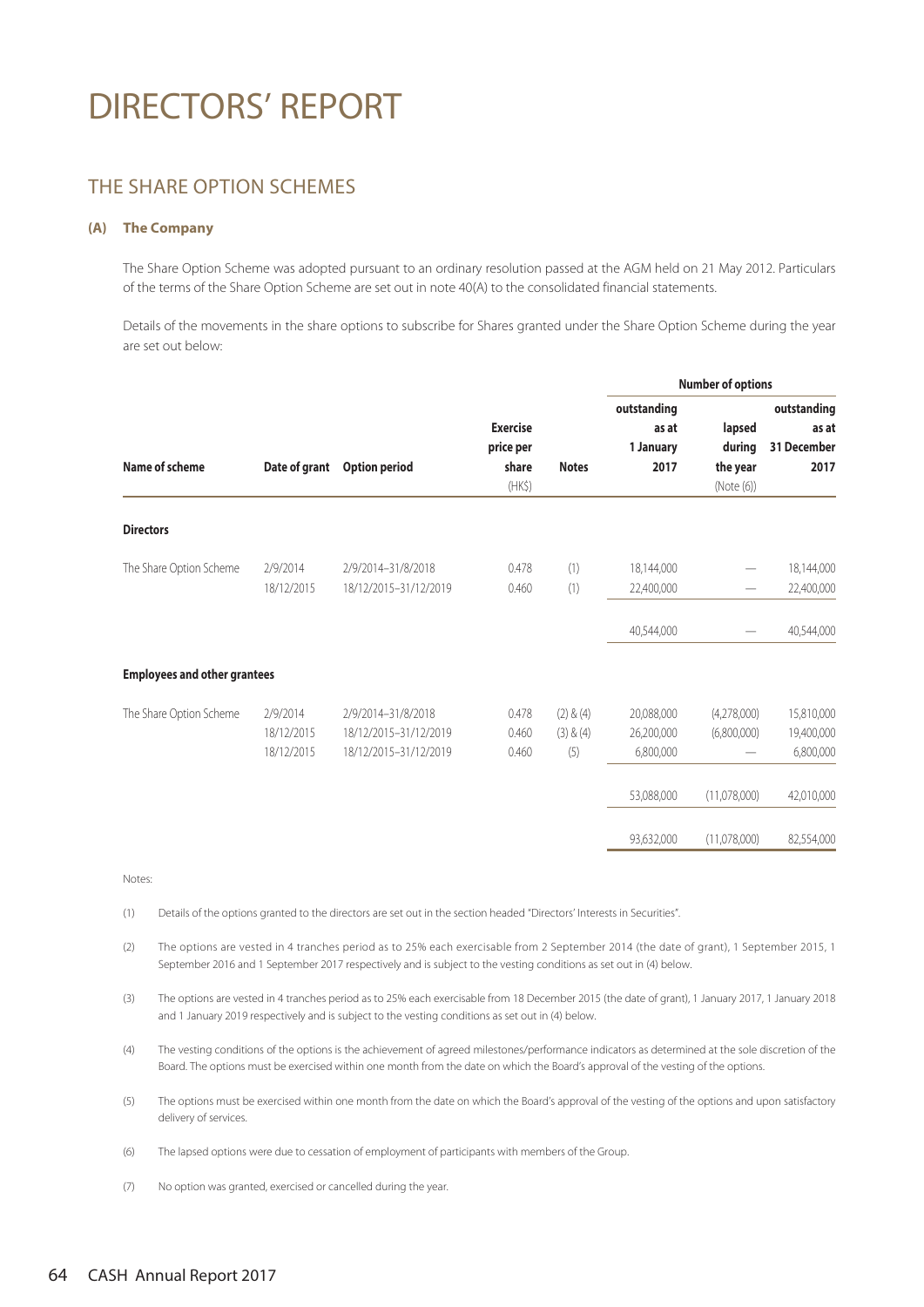## THE SHARE OPTION SCHEMES

### **(A) The Company**

The Share Option Scheme was adopted pursuant to an ordinary resolution passed at the AGM held on 21 May 2012. Particulars of the terms of the Share Option Scheme are set out in note 40(A) to the consolidated financial statements.

Details of the movements in the share options to subscribe for Shares granted under the Share Option Scheme during the year are set out below:

|                                     |               |                       |                                       |              |                                           | <b>Number of options</b>     |                                             |
|-------------------------------------|---------------|-----------------------|---------------------------------------|--------------|-------------------------------------------|------------------------------|---------------------------------------------|
| <b>Name of scheme</b>               | Date of grant | <b>Option period</b>  | <b>Exercise</b><br>price per<br>share | <b>Notes</b> | outstanding<br>as at<br>1 January<br>2017 | lapsed<br>during<br>the year | outstanding<br>as at<br>31 December<br>2017 |
|                                     |               |                       | $(HK\zeta)$                           |              |                                           | (Note (6))                   |                                             |
| <b>Directors</b>                    |               |                       |                                       |              |                                           |                              |                                             |
| The Share Option Scheme             | 2/9/2014      | 2/9/2014-31/8/2018    | 0.478                                 | (1)          | 18,144,000                                | $\overline{\phantom{0}}$     | 18,144,000                                  |
|                                     | 18/12/2015    | 18/12/2015-31/12/2019 | 0.460                                 | (1)          | 22,400,000                                | $\overline{\phantom{0}}$     | 22,400,000                                  |
|                                     |               |                       |                                       |              | 40.544.000                                | -                            | 40,544,000                                  |
| <b>Employees and other grantees</b> |               |                       |                                       |              |                                           |                              |                                             |
| The Share Option Scheme             | 2/9/2014      | 2/9/2014-31/8/2018    | 0.478                                 | (2) & (4)    | 20,088,000                                | (4,278,000)                  | 15,810,000                                  |
|                                     | 18/12/2015    | 18/12/2015-31/12/2019 | 0.460                                 | (3) 8(4)     | 26,200,000                                | (6,800,000)                  | 19,400,000                                  |
|                                     | 18/12/2015    | 18/12/2015-31/12/2019 | 0.460                                 | (5)          | 6,800,000                                 |                              | 6,800,000                                   |
|                                     |               |                       |                                       |              | 53,088,000                                | (11,078,000)                 | 42,010,000                                  |
|                                     |               |                       |                                       |              | 93,632,000                                | (11,078,000)                 | 82,554,000                                  |

Notes:

(1) Details of the options granted to the directors are set out in the section headed "Directors' Interests in Securities".

- (2) The options are vested in 4 tranches period as to 25% each exercisable from 2 September 2014 (the date of grant), 1 September 2015, 1 September 2016 and 1 September 2017 respectively and is subject to the vesting conditions as set out in (4) below.
- (3) The options are vested in 4 tranches period as to 25% each exercisable from 18 December 2015 (the date of grant), 1 January 2017, 1 January 2018 and 1 January 2019 respectively and is subject to the vesting conditions as set out in (4) below.
- (4) The vesting conditions of the options is the achievement of agreed milestones/performance indicators as determined at the sole discretion of the Board. The options must be exercised within one month from the date on which the Board's approval of the vesting of the options.
- (5) The options must be exercised within one month from the date on which the Board's approval of the vesting of the options and upon satisfactory delivery of services.
- (6) The lapsed options were due to cessation of employment of participants with members of the Group.
- (7) No option was granted, exercised or cancelled during the year.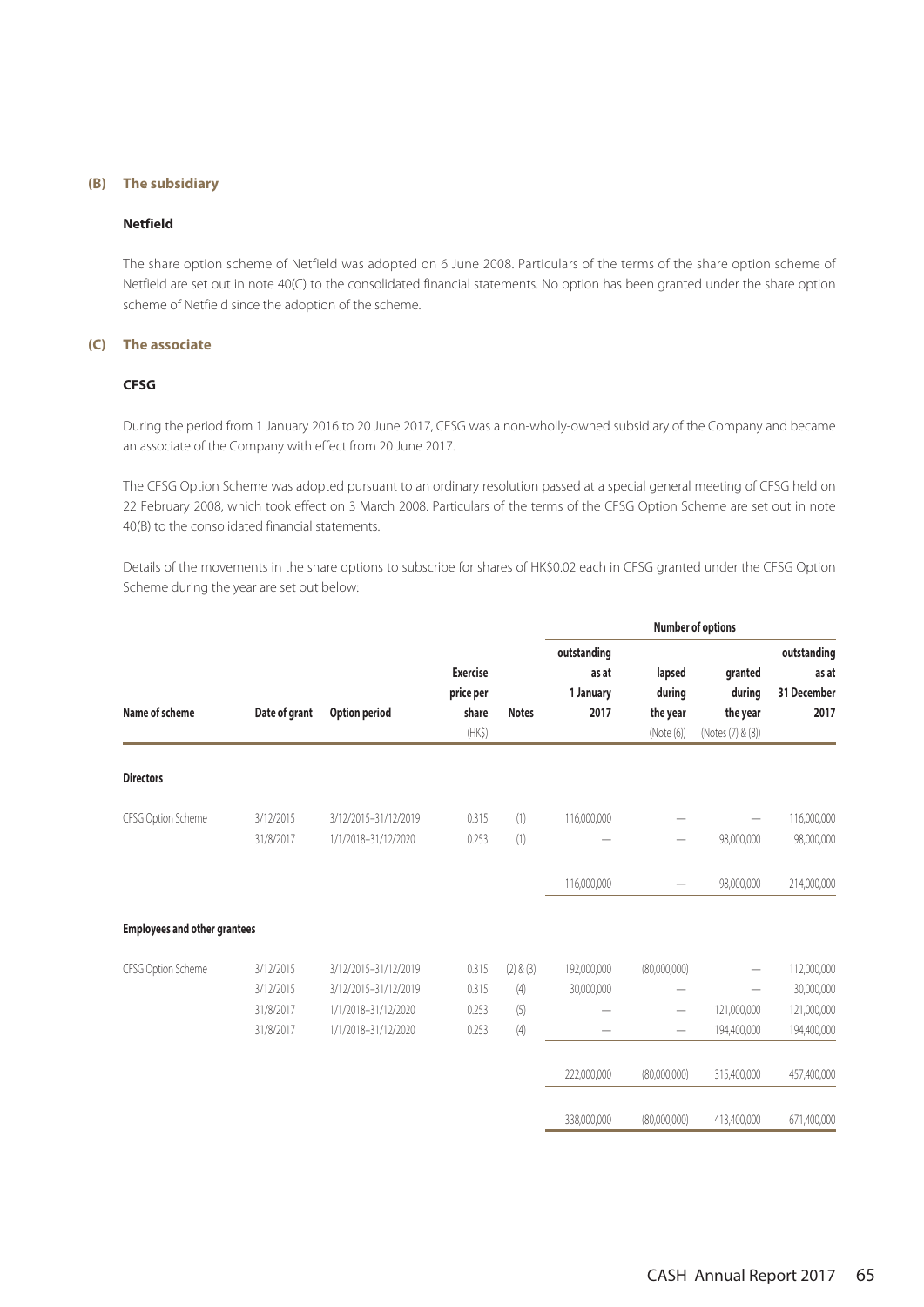### **(B) The subsidiary**

#### **Netfield**

The share option scheme of Netfield was adopted on 6 June 2008. Particulars of the terms of the share option scheme of Netfield are set out in note 40(C) to the consolidated financial statements. No option has been granted under the share option scheme of Netfield since the adoption of the scheme.

### **(C) The associate**

### **CFSG**

During the period from 1 January 2016 to 20 June 2017, CFSG was a non-wholly-owned subsidiary of the Company and became an associate of the Company with effect from 20 June 2017.

The CFSG Option Scheme was adopted pursuant to an ordinary resolution passed at a special general meeting of CFSG held on 22 February 2008, which took effect on 3 March 2008. Particulars of the terms of the CFSG Option Scheme are set out in note 40(B) to the consolidated financial statements.

Details of the movements in the share options to subscribe for shares of HK\$0.02 each in CFSG granted under the CFSG Option Scheme during the year are set out below:

|                                     |               |                      |                              |              |                                   |                   | <b>Number of options</b> |                                     |
|-------------------------------------|---------------|----------------------|------------------------------|--------------|-----------------------------------|-------------------|--------------------------|-------------------------------------|
|                                     |               |                      | <b>Exercise</b><br>price per |              | outstanding<br>as at<br>1 January | lapsed<br>during  | granted<br>during        | outstanding<br>as at<br>31 December |
| Name of scheme                      | Date of grant | <b>Option period</b> | share                        | <b>Notes</b> | 2017                              | the year          | the year                 | 2017                                |
|                                     |               |                      | $(HK\$                       |              |                                   | (Note (6))        | (Notes (7) & (8))        |                                     |
| <b>Directors</b>                    |               |                      |                              |              |                                   |                   |                          |                                     |
| CFSG Option Scheme                  | 3/12/2015     | 3/12/2015-31/12/2019 | 0.315                        | (1)          | 116,000,000                       |                   |                          | 116,000,000                         |
|                                     | 31/8/2017     | 1/1/2018-31/12/2020  | 0.253                        | (1)          |                                   | $\qquad \qquad -$ | 98,000,000               | 98,000,000                          |
|                                     |               |                      |                              |              | 116,000,000                       | —                 | 98,000,000               | 214,000,000                         |
| <b>Employees and other grantees</b> |               |                      |                              |              |                                   |                   |                          |                                     |
| CFSG Option Scheme                  | 3/12/2015     | 3/12/2015-31/12/2019 | 0.315                        | (2) & (3)    | 192,000,000                       | (80,000,000)      | —                        | 112,000,000                         |
|                                     | 3/12/2015     | 3/12/2015-31/12/2019 | 0.315                        | (4)          | 30,000,000                        |                   | -                        | 30,000,000                          |
|                                     | 31/8/2017     | 1/1/2018-31/12/2020  | 0.253                        | (5)          |                                   | $\qquad \qquad -$ | 121,000,000              | 121,000,000                         |
|                                     | 31/8/2017     | 1/1/2018-31/12/2020  | 0.253                        | (4)          | -                                 | $\qquad \qquad$   | 194,400,000              | 194,400,000                         |
|                                     |               |                      |                              |              | 222,000,000                       | (80,000,000)      | 315,400,000              | 457,400,000                         |
|                                     |               |                      |                              |              | 338,000,000                       | (80,000,000)      | 413,400,000              | 671,400,000                         |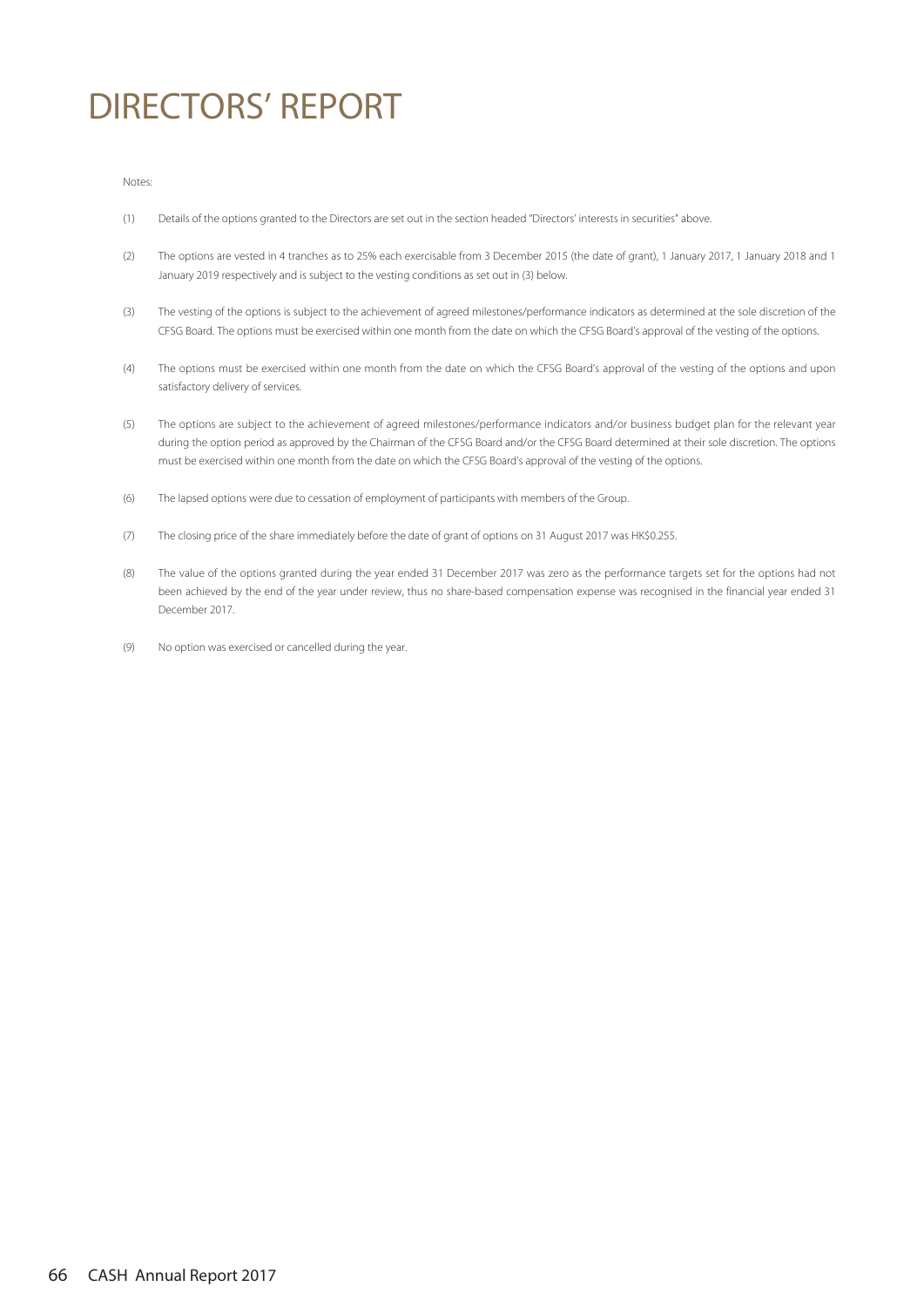Notes:

- (1) Details of the options granted to the Directors are set out in the section headed "Directors' interests in securities" above.
- (2) The options are vested in 4 tranches as to 25% each exercisable from 3 December 2015 (the date of grant), 1 January 2017, 1 January 2018 and 1 January 2019 respectively and is subject to the vesting conditions as set out in (3) below.
- (3) The vesting of the options is subject to the achievement of agreed milestones/performance indicators as determined at the sole discretion of the CFSG Board. The options must be exercised within one month from the date on which the CFSG Board's approval of the vesting of the options.
- (4) The options must be exercised within one month from the date on which the CFSG Board's approval of the vesting of the options and upon satisfactory delivery of services.
- (5) The options are subject to the achievement of agreed milestones/performance indicators and/or business budget plan for the relevant year during the option period as approved by the Chairman of the CFSG Board and/or the CFSG Board determined at their sole discretion. The options must be exercised within one month from the date on which the CFSG Board's approval of the vesting of the options.
- (6) The lapsed options were due to cessation of employment of participants with members of the Group.
- (7) The closing price of the share immediately before the date of grant of options on 31 August 2017 was HK\$0.255.
- (8) The value of the options granted during the year ended 31 December 2017 was zero as the performance targets set for the options had not been achieved by the end of the year under review, thus no share-based compensation expense was recognised in the financial year ended 31 December 2017.
- (9) No option was exercised or cancelled during the year.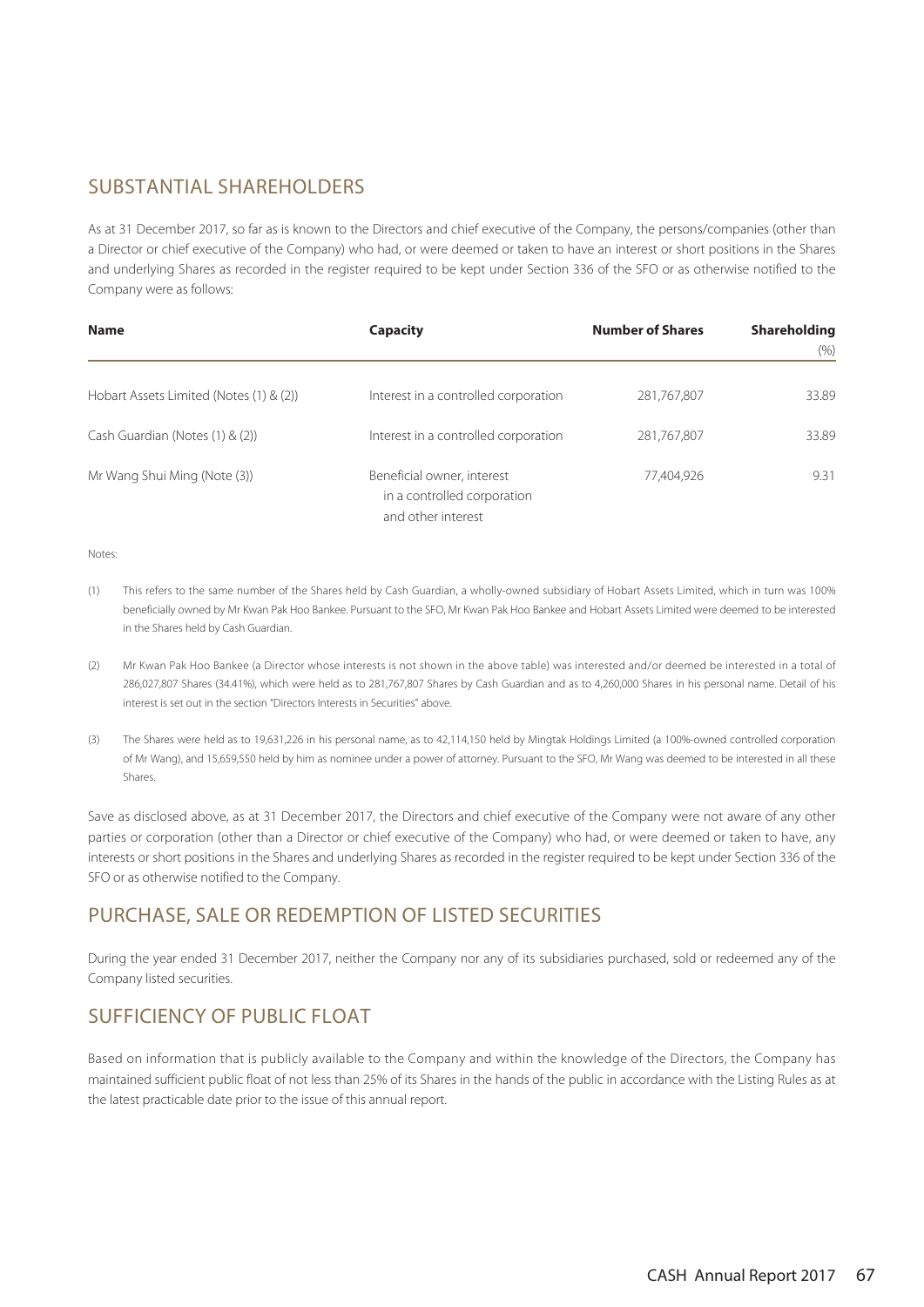## SUBSTANTIAL SHARFHOLDERS

As at 31 December 2017, so far as is known to the Directors and chief executive of the Company, the persons/companies (other than a Director or chief executive of the Company) who had, or were deemed or taken to have an interest or short positions in the Shares and underlying Shares as recorded in the register required to be kept under Section 336 of the SFO or as otherwise notified to the Company were as follows:

| <b>Name</b>                             | Capacity                                                                        | <b>Number of Shares</b> | <b>Shareholding</b><br>(% ) |
|-----------------------------------------|---------------------------------------------------------------------------------|-------------------------|-----------------------------|
| Hobart Assets Limited (Notes (1) & (2)) | Interest in a controlled corporation                                            | 281,767,807             | 33.89                       |
| Cash Guardian (Notes (1) & (2))         | Interest in a controlled corporation                                            | 281,767,807             | 33.89                       |
| Mr Wang Shui Ming (Note (3))            | Beneficial owner, interest<br>in a controlled corporation<br>and other interest | 77,404,926              | 9.31                        |

Notes:

- (1) This refers to the same number of the Shares held by Cash Guardian, a wholly-owned subsidiary of Hobart Assets Limited, which in turn was 100% beneficially owned by Mr Kwan Pak Hoo Bankee. Pursuant to the SFO, Mr Kwan Pak Hoo Bankee and Hobart Assets Limited were deemed to be interested in the Shares held by Cash Guardian.
- (2) Mr Kwan Pak Hoo Bankee (a Director whose interests is not shown in the above table) was interested and/or deemed be interested in a total of 286,027,807 Shares (34.41%), which were held as to 281,767,807 Shares by Cash Guardian and as to 4,260,000 Shares in his personal name. Detail of his interest is set out in the section "Directors Interests in Securities" above.
- (3) The Shares were held as to 19,631,226 in his personal name, as to 42,114,150 held by Mingtak Holdings Limited (a 100%-owned controlled corporation of Mr Wang), and 15,659,550 held by him as nominee under a power of attorney. Pursuant to the SFO, Mr Wang was deemed to be interested in all these Shares.

Save as disclosed above, as at 31 December 2017, the Directors and chief executive of the Company were not aware of any other parties or corporation (other than a Director or chief executive of the Company) who had, or were deemed or taken to have, any interests or short positions in the Shares and underlying Shares as recorded in the register required to be kept under Section 336 of the SFO or as otherwise notified to the Company.

## PURCHASE, SALE OR REDEMPTION OF LISTED SECURITIES

During the year ended 31 December 2017, neither the Company nor any of its subsidiaries purchased, sold or redeemed any of the Company listed securities.

## SUFFICIENCY OF PUBLIC FLOAT

Based on information that is publicly available to the Company and within the knowledge of the Directors, the Company has maintained sufficient public float of not less than 25% of its Shares in the hands of the public in accordance with the Listing Rules as at the latest practicable date prior to the issue of this annual report.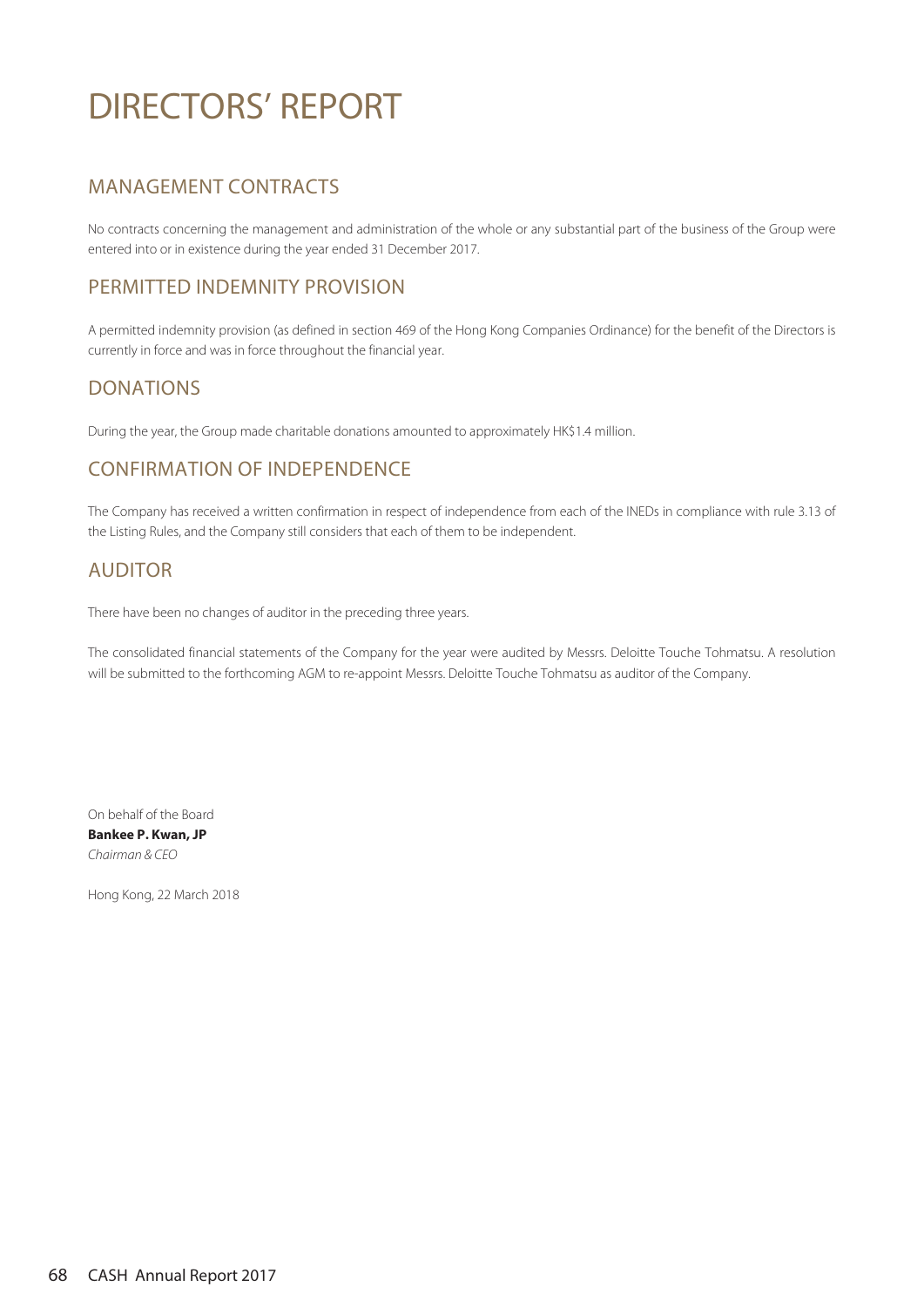## MANAGEMENT CONTRACTS

No contracts concerning the management and administration of the whole or any substantial part of the business of the Group were entered into or in existence during the year ended 31 December 2017.

## PERMITTED INDEMNITY PROVISION

A permitted indemnity provision (as defined in section 469 of the Hong Kong Companies Ordinance) for the benefit of the Directors is currently in force and was in force throughout the financial year.

## DONATIONS

During the year, the Group made charitable donations amounted to approximately HK\$1.4 million.

## CONFIRMATION OF INDEPENDENCE

The Company has received a written confirmation in respect of independence from each of the INEDs in compliance with rule 3.13 of the Listing Rules, and the Company still considers that each of them to be independent.

## AUDITOR

There have been no changes of auditor in the preceding three years.

The consolidated financial statements of the Company for the year were audited by Messrs. Deloitte Touche Tohmatsu. A resolution will be submitted to the forthcoming AGM to re-appoint Messrs. Deloitte Touche Tohmatsu as auditor of the Company.

On behalf of the Board **Bankee P. Kwan, JP** Chairman & CEO

Hong Kong, 22 March 2018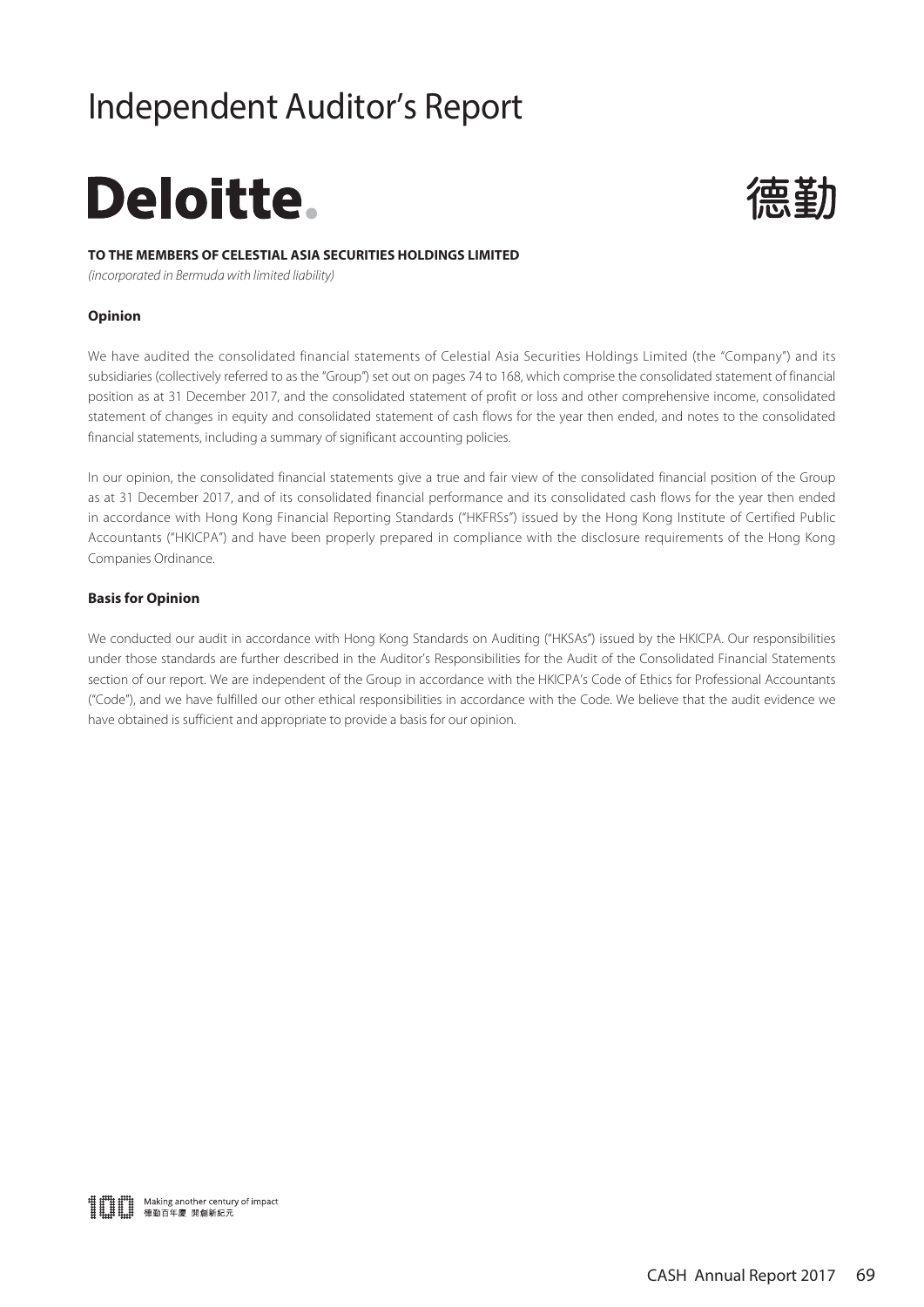## Independent Auditor's Report

## Deloitte.



### **TO THE MEMBERS OF CELESTIAL ASIA SECURITIES HOLDINGS LIMITED**

(incorporated in Bermuda with limited liability)

### **Opinion**

We have audited the consolidated financial statements of Celestial Asia Securities Holdings Limited (the "Company") and its subsidiaries (collectively referred to as the "Group") set out on pages 74 to 168, which comprise the consolidated statement of financial position as at 31 December 2017, and the consolidated statement of profit or loss and other comprehensive income, consolidated statement of changes in equity and consolidated statement of cash flows for the year then ended, and notes to the consolidated financial statements, including a summary of significant accounting policies.

In our opinion, the consolidated financial statements give a true and fair view of the consolidated financial position of the Group as at 31 December 2017, and of its consolidated financial performance and its consolidated cash flows for the year then ended in accordance with Hong Kong Financial Reporting Standards ("HKFRSs") issued by the Hong Kong Institute of Certified Public Accountants ("HKICPA") and have been properly prepared in compliance with the disclosure requirements of the Hong Kong Companies Ordinance.

### **Basis for Opinion**

We conducted our audit in accordance with Hong Kong Standards on Auditing ("HKSAs") issued by the HKICPA. Our responsibilities under those standards are further described in the Auditor's Responsibilities for the Audit of the Consolidated Financial Statements section of our report. We are independent of the Group in accordance with the HKICPA's Code of Ethics for Professional Accountants ("Code"), and we have fulfilled our other ethical responsibilities in accordance with the Code. We believe that the audit evidence we have obtained is sufficient and appropriate to provide a basis for our opinion.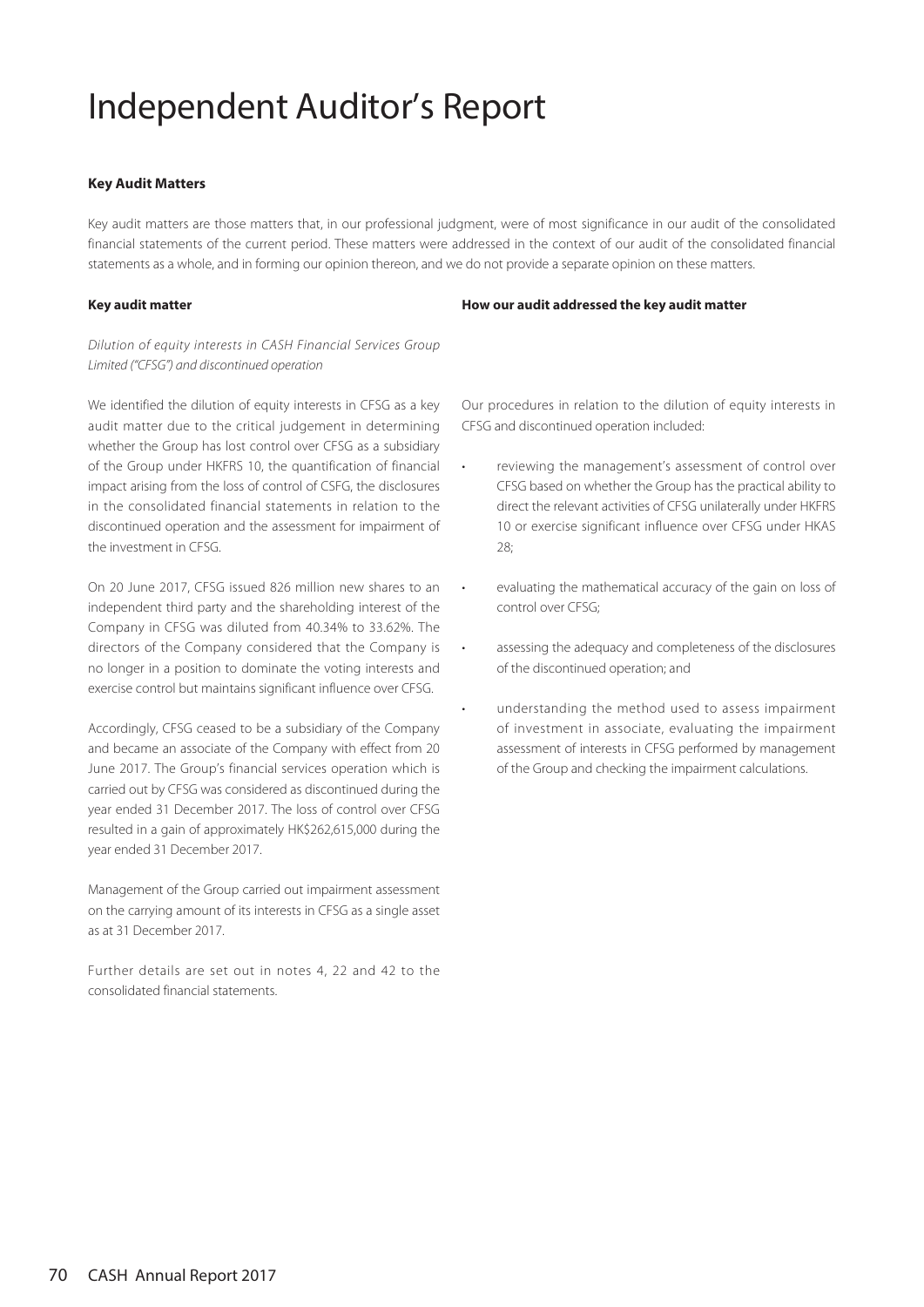## Independent Auditor's Report

### **Key Audit Matters**

Key audit matters are those matters that, in our professional judgment, were of most significance in our audit of the consolidated financial statements of the current period. These matters were addressed in the context of our audit of the consolidated financial statements as a whole, and in forming our opinion thereon, and we do not provide a separate opinion on these matters.

**Key audit matter How our audit addressed the key audit matter**

Dilution of equity interests in CASH Financial Services Group Limited ("CFSG") and discontinued operation

We identified the dilution of equity interests in CFSG as a key audit matter due to the critical judgement in determining whether the Group has lost control over CFSG as a subsidiary of the Group under HKFRS 10, the quantification of financial impact arising from the loss of control of CSFG, the disclosures in the consolidated financial statements in relation to the discontinued operation and the assessment for impairment of the investment in CFSG.

On 20 June 2017, CFSG issued 826 million new shares to an independent third party and the shareholding interest of the Company in CFSG was diluted from 40.34% to 33.62%. The directors of the Company considered that the Company is no longer in a position to dominate the voting interests and exercise control but maintains significant influence over CFSG.

Accordingly, CFSG ceased to be a subsidiary of the Company and became an associate of the Company with effect from 20 June 2017. The Group's financial services operation which is carried out by CFSG was considered as discontinued during the year ended 31 December 2017. The loss of control over CFSG resulted in a gain of approximately HK\$262,615,000 during the year ended 31 December 2017.

Management of the Group carried out impairment assessment on the carrying amount of its interests in CFSG as a single asset as at 31 December 2017.

Further details are set out in notes 4, 22 and 42 to the consolidated financial statements.

Our procedures in relation to the dilution of equity interests in CFSG and discontinued operation included:

- reviewing the management's assessment of control over CFSG based on whether the Group has the practical ability to direct the relevant activities of CFSG unilaterally under HKFRS 10 or exercise significant influence over CFSG under HKAS 28;
- evaluating the mathematical accuracy of the gain on loss of control over CFSG;
- assessing the adequacy and completeness of the disclosures of the discontinued operation; and
- understanding the method used to assess impairment of investment in associate, evaluating the impairment assessment of interests in CFSG performed by management of the Group and checking the impairment calculations.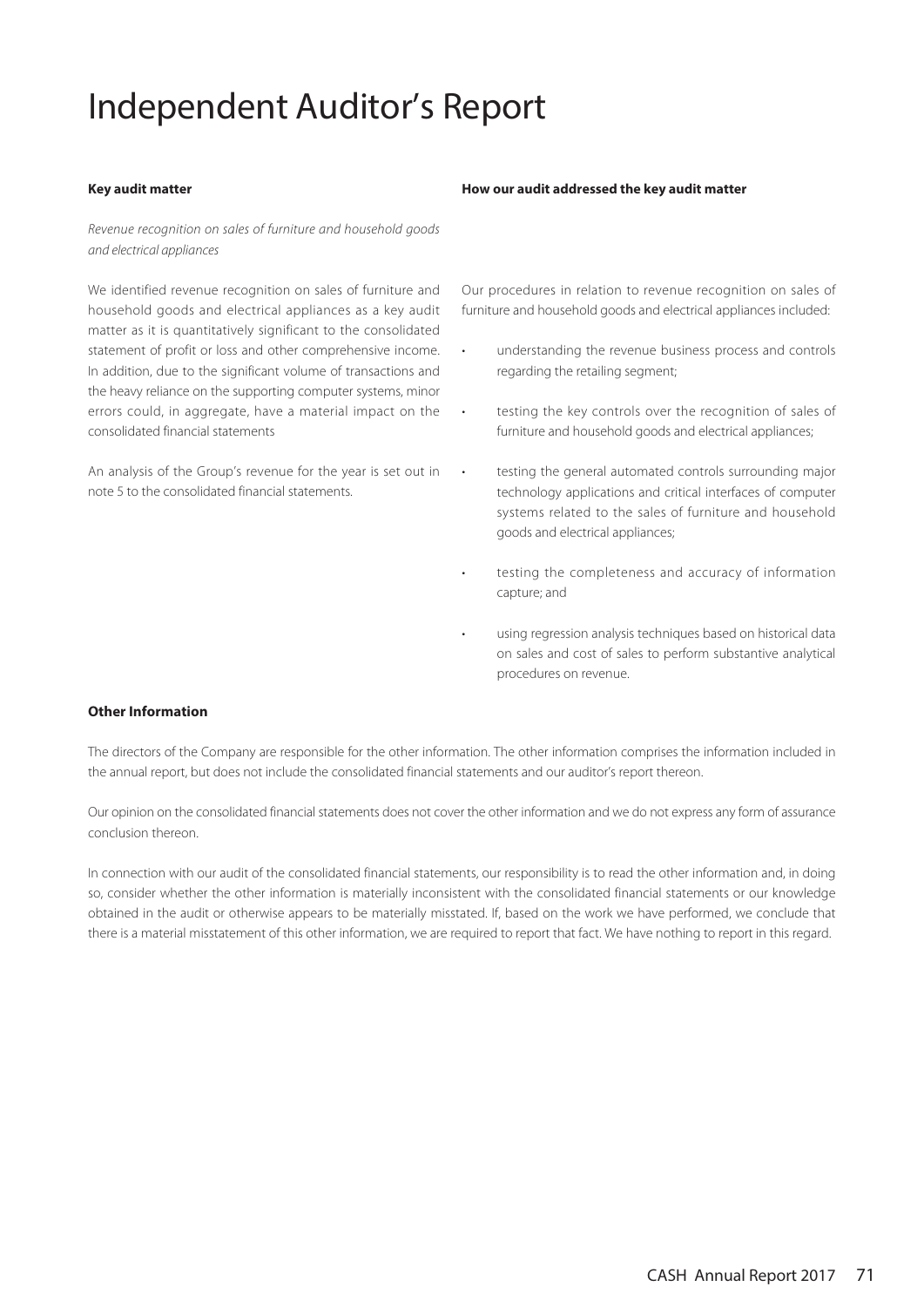## Independent Auditor's Report

Revenue recognition on sales of furniture and household goods and electrical appliances

We identified revenue recognition on sales of furniture and household goods and electrical appliances as a key audit matter as it is quantitatively significant to the consolidated statement of profit or loss and other comprehensive income. In addition, due to the significant volume of transactions and the heavy reliance on the supporting computer systems, minor errors could, in aggregate, have a material impact on the consolidated financial statements

An analysis of the Group's revenue for the year is set out in note 5 to the consolidated financial statements.

#### **Key audit matter How our audit addressed the key audit matter**

Our procedures in relation to revenue recognition on sales of furniture and household goods and electrical appliances included:

- understanding the revenue business process and controls regarding the retailing segment;
- testing the key controls over the recognition of sales of furniture and household goods and electrical appliances;
- testing the general automated controls surrounding major technology applications and critical interfaces of computer systems related to the sales of furniture and household goods and electrical appliances;
- testing the completeness and accuracy of information capture; and
- using regression analysis techniques based on historical data on sales and cost of sales to perform substantive analytical procedures on revenue.

### **Other Information**

The directors of the Company are responsible for the other information. The other information comprises the information included in the annual report, but does not include the consolidated financial statements and our auditor's report thereon.

Our opinion on the consolidated financial statements does not cover the other information and we do not express any form of assurance conclusion thereon.

In connection with our audit of the consolidated financial statements, our responsibility is to read the other information and, in doing so, consider whether the other information is materially inconsistent with the consolidated financial statements or our knowledge obtained in the audit or otherwise appears to be materially misstated. If, based on the work we have performed, we conclude that there is a material misstatement of this other information, we are required to report that fact. We have nothing to report in this regard.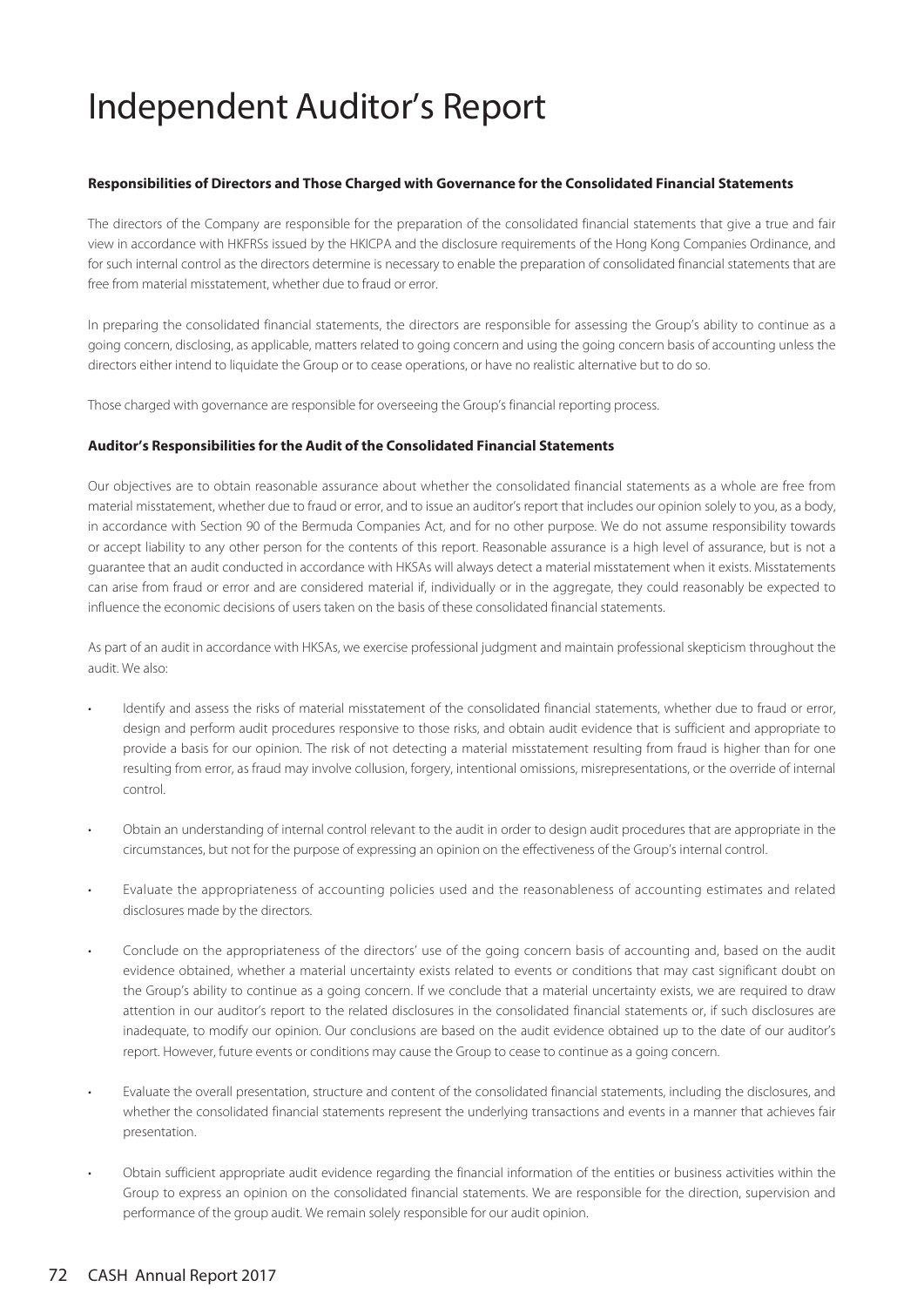# Independent Auditor's Report

#### **Responsibilities of Directors and Those Charged with Governance for the Consolidated Financial Statements**

The directors of the Company are responsible for the preparation of the consolidated financial statements that give a true and fair view in accordance with HKFRSs issued by the HKICPA and the disclosure requirements of the Hong Kong Companies Ordinance, and for such internal control as the directors determine is necessary to enable the preparation of consolidated financial statements that are free from material misstatement, whether due to fraud or error.

In preparing the consolidated financial statements, the directors are responsible for assessing the Group's ability to continue as a going concern, disclosing, as applicable, matters related to going concern and using the going concern basis of accounting unless the directors either intend to liquidate the Group or to cease operations, or have no realistic alternative but to do so.

Those charged with governance are responsible for overseeing the Group's financial reporting process.

### **Auditor's Responsibilities for the Audit of the Consolidated Financial Statements**

Our objectives are to obtain reasonable assurance about whether the consolidated financial statements as a whole are free from material misstatement, whether due to fraud or error, and to issue an auditor's report that includes our opinion solely to you, as a body, in accordance with Section 90 of the Bermuda Companies Act, and for no other purpose. We do not assume responsibility towards or accept liability to any other person for the contents of this report. Reasonable assurance is a high level of assurance, but is not a guarantee that an audit conducted in accordance with HKSAs will always detect a material misstatement when it exists. Misstatements can arise from fraud or error and are considered material if, individually or in the aggregate, they could reasonably be expected to influence the economic decisions of users taken on the basis of these consolidated financial statements.

As part of an audit in accordance with HKSAs, we exercise professional judgment and maintain professional skepticism throughout the audit. We also:

- Identify and assess the risks of material misstatement of the consolidated financial statements, whether due to fraud or error, design and perform audit procedures responsive to those risks, and obtain audit evidence that is sufficient and appropriate to provide a basis for our opinion. The risk of not detecting a material misstatement resulting from fraud is higher than for one resulting from error, as fraud may involve collusion, forgery, intentional omissions, misrepresentations, or the override of internal control.
- Obtain an understanding of internal control relevant to the audit in order to design audit procedures that are appropriate in the circumstances, but not for the purpose of expressing an opinion on the effectiveness of the Group's internal control.
- Evaluate the appropriateness of accounting policies used and the reasonableness of accounting estimates and related disclosures made by the directors.
- Conclude on the appropriateness of the directors' use of the going concern basis of accounting and, based on the audit evidence obtained, whether a material uncertainty exists related to events or conditions that may cast significant doubt on the Group's ability to continue as a going concern. If we conclude that a material uncertainty exists, we are required to draw attention in our auditor's report to the related disclosures in the consolidated financial statements or, if such disclosures are inadequate, to modify our opinion. Our conclusions are based on the audit evidence obtained up to the date of our auditor's report. However, future events or conditions may cause the Group to cease to continue as a going concern.
- Evaluate the overall presentation, structure and content of the consolidated financial statements, including the disclosures, and whether the consolidated financial statements represent the underlying transactions and events in a manner that achieves fair presentation.
- Obtain sufficient appropriate audit evidence regarding the financial information of the entities or business activities within the Group to express an opinion on the consolidated financial statements. We are responsible for the direction, supervision and performance of the group audit. We remain solely responsible for our audit opinion.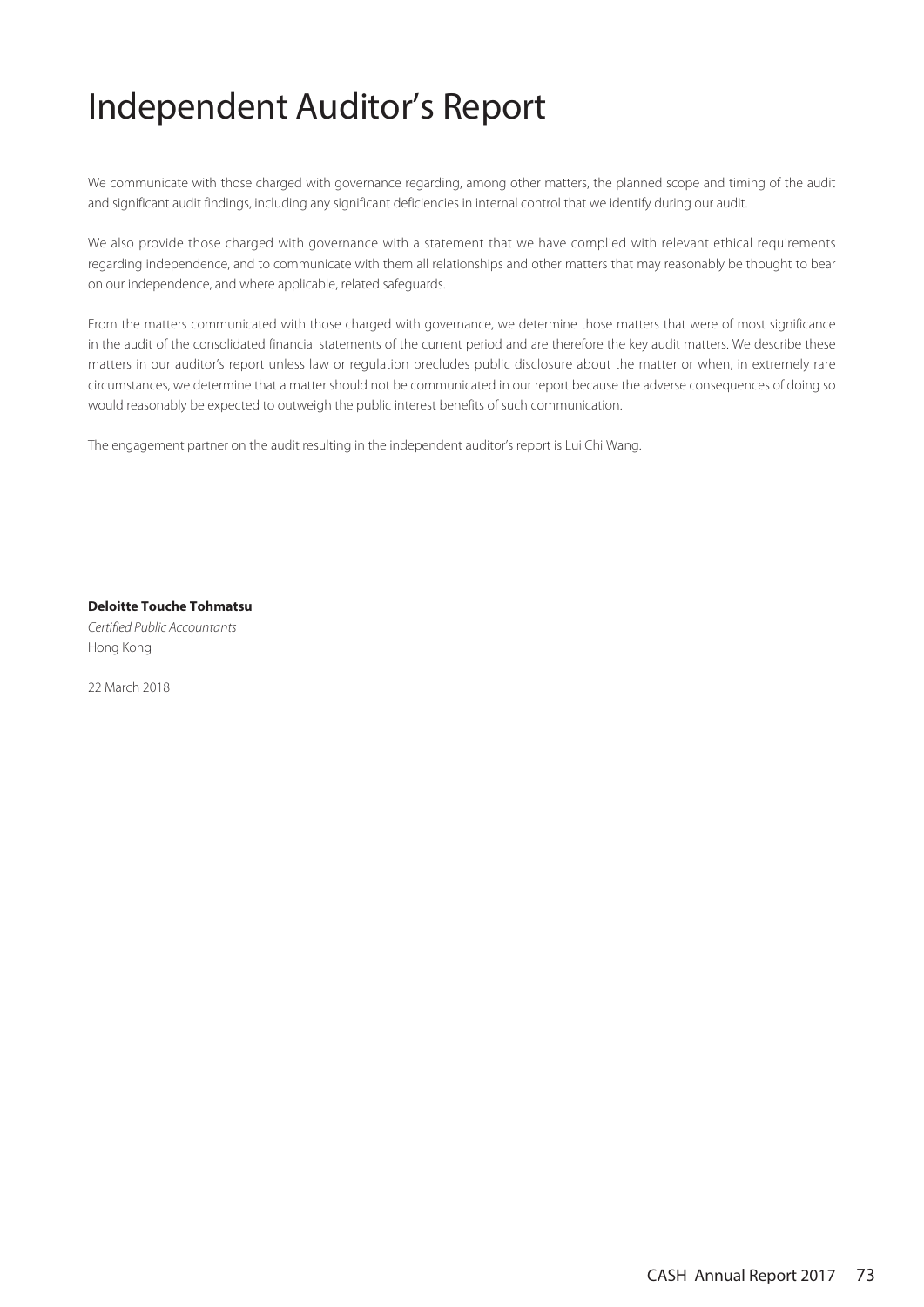# Independent Auditor's Report

We communicate with those charged with governance regarding, among other matters, the planned scope and timing of the audit and significant audit findings, including any significant deficiencies in internal control that we identify during our audit.

We also provide those charged with governance with a statement that we have complied with relevant ethical requirements regarding independence, and to communicate with them all relationships and other matters that may reasonably be thought to bear on our independence, and where applicable, related safeguards.

From the matters communicated with those charged with governance, we determine those matters that were of most significance in the audit of the consolidated financial statements of the current period and are therefore the key audit matters. We describe these matters in our auditor's report unless law or regulation precludes public disclosure about the matter or when, in extremely rare circumstances, we determine that a matter should not be communicated in our report because the adverse consequences of doing so would reasonably be expected to outweigh the public interest benefits of such communication.

The engagement partner on the audit resulting in the independent auditor's report is Lui Chi Wang.

**Deloitte Touche Tohmatsu**

Certified Public Accountants Hong Kong

22 March 2018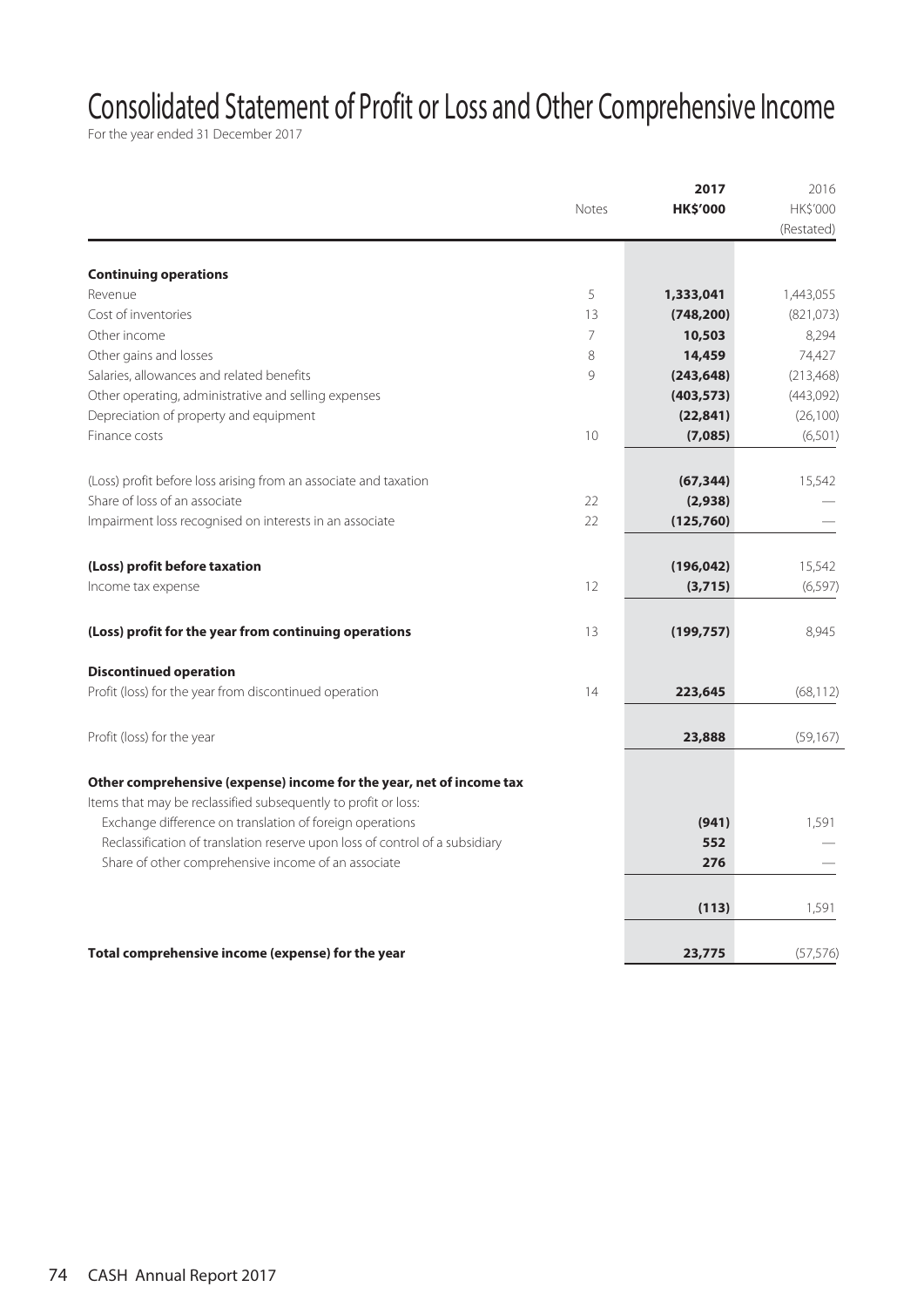# Consolidated Statement of Profit or Loss and Other Comprehensive Income

For the year ended 31 December 2017

|                                                                              |              | 2017            | 2016       |  |
|------------------------------------------------------------------------------|--------------|-----------------|------------|--|
|                                                                              | <b>Notes</b> | <b>HK\$'000</b> | HK\$'000   |  |
|                                                                              |              |                 | (Restated) |  |
|                                                                              |              |                 |            |  |
| <b>Continuing operations</b>                                                 |              |                 |            |  |
| Revenue                                                                      | 5            | 1,333,041       | 1,443,055  |  |
| Cost of inventories                                                          | 13           | (748, 200)      | (821, 073) |  |
| Other income                                                                 | 7            | 10,503          | 8,294      |  |
| Other gains and losses                                                       | 8            | 14,459          | 74,427     |  |
| Salaries, allowances and related benefits                                    | 9            | (243, 648)      | (213, 468) |  |
| Other operating, administrative and selling expenses                         |              | (403, 573)      | (443,092)  |  |
| Depreciation of property and equipment                                       |              | (22, 841)       | (26,100)   |  |
| Finance costs                                                                | 10           | (7,085)         | (6,501)    |  |
| (Loss) profit before loss arising from an associate and taxation             |              | (67, 344)       | 15,542     |  |
| Share of loss of an associate                                                | 22           | (2,938)         |            |  |
| Impairment loss recognised on interests in an associate                      | 22           | (125, 760)      |            |  |
|                                                                              |              |                 |            |  |
| (Loss) profit before taxation                                                |              | (196, 042)      | 15,542     |  |
| Income tax expense                                                           | 12           | (3,715)         | (6, 597)   |  |
| (Loss) profit for the year from continuing operations                        | 13           | (199, 757)      | 8,945      |  |
| <b>Discontinued operation</b>                                                |              |                 |            |  |
| Profit (loss) for the year from discontinued operation                       | 14           | 223,645         | (68, 112)  |  |
| Profit (loss) for the year                                                   |              | 23,888          | (59,167)   |  |
| Other comprehensive (expense) income for the year, net of income tax         |              |                 |            |  |
| Items that may be reclassified subsequently to profit or loss:               |              |                 |            |  |
| Exchange difference on translation of foreign operations                     |              | (941)           | 1,591      |  |
| Reclassification of translation reserve upon loss of control of a subsidiary |              | 552             |            |  |
| Share of other comprehensive income of an associate                          |              | 276             |            |  |
|                                                                              |              |                 |            |  |
|                                                                              |              | (113)           | 1,591      |  |
|                                                                              |              |                 |            |  |
| Total comprehensive income (expense) for the year                            |              | 23,775          | (57, 576)  |  |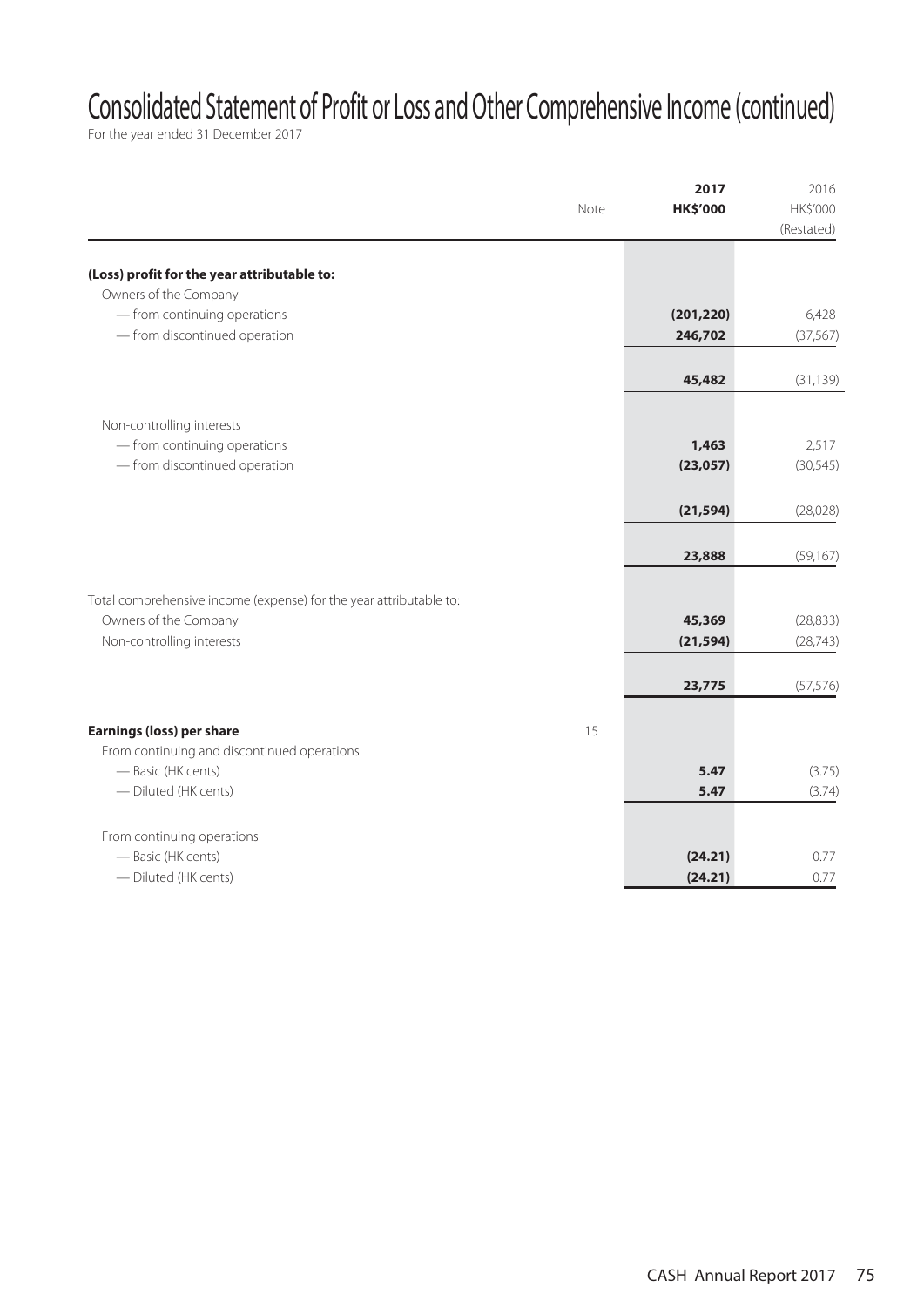# Consolidated Statement of Profit or Loss and Other Comprehensive Income (continued)

For the year ended 31 December 2017

|                                                                    |      | 2017            | 2016       |
|--------------------------------------------------------------------|------|-----------------|------------|
|                                                                    | Note | <b>HK\$'000</b> | HK\$'000   |
|                                                                    |      |                 | (Restated) |
| (Loss) profit for the year attributable to:                        |      |                 |            |
| Owners of the Company                                              |      |                 |            |
| - from continuing operations                                       |      | (201, 220)      | 6,428      |
| - from discontinued operation                                      |      | 246,702         | (37, 567)  |
|                                                                    |      |                 |            |
|                                                                    |      | 45,482          | (31, 139)  |
|                                                                    |      |                 |            |
| Non-controlling interests                                          |      |                 |            |
| - from continuing operations                                       |      | 1,463           | 2,517      |
| - from discontinued operation                                      |      | (23, 057)       | (30, 545)  |
|                                                                    |      |                 |            |
|                                                                    |      | (21, 594)       | (28, 028)  |
|                                                                    |      |                 |            |
|                                                                    |      | 23,888          | (59, 167)  |
| Total comprehensive income (expense) for the year attributable to: |      |                 |            |
| Owners of the Company                                              |      | 45,369          | (28, 833)  |
| Non-controlling interests                                          |      | (21, 594)       | (28, 743)  |
|                                                                    |      |                 |            |
|                                                                    |      | 23,775          | (57, 576)  |
|                                                                    |      |                 |            |
| <b>Earnings (loss) per share</b>                                   | 15   |                 |            |
| From continuing and discontinued operations                        |      |                 |            |
| - Basic (HK cents)                                                 |      | 5.47            | (3.75)     |
| - Diluted (HK cents)                                               |      | 5.47            | (3.74)     |
| From continuing operations                                         |      |                 |            |
| - Basic (HK cents)                                                 |      | (24.21)         | 0.77       |
| - Diluted (HK cents)                                               |      | (24.21)         | 0.77       |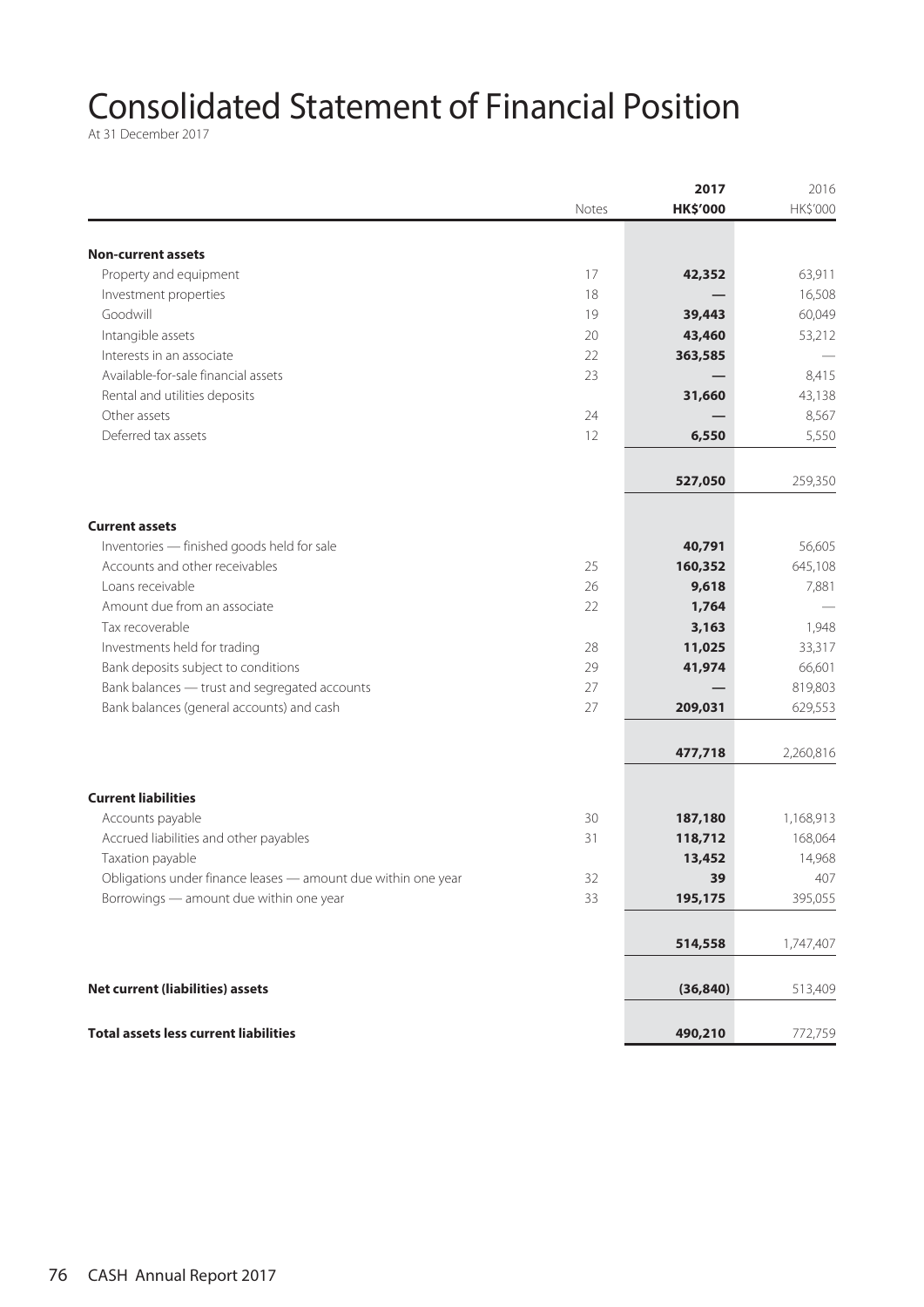# Consolidated Statement of Financial Position

At 31 December 2017

|                                                               |       | 2017            | 2016      |  |
|---------------------------------------------------------------|-------|-----------------|-----------|--|
|                                                               | Notes | <b>HK\$'000</b> | HK\$'000  |  |
|                                                               |       |                 |           |  |
| <b>Non-current assets</b>                                     |       |                 |           |  |
| Property and equipment                                        | 17    | 42,352          | 63,911    |  |
| Investment properties                                         | 18    |                 | 16,508    |  |
| Goodwill                                                      | 19    | 39,443          | 60,049    |  |
| Intangible assets                                             | 20    | 43,460          | 53,212    |  |
| Interests in an associate                                     | 22    | 363,585         |           |  |
| Available-for-sale financial assets                           | 23    |                 | 8,415     |  |
| Rental and utilities deposits                                 |       | 31,660          | 43,138    |  |
| Other assets                                                  | 24    |                 | 8,567     |  |
| Deferred tax assets                                           | 12    | 6,550           | 5,550     |  |
|                                                               |       | 527,050         | 259,350   |  |
|                                                               |       |                 |           |  |
| <b>Current assets</b>                                         |       |                 |           |  |
| Inventories - finished goods held for sale                    |       | 40,791          | 56,605    |  |
| Accounts and other receivables                                | 25    | 160,352         | 645,108   |  |
| Loans receivable                                              | 26    | 9,618           | 7,881     |  |
| Amount due from an associate                                  | 22    | 1,764           |           |  |
| Tax recoverable                                               |       | 3,163           | 1,948     |  |
| Investments held for trading                                  | 28    | 11,025          | 33,317    |  |
| Bank deposits subject to conditions                           | 29    | 41,974          | 66,601    |  |
| Bank balances - trust and segregated accounts                 | 27    |                 | 819,803   |  |
| Bank balances (general accounts) and cash                     | 27    | 209,031         | 629,553   |  |
|                                                               |       | 477,718         | 2,260,816 |  |
|                                                               |       |                 |           |  |
| <b>Current liabilities</b>                                    |       |                 |           |  |
| Accounts payable                                              | 30    | 187,180         | 1,168,913 |  |
| Accrued liabilities and other payables                        | 31    | 118,712         | 168,064   |  |
| Taxation payable                                              |       | 13,452          | 14,968    |  |
| Obligations under finance leases - amount due within one year | 32    | 39              | 407       |  |
| Borrowings - amount due within one year                       | 33    | 195,175         | 395,055   |  |
|                                                               |       | 514,558         | 1,747,407 |  |
| <b>Net current (liabilities) assets</b>                       |       | (36, 840)       | 513,409   |  |
|                                                               |       |                 |           |  |
| <b>Total assets less current liabilities</b>                  |       | 490,210         | 772,759   |  |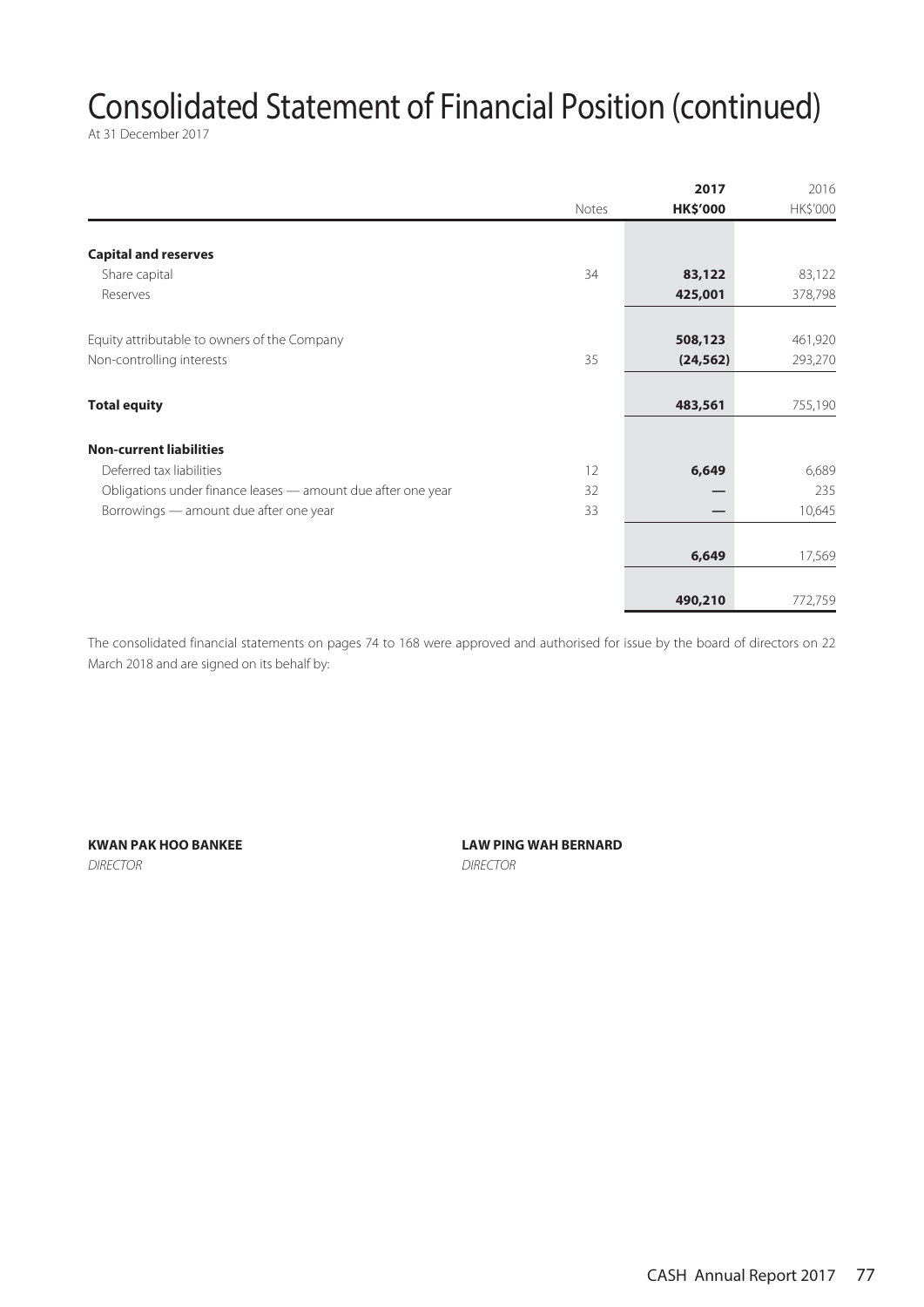# Consolidated Statement of Financial Position (continued)

At 31 December 2017

|                                                              |       | 2017            | 2016     |
|--------------------------------------------------------------|-------|-----------------|----------|
|                                                              | Notes | <b>HK\$'000</b> | HK\$'000 |
|                                                              |       |                 |          |
| <b>Capital and reserves</b>                                  |       |                 |          |
| Share capital                                                | 34    | 83,122          | 83,122   |
| Reserves                                                     |       | 425,001         | 378,798  |
| Equity attributable to owners of the Company                 |       | 508,123         | 461,920  |
|                                                              |       |                 |          |
| Non-controlling interests                                    | 35    | (24, 562)       | 293,270  |
| <b>Total equity</b>                                          |       | 483,561         | 755,190  |
| <b>Non-current liabilities</b>                               |       |                 |          |
| Deferred tax liabilities                                     | 12    | 6,649           | 6,689    |
| Obligations under finance leases - amount due after one year | 32    |                 | 235      |
| Borrowings - amount due after one year                       | 33    |                 | 10,645   |
|                                                              |       | 6,649           | 17,569   |
|                                                              |       |                 |          |
|                                                              |       | 490,210         | 772,759  |

The consolidated financial statements on pages 74 to 168 were approved and authorised for issue by the board of directors on 22 March 2018 and are signed on its behalf by:

#### KWAN PAK HOO BANKEE **LAW PING WAH BERNARD**

DIRECTOR DIRECTOR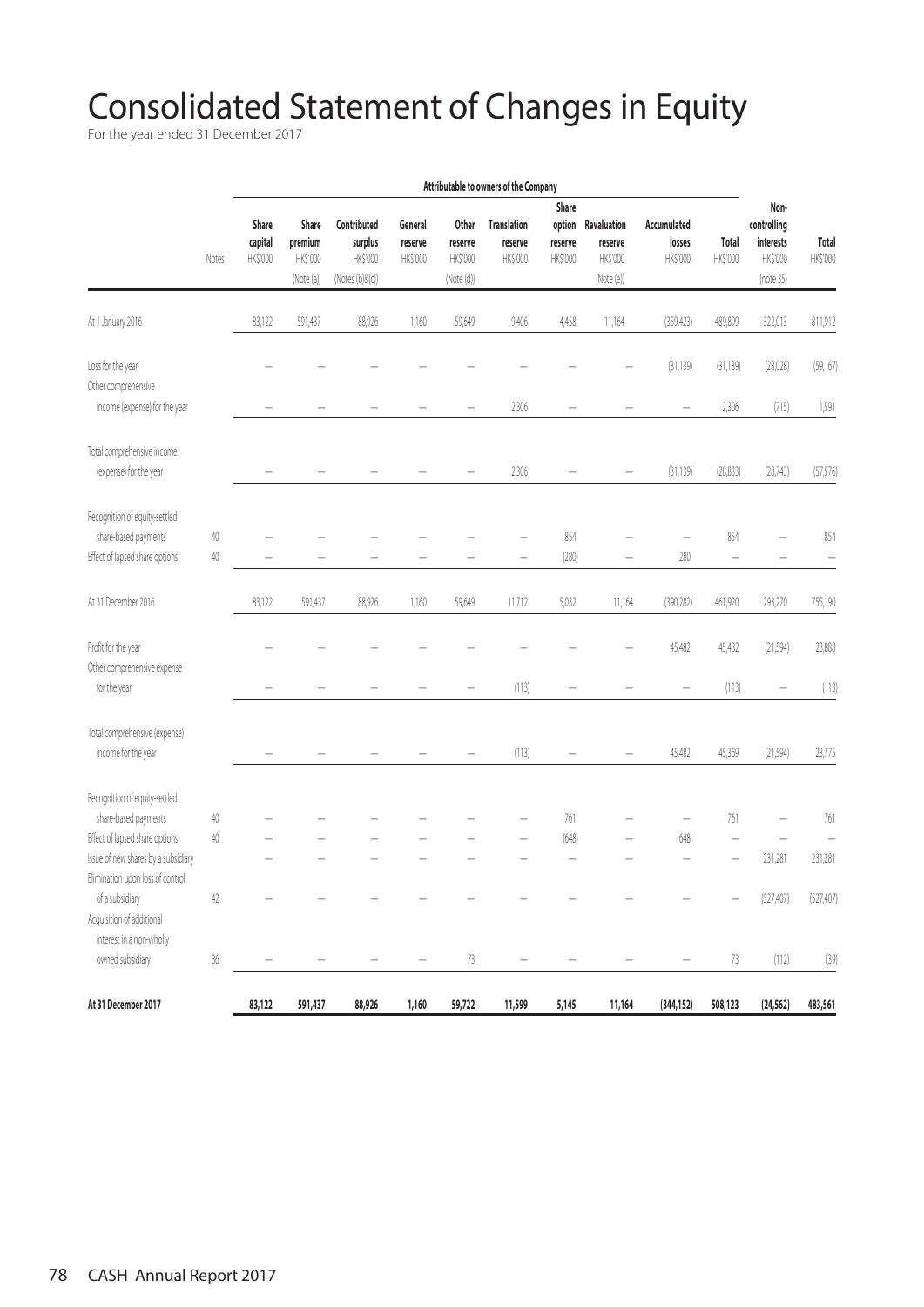# Consolidated Statement of Changes in Equity

For the year ended 31 December 2017

|                                                       |        |                              |                                            |                                                       |                                |                                            | Attributable to owners of the Company     |                              |                                                         |                                   |                          |                                                           |                          |
|-------------------------------------------------------|--------|------------------------------|--------------------------------------------|-------------------------------------------------------|--------------------------------|--------------------------------------------|-------------------------------------------|------------------------------|---------------------------------------------------------|-----------------------------------|--------------------------|-----------------------------------------------------------|--------------------------|
|                                                       | Notes  | Share<br>capital<br>HK\$'000 | Share<br>premium<br>HK\$'000<br>(Note (a)) | Contributed<br>surplus<br>HK\$'000<br>(Notes (b)&(c)) | General<br>reserve<br>HK\$'000 | Other<br>reserve<br>HK\$'000<br>(Note (d)) | <b>Translation</b><br>reserve<br>HK\$'000 | Share<br>reserve<br>HK\$'000 | option Revaluation<br>reserve<br>HK\$'000<br>(Note (e)) | Accumulated<br>losses<br>HK\$'000 | <b>Total</b><br>HK\$'000 | Non-<br>controlling<br>interests<br>HK\$'000<br>(note 35) | <b>Total</b><br>HK\$'000 |
| At 1 January 2016                                     |        | 83,122                       | 591,437                                    | 88,926                                                | 1,160                          | 59,649                                     | 9,406                                     | 4,458                        | 11,164                                                  | (359, 423)                        | 489,899                  | 322,013                                                   | 811,912                  |
| Loss for the year<br>Other comprehensive              |        |                              |                                            |                                                       |                                |                                            |                                           |                              |                                                         | (31, 139)                         | (31, 139)                | (28,028)                                                  | (59, 167)                |
| income (expense) for the year                         |        |                              |                                            |                                                       |                                |                                            | 2,306                                     |                              |                                                         | $\overline{\phantom{0}}$          | 2,306                    | (715)                                                     | 1,591                    |
| Total comprehensive income                            |        |                              |                                            |                                                       |                                |                                            |                                           |                              |                                                         |                                   |                          |                                                           |                          |
| (expense) for the year                                |        |                              |                                            |                                                       |                                |                                            | 2,306                                     |                              |                                                         | (31, 139)                         | (28,833)                 | (28,743)                                                  | (57, 576)                |
| Recognition of equity-settled                         |        |                              |                                            |                                                       |                                |                                            |                                           |                              |                                                         |                                   |                          |                                                           |                          |
| share-based payments                                  | $40\,$ |                              |                                            |                                                       |                                |                                            |                                           | 854                          |                                                         |                                   | 854                      |                                                           | 854                      |
| Effect of lapsed share options                        | $40\,$ |                              |                                            |                                                       |                                |                                            |                                           | (280)                        |                                                         | 280                               | $\qquad \qquad -$        |                                                           |                          |
| At 31 December 2016                                   |        | 83,122                       | 591,437                                    | 88,926                                                | 1,160                          | 59,649                                     | 11,712                                    | 5,032                        | 11,164                                                  | (390, 282)                        | 461,920                  | 293,270                                                   | 755,190                  |
| Profit for the year<br>Other comprehensive expense    |        |                              |                                            |                                                       |                                |                                            |                                           |                              |                                                         | 45,482                            | 45,482                   | (21, 594)                                                 | 23,888                   |
| for the year                                          |        |                              |                                            |                                                       |                                | $\overline{\phantom{0}}$                   | (113)                                     |                              |                                                         |                                   | (113)                    |                                                           | (113)                    |
| Total comprehensive (expense)                         |        |                              |                                            |                                                       |                                |                                            |                                           |                              |                                                         |                                   |                          |                                                           |                          |
| income for the year                                   |        |                              |                                            |                                                       |                                | -                                          | (113)                                     |                              |                                                         | 45,482                            | 45,369                   | (21, 594)                                                 | 23,775                   |
| Recognition of equity-settled                         |        |                              |                                            |                                                       |                                |                                            |                                           |                              |                                                         |                                   |                          |                                                           |                          |
| share-based payments                                  | $40\,$ |                              |                                            |                                                       |                                |                                            |                                           | 761                          |                                                         | -                                 | 761                      |                                                           | 761                      |
| Effect of lapsed share options                        | $40\,$ |                              |                                            |                                                       |                                |                                            |                                           | (648)                        |                                                         | 648                               |                          |                                                           |                          |
| Issue of new shares by a subsidiary                   |        |                              |                                            |                                                       |                                |                                            |                                           |                              |                                                         |                                   |                          | 231,281                                                   | 231,281                  |
| Elimination upon loss of control                      |        |                              |                                            |                                                       |                                |                                            |                                           |                              |                                                         |                                   |                          |                                                           |                          |
| of a subsidiary                                       | 42     |                              |                                            |                                                       |                                |                                            |                                           |                              |                                                         |                                   |                          | (527, 407)                                                | (527, 407)               |
| Acquisition of additional<br>interest in a non-wholly |        |                              |                                            |                                                       |                                |                                            |                                           |                              |                                                         |                                   |                          |                                                           |                          |
| owned subsidiary                                      | $36\,$ |                              | $\overline{\phantom{0}}$                   |                                                       | $\overline{\phantom{0}}$       | $73\,$                                     | $\qquad \qquad -$                         |                              |                                                         | $\overline{\phantom{0}}$          | $73\,$                   | (112)                                                     | (39)                     |
| At 31 December 2017                                   |        | 83,122                       | 591,437                                    | 88,926                                                | 1,160                          | 59,722                                     | 11,599                                    | 5,145                        | 11,164                                                  | (344, 152)                        | 508,123                  | (24, 562)                                                 | 483,561                  |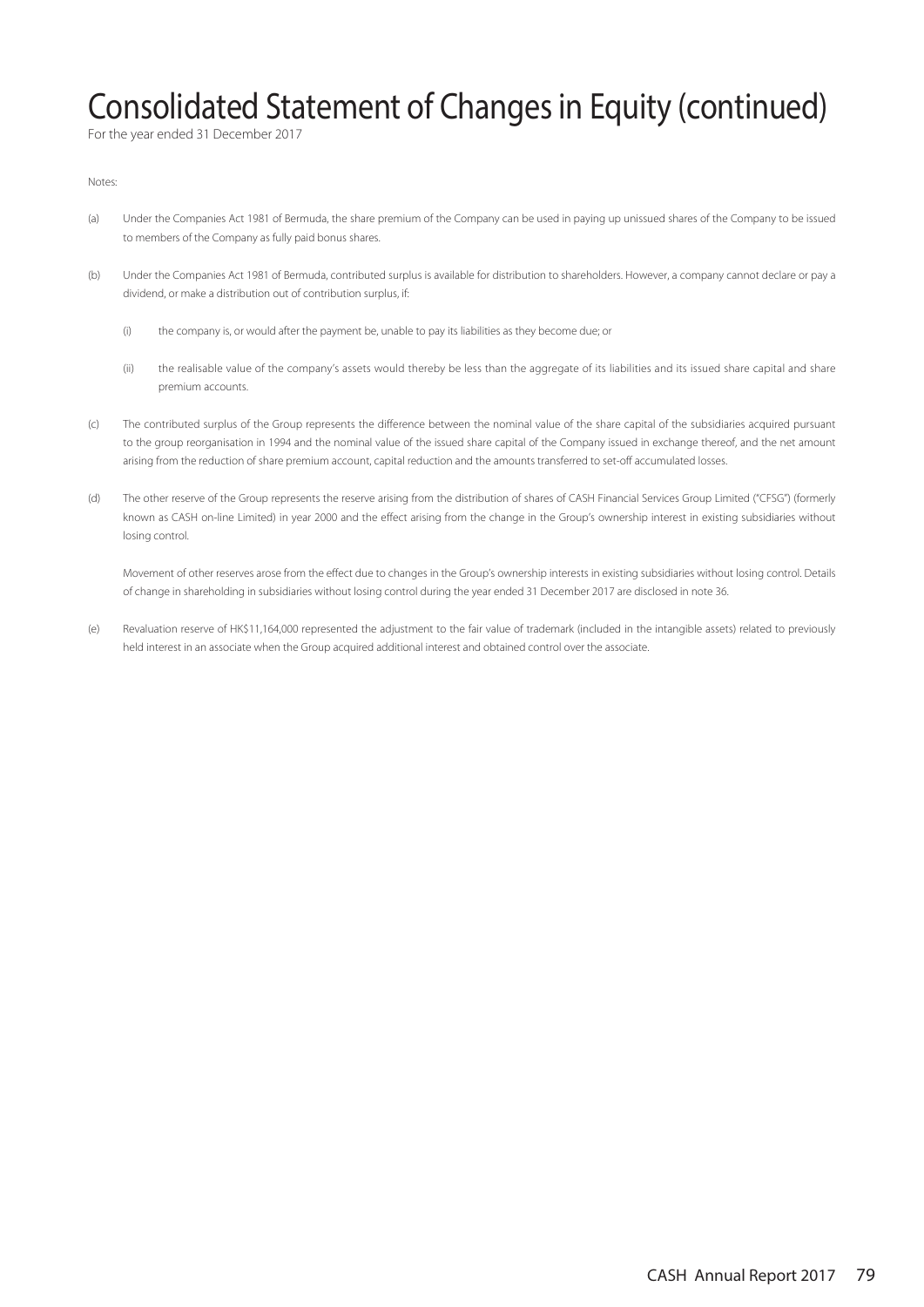# Consolidated Statement of Changes in Equity (continued)

For the year ended 31 December 2017

Notes:

- (a) Under the Companies Act 1981 of Bermuda, the share premium of the Company can be used in paying up unissued shares of the Company to be issued to members of the Company as fully paid bonus shares.
- (b) Under the Companies Act 1981 of Bermuda, contributed surplus is available for distribution to shareholders. However, a company cannot declare or pay a dividend, or make a distribution out of contribution surplus, if:
	- (i) the company is, or would after the payment be, unable to pay its liabilities as they become due; or
	- (ii) the realisable value of the company's assets would thereby be less than the aggregate of its liabilities and its issued share capital and share premium accounts.
- (c) The contributed surplus of the Group represents the difference between the nominal value of the share capital of the subsidiaries acquired pursuant to the group reorganisation in 1994 and the nominal value of the issued share capital of the Company issued in exchange thereof, and the net amount arising from the reduction of share premium account, capital reduction and the amounts transferred to set-off accumulated losses.
- (d) The other reserve of the Group represents the reserve arising from the distribution of shares of CASH Financial Services Group Limited ("CFSG") (formerly known as CASH on-line Limited) in year 2000 and the effect arising from the change in the Group's ownership interest in existing subsidiaries without losing control.

Movement of other reserves arose from the effect due to changes in the Group's ownership interests in existing subsidiaries without losing control. Details of change in shareholding in subsidiaries without losing control during the year ended 31 December 2017 are disclosed in note 36.

(e) Revaluation reserve of HK\$11,164,000 represented the adjustment to the fair value of trademark (included in the intangible assets) related to previously held interest in an associate when the Group acquired additional interest and obtained control over the associate.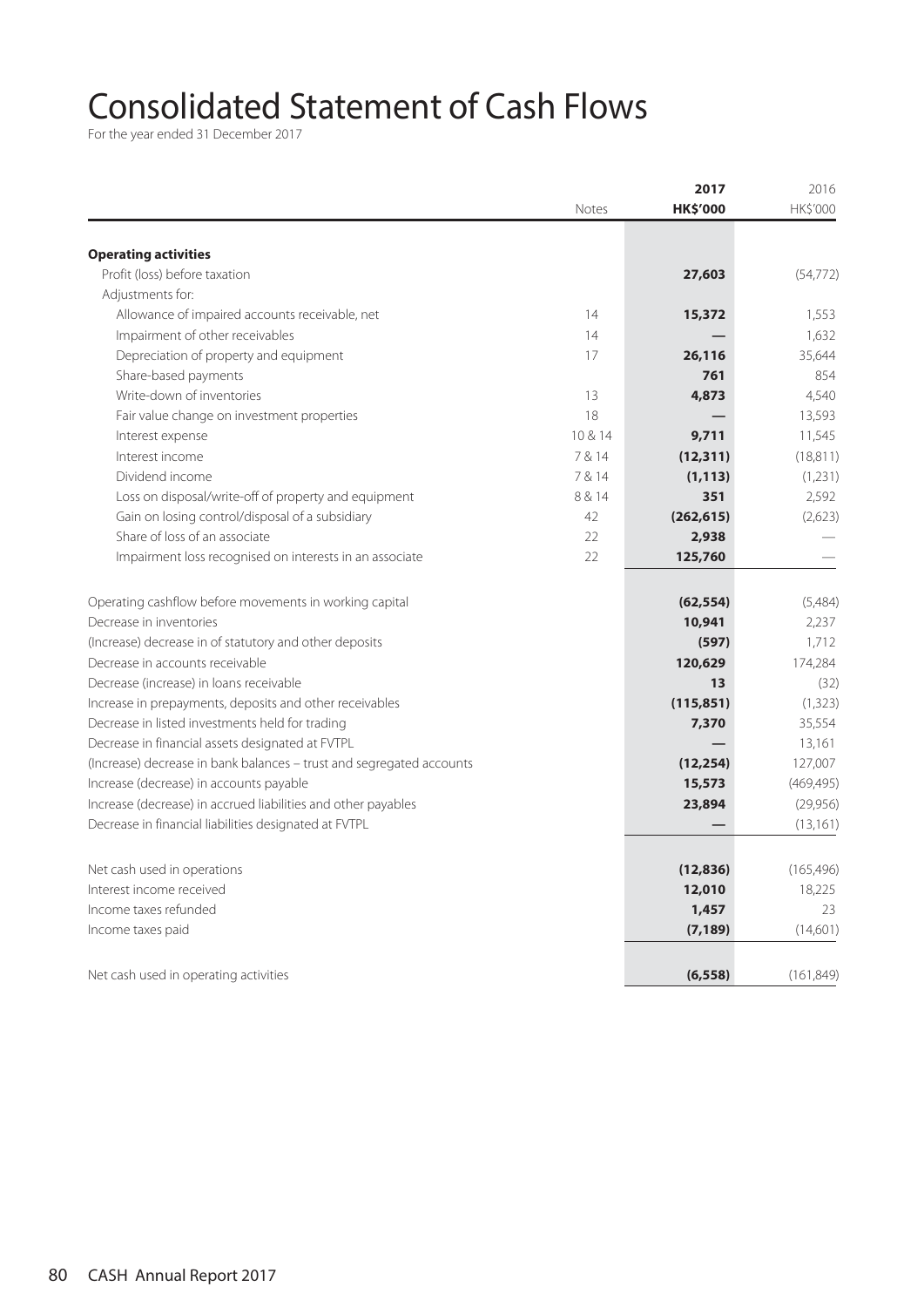# Consolidated Statement of Cash Flows

For the year ended 31 December 2017

|                                                                      |         | 2017            | 2016         |
|----------------------------------------------------------------------|---------|-----------------|--------------|
|                                                                      | Notes   | <b>HK\$'000</b> | HK\$'000     |
|                                                                      |         |                 |              |
| <b>Operating activities</b>                                          |         |                 |              |
| Profit (loss) before taxation                                        |         | 27,603          | (54, 772)    |
| Adjustments for:                                                     |         |                 |              |
| Allowance of impaired accounts receivable, net                       | 14      | 15,372          | 1,553        |
| Impairment of other receivables                                      | 14      |                 | 1,632        |
| Depreciation of property and equipment                               | 17      | 26,116          | 35,644       |
| Share-based payments                                                 |         | 761             | 854          |
| Write-down of inventories                                            | 13      | 4,873           | 4,540        |
| Fair value change on investment properties                           | 18      |                 | 13,593       |
| Interest expense                                                     | 10 & 14 | 9,711           | 11,545       |
| Interest income                                                      | 7 & 14  | (12, 311)       | (18, 811)    |
| Dividend income                                                      | 7 & 14  | (1, 113)        | (1,231)      |
| Loss on disposal/write-off of property and equipment                 | 8 & 14  | 351             | 2,592        |
| Gain on losing control/disposal of a subsidiary                      | 42      | (262, 615)      | (2,623)      |
| Share of loss of an associate                                        | 22      | 2,938           |              |
| Impairment loss recognised on interests in an associate              | 22      | 125,760         |              |
| Operating cashflow before movements in working capital               |         | (62, 554)       | (5,484)      |
| Decrease in inventories                                              |         | 10,941          | 2,237        |
| (Increase) decrease in of statutory and other deposits               |         | (597)           | 1,712        |
| Decrease in accounts receivable                                      |         | 120,629         | 174,284      |
| Decrease (increase) in loans receivable                              |         | 13              | (32)         |
| Increase in prepayments, deposits and other receivables              |         | (115, 851)      | (1, 323)     |
| Decrease in listed investments held for trading                      |         | 7,370           | 35,554       |
| Decrease in financial assets designated at FVTPL                     |         |                 | 13,161       |
| (Increase) decrease in bank balances - trust and segregated accounts |         | (12, 254)       | 127,007      |
| Increase (decrease) in accounts payable                              |         | 15,573          | (469, 495)   |
| Increase (decrease) in accrued liabilities and other payables        |         | 23,894          | (29,956)     |
| Decrease in financial liabilities designated at FVTPL                |         |                 | (13,161)     |
|                                                                      |         |                 |              |
| Net cash used in operations<br>Interest income received              |         | (12, 836)       | (165, 496)   |
| Income taxes refunded                                                |         | 12,010<br>1,457 | 18,225<br>23 |
|                                                                      |         |                 |              |
| Income taxes paid                                                    |         | (7, 189)        | (14,601)     |
| Net cash used in operating activities                                |         | (6, 558)        | (161, 849)   |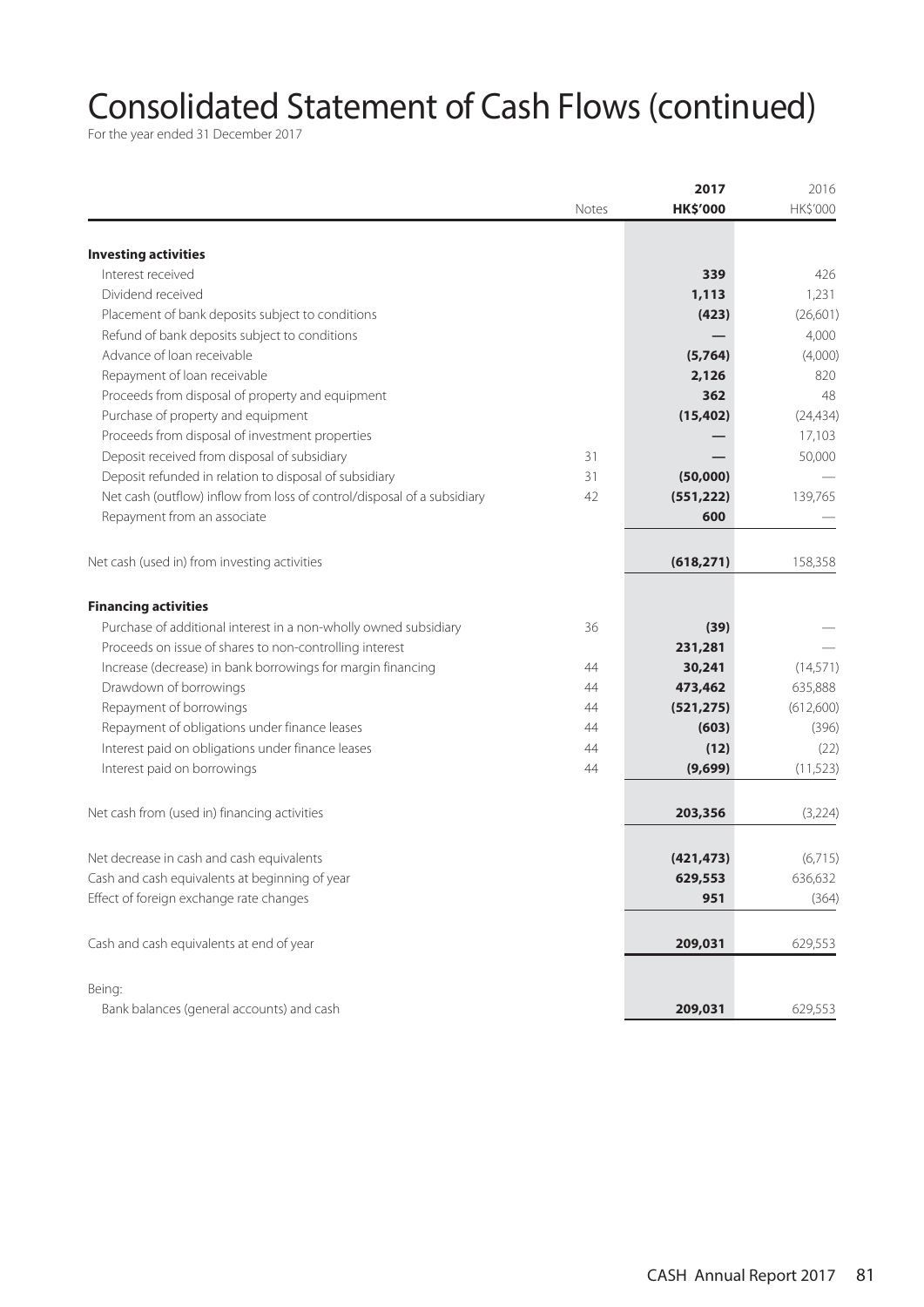# Consolidated Statement of Cash Flows (continued)

For the year ended 31 December 2017

|                                                                                           |       | 2017            | 2016      |
|-------------------------------------------------------------------------------------------|-------|-----------------|-----------|
|                                                                                           | Notes | <b>HK\$'000</b> | HK\$'000  |
|                                                                                           |       |                 |           |
| <b>Investing activities</b>                                                               |       |                 |           |
| Interest received                                                                         |       | 339             | 426       |
| Dividend received                                                                         |       | 1,113           | 1,231     |
| Placement of bank deposits subject to conditions                                          |       | (423)           | (26,601)  |
| Refund of bank deposits subject to conditions                                             |       |                 | 4,000     |
| Advance of loan receivable                                                                |       | (5,764)         | (4,000)   |
| Repayment of loan receivable                                                              |       | 2,126           | 820       |
| Proceeds from disposal of property and equipment                                          |       | 362             | 48        |
| Purchase of property and equipment                                                        |       | (15, 402)       | (24, 434) |
| Proceeds from disposal of investment properties                                           |       |                 | 17,103    |
| Deposit received from disposal of subsidiary                                              | 31    |                 | 50,000    |
| Deposit refunded in relation to disposal of subsidiary                                    | 31    | (50,000)        |           |
| Net cash (outflow) inflow from loss of control/disposal of a subsidiary                   | 42    | (551, 222)      | 139,765   |
| Repayment from an associate                                                               |       | 600             |           |
|                                                                                           |       |                 |           |
| Net cash (used in) from investing activities                                              |       | (618, 271)      | 158,358   |
|                                                                                           |       |                 |           |
| <b>Financing activities</b>                                                               |       |                 |           |
| Purchase of additional interest in a non-wholly owned subsidiary                          | 36    | (39)            |           |
| Proceeds on issue of shares to non-controlling interest                                   |       | 231,281         |           |
| Increase (decrease) in bank borrowings for margin financing                               | 44    | 30,241          | (14,571)  |
| Drawdown of borrowings                                                                    | 44    | 473,462         | 635,888   |
| Repayment of borrowings                                                                   | 44    | (521, 275)      | (612,600) |
| Repayment of obligations under finance leases                                             | 44    | (603)           | (396)     |
| Interest paid on obligations under finance leases                                         | 44    | (12)            | (22)      |
| Interest paid on borrowings                                                               | 44    | (9,699)         | (11, 523) |
| Net cash from (used in) financing activities                                              |       | 203,356         | (3,224)   |
| Net decrease in cash and cash equivalents                                                 |       | (421, 473)      | (6,715)   |
|                                                                                           |       | 629,553         | 636,632   |
| Cash and cash equivalents at beginning of year<br>Effect of foreign exchange rate changes |       |                 |           |
|                                                                                           |       | 951             | (364)     |
| Cash and cash equivalents at end of year                                                  |       | 209,031         | 629,553   |
| Being:                                                                                    |       |                 |           |
| Bank balances (general accounts) and cash                                                 |       | 209,031         | 629,553   |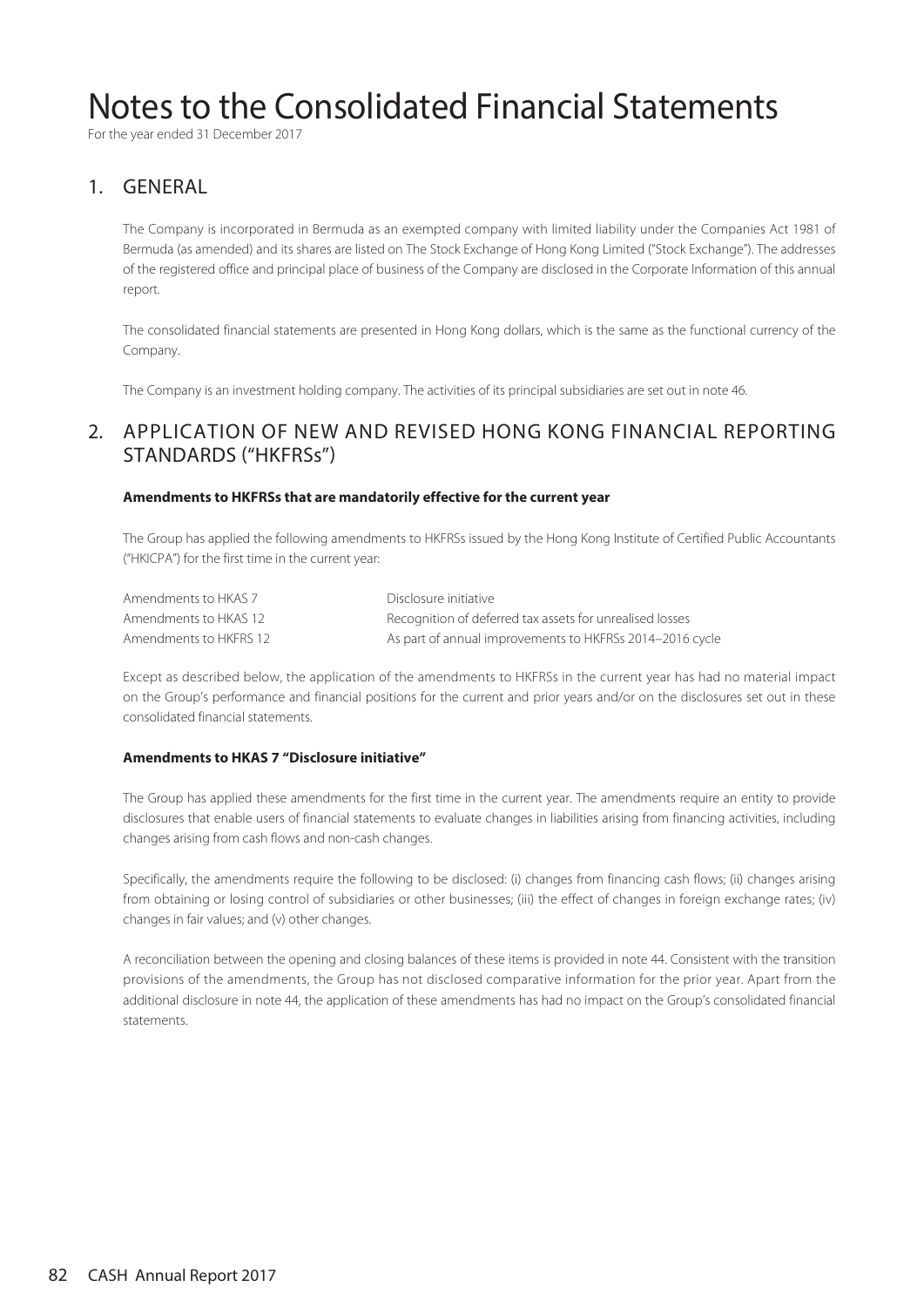# Notes to the Consolidated Financial Statements

For the year ended 31 December 2017

## 1. GENERAL

The Company is incorporated in Bermuda as an exempted company with limited liability under the Companies Act 1981 of Bermuda (as amended) and its shares are listed on The Stock Exchange of Hong Kong Limited ("Stock Exchange"). The addresses of the registered office and principal place of business of the Company are disclosed in the Corporate Information of this annual report.

The consolidated financial statements are presented in Hong Kong dollars, which is the same as the functional currency of the Company.

The Company is an investment holding company. The activities of its principal subsidiaries are set out in note 46.

## 2. APPLICATION OF NEW AND REVISED HONG KONG FINANCIAL REPORTING STANDARDS ("HKFRSs")

#### **Amendments to HKFRSs that are mandatorily effective for the current year**

The Group has applied the following amendments to HKFRSs issued by the Hong Kong Institute of Certified Public Accountants ("HKICPA") for the first time in the current year:

| Amendments to HKAS 7   | Disclosure initiative                                    |
|------------------------|----------------------------------------------------------|
| Amendments to HKAS 12  | Recognition of deferred tax assets for unrealised losses |
| Amendments to HKFRS 12 | As part of annual improvements to HKFRSs 2014-2016 cycle |

Except as described below, the application of the amendments to HKFRSs in the current year has had no material impact on the Group's performance and financial positions for the current and prior years and/or on the disclosures set out in these consolidated financial statements.

## **Amendments to HKAS 7 "Disclosure initiative"**

The Group has applied these amendments for the first time in the current year. The amendments require an entity to provide disclosures that enable users of financial statements to evaluate changes in liabilities arising from financing activities, including changes arising from cash flows and non-cash changes.

Specifically, the amendments require the following to be disclosed: (i) changes from financing cash flows; (ii) changes arising from obtaining or losing control of subsidiaries or other businesses; (iii) the effect of changes in foreign exchange rates; (iv) changes in fair values; and (v) other changes.

A reconciliation between the opening and closing balances of these items is provided in note 44. Consistent with the transition provisions of the amendments, the Group has not disclosed comparative information for the prior year. Apart from the additional disclosure in note 44, the application of these amendments has had no impact on the Group's consolidated financial statements.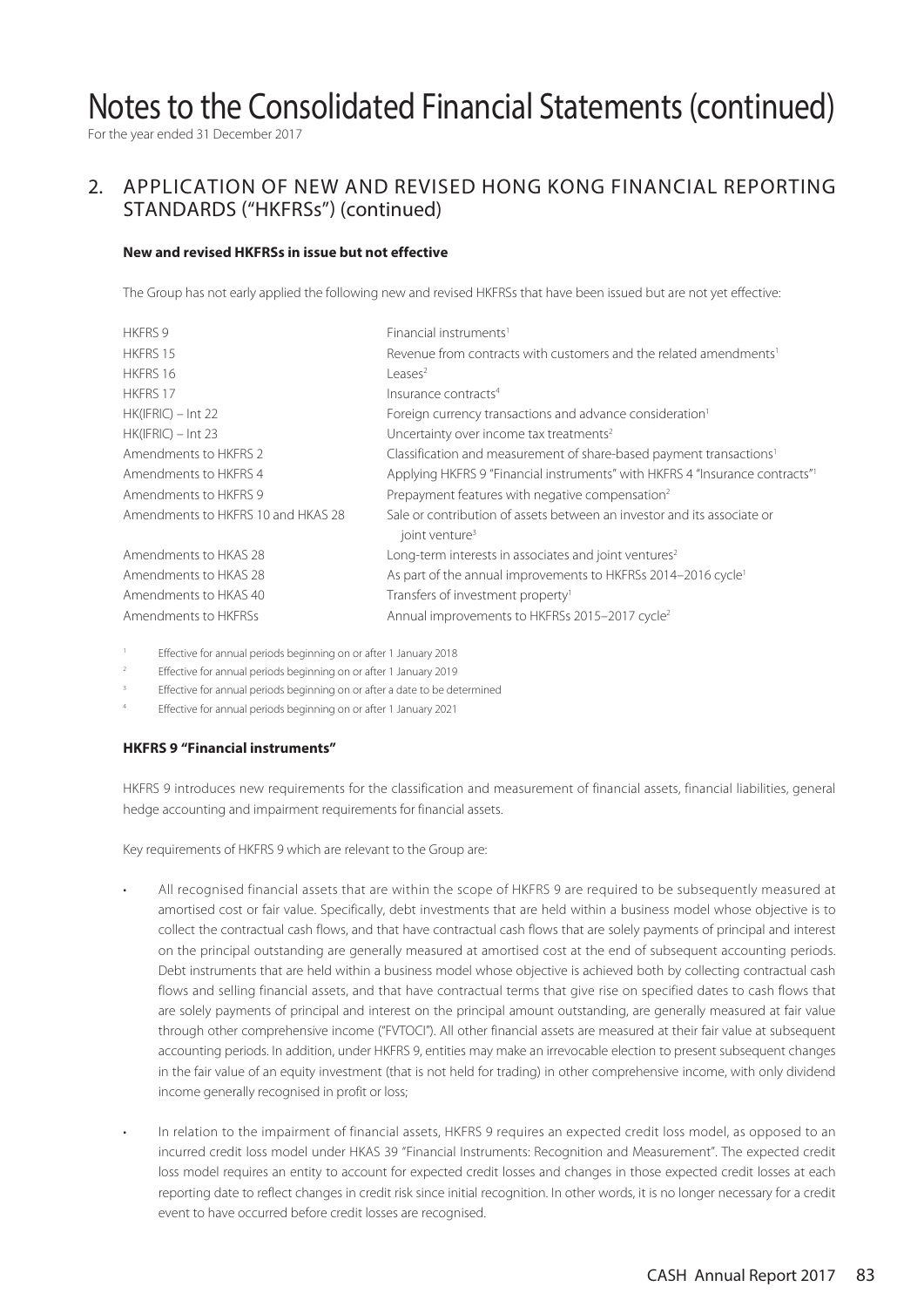For the year ended 31 December 2017

## 2. APPLICATION OF NEW AND REVISED HONG KONG FINANCIAL REPORTING STANDARDS ("HKFRSs") (continued)

### **New and revised HKFRSs in issue but not effective**

The Group has not early applied the following new and revised HKFRSs that have been issued but are not yet effective:

| <b>HKFRS 9</b>                     | Financial instruments <sup>1</sup>                                                                    |
|------------------------------------|-------------------------------------------------------------------------------------------------------|
| HKFRS 15                           | Revenue from contracts with customers and the related amendments <sup>1</sup>                         |
| HKFRS 16                           | leases <sup>2</sup>                                                                                   |
| HKFRS 17                           | Insurance contracts <sup>4</sup>                                                                      |
| $HK(IFRIC) - Int 22$               | Foreign currency transactions and advance consideration <sup>1</sup>                                  |
| $HK(IFRIC) - Int 23$               | Uncertainty over income tax treatments <sup>2</sup>                                                   |
| Amendments to HKFRS 2              | Classification and measurement of share-based payment transactions <sup>1</sup>                       |
| Amendments to HKFRS 4              | Applying HKFRS 9 "Financial instruments" with HKFRS 4 "Insurance contracts"                           |
| Amendments to HKFRS 9              | Prepayment features with negative compensation <sup>2</sup>                                           |
| Amendments to HKFRS 10 and HKAS 28 | Sale or contribution of assets between an investor and its associate or<br>joint venture <sup>3</sup> |
| Amendments to HKAS 28              | Long-term interests in associates and joint ventures <sup>2</sup>                                     |
| Amendments to HKAS 28              | As part of the annual improvements to HKFRSs 2014-2016 cycle <sup>1</sup>                             |
|                                    |                                                                                                       |
| Amendments to HKAS 40              | Transfers of investment property <sup>1</sup>                                                         |
| Amendments to HKFRSs               | Annual improvements to HKFRSs 2015-2017 cycle <sup>2</sup>                                            |

1 Effective for annual periods beginning on or after 1 January 2018

- $\overline{2}$ Effective for annual periods beginning on or after 1 January 2019
- 3 Effective for annual periods beginning on or after a date to be determined
- 4 Effective for annual periods beginning on or after 1 January 2021

### **HKFRS 9 "Financial instruments"**

HKFRS 9 introduces new requirements for the classification and measurement of financial assets, financial liabilities, general hedge accounting and impairment requirements for financial assets.

Key requirements of HKFRS 9 which are relevant to the Group are:

- All recognised financial assets that are within the scope of HKFRS 9 are required to be subsequently measured at amortised cost or fair value. Specifically, debt investments that are held within a business model whose objective is to collect the contractual cash flows, and that have contractual cash flows that are solely payments of principal and interest on the principal outstanding are generally measured at amortised cost at the end of subsequent accounting periods. Debt instruments that are held within a business model whose objective is achieved both by collecting contractual cash flows and selling financial assets, and that have contractual terms that give rise on specified dates to cash flows that are solely payments of principal and interest on the principal amount outstanding, are generally measured at fair value through other comprehensive income ("FVTOCI"). All other financial assets are measured at their fair value at subsequent accounting periods. In addition, under HKFRS 9, entities may make an irrevocable election to present subsequent changes in the fair value of an equity investment (that is not held for trading) in other comprehensive income, with only dividend income generally recognised in profit or loss;
- In relation to the impairment of financial assets, HKFRS 9 requires an expected credit loss model, as opposed to an incurred credit loss model under HKAS 39 "Financial Instruments: Recognition and Measurement". The expected credit loss model requires an entity to account for expected credit losses and changes in those expected credit losses at each reporting date to reflect changes in credit risk since initial recognition. In other words, it is no longer necessary for a credit event to have occurred before credit losses are recognised.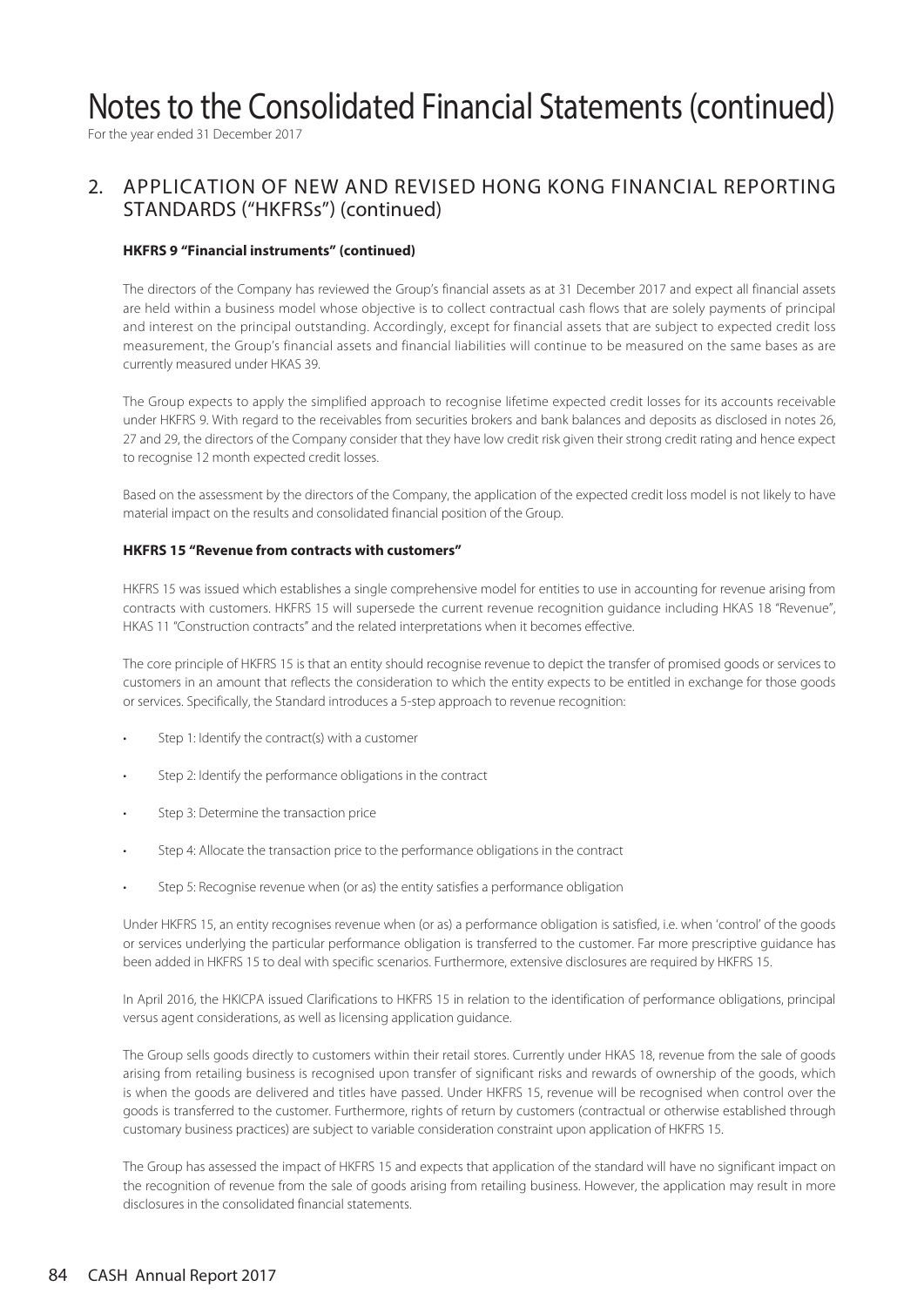For the year ended 31 December 2017

## 2. APPLICATION OF NEW AND REVISED HONG KONG FINANCIAL REPORTING STANDARDS ("HKFRSs") (continued)

### **HKFRS 9 "Financial instruments" (continued)**

The directors of the Company has reviewed the Group's financial assets as at 31 December 2017 and expect all financial assets are held within a business model whose objective is to collect contractual cash flows that are solely payments of principal and interest on the principal outstanding. Accordingly, except for financial assets that are subject to expected credit loss measurement, the Group's financial assets and financial liabilities will continue to be measured on the same bases as are currently measured under HKAS 39.

The Group expects to apply the simplified approach to recognise lifetime expected credit losses for its accounts receivable under HKFRS 9. With regard to the receivables from securities brokers and bank balances and deposits as disclosed in notes 26, 27 and 29, the directors of the Company consider that they have low credit risk given their strong credit rating and hence expect to recognise 12 month expected credit losses.

Based on the assessment by the directors of the Company, the application of the expected credit loss model is not likely to have material impact on the results and consolidated financial position of the Group.

#### **HKFRS 15 "Revenue from contracts with customers"**

HKFRS 15 was issued which establishes a single comprehensive model for entities to use in accounting for revenue arising from contracts with customers. HKFRS 15 will supersede the current revenue recognition guidance including HKAS 18 "Revenue", HKAS 11 "Construction contracts" and the related interpretations when it becomes effective.

The core principle of HKFRS 15 is that an entity should recognise revenue to depict the transfer of promised goods or services to customers in an amount that reflects the consideration to which the entity expects to be entitled in exchange for those goods or services. Specifically, the Standard introduces a 5-step approach to revenue recognition:

- Step 1: Identify the contract(s) with a customer
- Step 2: Identify the performance obligations in the contract
- Step 3: Determine the transaction price
- Step 4: Allocate the transaction price to the performance obligations in the contract
- Step 5: Recognise revenue when (or as) the entity satisfies a performance obligation

Under HKFRS 15, an entity recognises revenue when (or as) a performance obligation is satisfied, i.e. when 'control' of the goods or services underlying the particular performance obligation is transferred to the customer. Far more prescriptive guidance has been added in HKFRS 15 to deal with specific scenarios. Furthermore, extensive disclosures are required by HKFRS 15.

In April 2016, the HKICPA issued Clarifications to HKFRS 15 in relation to the identification of performance obligations, principal versus agent considerations, as well as licensing application guidance.

The Group sells goods directly to customers within their retail stores. Currently under HKAS 18, revenue from the sale of goods arising from retailing business is recognised upon transfer of significant risks and rewards of ownership of the goods, which is when the goods are delivered and titles have passed. Under HKFRS 15, revenue will be recognised when control over the goods is transferred to the customer. Furthermore, rights of return by customers (contractual or otherwise established through customary business practices) are subject to variable consideration constraint upon application of HKFRS 15.

The Group has assessed the impact of HKFRS 15 and expects that application of the standard will have no significant impact on the recognition of revenue from the sale of goods arising from retailing business. However, the application may result in more disclosures in the consolidated financial statements.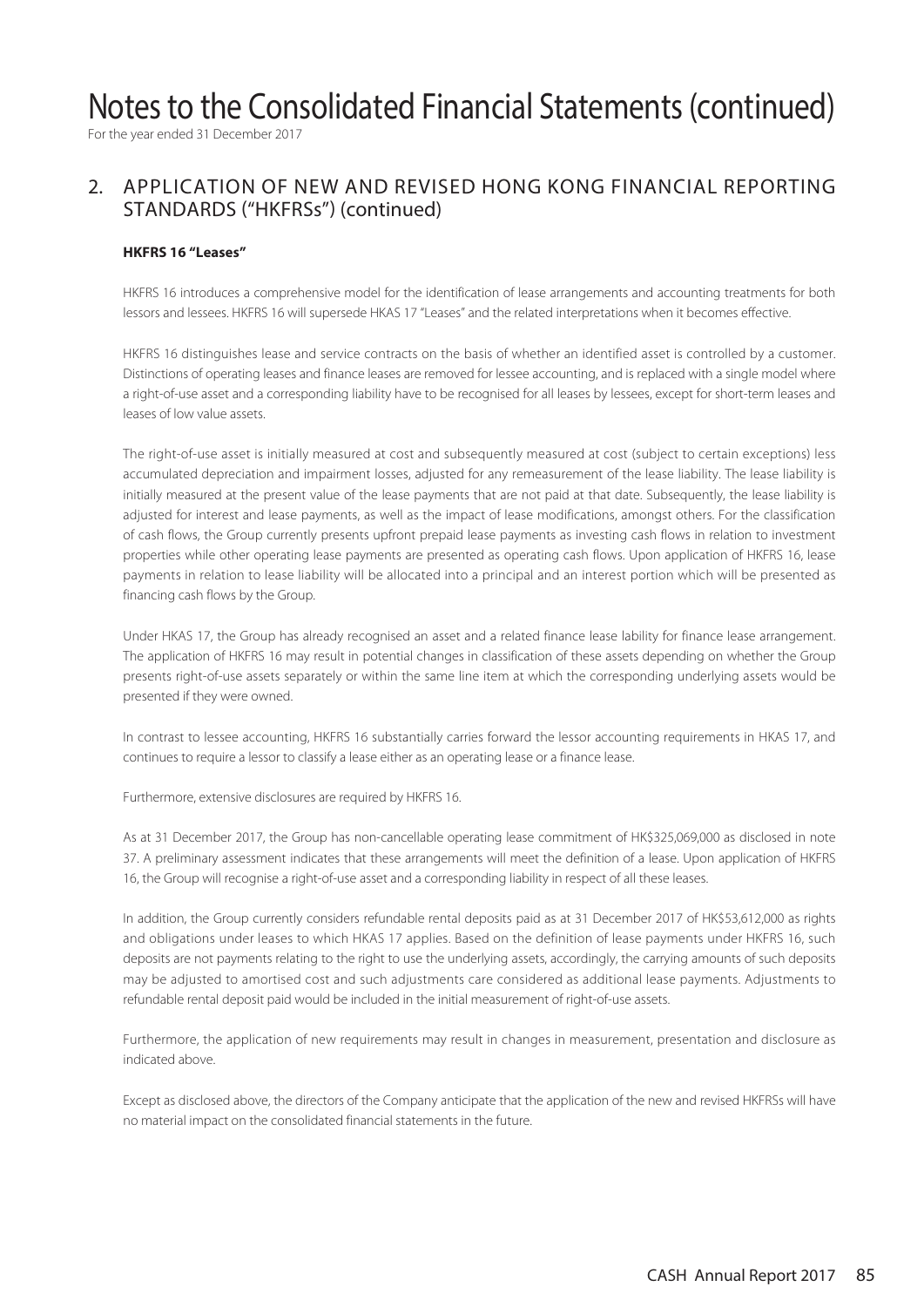For the year ended 31 December 2017

## 2. APPLICATION OF NEW AND REVISED HONG KONG FINANCIAL REPORTING STANDARDS ("HKFRSs") (continued)

#### **HKFRS 16 "Leases"**

HKFRS 16 introduces a comprehensive model for the identification of lease arrangements and accounting treatments for both lessors and lessees. HKFRS 16 will supersede HKAS 17 "Leases" and the related interpretations when it becomes effective.

HKFRS 16 distinguishes lease and service contracts on the basis of whether an identified asset is controlled by a customer. Distinctions of operating leases and finance leases are removed for lessee accounting, and is replaced with a single model where a right-of-use asset and a corresponding liability have to be recognised for all leases by lessees, except for short-term leases and leases of low value assets.

The right-of-use asset is initially measured at cost and subsequently measured at cost (subject to certain exceptions) less accumulated depreciation and impairment losses, adjusted for any remeasurement of the lease liability. The lease liability is initially measured at the present value of the lease payments that are not paid at that date. Subsequently, the lease liability is adjusted for interest and lease payments, as well as the impact of lease modifications, amongst others. For the classification of cash flows, the Group currently presents upfront prepaid lease payments as investing cash flows in relation to investment properties while other operating lease payments are presented as operating cash flows. Upon application of HKFRS 16, lease payments in relation to lease liability will be allocated into a principal and an interest portion which will be presented as financing cash flows by the Group.

Under HKAS 17, the Group has already recognised an asset and a related finance lease lability for finance lease arrangement. The application of HKFRS 16 may result in potential changes in classification of these assets depending on whether the Group presents right-of-use assets separately or within the same line item at which the corresponding underlying assets would be presented if they were owned.

In contrast to lessee accounting, HKFRS 16 substantially carries forward the lessor accounting requirements in HKAS 17, and continues to require a lessor to classify a lease either as an operating lease or a finance lease.

Furthermore, extensive disclosures are required by HKFRS 16.

As at 31 December 2017, the Group has non-cancellable operating lease commitment of HK\$325,069,000 as disclosed in note 37. A preliminary assessment indicates that these arrangements will meet the definition of a lease. Upon application of HKFRS 16, the Group will recognise a right-of-use asset and a corresponding liability in respect of all these leases.

In addition, the Group currently considers refundable rental deposits paid as at 31 December 2017 of HK\$53,612,000 as rights and obligations under leases to which HKAS 17 applies. Based on the definition of lease payments under HKFRS 16, such deposits are not payments relating to the right to use the underlying assets, accordingly, the carrying amounts of such deposits may be adjusted to amortised cost and such adjustments care considered as additional lease payments. Adjustments to refundable rental deposit paid would be included in the initial measurement of right-of-use assets.

Furthermore, the application of new requirements may result in changes in measurement, presentation and disclosure as indicated above.

Except as disclosed above, the directors of the Company anticipate that the application of the new and revised HKFRSs will have no material impact on the consolidated financial statements in the future.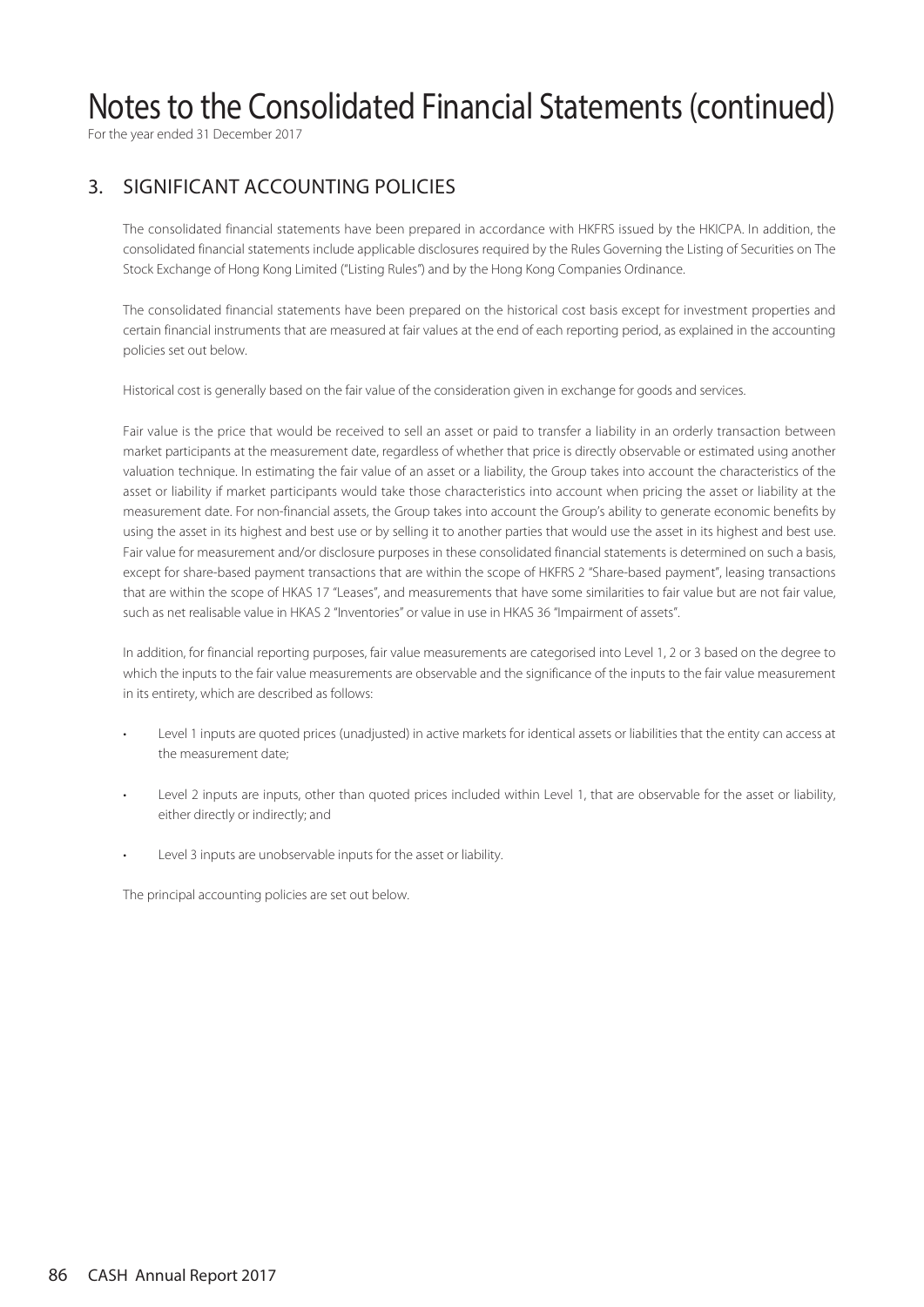For the year ended 31 December 2017

## 3. SIGNIFICANT ACCOUNTING POLICIES

The consolidated financial statements have been prepared in accordance with HKFRS issued by the HKICPA. In addition, the consolidated financial statements include applicable disclosures required by the Rules Governing the Listing of Securities on The Stock Exchange of Hong Kong Limited ("Listing Rules") and by the Hong Kong Companies Ordinance.

The consolidated financial statements have been prepared on the historical cost basis except for investment properties and certain financial instruments that are measured at fair values at the end of each reporting period, as explained in the accounting policies set out below.

Historical cost is generally based on the fair value of the consideration given in exchange for goods and services.

Fair value is the price that would be received to sell an asset or paid to transfer a liability in an orderly transaction between market participants at the measurement date, regardless of whether that price is directly observable or estimated using another valuation technique. In estimating the fair value of an asset or a liability, the Group takes into account the characteristics of the asset or liability if market participants would take those characteristics into account when pricing the asset or liability at the measurement date. For non-financial assets, the Group takes into account the Group's ability to generate economic benefits by using the asset in its highest and best use or by selling it to another parties that would use the asset in its highest and best use. Fair value for measurement and/or disclosure purposes in these consolidated financial statements is determined on such a basis, except for share-based payment transactions that are within the scope of HKFRS 2 "Share-based payment", leasing transactions that are within the scope of HKAS 17 "Leases", and measurements that have some similarities to fair value but are not fair value, such as net realisable value in HKAS 2 "Inventories" or value in use in HKAS 36 "Impairment of assets".

In addition, for financial reporting purposes, fair value measurements are categorised into Level 1, 2 or 3 based on the degree to which the inputs to the fair value measurements are observable and the significance of the inputs to the fair value measurement in its entirety, which are described as follows:

- Level 1 inputs are quoted prices (unadjusted) in active markets for identical assets or liabilities that the entity can access at the measurement date;
- Level 2 inputs are inputs, other than quoted prices included within Level 1, that are observable for the asset or liability, either directly or indirectly; and
- Level 3 inputs are unobservable inputs for the asset or liability.

The principal accounting policies are set out below.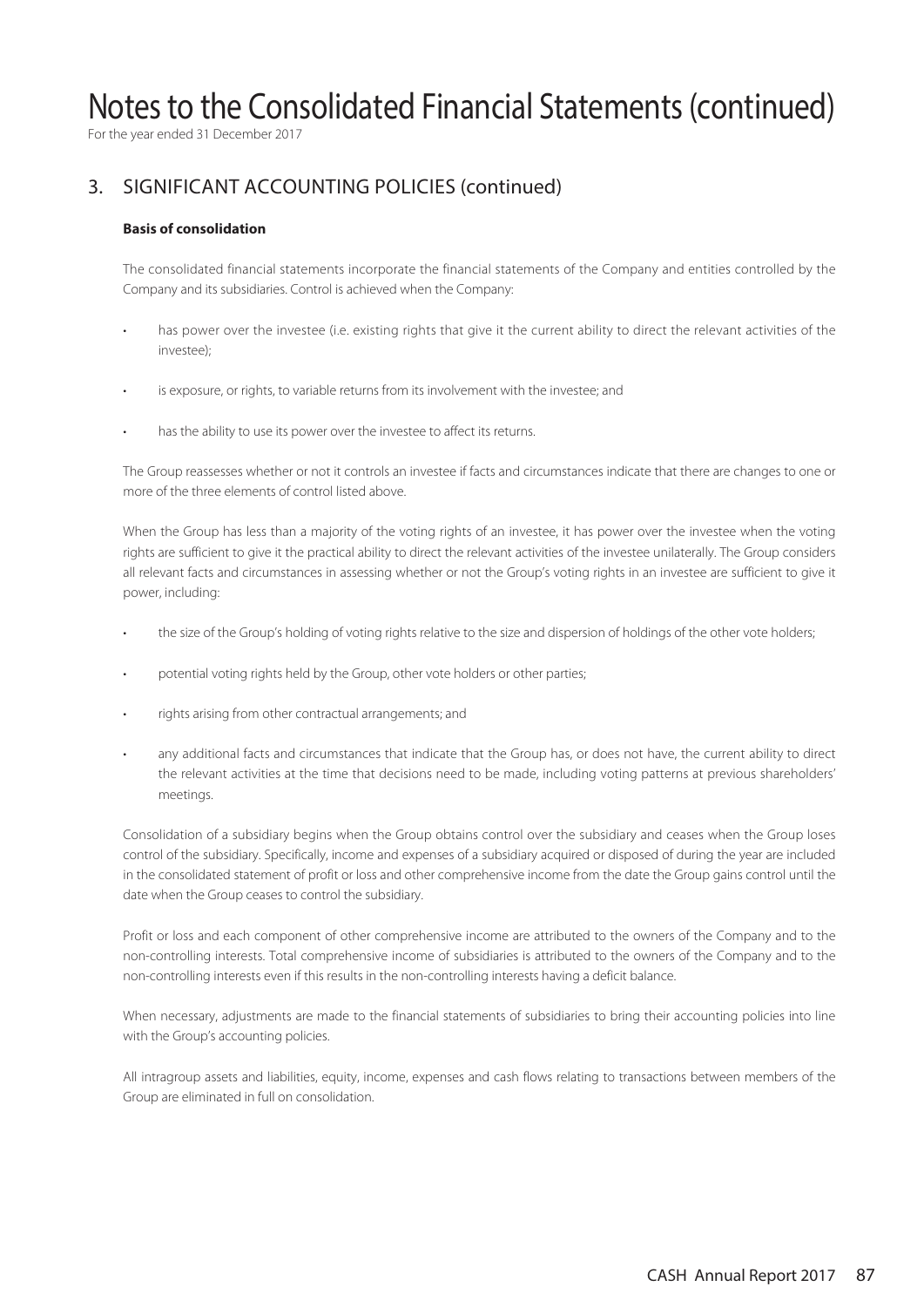For the year ended 31 December 2017

# 3. SIGNIFICANT ACCOUNTING POLICIES (continued)

## **Basis of consolidation**

The consolidated financial statements incorporate the financial statements of the Company and entities controlled by the Company and its subsidiaries. Control is achieved when the Company:

- has power over the investee (i.e. existing rights that give it the current ability to direct the relevant activities of the investee);
- is exposure, or rights, to variable returns from its involvement with the investee; and
- has the ability to use its power over the investee to affect its returns.

The Group reassesses whether or not it controls an investee if facts and circumstances indicate that there are changes to one or more of the three elements of control listed above.

When the Group has less than a majority of the voting rights of an investee, it has power over the investee when the voting rights are sufficient to give it the practical ability to direct the relevant activities of the investee unilaterally. The Group considers all relevant facts and circumstances in assessing whether or not the Group's voting rights in an investee are sufficient to give it power, including:

- the size of the Group's holding of voting rights relative to the size and dispersion of holdings of the other vote holders;
- potential voting rights held by the Group, other vote holders or other parties:
- rights arising from other contractual arrangements; and
- any additional facts and circumstances that indicate that the Group has, or does not have, the current ability to direct the relevant activities at the time that decisions need to be made, including voting patterns at previous shareholders' meetings.

Consolidation of a subsidiary begins when the Group obtains control over the subsidiary and ceases when the Group loses control of the subsidiary. Specifically, income and expenses of a subsidiary acquired or disposed of during the year are included in the consolidated statement of profit or loss and other comprehensive income from the date the Group gains control until the date when the Group ceases to control the subsidiary.

Profit or loss and each component of other comprehensive income are attributed to the owners of the Company and to the non-controlling interests. Total comprehensive income of subsidiaries is attributed to the owners of the Company and to the non-controlling interests even if this results in the non-controlling interests having a deficit balance.

When necessary, adjustments are made to the financial statements of subsidiaries to bring their accounting policies into line with the Group's accounting policies.

All intragroup assets and liabilities, equity, income, expenses and cash flows relating to transactions between members of the Group are eliminated in full on consolidation.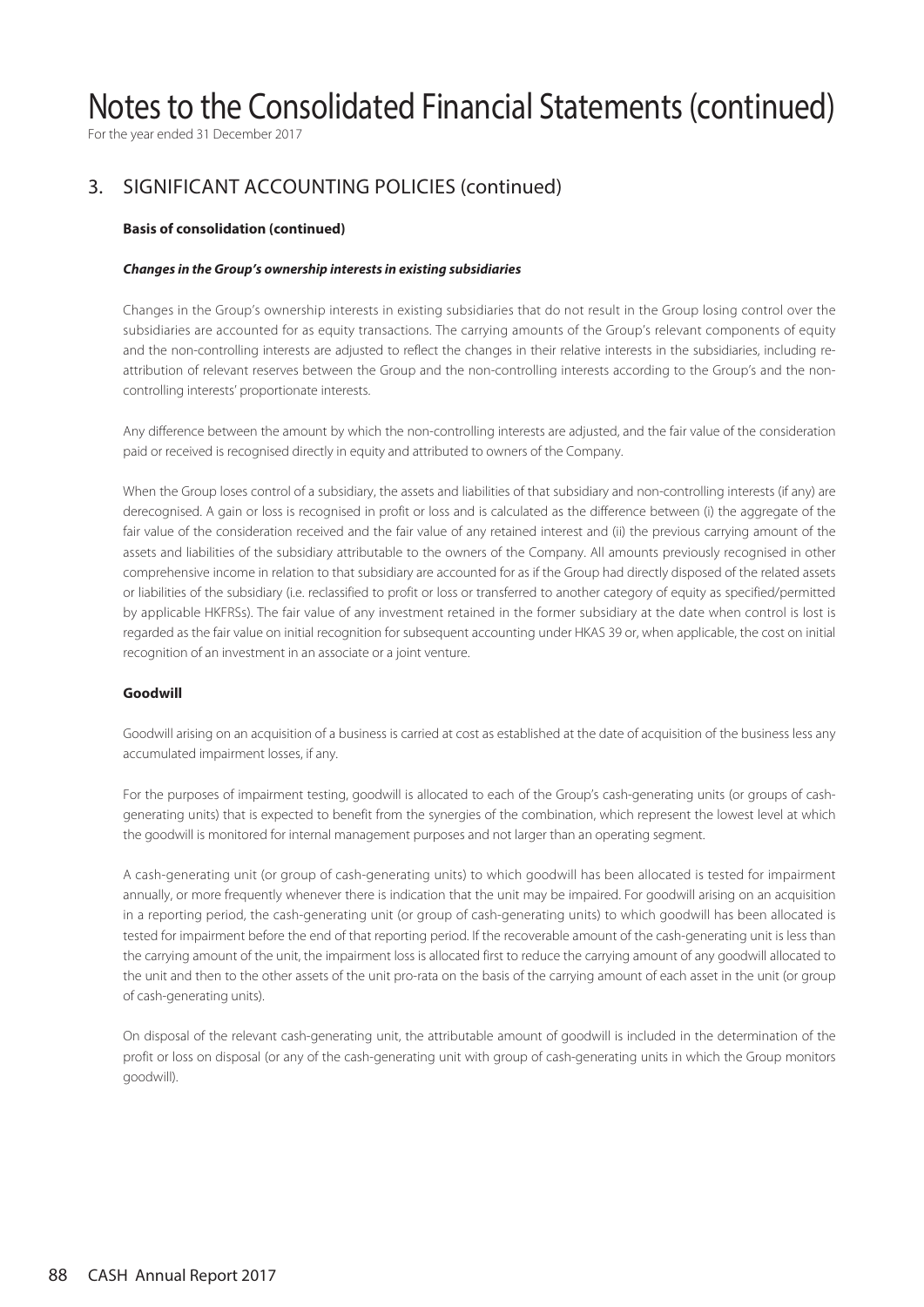For the year ended 31 December 2017

# 3. SIGNIFICANT ACCOUNTING POLICIES (continued)

## **Basis of consolidation (continued)**

### **Changes in the Group's ownership interests in existing subsidiaries**

Changes in the Group's ownership interests in existing subsidiaries that do not result in the Group losing control over the subsidiaries are accounted for as equity transactions. The carrying amounts of the Group's relevant components of equity and the non-controlling interests are adjusted to reflect the changes in their relative interests in the subsidiaries, including reattribution of relevant reserves between the Group and the non-controlling interests according to the Group's and the noncontrolling interests' proportionate interests.

Any difference between the amount by which the non-controlling interests are adjusted, and the fair value of the consideration paid or received is recognised directly in equity and attributed to owners of the Company.

When the Group loses control of a subsidiary, the assets and liabilities of that subsidiary and non-controlling interests (if any) are derecognised. A gain or loss is recognised in profit or loss and is calculated as the difference between (i) the aggregate of the fair value of the consideration received and the fair value of any retained interest and (ii) the previous carrying amount of the assets and liabilities of the subsidiary attributable to the owners of the Company. All amounts previously recognised in other comprehensive income in relation to that subsidiary are accounted for as if the Group had directly disposed of the related assets or liabilities of the subsidiary (i.e. reclassified to profit or loss or transferred to another category of equity as specified/permitted by applicable HKFRSs). The fair value of any investment retained in the former subsidiary at the date when control is lost is regarded as the fair value on initial recognition for subsequent accounting under HKAS 39 or, when applicable, the cost on initial recognition of an investment in an associate or a joint venture.

### **Goodwill**

Goodwill arising on an acquisition of a business is carried at cost as established at the date of acquisition of the business less any accumulated impairment losses, if any.

For the purposes of impairment testing, goodwill is allocated to each of the Group's cash-generating units (or groups of cashgenerating units) that is expected to benefit from the synergies of the combination, which represent the lowest level at which the goodwill is monitored for internal management purposes and not larger than an operating segment.

A cash-generating unit (or group of cash-generating units) to which goodwill has been allocated is tested for impairment annually, or more frequently whenever there is indication that the unit may be impaired. For goodwill arising on an acquisition in a reporting period, the cash-generating unit (or group of cash-generating units) to which goodwill has been allocated is tested for impairment before the end of that reporting period. If the recoverable amount of the cash-generating unit is less than the carrying amount of the unit, the impairment loss is allocated first to reduce the carrying amount of any goodwill allocated to the unit and then to the other assets of the unit pro-rata on the basis of the carrying amount of each asset in the unit (or group of cash-generating units).

On disposal of the relevant cash-generating unit, the attributable amount of goodwill is included in the determination of the profit or loss on disposal (or any of the cash-generating unit with group of cash-generating units in which the Group monitors goodwill).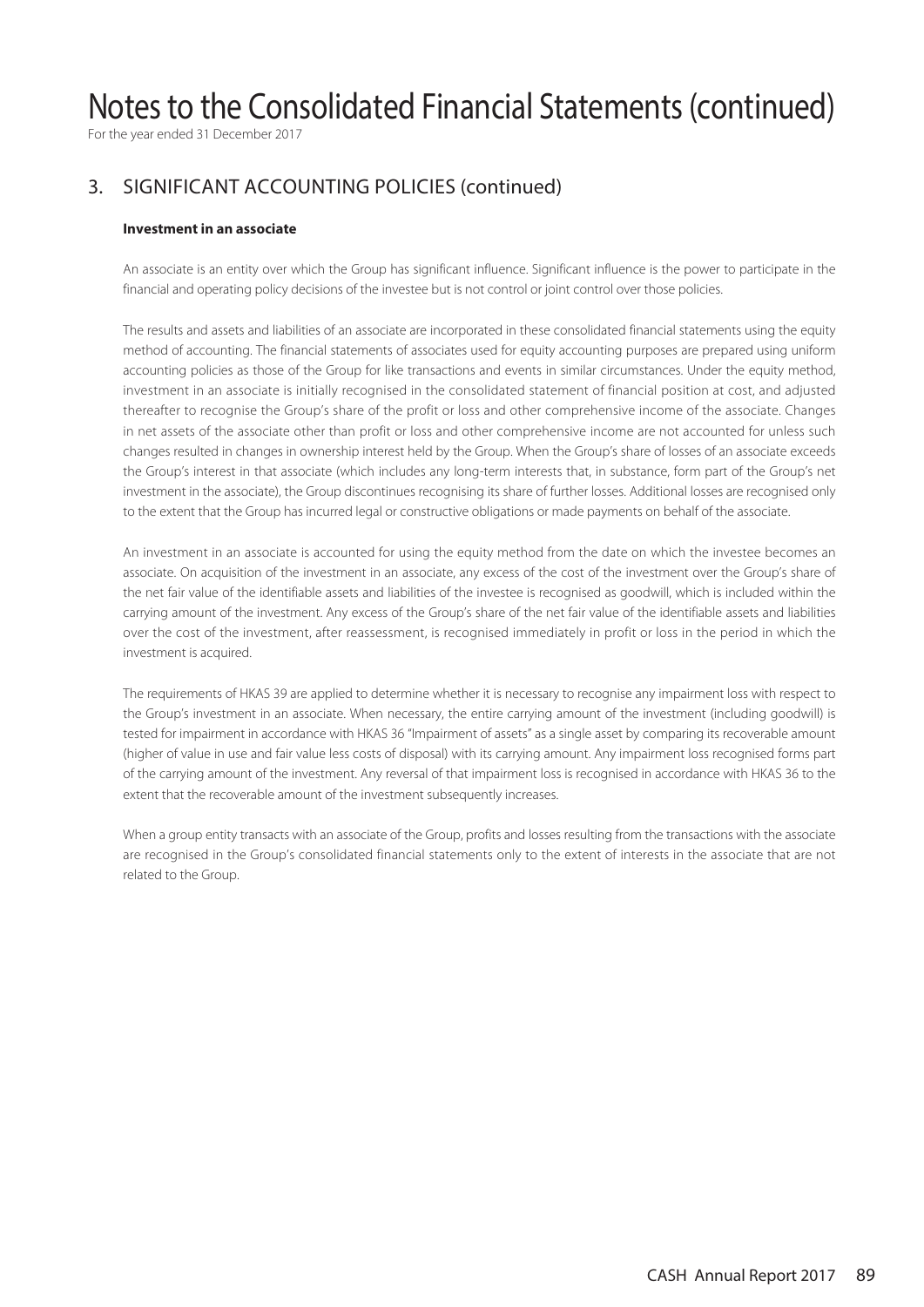For the year ended 31 December 2017

# 3. SIGNIFICANT ACCOUNTING POLICIES (continued)

## **Investment in an associate**

An associate is an entity over which the Group has significant influence. Significant influence is the power to participate in the financial and operating policy decisions of the investee but is not control or joint control over those policies.

The results and assets and liabilities of an associate are incorporated in these consolidated financial statements using the equity method of accounting. The financial statements of associates used for equity accounting purposes are prepared using uniform accounting policies as those of the Group for like transactions and events in similar circumstances. Under the equity method, investment in an associate is initially recognised in the consolidated statement of financial position at cost, and adjusted thereafter to recognise the Group's share of the profit or loss and other comprehensive income of the associate. Changes in net assets of the associate other than profit or loss and other comprehensive income are not accounted for unless such changes resulted in changes in ownership interest held by the Group. When the Group's share of losses of an associate exceeds the Group's interest in that associate (which includes any long-term interests that, in substance, form part of the Group's net investment in the associate), the Group discontinues recognising its share of further losses. Additional losses are recognised only to the extent that the Group has incurred legal or constructive obligations or made payments on behalf of the associate.

An investment in an associate is accounted for using the equity method from the date on which the investee becomes an associate. On acquisition of the investment in an associate, any excess of the cost of the investment over the Group's share of the net fair value of the identifiable assets and liabilities of the investee is recognised as goodwill, which is included within the carrying amount of the investment. Any excess of the Group's share of the net fair value of the identifiable assets and liabilities over the cost of the investment, after reassessment, is recognised immediately in profit or loss in the period in which the investment is acquired.

The requirements of HKAS 39 are applied to determine whether it is necessary to recognise any impairment loss with respect to the Group's investment in an associate. When necessary, the entire carrying amount of the investment (including goodwill) is tested for impairment in accordance with HKAS 36 "Impairment of assets" as a single asset by comparing its recoverable amount (higher of value in use and fair value less costs of disposal) with its carrying amount. Any impairment loss recognised forms part of the carrying amount of the investment. Any reversal of that impairment loss is recognised in accordance with HKAS 36 to the extent that the recoverable amount of the investment subsequently increases.

When a group entity transacts with an associate of the Group, profits and losses resulting from the transactions with the associate are recognised in the Group's consolidated financial statements only to the extent of interests in the associate that are not related to the Group.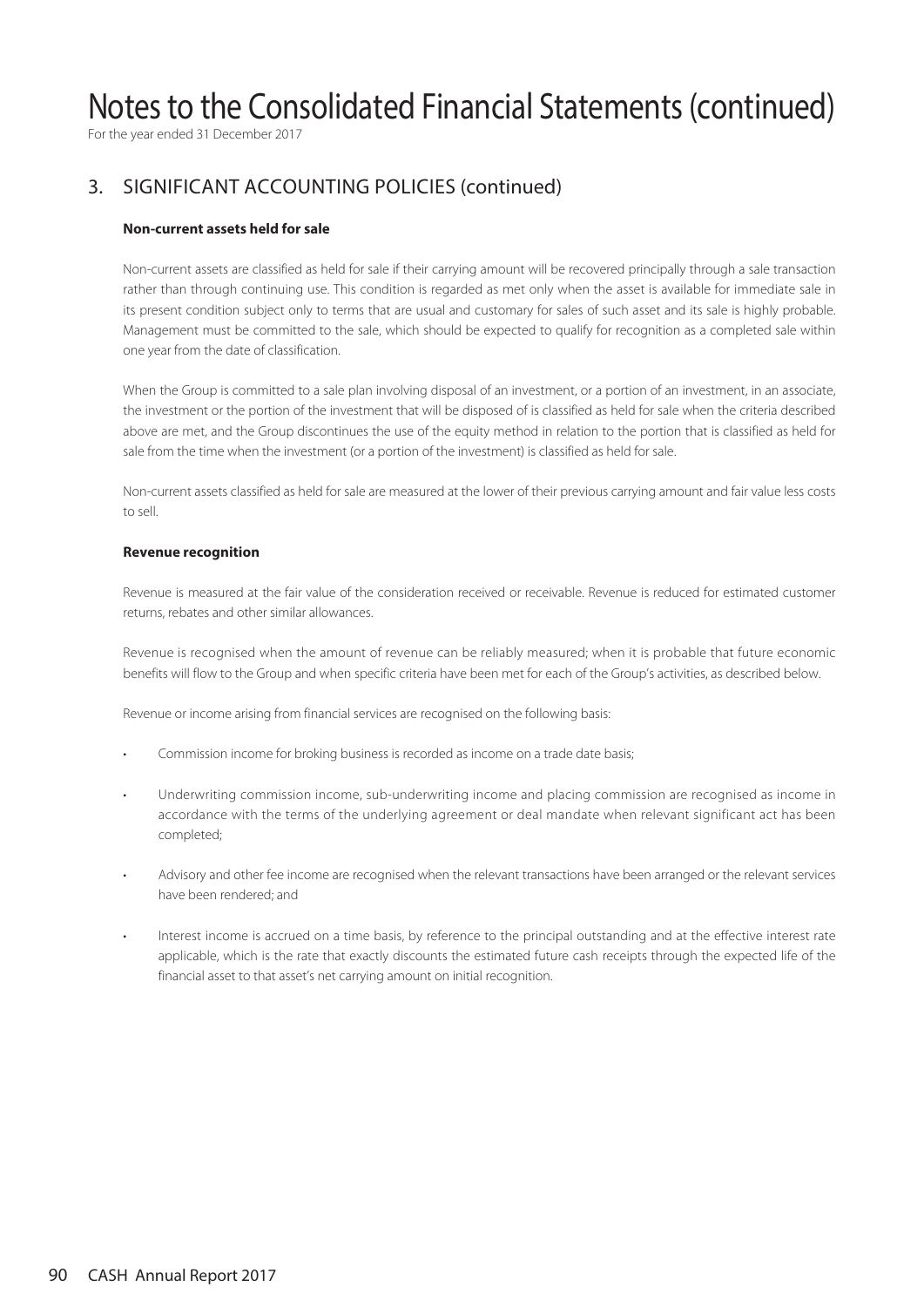For the year ended 31 December 2017

# 3. SIGNIFICANT ACCOUNTING POLICIES (continued)

## **Non-current assets held for sale**

Non-current assets are classified as held for sale if their carrying amount will be recovered principally through a sale transaction rather than through continuing use. This condition is regarded as met only when the asset is available for immediate sale in its present condition subject only to terms that are usual and customary for sales of such asset and its sale is highly probable. Management must be committed to the sale, which should be expected to qualify for recognition as a completed sale within one year from the date of classification.

When the Group is committed to a sale plan involving disposal of an investment, or a portion of an investment, in an associate, the investment or the portion of the investment that will be disposed of is classified as held for sale when the criteria described above are met, and the Group discontinues the use of the equity method in relation to the portion that is classified as held for sale from the time when the investment (or a portion of the investment) is classified as held for sale.

Non-current assets classified as held for sale are measured at the lower of their previous carrying amount and fair value less costs to sell.

### **Revenue recognition**

Revenue is measured at the fair value of the consideration received or receivable. Revenue is reduced for estimated customer returns, rebates and other similar allowances.

Revenue is recognised when the amount of revenue can be reliably measured; when it is probable that future economic benefits will flow to the Group and when specific criteria have been met for each of the Group's activities, as described below.

Revenue or income arising from financial services are recognised on the following basis:

- Commission income for broking business is recorded as income on a trade date basis;
- Underwriting commission income, sub-underwriting income and placing commission are recognised as income in accordance with the terms of the underlying agreement or deal mandate when relevant significant act has been completed;
- Advisory and other fee income are recognised when the relevant transactions have been arranged or the relevant services have been rendered; and
- Interest income is accrued on a time basis, by reference to the principal outstanding and at the effective interest rate applicable, which is the rate that exactly discounts the estimated future cash receipts through the expected life of the financial asset to that asset's net carrying amount on initial recognition.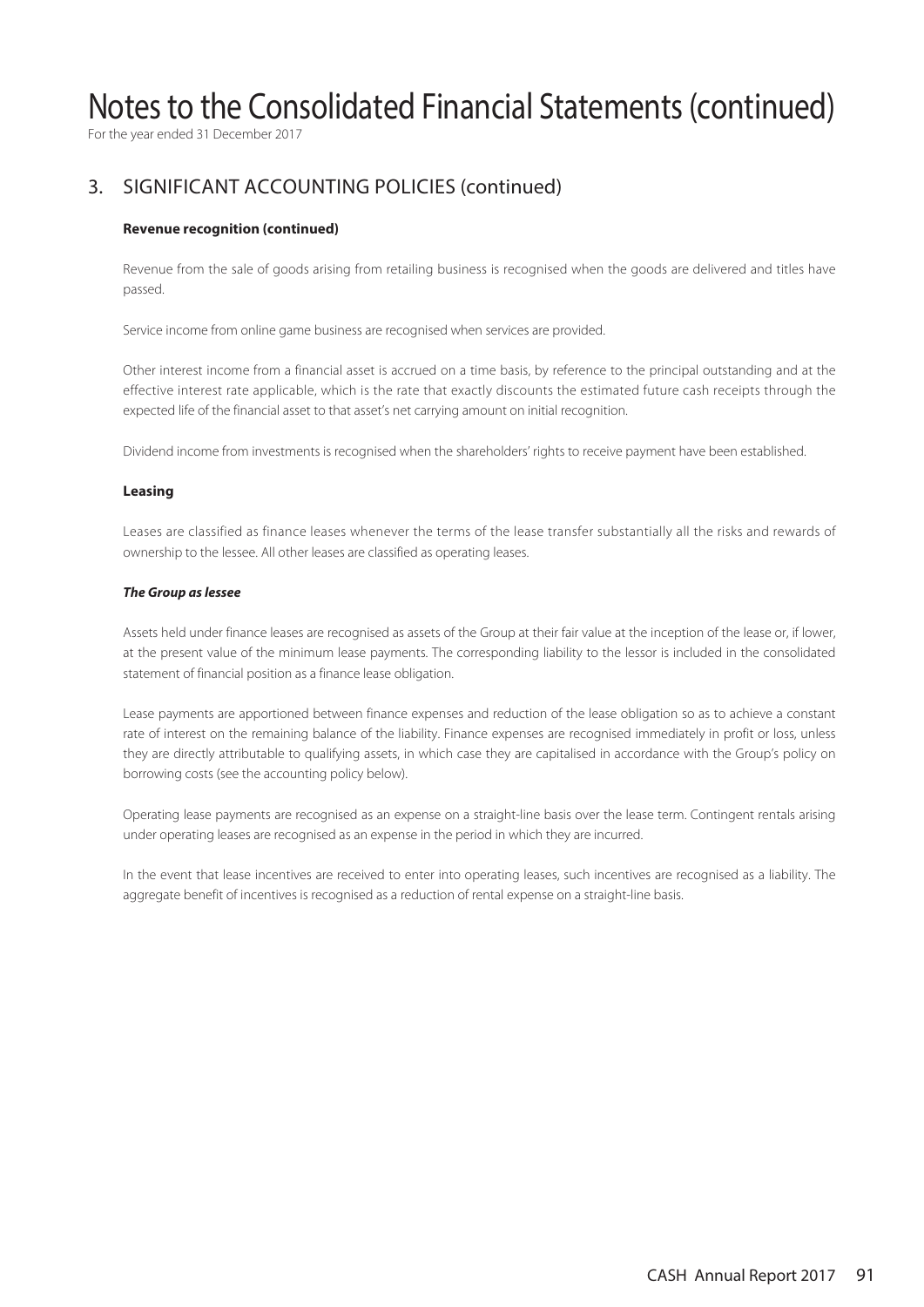For the year ended 31 December 2017

# 3. SIGNIFICANT ACCOUNTING POLICIES (continued)

## **Revenue recognition (continued)**

Revenue from the sale of goods arising from retailing business is recognised when the goods are delivered and titles have passed.

Service income from online game business are recognised when services are provided.

Other interest income from a financial asset is accrued on a time basis, by reference to the principal outstanding and at the effective interest rate applicable, which is the rate that exactly discounts the estimated future cash receipts through the expected life of the financial asset to that asset's net carrying amount on initial recognition.

Dividend income from investments is recognised when the shareholders' rights to receive payment have been established.

### **Leasing**

Leases are classified as finance leases whenever the terms of the lease transfer substantially all the risks and rewards of ownership to the lessee. All other leases are classified as operating leases.

### **The Group as lessee**

Assets held under finance leases are recognised as assets of the Group at their fair value at the inception of the lease or, if lower, at the present value of the minimum lease payments. The corresponding liability to the lessor is included in the consolidated statement of financial position as a finance lease obligation.

Lease payments are apportioned between finance expenses and reduction of the lease obligation so as to achieve a constant rate of interest on the remaining balance of the liability. Finance expenses are recognised immediately in profit or loss, unless they are directly attributable to qualifying assets, in which case they are capitalised in accordance with the Group's policy on borrowing costs (see the accounting policy below).

Operating lease payments are recognised as an expense on a straight-line basis over the lease term. Contingent rentals arising under operating leases are recognised as an expense in the period in which they are incurred.

In the event that lease incentives are received to enter into operating leases, such incentives are recognised as a liability. The aggregate benefit of incentives is recognised as a reduction of rental expense on a straight-line basis.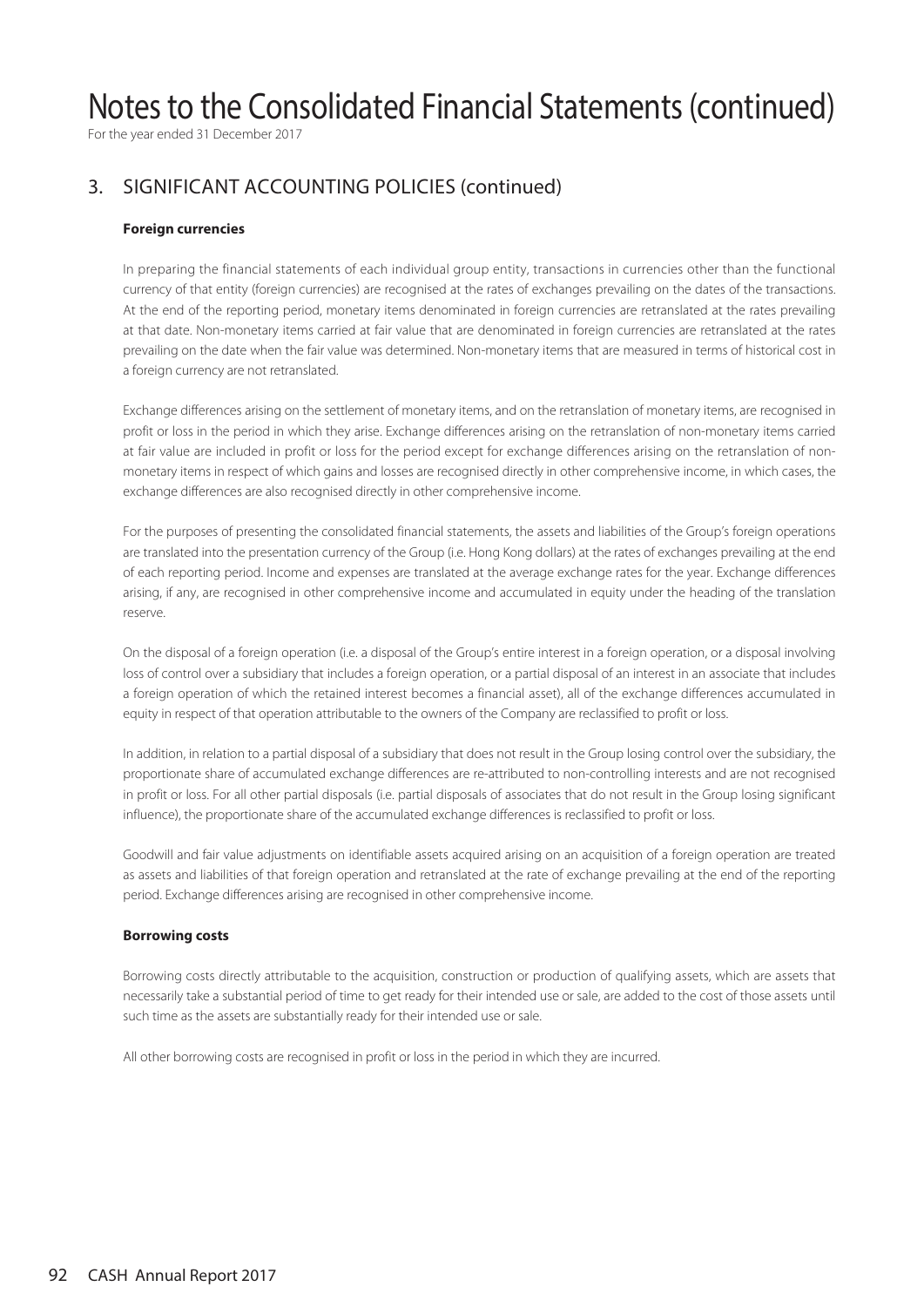For the year ended 31 December 2017

# 3. SIGNIFICANT ACCOUNTING POLICIES (continued)

## **Foreign currencies**

In preparing the financial statements of each individual group entity, transactions in currencies other than the functional currency of that entity (foreign currencies) are recognised at the rates of exchanges prevailing on the dates of the transactions. At the end of the reporting period, monetary items denominated in foreign currencies are retranslated at the rates prevailing at that date. Non-monetary items carried at fair value that are denominated in foreign currencies are retranslated at the rates prevailing on the date when the fair value was determined. Non-monetary items that are measured in terms of historical cost in a foreign currency are not retranslated.

Exchange differences arising on the settlement of monetary items, and on the retranslation of monetary items, are recognised in profit or loss in the period in which they arise. Exchange differences arising on the retranslation of non-monetary items carried at fair value are included in profit or loss for the period except for exchange differences arising on the retranslation of nonmonetary items in respect of which gains and losses are recognised directly in other comprehensive income, in which cases, the exchange differences are also recognised directly in other comprehensive income.

For the purposes of presenting the consolidated financial statements, the assets and liabilities of the Group's foreign operations are translated into the presentation currency of the Group (i.e. Hong Kong dollars) at the rates of exchanges prevailing at the end of each reporting period. Income and expenses are translated at the average exchange rates for the year. Exchange differences arising, if any, are recognised in other comprehensive income and accumulated in equity under the heading of the translation reserve.

On the disposal of a foreign operation (i.e. a disposal of the Group's entire interest in a foreign operation, or a disposal involving loss of control over a subsidiary that includes a foreign operation, or a partial disposal of an interest in an associate that includes a foreign operation of which the retained interest becomes a financial asset), all of the exchange differences accumulated in equity in respect of that operation attributable to the owners of the Company are reclassified to profit or loss.

In addition, in relation to a partial disposal of a subsidiary that does not result in the Group losing control over the subsidiary, the proportionate share of accumulated exchange differences are re-attributed to non-controlling interests and are not recognised in profit or loss. For all other partial disposals (i.e. partial disposals of associates that do not result in the Group losing significant influence), the proportionate share of the accumulated exchange differences is reclassified to profit or loss.

Goodwill and fair value adjustments on identifiable assets acquired arising on an acquisition of a foreign operation are treated as assets and liabilities of that foreign operation and retranslated at the rate of exchange prevailing at the end of the reporting period. Exchange differences arising are recognised in other comprehensive income.

### **Borrowing costs**

Borrowing costs directly attributable to the acquisition, construction or production of qualifying assets, which are assets that necessarily take a substantial period of time to get ready for their intended use or sale, are added to the cost of those assets until such time as the assets are substantially ready for their intended use or sale.

All other borrowing costs are recognised in profit or loss in the period in which they are incurred.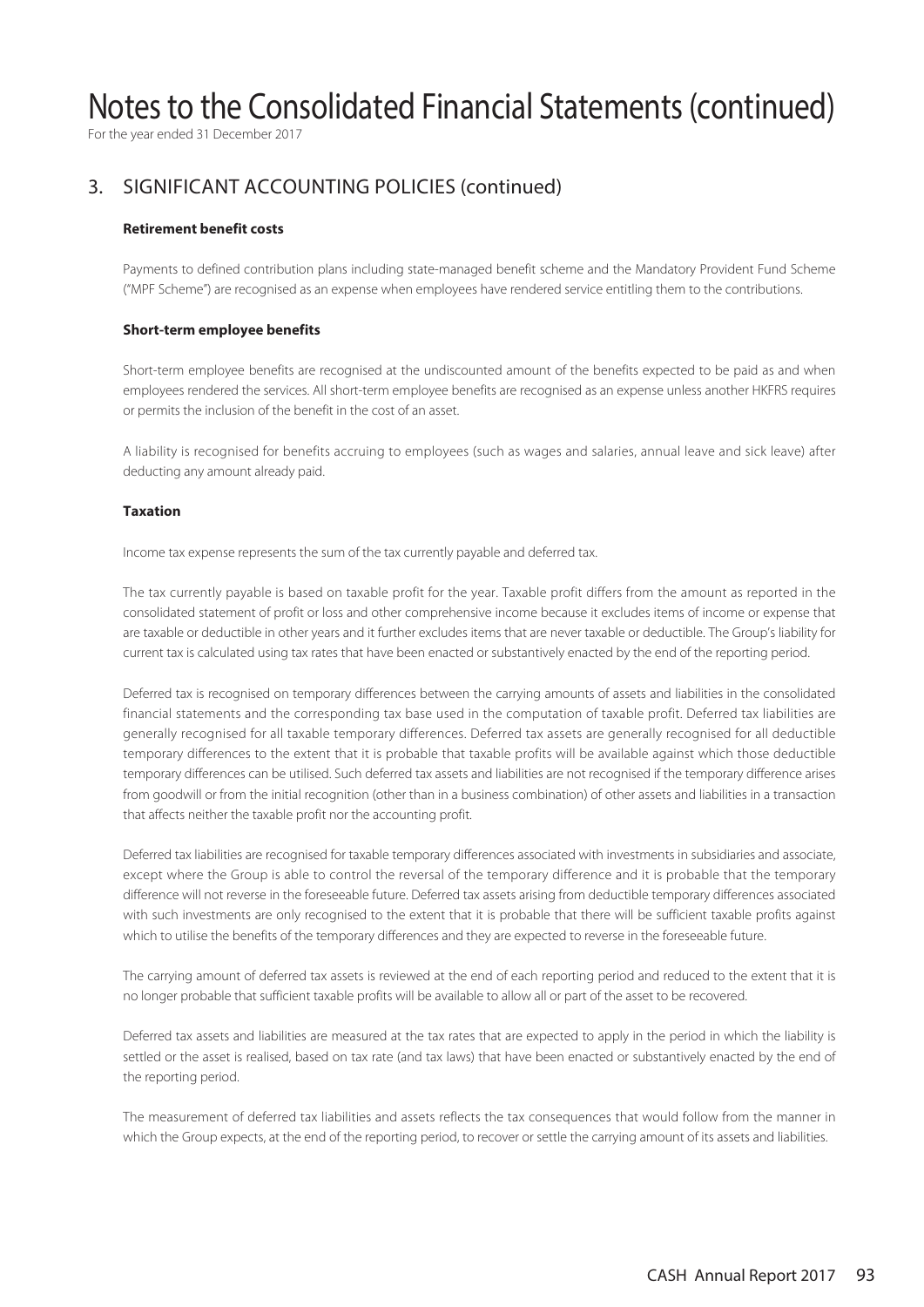For the year ended 31 December 2017

## 3. SIGNIFICANT ACCOUNTING POLICIES (continued)

## **Retirement benefit costs**

Payments to defined contribution plans including state-managed benefit scheme and the Mandatory Provident Fund Scheme ("MPF Scheme") are recognised as an expense when employees have rendered service entitling them to the contributions.

### **Short-term employee benefits**

Short-term employee benefits are recognised at the undiscounted amount of the benefits expected to be paid as and when employees rendered the services. All short-term employee benefits are recognised as an expense unless another HKFRS requires or permits the inclusion of the benefit in the cost of an asset.

A liability is recognised for benefits accruing to employees (such as wages and salaries, annual leave and sick leave) after deducting any amount already paid.

### **Taxation**

Income tax expense represents the sum of the tax currently payable and deferred tax.

The tax currently payable is based on taxable profit for the year. Taxable profit differs from the amount as reported in the consolidated statement of profit or loss and other comprehensive income because it excludes items of income or expense that are taxable or deductible in other years and it further excludes items that are never taxable or deductible. The Group's liability for current tax is calculated using tax rates that have been enacted or substantively enacted by the end of the reporting period.

Deferred tax is recognised on temporary differences between the carrying amounts of assets and liabilities in the consolidated financial statements and the corresponding tax base used in the computation of taxable profit. Deferred tax liabilities are generally recognised for all taxable temporary differences. Deferred tax assets are generally recognised for all deductible temporary differences to the extent that it is probable that taxable profits will be available against which those deductible temporary differences can be utilised. Such deferred tax assets and liabilities are not recognised if the temporary difference arises from goodwill or from the initial recognition (other than in a business combination) of other assets and liabilities in a transaction that affects neither the taxable profit nor the accounting profit.

Deferred tax liabilities are recognised for taxable temporary differences associated with investments in subsidiaries and associate, except where the Group is able to control the reversal of the temporary difference and it is probable that the temporary difference will not reverse in the foreseeable future. Deferred tax assets arising from deductible temporary differences associated with such investments are only recognised to the extent that it is probable that there will be sufficient taxable profits against which to utilise the benefits of the temporary differences and they are expected to reverse in the foreseeable future.

The carrying amount of deferred tax assets is reviewed at the end of each reporting period and reduced to the extent that it is no longer probable that sufficient taxable profits will be available to allow all or part of the asset to be recovered.

Deferred tax assets and liabilities are measured at the tax rates that are expected to apply in the period in which the liability is settled or the asset is realised, based on tax rate (and tax laws) that have been enacted or substantively enacted by the end of the reporting period.

The measurement of deferred tax liabilities and assets reflects the tax consequences that would follow from the manner in which the Group expects, at the end of the reporting period, to recover or settle the carrying amount of its assets and liabilities.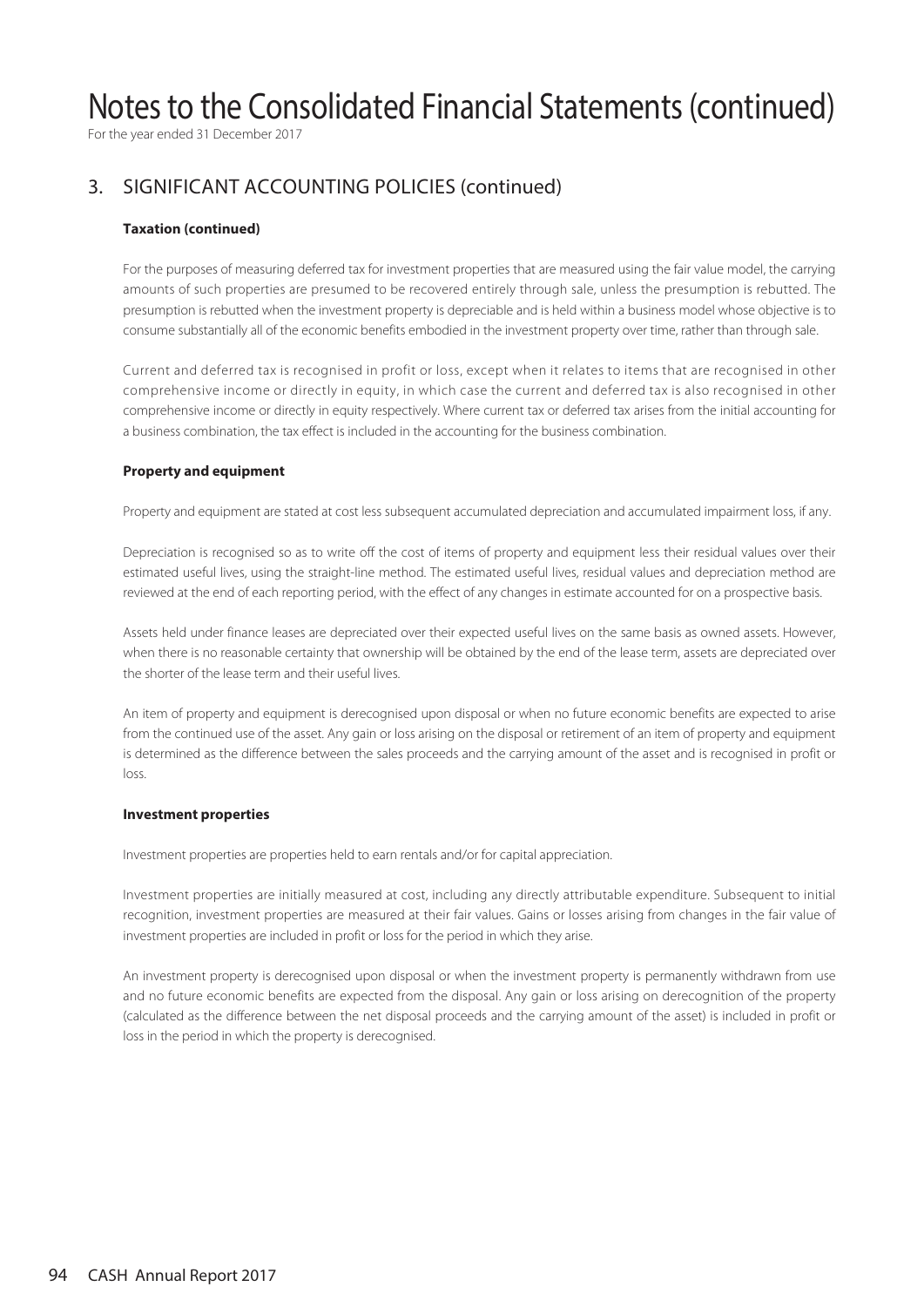For the year ended 31 December 2017

# 3. SIGNIFICANT ACCOUNTING POLICIES (continued)

## **Taxation (continued)**

For the purposes of measuring deferred tax for investment properties that are measured using the fair value model, the carrying amounts of such properties are presumed to be recovered entirely through sale, unless the presumption is rebutted. The presumption is rebutted when the investment property is depreciable and is held within a business model whose objective is to consume substantially all of the economic benefits embodied in the investment property over time, rather than through sale.

Current and deferred tax is recognised in profit or loss, except when it relates to items that are recognised in other comprehensive income or directly in equity, in which case the current and deferred tax is also recognised in other comprehensive income or directly in equity respectively. Where current tax or deferred tax arises from the initial accounting for a business combination, the tax effect is included in the accounting for the business combination.

### **Property and equipment**

Property and equipment are stated at cost less subsequent accumulated depreciation and accumulated impairment loss, if any.

Depreciation is recognised so as to write off the cost of items of property and equipment less their residual values over their estimated useful lives, using the straight-line method. The estimated useful lives, residual values and depreciation method are reviewed at the end of each reporting period, with the effect of any changes in estimate accounted for on a prospective basis.

Assets held under finance leases are depreciated over their expected useful lives on the same basis as owned assets. However, when there is no reasonable certainty that ownership will be obtained by the end of the lease term, assets are depreciated over the shorter of the lease term and their useful lives.

An item of property and equipment is derecognised upon disposal or when no future economic benefits are expected to arise from the continued use of the asset. Any gain or loss arising on the disposal or retirement of an item of property and equipment is determined as the difference between the sales proceeds and the carrying amount of the asset and is recognised in profit or loss.

### **Investment properties**

Investment properties are properties held to earn rentals and/or for capital appreciation.

Investment properties are initially measured at cost, including any directly attributable expenditure. Subsequent to initial recognition, investment properties are measured at their fair values. Gains or losses arising from changes in the fair value of investment properties are included in profit or loss for the period in which they arise.

An investment property is derecognised upon disposal or when the investment property is permanently withdrawn from use and no future economic benefits are expected from the disposal. Any gain or loss arising on derecognition of the property (calculated as the difference between the net disposal proceeds and the carrying amount of the asset) is included in profit or loss in the period in which the property is derecognised.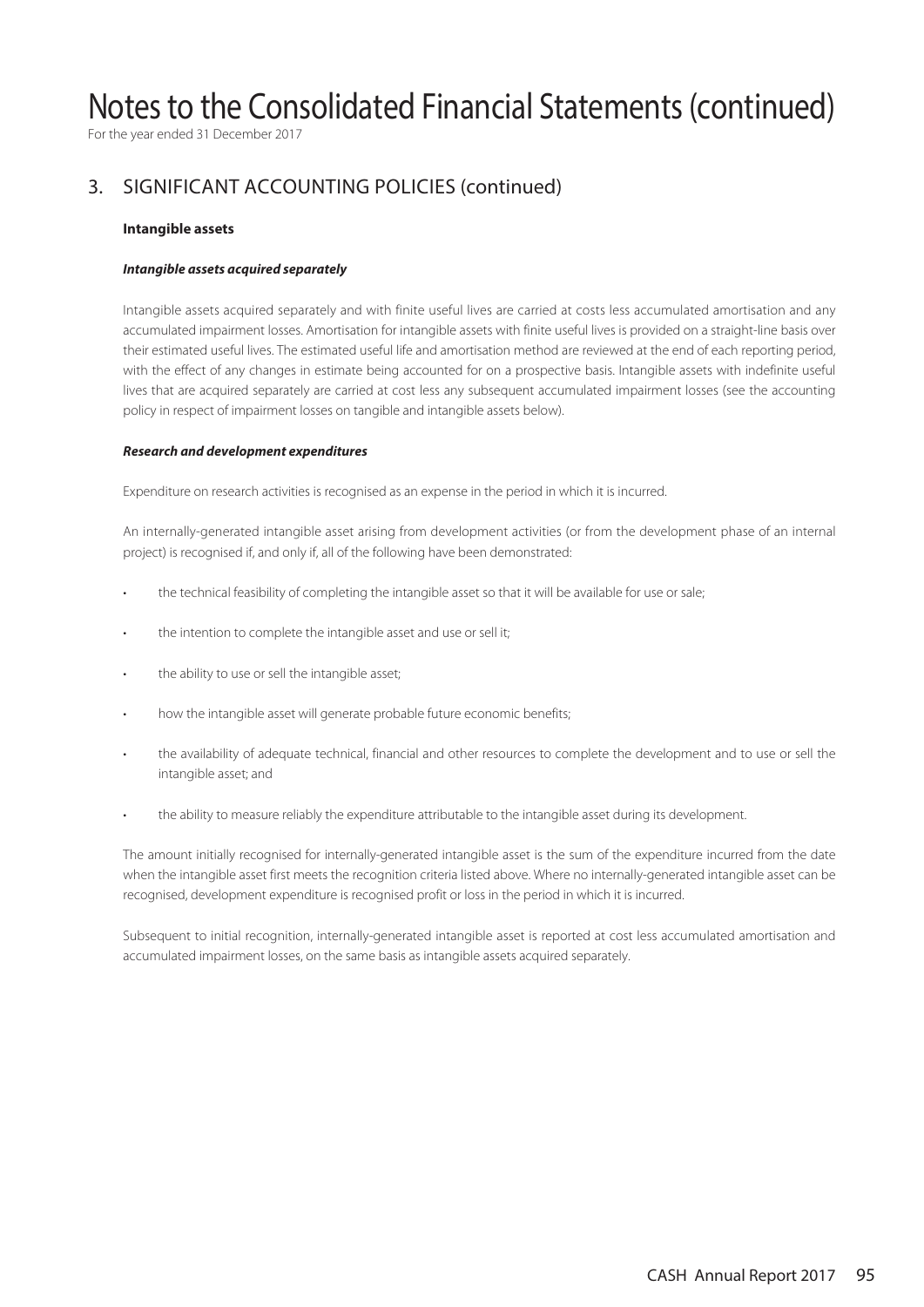For the year ended 31 December 2017

# 3. SIGNIFICANT ACCOUNTING POLICIES (continued)

### **Intangible assets**

### **Intangible assets acquired separately**

Intangible assets acquired separately and with finite useful lives are carried at costs less accumulated amortisation and any accumulated impairment losses. Amortisation for intangible assets with finite useful lives is provided on a straight-line basis over their estimated useful lives. The estimated useful life and amortisation method are reviewed at the end of each reporting period, with the effect of any changes in estimate being accounted for on a prospective basis. Intangible assets with indefinite useful lives that are acquired separately are carried at cost less any subsequent accumulated impairment losses (see the accounting policy in respect of impairment losses on tangible and intangible assets below).

### **Research and development expenditures**

Expenditure on research activities is recognised as an expense in the period in which it is incurred.

An internally-generated intangible asset arising from development activities (or from the development phase of an internal project) is recognised if, and only if, all of the following have been demonstrated:

- the technical feasibility of completing the intangible asset so that it will be available for use or sale;
- the intention to complete the intangible asset and use or sell it;
- the ability to use or sell the intangible asset;
- how the intangible asset will generate probable future economic benefits;
- the availability of adequate technical, financial and other resources to complete the development and to use or sell the intangible asset; and
- the ability to measure reliably the expenditure attributable to the intangible asset during its development.

The amount initially recognised for internally-generated intangible asset is the sum of the expenditure incurred from the date when the intangible asset first meets the recognition criteria listed above. Where no internally-generated intangible asset can be recognised, development expenditure is recognised profit or loss in the period in which it is incurred.

Subsequent to initial recognition, internally-generated intangible asset is reported at cost less accumulated amortisation and accumulated impairment losses, on the same basis as intangible assets acquired separately.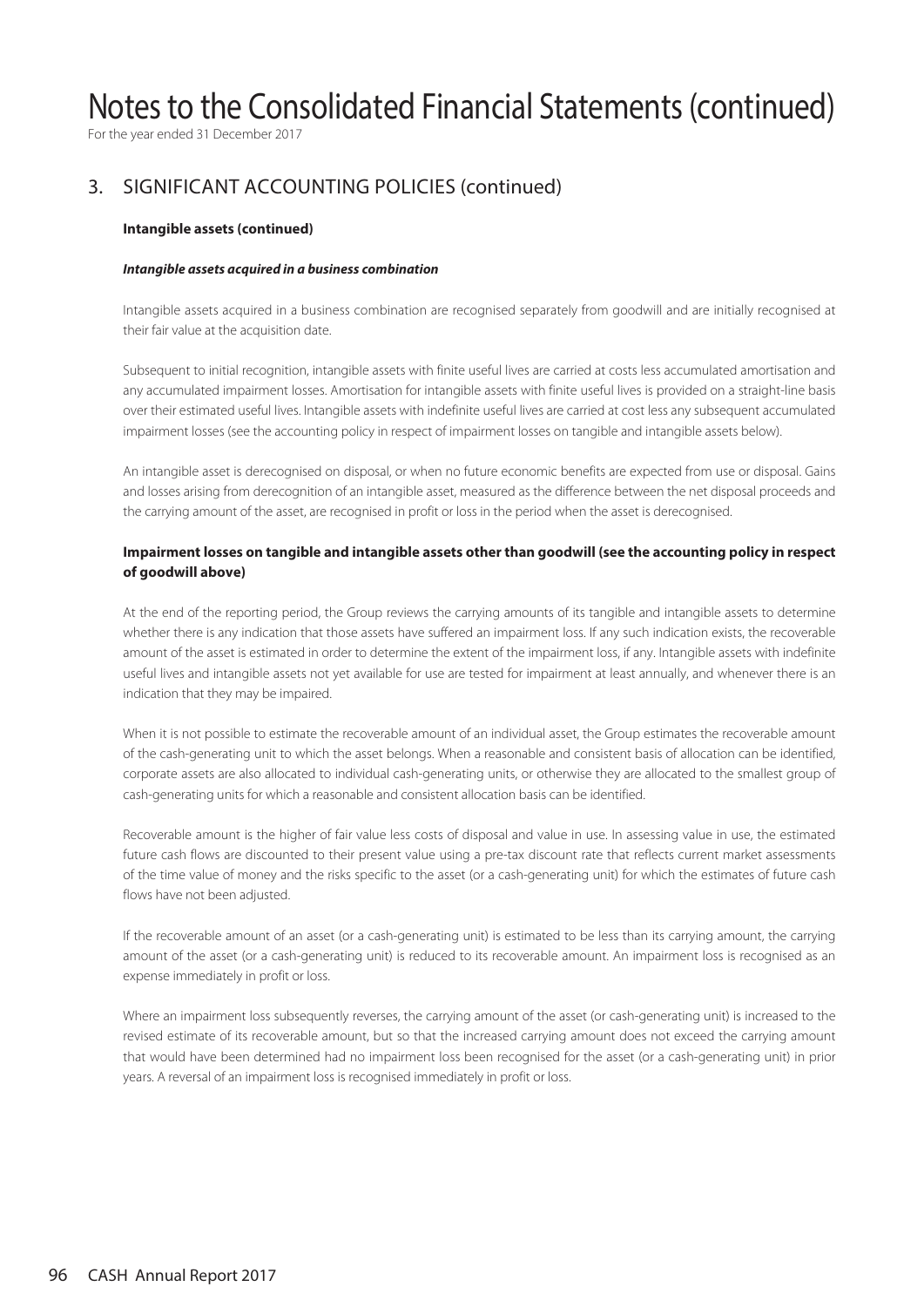For the year ended 31 December 2017

# 3. SIGNIFICANT ACCOUNTING POLICIES (continued)

### **Intangible assets (continued)**

#### **Intangible assets acquired in a business combination**

Intangible assets acquired in a business combination are recognised separately from goodwill and are initially recognised at their fair value at the acquisition date.

Subsequent to initial recognition, intangible assets with finite useful lives are carried at costs less accumulated amortisation and any accumulated impairment losses. Amortisation for intangible assets with finite useful lives is provided on a straight-line basis over their estimated useful lives. Intangible assets with indefinite useful lives are carried at cost less any subsequent accumulated impairment losses (see the accounting policy in respect of impairment losses on tangible and intangible assets below).

An intangible asset is derecognised on disposal, or when no future economic benefits are expected from use or disposal. Gains and losses arising from derecognition of an intangible asset, measured as the difference between the net disposal proceeds and the carrying amount of the asset, are recognised in profit or loss in the period when the asset is derecognised.

## **Impairment losses on tangible and intangible assets other than goodwill (see the accounting policy in respect of goodwill above)**

At the end of the reporting period, the Group reviews the carrying amounts of its tangible and intangible assets to determine whether there is any indication that those assets have suffered an impairment loss. If any such indication exists, the recoverable amount of the asset is estimated in order to determine the extent of the impairment loss, if any. Intangible assets with indefinite useful lives and intangible assets not yet available for use are tested for impairment at least annually, and whenever there is an indication that they may be impaired.

When it is not possible to estimate the recoverable amount of an individual asset, the Group estimates the recoverable amount of the cash-generating unit to which the asset belongs. When a reasonable and consistent basis of allocation can be identified, corporate assets are also allocated to individual cash-generating units, or otherwise they are allocated to the smallest group of cash-generating units for which a reasonable and consistent allocation basis can be identified.

Recoverable amount is the higher of fair value less costs of disposal and value in use. In assessing value in use, the estimated future cash flows are discounted to their present value using a pre-tax discount rate that reflects current market assessments of the time value of money and the risks specific to the asset (or a cash-generating unit) for which the estimates of future cash flows have not been adjusted.

If the recoverable amount of an asset (or a cash-generating unit) is estimated to be less than its carrying amount, the carrying amount of the asset (or a cash-generating unit) is reduced to its recoverable amount. An impairment loss is recognised as an expense immediately in profit or loss.

Where an impairment loss subsequently reverses, the carrying amount of the asset (or cash-generating unit) is increased to the revised estimate of its recoverable amount, but so that the increased carrying amount does not exceed the carrying amount that would have been determined had no impairment loss been recognised for the asset (or a cash-generating unit) in prior years. A reversal of an impairment loss is recognised immediately in profit or loss.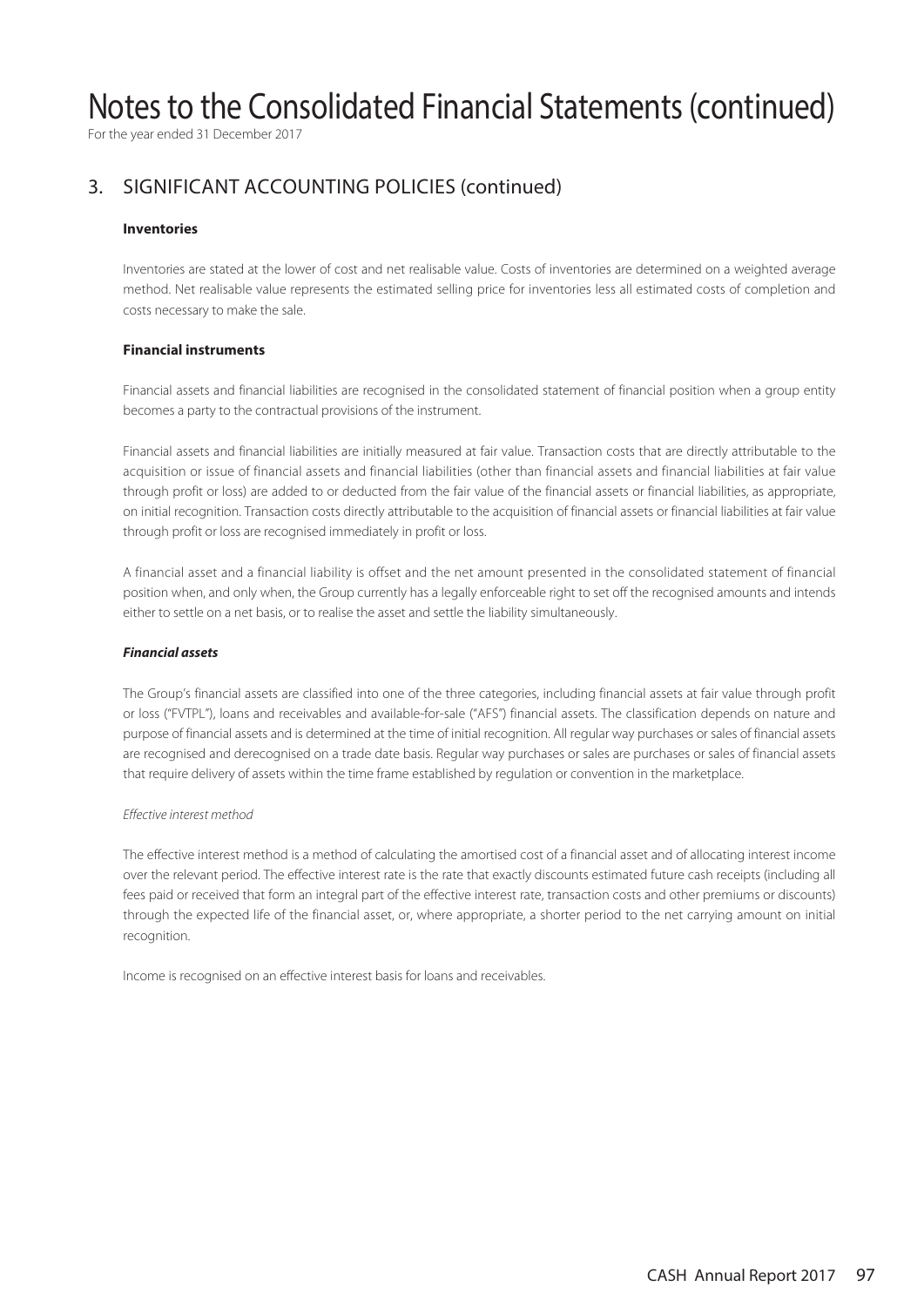For the year ended 31 December 2017

# 3. SIGNIFICANT ACCOUNTING POLICIES (continued)

## **Inventories**

Inventories are stated at the lower of cost and net realisable value. Costs of inventories are determined on a weighted average method. Net realisable value represents the estimated selling price for inventories less all estimated costs of completion and costs necessary to make the sale.

### **Financial instruments**

Financial assets and financial liabilities are recognised in the consolidated statement of financial position when a group entity becomes a party to the contractual provisions of the instrument.

Financial assets and financial liabilities are initially measured at fair value. Transaction costs that are directly attributable to the acquisition or issue of financial assets and financial liabilities (other than financial assets and financial liabilities at fair value through profit or loss) are added to or deducted from the fair value of the financial assets or financial liabilities, as appropriate, on initial recognition. Transaction costs directly attributable to the acquisition of financial assets or financial liabilities at fair value through profit or loss are recognised immediately in profit or loss.

A financial asset and a financial liability is offset and the net amount presented in the consolidated statement of financial position when, and only when, the Group currently has a legally enforceable right to set off the recognised amounts and intends either to settle on a net basis, or to realise the asset and settle the liability simultaneously.

#### **Financial assets**

The Group's financial assets are classified into one of the three categories, including financial assets at fair value through profit or loss ("FVTPL"), loans and receivables and available-for-sale ("AFS") financial assets. The classification depends on nature and purpose of financial assets and is determined at the time of initial recognition. All regular way purchases or sales of financial assets are recognised and derecognised on a trade date basis. Regular way purchases or sales are purchases or sales of financial assets that require delivery of assets within the time frame established by regulation or convention in the marketplace.

#### Effective interest method

The effective interest method is a method of calculating the amortised cost of a financial asset and of allocating interest income over the relevant period. The effective interest rate is the rate that exactly discounts estimated future cash receipts (including all fees paid or received that form an integral part of the effective interest rate, transaction costs and other premiums or discounts) through the expected life of the financial asset, or, where appropriate, a shorter period to the net carrying amount on initial recognition.

Income is recognised on an effective interest basis for loans and receivables.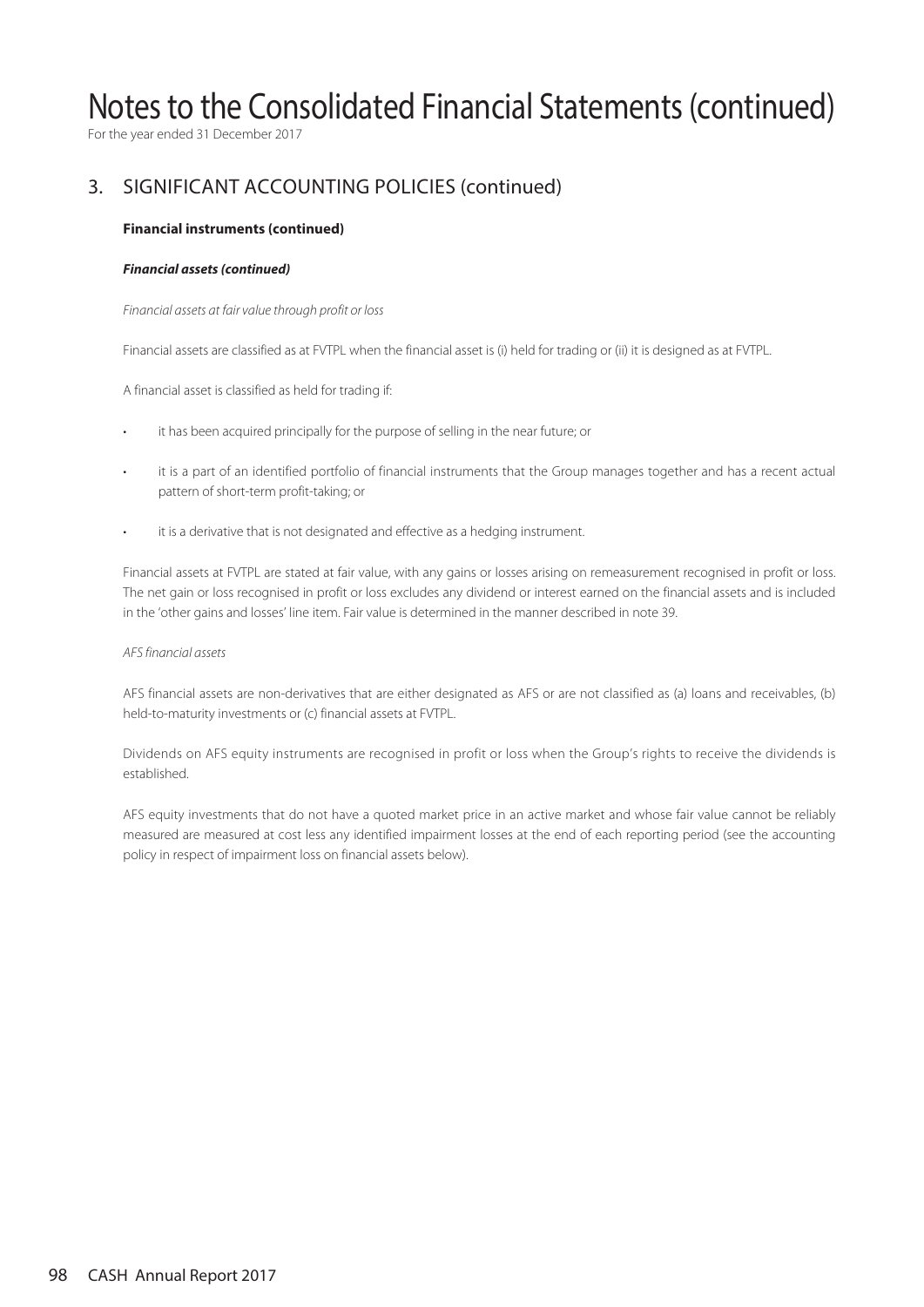For the year ended 31 December 2017

# 3. SIGNIFICANT ACCOUNTING POLICIES (continued)

## **Financial instruments (continued)**

### **Financial assets (continued)**

Financial assets at fair value through profit or loss

Financial assets are classified as at FVTPL when the financial asset is (i) held for trading or (ii) it is designed as at FVTPL.

A financial asset is classified as held for trading if:

- it has been acquired principally for the purpose of selling in the near future; or
- it is a part of an identified portfolio of financial instruments that the Group manages together and has a recent actual pattern of short-term profit-taking; or
- it is a derivative that is not designated and effective as a hedging instrument.

Financial assets at FVTPL are stated at fair value, with any gains or losses arising on remeasurement recognised in profit or loss. The net gain or loss recognised in profit or loss excludes any dividend or interest earned on the financial assets and is included in the 'other gains and losses' line item. Fair value is determined in the manner described in note 39.

#### AFS financial assets

AFS financial assets are non-derivatives that are either designated as AFS or are not classified as (a) loans and receivables, (b) held-to-maturity investments or (c) financial assets at FVTPL.

Dividends on AFS equity instruments are recognised in profit or loss when the Group's rights to receive the dividends is established.

AFS equity investments that do not have a quoted market price in an active market and whose fair value cannot be reliably measured are measured at cost less any identified impairment losses at the end of each reporting period (see the accounting policy in respect of impairment loss on financial assets below).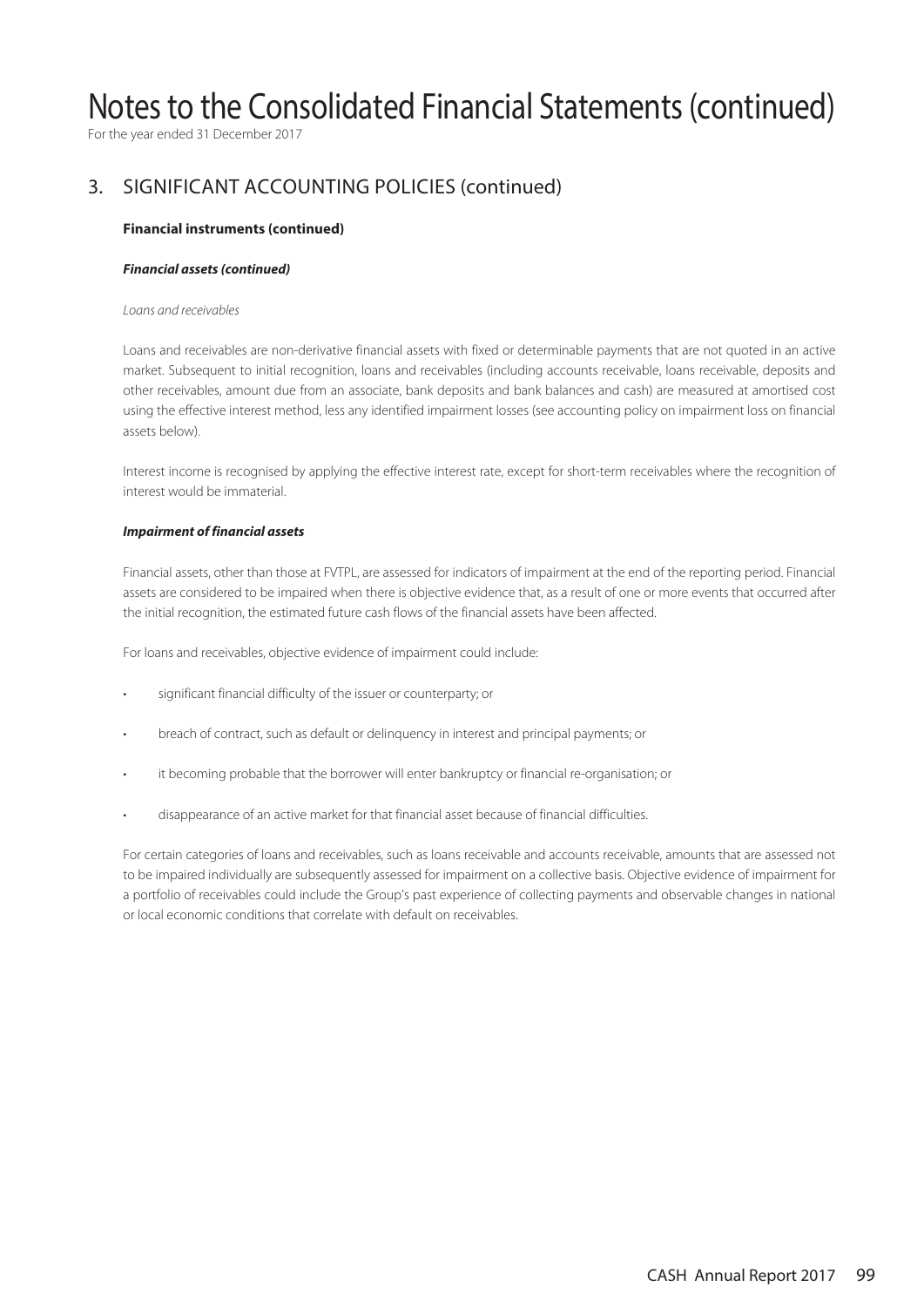For the year ended 31 December 2017

# 3. SIGNIFICANT ACCOUNTING POLICIES (continued)

## **Financial instruments (continued)**

### **Financial assets (continued)**

#### Loans and receivables

Loans and receivables are non-derivative financial assets with fixed or determinable payments that are not quoted in an active market. Subsequent to initial recognition, loans and receivables (including accounts receivable, loans receivable, deposits and other receivables, amount due from an associate, bank deposits and bank balances and cash) are measured at amortised cost using the effective interest method, less any identified impairment losses (see accounting policy on impairment loss on financial assets below).

Interest income is recognised by applying the effective interest rate, except for short-term receivables where the recognition of interest would be immaterial.

### **Impairment of financial assets**

Financial assets, other than those at FVTPL, are assessed for indicators of impairment at the end of the reporting period. Financial assets are considered to be impaired when there is objective evidence that, as a result of one or more events that occurred after the initial recognition, the estimated future cash flows of the financial assets have been affected.

For loans and receivables, objective evidence of impairment could include:

- significant financial difficulty of the issuer or counterparty; or
- breach of contract, such as default or delinquency in interest and principal payments; or
- it becoming probable that the borrower will enter bankruptcy or financial re-organisation; or
- disappearance of an active market for that financial asset because of financial difficulties.

For certain categories of loans and receivables, such as loans receivable and accounts receivable, amounts that are assessed not to be impaired individually are subsequently assessed for impairment on a collective basis. Objective evidence of impairment for a portfolio of receivables could include the Group's past experience of collecting payments and observable changes in national or local economic conditions that correlate with default on receivables.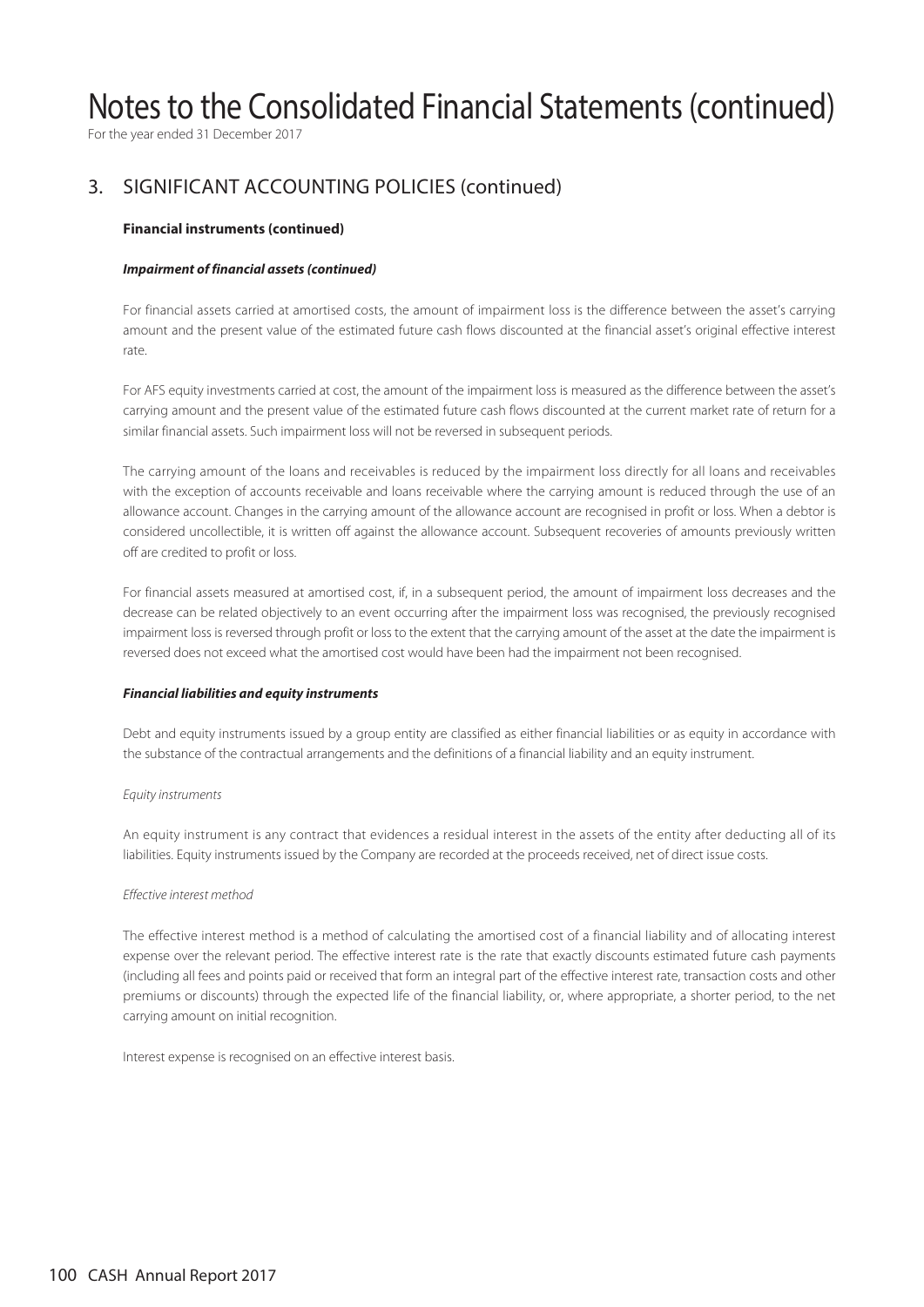For the year ended 31 December 2017

# 3. SIGNIFICANT ACCOUNTING POLICIES (continued)

## **Financial instruments (continued)**

### **Impairment of financial assets (continued)**

For financial assets carried at amortised costs, the amount of impairment loss is the difference between the asset's carrying amount and the present value of the estimated future cash flows discounted at the financial asset's original effective interest rate.

For AFS equity investments carried at cost, the amount of the impairment loss is measured as the difference between the asset's carrying amount and the present value of the estimated future cash flows discounted at the current market rate of return for a similar financial assets. Such impairment loss will not be reversed in subsequent periods.

The carrying amount of the loans and receivables is reduced by the impairment loss directly for all loans and receivables with the exception of accounts receivable and loans receivable where the carrying amount is reduced through the use of an allowance account. Changes in the carrying amount of the allowance account are recognised in profit or loss. When a debtor is considered uncollectible, it is written off against the allowance account. Subsequent recoveries of amounts previously written off are credited to profit or loss.

For financial assets measured at amortised cost, if, in a subsequent period, the amount of impairment loss decreases and the decrease can be related objectively to an event occurring after the impairment loss was recognised, the previously recognised impairment loss is reversed through profit or loss to the extent that the carrying amount of the asset at the date the impairment is reversed does not exceed what the amortised cost would have been had the impairment not been recognised.

#### **Financial liabilities and equity instruments**

Debt and equity instruments issued by a group entity are classified as either financial liabilities or as equity in accordance with the substance of the contractual arrangements and the definitions of a financial liability and an equity instrument.

#### Equity instruments

An equity instrument is any contract that evidences a residual interest in the assets of the entity after deducting all of its liabilities. Equity instruments issued by the Company are recorded at the proceeds received, net of direct issue costs.

### Effective interest method

The effective interest method is a method of calculating the amortised cost of a financial liability and of allocating interest expense over the relevant period. The effective interest rate is the rate that exactly discounts estimated future cash payments (including all fees and points paid or received that form an integral part of the effective interest rate, transaction costs and other premiums or discounts) through the expected life of the financial liability, or, where appropriate, a shorter period, to the net carrying amount on initial recognition.

Interest expense is recognised on an effective interest basis.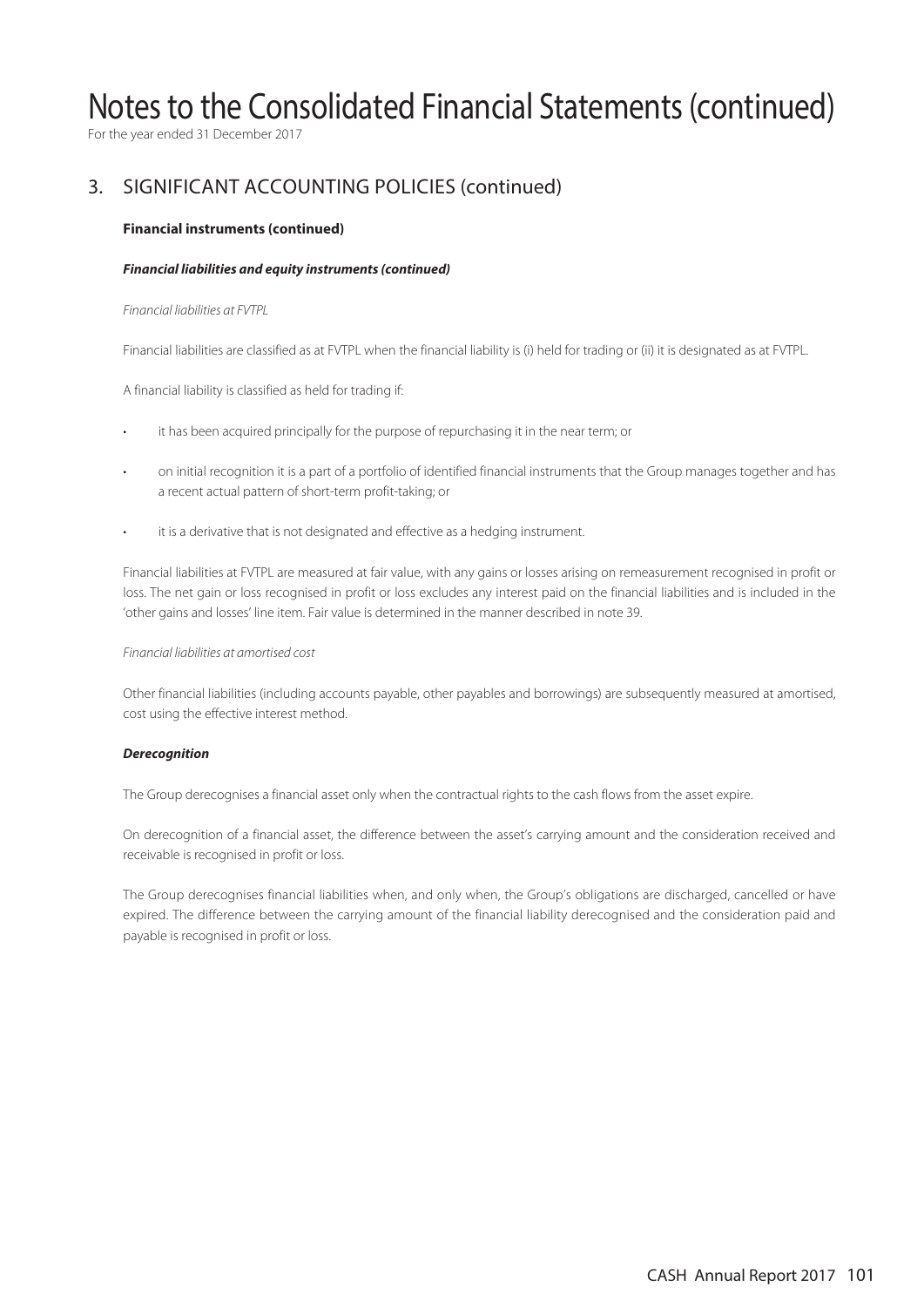For the year ended 31 December 2017

# 3. SIGNIFICANT ACCOUNTING POLICIES (continued)

### **Financial instruments (continued)**

### **Financial liabilities and equity instruments (continued)**

#### Financial liabilities at FVTPL

Financial liabilities are classified as at FVTPL when the financial liability is (i) held for trading or (ii) it is designated as at FVTPL.

A financial liability is classified as held for trading if:

- it has been acquired principally for the purpose of repurchasing it in the near term; or
- on initial recognition it is a part of a portfolio of identified financial instruments that the Group manages together and has a recent actual pattern of short-term profit-taking; or
- it is a derivative that is not designated and effective as a hedging instrument.

Financial liabilities at FVTPL are measured at fair value, with any gains or losses arising on remeasurement recognised in profit or loss. The net gain or loss recognised in profit or loss excludes any interest paid on the financial liabilities and is included in the 'other gains and losses' line item. Fair value is determined in the manner described in note 39.

#### Financial liabilities at amortised cost

Other financial liabilities (including accounts payable, other payables and borrowings) are subsequently measured at amortised, cost using the effective interest method.

### **Derecognition**

The Group derecognises a financial asset only when the contractual rights to the cash flows from the asset expire.

On derecognition of a financial asset, the difference between the asset's carrying amount and the consideration received and receivable is recognised in profit or loss.

The Group derecognises financial liabilities when, and only when, the Group's obligations are discharged, cancelled or have expired. The difference between the carrying amount of the financial liability derecognised and the consideration paid and payable is recognised in profit or loss.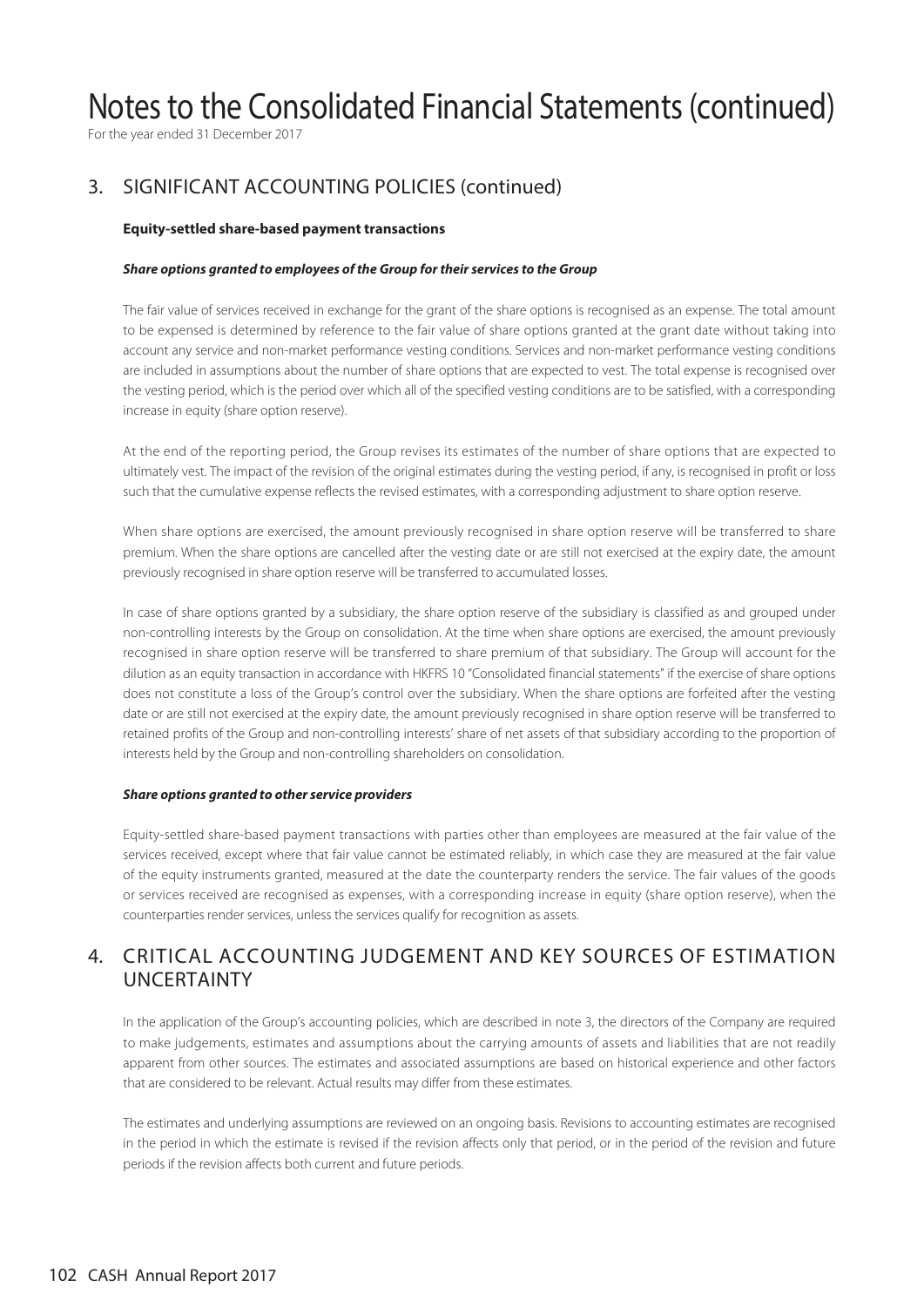For the year ended 31 December 2017

# 3. SIGNIFICANT ACCOUNTING POLICIES (continued)

## **Equity-settled share-based payment transactions**

### **Share options granted to employees of the Group for their services to the Group**

The fair value of services received in exchange for the grant of the share options is recognised as an expense. The total amount to be expensed is determined by reference to the fair value of share options granted at the grant date without taking into account any service and non-market performance vesting conditions. Services and non-market performance vesting conditions are included in assumptions about the number of share options that are expected to vest. The total expense is recognised over the vesting period, which is the period over which all of the specified vesting conditions are to be satisfied, with a corresponding increase in equity (share option reserve).

At the end of the reporting period, the Group revises its estimates of the number of share options that are expected to ultimately vest. The impact of the revision of the original estimates during the vesting period, if any, is recognised in profit or loss such that the cumulative expense reflects the revised estimates, with a corresponding adjustment to share option reserve.

When share options are exercised, the amount previously recognised in share option reserve will be transferred to share premium. When the share options are cancelled after the vesting date or are still not exercised at the expiry date, the amount previously recognised in share option reserve will be transferred to accumulated losses.

In case of share options granted by a subsidiary, the share option reserve of the subsidiary is classified as and grouped under non-controlling interests by the Group on consolidation. At the time when share options are exercised, the amount previously recognised in share option reserve will be transferred to share premium of that subsidiary. The Group will account for the dilution as an equity transaction in accordance with HKFRS 10 "Consolidated financial statements" if the exercise of share options does not constitute a loss of the Group's control over the subsidiary. When the share options are forfeited after the vesting date or are still not exercised at the expiry date, the amount previously recognised in share option reserve will be transferred to retained profits of the Group and non-controlling interests' share of net assets of that subsidiary according to the proportion of interests held by the Group and non-controlling shareholders on consolidation.

### **Share options granted to other service providers**

Equity-settled share-based payment transactions with parties other than employees are measured at the fair value of the services received, except where that fair value cannot be estimated reliably, in which case they are measured at the fair value of the equity instruments granted, measured at the date the counterparty renders the service. The fair values of the goods or services received are recognised as expenses, with a corresponding increase in equity (share option reserve), when the counterparties render services, unless the services qualify for recognition as assets.

## 4. CRITICAL ACCOUNTING JUDGEMENT AND KEY SOURCES OF ESTIMATION UNCERTAINTY

In the application of the Group's accounting policies, which are described in note 3, the directors of the Company are required to make judgements, estimates and assumptions about the carrying amounts of assets and liabilities that are not readily apparent from other sources. The estimates and associated assumptions are based on historical experience and other factors that are considered to be relevant. Actual results may differ from these estimates.

The estimates and underlying assumptions are reviewed on an ongoing basis. Revisions to accounting estimates are recognised in the period in which the estimate is revised if the revision affects only that period, or in the period of the revision and future periods if the revision affects both current and future periods.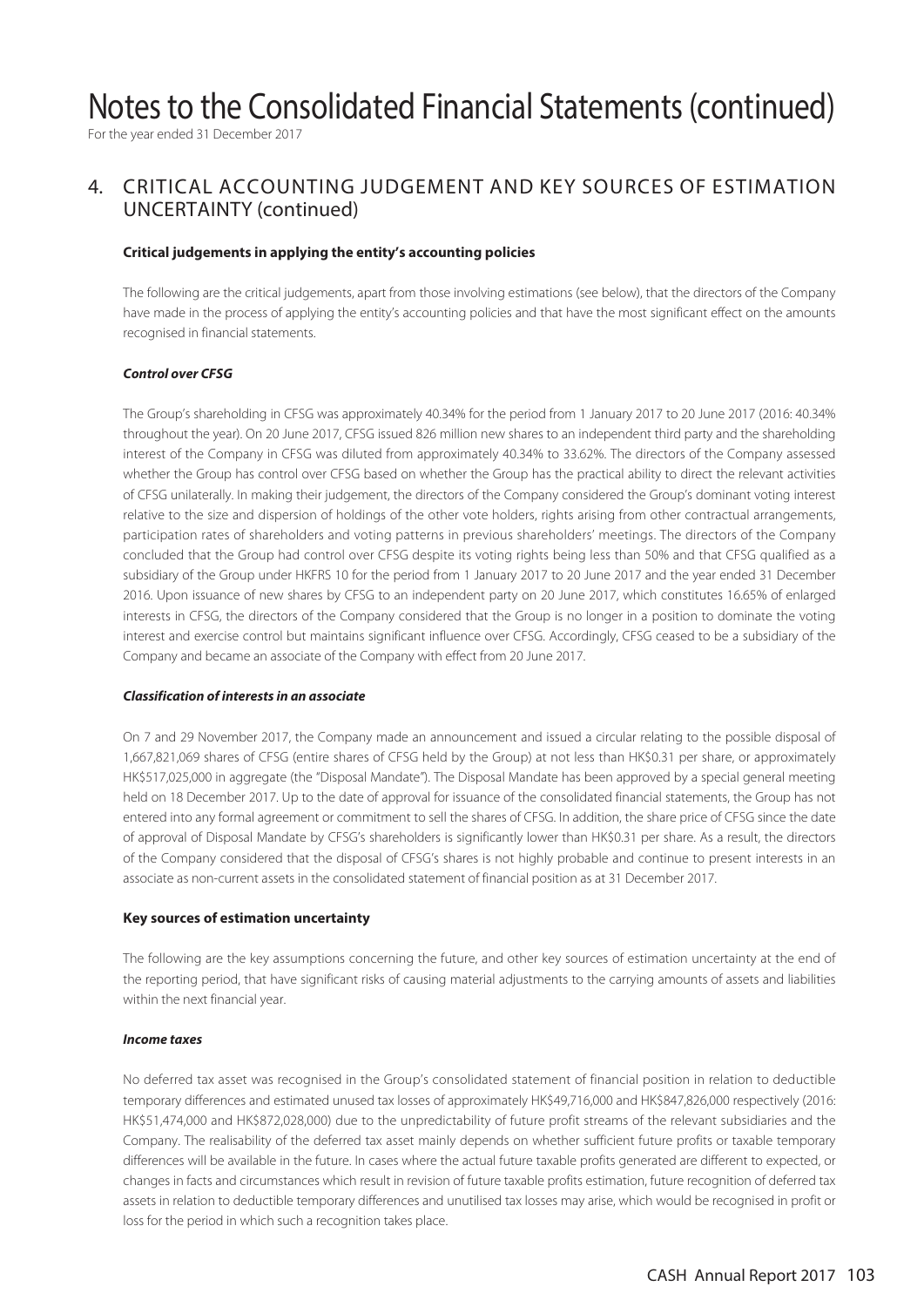For the year ended 31 December 2017

## 4. CRITICAL ACCOUNTING JUDGEMENT AND KEY SOURCES OF ESTIMATION UNCERTAINTY (continued)

### **Critical judgements in applying the entity's accounting policies**

The following are the critical judgements, apart from those involving estimations (see below), that the directors of the Company have made in the process of applying the entity's accounting policies and that have the most significant effect on the amounts recognised in financial statements.

### **Control over CFSG**

The Group's shareholding in CFSG was approximately 40.34% for the period from 1 January 2017 to 20 June 2017 (2016: 40.34% throughout the year). On 20 June 2017, CFSG issued 826 million new shares to an independent third party and the shareholding interest of the Company in CFSG was diluted from approximately 40.34% to 33.62%. The directors of the Company assessed whether the Group has control over CFSG based on whether the Group has the practical ability to direct the relevant activities of CFSG unilaterally. In making their judgement, the directors of the Company considered the Group's dominant voting interest relative to the size and dispersion of holdings of the other vote holders, rights arising from other contractual arrangements, participation rates of shareholders and voting patterns in previous shareholders' meetings. The directors of the Company concluded that the Group had control over CFSG despite its voting rights being less than 50% and that CFSG qualified as a subsidiary of the Group under HKFRS 10 for the period from 1 January 2017 to 20 June 2017 and the year ended 31 December 2016. Upon issuance of new shares by CFSG to an independent party on 20 June 2017, which constitutes 16.65% of enlarged interests in CFSG, the directors of the Company considered that the Group is no longer in a position to dominate the voting interest and exercise control but maintains significant influence over CFSG. Accordingly, CFSG ceased to be a subsidiary of the Company and became an associate of the Company with effect from 20 June 2017.

### **Classification of interests in an associate**

On 7 and 29 November 2017, the Company made an announcement and issued a circular relating to the possible disposal of 1,667,821,069 shares of CFSG (entire shares of CFSG held by the Group) at not less than HK\$0.31 per share, or approximately HK\$517,025,000 in aggregate (the "Disposal Mandate"). The Disposal Mandate has been approved by a special general meeting held on 18 December 2017. Up to the date of approval for issuance of the consolidated financial statements, the Group has not entered into any formal agreement or commitment to sell the shares of CFSG. In addition, the share price of CFSG since the date of approval of Disposal Mandate by CFSG's shareholders is significantly lower than HK\$0.31 per share. As a result, the directors of the Company considered that the disposal of CFSG's shares is not highly probable and continue to present interests in an associate as non-current assets in the consolidated statement of financial position as at 31 December 2017.

### **Key sources of estimation uncertainty**

The following are the key assumptions concerning the future, and other key sources of estimation uncertainty at the end of the reporting period, that have significant risks of causing material adjustments to the carrying amounts of assets and liabilities within the next financial year.

#### **Income taxes**

No deferred tax asset was recognised in the Group's consolidated statement of financial position in relation to deductible temporary differences and estimated unused tax losses of approximately HK\$49,716,000 and HK\$847,826,000 respectively (2016: HK\$51,474,000 and HK\$872,028,000) due to the unpredictability of future profit streams of the relevant subsidiaries and the Company. The realisability of the deferred tax asset mainly depends on whether sufficient future profits or taxable temporary differences will be available in the future. In cases where the actual future taxable profits generated are different to expected, or changes in facts and circumstances which result in revision of future taxable profits estimation, future recognition of deferred tax assets in relation to deductible temporary differences and unutilised tax losses may arise, which would be recognised in profit or loss for the period in which such a recognition takes place.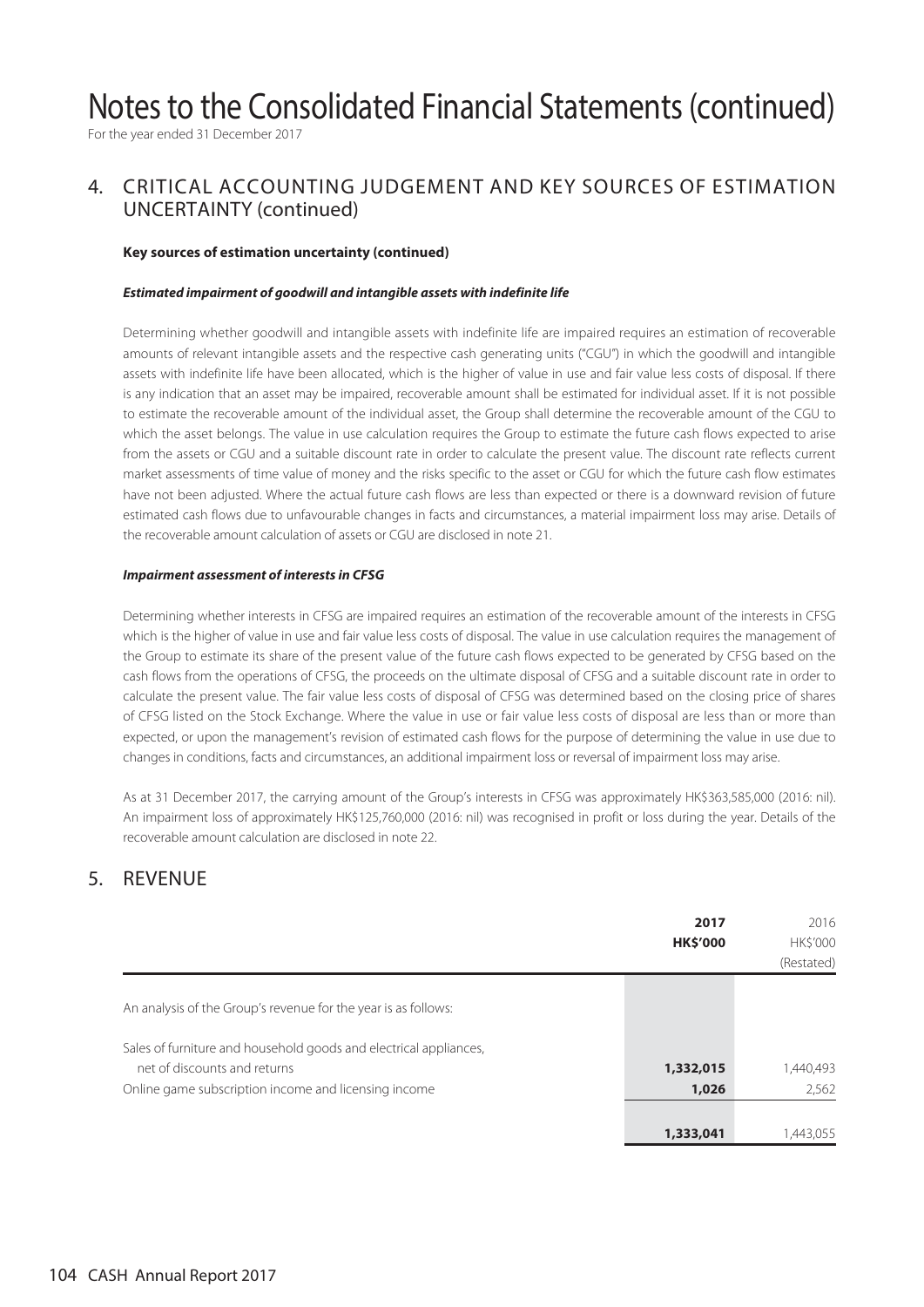For the year ended 31 December 2017

## 4. CRITICAL ACCOUNTING JUDGEMENT AND KEY SOURCES OF ESTIMATION UNCERTAINTY (continued)

### **Key sources of estimation uncertainty (continued)**

### **Estimated impairment of goodwill and intangible assets with indefinite life**

Determining whether goodwill and intangible assets with indefinite life are impaired requires an estimation of recoverable amounts of relevant intangible assets and the respective cash generating units ("CGU") in which the goodwill and intangible assets with indefinite life have been allocated, which is the higher of value in use and fair value less costs of disposal. If there is any indication that an asset may be impaired, recoverable amount shall be estimated for individual asset. If it is not possible to estimate the recoverable amount of the individual asset, the Group shall determine the recoverable amount of the CGU to which the asset belongs. The value in use calculation requires the Group to estimate the future cash flows expected to arise from the assets or CGU and a suitable discount rate in order to calculate the present value. The discount rate reflects current market assessments of time value of money and the risks specific to the asset or CGU for which the future cash flow estimates have not been adjusted. Where the actual future cash flows are less than expected or there is a downward revision of future estimated cash flows due to unfavourable changes in facts and circumstances, a material impairment loss may arise. Details of the recoverable amount calculation of assets or CGU are disclosed in note 21.

## **Impairment assessment of interests in CFSG**

Determining whether interests in CFSG are impaired requires an estimation of the recoverable amount of the interests in CFSG which is the higher of value in use and fair value less costs of disposal. The value in use calculation requires the management of the Group to estimate its share of the present value of the future cash flows expected to be generated by CFSG based on the cash flows from the operations of CFSG, the proceeds on the ultimate disposal of CFSG and a suitable discount rate in order to calculate the present value. The fair value less costs of disposal of CFSG was determined based on the closing price of shares of CFSG listed on the Stock Exchange. Where the value in use or fair value less costs of disposal are less than or more than expected, or upon the management's revision of estimated cash flows for the purpose of determining the value in use due to changes in conditions, facts and circumstances, an additional impairment loss or reversal of impairment loss may arise.

As at 31 December 2017, the carrying amount of the Group's interests in CFSG was approximately HK\$363,585,000 (2016: nil). An impairment loss of approximately HK\$125,760,000 (2016: nil) was recognised in profit or loss during the year. Details of the recoverable amount calculation are disclosed in note 22.

## 5. REVENUE

|                                                                                                   | 2017<br><b>HK\$'000</b> | 2016<br>HK\$'000<br>(Restated) |
|---------------------------------------------------------------------------------------------------|-------------------------|--------------------------------|
| An analysis of the Group's revenue for the year is as follows:                                    |                         |                                |
| Sales of furniture and household goods and electrical appliances,<br>net of discounts and returns | 1,332,015               | 1,440,493                      |
| Online game subscription income and licensing income                                              | 1,026                   | 2,562                          |
|                                                                                                   | 1,333,041               | .443.055                       |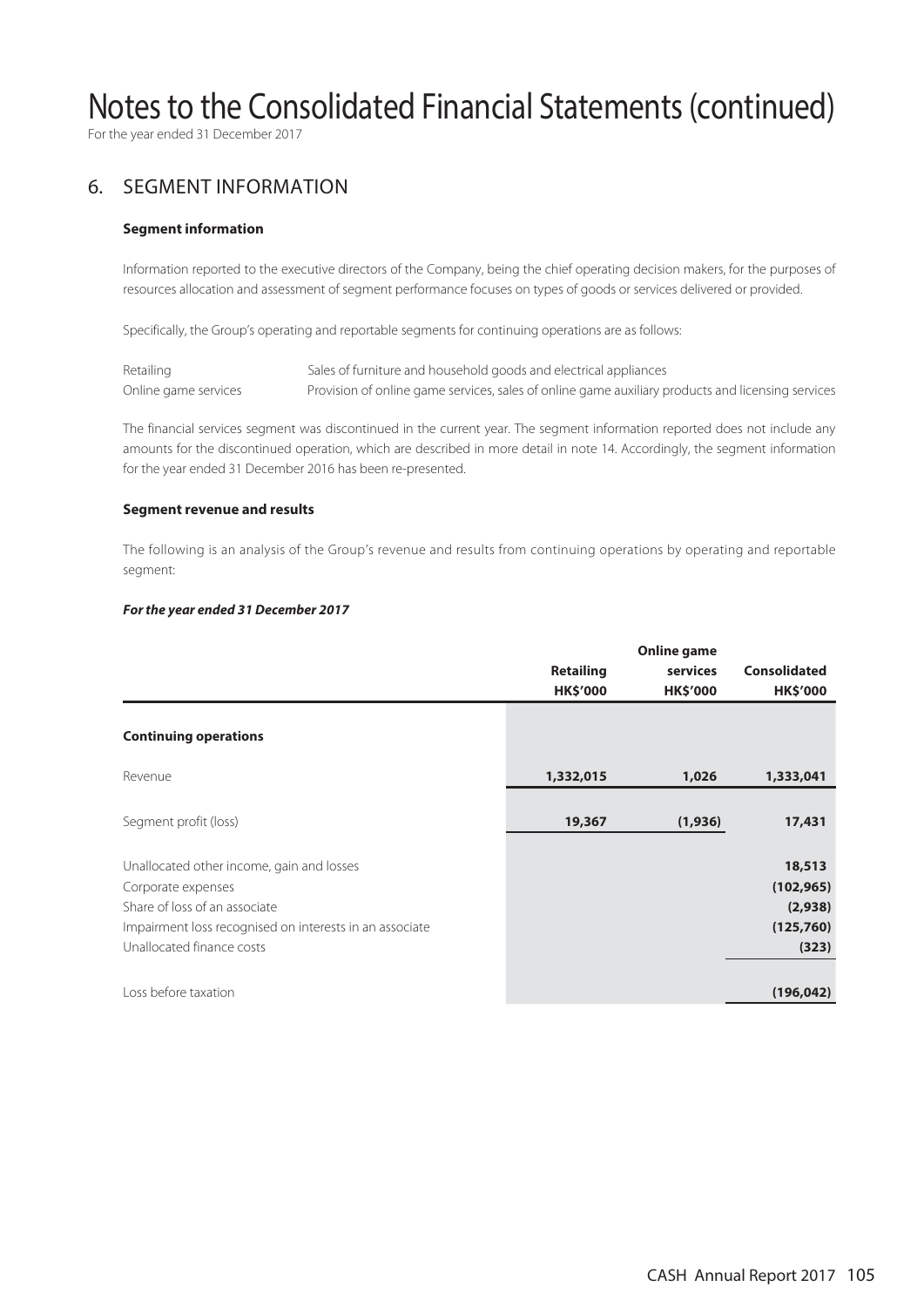For the year ended 31 December 2017

## 6. SEGMENT INFORMATION

## **Segment information**

Information reported to the executive directors of the Company, being the chief operating decision makers, for the purposes of resources allocation and assessment of segment performance focuses on types of goods or services delivered or provided.

Specifically, the Group's operating and reportable segments for continuing operations are as follows:

| Retailing            | Sales of furniture and household goods and electrical appliances                                  |
|----------------------|---------------------------------------------------------------------------------------------------|
| Online game services | Provision of online game services, sales of online game auxiliary products and licensing services |

The financial services segment was discontinued in the current year. The segment information reported does not include any amounts for the discontinued operation, which are described in more detail in note 14. Accordingly, the segment information for the year ended 31 December 2016 has been re-presented.

#### **Segment revenue and results**

The following is an analysis of the Group's revenue and results from continuing operations by operating and reportable segment:

#### **For the year ended 31 December 2017**

|                                                         |                  | Online game     |                     |  |  |
|---------------------------------------------------------|------------------|-----------------|---------------------|--|--|
|                                                         | <b>Retailing</b> | services        | <b>Consolidated</b> |  |  |
|                                                         | <b>HK\$'000</b>  | <b>HK\$'000</b> | <b>HK\$'000</b>     |  |  |
|                                                         |                  |                 |                     |  |  |
| <b>Continuing operations</b>                            |                  |                 |                     |  |  |
| Revenue                                                 | 1,332,015        | 1,026           | 1,333,041           |  |  |
| Segment profit (loss)                                   | 19,367           | (1,936)         | 17,431              |  |  |
| Unallocated other income, gain and losses               |                  |                 | 18,513              |  |  |
| Corporate expenses                                      |                  |                 | (102, 965)          |  |  |
| Share of loss of an associate                           |                  |                 | (2,938)             |  |  |
| Impairment loss recognised on interests in an associate |                  |                 | (125,760)           |  |  |
| Unallocated finance costs                               |                  |                 | (323)               |  |  |
| Loss before taxation                                    |                  |                 | (196, 042)          |  |  |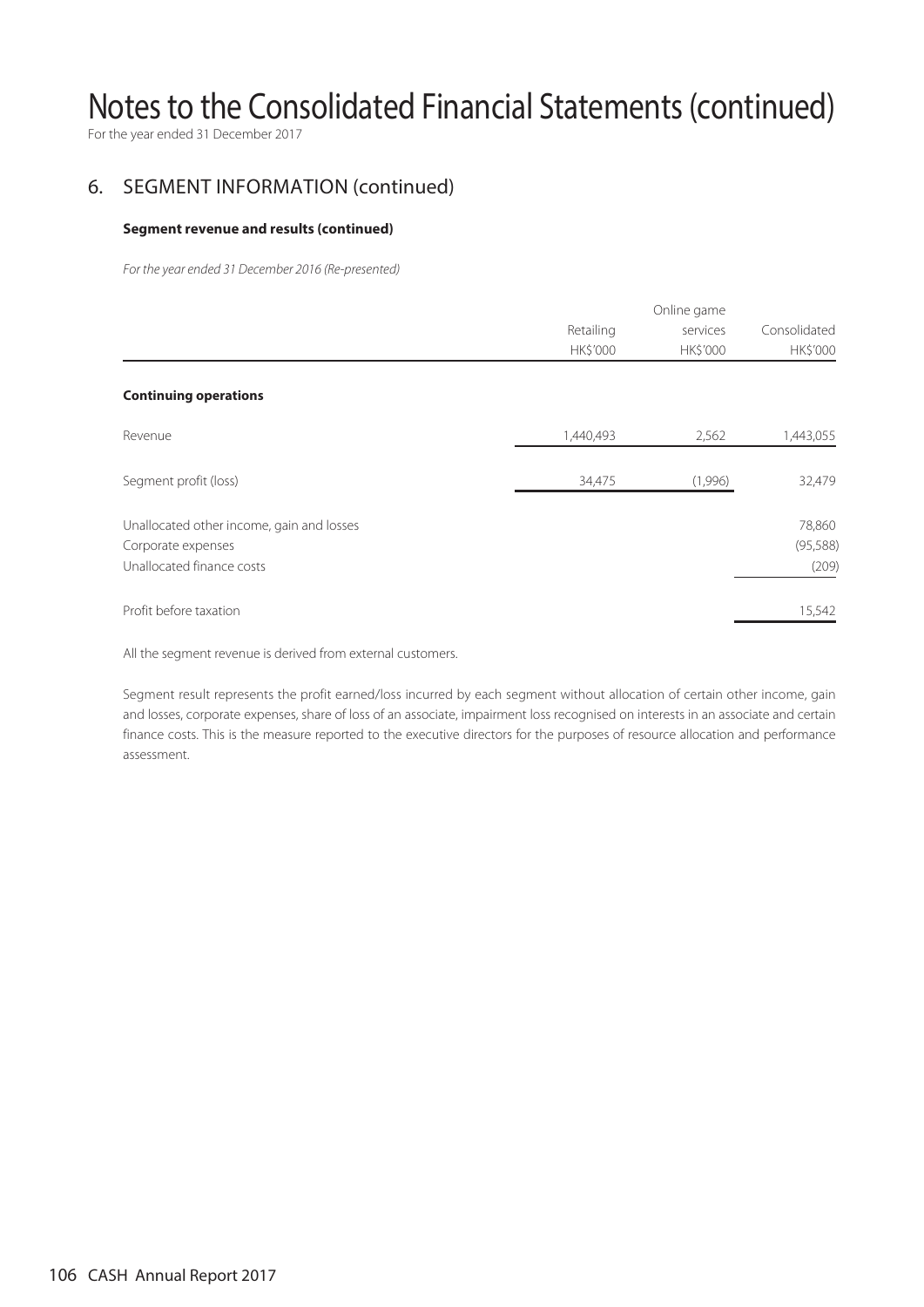For the year ended 31 December 2017

## 6. SEGMENT INFORMATION (continued)

## **Segment revenue and results (continued)**

For the year ended 31 December 2016 (Re-presented)

|                                           | Online game |          |              |
|-------------------------------------------|-------------|----------|--------------|
|                                           | Retailing   | services | Consolidated |
|                                           | HK\$'000    | HK\$'000 | HK\$'000     |
| <b>Continuing operations</b>              |             |          |              |
| Revenue                                   | 1,440,493   | 2,562    | 1,443,055    |
| Segment profit (loss)                     | 34,475      | (1,996)  | 32,479       |
| Unallocated other income, gain and losses |             |          | 78,860       |
| Corporate expenses                        |             |          | (95, 588)    |
| Unallocated finance costs                 |             |          | (209)        |
| Profit before taxation                    |             |          | 15,542       |

All the segment revenue is derived from external customers.

Segment result represents the profit earned/loss incurred by each segment without allocation of certain other income, gain and losses, corporate expenses, share of loss of an associate, impairment loss recognised on interests in an associate and certain finance costs. This is the measure reported to the executive directors for the purposes of resource allocation and performance assessment.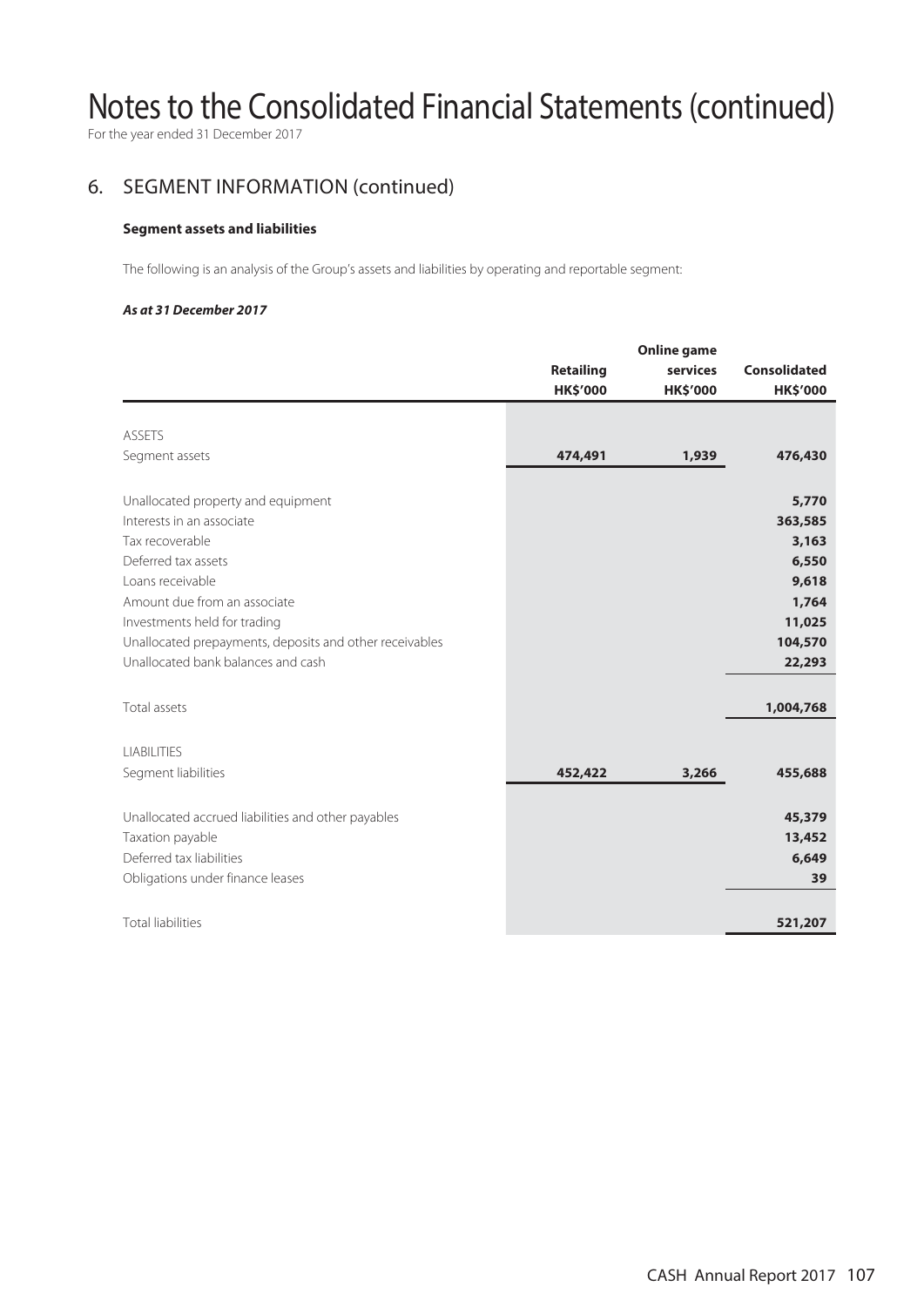For the year ended 31 December 2017

## 6. SEGMENT INFORMATION (continued)

## **Segment assets and liabilities**

The following is an analysis of the Group's assets and liabilities by operating and reportable segment:

### **As at 31 December 2017**

|                                                         | <b>Online game</b> |                 |                     |
|---------------------------------------------------------|--------------------|-----------------|---------------------|
|                                                         | <b>Retailing</b>   | services        | <b>Consolidated</b> |
|                                                         | <b>HK\$'000</b>    | <b>HK\$'000</b> | <b>HK\$'000</b>     |
|                                                         |                    |                 |                     |
| <b>ASSETS</b>                                           |                    |                 |                     |
| Segment assets                                          | 474,491            | 1,939           | 476,430             |
|                                                         |                    |                 |                     |
| Unallocated property and equipment                      |                    |                 | 5,770               |
| Interests in an associate                               |                    |                 | 363,585             |
| Tax recoverable                                         |                    |                 | 3,163               |
| Deferred tax assets                                     |                    |                 | 6,550               |
| Loans receivable                                        |                    |                 | 9,618               |
| Amount due from an associate                            |                    |                 | 1,764               |
| Investments held for trading                            |                    |                 | 11,025              |
| Unallocated prepayments, deposits and other receivables |                    |                 | 104,570             |
| Unallocated bank balances and cash                      |                    |                 | 22,293              |
|                                                         |                    |                 |                     |
| Total assets                                            |                    |                 | 1,004,768           |
|                                                         |                    |                 |                     |
| <b>LIABILITIES</b>                                      |                    |                 |                     |
| Segment liabilities                                     | 452,422            | 3,266           | 455,688             |
|                                                         |                    |                 |                     |
| Unallocated accrued liabilities and other payables      |                    |                 | 45,379              |
| Taxation payable                                        |                    |                 | 13,452              |
| Deferred tax liabilities                                |                    |                 | 6,649               |
| Obligations under finance leases                        |                    |                 | 39                  |
|                                                         |                    |                 |                     |
| <b>Total liabilities</b>                                |                    |                 | 521,207             |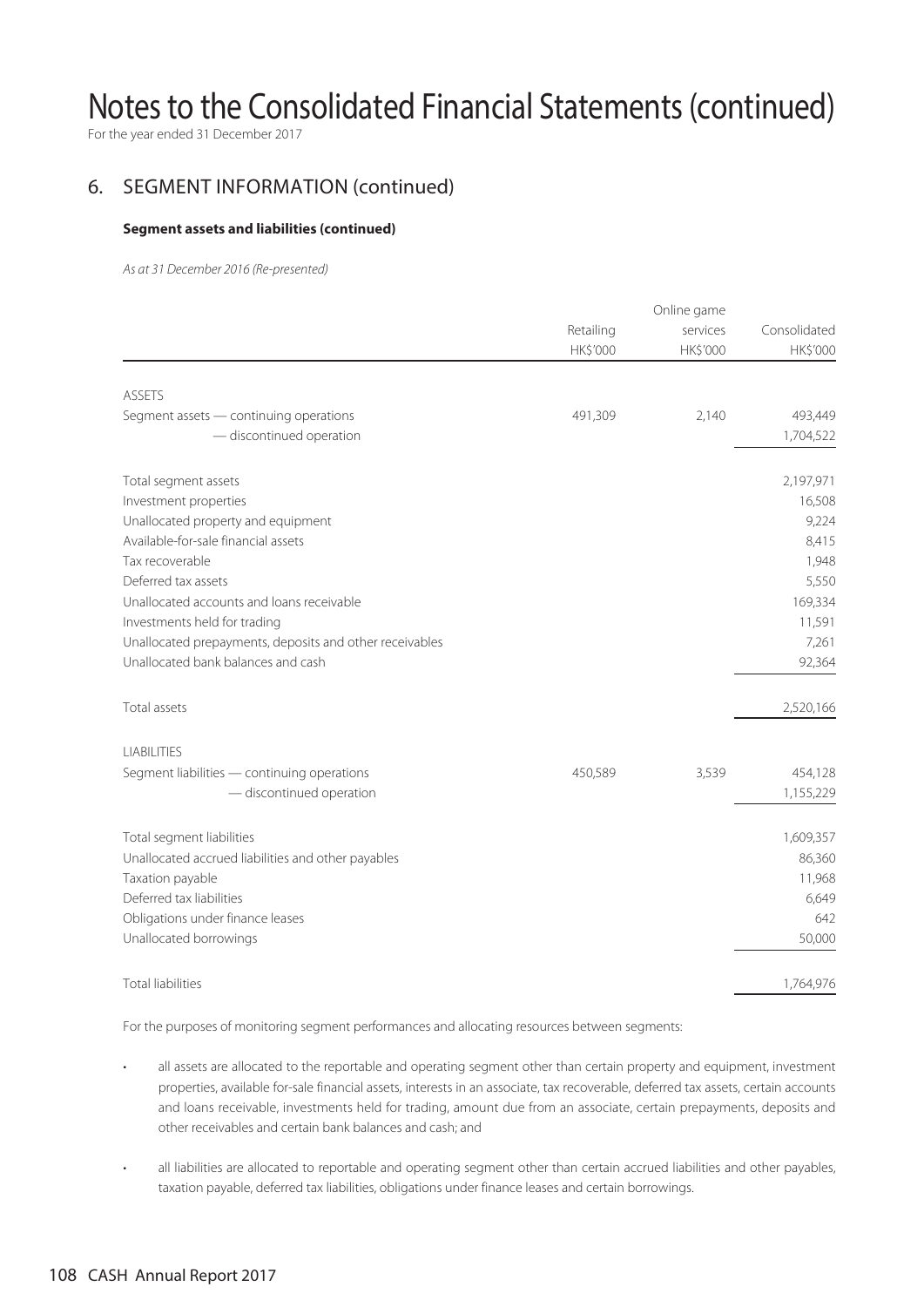For the year ended 31 December 2017

### 6. SEGMENT INFORMATION (continued)

#### **Segment assets and liabilities (continued)**

As at 31 December 2016 (Re-presented)

|                                                         | Retailing | services | Consolidated |
|---------------------------------------------------------|-----------|----------|--------------|
|                                                         | HK\$'000  | HK\$'000 | HK\$'000     |
|                                                         |           |          |              |
| <b>ASSETS</b>                                           |           |          |              |
| Segment assets - continuing operations                  | 491,309   | 2,140    | 493,449      |
| - discontinued operation                                |           |          | 1,704,522    |
| Total segment assets                                    |           |          | 2,197,971    |
| Investment properties                                   |           |          | 16,508       |
| Unallocated property and equipment                      |           |          | 9,224        |
| Available-for-sale financial assets                     |           |          | 8,415        |
| Tax recoverable                                         |           |          | 1,948        |
| Deferred tax assets                                     |           |          | 5,550        |
| Unallocated accounts and loans receivable               |           |          | 169,334      |
| Investments held for trading                            |           |          | 11,591       |
| Unallocated prepayments, deposits and other receivables |           |          | 7,261        |
| Unallocated bank balances and cash                      |           |          | 92,364       |
| Total assets                                            |           |          | 2,520,166    |
| <b>LIABILITIES</b>                                      |           |          |              |
| Segment liabilities - continuing operations             | 450,589   | 3,539    | 454,128      |
| - discontinued operation                                |           |          | 1,155,229    |
| Total segment liabilities                               |           |          | 1,609,357    |
| Unallocated accrued liabilities and other payables      |           |          | 86,360       |
| Taxation payable                                        |           |          | 11,968       |
| Deferred tax liabilities                                |           |          | 6,649        |
| Obligations under finance leases                        |           |          | 642          |
| Unallocated borrowings                                  |           |          | 50,000       |
| <b>Total liabilities</b>                                |           |          | 1,764,976    |

For the purposes of monitoring segment performances and allocating resources between segments:

- all assets are allocated to the reportable and operating segment other than certain property and equipment, investment properties, available for-sale financial assets, interests in an associate, tax recoverable, deferred tax assets, certain accounts and loans receivable, investments held for trading, amount due from an associate, certain prepayments, deposits and other receivables and certain bank balances and cash; and
- all liabilities are allocated to reportable and operating segment other than certain accrued liabilities and other payables, taxation payable, deferred tax liabilities, obligations under finance leases and certain borrowings.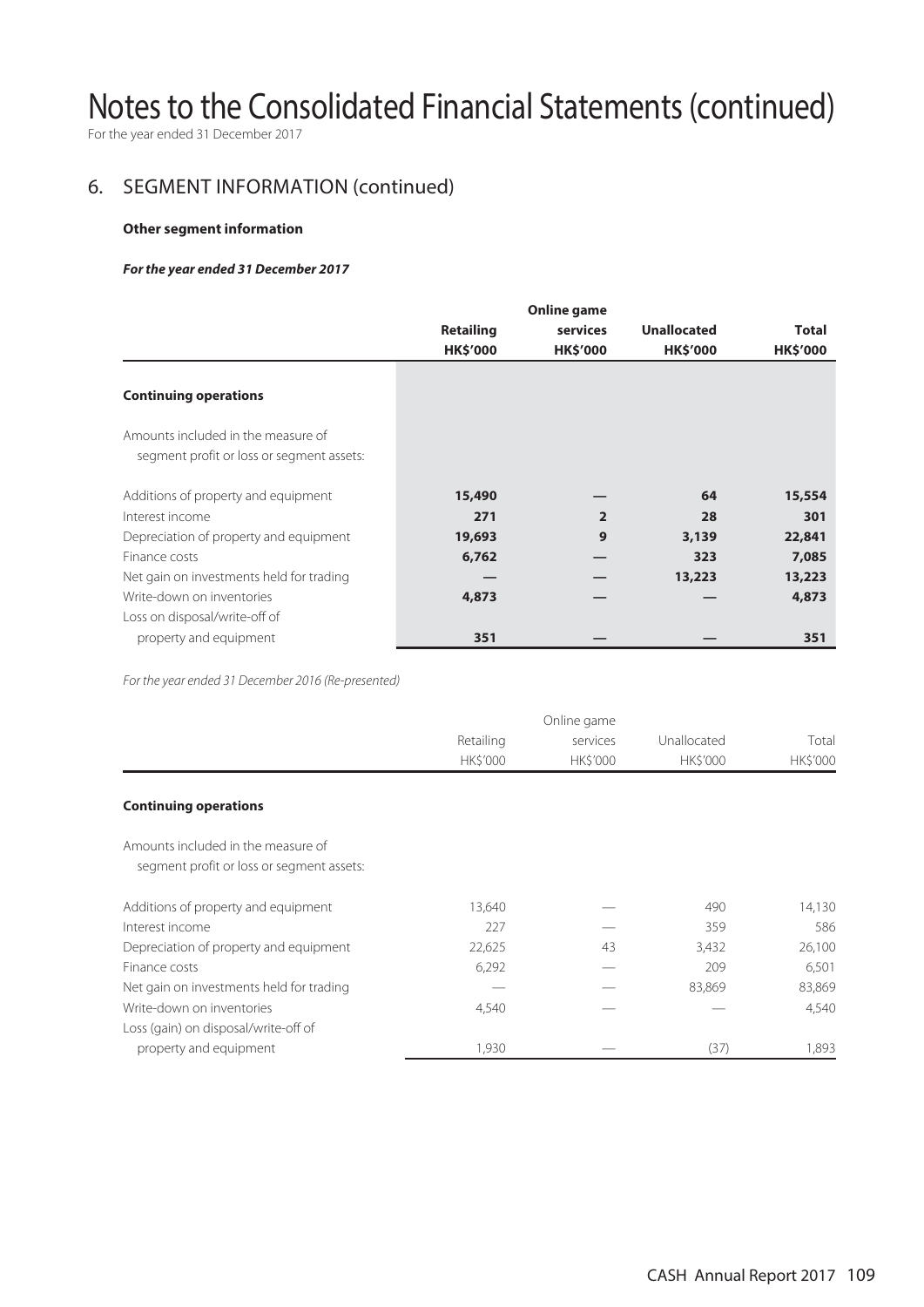For the year ended 31 December 2017

### 6. SEGMENT INFORMATION (continued)

### **Other segment information**

#### **For the year ended 31 December 2017**

|                                           | <b>Retailing</b> | services        | <b>Unallocated</b> | <b>Total</b>    |
|-------------------------------------------|------------------|-----------------|--------------------|-----------------|
|                                           | <b>HK\$'000</b>  | <b>HK\$'000</b> | <b>HK\$'000</b>    | <b>HK\$'000</b> |
|                                           |                  |                 |                    |                 |
| <b>Continuing operations</b>              |                  |                 |                    |                 |
|                                           |                  |                 |                    |                 |
| Amounts included in the measure of        |                  |                 |                    |                 |
| segment profit or loss or segment assets: |                  |                 |                    |                 |
|                                           |                  |                 |                    |                 |
| Additions of property and equipment       | 15,490           |                 | 64                 | 15,554          |
| Interest income                           | 271              | $\overline{2}$  | 28                 | 301             |
| Depreciation of property and equipment    | 19,693           | 9               | 3,139              | 22,841          |
| Finance costs                             | 6,762            |                 | 323                | 7,085           |
| Net gain on investments held for trading  |                  |                 | 13,223             | 13,223          |
| Write-down on inventories                 | 4,873            |                 |                    | 4,873           |
| Loss on disposal/write-off of             |                  |                 |                    |                 |
| property and equipment                    | 351              |                 |                    | 351             |

For the year ended 31 December 2016 (Re-presented)

|                                           | Retailing       | services | Unallocated     | Total    |
|-------------------------------------------|-----------------|----------|-----------------|----------|
|                                           | <b>HK\$'000</b> | HK\$'000 | <b>HK\$'000</b> | HK\$'000 |
| <b>Continuing operations</b>              |                 |          |                 |          |
| Amounts included in the measure of        |                 |          |                 |          |
| segment profit or loss or segment assets: |                 |          |                 |          |
| Additions of property and equipment       | 13,640          |          | 490             | 14,130   |
| Interest income                           | 227             |          | 359             | 586      |
| Depreciation of property and equipment    | 22,625          | 43       | 3,432           | 26,100   |
| Finance costs                             | 6,292           |          | 209             | 6,501    |
| Net gain on investments held for trading  |                 |          | 83,869          | 83,869   |
| Write-down on inventories                 | 4,540           |          |                 | 4,540    |
| Loss (gain) on disposal/write-off of      |                 |          |                 |          |
| property and equipment                    | 1,930           |          | (37)            | 1,893    |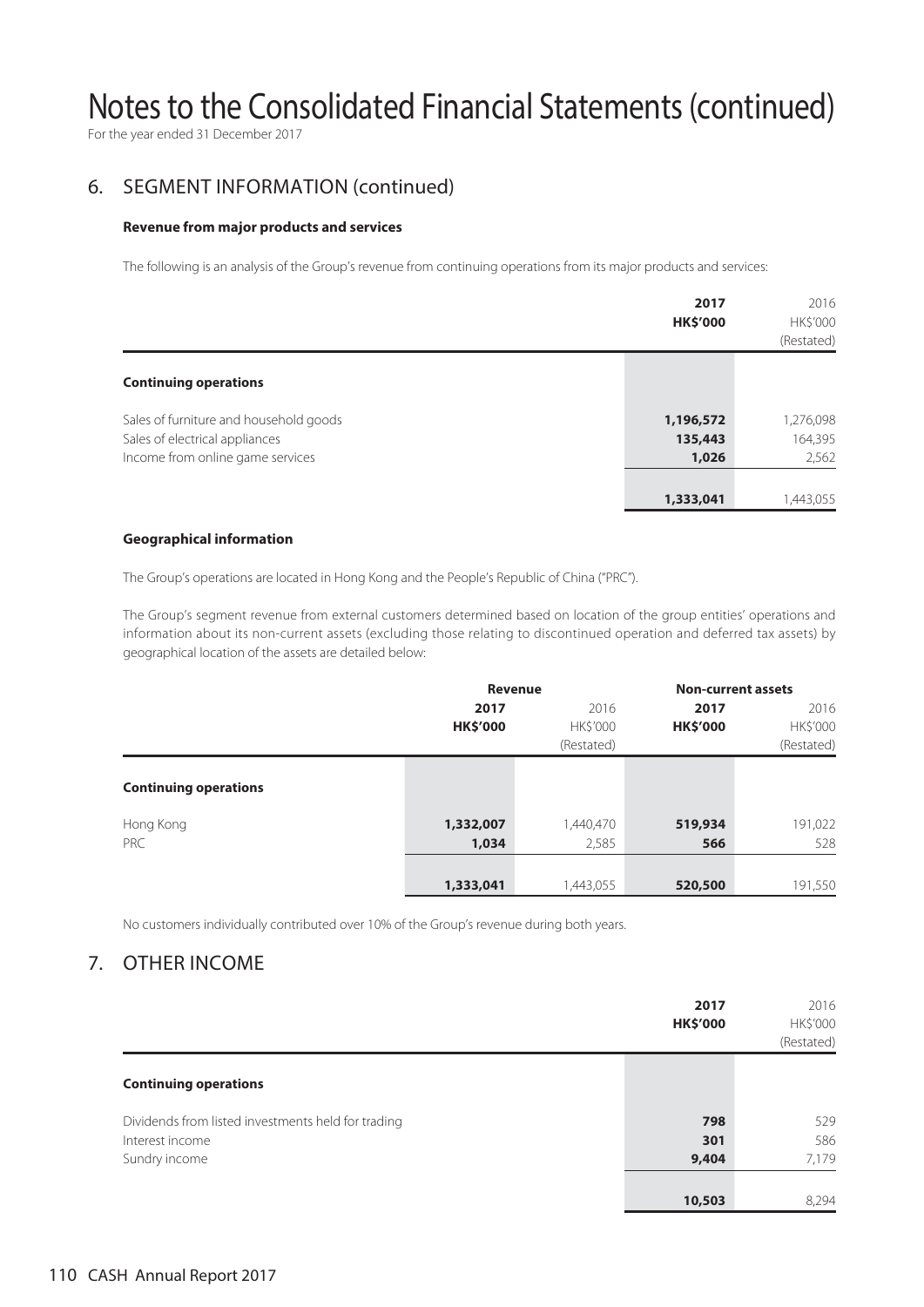For the year ended 31 December 2017

### 6. SEGMENT INFORMATION (continued)

#### **Revenue from major products and services**

The following is an analysis of the Group's revenue from continuing operations from its major products and services:

|                                                                                                              | 2017<br><b>HK\$'000</b>       | 2016<br>HK\$'000<br>(Restated) |
|--------------------------------------------------------------------------------------------------------------|-------------------------------|--------------------------------|
| <b>Continuing operations</b>                                                                                 |                               |                                |
| Sales of furniture and household goods<br>Sales of electrical appliances<br>Income from online game services | 1,196,572<br>135,443<br>1,026 | 1,276,098<br>164,395<br>2,562  |
|                                                                                                              | 1,333,041                     | 1,443,055                      |

#### **Geographical information**

The Group's operations are located in Hong Kong and the People's Republic of China ("PRC").

The Group's segment revenue from external customers determined based on location of the group entities' operations and information about its non-current assets (excluding those relating to discontinued operation and deferred tax assets) by geographical location of the assets are detailed below:

|                              |                 | <b>Revenue</b> |                 | <b>Non-current assets</b> |
|------------------------------|-----------------|----------------|-----------------|---------------------------|
|                              | 2017            | 2016           | 2017            | 2016                      |
|                              | <b>HK\$'000</b> | <b>HKS'000</b> | <b>HK\$'000</b> | HK\$'000                  |
|                              |                 | (Restated)     |                 | (Restated)                |
|                              |                 |                |                 |                           |
| <b>Continuing operations</b> |                 |                |                 |                           |
| Hong Kong                    | 1,332,007       | 1,440,470      | 519,934         | 191,022                   |
| <b>PRC</b>                   | 1,034           | 2,585          | 566             | 528                       |
|                              |                 |                |                 |                           |
|                              | 1,333,041       | 1,443,055      | 520,500         | 191,550                   |

No customers individually contributed over 10% of the Group's revenue during both years.

### 7. OTHER INCOME

|                                                    | 2017<br><b>HK\$'000</b> | 2016<br>HK\$'000<br>(Restated) |
|----------------------------------------------------|-------------------------|--------------------------------|
| <b>Continuing operations</b>                       |                         |                                |
| Dividends from listed investments held for trading | 798                     | 529                            |
| Interest income                                    | 301                     | 586                            |
| Sundry income                                      | 9,404                   | 7,179                          |
|                                                    | 10,503                  | 8,294                          |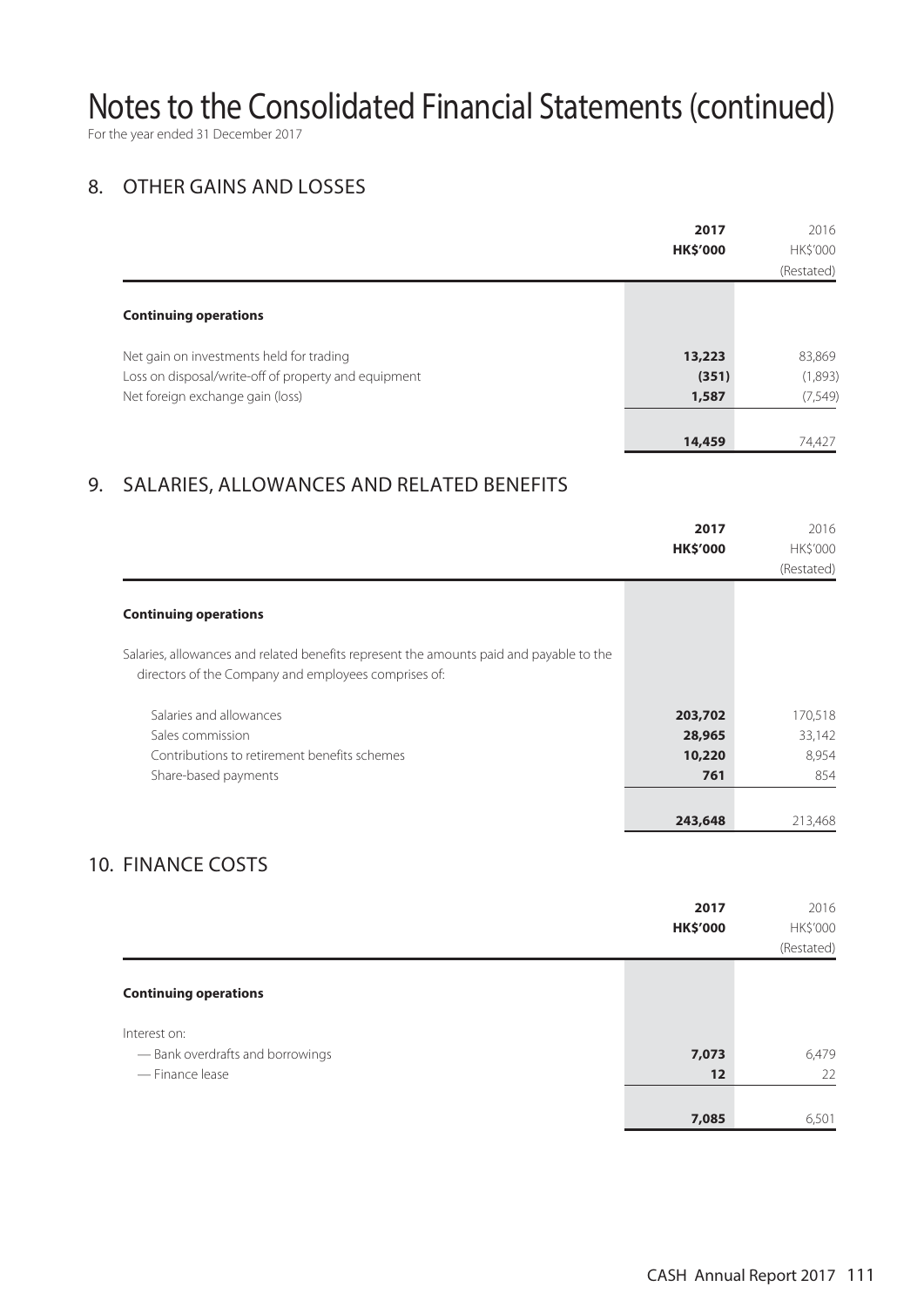For the year ended 31 December 2017

## 8. OTHER GAINS AND LOSSES

|                                                                                          | 2017<br><b>HK\$'000</b> | 2016<br>HK\$'000<br>(Restated) |
|------------------------------------------------------------------------------------------|-------------------------|--------------------------------|
| <b>Continuing operations</b>                                                             |                         |                                |
| Net gain on investments held for trading                                                 | 13,223                  | 83,869                         |
| Loss on disposal/write-off of property and equipment<br>Net foreign exchange gain (loss) | (351)<br>1,587          | (1,893)<br>(7, 549)            |
|                                                                                          | 14,459                  | 74,427                         |

### 9. SALARIES, ALLOWANCES AND RELATED BENEFITS

|                                                                                                                                                 | 2017<br><b>HK\$'000</b> | 2016<br>HK\$'000<br>(Restated) |
|-------------------------------------------------------------------------------------------------------------------------------------------------|-------------------------|--------------------------------|
| <b>Continuing operations</b>                                                                                                                    |                         |                                |
| Salaries, allowances and related benefits represent the amounts paid and payable to the<br>directors of the Company and employees comprises of: |                         |                                |
| Salaries and allowances                                                                                                                         | 203,702                 | 170,518                        |
| Sales commission                                                                                                                                | 28,965                  | 33,142                         |
| Contributions to retirement benefits schemes                                                                                                    | 10,220                  | 8.954                          |
| Share-based payments                                                                                                                            | 761                     | 854                            |
|                                                                                                                                                 | 243,648                 | 213,468                        |

### 10. FINANCE COSTS

|                                                  | 2017<br><b>HK\$'000</b> | 2016<br>HK\$'000<br>(Restated) |
|--------------------------------------------------|-------------------------|--------------------------------|
| <b>Continuing operations</b>                     |                         |                                |
| Interest on:<br>- Bank overdrafts and borrowings | 7,073                   | 6,479                          |
| - Finance lease                                  | 12                      | 22                             |
|                                                  | 7,085                   | 6,501                          |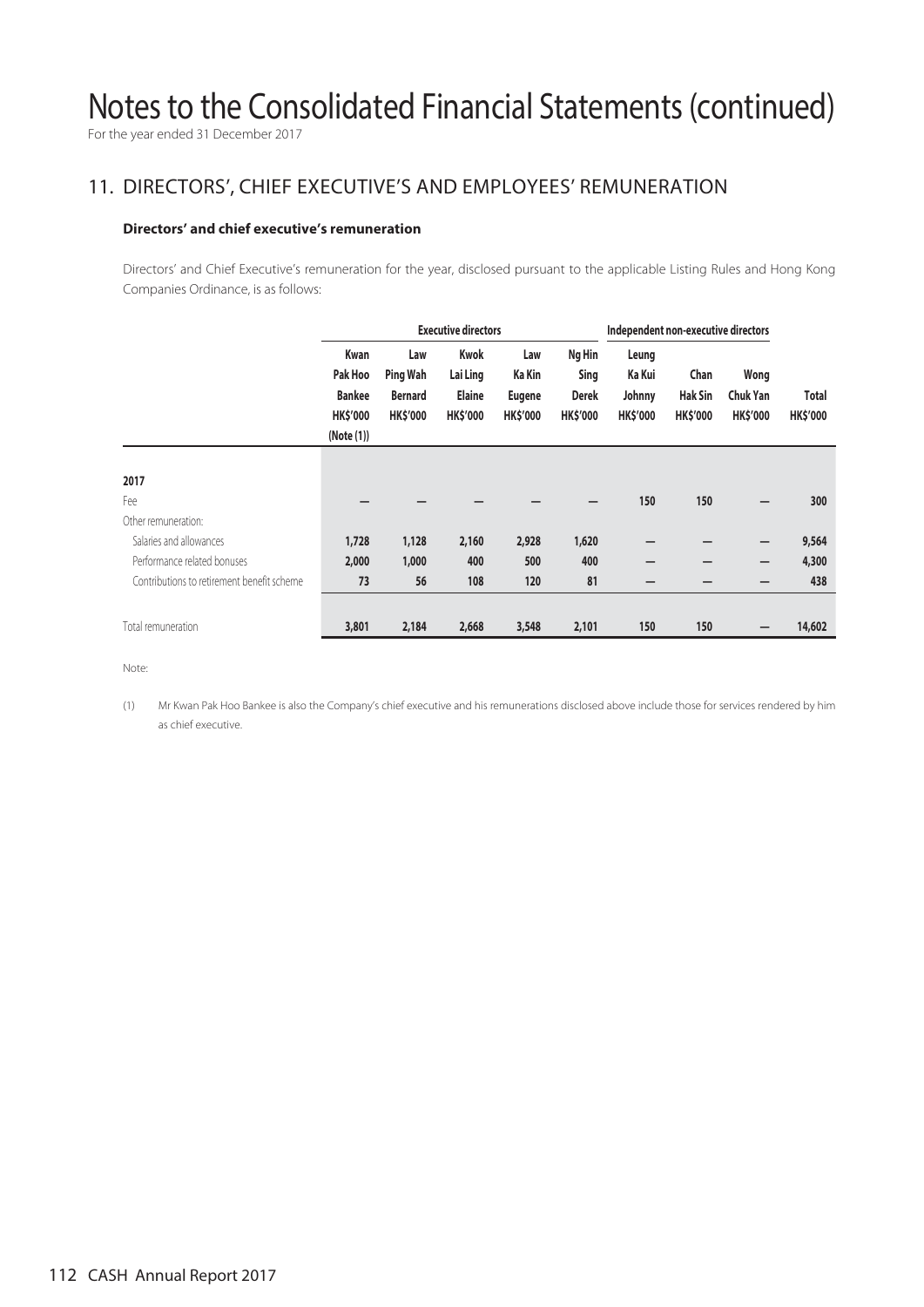For the year ended 31 December 2017

## 11. DIRECTORS', CHIEF EXECUTIVE'S AND EMPLOYEES' REMUNERATION

#### **Directors' and chief executive's remuneration**

Directors' and Chief Executive's remuneration for the year, disclosed pursuant to the applicable Listing Rules and Hong Kong Companies Ordinance, is as follows:

|                                            | <b>Executive directors</b>                                        |                                                     |                                                     |                                                  | Independent non-executive directors               |                                              |                                           |                                            |                                 |
|--------------------------------------------|-------------------------------------------------------------------|-----------------------------------------------------|-----------------------------------------------------|--------------------------------------------------|---------------------------------------------------|----------------------------------------------|-------------------------------------------|--------------------------------------------|---------------------------------|
|                                            | Kwan<br>Pak Hoo<br><b>Bankee</b><br><b>HK\$'000</b><br>(Note (1)) | Law<br>Ping Wah<br><b>Bernard</b><br><b>HKS'000</b> | Kwok<br>Lai Ling<br><b>Elaine</b><br><b>HKS'000</b> | Law<br>Ka Kin<br><b>Eugene</b><br><b>HKS'000</b> | Ng Hin<br>Sing<br><b>Derek</b><br><b>HK\$'000</b> | Leung<br>Ka Kui<br>Johnny<br><b>HK\$'000</b> | Chan<br><b>Hak Sin</b><br><b>HK\$'000</b> | Wong<br><b>Chuk Yan</b><br><b>HK\$'000</b> | <b>Total</b><br><b>HK\$'000</b> |
|                                            |                                                                   |                                                     |                                                     |                                                  |                                                   |                                              |                                           |                                            |                                 |
| 2017                                       |                                                                   |                                                     |                                                     |                                                  |                                                   |                                              |                                           |                                            |                                 |
| Fee                                        |                                                                   |                                                     |                                                     |                                                  |                                                   | 150                                          | 150                                       |                                            | 300                             |
| Other remuneration:                        |                                                                   |                                                     |                                                     |                                                  |                                                   |                                              |                                           |                                            |                                 |
| Salaries and allowances                    | 1,728                                                             | 1,128                                               | 2,160                                               | 2,928                                            | 1,620                                             |                                              |                                           |                                            | 9,564                           |
| Performance related bonuses                | 2,000                                                             | 1,000                                               | 400                                                 | 500                                              | 400                                               | —                                            |                                           | $\qquad \qquad -$                          | 4,300                           |
| Contributions to retirement benefit scheme | 73                                                                | 56                                                  | 108                                                 | 120                                              | 81                                                |                                              |                                           | —                                          | 438                             |
| Total remuneration                         | 3,801                                                             | 2,184                                               | 2,668                                               | 3,548                                            | 2,101                                             | 150                                          | 150                                       |                                            | 14,602                          |

Note:

(1) Mr Kwan Pak Hoo Bankee is also the Company's chief executive and his remunerations disclosed above include those for services rendered by him as chief executive.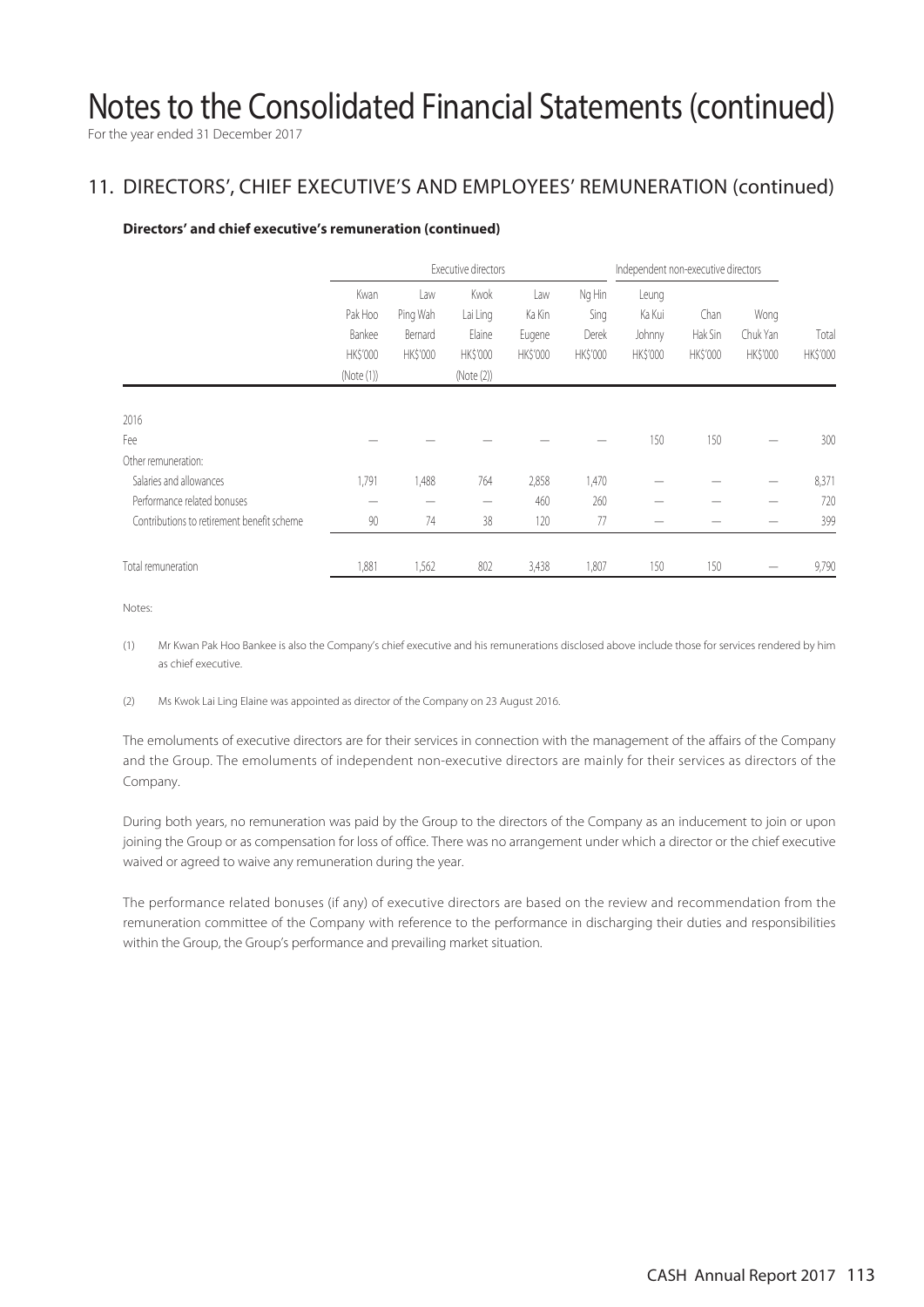For the year ended 31 December 2017

### 11. DIRECTORS', CHIEF EXECUTIVE'S AND EMPLOYEES' REMUNERATION (continued)

### **Directors' and chief executive's remuneration (continued)**

|                                            |                                             | Executive directors                    |                                              |                                     |                                            | Independent non-executive directors   |                             |                              |                   |
|--------------------------------------------|---------------------------------------------|----------------------------------------|----------------------------------------------|-------------------------------------|--------------------------------------------|---------------------------------------|-----------------------------|------------------------------|-------------------|
|                                            | Kwan<br>Pak Hoo<br>Bankee<br><b>HKS'000</b> | Law<br>Ping Wah<br>Bernard<br>HK\$'000 | Kwok<br>Lai Ling<br>Elaine<br><b>HKS'000</b> | Law<br>Ka Kin<br>Eugene<br>HK\$'000 | Ng Hin<br>Sing<br><b>Derek</b><br>HK\$'000 | Leung<br>Ka Kui<br>Johnny<br>HK\$'000 | Chan<br>Hak Sin<br>HK\$'000 | Wong<br>Chuk Yan<br>HK\$'000 | Total<br>HK\$'000 |
|                                            | (Note (1))                                  |                                        | (Note (2))                                   |                                     |                                            |                                       |                             |                              |                   |
| 2016                                       |                                             |                                        |                                              |                                     |                                            |                                       |                             |                              |                   |
| Fee                                        |                                             |                                        |                                              |                                     |                                            | 150                                   | 150                         |                              | 300               |
| Other remuneration:                        |                                             |                                        |                                              |                                     |                                            |                                       |                             |                              |                   |
| Salaries and allowances                    | 1,791                                       | 1,488                                  | 764                                          | 2,858                               | 1,470                                      |                                       |                             |                              | 8,371             |
| Performance related bonuses                | -                                           | -                                      | -                                            | 460                                 | 260                                        |                                       |                             |                              | 720               |
| Contributions to retirement benefit scheme | 90                                          | 74                                     | 38                                           | 120                                 | 77                                         |                                       |                             |                              | 399               |
| Total remuneration                         | 1,881                                       | 1,562                                  | 802                                          | 3,438                               | 1,807                                      | 150                                   | 150                         |                              | 9,790             |

Notes:

(1) Mr Kwan Pak Hoo Bankee is also the Company's chief executive and his remunerations disclosed above include those for services rendered by him as chief executive.

(2) Ms Kwok Lai Ling Elaine was appointed as director of the Company on 23 August 2016.

The emoluments of executive directors are for their services in connection with the management of the affairs of the Company and the Group. The emoluments of independent non-executive directors are mainly for their services as directors of the Company.

During both years, no remuneration was paid by the Group to the directors of the Company as an inducement to join or upon joining the Group or as compensation for loss of office. There was no arrangement under which a director or the chief executive waived or agreed to waive any remuneration during the year.

The performance related bonuses (if any) of executive directors are based on the review and recommendation from the remuneration committee of the Company with reference to the performance in discharging their duties and responsibilities within the Group, the Group's performance and prevailing market situation.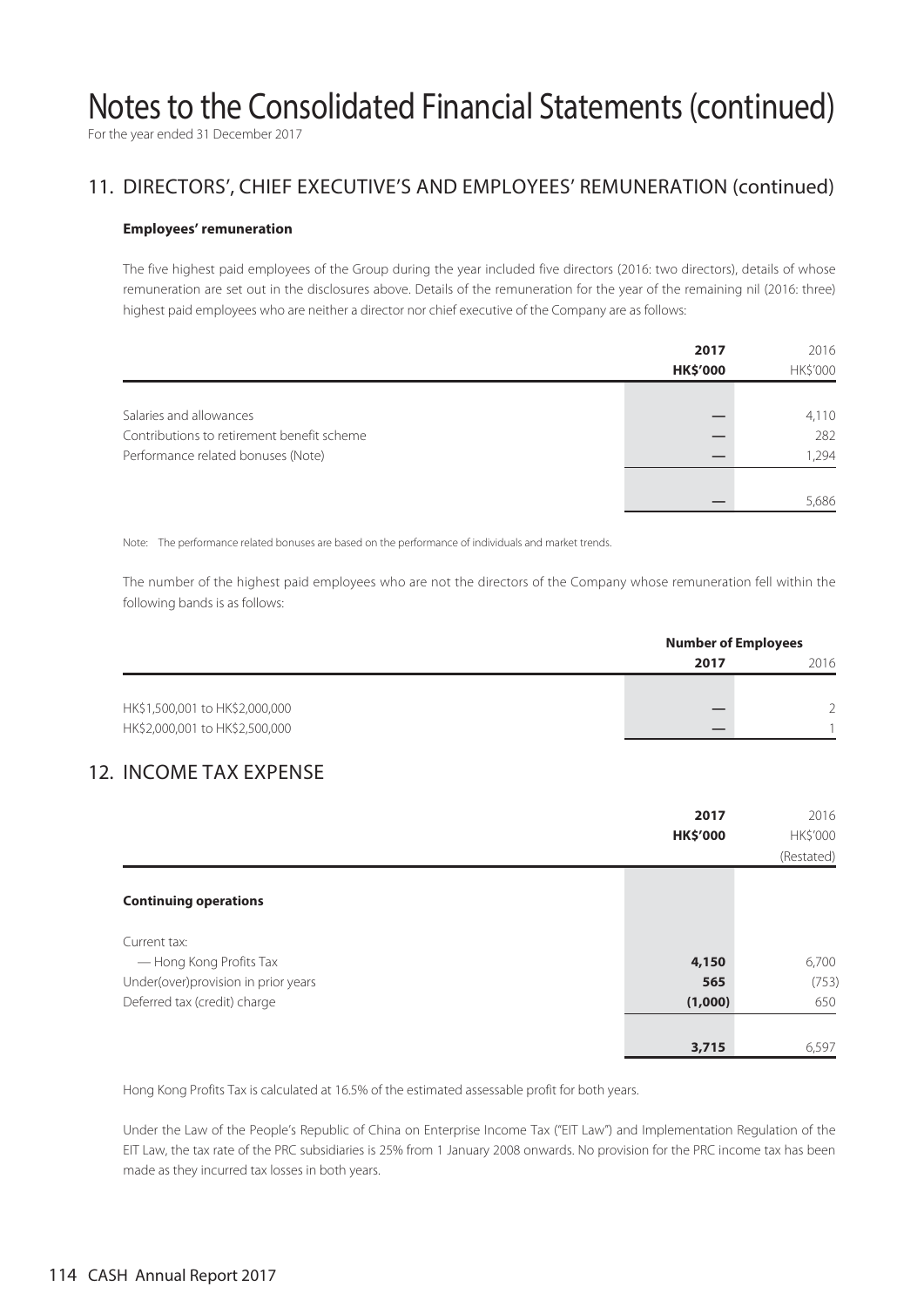For the year ended 31 December 2017

### 11. DIRECTORS', CHIEF EXECUTIVE'S AND EMPLOYEES' REMUNERATION (continued)

#### **Employees' remuneration**

The five highest paid employees of the Group during the year included five directors (2016: two directors), details of whose remuneration are set out in the disclosures above. Details of the remuneration for the year of the remaining nil (2016: three) highest paid employees who are neither a director nor chief executive of the Company are as follows:

|                                            | 2017            | 2016     |
|--------------------------------------------|-----------------|----------|
|                                            | <b>HK\$'000</b> | HK\$'000 |
|                                            |                 |          |
| Salaries and allowances                    |                 | 4,110    |
| Contributions to retirement benefit scheme |                 | 282      |
| Performance related bonuses (Note)         |                 | 1,294    |
|                                            |                 |          |
|                                            |                 | 5,686    |
|                                            |                 |          |

Note: The performance related bonuses are based on the performance of individuals and market trends.

The number of the highest paid employees who are not the directors of the Company whose remuneration fell within the following bands is as follows:

|                                |      | <b>Number of Employees</b> |  |
|--------------------------------|------|----------------------------|--|
|                                | 2017 | 2016                       |  |
|                                |      |                            |  |
| HK\$1,500,001 to HK\$2,000,000 |      |                            |  |
| HK\$2,000,001 to HK\$2,500,000 |      |                            |  |

### 12. INCOME TAX EXPENSE

|                                         | 2017<br><b>HK\$'000</b> | 2016<br>HK\$'000<br>(Restated) |
|-----------------------------------------|-------------------------|--------------------------------|
| <b>Continuing operations</b>            |                         |                                |
| Current tax:<br>- Hong Kong Profits Tax | 4,150                   | 6,700                          |
| Under(over)provision in prior years     | 565                     | (753)                          |
| Deferred tax (credit) charge            | (1,000)                 | 650                            |
|                                         | 3,715                   | 6,597                          |

Hong Kong Profits Tax is calculated at 16.5% of the estimated assessable profit for both years.

Under the Law of the People's Republic of China on Enterprise Income Tax ("EIT Law") and Implementation Regulation of the EIT Law, the tax rate of the PRC subsidiaries is 25% from 1 January 2008 onwards. No provision for the PRC income tax has been made as they incurred tax losses in both years.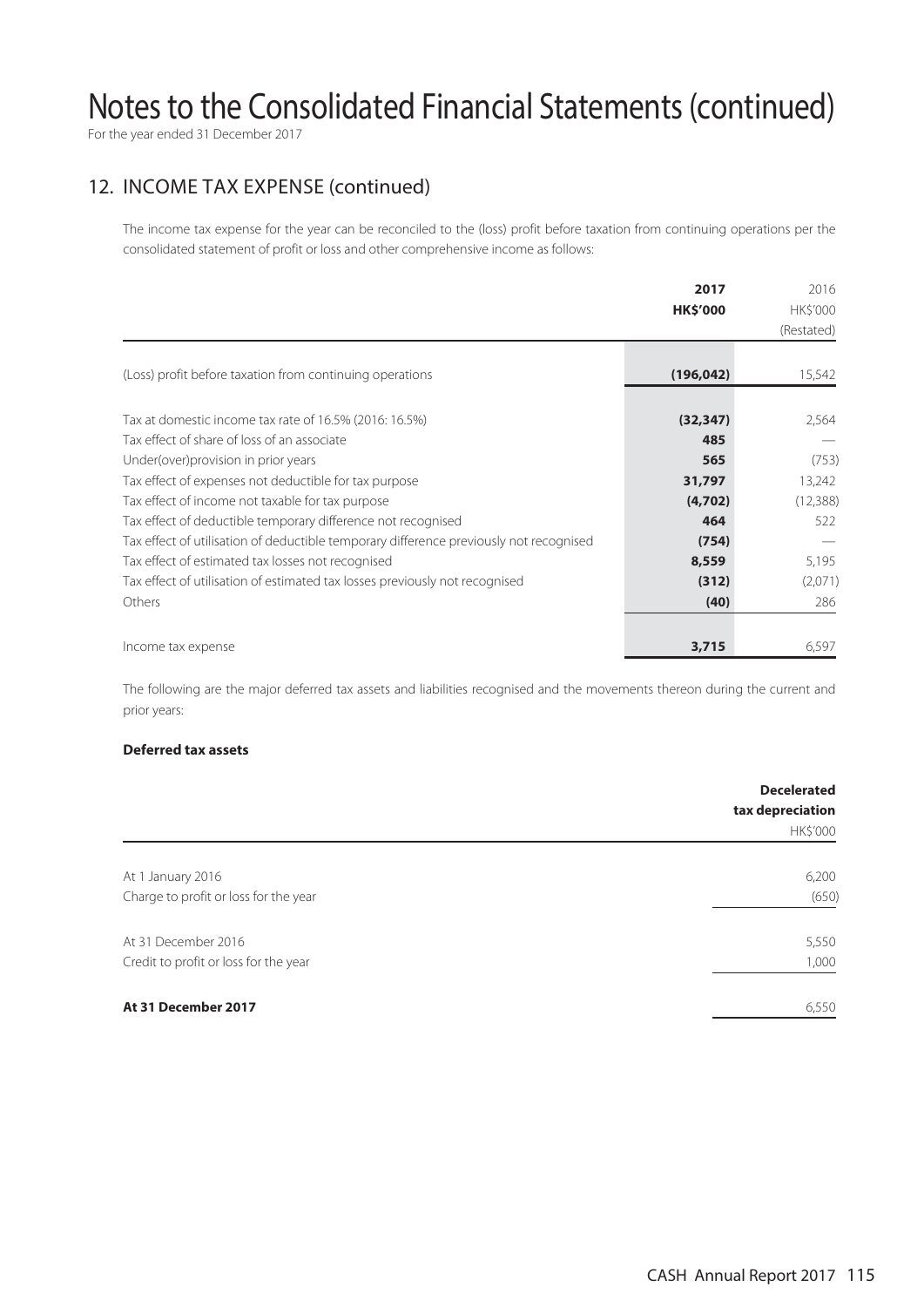For the year ended 31 December 2017

## 12. INCOME TAX EXPENSE (continued)

The income tax expense for the year can be reconciled to the (loss) profit before taxation from continuing operations per the consolidated statement of profit or loss and other comprehensive income as follows:

|                                                                                        | 2017            | 2016       |
|----------------------------------------------------------------------------------------|-----------------|------------|
|                                                                                        | <b>HK\$'000</b> | HK\$'000   |
|                                                                                        |                 | (Restated) |
|                                                                                        |                 |            |
| (Loss) profit before taxation from continuing operations                               | (196, 042)      | 15,542     |
|                                                                                        |                 |            |
| Tax at domestic income tax rate of 16.5% (2016: 16.5%)                                 | (32, 347)       | 2,564      |
| Tax effect of share of loss of an associate                                            | 485             |            |
| Under(over) provision in prior years                                                   | 565             | (753)      |
| Tax effect of expenses not deductible for tax purpose                                  | 31,797          | 13,242     |
| Tax effect of income not taxable for tax purpose                                       | (4,702)         | (12, 388)  |
| Tax effect of deductible temporary difference not recognised                           | 464             | 522        |
| Tax effect of utilisation of deductible temporary difference previously not recognised | (754)           |            |
| Tax effect of estimated tax losses not recognised                                      | 8,559           | 5,195      |
| Tax effect of utilisation of estimated tax losses previously not recognised            | (312)           | (2,071)    |
| Others                                                                                 | (40)            | 286        |
|                                                                                        |                 |            |
| Income tax expense                                                                     | 3,715           | 6,597      |

The following are the major deferred tax assets and liabilities recognised and the movements thereon during the current and prior years:

#### **Deferred tax assets**

|                                       | <b>Decelerated</b><br>tax depreciation |
|---------------------------------------|----------------------------------------|
|                                       | HK\$'000                               |
| At 1 January 2016                     | 6,200                                  |
| Charge to profit or loss for the year | (650)                                  |
| At 31 December 2016                   | 5,550                                  |
| Credit to profit or loss for the year | 1,000                                  |
| At 31 December 2017                   | 6,550                                  |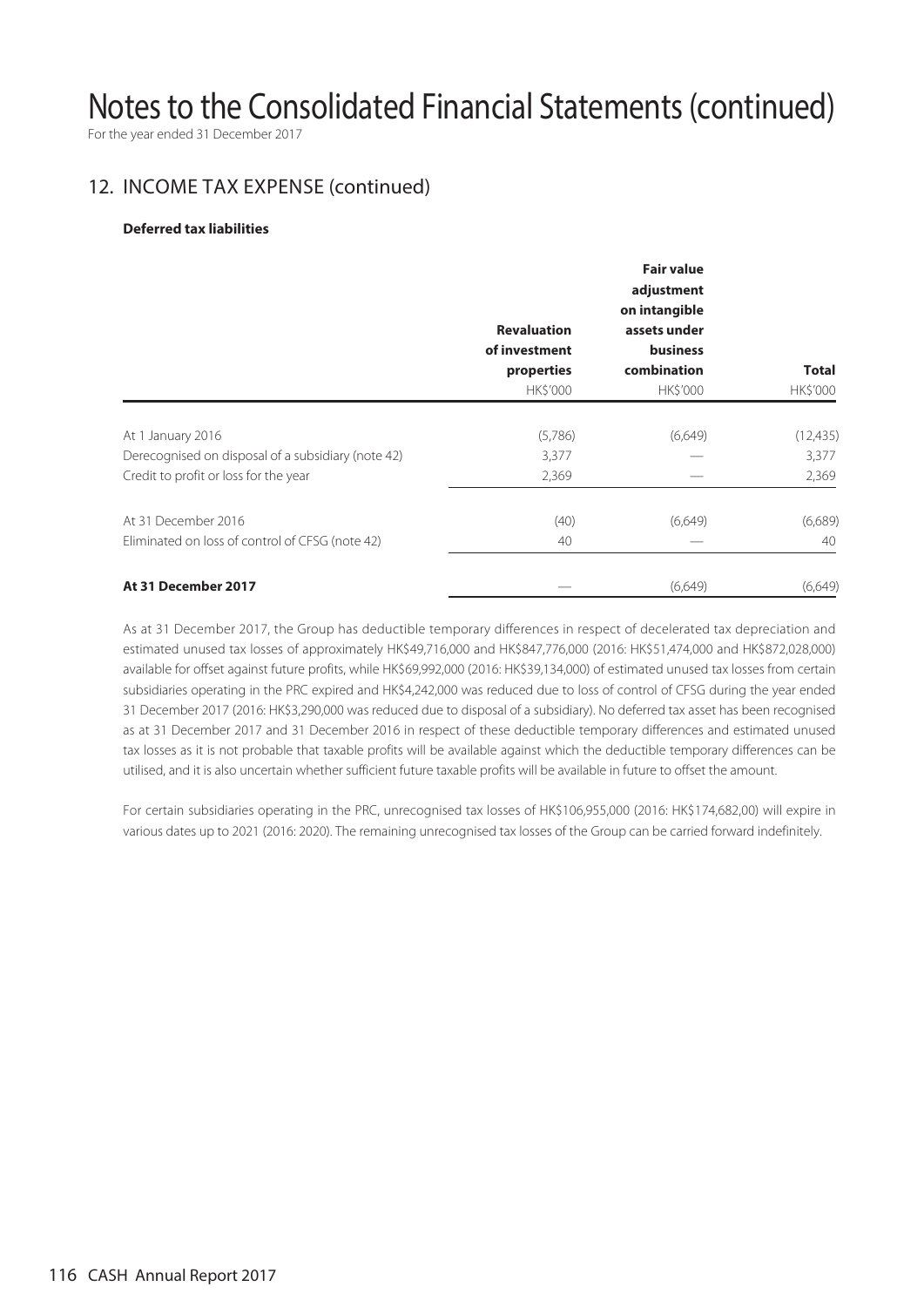For the year ended 31 December 2017

### 12. INCOME TAX EXPENSE (continued)

### **Deferred tax liabilities**

|                                                    | <b>Fair value</b><br>adjustment<br>on intangible |                 |              |
|----------------------------------------------------|--------------------------------------------------|-----------------|--------------|
|                                                    | <b>Revaluation</b>                               | assets under    |              |
|                                                    | of investment                                    | <b>business</b> |              |
|                                                    | properties                                       | combination     | <b>Total</b> |
|                                                    | HK\$'000                                         | HK\$'000        | HK\$'000     |
| At 1 January 2016                                  | (5,786)                                          | (6,649)         | (12, 435)    |
| Derecognised on disposal of a subsidiary (note 42) | 3,377                                            |                 | 3,377        |
| Credit to profit or loss for the year              | 2,369                                            |                 | 2,369        |
| At 31 December 2016                                | (40)                                             | (6,649)         | (6,689)      |
| Eliminated on loss of control of CFSG (note 42)    | 40                                               |                 | 40           |
| At 31 December 2017                                |                                                  | (6,649)         | (6,649)      |

As at 31 December 2017, the Group has deductible temporary differences in respect of decelerated tax depreciation and estimated unused tax losses of approximately HK\$49,716,000 and HK\$847,776,000 (2016: HK\$51,474,000 and HK\$872,028,000) available for offset against future profits, while HK\$69,992,000 (2016: HK\$39,134,000) of estimated unused tax losses from certain subsidiaries operating in the PRC expired and HK\$4,242,000 was reduced due to loss of control of CFSG during the year ended 31 December 2017 (2016: HK\$3,290,000 was reduced due to disposal of a subsidiary). No deferred tax asset has been recognised as at 31 December 2017 and 31 December 2016 in respect of these deductible temporary differences and estimated unused tax losses as it is not probable that taxable profits will be available against which the deductible temporary differences can be utilised, and it is also uncertain whether sufficient future taxable profits will be available in future to offset the amount.

For certain subsidiaries operating in the PRC, unrecognised tax losses of HK\$106,955,000 (2016: HK\$174,682,00) will expire in various dates up to 2021 (2016: 2020). The remaining unrecognised tax losses of the Group can be carried forward indefinitely.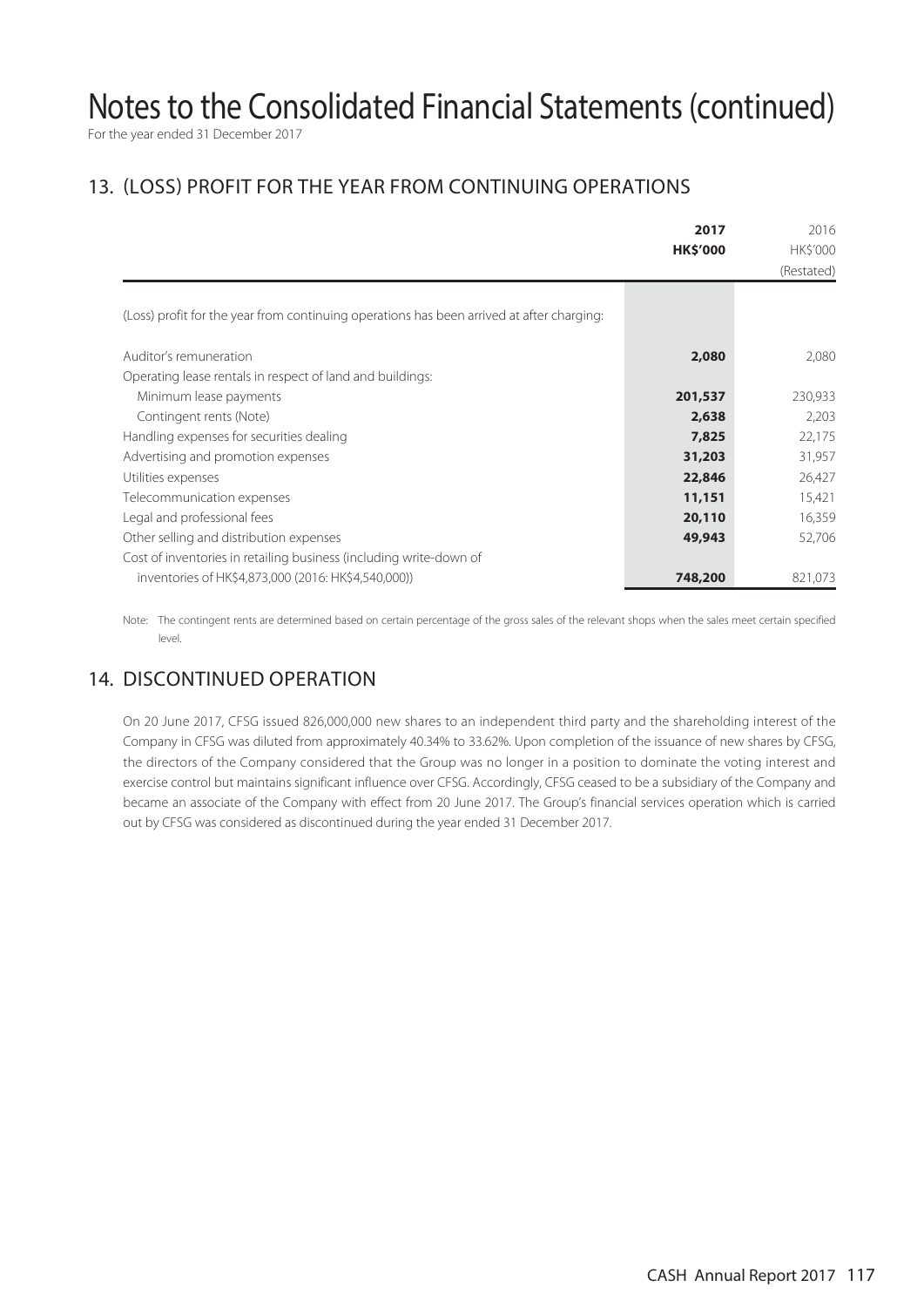For the year ended 31 December 2017

## 13. (LOSS) PROFIT FOR THE YEAR FROM CONTINUING OPERATIONS

|                                                                                           | 2017<br><b>HK\$'000</b> | 2016<br>HK\$'000<br>(Restated) |
|-------------------------------------------------------------------------------------------|-------------------------|--------------------------------|
| (Loss) profit for the year from continuing operations has been arrived at after charging: |                         |                                |
| Auditor's remuneration                                                                    | 2,080                   | 2,080                          |
| Operating lease rentals in respect of land and buildings:                                 |                         |                                |
| Minimum lease payments                                                                    | 201,537                 | 230,933                        |
| Contingent rents (Note)                                                                   | 2,638                   | 2,203                          |
| Handling expenses for securities dealing                                                  | 7,825                   | 22,175                         |
| Advertising and promotion expenses                                                        | 31,203                  | 31,957                         |
| Utilities expenses                                                                        | 22,846                  | 26,427                         |
| Telecommunication expenses                                                                | 11,151                  | 15,421                         |
| Legal and professional fees                                                               | 20,110                  | 16,359                         |
| Other selling and distribution expenses                                                   | 49,943                  | 52,706                         |
| Cost of inventories in retailing business (including write-down of                        |                         |                                |
| inventories of HK\$4,873,000 (2016: HK\$4,540,000))                                       | 748,200                 | 821,073                        |

Note: The contingent rents are determined based on certain percentage of the gross sales of the relevant shops when the sales meet certain specified level.

## 14. DISCONTINUED OPERATION

On 20 June 2017, CFSG issued 826,000,000 new shares to an independent third party and the shareholding interest of the Company in CFSG was diluted from approximately 40.34% to 33.62%. Upon completion of the issuance of new shares by CFSG, the directors of the Company considered that the Group was no longer in a position to dominate the voting interest and exercise control but maintains significant influence over CFSG. Accordingly, CFSG ceased to be a subsidiary of the Company and became an associate of the Company with effect from 20 June 2017. The Group's financial services operation which is carried out by CFSG was considered as discontinued during the year ended 31 December 2017.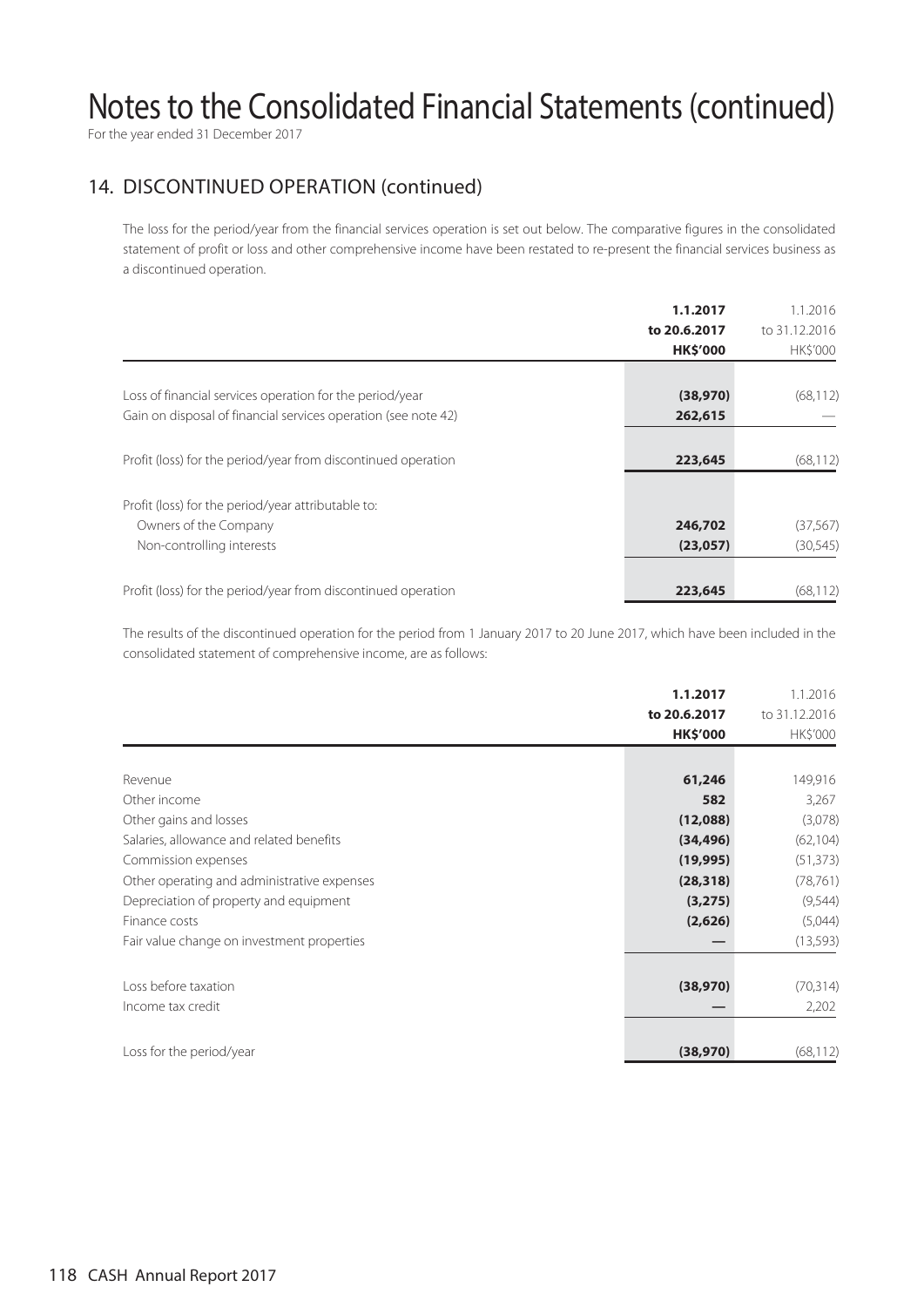For the year ended 31 December 2017

## 14. DISCONTINUED OPERATION (continued)

The loss for the period/year from the financial services operation is set out below. The comparative figures in the consolidated statement of profit or loss and other comprehensive income have been restated to re-present the financial services business as a discontinued operation.

|                                                                | 1.1.2017        | 1.1.2016      |
|----------------------------------------------------------------|-----------------|---------------|
|                                                                | to 20.6.2017    | to 31.12.2016 |
|                                                                | <b>HK\$'000</b> | HK\$'000      |
|                                                                |                 |               |
| Loss of financial services operation for the period/year       | (38, 970)       | (68, 112)     |
| Gain on disposal of financial services operation (see note 42) | 262,615         |               |
|                                                                |                 |               |
| Profit (loss) for the period/year from discontinued operation  | 223,645         | (68, 112)     |
| Profit (loss) for the period/year attributable to:             |                 |               |
| Owners of the Company                                          | 246,702         | (37, 567)     |
| Non-controlling interests                                      | (23,057)        | (30,545)      |
| Profit (loss) for the period/year from discontinued operation  | 223,645         | (68, 112)     |

The results of the discontinued operation for the period from 1 January 2017 to 20 June 2017, which have been included in the consolidated statement of comprehensive income, are as follows:

|                                             | 1.1.2017        | 1.1.2016      |
|---------------------------------------------|-----------------|---------------|
|                                             | to 20.6.2017    | to 31.12.2016 |
|                                             | <b>HK\$'000</b> | HK\$'000      |
|                                             |                 |               |
| Revenue                                     | 61,246          | 149,916       |
| Other income                                | 582             | 3,267         |
| Other gains and losses                      | (12,088)        | (3,078)       |
| Salaries, allowance and related benefits    | (34, 496)       | (62, 104)     |
| Commission expenses                         | (19, 995)       | (51, 373)     |
| Other operating and administrative expenses | (28, 318)       | (78, 761)     |
| Depreciation of property and equipment      | (3, 275)        | (9,544)       |
| Finance costs                               | (2,626)         | (5,044)       |
| Fair value change on investment properties  |                 | (13,593)      |
| Loss before taxation                        | (38, 970)       | (70, 314)     |
| Income tax credit                           |                 | 2,202         |
| Loss for the period/year                    | (38,970)        | (68, 112)     |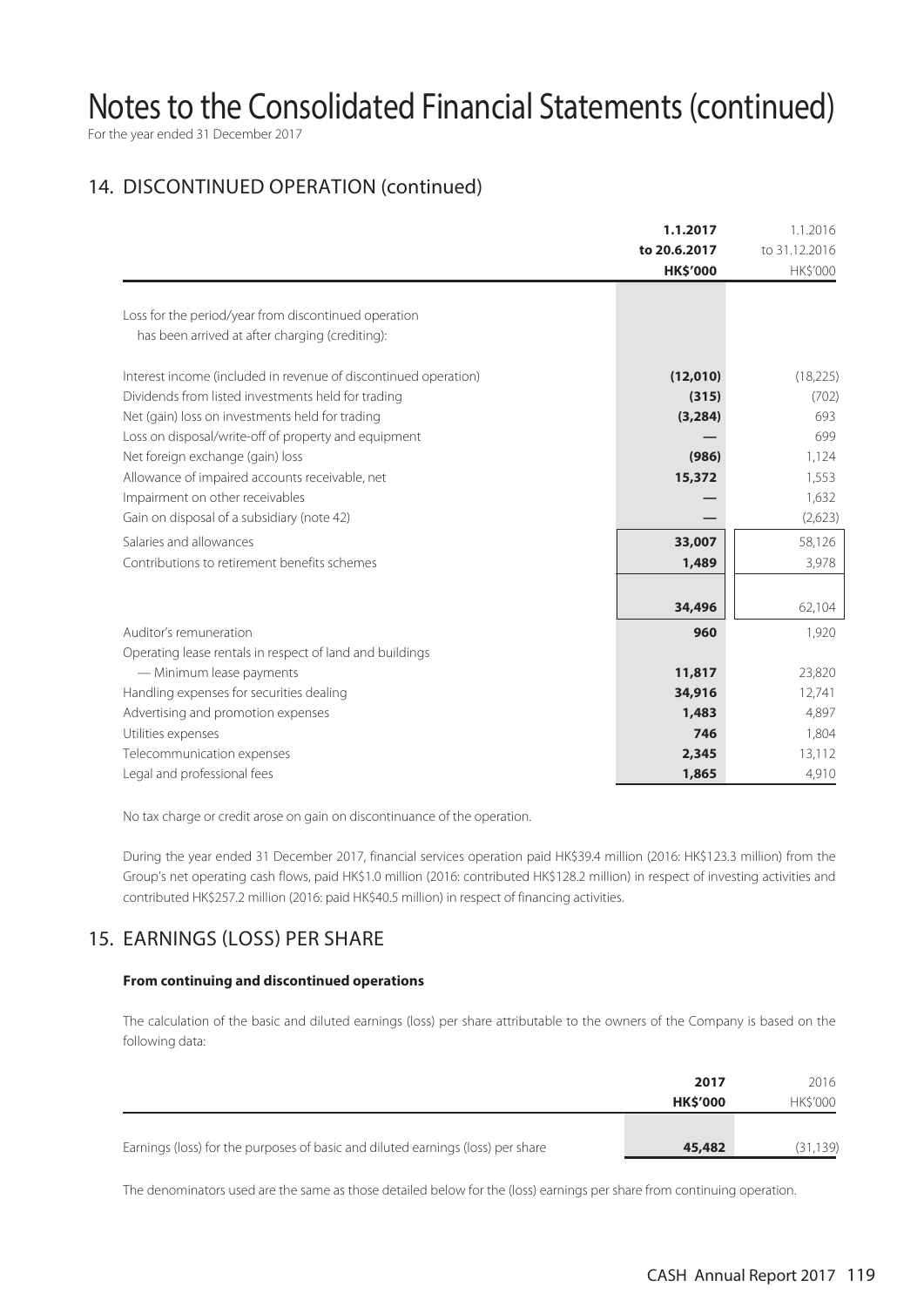For the year ended 31 December 2017

## 14. DISCONTINUED OPERATION (continued)

|                                                                 | 1.1.2017<br>to 20.6.2017<br><b>HK\$'000</b> | 1.1.2016<br>to 31.12.2016<br>HK\$'000 |
|-----------------------------------------------------------------|---------------------------------------------|---------------------------------------|
| Loss for the period/year from discontinued operation            |                                             |                                       |
| has been arrived at after charging (crediting):                 |                                             |                                       |
| Interest income (included in revenue of discontinued operation) | (12,010)                                    | (18, 225)                             |
| Dividends from listed investments held for trading              | (315)                                       | (702)                                 |
| Net (gain) loss on investments held for trading                 | (3, 284)                                    | 693                                   |
| Loss on disposal/write-off of property and equipment            |                                             | 699                                   |
| Net foreign exchange (gain) loss                                | (986)                                       | 1,124                                 |
| Allowance of impaired accounts receivable, net                  | 15,372                                      | 1,553                                 |
| Impairment on other receivables                                 |                                             | 1,632                                 |
| Gain on disposal of a subsidiary (note 42)                      |                                             | (2,623)                               |
| Salaries and allowances                                         | 33,007                                      | 58,126                                |
| Contributions to retirement benefits schemes                    | 1,489                                       | 3,978                                 |
|                                                                 |                                             |                                       |
|                                                                 | 34,496                                      | 62,104                                |
| Auditor's remuneration                                          | 960                                         | 1,920                                 |
| Operating lease rentals in respect of land and buildings        |                                             |                                       |
| - Minimum lease payments                                        | 11,817                                      | 23,820                                |
| Handling expenses for securities dealing                        | 34,916                                      | 12,741                                |
| Advertising and promotion expenses                              | 1,483                                       | 4,897                                 |
| Utilities expenses                                              | 746                                         | 1,804                                 |
| Telecommunication expenses                                      | 2,345                                       | 13,112                                |
| Legal and professional fees                                     | 1,865                                       | 4,910                                 |

No tax charge or credit arose on gain on discontinuance of the operation.

During the year ended 31 December 2017, financial services operation paid HK\$39.4 million (2016: HK\$123.3 million) from the Group's net operating cash flows, paid HK\$1.0 million (2016: contributed HK\$128.2 million) in respect of investing activities and contributed HK\$257.2 million (2016: paid HK\$40.5 million) in respect of financing activities.

## 15. EARNINGS (LOSS) PER SHARE

### **From continuing and discontinued operations**

The calculation of the basic and diluted earnings (loss) per share attributable to the owners of the Company is based on the following data:

|                                                                                 | 2017            | 2016      |
|---------------------------------------------------------------------------------|-----------------|-----------|
|                                                                                 | <b>HK\$'000</b> | HK\$'000  |
|                                                                                 |                 |           |
| Earnings (loss) for the purposes of basic and diluted earnings (loss) per share | 45,482          | (31, 139) |

The denominators used are the same as those detailed below for the (loss) earnings per share from continuing operation.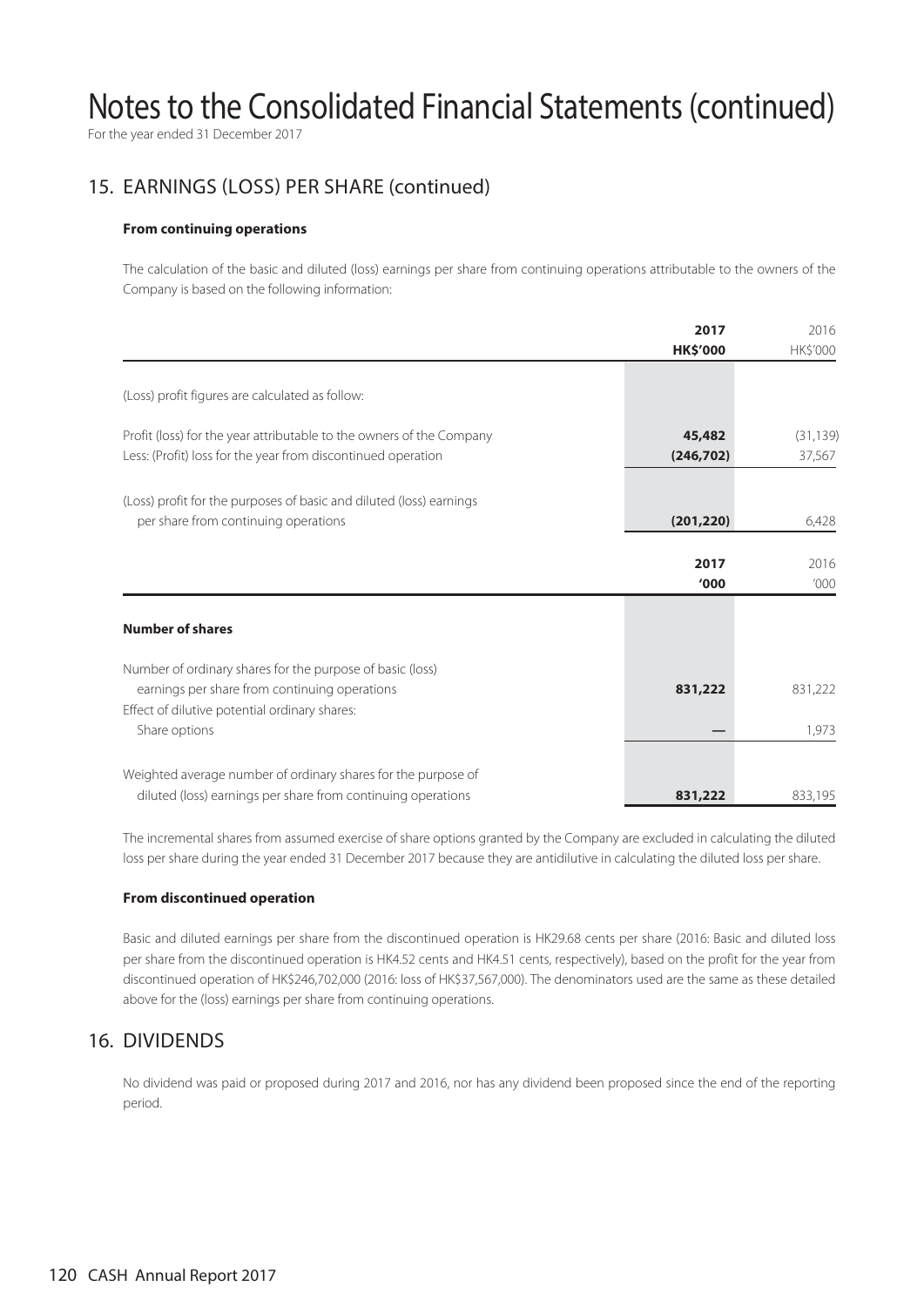For the year ended 31 December 2017

## 15. EARNINGS (LOSS) PER SHARE (continued)

#### **From continuing operations**

The calculation of the basic and diluted (loss) earnings per share from continuing operations attributable to the owners of the Company is based on the following information:

|                                                                      | 2017            | 2016      |
|----------------------------------------------------------------------|-----------------|-----------|
|                                                                      | <b>HK\$'000</b> | HK\$'000  |
| (Loss) profit figures are calculated as follow:                      |                 |           |
|                                                                      |                 |           |
| Profit (loss) for the year attributable to the owners of the Company | 45,482          | (31, 139) |
| Less: (Profit) loss for the year from discontinued operation         | (246, 702)      | 37,567    |
| (Loss) profit for the purposes of basic and diluted (loss) earnings  |                 |           |
| per share from continuing operations                                 | (201, 220)      | 6,428     |
|                                                                      | 2017            | 2016      |
|                                                                      | '000            | '000      |
|                                                                      |                 |           |
| <b>Number of shares</b>                                              |                 |           |
| Number of ordinary shares for the purpose of basic (loss)            |                 |           |
| earnings per share from continuing operations                        | 831,222         | 831,222   |
| Effect of dilutive potential ordinary shares:                        |                 |           |
| Share options                                                        |                 | 1,973     |
| Weighted average number of ordinary shares for the purpose of        |                 |           |
| diluted (loss) earnings per share from continuing operations         | 831,222         | 833,195   |

The incremental shares from assumed exercise of share options granted by the Company are excluded in calculating the diluted loss per share during the year ended 31 December 2017 because they are antidilutive in calculating the diluted loss per share.

#### **From discontinued operation**

Basic and diluted earnings per share from the discontinued operation is HK29.68 cents per share (2016: Basic and diluted loss per share from the discontinued operation is HK4.52 cents and HK4.51 cents, respectively), based on the profit for the year from discontinued operation of HK\$246,702,000 (2016: loss of HK\$37,567,000). The denominators used are the same as these detailed above for the (loss) earnings per share from continuing operations.

### 16. DIVIDENDS

No dividend was paid or proposed during 2017 and 2016, nor has any dividend been proposed since the end of the reporting period.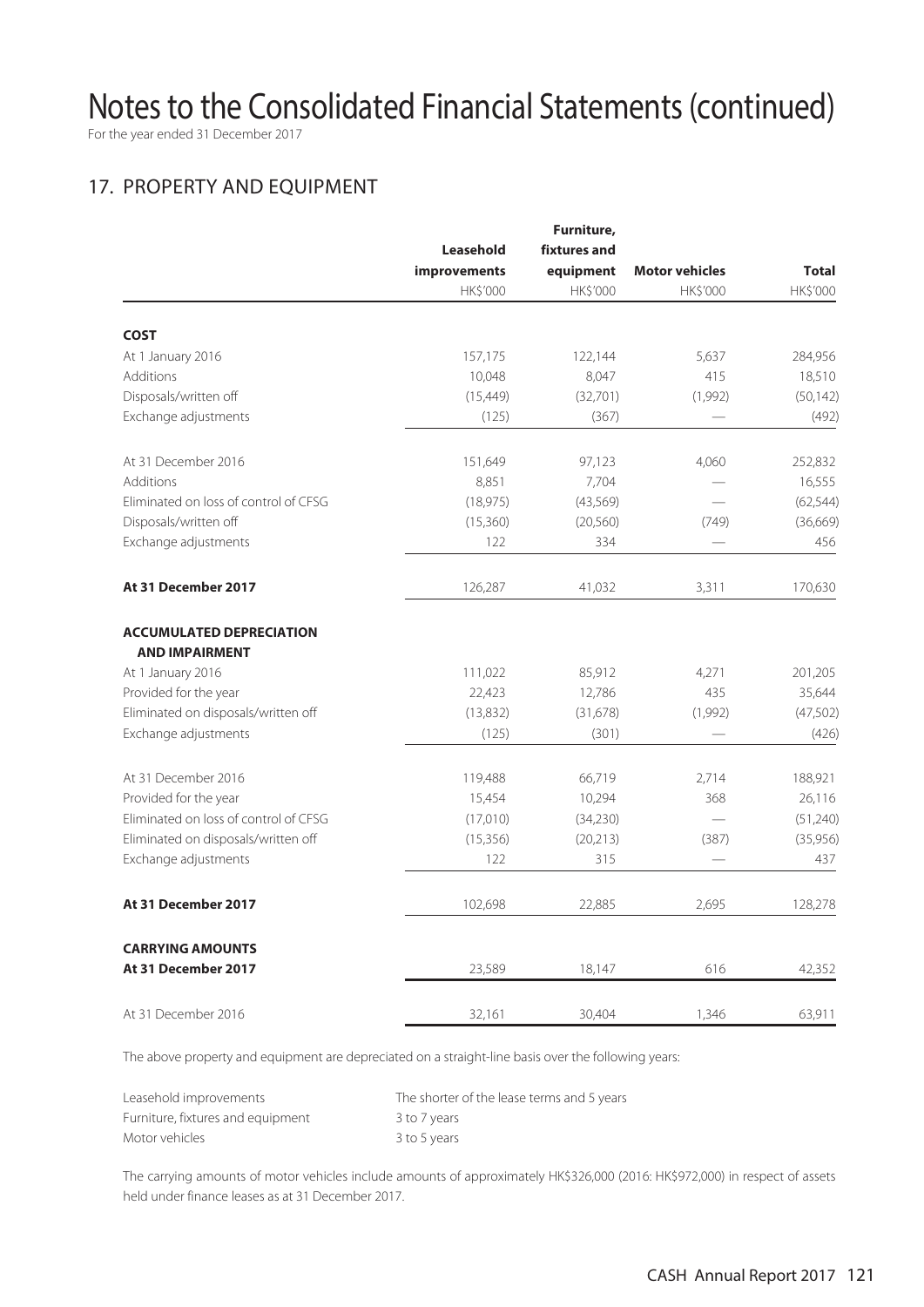For the year ended 31 December 2017

## 17. PROPERTY AND EQUIPMENT

|                                                          |              | Furniture,   |                       |              |
|----------------------------------------------------------|--------------|--------------|-----------------------|--------------|
|                                                          | Leasehold    | fixtures and |                       |              |
|                                                          | improvements | equipment    | <b>Motor vehicles</b> | <b>Total</b> |
|                                                          | HK\$'000     | HK\$'000     | HK\$'000              | HK\$'000     |
| <b>COST</b>                                              |              |              |                       |              |
| At 1 January 2016                                        | 157,175      | 122,144      | 5,637                 | 284,956      |
| Additions                                                | 10,048       | 8,047        | 415                   | 18,510       |
| Disposals/written off                                    | (15,449)     | (32,701)     | (1,992)               | (50, 142)    |
| Exchange adjustments                                     | (125)        | (367)        |                       | (492)        |
| At 31 December 2016                                      | 151,649      | 97,123       | 4,060                 | 252,832      |
| Additions                                                | 8,851        | 7,704        |                       | 16,555       |
| Eliminated on loss of control of CFSG                    | (18, 975)    | (43, 569)    |                       | (62, 544)    |
| Disposals/written off                                    | (15,360)     | (20, 560)    | (749)                 | (36,669)     |
| Exchange adjustments                                     | 122          | 334          |                       | 456          |
| At 31 December 2017                                      | 126,287      | 41,032       | 3,311                 | 170,630      |
| <b>ACCUMULATED DEPRECIATION</b><br><b>AND IMPAIRMENT</b> |              |              |                       |              |
| At 1 January 2016                                        | 111,022      | 85,912       | 4,271                 | 201,205      |
| Provided for the year                                    | 22,423       | 12,786       | 435                   | 35,644       |
| Eliminated on disposals/written off                      | (13,832)     | (31,678)     | (1,992)               | (47, 502)    |
| Exchange adjustments                                     | (125)        | (301)        |                       | (426)        |
| At 31 December 2016                                      | 119,488      | 66,719       | 2,714                 | 188,921      |
| Provided for the year                                    | 15,454       | 10,294       | 368                   | 26,116       |
| Eliminated on loss of control of CFSG                    | (17,010)     | (34,230)     |                       | (51,240)     |
| Eliminated on disposals/written off                      | (15,356)     | (20, 213)    | (387)                 | (35,956)     |
| Exchange adjustments                                     | 122          | 315          |                       | 437          |
| At 31 December 2017                                      | 102,698      | 22,885       | 2,695                 | 128,278      |
| <b>CARRYING AMOUNTS</b>                                  |              |              |                       |              |
| At 31 December 2017                                      | 23,589       | 18,147       | 616                   | 42,352       |
| At 31 December 2016                                      | 32,161       | 30,404       | 1,346                 | 63,911       |

The above property and equipment are depreciated on a straight-line basis over the following years:

| Leasehold improvements            | The shorter of the lease terms and 5 years |
|-----------------------------------|--------------------------------------------|
| Furniture, fixtures and equipment | 3 to 7 years                               |
| Motor vehicles                    | 3 to 5 years                               |

The carrying amounts of motor vehicles include amounts of approximately HK\$326,000 (2016: HK\$972,000) in respect of assets held under finance leases as at 31 December 2017.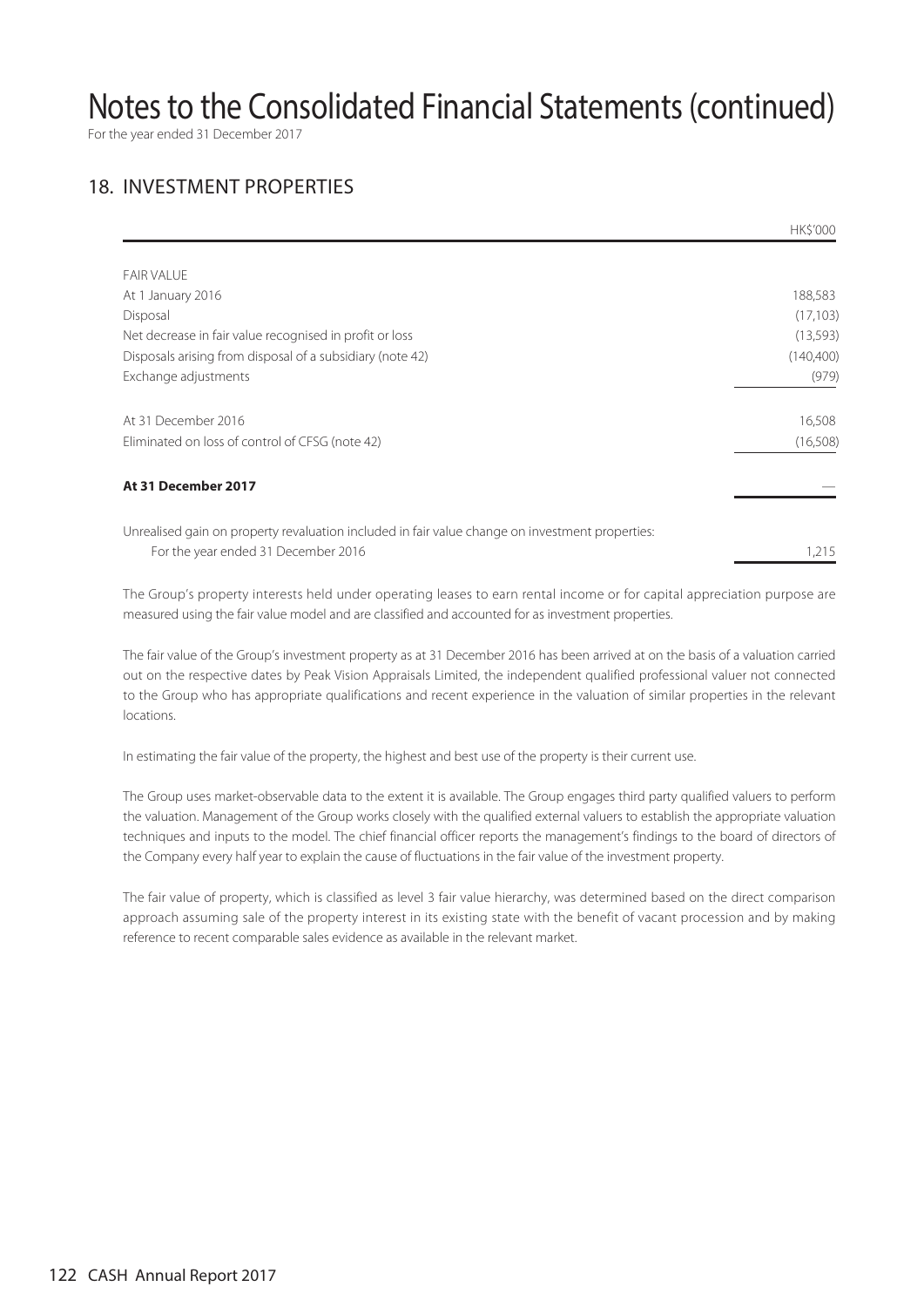For the year ended 31 December 2017

## 18. INVESTMENT PROPERTIES

|                                                                                                 | HK\$'000   |
|-------------------------------------------------------------------------------------------------|------------|
|                                                                                                 |            |
| <b>FAIR VALUE</b>                                                                               |            |
| At 1 January 2016                                                                               | 188,583    |
| Disposal                                                                                        | (17, 103)  |
| Net decrease in fair value recognised in profit or loss                                         | (13, 593)  |
| Disposals arising from disposal of a subsidiary (note 42)                                       | (140, 400) |
| Exchange adjustments                                                                            | (979)      |
| At 31 December 2016                                                                             | 16,508     |
| Eliminated on loss of control of CFSG (note 42)                                                 | (16,508)   |
| At 31 December 2017                                                                             |            |
| Unrealised gain on property revaluation included in fair value change on investment properties: |            |
| For the year ended 31 December 2016                                                             | 1,215      |

The Group's property interests held under operating leases to earn rental income or for capital appreciation purpose are measured using the fair value model and are classified and accounted for as investment properties.

The fair value of the Group's investment property as at 31 December 2016 has been arrived at on the basis of a valuation carried out on the respective dates by Peak Vision Appraisals Limited, the independent qualified professional valuer not connected to the Group who has appropriate qualifications and recent experience in the valuation of similar properties in the relevant locations.

In estimating the fair value of the property, the highest and best use of the property is their current use.

The Group uses market-observable data to the extent it is available. The Group engages third party qualified valuers to perform the valuation. Management of the Group works closely with the qualified external valuers to establish the appropriate valuation techniques and inputs to the model. The chief financial officer reports the management's findings to the board of directors of the Company every half year to explain the cause of fluctuations in the fair value of the investment property.

The fair value of property, which is classified as level 3 fair value hierarchy, was determined based on the direct comparison approach assuming sale of the property interest in its existing state with the benefit of vacant procession and by making reference to recent comparable sales evidence as available in the relevant market.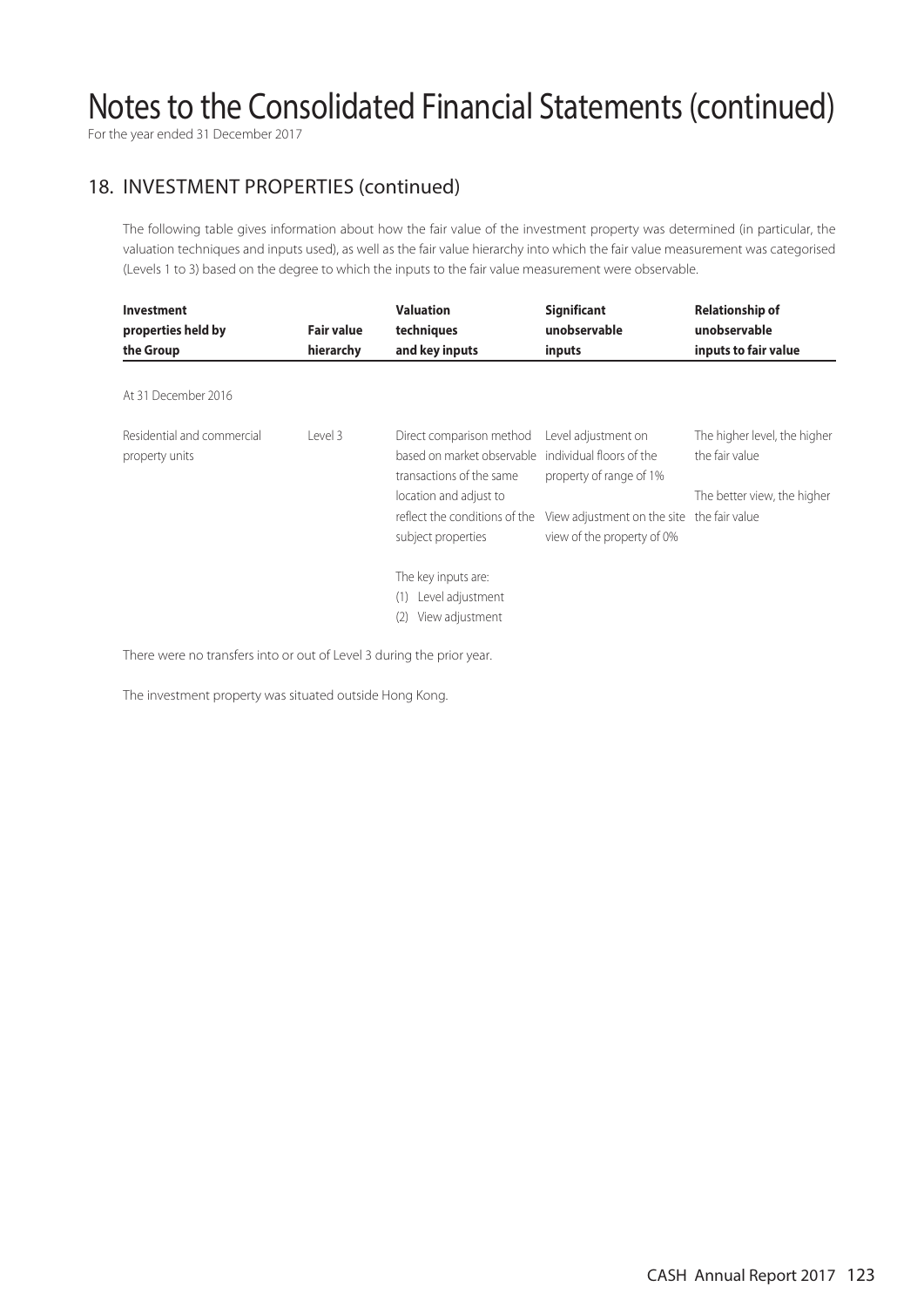For the year ended 31 December 2017

## 18. INVESTMENT PROPERTIES (continued)

The following table gives information about how the fair value of the investment property was determined (in particular, the valuation techniques and inputs used), as well as the fair value hierarchy into which the fair value measurement was categorised (Levels 1 to 3) based on the degree to which the inputs to the fair value measurement were observable.

| <b>Investment</b><br>properties held by<br>the Group | <b>Fair value</b><br>hierarchy | <b>Valuation</b><br>techniques<br>and key inputs                                   | <b>Significant</b><br>unobservable<br>inputs                               | <b>Relationship of</b><br>unobservable<br>inputs to fair value |
|------------------------------------------------------|--------------------------------|------------------------------------------------------------------------------------|----------------------------------------------------------------------------|----------------------------------------------------------------|
| At 31 December 2016                                  |                                |                                                                                    |                                                                            |                                                                |
| Residential and commercial<br>property units         | l evel 3                       | Direct comparison method<br>based on market observable<br>transactions of the same | Level adjustment on<br>individual floors of the<br>property of range of 1% | The higher level, the higher<br>the fair value                 |
|                                                      |                                | location and adjust to                                                             |                                                                            | The better view, the higher                                    |
|                                                      |                                | reflect the conditions of the<br>subject properties                                | View adjustment on the site the fair value<br>view of the property of 0%   |                                                                |
|                                                      |                                | The key inputs are:                                                                |                                                                            |                                                                |
|                                                      |                                | Level adjustment                                                                   |                                                                            |                                                                |
|                                                      |                                | View adjustment<br>(2)                                                             |                                                                            |                                                                |

There were no transfers into or out of Level 3 during the prior year.

The investment property was situated outside Hong Kong.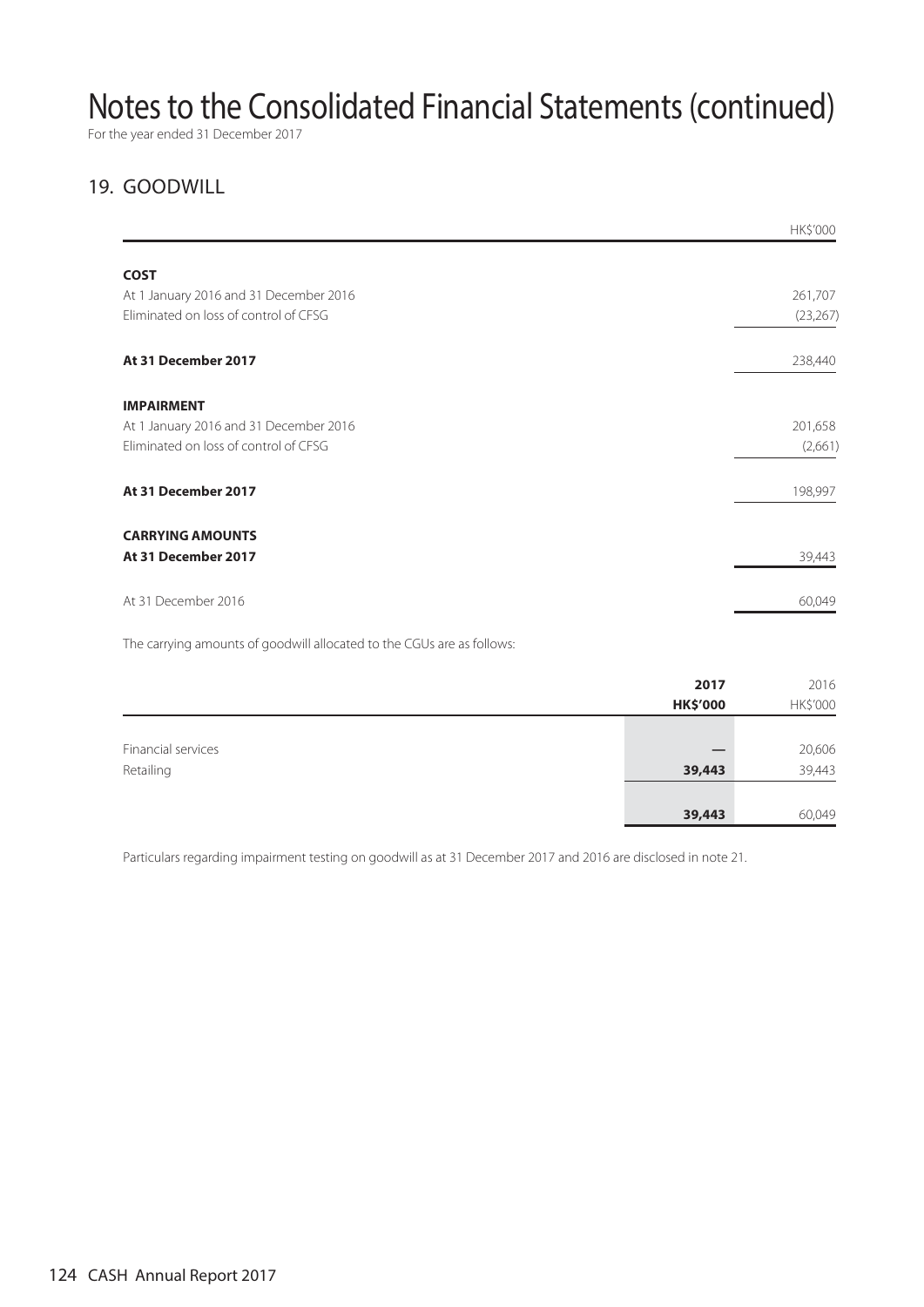For the year ended 31 December 2017

## 19. GOODWILL

|                                        | HK\$'000  |
|----------------------------------------|-----------|
| <b>COST</b>                            |           |
| At 1 January 2016 and 31 December 2016 | 261,707   |
| Eliminated on loss of control of CFSG  | (23, 267) |
| At 31 December 2017                    | 238,440   |
| <b>IMPAIRMENT</b>                      |           |
| At 1 January 2016 and 31 December 2016 | 201,658   |
| Eliminated on loss of control of CFSG  | (2,661)   |
| At 31 December 2017                    | 198,997   |
| <b>CARRYING AMOUNTS</b>                |           |
| At 31 December 2017                    | 39,443    |
| At 31 December 2016                    | 60,049    |

The carrying amounts of goodwill allocated to the CGUs are as follows:

|                    | 2017            | 2016     |
|--------------------|-----------------|----------|
|                    | <b>HK\$'000</b> | HK\$'000 |
|                    |                 |          |
| Financial services |                 | 20,606   |
| Retailing          | 39,443          | 39,443   |
|                    |                 |          |
|                    | 39,443          | 60,049   |

Particulars regarding impairment testing on goodwill as at 31 December 2017 and 2016 are disclosed in note 21.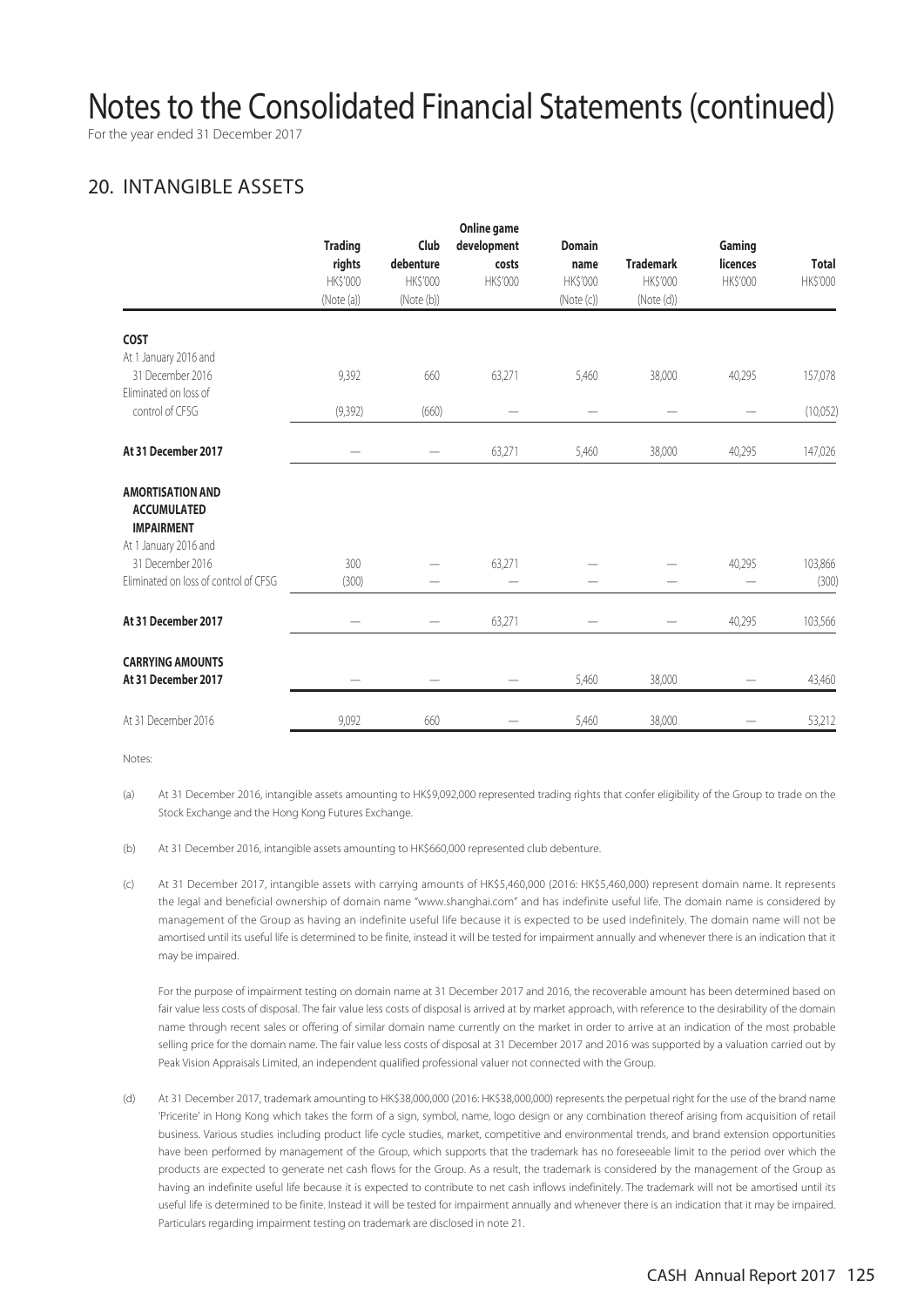For the year ended 31 December 2017

### 20. INTANGIBLE ASSETS

|                                                                    |                                                   |                                            | Online game                      |                                                 |                                           |                                |                          |
|--------------------------------------------------------------------|---------------------------------------------------|--------------------------------------------|----------------------------------|-------------------------------------------------|-------------------------------------------|--------------------------------|--------------------------|
|                                                                    | <b>Trading</b><br>rights<br>HK\$'000<br>(Note(a)) | Club<br>debenture<br>HK\$'000<br>(Note(b)) | development<br>costs<br>HK\$'000 | <b>Domain</b><br>name<br>HK\$'000<br>(Note (c)) | <b>Trademark</b><br>HK\$'000<br>(Note(d)) | Gaming<br>licences<br>HK\$'000 | <b>Total</b><br>HK\$'000 |
| <b>COST</b>                                                        |                                                   |                                            |                                  |                                                 |                                           |                                |                          |
| At 1 January 2016 and                                              |                                                   |                                            |                                  |                                                 |                                           |                                |                          |
| 31 December 2016                                                   | 9,392                                             | 660                                        | 63,271                           | 5,460                                           | 38,000                                    | 40,295                         | 157,078                  |
| Fliminated on loss of                                              |                                                   |                                            |                                  |                                                 |                                           |                                |                          |
| control of CFSG                                                    | (9,392)                                           | (660)                                      |                                  |                                                 |                                           |                                | (10,052)                 |
| At 31 December 2017                                                |                                                   |                                            | 63,271                           | 5,460                                           | 38,000                                    | 40,295                         | 147,026                  |
| <b>AMORTISATION AND</b><br><b>ACCUMULATED</b><br><b>IMPAIRMENT</b> |                                                   |                                            |                                  |                                                 |                                           |                                |                          |
| At 1 January 2016 and<br>31 December 2016                          | 300                                               |                                            | 63,271                           |                                                 |                                           | 40,295                         | 103,866                  |
| Eliminated on loss of control of CFSG                              | (300)                                             |                                            |                                  |                                                 |                                           |                                | (300)                    |
| At 31 December 2017                                                |                                                   |                                            | 63,271                           |                                                 |                                           | 40,295                         | 103,566                  |
| <b>CARRYING AMOUNTS</b><br>At 31 December 2017                     |                                                   |                                            | -                                | 5,460                                           | 38,000                                    | -                              | 43,460                   |
| At 31 December 2016                                                | 9,092                                             | 660                                        |                                  | 5,460                                           | 38,000                                    |                                | 53,212                   |
|                                                                    |                                                   |                                            |                                  |                                                 |                                           |                                |                          |

Notes:

(a) At 31 December 2016, intangible assets amounting to HK\$9,092,000 represented trading rights that confer eligibility of the Group to trade on the Stock Exchange and the Hong Kong Futures Exchange.

(b) At 31 December 2016, intangible assets amounting to HK\$660,000 represented club debenture.

(c) At 31 December 2017, intangible assets with carrying amounts of HK\$5,460,000 (2016: HK\$5,460,000) represent domain name. It represents the legal and beneficial ownership of domain name "www.shanghai.com" and has indefinite useful life. The domain name is considered by management of the Group as having an indefinite useful life because it is expected to be used indefinitely. The domain name will not be amortised until its useful life is determined to be finite, instead it will be tested for impairment annually and whenever there is an indication that it may be impaired.

For the purpose of impairment testing on domain name at 31 December 2017 and 2016, the recoverable amount has been determined based on fair value less costs of disposal. The fair value less costs of disposal is arrived at by market approach, with reference to the desirability of the domain name through recent sales or offering of similar domain name currently on the market in order to arrive at an indication of the most probable selling price for the domain name. The fair value less costs of disposal at 31 December 2017 and 2016 was supported by a valuation carried out by Peak Vision Appraisals Limited, an independent qualified professional valuer not connected with the Group.

(d) At 31 December 2017, trademark amounting to HK\$38,000,000 (2016: HK\$38,000,000) represents the perpetual right for the use of the brand name 'Pricerite' in Hong Kong which takes the form of a sign, symbol, name, logo design or any combination thereof arising from acquisition of retail business. Various studies including product life cycle studies, market, competitive and environmental trends, and brand extension opportunities have been performed by management of the Group, which supports that the trademark has no foreseeable limit to the period over which the products are expected to generate net cash flows for the Group. As a result, the trademark is considered by the management of the Group as having an indefinite useful life because it is expected to contribute to net cash inflows indefinitely. The trademark will not be amortised until its useful life is determined to be finite. Instead it will be tested for impairment annually and whenever there is an indication that it may be impaired. Particulars regarding impairment testing on trademark are disclosed in note 21.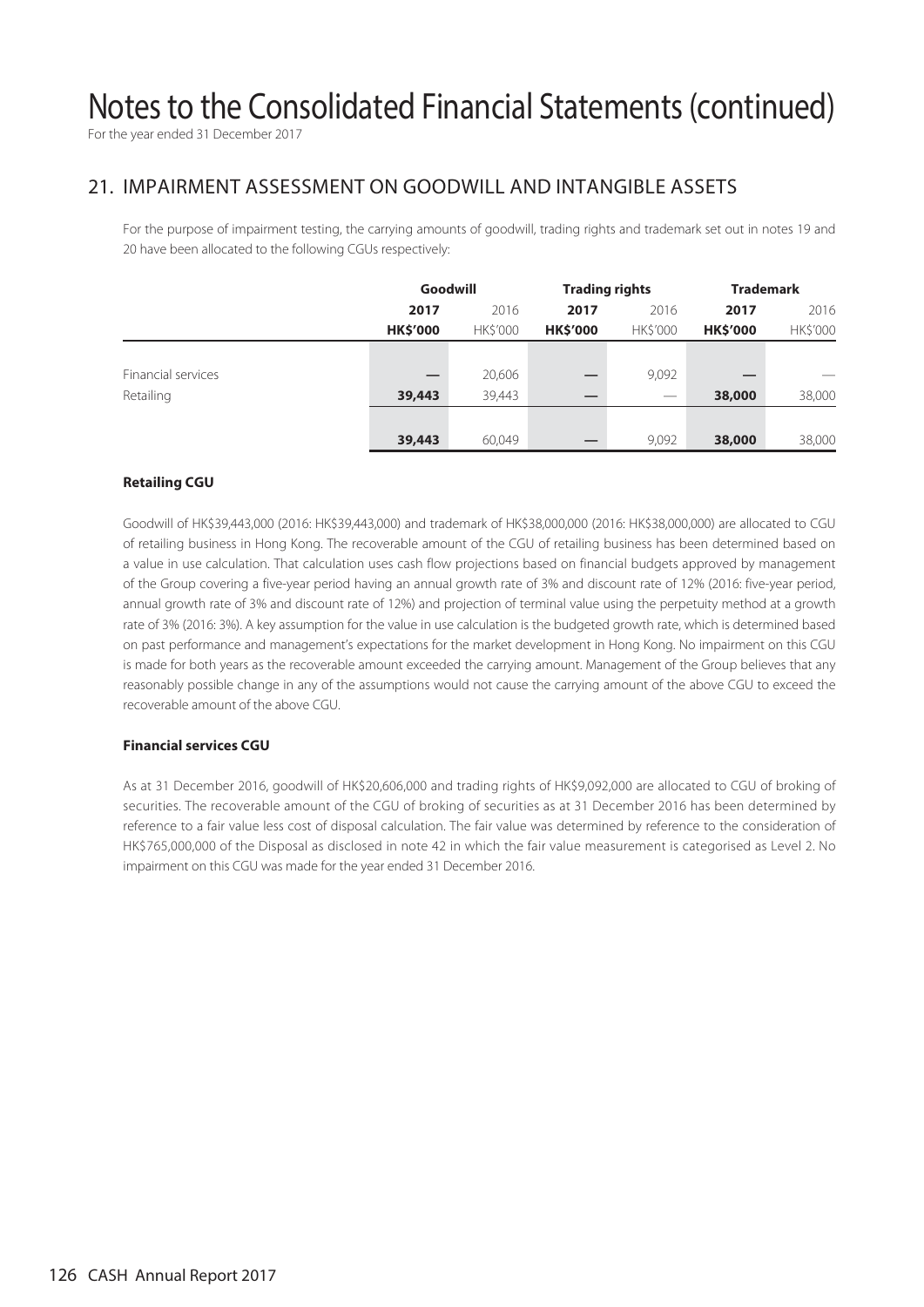For the year ended 31 December 2017

## 21. IMPAIRMENT ASSESSMENT ON GOODWILL AND INTANGIBLE ASSETS

For the purpose of impairment testing, the carrying amounts of goodwill, trading rights and trademark set out in notes 19 and 20 have been allocated to the following CGUs respectively:

|                    |                 | Goodwill        |                 | <b>Trading rights</b> |                 | <b>Trademark</b> |  |
|--------------------|-----------------|-----------------|-----------------|-----------------------|-----------------|------------------|--|
|                    | 2017            | 2016            | 2017            | 2016                  | 2017            | 2016             |  |
|                    | <b>HK\$'000</b> | <b>HK\$'000</b> | <b>HK\$'000</b> | <b>HKS'000</b>        | <b>HK\$'000</b> | HK\$'000         |  |
|                    |                 |                 |                 |                       |                 |                  |  |
| Financial services |                 | 20,606          |                 | 9,092                 |                 | __               |  |
| Retailing          | 39,443          | 39,443          |                 | _                     | 38,000          | 38,000           |  |
|                    |                 |                 |                 |                       |                 |                  |  |
|                    | 39,443          | 60,049          |                 | 9,092                 | 38,000          | 38,000           |  |

### **Retailing CGU**

Goodwill of HK\$39,443,000 (2016: HK\$39,443,000) and trademark of HK\$38,000,000 (2016: HK\$38,000,000) are allocated to CGU of retailing business in Hong Kong. The recoverable amount of the CGU of retailing business has been determined based on a value in use calculation. That calculation uses cash flow projections based on financial budgets approved by management of the Group covering a five-year period having an annual growth rate of 3% and discount rate of 12% (2016: five-year period, annual growth rate of 3% and discount rate of 12%) and projection of terminal value using the perpetuity method at a growth rate of 3% (2016: 3%). A key assumption for the value in use calculation is the budgeted growth rate, which is determined based on past performance and management's expectations for the market development in Hong Kong. No impairment on this CGU is made for both years as the recoverable amount exceeded the carrying amount. Management of the Group believes that any reasonably possible change in any of the assumptions would not cause the carrying amount of the above CGU to exceed the recoverable amount of the above CGU.

### **Financial services CGU**

As at 31 December 2016, goodwill of HK\$20,606,000 and trading rights of HK\$9,092,000 are allocated to CGU of broking of securities. The recoverable amount of the CGU of broking of securities as at 31 December 2016 has been determined by reference to a fair value less cost of disposal calculation. The fair value was determined by reference to the consideration of HK\$765,000,000 of the Disposal as disclosed in note 42 in which the fair value measurement is categorised as Level 2. No impairment on this CGU was made for the year ended 31 December 2016.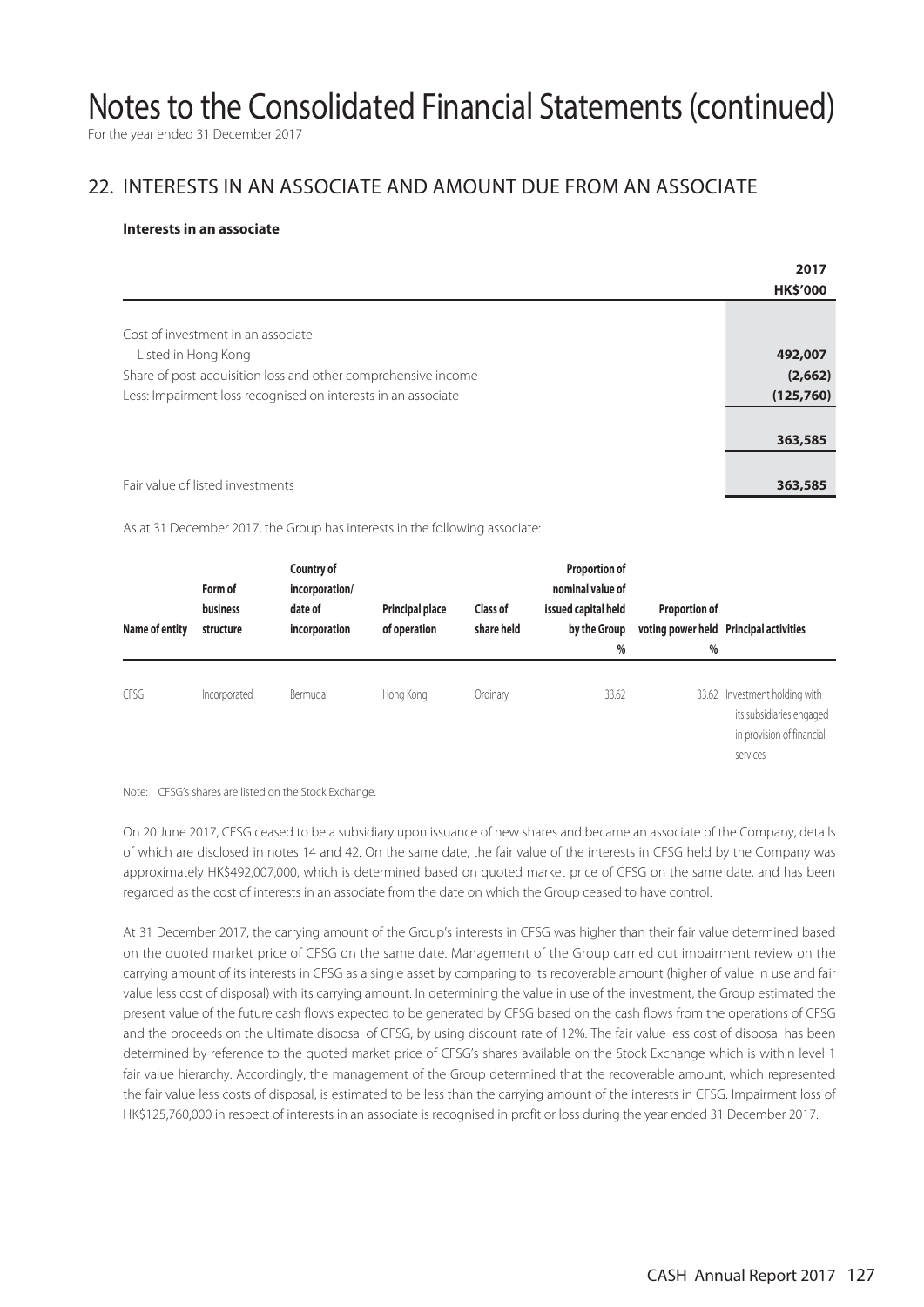For the year ended 31 December 2017

### 22. INTERESTS IN AN ASSOCIATE AND AMOUNT DUE FROM AN ASSOCIATE

#### **Interests in an associate**

|                                                                                      | 2017<br><b>HK\$'000</b> |
|--------------------------------------------------------------------------------------|-------------------------|
| Cost of investment in an associate                                                   |                         |
| Listed in Hong Kong<br>Share of post-acquisition loss and other comprehensive income | 492,007<br>(2,662)      |
| Less: Impairment loss recognised on interests in an associate                        | (125,760)               |
|                                                                                      | 363,585                 |
| Fair value of listed investments                                                     | 363,585                 |

As at 31 December 2017, the Group has interests in the following associate:

| Name of entity | Form of<br>business<br>structure | Country of<br>incorporation/<br>date of<br>incorporation | <b>Principal place</b><br>of operation | Class of<br>share held | <b>Proportion of</b><br>nominal value of<br>issued capital held<br>by the Group<br>$\%$ | <b>Proportion of</b><br>$\%$ | voting power held Principal activities                                                             |
|----------------|----------------------------------|----------------------------------------------------------|----------------------------------------|------------------------|-----------------------------------------------------------------------------------------|------------------------------|----------------------------------------------------------------------------------------------------|
| <b>CFSG</b>    | Incorporated                     | Bermuda                                                  | Hong Kong                              | Ordinary               | 33.62                                                                                   |                              | 33.62 Investment holding with<br>its subsidiaries engaged<br>in provision of financial<br>services |

Note: CFSG's shares are listed on the Stock Exchange.

On 20 June 2017, CFSG ceased to be a subsidiary upon issuance of new shares and became an associate of the Company, details of which are disclosed in notes 14 and 42. On the same date, the fair value of the interests in CFSG held by the Company was approximately HK\$492,007,000, which is determined based on quoted market price of CFSG on the same date, and has been regarded as the cost of interests in an associate from the date on which the Group ceased to have control.

At 31 December 2017, the carrying amount of the Group's interests in CFSG was higher than their fair value determined based on the quoted market price of CFSG on the same date. Management of the Group carried out impairment review on the carrying amount of its interests in CFSG as a single asset by comparing to its recoverable amount (higher of value in use and fair value less cost of disposal) with its carrying amount. In determining the value in use of the investment, the Group estimated the present value of the future cash flows expected to be generated by CFSG based on the cash flows from the operations of CFSG and the proceeds on the ultimate disposal of CFSG, by using discount rate of 12%. The fair value less cost of disposal has been determined by reference to the quoted market price of CFSG's shares available on the Stock Exchange which is within level 1 fair value hierarchy. Accordingly, the management of the Group determined that the recoverable amount, which represented the fair value less costs of disposal, is estimated to be less than the carrying amount of the interests in CFSG. Impairment loss of HK\$125,760,000 in respect of interests in an associate is recognised in profit or loss during the year ended 31 December 2017.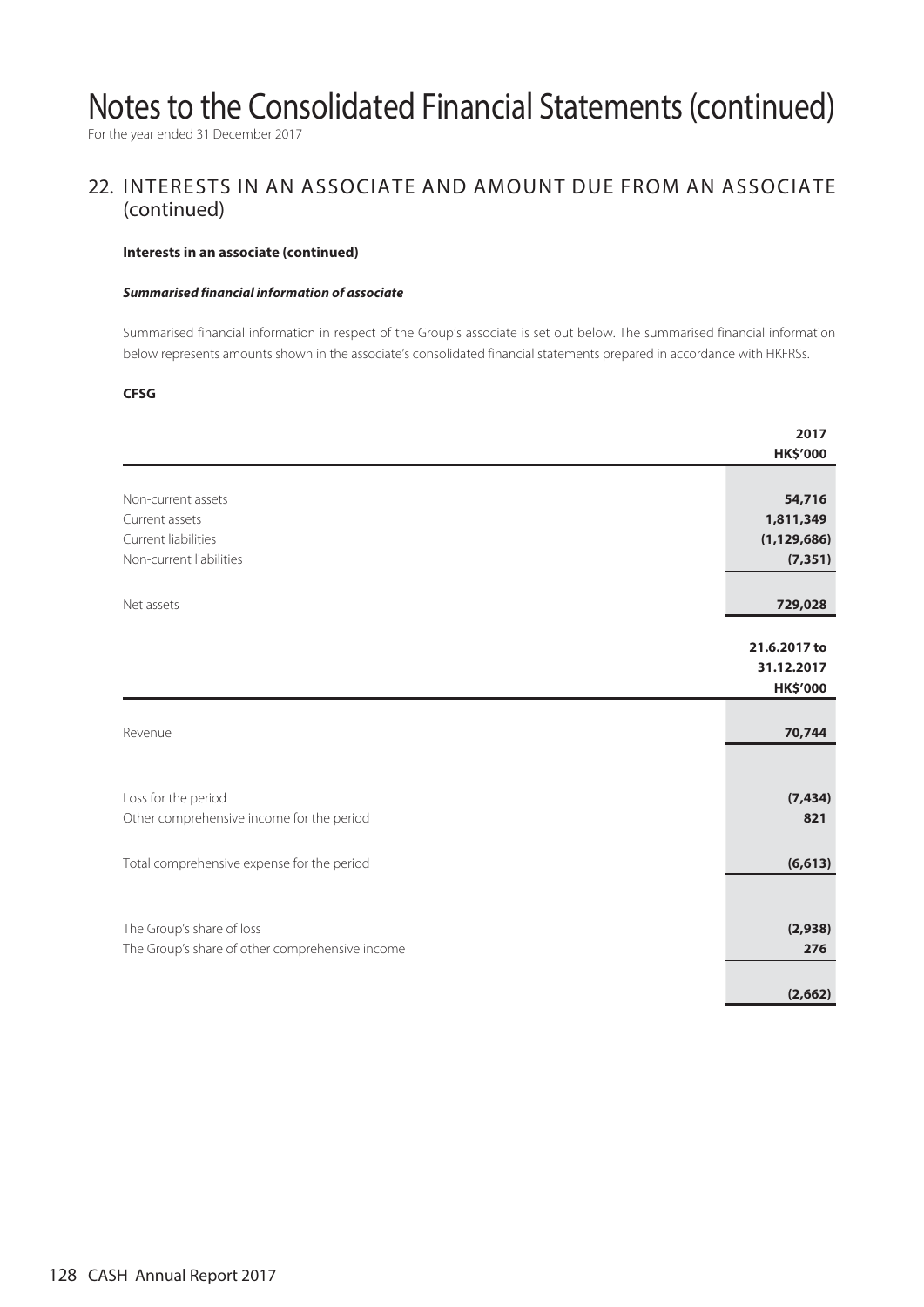For the year ended 31 December 2017

### 22. INTERESTS IN AN ASSOCIATE AND AMOUNT DUE FROM AN ASSOCIATE (continued)

#### **Interests in an associate (continued)**

#### **Summarised financial information of associate**

Summarised financial information in respect of the Group's associate is set out below. The summarised financial information below represents amounts shown in the associate's consolidated financial statements prepared in accordance with HKFRSs.

#### **CFSG**

|                                                 | 2017<br><b>HK\$'000</b> |
|-------------------------------------------------|-------------------------|
|                                                 |                         |
| Non-current assets                              | 54,716                  |
| Current assets                                  | 1,811,349               |
| Current liabilities                             | (1, 129, 686)           |
| Non-current liabilities                         | (7, 351)                |
|                                                 |                         |
| Net assets                                      | 729,028                 |
|                                                 |                         |
|                                                 | 21.6.2017 to            |
|                                                 | 31.12.2017              |
|                                                 | <b>HK\$'000</b>         |
|                                                 |                         |
| Revenue                                         | 70,744                  |
|                                                 |                         |
|                                                 |                         |
| Loss for the period                             | (7, 434)                |
| Other comprehensive income for the period       | 821                     |
|                                                 |                         |
| Total comprehensive expense for the period      | (6, 613)                |
|                                                 |                         |
|                                                 |                         |
| The Group's share of loss                       | (2,938)                 |
| The Group's share of other comprehensive income | 276                     |
|                                                 |                         |
|                                                 | (2,662)                 |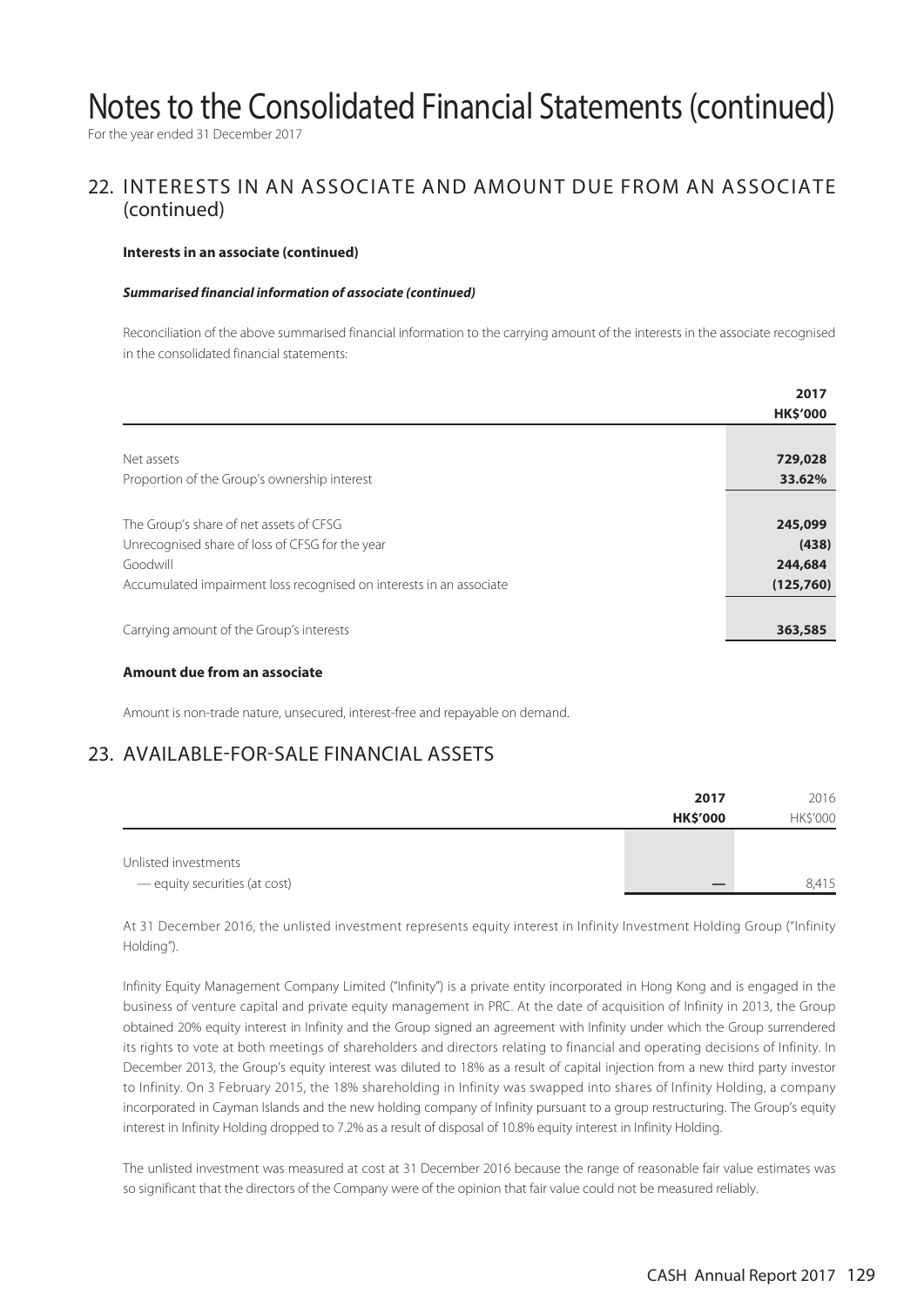For the year ended 31 December 2017

### 22. INTERESTS IN AN ASSOCIATE AND AMOUNT DUE FROM AN ASSOCIATE (continued)

#### **Interests in an associate (continued)**

#### **Summarised financial information of associate (continued)**

Reconciliation of the above summarised financial information to the carrying amount of the interests in the associate recognised in the consolidated financial statements:

|                                                                     | 2017<br><b>HK\$'000</b> |
|---------------------------------------------------------------------|-------------------------|
|                                                                     |                         |
| Net assets                                                          | 729,028                 |
| Proportion of the Group's ownership interest                        | 33.62%                  |
|                                                                     |                         |
| The Group's share of net assets of CFSG                             | 245,099                 |
| Unrecognised share of loss of CFSG for the year                     | (438)                   |
| Goodwill                                                            | 244,684                 |
| Accumulated impairment loss recognised on interests in an associate | (125,760)               |
|                                                                     |                         |
| Carrying amount of the Group's interests                            | 363,585                 |

#### **Amount due from an associate**

Amount is non-trade nature, unsecured, interest-free and repayable on demand.

### 23. AVAILABLE-FOR-SALE FINANCIAL ASSETS

|                               | 2017            | 2016            |
|-------------------------------|-----------------|-----------------|
|                               | <b>HK\$'000</b> | <b>HK\$'000</b> |
|                               |                 |                 |
| Unlisted investments          |                 |                 |
| - equity securities (at cost) |                 | 8,415           |

At 31 December 2016, the unlisted investment represents equity interest in Infinity Investment Holding Group ("Infinity Holding").

Infinity Equity Management Company Limited ("Infinity") is a private entity incorporated in Hong Kong and is engaged in the business of venture capital and private equity management in PRC. At the date of acquisition of Infinity in 2013, the Group obtained 20% equity interest in Infinity and the Group signed an agreement with Infinity under which the Group surrendered its rights to vote at both meetings of shareholders and directors relating to financial and operating decisions of Infinity. In December 2013, the Group's equity interest was diluted to 18% as a result of capital injection from a new third party investor to Infinity. On 3 February 2015, the 18% shareholding in Infinity was swapped into shares of Infinity Holding, a company incorporated in Cayman Islands and the new holding company of Infinity pursuant to a group restructuring. The Group's equity interest in Infinity Holding dropped to 7.2% as a result of disposal of 10.8% equity interest in Infinity Holding.

The unlisted investment was measured at cost at 31 December 2016 because the range of reasonable fair value estimates was so significant that the directors of the Company were of the opinion that fair value could not be measured reliably.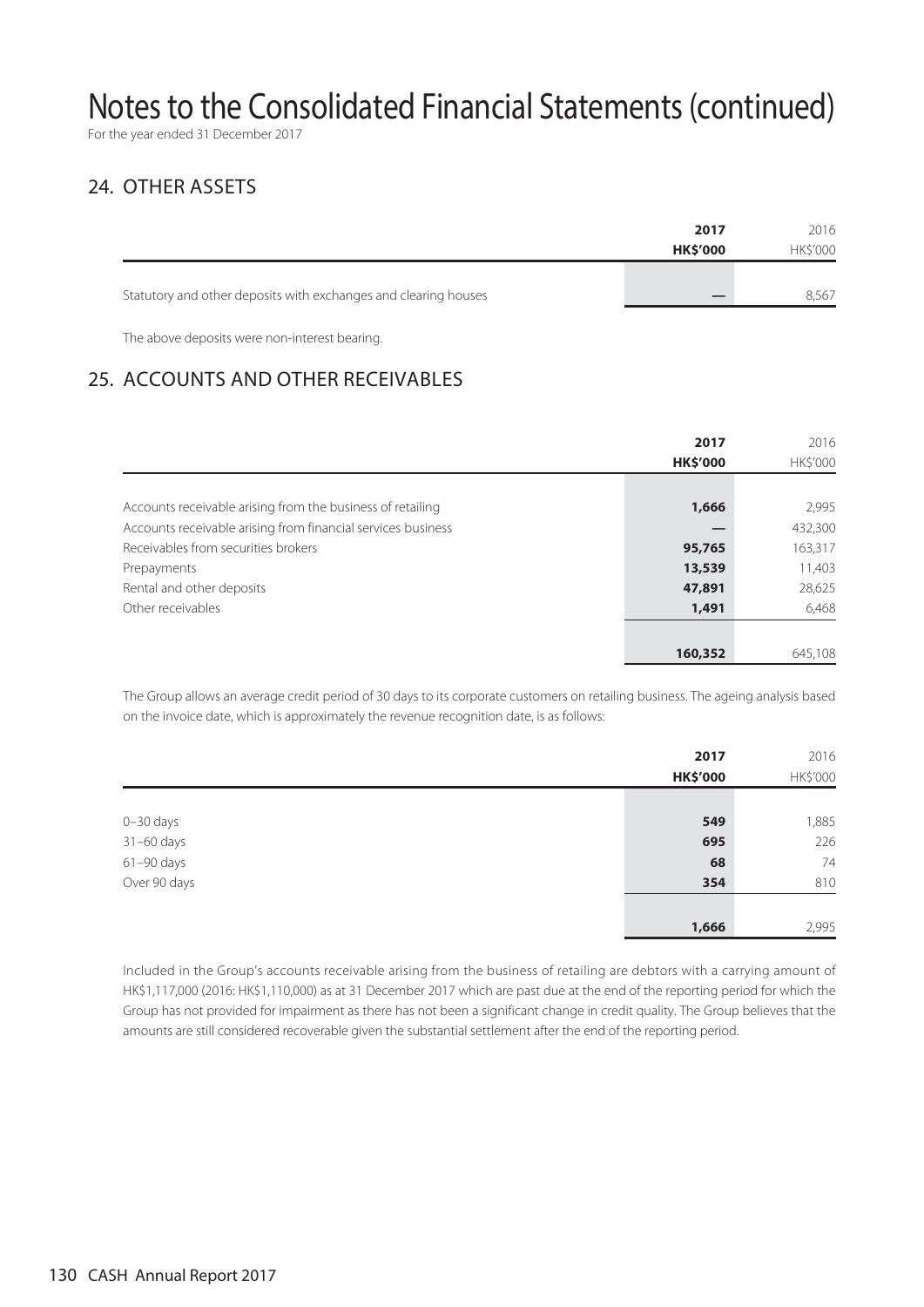For the year ended 31 December 2017

## 24. OTHER ASSETS

|                                                                 | 2017           | 2016           |
|-----------------------------------------------------------------|----------------|----------------|
|                                                                 | <b>HKS'000</b> | <b>HKS'000</b> |
|                                                                 |                |                |
| Statutory and other deposits with exchanges and clearing houses |                | 8.567          |
|                                                                 |                |                |

The above deposits were non-interest bearing.

### 25. ACCOUNTS AND OTHER RECEIVABLES

|                                                              | 2017            | 2016     |
|--------------------------------------------------------------|-----------------|----------|
|                                                              | <b>HK\$'000</b> | HK\$'000 |
|                                                              |                 |          |
| Accounts receivable arising from the business of retailing   | 1,666           | 2,995    |
| Accounts receivable arising from financial services business |                 | 432,300  |
| Receivables from securities brokers                          | 95,765          | 163,317  |
| Prepayments                                                  | 13,539          | 11,403   |
| Rental and other deposits                                    | 47,891          | 28,625   |
| Other receivables                                            | 1,491           | 6,468    |
|                                                              |                 |          |
|                                                              | 160,352         | 645.108  |

The Group allows an average credit period of 30 days to its corporate customers on retailing business. The ageing analysis based on the invoice date, which is approximately the revenue recognition date, is as follows:

|               | 2017            | 2016     |
|---------------|-----------------|----------|
|               | <b>HK\$'000</b> | HK\$'000 |
|               |                 |          |
| $0 - 30$ days | 549             | 1,885    |
| 31-60 days    | 695             | 226      |
| 61-90 days    | 68              | 74       |
| Over 90 days  | 354             | 810      |
|               |                 |          |
|               | 1,666           | 2,995    |

Included in the Group's accounts receivable arising from the business of retailing are debtors with a carrying amount of HK\$1,117,000 (2016: HK\$1,110,000) as at 31 December 2017 which are past due at the end of the reporting period for which the Group has not provided for impairment as there has not been a significant change in credit quality. The Group believes that the amounts are still considered recoverable given the substantial settlement after the end of the reporting period.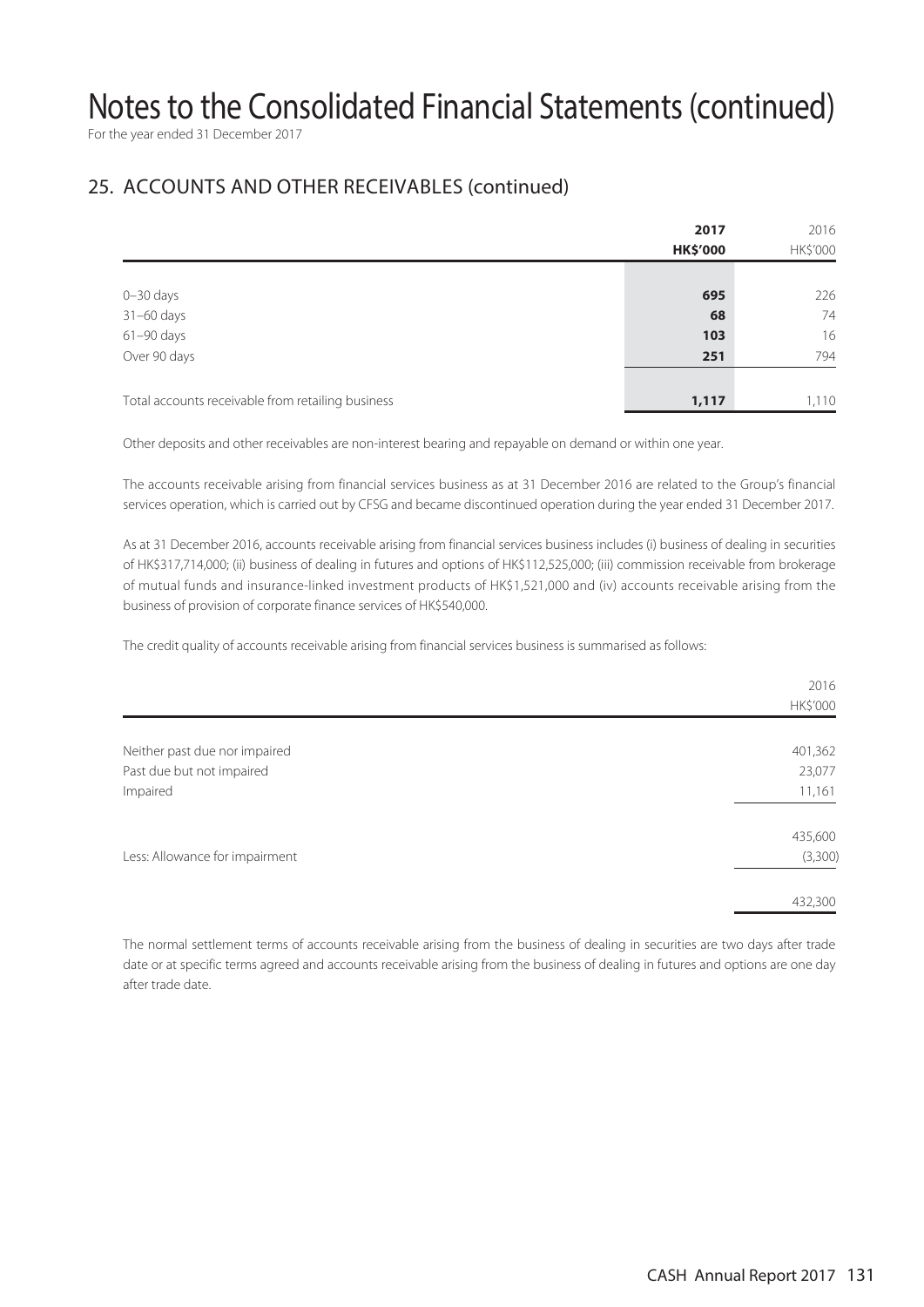For the year ended 31 December 2017

## 25. ACCOUNTS AND OTHER RECEIVABLES (continued)

|                                                   | 2017            | 2016     |
|---------------------------------------------------|-----------------|----------|
|                                                   | <b>HK\$'000</b> | HK\$'000 |
|                                                   |                 |          |
| $0 - 30$ days                                     | 695             | 226      |
| 31-60 days                                        | 68              | 74       |
| 61-90 days                                        | 103             | 16       |
| Over 90 days                                      | 251             | 794      |
|                                                   |                 |          |
| Total accounts receivable from retailing business | 1,117           | 1,110    |

Other deposits and other receivables are non-interest bearing and repayable on demand or within one year.

The accounts receivable arising from financial services business as at 31 December 2016 are related to the Group's financial services operation, which is carried out by CFSG and became discontinued operation during the year ended 31 December 2017.

As at 31 December 2016, accounts receivable arising from financial services business includes (i) business of dealing in securities of HK\$317,714,000; (ii) business of dealing in futures and options of HK\$112,525,000; (iii) commission receivable from brokerage of mutual funds and insurance-linked investment products of HK\$1,521,000 and (iv) accounts receivable arising from the business of provision of corporate finance services of HK\$540,000.

The credit quality of accounts receivable arising from financial services business is summarised as follows:

|                                | 2016     |
|--------------------------------|----------|
|                                | HK\$'000 |
|                                |          |
| Neither past due nor impaired  | 401,362  |
| Past due but not impaired      | 23,077   |
| Impaired                       | 11,161   |
|                                | 435,600  |
| Less: Allowance for impairment | (3,300)  |
|                                | 432,300  |

The normal settlement terms of accounts receivable arising from the business of dealing in securities are two days after trade date or at specific terms agreed and accounts receivable arising from the business of dealing in futures and options are one day after trade date.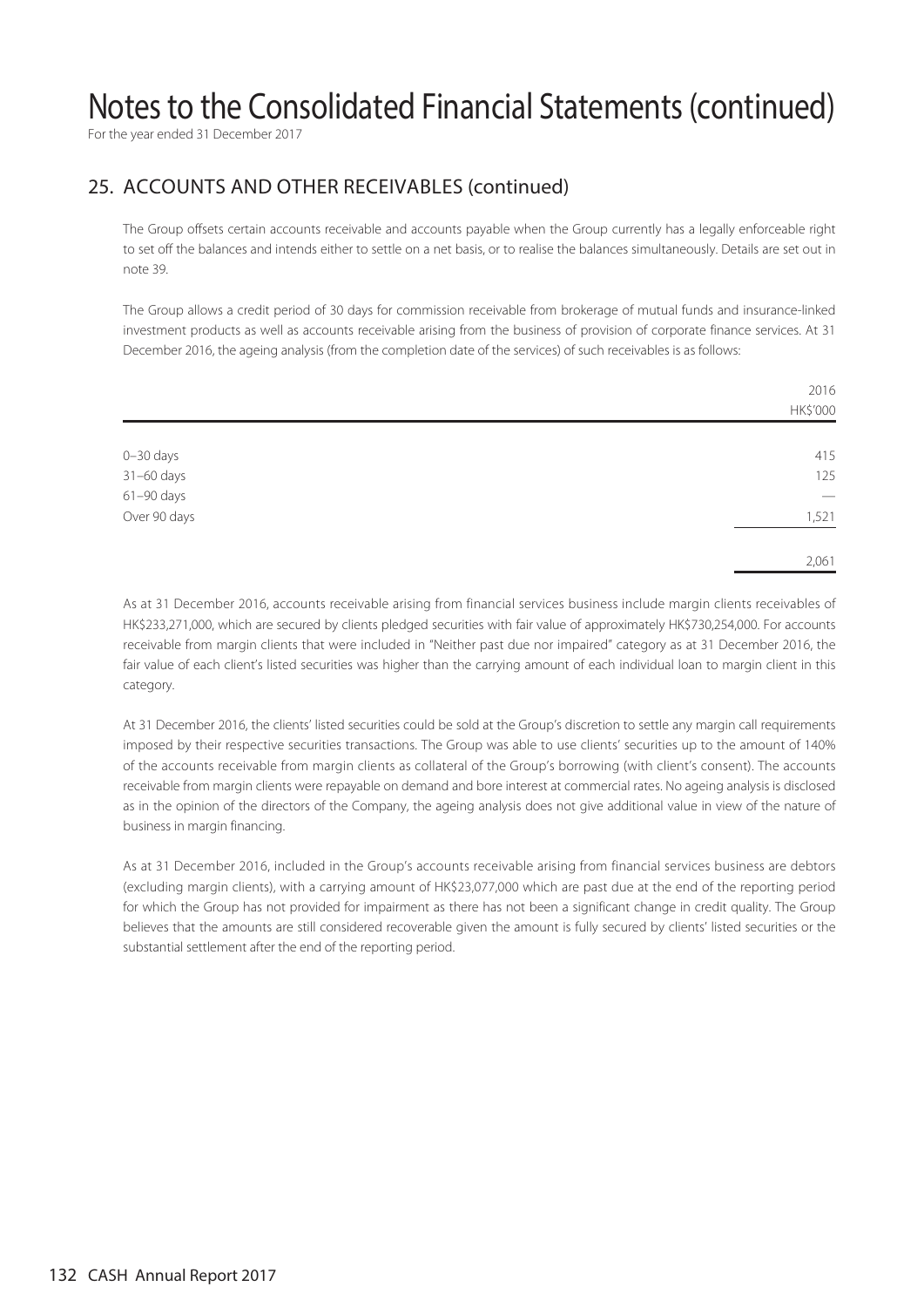For the year ended 31 December 2017

## 25. ACCOUNTS AND OTHER RECEIVABLES (continued)

The Group offsets certain accounts receivable and accounts payable when the Group currently has a legally enforceable right to set off the balances and intends either to settle on a net basis, or to realise the balances simultaneously. Details are set out in note 39.

The Group allows a credit period of 30 days for commission receivable from brokerage of mutual funds and insurance-linked investment products as well as accounts receivable arising from the business of provision of corporate finance services. At 31 December 2016, the ageing analysis (from the completion date of the services) of such receivables is as follows:

|              | 2016                            |
|--------------|---------------------------------|
|              | HK\$'000                        |
|              |                                 |
| 0-30 days    | 415                             |
| 31-60 days   | 125                             |
| 61-90 days   | $\hspace{0.1mm}-\hspace{0.1mm}$ |
| Over 90 days | 1,521                           |
|              |                                 |
|              | 2,061                           |

As at 31 December 2016, accounts receivable arising from financial services business include margin clients receivables of HK\$233,271,000, which are secured by clients pledged securities with fair value of approximately HK\$730,254,000. For accounts receivable from margin clients that were included in "Neither past due nor impaired" category as at 31 December 2016, the fair value of each client's listed securities was higher than the carrying amount of each individual loan to margin client in this category.

At 31 December 2016, the clients' listed securities could be sold at the Group's discretion to settle any margin call requirements imposed by their respective securities transactions. The Group was able to use clients' securities up to the amount of 140% of the accounts receivable from margin clients as collateral of the Group's borrowing (with client's consent). The accounts receivable from margin clients were repayable on demand and bore interest at commercial rates. No ageing analysis is disclosed as in the opinion of the directors of the Company, the ageing analysis does not give additional value in view of the nature of business in margin financing.

As at 31 December 2016, included in the Group's accounts receivable arising from financial services business are debtors (excluding margin clients), with a carrying amount of HK\$23,077,000 which are past due at the end of the reporting period for which the Group has not provided for impairment as there has not been a significant change in credit quality. The Group believes that the amounts are still considered recoverable given the amount is fully secured by clients' listed securities or the substantial settlement after the end of the reporting period.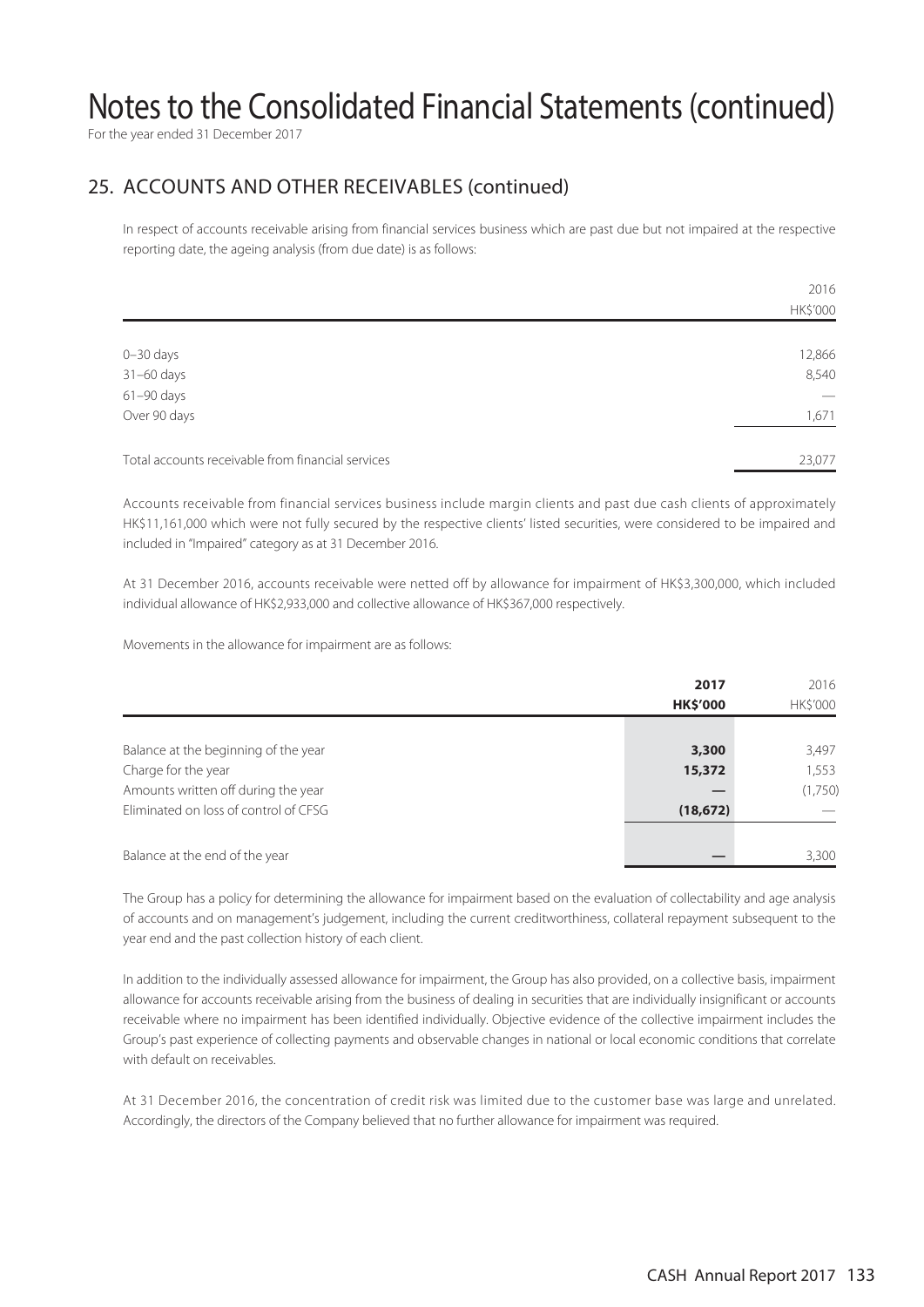For the year ended 31 December 2017

## 25. ACCOUNTS AND OTHER RECEIVABLES (continued)

In respect of accounts receivable arising from financial services business which are past due but not impaired at the respective reporting date, the ageing analysis (from due date) is as follows:

|                                                   | 2016<br>HK\$'000 |
|---------------------------------------------------|------------------|
|                                                   |                  |
| $0 - 30$ days                                     | 12,866           |
| 31-60 days                                        | 8,540            |
| 61-90 days                                        |                  |
| Over 90 days                                      | 1,671            |
| Total accounts receivable from financial services | 23,077           |
|                                                   |                  |

Accounts receivable from financial services business include margin clients and past due cash clients of approximately HK\$11,161,000 which were not fully secured by the respective clients' listed securities, were considered to be impaired and included in "Impaired" category as at 31 December 2016.

At 31 December 2016, accounts receivable were netted off by allowance for impairment of HK\$3,300,000, which included individual allowance of HK\$2,933,000 and collective allowance of HK\$367,000 respectively.

Movements in the allowance for impairment are as follows:

|                                       | 2017            | 2016     |
|---------------------------------------|-----------------|----------|
|                                       | <b>HK\$'000</b> | HK\$'000 |
|                                       |                 |          |
| Balance at the beginning of the year  | 3,300           | 3,497    |
| Charge for the year                   | 15,372          | 1,553    |
| Amounts written off during the year   |                 | (1,750)  |
| Eliminated on loss of control of CFSG | (18, 672)       |          |
|                                       |                 |          |
| Balance at the end of the year        |                 | 3,300    |

The Group has a policy for determining the allowance for impairment based on the evaluation of collectability and age analysis of accounts and on management's judgement, including the current creditworthiness, collateral repayment subsequent to the year end and the past collection history of each client.

In addition to the individually assessed allowance for impairment, the Group has also provided, on a collective basis, impairment allowance for accounts receivable arising from the business of dealing in securities that are individually insignificant or accounts receivable where no impairment has been identified individually. Objective evidence of the collective impairment includes the Group's past experience of collecting payments and observable changes in national or local economic conditions that correlate with default on receivables.

At 31 December 2016, the concentration of credit risk was limited due to the customer base was large and unrelated. Accordingly, the directors of the Company believed that no further allowance for impairment was required.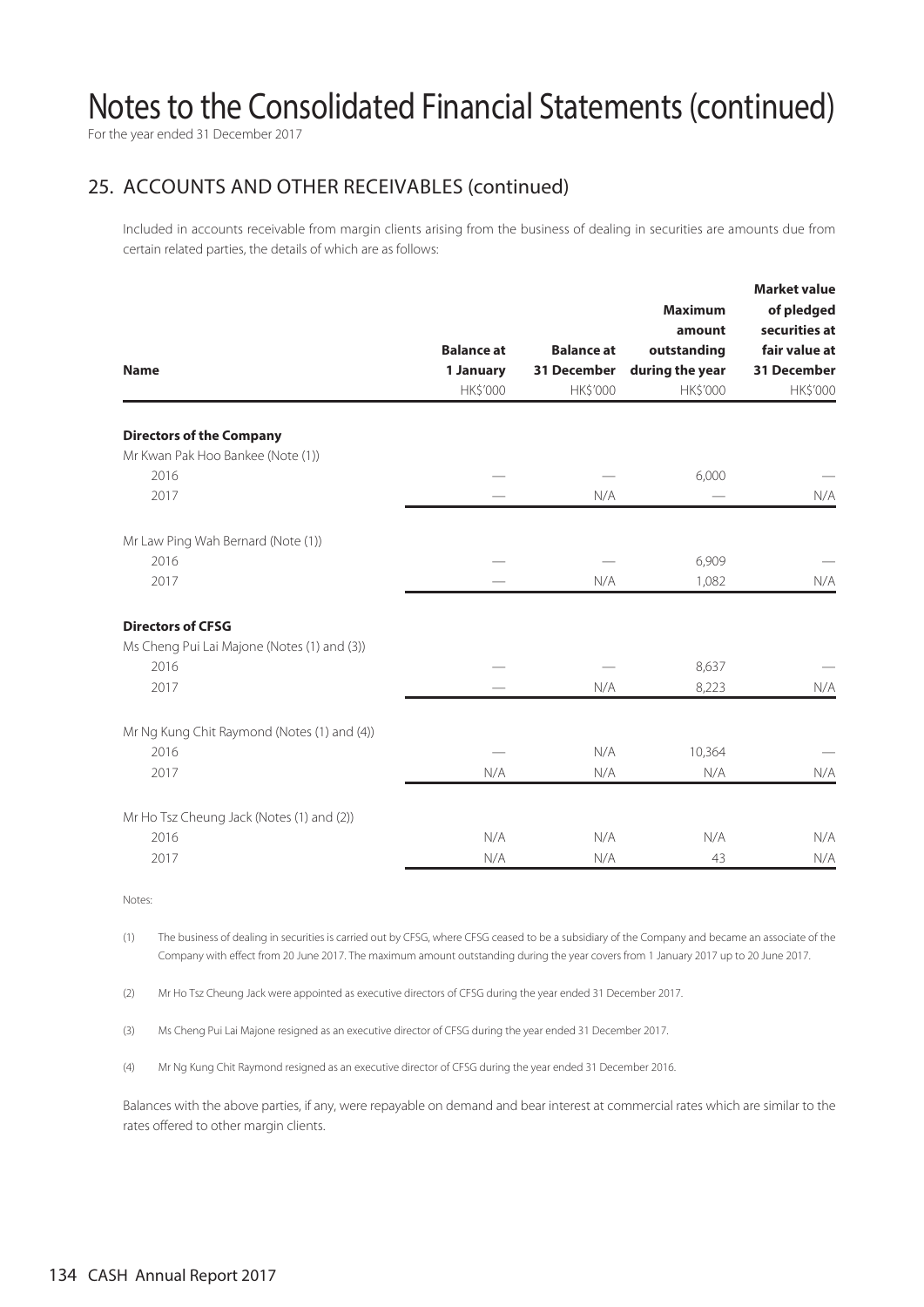For the year ended 31 December 2017

## 25. ACCOUNTS AND OTHER RECEIVABLES (continued)

Included in accounts receivable from margin clients arising from the business of dealing in securities are amounts due from certain related parties, the details of which are as follows:

| <b>Name</b>                                 | <b>Balance at</b><br>1 January<br>HK\$'000 | <b>Balance</b> at<br>31 December<br>HK\$'000 | <b>Maximum</b><br>amount<br>outstanding<br>during the year<br>HK\$'000 | <b>Market value</b><br>of pledged<br>securities at<br>fair value at<br>31 December<br>HK\$'000 |
|---------------------------------------------|--------------------------------------------|----------------------------------------------|------------------------------------------------------------------------|------------------------------------------------------------------------------------------------|
| <b>Directors of the Company</b>             |                                            |                                              |                                                                        |                                                                                                |
| Mr Kwan Pak Hoo Bankee (Note (1))           |                                            |                                              |                                                                        |                                                                                                |
| 2016                                        |                                            |                                              | 6,000                                                                  |                                                                                                |
| 2017                                        |                                            | N/A                                          |                                                                        | N/A                                                                                            |
| Mr Law Ping Wah Bernard (Note (1))          |                                            |                                              |                                                                        |                                                                                                |
| 2016                                        |                                            |                                              | 6,909                                                                  |                                                                                                |
| 2017                                        |                                            | N/A                                          | 1,082                                                                  | N/A                                                                                            |
| <b>Directors of CFSG</b>                    |                                            |                                              |                                                                        |                                                                                                |
| Ms Cheng Pui Lai Majone (Notes (1) and (3)) |                                            |                                              |                                                                        |                                                                                                |
| 2016                                        |                                            |                                              | 8,637                                                                  |                                                                                                |
| 2017                                        |                                            | N/A                                          | 8,223                                                                  | N/A                                                                                            |
| Mr Ng Kung Chit Raymond (Notes (1) and (4)) |                                            |                                              |                                                                        |                                                                                                |
| 2016                                        |                                            | N/A                                          | 10,364                                                                 |                                                                                                |
| 2017                                        | N/A                                        | N/A                                          | N/A                                                                    | N/A                                                                                            |
| Mr Ho Tsz Cheung Jack (Notes (1) and (2))   |                                            |                                              |                                                                        |                                                                                                |
| 2016                                        | N/A                                        | N/A                                          | N/A                                                                    | N/A                                                                                            |
| 2017                                        | N/A                                        | N/A                                          | 43                                                                     | N/A                                                                                            |

Notes:

(1) The business of dealing in securities is carried out by CFSG, where CFSG ceased to be a subsidiary of the Company and became an associate of the Company with effect from 20 June 2017. The maximum amount outstanding during the year covers from 1 January 2017 up to 20 June 2017.

(2) Mr Ho Tsz Cheung Jack were appointed as executive directors of CFSG during the year ended 31 December 2017.

(3) Ms Cheng Pui Lai Majone resigned as an executive director of CFSG during the year ended 31 December 2017.

(4) Mr Ng Kung Chit Raymond resigned as an executive director of CFSG during the year ended 31 December 2016.

Balances with the above parties, if any, were repayable on demand and bear interest at commercial rates which are similar to the rates offered to other margin clients.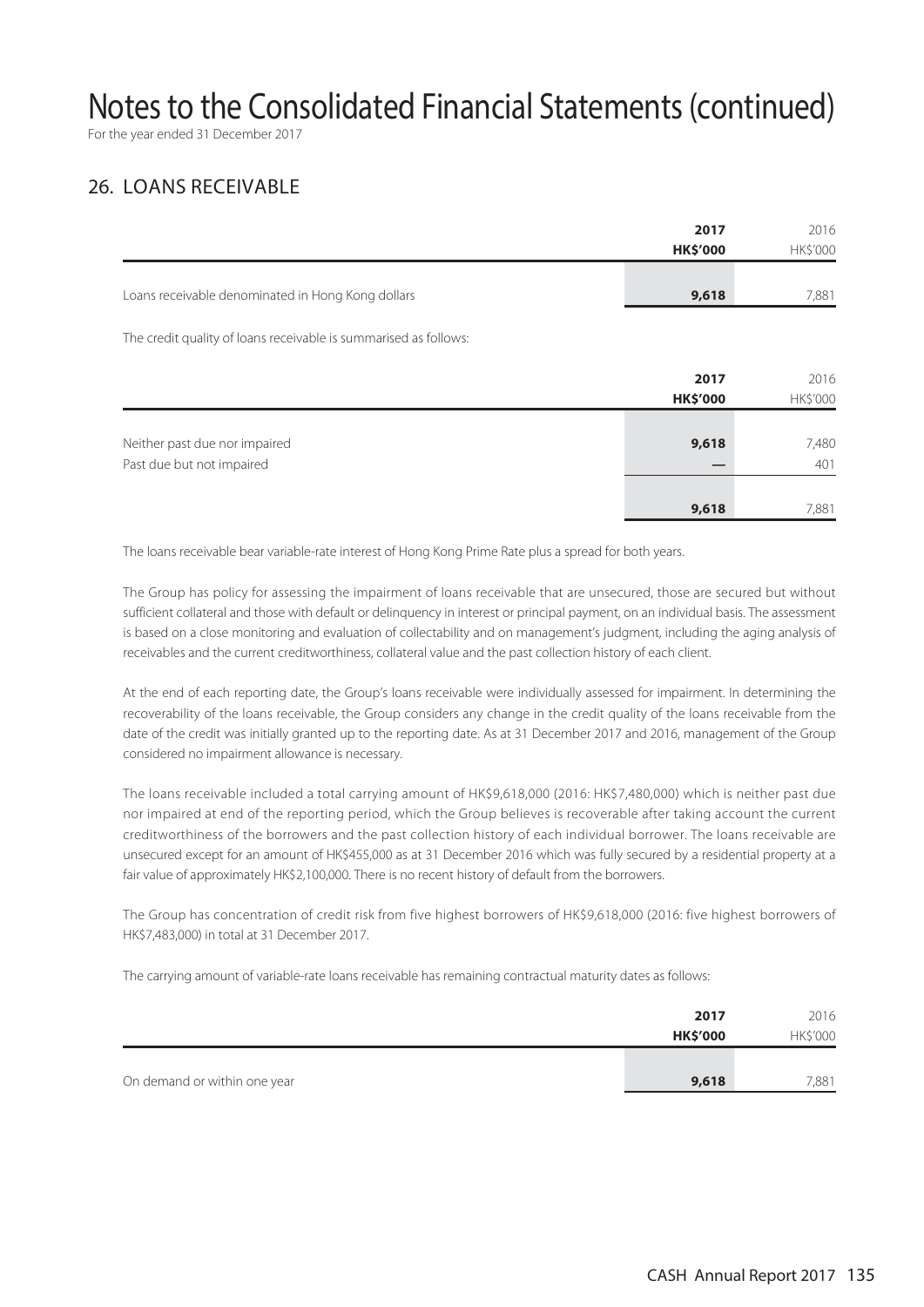For the year ended 31 December 2017

## 26. LOANS RECEIVABLE

|                                                                  | 2017<br><b>HK\$'000</b> | 2016<br>HK\$'000 |
|------------------------------------------------------------------|-------------------------|------------------|
| Loans receivable denominated in Hong Kong dollars                | 9,618                   | 7,881            |
| The credit quality of loans receivable is summarised as follows: |                         |                  |
|                                                                  | 2017<br><b>HK\$'000</b> | 2016<br>HK\$'000 |
| Neither past due nor impaired<br>Past due but not impaired       | 9,618                   | 7,480<br>401     |
|                                                                  | 9,618                   | 7,881            |

The loans receivable bear variable-rate interest of Hong Kong Prime Rate plus a spread for both years.

The Group has policy for assessing the impairment of loans receivable that are unsecured, those are secured but without sufficient collateral and those with default or delinquency in interest or principal payment, on an individual basis. The assessment is based on a close monitoring and evaluation of collectability and on management's judgment, including the aging analysis of receivables and the current creditworthiness, collateral value and the past collection history of each client.

At the end of each reporting date, the Group's loans receivable were individually assessed for impairment. In determining the recoverability of the loans receivable, the Group considers any change in the credit quality of the loans receivable from the date of the credit was initially granted up to the reporting date. As at 31 December 2017 and 2016, management of the Group considered no impairment allowance is necessary.

The loans receivable included a total carrying amount of HK\$9,618,000 (2016: HK\$7,480,000) which is neither past due nor impaired at end of the reporting period, which the Group believes is recoverable after taking account the current creditworthiness of the borrowers and the past collection history of each individual borrower. The loans receivable are unsecured except for an amount of HK\$455,000 as at 31 December 2016 which was fully secured by a residential property at a fair value of approximately HK\$2,100,000. There is no recent history of default from the borrowers.

The Group has concentration of credit risk from five highest borrowers of HK\$9,618,000 (2016: five highest borrowers of HK\$7,483,000) in total at 31 December 2017.

The carrying amount of variable-rate loans receivable has remaining contractual maturity dates as follows:

|                              | 2017            | 2016     |
|------------------------------|-----------------|----------|
|                              | <b>HK\$'000</b> | HK\$'000 |
|                              |                 |          |
| On demand or within one year | 9,618           | 7,881    |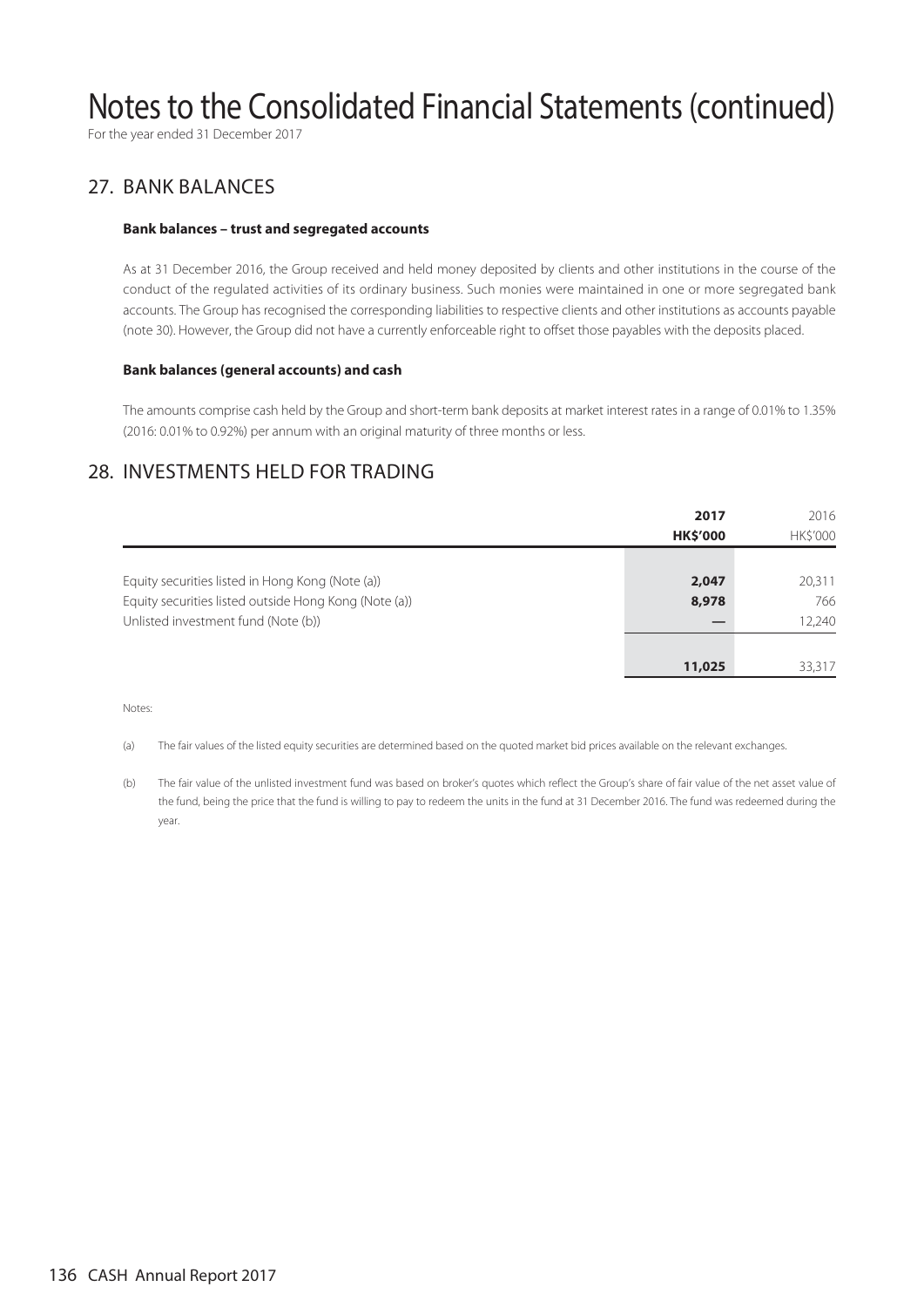For the year ended 31 December 2017

### 27. BANK BALANCES

#### **Bank balances – trust and segregated accounts**

As at 31 December 2016, the Group received and held money deposited by clients and other institutions in the course of the conduct of the regulated activities of its ordinary business. Such monies were maintained in one or more segregated bank accounts. The Group has recognised the corresponding liabilities to respective clients and other institutions as accounts payable (note 30). However, the Group did not have a currently enforceable right to offset those payables with the deposits placed.

#### **Bank balances (general accounts) and cash**

The amounts comprise cash held by the Group and short-term bank deposits at market interest rates in a range of 0.01% to 1.35% (2016: 0.01% to 0.92%) per annum with an original maturity of three months or less.

### 28. INVESTMENTS HELD FOR TRADING

|                                                       | 2017            | 2016     |
|-------------------------------------------------------|-----------------|----------|
|                                                       | <b>HK\$'000</b> | HK\$'000 |
|                                                       |                 |          |
| Equity securities listed in Hong Kong (Note (a))      | 2,047           | 20,311   |
| Equity securities listed outside Hong Kong (Note (a)) | 8,978           | 766      |
| Unlisted investment fund (Note (b))                   |                 | 12,240   |
|                                                       | 11,025          | 33,317   |

#### Notes:

(a) The fair values of the listed equity securities are determined based on the quoted market bid prices available on the relevant exchanges.

(b) The fair value of the unlisted investment fund was based on broker's quotes which reflect the Group's share of fair value of the net asset value of the fund, being the price that the fund is willing to pay to redeem the units in the fund at 31 December 2016. The fund was redeemed during the year.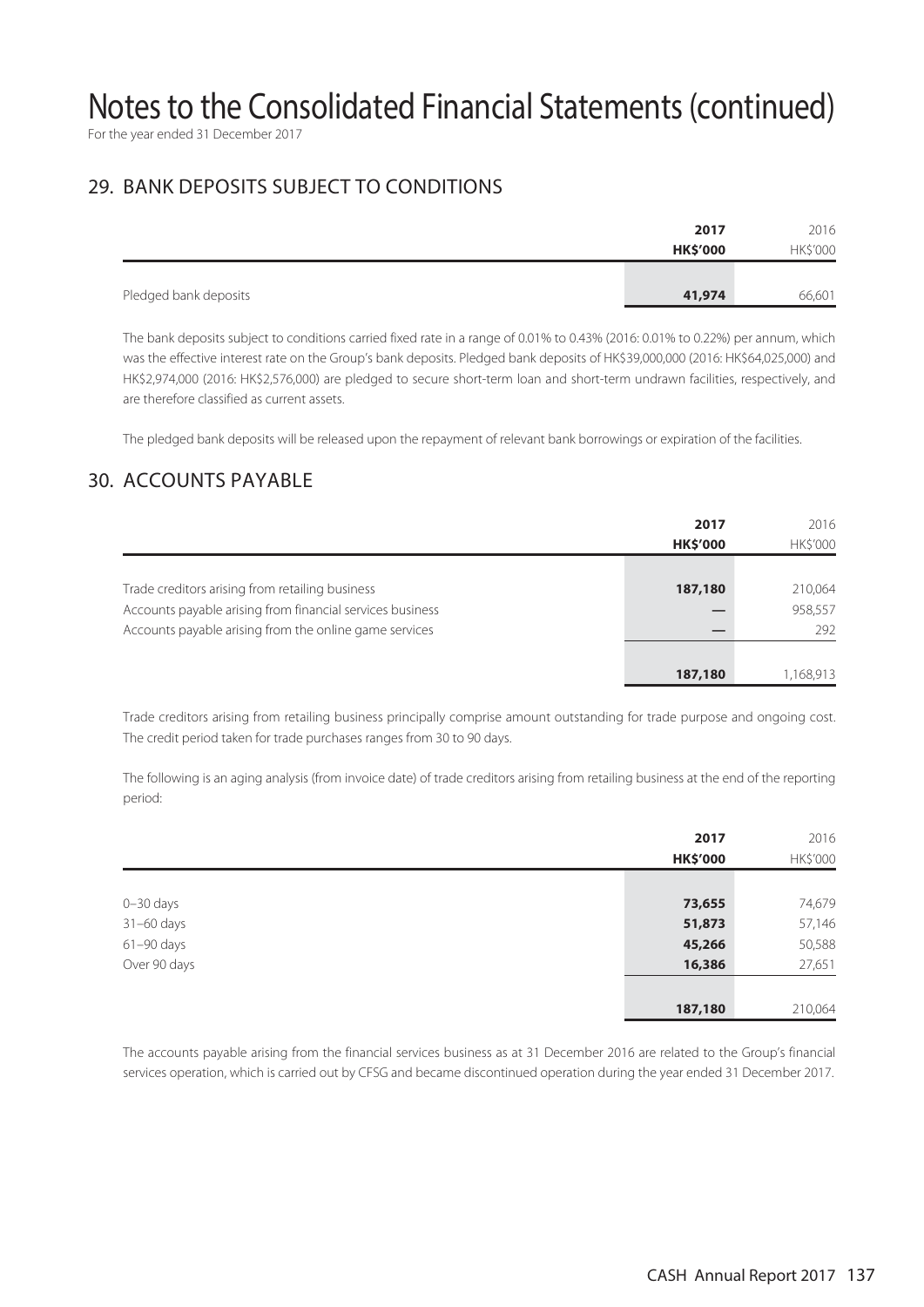For the year ended 31 December 2017

## 29. BANK DEPOSITS SUBJECT TO CONDITIONS

|                       | 2017            | 2016     |
|-----------------------|-----------------|----------|
|                       | <b>HK\$'000</b> | HK\$'000 |
|                       |                 |          |
| Pledged bank deposits | 41,974          | 66,601   |

The bank deposits subject to conditions carried fixed rate in a range of 0.01% to 0.43% (2016: 0.01% to 0.22%) per annum, which was the effective interest rate on the Group's bank deposits. Pledged bank deposits of HK\$39,000,000 (2016: HK\$64,025,000) and HK\$2,974,000 (2016: HK\$2,576,000) are pledged to secure short-term loan and short-term undrawn facilities, respectively, and are therefore classified as current assets.

The pledged bank deposits will be released upon the repayment of relevant bank borrowings or expiration of the facilities.

### 30. ACCOUNTS PAYABLE

|                                                           | 2017            | 2016            |
|-----------------------------------------------------------|-----------------|-----------------|
|                                                           | <b>HK\$'000</b> | <b>HK\$'000</b> |
|                                                           |                 |                 |
| Trade creditors arising from retailing business           | 187,180         | 210,064         |
| Accounts payable arising from financial services business |                 | 958,557         |
| Accounts payable arising from the online game services    |                 | 292             |
|                                                           |                 |                 |
|                                                           | 187,180         | 1,168,913       |

Trade creditors arising from retailing business principally comprise amount outstanding for trade purpose and ongoing cost. The credit period taken for trade purchases ranges from 30 to 90 days.

The following is an aging analysis (from invoice date) of trade creditors arising from retailing business at the end of the reporting period:

|               | 2017            | 2016     |
|---------------|-----------------|----------|
|               | <b>HK\$'000</b> | HK\$'000 |
|               |                 |          |
| $0 - 30$ days | 73,655          | 74,679   |
| 31-60 days    | 51,873          | 57,146   |
| 61-90 days    | 45,266          | 50,588   |
| Over 90 days  | 16,386          | 27,651   |
|               |                 |          |
|               | 187,180         | 210,064  |

The accounts payable arising from the financial services business as at 31 December 2016 are related to the Group's financial services operation, which is carried out by CFSG and became discontinued operation during the year ended 31 December 2017.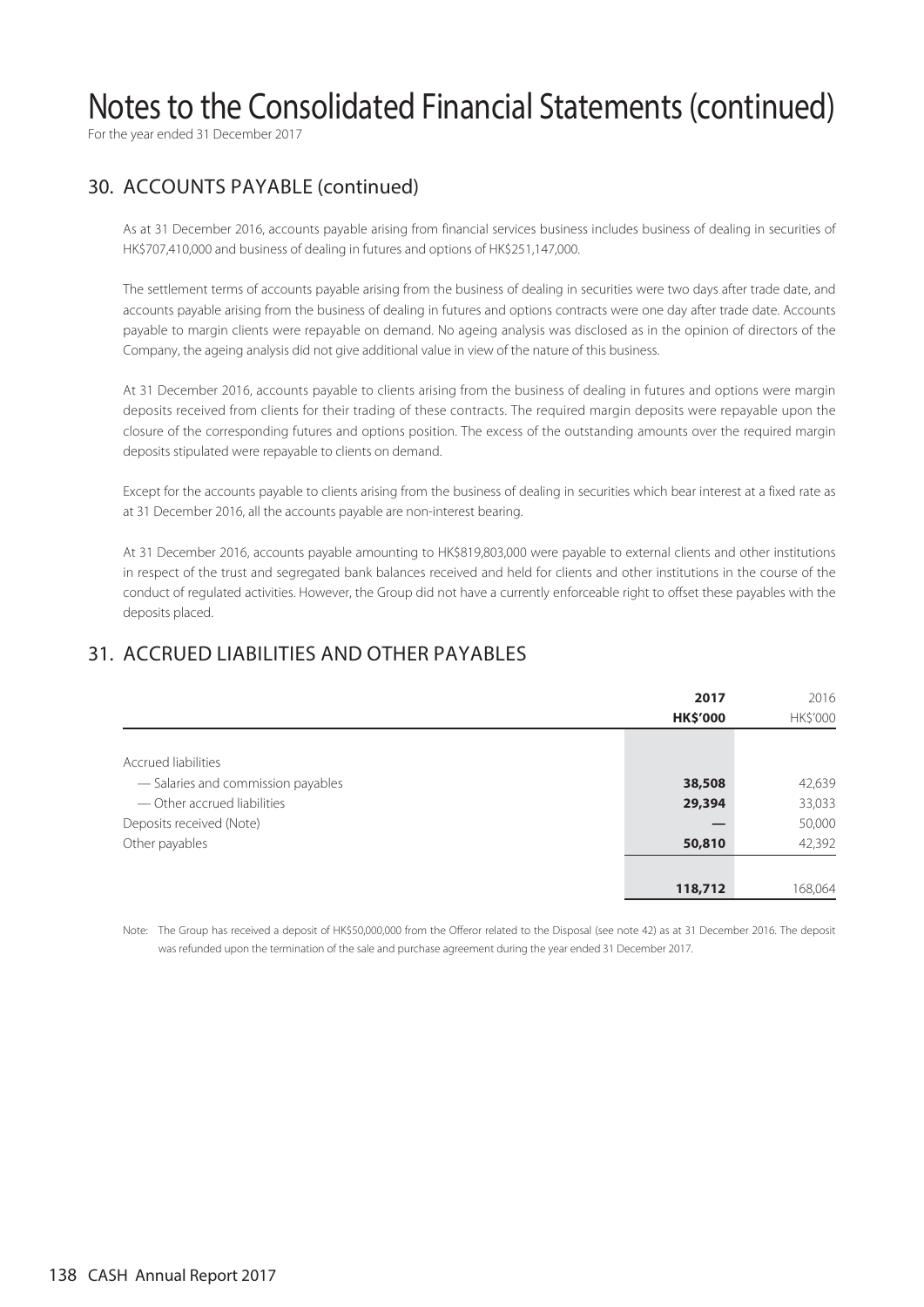For the year ended 31 December 2017

## 30. ACCOUNTS PAYABLE (continued)

As at 31 December 2016, accounts payable arising from financial services business includes business of dealing in securities of HK\$707,410,000 and business of dealing in futures and options of HK\$251,147,000.

The settlement terms of accounts payable arising from the business of dealing in securities were two days after trade date, and accounts payable arising from the business of dealing in futures and options contracts were one day after trade date. Accounts payable to margin clients were repayable on demand. No ageing analysis was disclosed as in the opinion of directors of the Company, the ageing analysis did not give additional value in view of the nature of this business.

At 31 December 2016, accounts payable to clients arising from the business of dealing in futures and options were margin deposits received from clients for their trading of these contracts. The required margin deposits were repayable upon the closure of the corresponding futures and options position. The excess of the outstanding amounts over the required margin deposits stipulated were repayable to clients on demand.

Except for the accounts payable to clients arising from the business of dealing in securities which bear interest at a fixed rate as at 31 December 2016, all the accounts payable are non-interest bearing.

At 31 December 2016, accounts payable amounting to HK\$819,803,000 were payable to external clients and other institutions in respect of the trust and segregated bank balances received and held for clients and other institutions in the course of the conduct of regulated activities. However, the Group did not have a currently enforceable right to offset these payables with the deposits placed.

### 31. ACCRUED LIABILITIES AND OTHER PAYABLES

|                                   | 2017            | 2016     |
|-----------------------------------|-----------------|----------|
|                                   | <b>HK\$'000</b> | HK\$'000 |
|                                   |                 |          |
| Accrued liabilities               |                 |          |
| -Salaries and commission payables | 38,508          | 42,639   |
| - Other accrued liabilities       | 29,394          | 33,033   |
| Deposits received (Note)          |                 | 50,000   |
| Other payables                    | 50,810          | 42,392   |
|                                   |                 |          |
|                                   | 118,712         | 168,064  |

Note: The Group has received a deposit of HK\$50,000,000 from the Offeror related to the Disposal (see note 42) as at 31 December 2016. The deposit was refunded upon the termination of the sale and purchase agreement during the year ended 31 December 2017.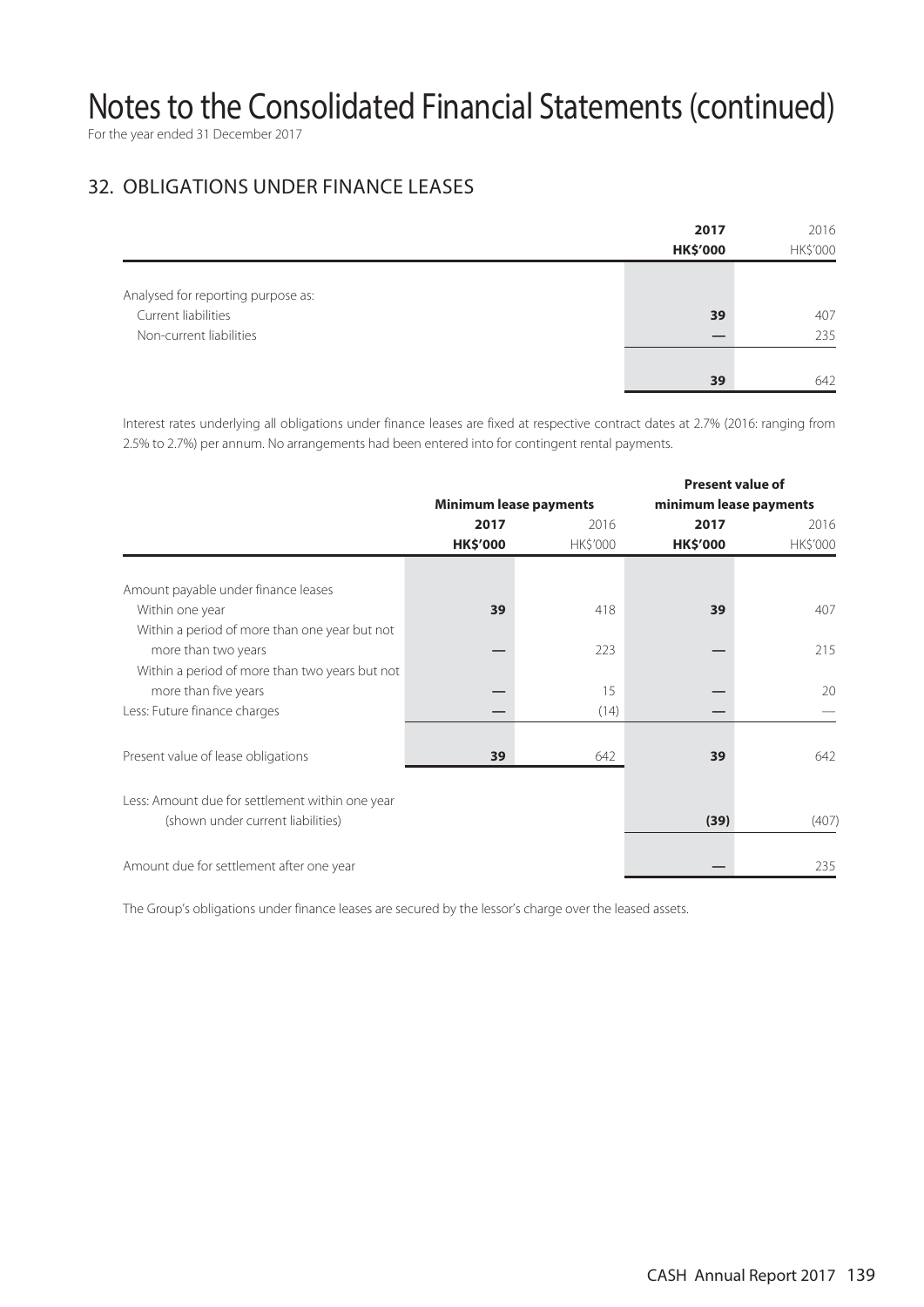For the year ended 31 December 2017

## 32. OBLIGATIONS UNDER FINANCE LEASES

|                                    | 2017            | 2016     |
|------------------------------------|-----------------|----------|
|                                    | <b>HK\$'000</b> | HK\$'000 |
|                                    |                 |          |
| Analysed for reporting purpose as: |                 |          |
| Current liabilities                | 39              | 407      |
| Non-current liabilities            |                 | 235      |
|                                    |                 |          |
|                                    | 39              | 642      |

Interest rates underlying all obligations under finance leases are fixed at respective contract dates at 2.7% (2016: ranging from 2.5% to 2.7%) per annum. No arrangements had been entered into for contingent rental payments.

|                                                 |                 |                               |                 | <b>Present value of</b> |
|-------------------------------------------------|-----------------|-------------------------------|-----------------|-------------------------|
|                                                 |                 | <b>Minimum lease payments</b> |                 | minimum lease payments  |
|                                                 | 2017            | 2016                          | 2017            | 2016                    |
|                                                 | <b>HK\$'000</b> | <b>HK\$'000</b>               | <b>HK\$'000</b> | HK\$'000                |
|                                                 |                 |                               |                 |                         |
| Amount payable under finance leases             |                 |                               |                 |                         |
| Within one year                                 | 39              | 418                           | 39              | 407                     |
| Within a period of more than one year but not   |                 |                               |                 |                         |
| more than two years                             |                 | 223                           |                 | 215                     |
| Within a period of more than two years but not  |                 |                               |                 |                         |
| more than five years                            |                 | 15                            |                 | 20                      |
| Less: Future finance charges                    |                 | (14)                          |                 |                         |
|                                                 |                 |                               |                 |                         |
| Present value of lease obligations              | 39              | 642                           | 39              | 642                     |
|                                                 |                 |                               |                 |                         |
| Less: Amount due for settlement within one year |                 |                               |                 |                         |
| (shown under current liabilities)               |                 |                               | (39)            | (407)                   |
|                                                 |                 |                               |                 |                         |
| Amount due for settlement after one year        |                 |                               |                 | 235                     |
|                                                 |                 |                               |                 |                         |

The Group's obligations under finance leases are secured by the lessor's charge over the leased assets.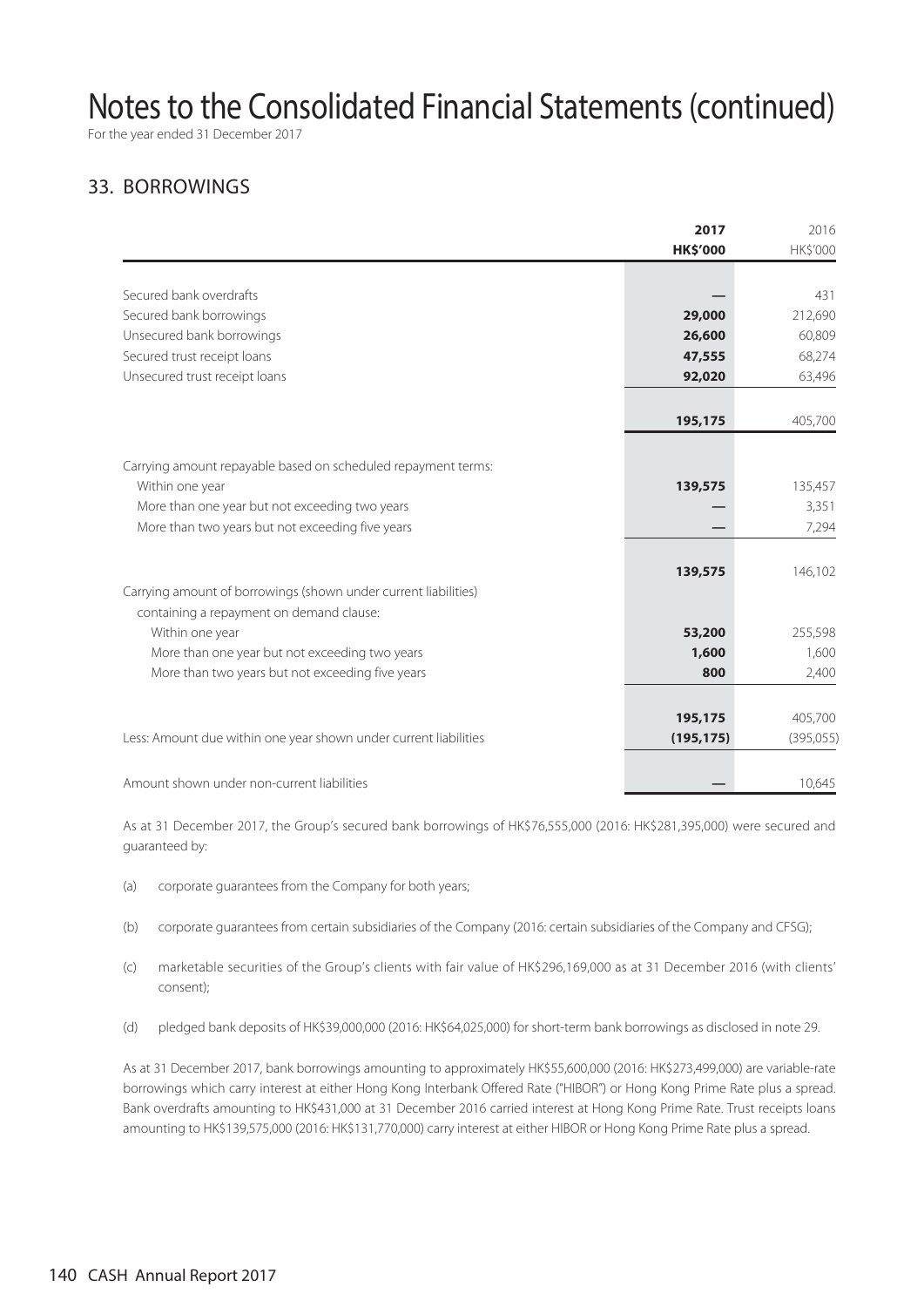For the year ended 31 December 2017

## 33. BORROWINGS

|                                                                                                             | 2017            | 2016      |
|-------------------------------------------------------------------------------------------------------------|-----------------|-----------|
|                                                                                                             | <b>HK\$'000</b> | HK\$'000  |
|                                                                                                             |                 |           |
| Secured bank overdrafts                                                                                     |                 | 431       |
| Secured bank borrowings                                                                                     | 29,000          | 212,690   |
| Unsecured bank borrowings                                                                                   | 26,600          | 60,809    |
| Secured trust receipt loans                                                                                 | 47,555          | 68,274    |
| Unsecured trust receipt loans                                                                               | 92,020          | 63,496    |
|                                                                                                             |                 |           |
|                                                                                                             | 195,175         | 405,700   |
| Carrying amount repayable based on scheduled repayment terms:                                               |                 |           |
| Within one year                                                                                             | 139,575         | 135,457   |
| More than one year but not exceeding two years                                                              |                 | 3,351     |
| More than two years but not exceeding five years                                                            |                 | 7,294     |
|                                                                                                             |                 |           |
|                                                                                                             | 139,575         | 146,102   |
| Carrying amount of borrowings (shown under current liabilities)<br>containing a repayment on demand clause: |                 |           |
| Within one year                                                                                             | 53,200          | 255,598   |
| More than one year but not exceeding two years                                                              | 1,600           | 1,600     |
| More than two years but not exceeding five years                                                            | 800             | 2,400     |
|                                                                                                             |                 |           |
|                                                                                                             | 195,175         | 405,700   |
| Less: Amount due within one year shown under current liabilities                                            | (195, 175)      | (395,055) |
| Amount shown under non-current liabilities                                                                  |                 | 10,645    |

As at 31 December 2017, the Group's secured bank borrowings of HK\$76,555,000 (2016: HK\$281,395,000) were secured and guaranteed by:

- (a) corporate guarantees from the Company for both years;
- (b) corporate guarantees from certain subsidiaries of the Company (2016: certain subsidiaries of the Company and CFSG);
- (c) marketable securities of the Group's clients with fair value of HK\$296,169,000 as at 31 December 2016 (with clients' consent);
- (d) pledged bank deposits of HK\$39,000,000 (2016: HK\$64,025,000) for short-term bank borrowings as disclosed in note 29.

As at 31 December 2017, bank borrowings amounting to approximately HK\$55,600,000 (2016: HK\$273,499,000) are variable-rate borrowings which carry interest at either Hong Kong Interbank Offered Rate ("HIBOR") or Hong Kong Prime Rate plus a spread. Bank overdrafts amounting to HK\$431,000 at 31 December 2016 carried interest at Hong Kong Prime Rate. Trust receipts loans amounting to HK\$139,575,000 (2016: HK\$131,770,000) carry interest at either HIBOR or Hong Kong Prime Rate plus a spread.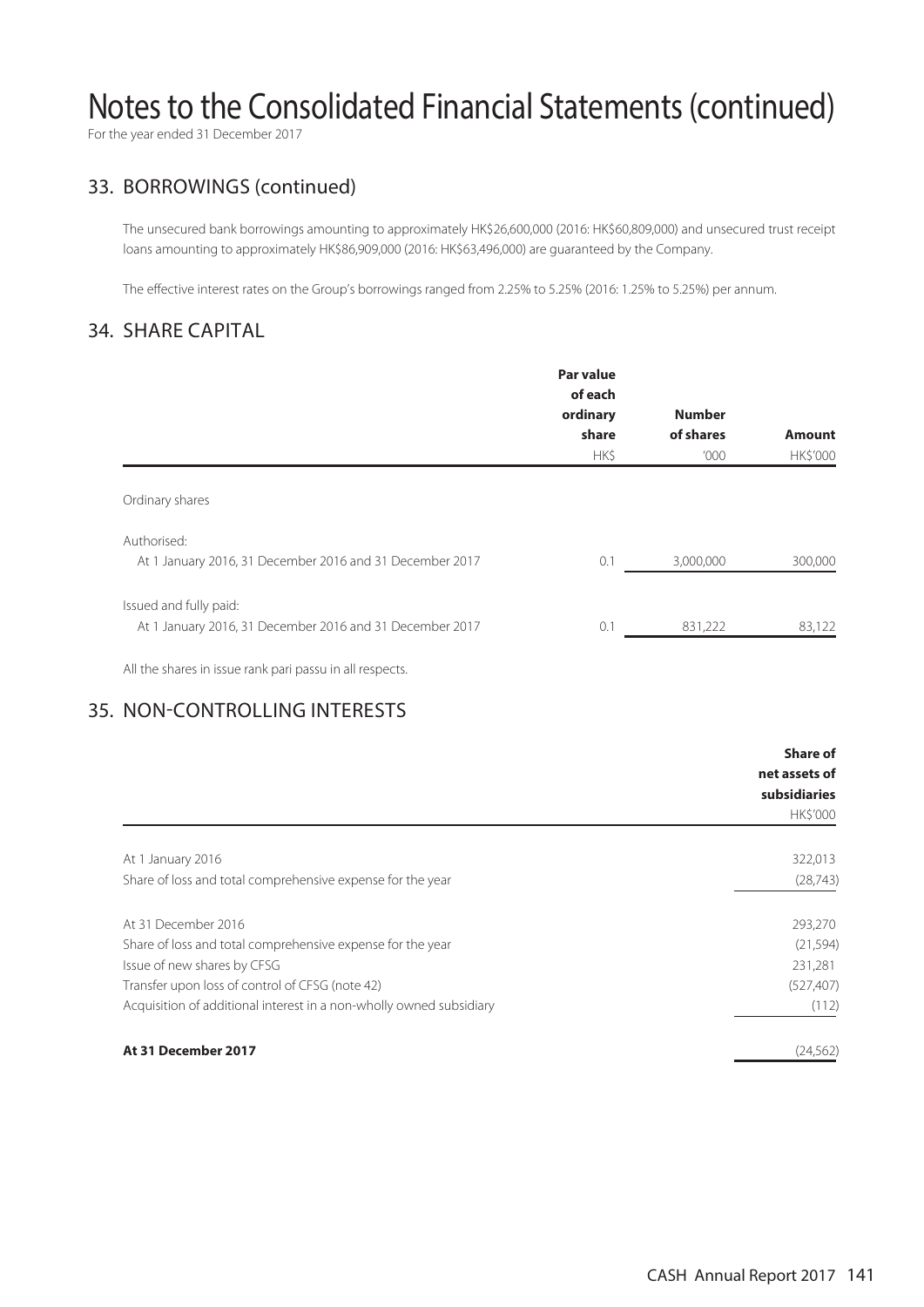For the year ended 31 December 2017

## 33. BORROWINGS (continued)

The unsecured bank borrowings amounting to approximately HK\$26,600,000 (2016: HK\$60,809,000) and unsecured trust receipt loans amounting to approximately HK\$86,909,000 (2016: HK\$63,496,000) are guaranteed by the Company.

The effective interest rates on the Group's borrowings ranged from 2.25% to 5.25% (2016: 1.25% to 5.25%) per annum.

### 34. SHARE CAPITAL

|                                                                                    | <b>Par value</b><br>of each<br>ordinary<br>share<br>HK\$ | <b>Number</b><br>of shares<br>'000 | <b>Amount</b><br>HK\$'000 |
|------------------------------------------------------------------------------------|----------------------------------------------------------|------------------------------------|---------------------------|
| Ordinary shares                                                                    |                                                          |                                    |                           |
| Authorised:<br>At 1 January 2016, 31 December 2016 and 31 December 2017            | 0.1                                                      | 3,000,000                          | 300,000                   |
| Issued and fully paid:<br>At 1 January 2016, 31 December 2016 and 31 December 2017 | 0.1                                                      | 831,222                            | 83,122                    |

All the shares in issue rank pari passu in all respects.

### 35. NON-CONTROLLING INTERESTS

|                                                                                 | <b>Share of</b><br>net assets of<br><b>subsidiaries</b><br><b>HK\$'000</b> |
|---------------------------------------------------------------------------------|----------------------------------------------------------------------------|
|                                                                                 |                                                                            |
| At 1 January 2016<br>Share of loss and total comprehensive expense for the year | 322,013<br>(28, 743)                                                       |
| At 31 December 2016                                                             | 293,270                                                                    |
| Share of loss and total comprehensive expense for the year                      | (21, 594)                                                                  |
| Issue of new shares by CFSG                                                     | 231,281                                                                    |
| Transfer upon loss of control of CFSG (note 42)                                 | (527, 407)                                                                 |
| Acquisition of additional interest in a non-wholly owned subsidiary             | (112)                                                                      |
| At 31 December 2017                                                             | (24, 562)                                                                  |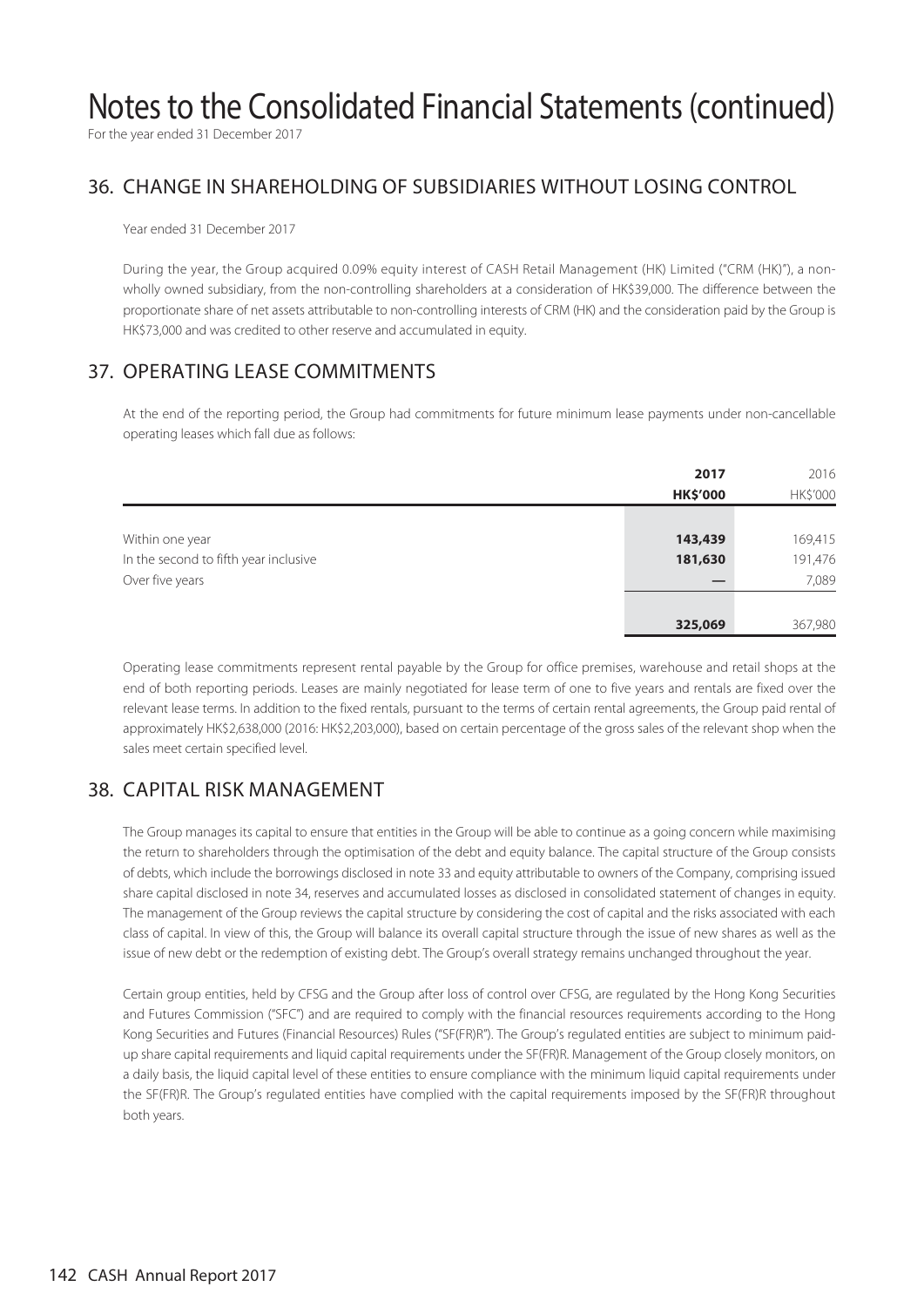For the year ended 31 December 2017

### 36. CHANGE IN SHAREHOLDING OF SUBSIDIARIES WITHOUT LOSING CONTROL

Year ended 31 December 2017

During the year, the Group acquired 0.09% equity interest of CASH Retail Management (HK) Limited ("CRM (HK)"), a nonwholly owned subsidiary, from the non-controlling shareholders at a consideration of HK\$39,000. The difference between the proportionate share of net assets attributable to non-controlling interests of CRM (HK) and the consideration paid by the Group is HK\$73,000 and was credited to other reserve and accumulated in equity.

### 37. OPERATING LEASE COMMITMENTS

At the end of the reporting period, the Group had commitments for future minimum lease payments under non-cancellable operating leases which fall due as follows:

|                                       | 2017            | 2016     |
|---------------------------------------|-----------------|----------|
|                                       | <b>HK\$'000</b> | HK\$'000 |
|                                       |                 |          |
| Within one year                       | 143,439         | 169,415  |
| In the second to fifth year inclusive | 181,630         | 191,476  |
| Over five years                       |                 | 7,089    |
|                                       |                 |          |
|                                       | 325,069         | 367,980  |

Operating lease commitments represent rental payable by the Group for office premises, warehouse and retail shops at the end of both reporting periods. Leases are mainly negotiated for lease term of one to five years and rentals are fixed over the relevant lease terms. In addition to the fixed rentals, pursuant to the terms of certain rental agreements, the Group paid rental of approximately HK\$2,638,000 (2016: HK\$2,203,000), based on certain percentage of the gross sales of the relevant shop when the sales meet certain specified level.

### 38. CAPITAL RISK MANAGEMENT

The Group manages its capital to ensure that entities in the Group will be able to continue as a going concern while maximising the return to shareholders through the optimisation of the debt and equity balance. The capital structure of the Group consists of debts, which include the borrowings disclosed in note 33 and equity attributable to owners of the Company, comprising issued share capital disclosed in note 34, reserves and accumulated losses as disclosed in consolidated statement of changes in equity. The management of the Group reviews the capital structure by considering the cost of capital and the risks associated with each class of capital. In view of this, the Group will balance its overall capital structure through the issue of new shares as well as the issue of new debt or the redemption of existing debt. The Group's overall strategy remains unchanged throughout the year.

Certain group entities, held by CFSG and the Group after loss of control over CFSG, are regulated by the Hong Kong Securities and Futures Commission ("SFC") and are required to comply with the financial resources requirements according to the Hong Kong Securities and Futures (Financial Resources) Rules ("SF(FR)R"). The Group's regulated entities are subject to minimum paidup share capital requirements and liquid capital requirements under the SF(FR)R. Management of the Group closely monitors, on a daily basis, the liquid capital level of these entities to ensure compliance with the minimum liquid capital requirements under the SF(FR)R. The Group's regulated entities have complied with the capital requirements imposed by the SF(FR)R throughout both years.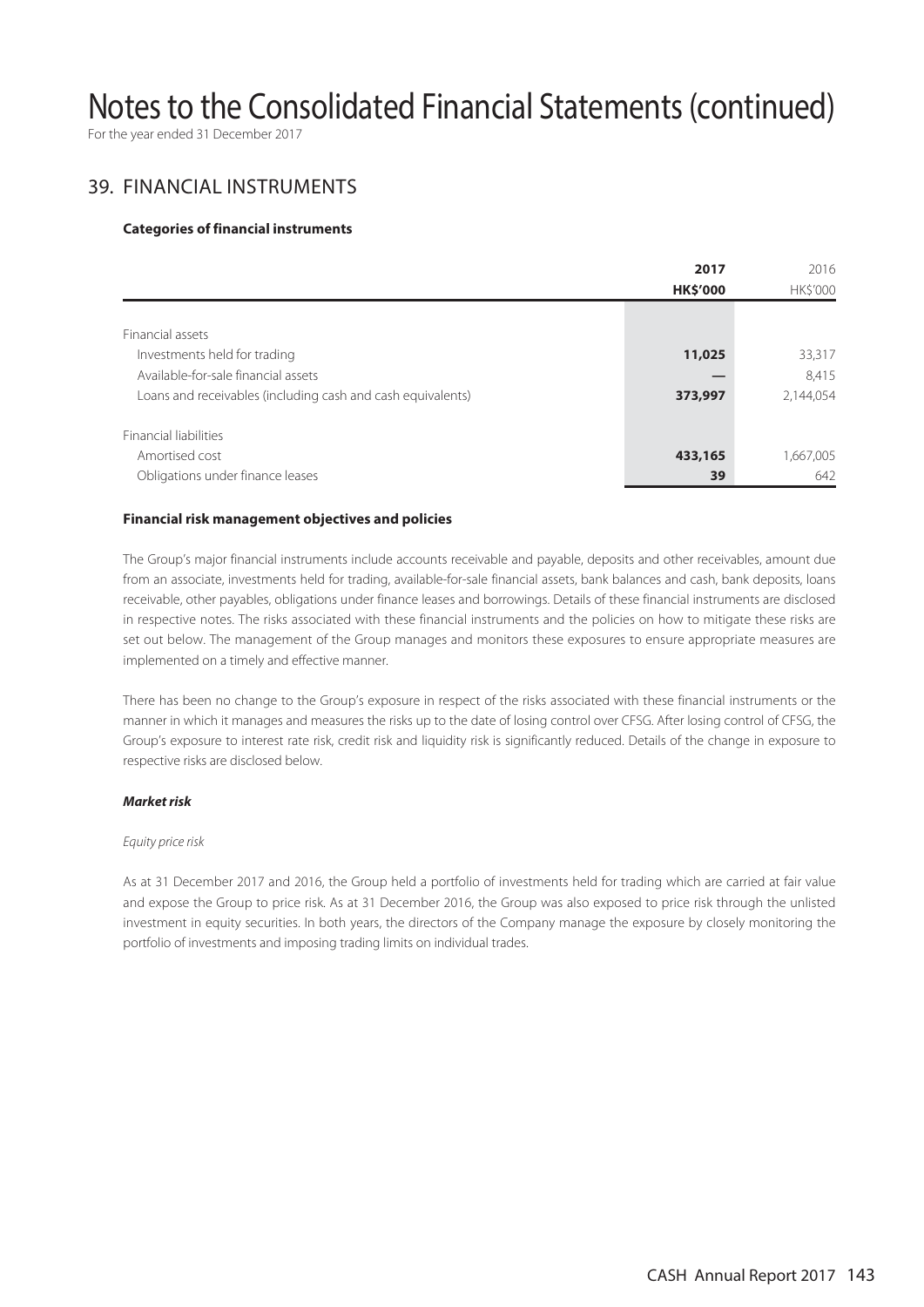For the year ended 31 December 2017

### 39. FINANCIAL INSTRUMENTS

#### **Categories of financial instruments**

|                                                             | 2017            | 2016           |
|-------------------------------------------------------------|-----------------|----------------|
|                                                             | <b>HK\$'000</b> | <b>HKS'000</b> |
|                                                             |                 |                |
| Financial assets                                            |                 |                |
| Investments held for trading                                | 11,025          | 33,317         |
| Available-for-sale financial assets                         |                 | 8,415          |
| Loans and receivables (including cash and cash equivalents) | 373,997         | 2,144,054      |
|                                                             |                 |                |
| <b>Financial liabilities</b>                                |                 |                |
| Amortised cost                                              | 433,165         | 1,667,005      |
| Obligations under finance leases                            | 39              | 642            |

#### **Financial risk management objectives and policies**

The Group's major financial instruments include accounts receivable and payable, deposits and other receivables, amount due from an associate, investments held for trading, available-for-sale financial assets, bank balances and cash, bank deposits, loans receivable, other payables, obligations under finance leases and borrowings. Details of these financial instruments are disclosed in respective notes. The risks associated with these financial instruments and the policies on how to mitigate these risks are set out below. The management of the Group manages and monitors these exposures to ensure appropriate measures are implemented on a timely and effective manner.

There has been no change to the Group's exposure in respect of the risks associated with these financial instruments or the manner in which it manages and measures the risks up to the date of losing control over CFSG. After losing control of CFSG, the Group's exposure to interest rate risk, credit risk and liquidity risk is significantly reduced. Details of the change in exposure to respective risks are disclosed below.

#### **Market risk**

#### Equity price risk

As at 31 December 2017 and 2016, the Group held a portfolio of investments held for trading which are carried at fair value and expose the Group to price risk. As at 31 December 2016, the Group was also exposed to price risk through the unlisted investment in equity securities. In both years, the directors of the Company manage the exposure by closely monitoring the portfolio of investments and imposing trading limits on individual trades.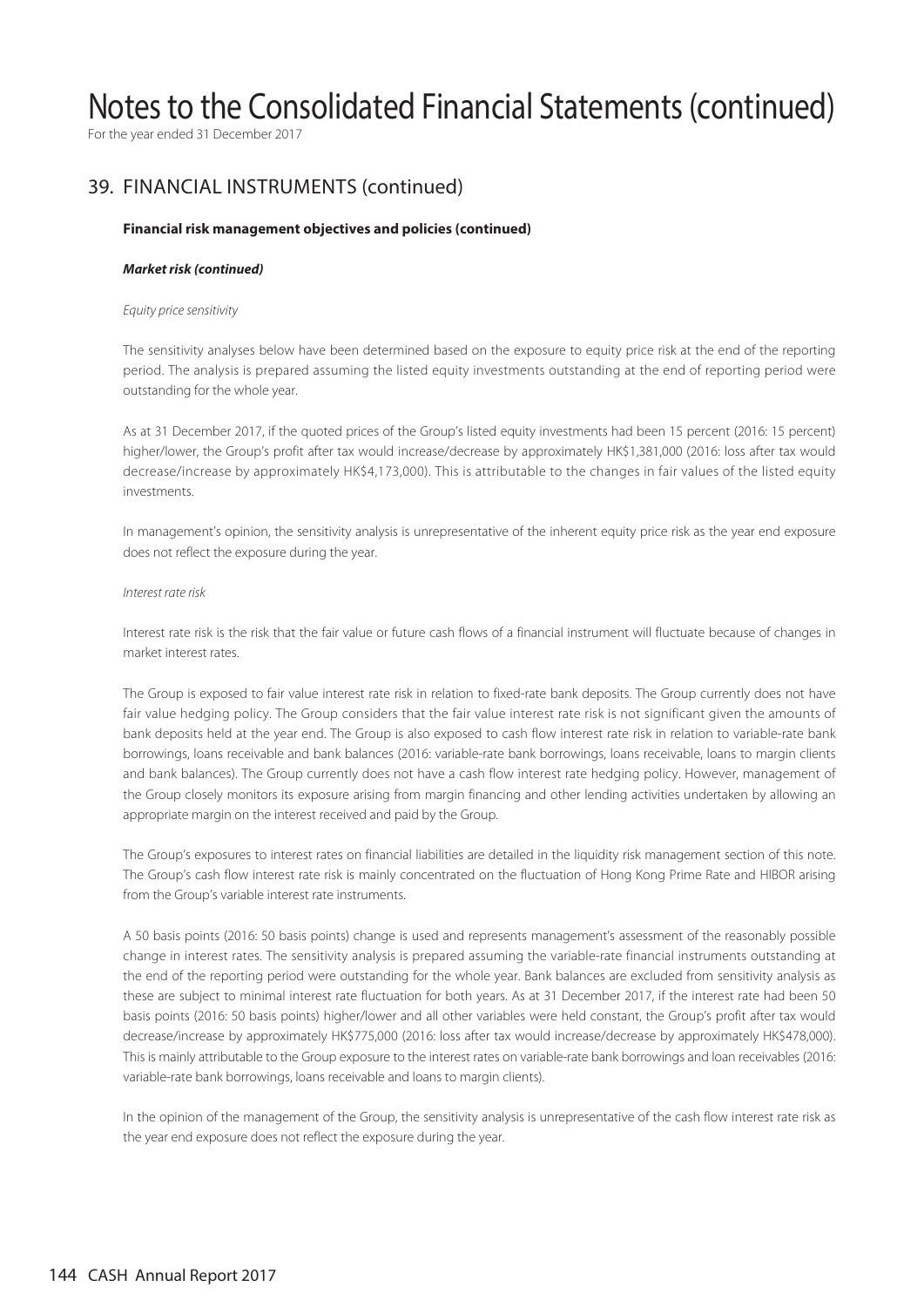For the year ended 31 December 2017

### 39. FINANCIAL INSTRUMENTS (continued)

### **Financial risk management objectives and policies (continued)**

#### **Market risk (continued)**

#### Equity price sensitivity

The sensitivity analyses below have been determined based on the exposure to equity price risk at the end of the reporting period. The analysis is prepared assuming the listed equity investments outstanding at the end of reporting period were outstanding for the whole year.

As at 31 December 2017, if the quoted prices of the Group's listed equity investments had been 15 percent (2016: 15 percent) higher/lower, the Group's profit after tax would increase/decrease by approximately HK\$1,381,000 (2016: loss after tax would decrease/increase by approximately HK\$4,173,000). This is attributable to the changes in fair values of the listed equity investments.

In management's opinion, the sensitivity analysis is unrepresentative of the inherent equity price risk as the year end exposure does not reflect the exposure during the year.

#### Interest rate risk

Interest rate risk is the risk that the fair value or future cash flows of a financial instrument will fluctuate because of changes in market interest rates.

The Group is exposed to fair value interest rate risk in relation to fixed-rate bank deposits. The Group currently does not have fair value hedging policy. The Group considers that the fair value interest rate risk is not significant given the amounts of bank deposits held at the year end. The Group is also exposed to cash flow interest rate risk in relation to variable-rate bank borrowings, loans receivable and bank balances (2016: variable-rate bank borrowings, loans receivable, loans to margin clients and bank balances). The Group currently does not have a cash flow interest rate hedging policy. However, management of the Group closely monitors its exposure arising from margin financing and other lending activities undertaken by allowing an appropriate margin on the interest received and paid by the Group.

The Group's exposures to interest rates on financial liabilities are detailed in the liquidity risk management section of this note. The Group's cash flow interest rate risk is mainly concentrated on the fluctuation of Hong Kong Prime Rate and HIBOR arising from the Group's variable interest rate instruments.

A 50 basis points (2016: 50 basis points) change is used and represents management's assessment of the reasonably possible change in interest rates. The sensitivity analysis is prepared assuming the variable-rate financial instruments outstanding at the end of the reporting period were outstanding for the whole year. Bank balances are excluded from sensitivity analysis as these are subject to minimal interest rate fluctuation for both years. As at 31 December 2017, if the interest rate had been 50 basis points (2016: 50 basis points) higher/lower and all other variables were held constant, the Group's profit after tax would decrease/increase by approximately HK\$775,000 (2016: loss after tax would increase/decrease by approximately HK\$478,000). This is mainly attributable to the Group exposure to the interest rates on variable-rate bank borrowings and loan receivables (2016: variable-rate bank borrowings, loans receivable and loans to margin clients).

In the opinion of the management of the Group, the sensitivity analysis is unrepresentative of the cash flow interest rate risk as the year end exposure does not reflect the exposure during the year.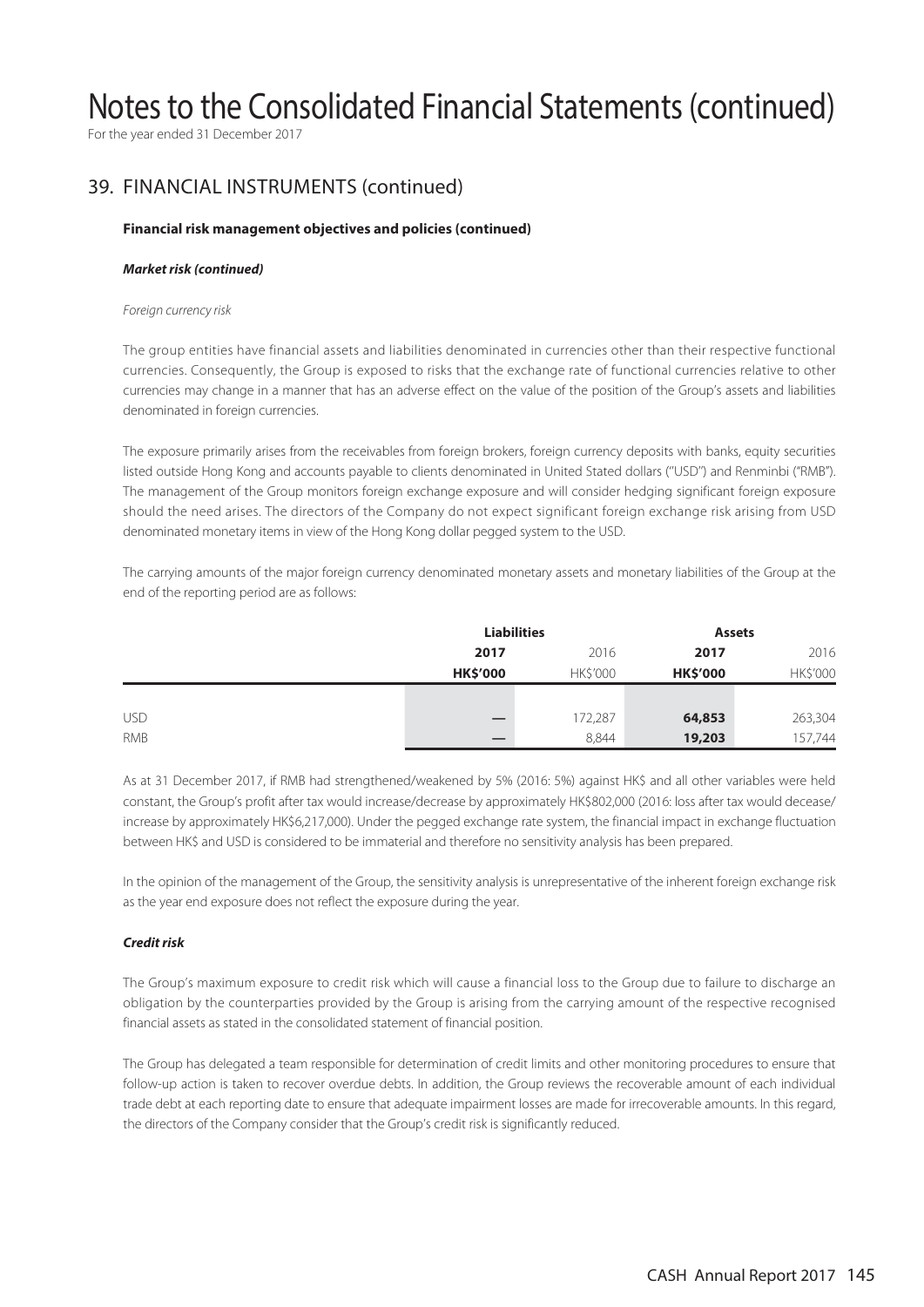For the year ended 31 December 2017

### 39. FINANCIAL INSTRUMENTS (continued)

### **Financial risk management objectives and policies (continued)**

#### **Market risk (continued)**

#### Foreign currency risk

The group entities have financial assets and liabilities denominated in currencies other than their respective functional currencies. Consequently, the Group is exposed to risks that the exchange rate of functional currencies relative to other currencies may change in a manner that has an adverse effect on the value of the position of the Group's assets and liabilities denominated in foreign currencies.

The exposure primarily arises from the receivables from foreign brokers, foreign currency deposits with banks, equity securities listed outside Hong Kong and accounts payable to clients denominated in United Stated dollars (''USD'') and Renminbi ("RMB"). The management of the Group monitors foreign exchange exposure and will consider hedging significant foreign exposure should the need arises. The directors of the Company do not expect significant foreign exchange risk arising from USD denominated monetary items in view of the Hong Kong dollar pegged system to the USD.

The carrying amounts of the major foreign currency denominated monetary assets and monetary liabilities of the Group at the end of the reporting period are as follows:

|            |                 | <b>Liabilities</b> |                 | <b>Assets</b> |  |      |
|------------|-----------------|--------------------|-----------------|---------------|--|------|
|            | 2017            | 2016<br>2017       |                 |               |  | 2016 |
|            | <b>HK\$'000</b> | <b>HK\$'000</b>    | <b>HK\$'000</b> | HK\$'000      |  |      |
|            |                 |                    |                 |               |  |      |
| <b>USD</b> |                 | 172,287            | 64,853          | 263,304       |  |      |
| <b>RMB</b> |                 | 8,844              | 19,203          | 157,744       |  |      |

As at 31 December 2017, if RMB had strengthened/weakened by 5% (2016: 5%) against HK\$ and all other variables were held constant, the Group's profit after tax would increase/decrease by approximately HK\$802,000 (2016: loss after tax would decease/ increase by approximately HK\$6,217,000). Under the pegged exchange rate system, the financial impact in exchange fluctuation between HK\$ and USD is considered to be immaterial and therefore no sensitivity analysis has been prepared.

In the opinion of the management of the Group, the sensitivity analysis is unrepresentative of the inherent foreign exchange risk as the year end exposure does not reflect the exposure during the year.

### **Credit risk**

The Group's maximum exposure to credit risk which will cause a financial loss to the Group due to failure to discharge an obligation by the counterparties provided by the Group is arising from the carrying amount of the respective recognised financial assets as stated in the consolidated statement of financial position.

The Group has delegated a team responsible for determination of credit limits and other monitoring procedures to ensure that follow-up action is taken to recover overdue debts. In addition, the Group reviews the recoverable amount of each individual trade debt at each reporting date to ensure that adequate impairment losses are made for irrecoverable amounts. In this regard, the directors of the Company consider that the Group's credit risk is significantly reduced.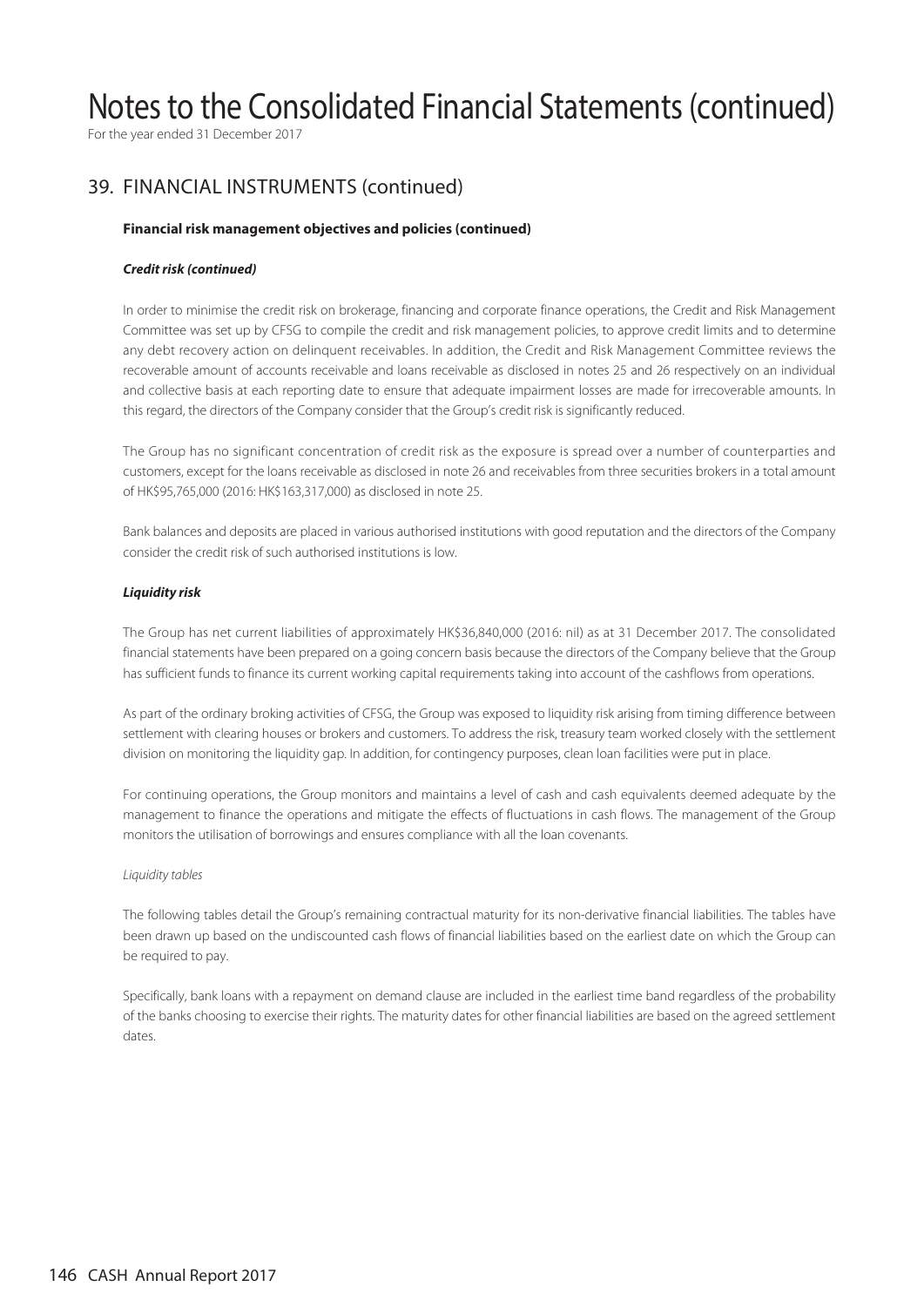For the year ended 31 December 2017

### 39. FINANCIAL INSTRUMENTS (continued)

### **Financial risk management objectives and policies (continued)**

#### **Credit risk (continued)**

In order to minimise the credit risk on brokerage, financing and corporate finance operations, the Credit and Risk Management Committee was set up by CFSG to compile the credit and risk management policies, to approve credit limits and to determine any debt recovery action on delinquent receivables. In addition, the Credit and Risk Management Committee reviews the recoverable amount of accounts receivable and loans receivable as disclosed in notes 25 and 26 respectively on an individual and collective basis at each reporting date to ensure that adequate impairment losses are made for irrecoverable amounts. In this regard, the directors of the Company consider that the Group's credit risk is significantly reduced.

The Group has no significant concentration of credit risk as the exposure is spread over a number of counterparties and customers, except for the loans receivable as disclosed in note 26 and receivables from three securities brokers in a total amount of HK\$95,765,000 (2016: HK\$163,317,000) as disclosed in note 25.

Bank balances and deposits are placed in various authorised institutions with good reputation and the directors of the Company consider the credit risk of such authorised institutions is low.

#### **Liquidity risk**

The Group has net current liabilities of approximately HK\$36,840,000 (2016: nil) as at 31 December 2017. The consolidated financial statements have been prepared on a going concern basis because the directors of the Company believe that the Group has sufficient funds to finance its current working capital requirements taking into account of the cashflows from operations.

As part of the ordinary broking activities of CFSG, the Group was exposed to liquidity risk arising from timing difference between settlement with clearing houses or brokers and customers. To address the risk, treasury team worked closely with the settlement division on monitoring the liquidity gap. In addition, for contingency purposes, clean loan facilities were put in place.

For continuing operations, the Group monitors and maintains a level of cash and cash equivalents deemed adequate by the management to finance the operations and mitigate the effects of fluctuations in cash flows. The management of the Group monitors the utilisation of borrowings and ensures compliance with all the loan covenants.

#### Liquidity tables

The following tables detail the Group's remaining contractual maturity for its non-derivative financial liabilities. The tables have been drawn up based on the undiscounted cash flows of financial liabilities based on the earliest date on which the Group can be required to pay.

Specifically, bank loans with a repayment on demand clause are included in the earliest time band regardless of the probability of the banks choosing to exercise their rights. The maturity dates for other financial liabilities are based on the agreed settlement dates.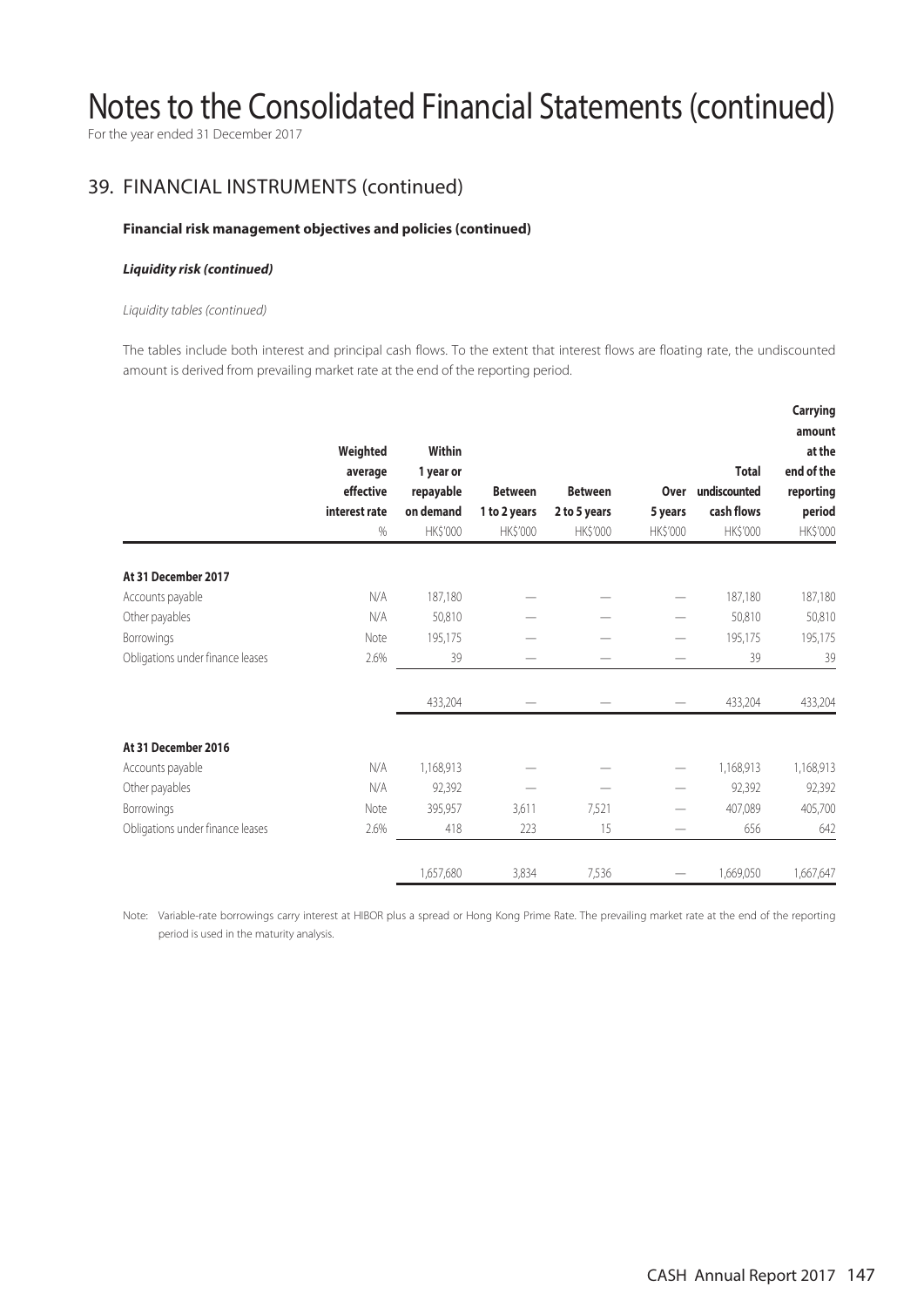For the year ended 31 December 2017

### 39. FINANCIAL INSTRUMENTS (continued)

### **Financial risk management objectives and policies (continued)**

#### **Liquidity risk (continued)**

#### Liquidity tables (continued)

The tables include both interest and principal cash flows. To the extent that interest flows are floating rate, the undiscounted amount is derived from prevailing market rate at the end of the reporting period.

|                                  | Weighted<br>average<br>effective<br>interest rate<br>% | Within<br>1 year or<br>repayable<br>on demand<br>HK\$'000 | <b>Between</b><br>1 to 2 years<br>HK\$'000 | <b>Between</b><br>2 to 5 years<br>HK\$'000 | Over<br>5 years<br>HK\$'000 | <b>Total</b><br>undiscounted<br>cash flows<br>HK\$'000 | <b>Carrying</b><br>amount<br>at the<br>end of the<br>reporting<br>period<br>HK\$'000 |
|----------------------------------|--------------------------------------------------------|-----------------------------------------------------------|--------------------------------------------|--------------------------------------------|-----------------------------|--------------------------------------------------------|--------------------------------------------------------------------------------------|
| At 31 December 2017              |                                                        |                                                           |                                            |                                            |                             |                                                        |                                                                                      |
| Accounts payable                 | N/A                                                    | 187,180                                                   |                                            |                                            |                             | 187,180                                                | 187,180                                                                              |
| Other payables                   | N/A                                                    | 50,810                                                    |                                            |                                            |                             | 50,810                                                 | 50,810                                                                               |
| Borrowings                       | Note                                                   | 195,175                                                   |                                            |                                            |                             | 195,175                                                | 195,175                                                                              |
| Obligations under finance leases | 2.6%                                                   | 39                                                        |                                            |                                            |                             | 39                                                     | 39                                                                                   |
|                                  |                                                        | 433,204                                                   |                                            |                                            |                             | 433,204                                                | 433,204                                                                              |
| At 31 December 2016              |                                                        |                                                           |                                            |                                            |                             |                                                        |                                                                                      |
| Accounts payable                 | N/A                                                    | 1,168,913                                                 |                                            |                                            |                             | 1,168,913                                              | 1,168,913                                                                            |
| Other payables                   | N/A                                                    | 92,392                                                    |                                            |                                            |                             | 92,392                                                 | 92,392                                                                               |
| Borrowings                       | Note                                                   | 395,957                                                   | 3,611                                      | 7,521                                      |                             | 407,089                                                | 405,700                                                                              |
| Obligations under finance leases | 2.6%                                                   | 418                                                       | 223                                        | 15                                         | -                           | 656                                                    | 642                                                                                  |
|                                  |                                                        | 1,657,680                                                 | 3,834                                      | 7,536                                      |                             | 1,669,050                                              | 1,667,647                                                                            |

Note: Variable-rate borrowings carry interest at HIBOR plus a spread or Hong Kong Prime Rate. The prevailing market rate at the end of the reporting period is used in the maturity analysis.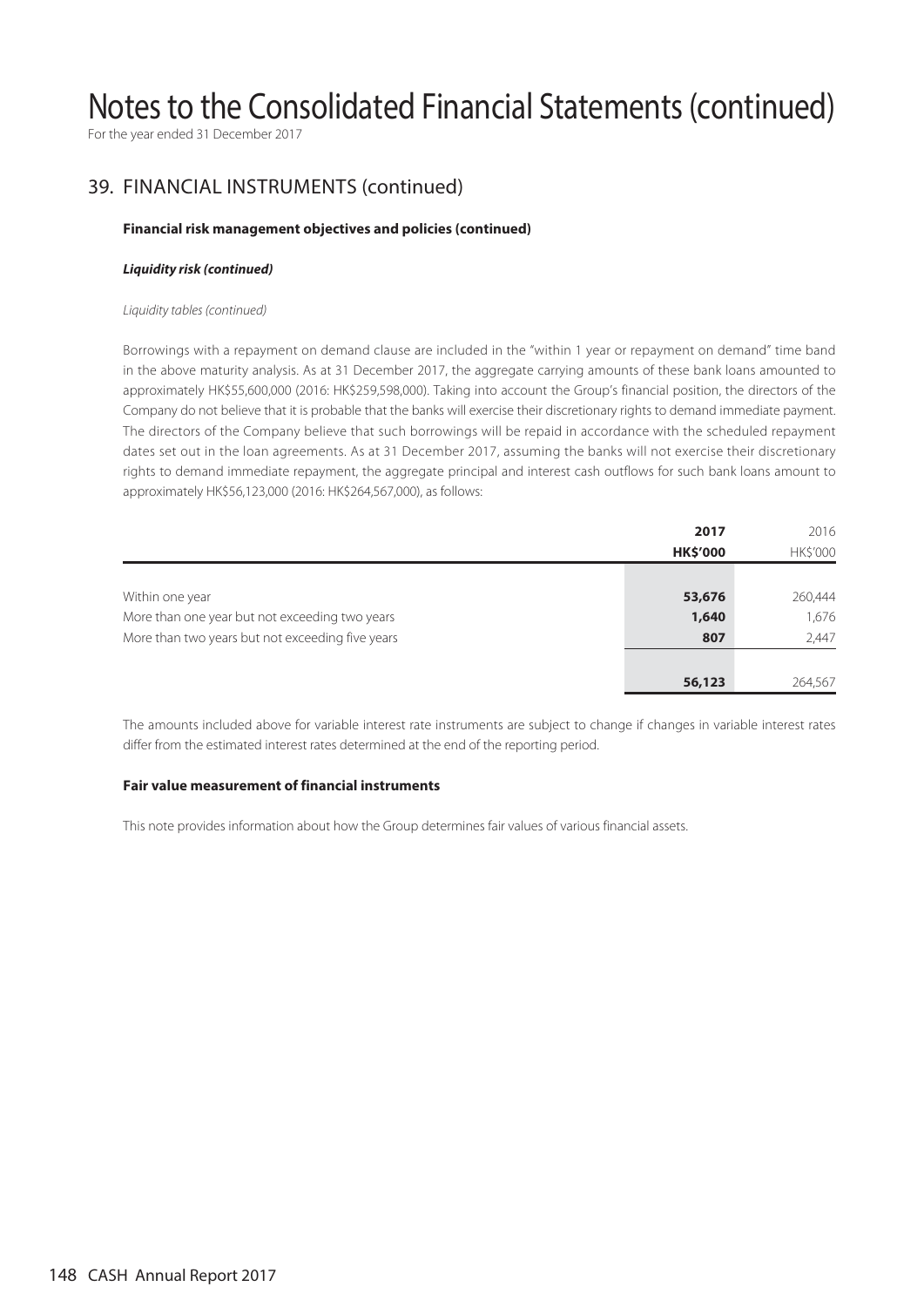For the year ended 31 December 2017

## 39. FINANCIAL INSTRUMENTS (continued)

### **Financial risk management objectives and policies (continued)**

#### **Liquidity risk (continued)**

#### Liquidity tables (continued)

Borrowings with a repayment on demand clause are included in the "within 1 year or repayment on demand" time band in the above maturity analysis. As at 31 December 2017, the aggregate carrying amounts of these bank loans amounted to approximately HK\$55,600,000 (2016: HK\$259,598,000). Taking into account the Group's financial position, the directors of the Company do not believe that it is probable that the banks will exercise their discretionary rights to demand immediate payment. The directors of the Company believe that such borrowings will be repaid in accordance with the scheduled repayment dates set out in the loan agreements. As at 31 December 2017, assuming the banks will not exercise their discretionary rights to demand immediate repayment, the aggregate principal and interest cash outflows for such bank loans amount to approximately HK\$56,123,000 (2016: HK\$264,567,000), as follows:

|                                                  | 2017            | 2016     |
|--------------------------------------------------|-----------------|----------|
|                                                  | <b>HK\$'000</b> | HK\$'000 |
|                                                  |                 |          |
| Within one year                                  | 53,676          | 260,444  |
| More than one year but not exceeding two years   | 1,640           | 1,676    |
| More than two years but not exceeding five years | 807             | 2,447    |
|                                                  |                 |          |
|                                                  | 56,123          | 264,567  |

The amounts included above for variable interest rate instruments are subject to change if changes in variable interest rates differ from the estimated interest rates determined at the end of the reporting period.

### **Fair value measurement of financial instruments**

This note provides information about how the Group determines fair values of various financial assets.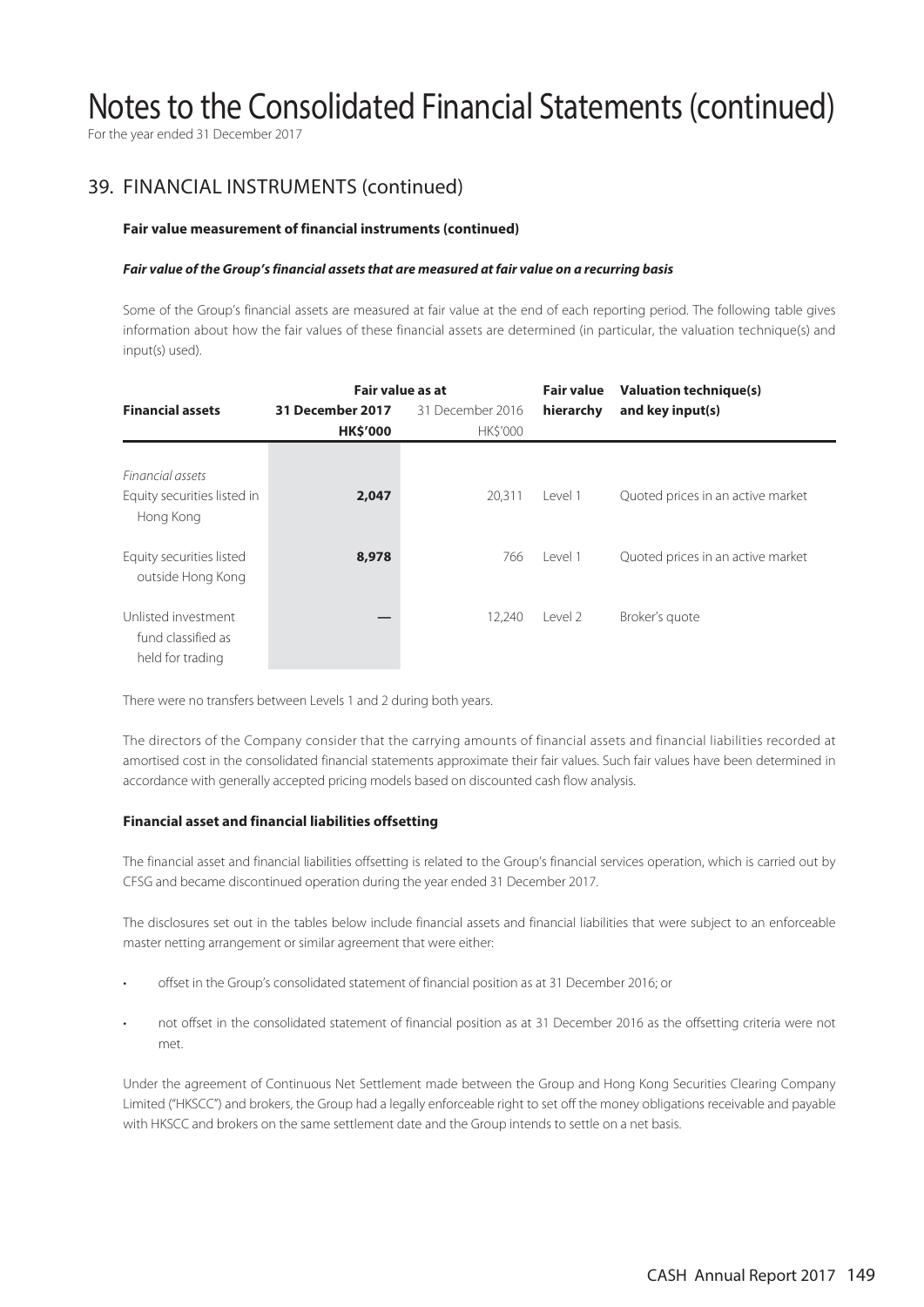For the year ended 31 December 2017

## 39. FINANCIAL INSTRUMENTS (continued)

### **Fair value measurement of financial instruments (continued)**

#### **Fair value of the Group's financial assets that are measured at fair value on a recurring basis**

Some of the Group's financial assets are measured at fair value at the end of each reporting period. The following table gives information about how the fair values of these financial assets are determined (in particular, the valuation technique(s) and input(s) used).

|                                                               | Fair value as at                    |                              | <b>Fair value</b> | <b>Valuation technique(s)</b>     |  |
|---------------------------------------------------------------|-------------------------------------|------------------------------|-------------------|-----------------------------------|--|
| <b>Financial assets</b>                                       | 31 December 2017<br><b>HK\$'000</b> | 31 December 2016<br>HK\$'000 | hierarchy         | and key input(s)                  |  |
| Financial assets<br>Equity securities listed in<br>Hong Kong  | 2,047                               | 20,311                       | Level 1           | Quoted prices in an active market |  |
| Equity securities listed<br>outside Hong Kong                 | 8,978                               | 766                          | Level 1           | Quoted prices in an active market |  |
| Unlisted investment<br>fund classified as<br>held for trading |                                     | 12.240                       | Level 2           | Broker's quote                    |  |

There were no transfers between Levels 1 and 2 during both years.

The directors of the Company consider that the carrying amounts of financial assets and financial liabilities recorded at amortised cost in the consolidated financial statements approximate their fair values. Such fair values have been determined in accordance with generally accepted pricing models based on discounted cash flow analysis.

#### **Financial asset and financial liabilities offsetting**

The financial asset and financial liabilities offsetting is related to the Group's financial services operation, which is carried out by CFSG and became discontinued operation during the year ended 31 December 2017.

The disclosures set out in the tables below include financial assets and financial liabilities that were subject to an enforceable master netting arrangement or similar agreement that were either:

- offset in the Group's consolidated statement of financial position as at 31 December 2016; or
- not offset in the consolidated statement of financial position as at 31 December 2016 as the offsetting criteria were not met.

Under the agreement of Continuous Net Settlement made between the Group and Hong Kong Securities Clearing Company Limited ("HKSCC") and brokers, the Group had a legally enforceable right to set off the money obligations receivable and payable with HKSCC and brokers on the same settlement date and the Group intends to settle on a net basis.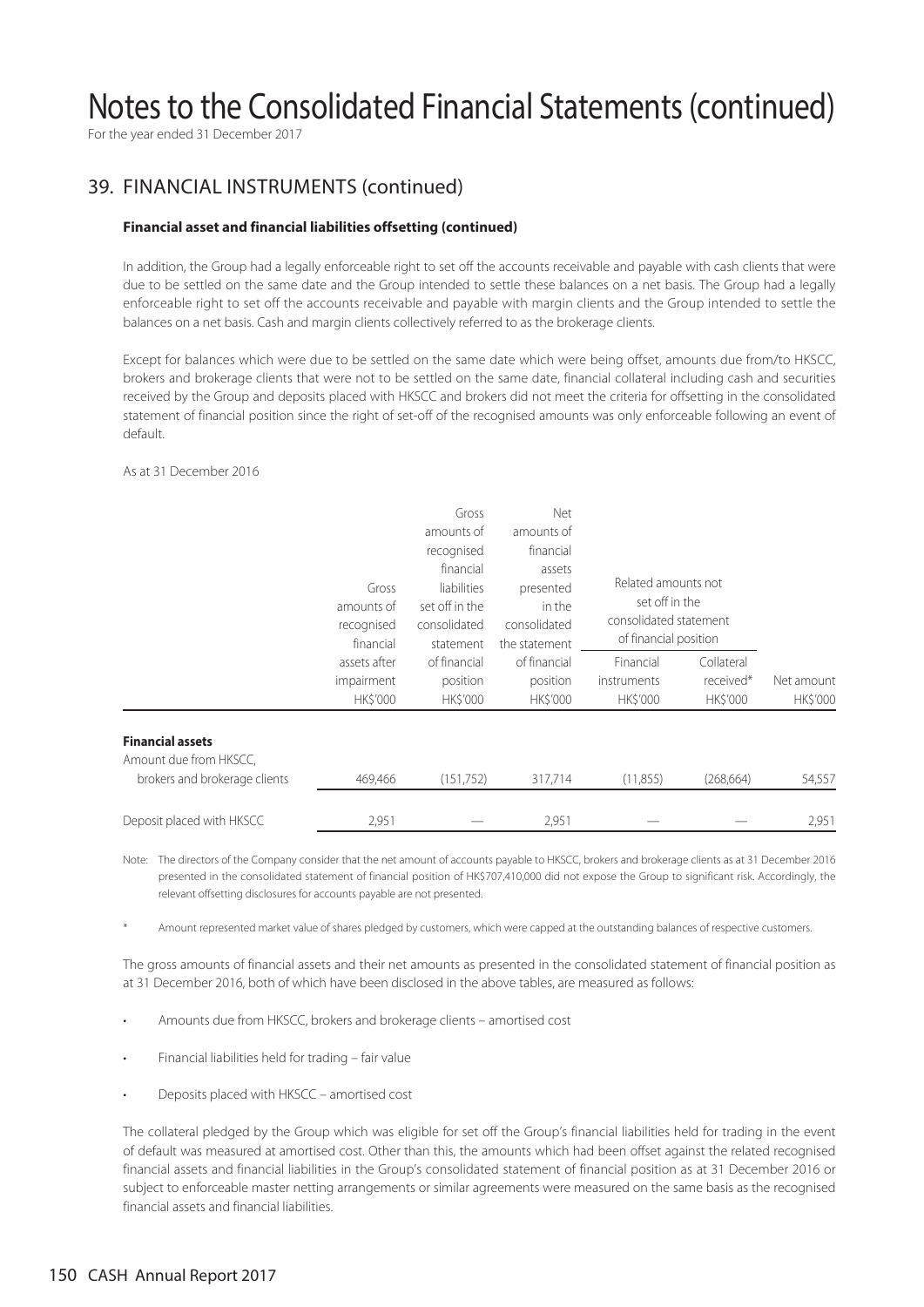For the year ended 31 December 2017

### 39. FINANCIAL INSTRUMENTS (continued)

### **Financial asset and financial liabilities offsetting (continued)**

In addition, the Group had a legally enforceable right to set off the accounts receivable and payable with cash clients that were due to be settled on the same date and the Group intended to settle these balances on a net basis. The Group had a legally enforceable right to set off the accounts receivable and payable with margin clients and the Group intended to settle the balances on a net basis. Cash and margin clients collectively referred to as the brokerage clients.

Except for balances which were due to be settled on the same date which were being offset, amounts due from/to HKSCC, brokers and brokerage clients that were not to be settled on the same date, financial collateral including cash and securities received by the Group and deposits placed with HKSCC and brokers did not meet the criteria for offsetting in the consolidated statement of financial position since the right of set-off of the recognised amounts was only enforceable following an event of default.

As at 31 December 2016

|                                                         |              | Gross          | Net            |                                                 |            |            |
|---------------------------------------------------------|--------------|----------------|----------------|-------------------------------------------------|------------|------------|
|                                                         |              | amounts of     | amounts of     |                                                 |            |            |
|                                                         |              | recognised     | financial      |                                                 |            |            |
|                                                         |              | financial      | assets         |                                                 |            |            |
|                                                         | Gross        | liabilities    | presented      | Related amounts not                             |            |            |
|                                                         | amounts of   | set off in the | in the         | set off in the                                  |            |            |
|                                                         | recognised   | consolidated   | consolidated   | consolidated statement<br>of financial position |            |            |
|                                                         | financial    | statement      | the statement  |                                                 |            |            |
|                                                         | assets after | of financial   | of financial   | Financial                                       | Collateral |            |
|                                                         | impairment   | position       | position       | instruments                                     | received*  | Net amount |
|                                                         | HK\$'000     | HK\$'000       | <b>HKS'000</b> | HK\$'000                                        | HK\$'000   | HK\$'000   |
| <b>Financial assets</b>                                 |              |                |                |                                                 |            |            |
| Amount due from HKSCC,<br>brokers and brokerage clients | 469,466      | (151, 752)     | 317,714        | (11, 855)                                       | (268, 664) | 54,557     |
|                                                         |              |                |                |                                                 |            |            |
| Deposit placed with HKSCC                               | 2,951        |                | 2,951          |                                                 |            | 2,951      |

Note: The directors of the Company consider that the net amount of accounts payable to HKSCC, brokers and brokerage clients as at 31 December 2016 presented in the consolidated statement of financial position of HK\$707,410,000 did not expose the Group to significant risk. Accordingly, the relevant offsetting disclosures for accounts payable are not presented.

Amount represented market value of shares pledged by customers, which were capped at the outstanding balances of respective customers.

The gross amounts of financial assets and their net amounts as presented in the consolidated statement of financial position as at 31 December 2016, both of which have been disclosed in the above tables, are measured as follows:

- Amounts due from HKSCC, brokers and brokerage clients amortised cost
- Financial liabilities held for trading fair value
- Deposits placed with HKSCC amortised cost

The collateral pledged by the Group which was eligible for set off the Group's financial liabilities held for trading in the event of default was measured at amortised cost. Other than this, the amounts which had been offset against the related recognised financial assets and financial liabilities in the Group's consolidated statement of financial position as at 31 December 2016 or subject to enforceable master netting arrangements or similar agreements were measured on the same basis as the recognised financial assets and financial liabilities.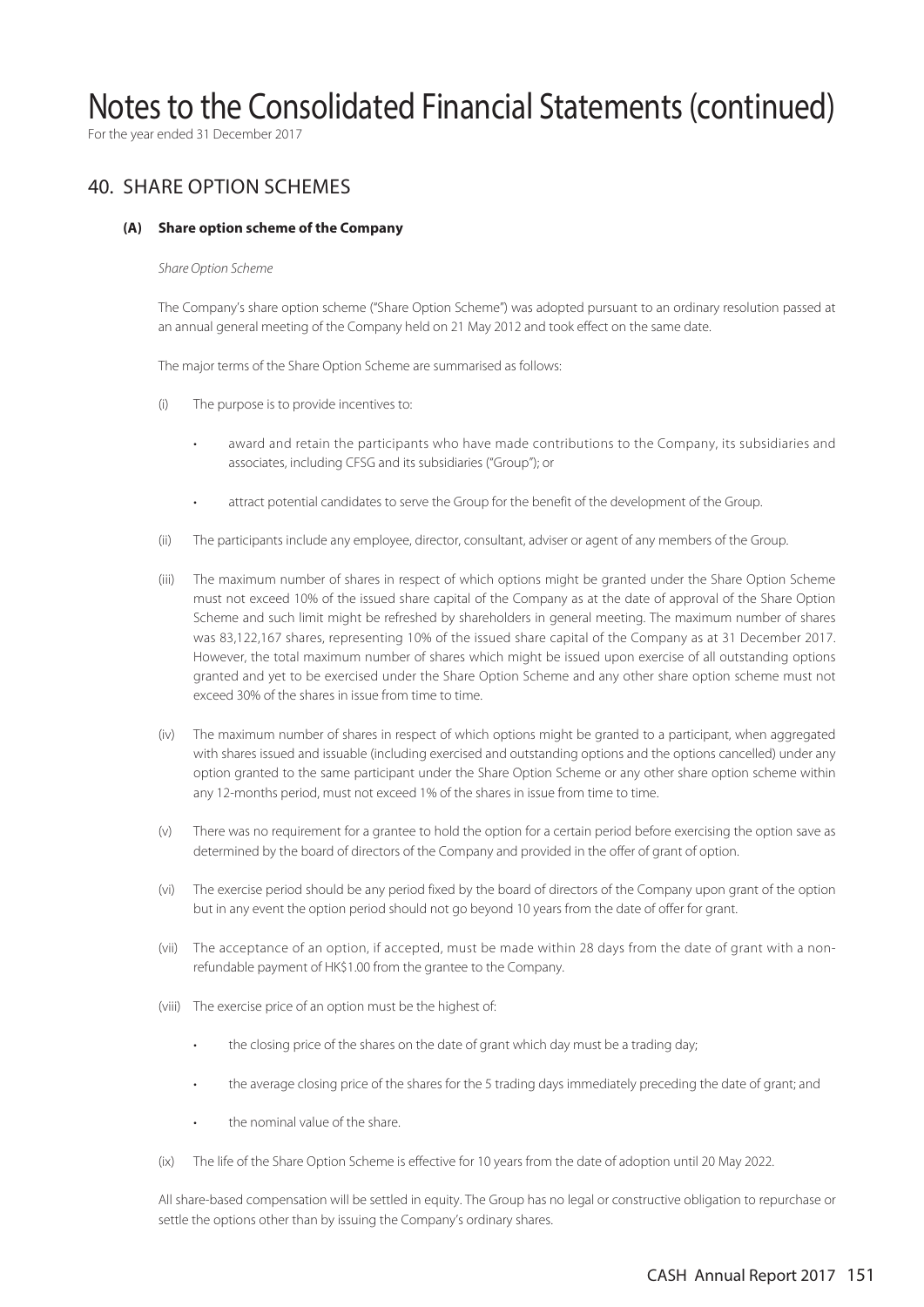For the year ended 31 December 2017

### 40. SHARE OPTION SCHEMES

### **(A) Share option scheme of the Company**

#### Share Option Scheme

The Company's share option scheme ("Share Option Scheme") was adopted pursuant to an ordinary resolution passed at an annual general meeting of the Company held on 21 May 2012 and took effect on the same date.

The major terms of the Share Option Scheme are summarised as follows:

- (i) The purpose is to provide incentives to:
	- award and retain the participants who have made contributions to the Company, its subsidiaries and associates, including CFSG and its subsidiaries ("Group"); or
	- attract potential candidates to serve the Group for the benefit of the development of the Group.
- (ii) The participants include any employee, director, consultant, adviser or agent of any members of the Group.
- (iii) The maximum number of shares in respect of which options might be granted under the Share Option Scheme must not exceed 10% of the issued share capital of the Company as at the date of approval of the Share Option Scheme and such limit might be refreshed by shareholders in general meeting. The maximum number of shares was 83,122,167 shares, representing 10% of the issued share capital of the Company as at 31 December 2017. However, the total maximum number of shares which might be issued upon exercise of all outstanding options granted and yet to be exercised under the Share Option Scheme and any other share option scheme must not exceed 30% of the shares in issue from time to time.
- (iv) The maximum number of shares in respect of which options might be granted to a participant, when aggregated with shares issued and issuable (including exercised and outstanding options and the options cancelled) under any option granted to the same participant under the Share Option Scheme or any other share option scheme within any 12-months period, must not exceed 1% of the shares in issue from time to time.
- (v) There was no requirement for a grantee to hold the option for a certain period before exercising the option save as determined by the board of directors of the Company and provided in the offer of grant of option.
- (vi) The exercise period should be any period fixed by the board of directors of the Company upon grant of the option but in any event the option period should not go beyond 10 years from the date of offer for grant.
- (vii) The acceptance of an option, if accepted, must be made within 28 days from the date of grant with a nonrefundable payment of HK\$1.00 from the grantee to the Company.
- (viii) The exercise price of an option must be the highest of:
	- the closing price of the shares on the date of grant which day must be a trading day;
	- the average closing price of the shares for the 5 trading days immediately preceding the date of grant; and
	- the nominal value of the share.
- (ix) The life of the Share Option Scheme is effective for 10 years from the date of adoption until 20 May 2022.

All share-based compensation will be settled in equity. The Group has no legal or constructive obligation to repurchase or settle the options other than by issuing the Company's ordinary shares.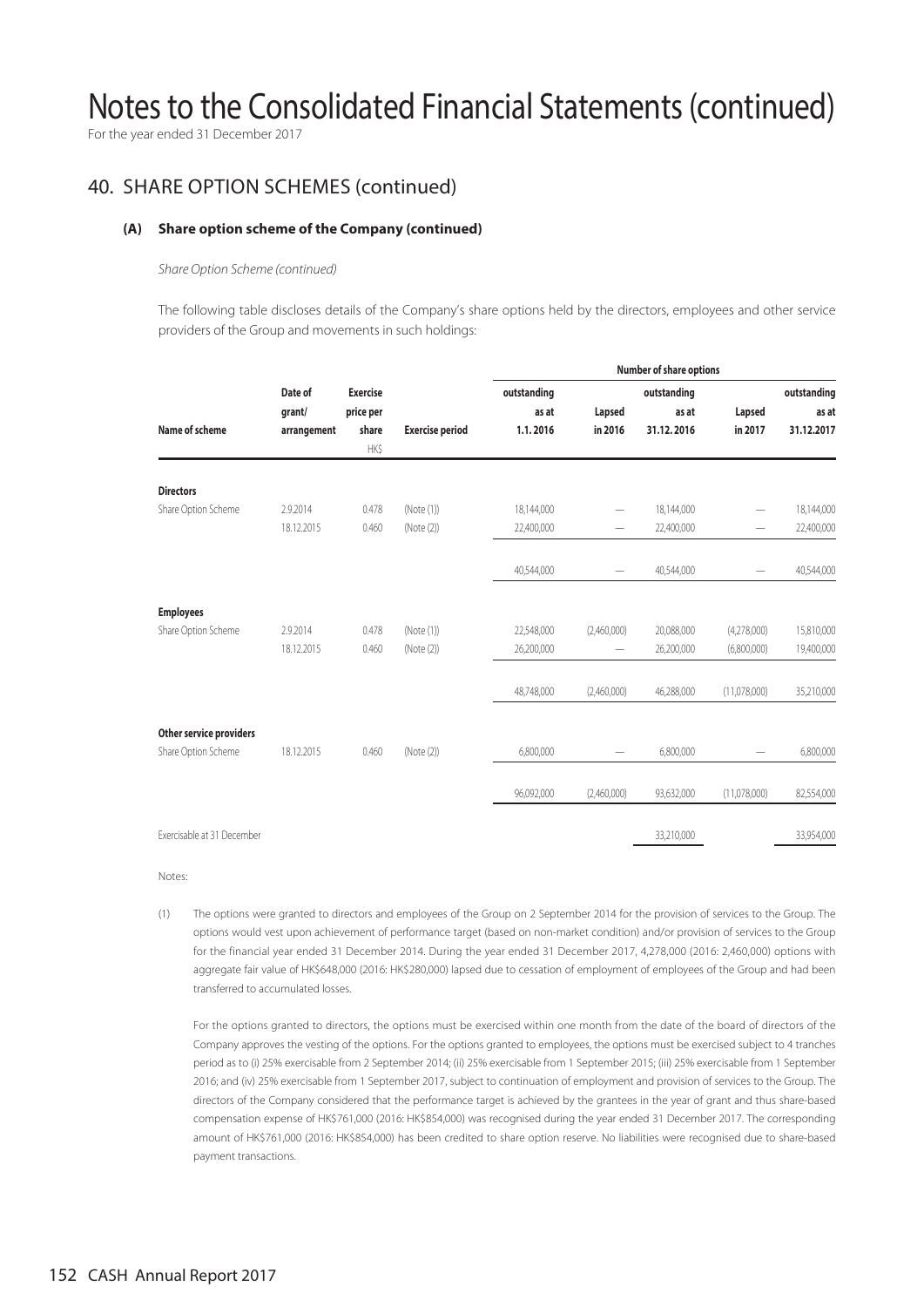For the year ended 31 December 2017

### 40. SHARE OPTION SCHEMES (continued)

#### **(A) Share option scheme of the Company (continued)**

#### Share Option Scheme (continued)

The following table discloses details of the Company's share options held by the directors, employees and other service providers of the Group and movements in such holdings:

|                            |             |                 |                        |             |                          | <b>Number of share options</b> |                 |             |
|----------------------------|-------------|-----------------|------------------------|-------------|--------------------------|--------------------------------|-----------------|-------------|
|                            | Date of     | <b>Exercise</b> |                        | outstanding |                          | outstanding                    |                 | outstanding |
|                            | grant/      | price per       |                        | as at       | Lapsed                   | as at                          | Lapsed          | as at       |
| <b>Name of scheme</b>      | arrangement | share           | <b>Exercise period</b> | 1.1.2016    | in 2016                  | 31.12.2016                     | in 2017         | 31.12.2017  |
|                            |             | HK\$            |                        |             |                          |                                |                 |             |
| <b>Directors</b>           |             |                 |                        |             |                          |                                |                 |             |
| Share Option Scheme        | 2.9.2014    | 0.478           | (Note(1))              | 18,144,000  | $\overline{\phantom{0}}$ | 18,144,000                     |                 | 18,144,000  |
|                            | 18.12.2015  | 0.460           | (Note (2))             | 22,400,000  | $\overline{\phantom{0}}$ | 22,400,000                     | $\qquad \qquad$ | 22,400,000  |
|                            |             |                 |                        |             |                          |                                |                 |             |
|                            |             |                 |                        | 40,544,000  |                          | 40,544,000                     | $\qquad \qquad$ | 40,544,000  |
| <b>Employees</b>           |             |                 |                        |             |                          |                                |                 |             |
| Share Option Scheme        | 2.9.2014    | 0.478           | (Note(1))              | 22,548,000  | (2,460,000)              | 20,088,000                     | (4,278,000)     | 15,810,000  |
|                            | 18.12.2015  | 0.460           | (Note (2))             | 26,200,000  |                          | 26,200,000                     | (6,800,000)     | 19,400,000  |
|                            |             |                 |                        |             |                          |                                |                 |             |
|                            |             |                 |                        | 48,748,000  | (2,460,000)              | 46,288,000                     | (11,078,000)    | 35,210,000  |
| Other service providers    |             |                 |                        |             |                          |                                |                 |             |
| Share Option Scheme        | 18.12.2015  | 0.460           | (Note (2))             | 6,800,000   |                          | 6,800,000                      |                 | 6,800,000   |
|                            |             |                 |                        |             |                          |                                |                 |             |
|                            |             |                 |                        | 96,092,000  | (2,460,000)              | 93,632,000                     | (11,078,000)    | 82,554,000  |
| Exercisable at 31 December |             |                 |                        |             |                          | 33,210,000                     |                 | 33,954,000  |
|                            |             |                 |                        |             |                          |                                |                 |             |

Notes:

(1) The options were granted to directors and employees of the Group on 2 September 2014 for the provision of services to the Group. The options would vest upon achievement of performance target (based on non-market condition) and/or provision of services to the Group for the financial year ended 31 December 2014. During the year ended 31 December 2017, 4,278,000 (2016: 2,460,000) options with aggregate fair value of HK\$648,000 (2016: HK\$280,000) lapsed due to cessation of employment of employees of the Group and had been transferred to accumulated losses.

For the options granted to directors, the options must be exercised within one month from the date of the board of directors of the Company approves the vesting of the options. For the options granted to employees, the options must be exercised subject to 4 tranches period as to (i) 25% exercisable from 2 September 2014; (ii) 25% exercisable from 1 September 2015; (iii) 25% exercisable from 1 September 2016; and (iv) 25% exercisable from 1 September 2017, subject to continuation of employment and provision of services to the Group. The directors of the Company considered that the performance target is achieved by the grantees in the year of grant and thus share-based compensation expense of HK\$761,000 (2016: HK\$854,000) was recognised during the year ended 31 December 2017. The corresponding amount of HK\$761,000 (2016: HK\$854,000) has been credited to share option reserve. No liabilities were recognised due to share-based payment transactions.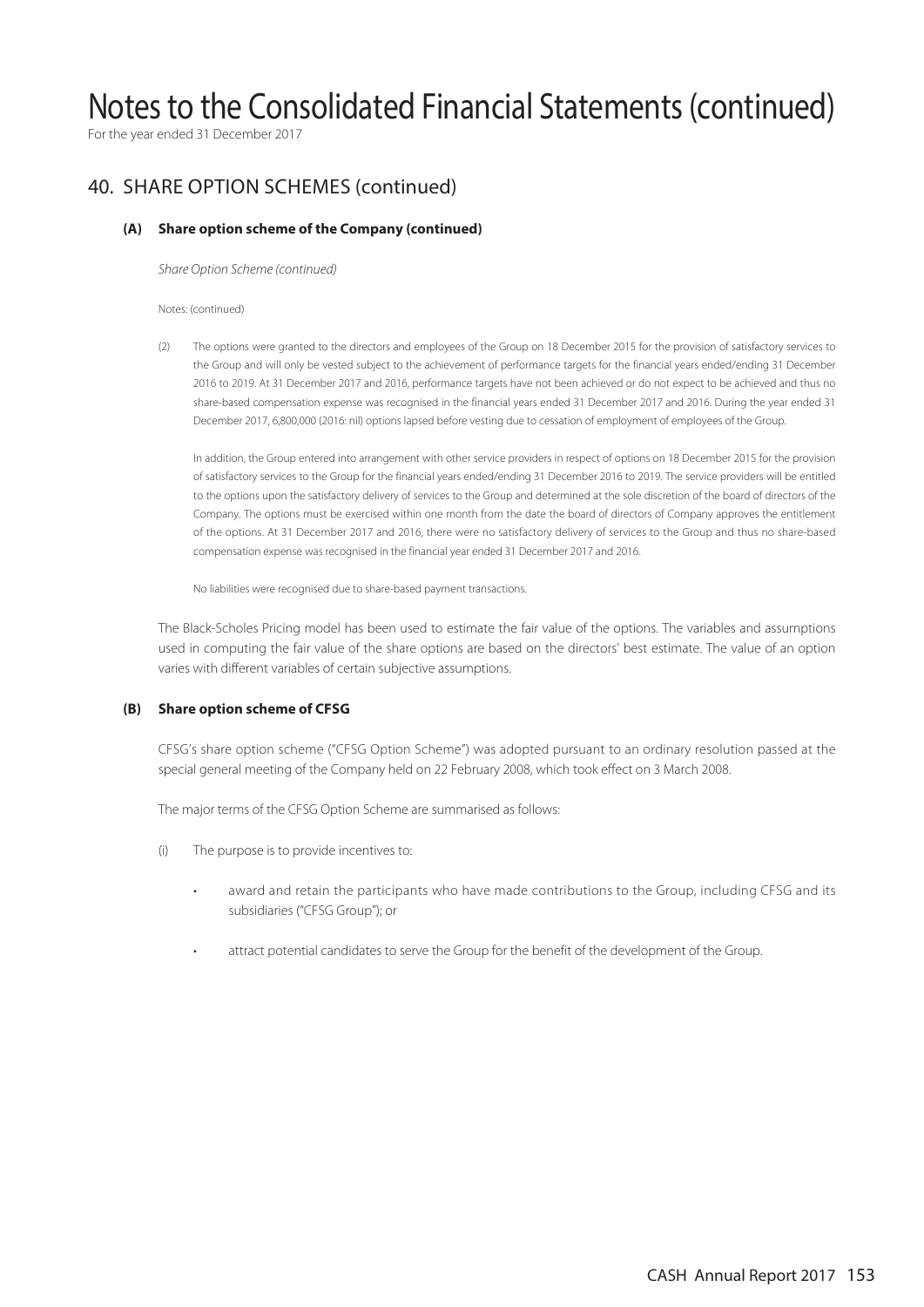For the year ended 31 December 2017

## 40. SHARE OPTION SCHEMES (continued)

### **(A) Share option scheme of the Company (continued)**

Share Option Scheme (continued)

#### Notes: (continued)

(2) The options were granted to the directors and employees of the Group on 18 December 2015 for the provision of satisfactory services to the Group and will only be vested subject to the achievement of performance targets for the financial years ended/ending 31 December 2016 to 2019. At 31 December 2017 and 2016, performance targets have not been achieved or do not expect to be achieved and thus no share-based compensation expense was recognised in the financial years ended 31 December 2017 and 2016. During the year ended 31 December 2017, 6,800,000 (2016: nil) options lapsed before vesting due to cessation of employment of employees of the Group.

In addition, the Group entered into arrangement with other service providers in respect of options on 18 December 2015 for the provision of satisfactory services to the Group for the financial years ended/ending 31 December 2016 to 2019. The service providers will be entitled to the options upon the satisfactory delivery of services to the Group and determined at the sole discretion of the board of directors of the Company. The options must be exercised within one month from the date the board of directors of Company approves the entitlement of the options. At 31 December 2017 and 2016, there were no satisfactory delivery of services to the Group and thus no share-based compensation expense was recognised in the financial year ended 31 December 2017 and 2016.

No liabilities were recognised due to share-based payment transactions.

The Black-Scholes Pricing model has been used to estimate the fair value of the options. The variables and assumptions used in computing the fair value of the share options are based on the directors' best estimate. The value of an option varies with different variables of certain subjective assumptions.

#### **(B) Share option scheme of CFSG**

CFSG's share option scheme ("CFSG Option Scheme") was adopted pursuant to an ordinary resolution passed at the special general meeting of the Company held on 22 February 2008, which took effect on 3 March 2008.

The major terms of the CFSG Option Scheme are summarised as follows:

- (i) The purpose is to provide incentives to:
	- award and retain the participants who have made contributions to the Group, including CFSG and its subsidiaries ("CFSG Group"); or
	- attract potential candidates to serve the Group for the benefit of the development of the Group.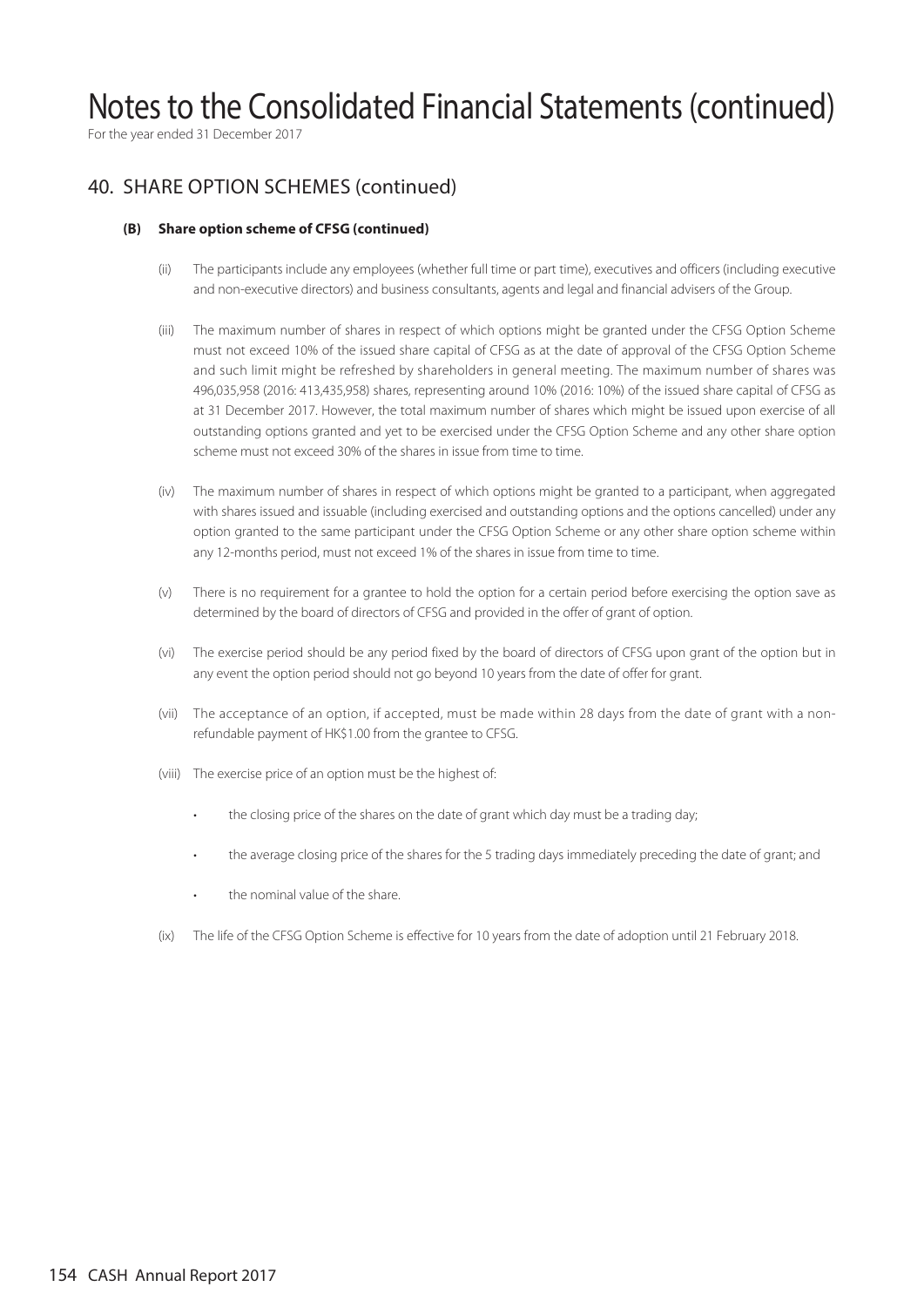For the year ended 31 December 2017

### 40. SHARE OPTION SCHEMES (continued)

### **(B) Share option scheme of CFSG (continued)**

- (ii) The participants include any employees (whether full time or part time), executives and officers (including executive and non-executive directors) and business consultants, agents and legal and financial advisers of the Group.
- (iii) The maximum number of shares in respect of which options might be granted under the CFSG Option Scheme must not exceed 10% of the issued share capital of CFSG as at the date of approval of the CFSG Option Scheme and such limit might be refreshed by shareholders in general meeting. The maximum number of shares was 496,035,958 (2016: 413,435,958) shares, representing around 10% (2016: 10%) of the issued share capital of CFSG as at 31 December 2017. However, the total maximum number of shares which might be issued upon exercise of all outstanding options granted and yet to be exercised under the CFSG Option Scheme and any other share option scheme must not exceed 30% of the shares in issue from time to time.
- (iv) The maximum number of shares in respect of which options might be granted to a participant, when aggregated with shares issued and issuable (including exercised and outstanding options and the options cancelled) under any option granted to the same participant under the CFSG Option Scheme or any other share option scheme within any 12-months period, must not exceed 1% of the shares in issue from time to time.
- (v) There is no requirement for a grantee to hold the option for a certain period before exercising the option save as determined by the board of directors of CFSG and provided in the offer of grant of option.
- (vi) The exercise period should be any period fixed by the board of directors of CFSG upon grant of the option but in any event the option period should not go beyond 10 years from the date of offer for grant.
- (vii) The acceptance of an option, if accepted, must be made within 28 days from the date of grant with a nonrefundable payment of HK\$1.00 from the grantee to CFSG.
- (viii) The exercise price of an option must be the highest of:
	- the closing price of the shares on the date of grant which day must be a trading day;
	- the average closing price of the shares for the 5 trading days immediately preceding the date of grant; and
	- the nominal value of the share.
- (ix) The life of the CFSG Option Scheme is effective for 10 years from the date of adoption until 21 February 2018.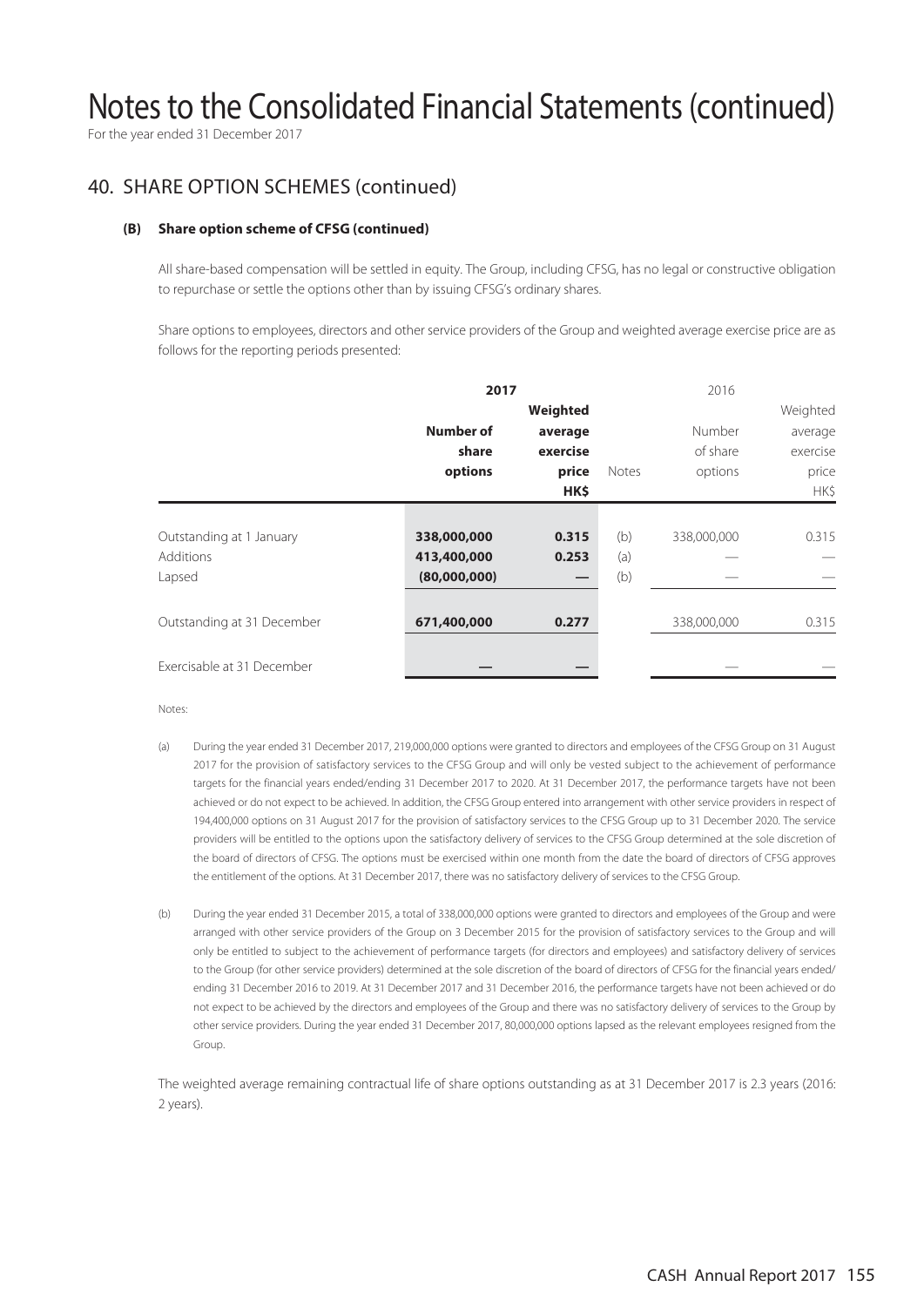For the year ended 31 December 2017

### 40. SHARE OPTION SCHEMES (continued)

### **(B) Share option scheme of CFSG (continued)**

All share-based compensation will be settled in equity. The Group, including CFSG, has no legal or constructive obligation to repurchase or settle the options other than by issuing CFSG's ordinary shares.

Share options to employees, directors and other service providers of the Group and weighted average exercise price are as follows for the reporting periods presented:

|                  |          |       | 2016        |          |  |
|------------------|----------|-------|-------------|----------|--|
|                  | Weighted |       |             | Weighted |  |
| <b>Number of</b> | average  |       | Number      | average  |  |
| share            | exercise |       | of share    | exercise |  |
| options          | price    | Notes | options     | price    |  |
|                  | HK\$     |       |             | HK\$     |  |
|                  |          |       |             |          |  |
| 338,000,000      | 0.315    | (b)   | 338,000,000 | 0.315    |  |
| 413,400,000      | 0.253    | (a)   |             |          |  |
| (80,000,000)     |          | (b)   |             |          |  |
|                  |          |       |             |          |  |
| 671,400,000      | 0.277    |       | 338,000,000 | 0.315    |  |
|                  |          |       |             |          |  |
|                  |          |       |             |          |  |
|                  |          | 2017  |             |          |  |

Notes:

- (a) During the year ended 31 December 2017, 219,000,000 options were granted to directors and employees of the CFSG Group on 31 August 2017 for the provision of satisfactory services to the CFSG Group and will only be vested subject to the achievement of performance targets for the financial years ended/ending 31 December 2017 to 2020. At 31 December 2017, the performance targets have not been achieved or do not expect to be achieved. In addition, the CFSG Group entered into arrangement with other service providers in respect of 194,400,000 options on 31 August 2017 for the provision of satisfactory services to the CFSG Group up to 31 December 2020. The service providers will be entitled to the options upon the satisfactory delivery of services to the CFSG Group determined at the sole discretion of the board of directors of CFSG. The options must be exercised within one month from the date the board of directors of CFSG approves the entitlement of the options. At 31 December 2017, there was no satisfactory delivery of services to the CFSG Group.
- (b) During the year ended 31 December 2015, a total of 338,000,000 options were granted to directors and employees of the Group and were arranged with other service providers of the Group on 3 December 2015 for the provision of satisfactory services to the Group and will only be entitled to subject to the achievement of performance targets (for directors and employees) and satisfactory delivery of services to the Group (for other service providers) determined at the sole discretion of the board of directors of CFSG for the financial years ended/ ending 31 December 2016 to 2019. At 31 December 2017 and 31 December 2016, the performance targets have not been achieved or do not expect to be achieved by the directors and employees of the Group and there was no satisfactory delivery of services to the Group by other service providers. During the year ended 31 December 2017, 80,000,000 options lapsed as the relevant employees resigned from the Group.

The weighted average remaining contractual life of share options outstanding as at 31 December 2017 is 2.3 years (2016: 2 years).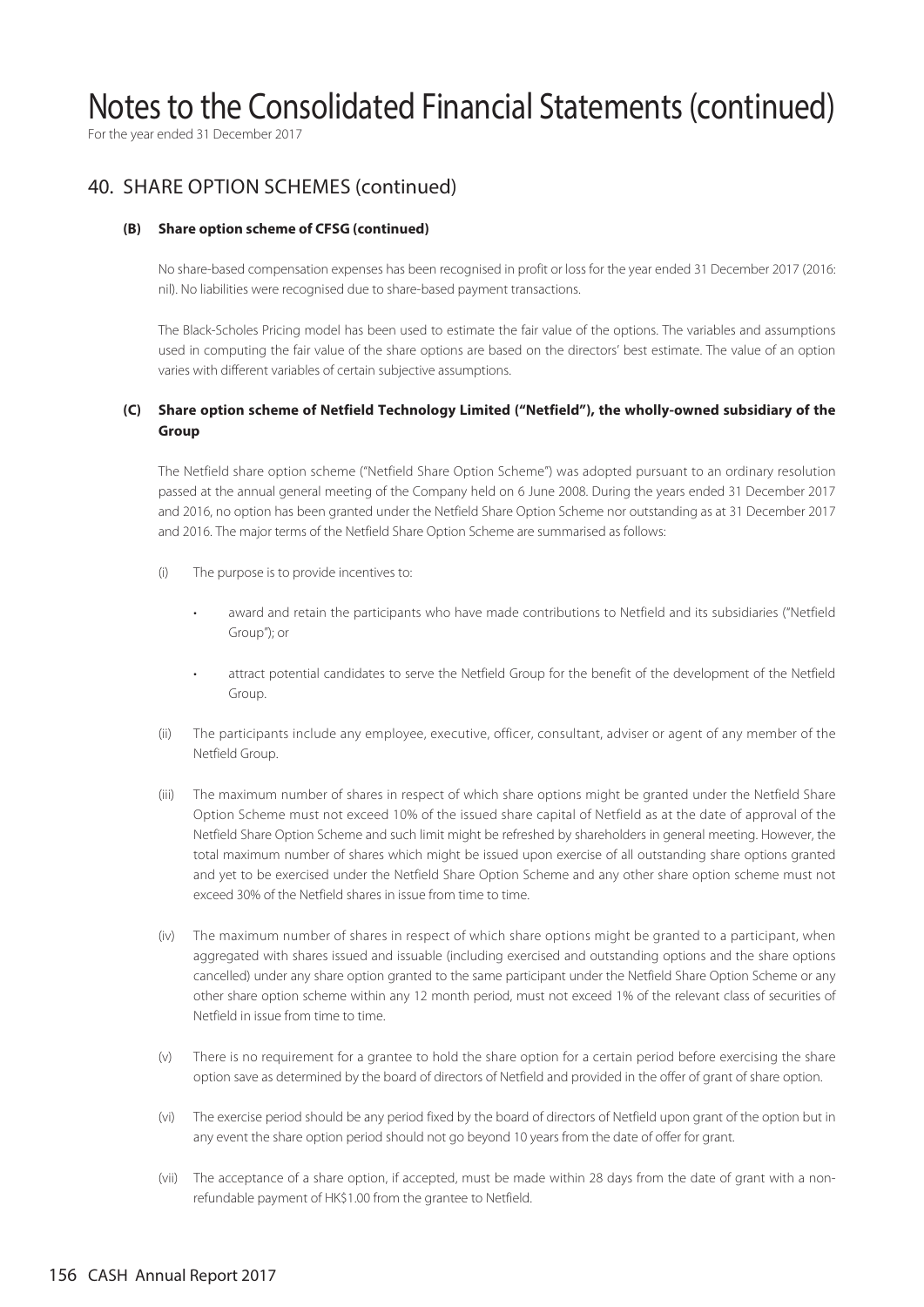For the year ended 31 December 2017

### 40. SHARE OPTION SCHEMES (continued)

### **(B) Share option scheme of CFSG (continued)**

No share-based compensation expenses has been recognised in profit or loss for the year ended 31 December 2017 (2016: nil). No liabilities were recognised due to share-based payment transactions.

The Black-Scholes Pricing model has been used to estimate the fair value of the options. The variables and assumptions used in computing the fair value of the share options are based on the directors' best estimate. The value of an option varies with different variables of certain subjective assumptions.

### **(C) Share option scheme of Netfield Technology Limited ("Netfield"), the wholly-owned subsidiary of the Group**

The Netfield share option scheme ("Netfield Share Option Scheme") was adopted pursuant to an ordinary resolution passed at the annual general meeting of the Company held on 6 June 2008. During the years ended 31 December 2017 and 2016, no option has been granted under the Netfield Share Option Scheme nor outstanding as at 31 December 2017 and 2016. The major terms of the Netfield Share Option Scheme are summarised as follows:

- (i) The purpose is to provide incentives to:
	- award and retain the participants who have made contributions to Netfield and its subsidiaries ("Netfield Group"); or
	- attract potential candidates to serve the Netfield Group for the benefit of the development of the Netfield Group.
- (ii) The participants include any employee, executive, officer, consultant, adviser or agent of any member of the Netfield Group.
- (iii) The maximum number of shares in respect of which share options might be granted under the Netfield Share Option Scheme must not exceed 10% of the issued share capital of Netfield as at the date of approval of the Netfield Share Option Scheme and such limit might be refreshed by shareholders in general meeting. However, the total maximum number of shares which might be issued upon exercise of all outstanding share options granted and yet to be exercised under the Netfield Share Option Scheme and any other share option scheme must not exceed 30% of the Netfield shares in issue from time to time.
- (iv) The maximum number of shares in respect of which share options might be granted to a participant, when aggregated with shares issued and issuable (including exercised and outstanding options and the share options cancelled) under any share option granted to the same participant under the Netfield Share Option Scheme or any other share option scheme within any 12 month period, must not exceed 1% of the relevant class of securities of Netfield in issue from time to time.
- (v) There is no requirement for a grantee to hold the share option for a certain period before exercising the share option save as determined by the board of directors of Netfield and provided in the offer of grant of share option.
- (vi) The exercise period should be any period fixed by the board of directors of Netfield upon grant of the option but in any event the share option period should not go beyond 10 years from the date of offer for grant.
- (vii) The acceptance of a share option, if accepted, must be made within 28 days from the date of grant with a nonrefundable payment of HK\$1.00 from the grantee to Netfield.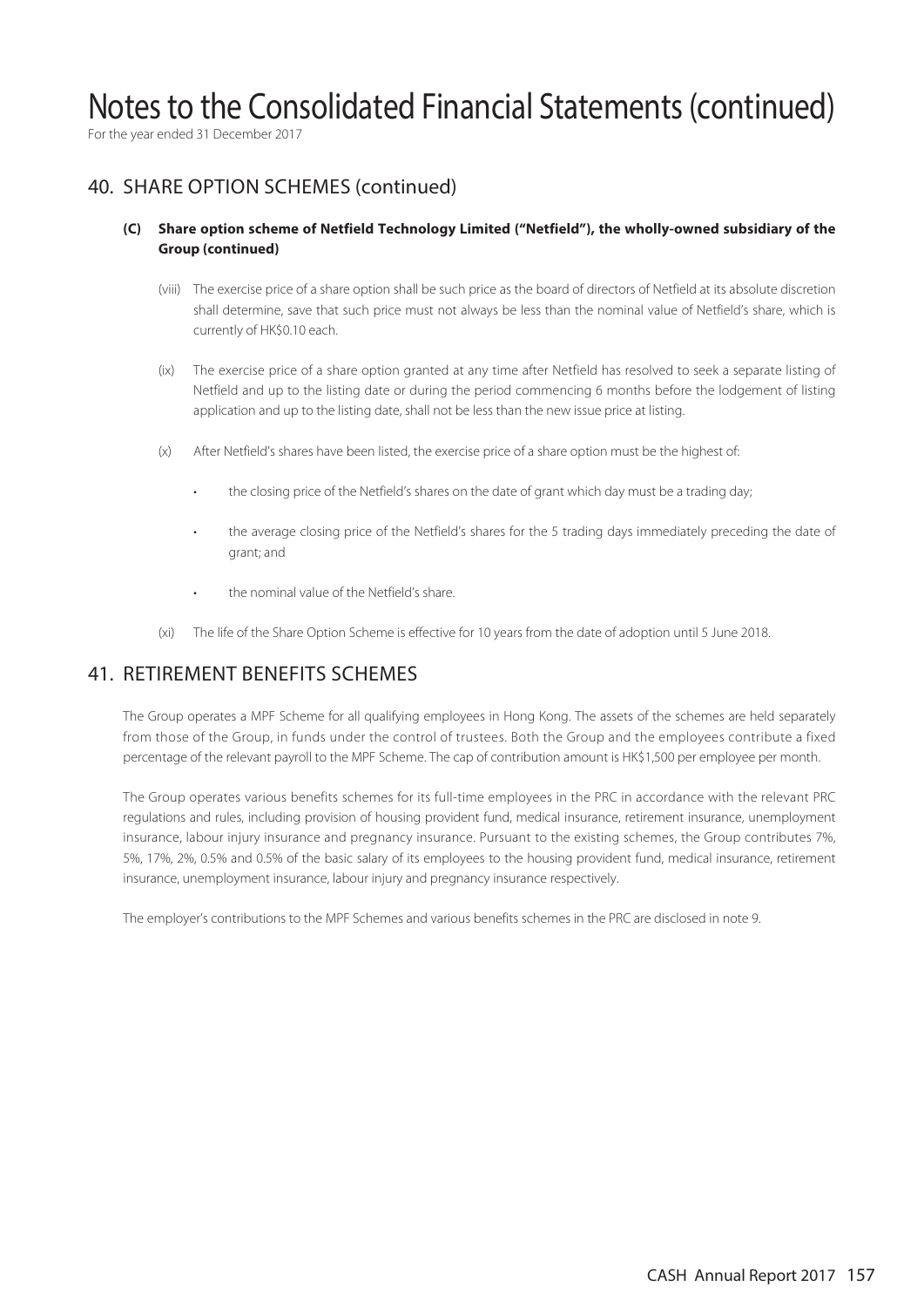For the year ended 31 December 2017

### 40. SHARE OPTION SCHEMES (continued)

- **(C) Share option scheme of Netfield Technology Limited ("Netfield"), the wholly-owned subsidiary of the Group (continued)**
	- (viii) The exercise price of a share option shall be such price as the board of directors of Netfield at its absolute discretion shall determine, save that such price must not always be less than the nominal value of Netfield's share, which is currently of HK\$0.10 each.
	- (ix) The exercise price of a share option granted at any time after Netfield has resolved to seek a separate listing of Netfield and up to the listing date or during the period commencing 6 months before the lodgement of listing application and up to the listing date, shall not be less than the new issue price at listing.
	- (x) After Netfield's shares have been listed, the exercise price of a share option must be the highest of:
		- the closing price of the Netfield's shares on the date of grant which day must be a trading day;
		- the average closing price of the Netfield's shares for the 5 trading days immediately preceding the date of grant; and
		- the nominal value of the Netfield's share.
	- (xi) The life of the Share Option Scheme is effective for 10 years from the date of adoption until 5 June 2018.

### 41. RETIREMENT BENEFITS SCHEMES

The Group operates a MPF Scheme for all qualifying employees in Hong Kong. The assets of the schemes are held separately from those of the Group, in funds under the control of trustees. Both the Group and the employees contribute a fixed percentage of the relevant payroll to the MPF Scheme. The cap of contribution amount is HK\$1,500 per employee per month.

The Group operates various benefits schemes for its full-time employees in the PRC in accordance with the relevant PRC regulations and rules, including provision of housing provident fund, medical insurance, retirement insurance, unemployment insurance, labour injury insurance and pregnancy insurance. Pursuant to the existing schemes, the Group contributes 7%, 5%, 17%, 2%, 0.5% and 0.5% of the basic salary of its employees to the housing provident fund, medical insurance, retirement insurance, unemployment insurance, labour injury and pregnancy insurance respectively.

The employer's contributions to the MPF Schemes and various benefits schemes in the PRC are disclosed in note 9.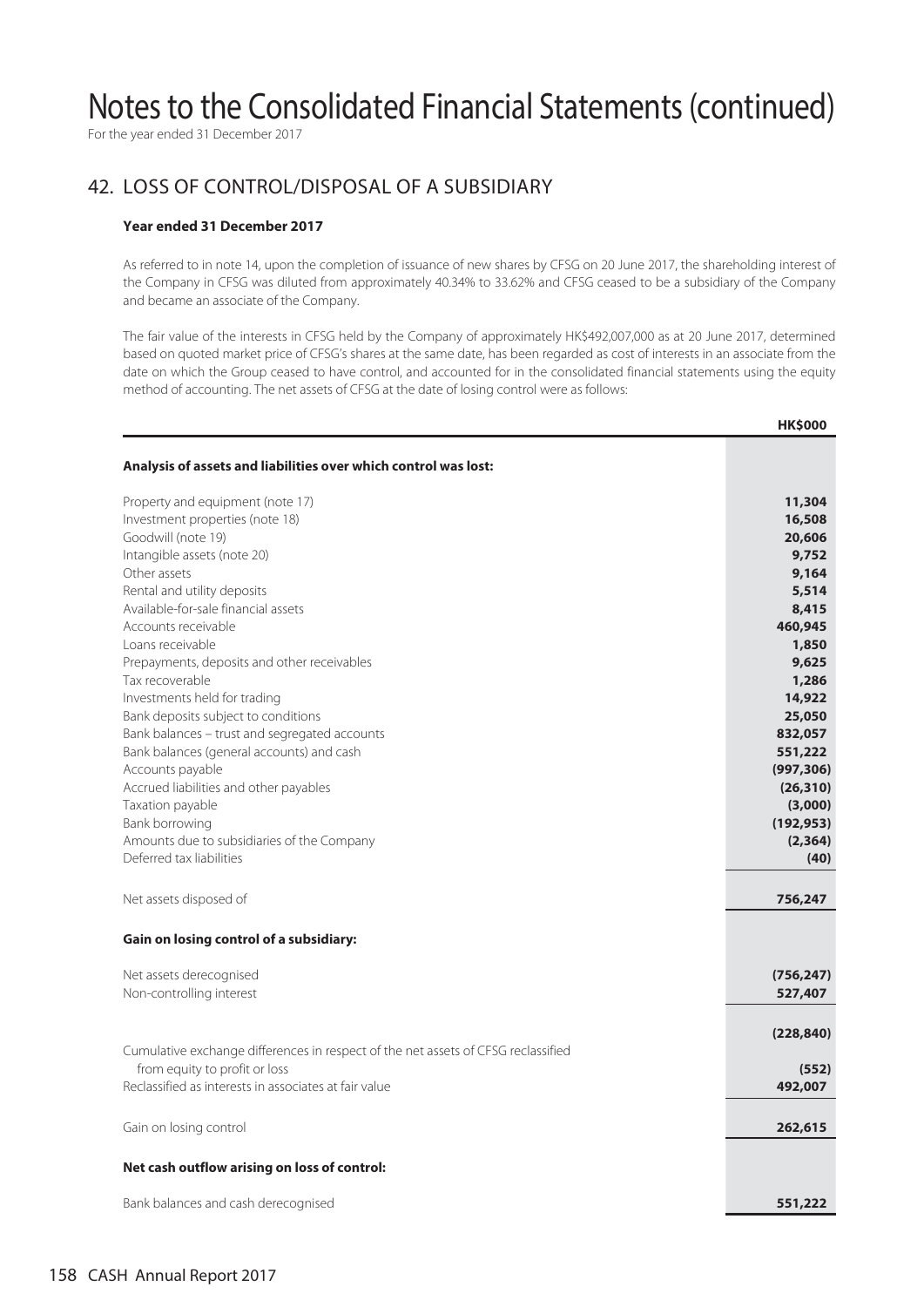For the year ended 31 December 2017

## 42. LOSS OF CONTROL/DISPOSAL OF A SUBSIDIARY

#### **Year ended 31 December 2017**

As referred to in note 14, upon the completion of issuance of new shares by CFSG on 20 June 2017, the shareholding interest of the Company in CFSG was diluted from approximately 40.34% to 33.62% and CFSG ceased to be a subsidiary of the Company and became an associate of the Company.

The fair value of the interests in CFSG held by the Company of approximately HK\$492,007,000 as at 20 June 2017, determined based on quoted market price of CFSG's shares at the same date, has been regarded as cost of interests in an associate from the date on which the Group ceased to have control, and accounted for in the consolidated financial statements using the equity method of accounting. The net assets of CFSG at the date of losing control were as follows:

|                                                                                   | <b>HK\$000</b> |
|-----------------------------------------------------------------------------------|----------------|
|                                                                                   |                |
| Analysis of assets and liabilities over which control was lost:                   |                |
| Property and equipment (note 17)                                                  | 11,304         |
| Investment properties (note 18)                                                   | 16,508         |
| Goodwill (note 19)                                                                | 20,606         |
| Intangible assets (note 20)                                                       | 9,752          |
| Other assets                                                                      | 9,164          |
| Rental and utility deposits                                                       | 5,514          |
| Available-for-sale financial assets                                               | 8,415          |
| Accounts receivable                                                               | 460,945        |
| Loans receivable                                                                  | 1,850          |
| Prepayments, deposits and other receivables                                       | 9,625          |
| Tax recoverable                                                                   | 1,286          |
| Investments held for trading                                                      | 14,922         |
| Bank deposits subject to conditions                                               | 25,050         |
| Bank balances - trust and segregated accounts                                     | 832,057        |
| Bank balances (general accounts) and cash                                         | 551,222        |
| Accounts payable                                                                  | (997, 306)     |
| Accrued liabilities and other payables                                            | (26, 310)      |
| Taxation payable                                                                  | (3,000)        |
| Bank borrowing                                                                    | (192, 953)     |
| Amounts due to subsidiaries of the Company                                        | (2,364)        |
| Deferred tax liabilities                                                          | (40)           |
|                                                                                   |                |
| Net assets disposed of                                                            | 756,247        |
| Gain on losing control of a subsidiary:                                           |                |
|                                                                                   |                |
| Net assets derecognised                                                           | (756, 247)     |
| Non-controlling interest                                                          | 527,407        |
|                                                                                   | (228, 840)     |
| Cumulative exchange differences in respect of the net assets of CFSG reclassified |                |
| from equity to profit or loss                                                     | (552)          |
| Reclassified as interests in associates at fair value                             | 492,007        |
|                                                                                   |                |
| Gain on losing control                                                            | 262,615        |
|                                                                                   |                |
| Net cash outflow arising on loss of control:                                      |                |
|                                                                                   |                |
| Bank balances and cash derecognised                                               | 551,222        |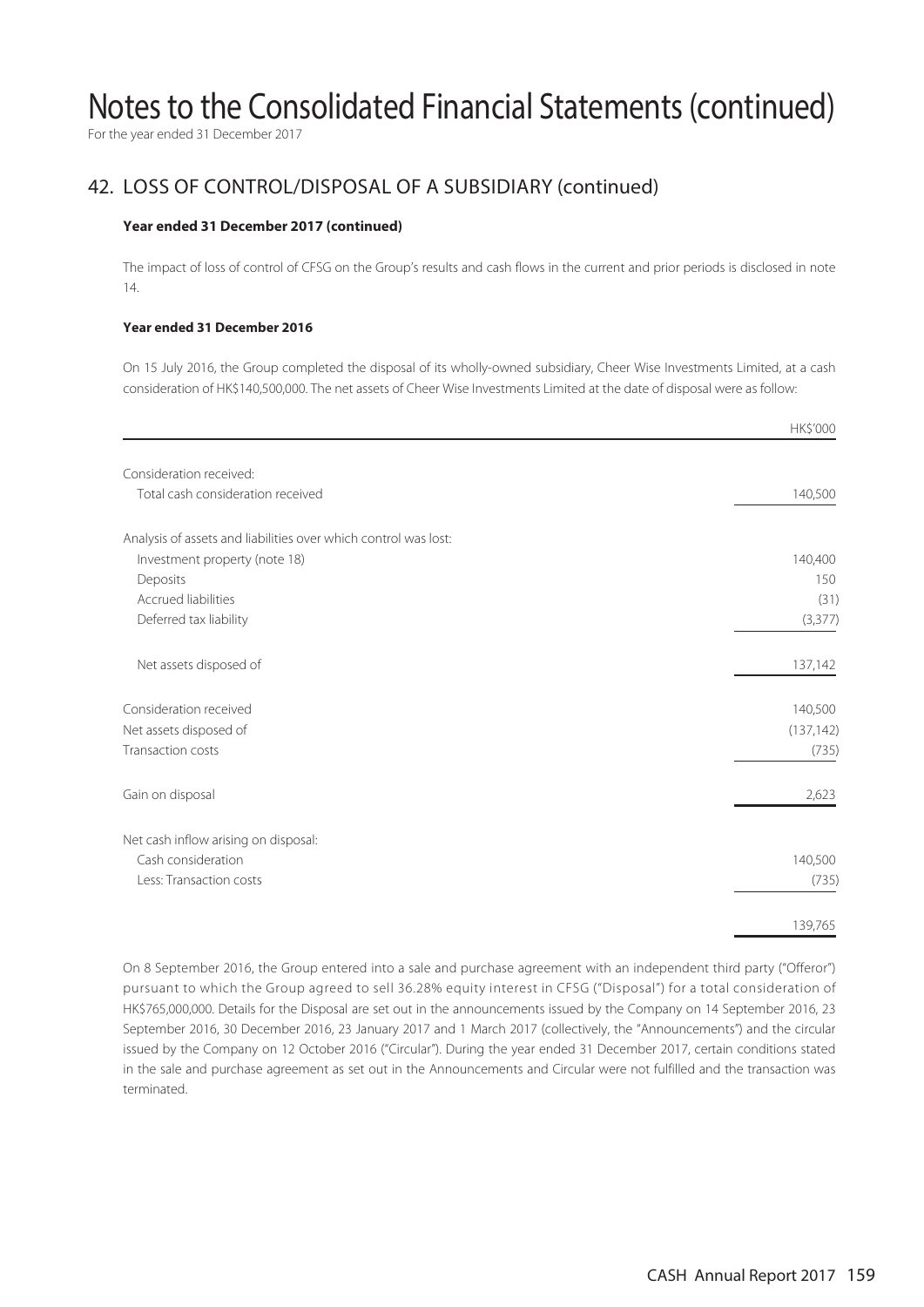For the year ended 31 December 2017

## 42. LOSS OF CONTROL/DISPOSAL OF A SUBSIDIARY (continued)

### **Year ended 31 December 2017 (continued)**

The impact of loss of control of CFSG on the Group's results and cash flows in the current and prior periods is disclosed in note 14.

### **Year ended 31 December 2016**

On 15 July 2016, the Group completed the disposal of its wholly-owned subsidiary, Cheer Wise Investments Limited, at a cash consideration of HK\$140,500,000. The net assets of Cheer Wise Investments Limited at the date of disposal were as follow:

|                                                                 | HK\$'000   |
|-----------------------------------------------------------------|------------|
|                                                                 |            |
| Consideration received:                                         |            |
| Total cash consideration received                               | 140,500    |
| Analysis of assets and liabilities over which control was lost: |            |
| Investment property (note 18)                                   | 140,400    |
| Deposits                                                        | 150        |
| <b>Accrued liabilities</b>                                      | (31)       |
| Deferred tax liability                                          | (3, 377)   |
| Net assets disposed of                                          | 137,142    |
| Consideration received                                          | 140,500    |
| Net assets disposed of                                          | (137, 142) |
| Transaction costs                                               | (735)      |
| Gain on disposal                                                | 2,623      |
| Net cash inflow arising on disposal:                            |            |
| Cash consideration                                              | 140,500    |
| Less: Transaction costs                                         | (735)      |
|                                                                 | 139,765    |
|                                                                 |            |

On 8 September 2016, the Group entered into a sale and purchase agreement with an independent third party ("Offeror") pursuant to which the Group agreed to sell 36.28% equity interest in CFSG ("Disposal") for a total consideration of HK\$765,000,000. Details for the Disposal are set out in the announcements issued by the Company on 14 September 2016, 23 September 2016, 30 December 2016, 23 January 2017 and 1 March 2017 (collectively, the "Announcements") and the circular issued by the Company on 12 October 2016 ("Circular"). During the year ended 31 December 2017, certain conditions stated in the sale and purchase agreement as set out in the Announcements and Circular were not fulfilled and the transaction was terminated.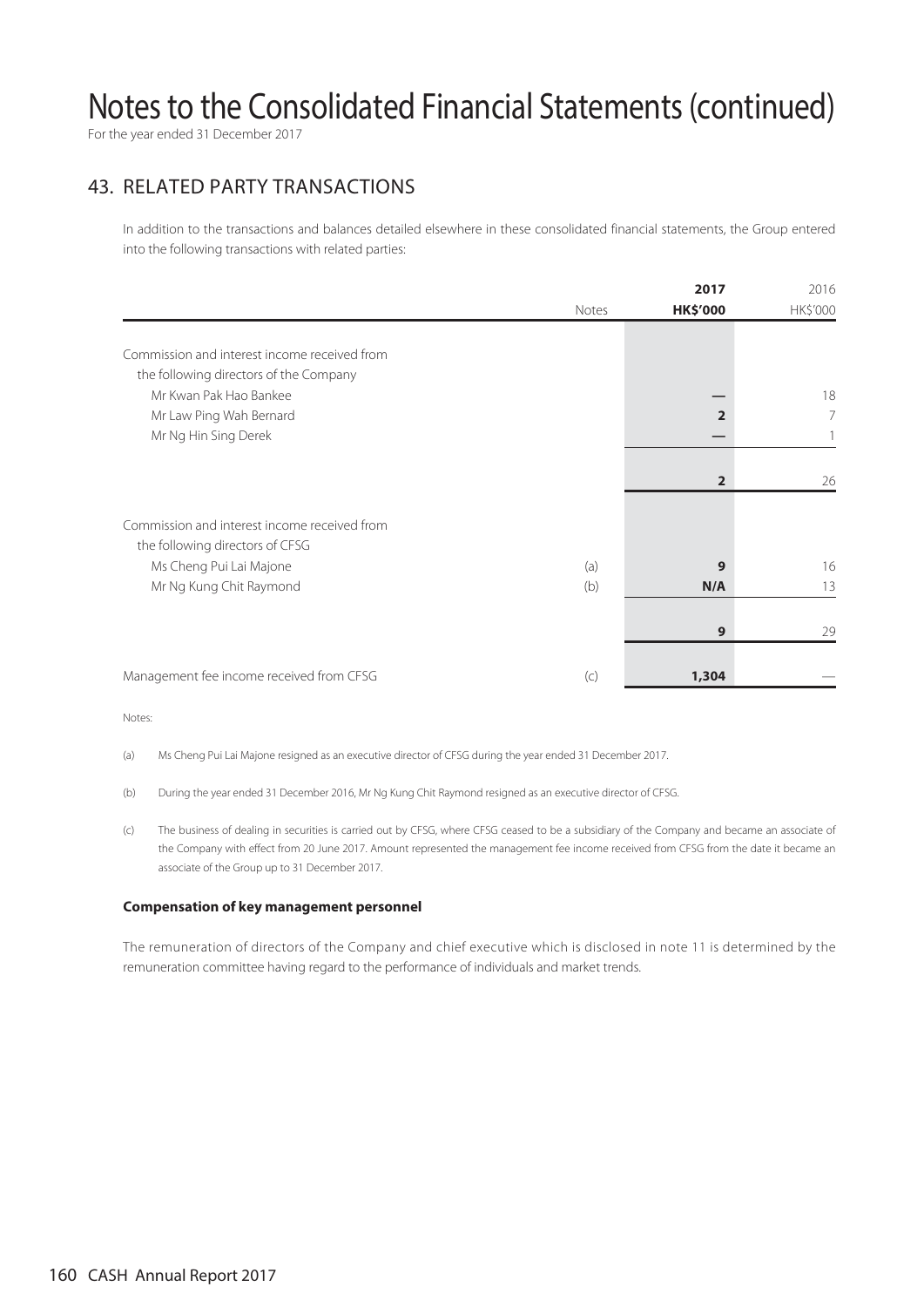For the year ended 31 December 2017

## 43. RELATED PARTY TRANSACTIONS

In addition to the transactions and balances detailed elsewhere in these consolidated financial statements, the Group entered into the following transactions with related parties:

|       | 2017            | 2016           |
|-------|-----------------|----------------|
| Notes | <b>HK\$'000</b> | HK\$'000       |
|       |                 |                |
|       |                 |                |
|       |                 |                |
|       |                 | 18             |
|       | $\overline{2}$  | $\overline{7}$ |
|       |                 |                |
|       |                 |                |
|       | $\overline{2}$  | 26             |
|       |                 |                |
|       |                 |                |
|       |                 | 16             |
| (b)   | N/A             | 13             |
|       |                 |                |
|       | 9               | 29             |
|       |                 |                |
| (c)   | 1,304           |                |
|       | (a)             | 9              |

Notes:

- (a) Ms Cheng Pui Lai Majone resigned as an executive director of CFSG during the year ended 31 December 2017.
- (b) During the year ended 31 December 2016, Mr Ng Kung Chit Raymond resigned as an executive director of CFSG.
- (c) The business of dealing in securities is carried out by CFSG, where CFSG ceased to be a subsidiary of the Company and became an associate of the Company with effect from 20 June 2017. Amount represented the management fee income received from CFSG from the date it became an associate of the Group up to 31 December 2017.

#### **Compensation of key management personnel**

The remuneration of directors of the Company and chief executive which is disclosed in note 11 is determined by the remuneration committee having regard to the performance of individuals and market trends.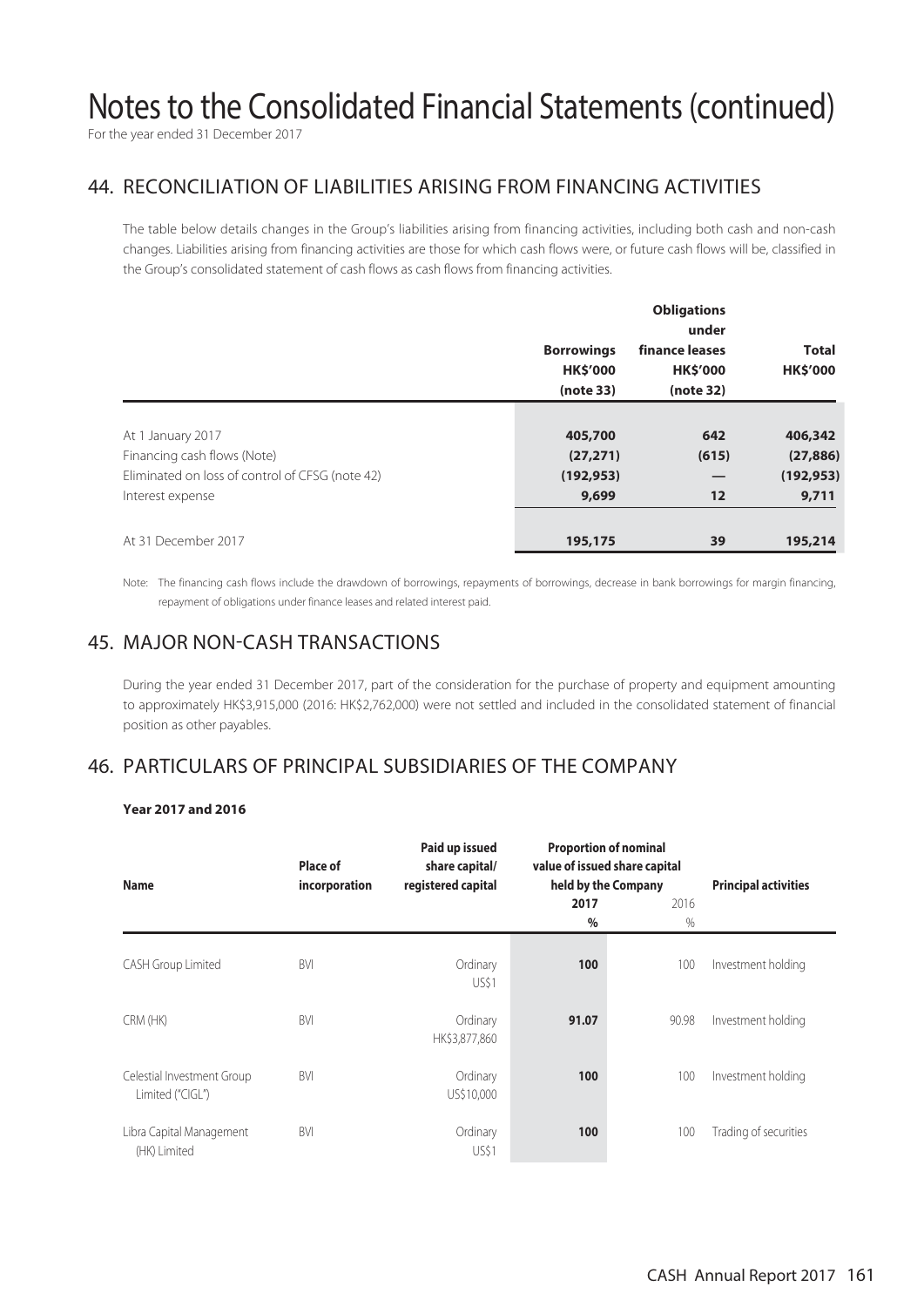For the year ended 31 December 2017

## 44. RECONCILIATION OF LIABILITIES ARISING FROM FINANCING ACTIVITIES

The table below details changes in the Group's liabilities arising from financing activities, including both cash and non-cash changes. Liabilities arising from financing activities are those for which cash flows were, or future cash flows will be, classified in the Group's consolidated statement of cash flows as cash flows from financing activities.

|                                                 | <b>Borrowings</b><br><b>HK\$'000</b><br>(note 33) | <b>Obligations</b><br>under<br>finance leases<br><b>HK\$'000</b><br>(note 32) | <b>Total</b><br><b>HK\$'000</b> |
|-------------------------------------------------|---------------------------------------------------|-------------------------------------------------------------------------------|---------------------------------|
| At 1 January 2017                               | 405,700                                           | 642                                                                           | 406,342                         |
| Financing cash flows (Note)                     | (27, 271)                                         | (615)                                                                         | (27, 886)                       |
| Eliminated on loss of control of CFSG (note 42) | (192, 953)                                        |                                                                               | (192, 953)                      |
| Interest expense                                | 9,699                                             | 12                                                                            | 9,711                           |
| At 31 December 2017                             | 195,175                                           | 39                                                                            | 195,214                         |

Note: The financing cash flows include the drawdown of borrowings, repayments of borrowings, decrease in bank borrowings for margin financing, repayment of obligations under finance leases and related interest paid.

### 45. MAJOR NON-CASH TRANSACTIONS

During the year ended 31 December 2017, part of the consideration for the purchase of property and equipment amounting to approximately HK\$3,915,000 (2016: HK\$2,762,000) were not settled and included in the consolidated statement of financial position as other payables.

### 46. PARTICULARS OF PRINCIPAL SUBSIDIARIES OF THE COMPANY

### **Year 2017 and 2016**

| <b>Name</b>                                    | Place of<br>incorporation | Paid up issued<br>share capital/<br>registered capital |              | <b>Proportion of nominal</b><br>value of issued share capital<br>held by the Company |                       |  |
|------------------------------------------------|---------------------------|--------------------------------------------------------|--------------|--------------------------------------------------------------------------------------|-----------------------|--|
|                                                |                           |                                                        | 2017<br>$\%$ | 2016<br>$\%$                                                                         |                       |  |
| <b>CASH Group Limited</b>                      | <b>BVI</b>                | Ordinary<br>US\$1                                      | 100          | 100                                                                                  | Investment holding    |  |
| CRM (HK)                                       | <b>BVI</b>                | Ordinary<br>HK\$3,877,860                              | 91.07        | 90.98                                                                                | Investment holding    |  |
| Celestial Investment Group<br>Limited ("CIGL") | <b>BVI</b>                | Ordinary<br>US\$10,000                                 | 100          | 100                                                                                  | Investment holding    |  |
| Libra Capital Management<br>(HK) Limited       | <b>BVI</b>                | Ordinary<br>US\$1                                      | 100          | 100                                                                                  | Trading of securities |  |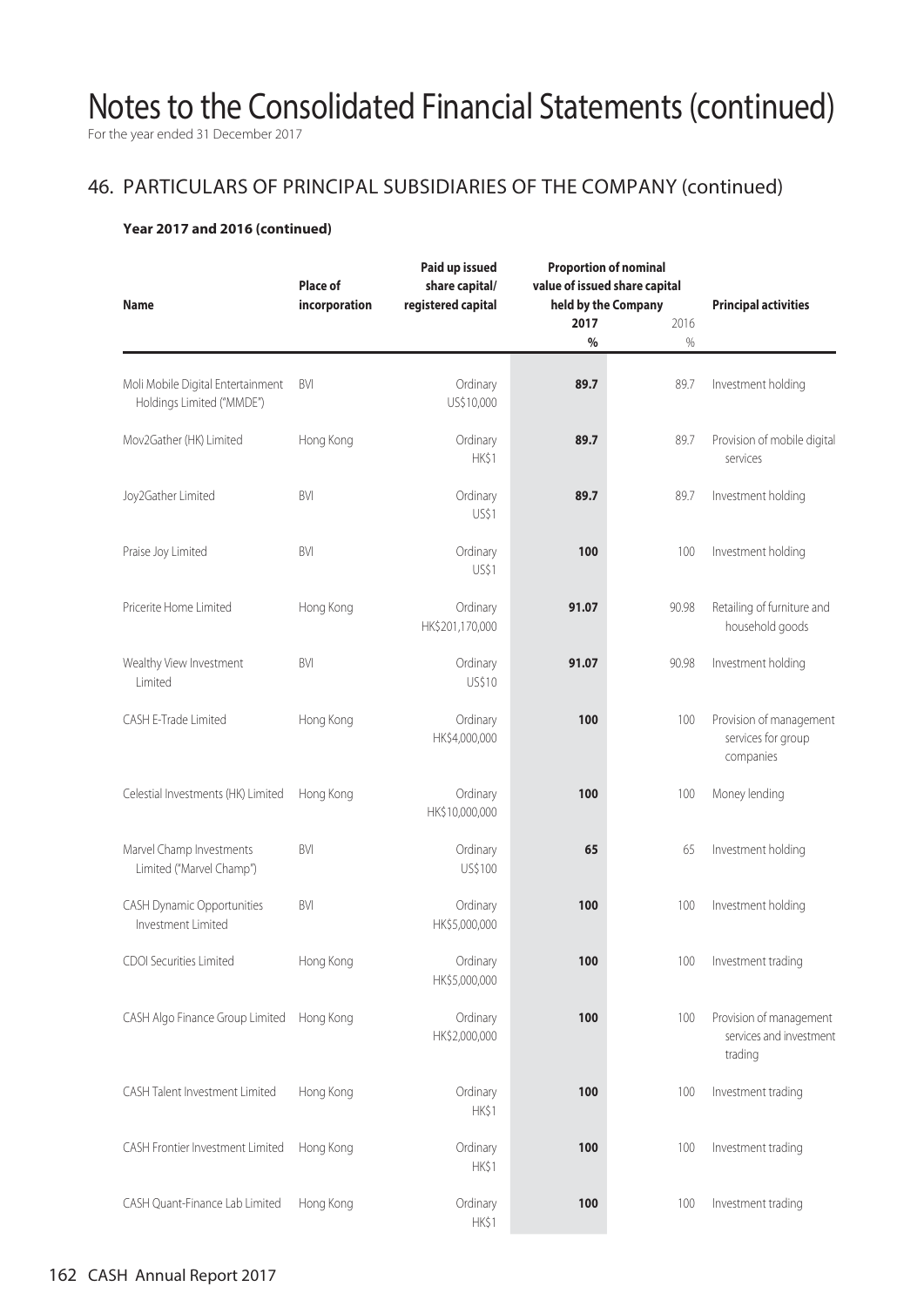For the year ended 31 December 2017

### 46. PARTICULARS OF PRINCIPAL SUBSIDIARIES OF THE COMPANY (continued)

### **Year 2017 and 2016 (continued)**

| <b>Name</b>                                                    | Place of<br>incorporation | Paid up issued<br>share capital/<br>registered capital | <b>Proportion of nominal</b><br>value of issued share capital<br>held by the Company<br>2017 | 2016  | <b>Principal activities</b>                                   |
|----------------------------------------------------------------|---------------------------|--------------------------------------------------------|----------------------------------------------------------------------------------------------|-------|---------------------------------------------------------------|
|                                                                |                           |                                                        | $\%$                                                                                         | %     |                                                               |
| Moli Mobile Digital Entertainment<br>Holdings Limited ("MMDE") | BVI                       | Ordinary<br>US\$10,000                                 | 89.7                                                                                         | 89.7  | Investment holding                                            |
| Mov2Gather (HK) Limited                                        | Hong Kong                 | Ordinary<br>HK\$1                                      | 89.7                                                                                         | 89.7  | Provision of mobile digital<br>services                       |
| Joy2Gather Limited                                             | <b>BVI</b>                | Ordinary<br>US\$1                                      | 89.7                                                                                         | 89.7  | Investment holding                                            |
| Praise Joy Limited                                             | <b>BVI</b>                | Ordinary<br>US\$1                                      | 100                                                                                          | 100   | Investment holding                                            |
| Pricerite Home Limited                                         | Hong Kong                 | Ordinary<br>HK\$201,170,000                            | 91.07                                                                                        | 90.98 | Retailing of furniture and<br>household goods                 |
| Wealthy View Investment<br>Limited                             | <b>BVI</b>                | Ordinary<br>US\$10                                     | 91.07                                                                                        | 90.98 | Investment holding                                            |
| CASH E-Trade Limited                                           | Hong Kong                 | Ordinary<br>HK\$4,000,000                              | 100                                                                                          | 100   | Provision of management<br>services for group<br>companies    |
| Celestial Investments (HK) Limited                             | Hong Kong                 | Ordinary<br>HK\$10,000,000                             | 100                                                                                          | 100   | Money lending                                                 |
| Marvel Champ Investments<br>Limited ("Marvel Champ")           | <b>BVI</b>                | Ordinary<br>US\$100                                    | 65                                                                                           | 65    | Investment holding                                            |
| <b>CASH Dynamic Opportunities</b><br>Investment Limited        | <b>BVI</b>                | Ordinary<br>HK\$5,000,000                              | 100                                                                                          | 100   | Investment holding                                            |
| CDOI Securities Limited                                        | Hong Kong                 | Ordinary<br>HK\$5,000,000                              | 100                                                                                          | 100   | Investment trading                                            |
| CASH Algo Finance Group Limited                                | Hong Kong                 | Ordinary<br>HK\$2,000,000                              | 100                                                                                          | 100   | Provision of management<br>services and investment<br>trading |
| CASH Talent Investment Limited                                 | Hong Kong                 | Ordinary<br>HK\$1                                      | 100                                                                                          | 100   | Investment trading                                            |
| CASH Frontier Investment Limited                               | Hong Kong                 | Ordinary<br>HK\$1                                      | 100                                                                                          | 100   | Investment trading                                            |
| CASH Quant-Finance Lab Limited                                 | Hong Kong                 | Ordinary<br>HK\$1                                      | 100                                                                                          | 100   | Investment trading                                            |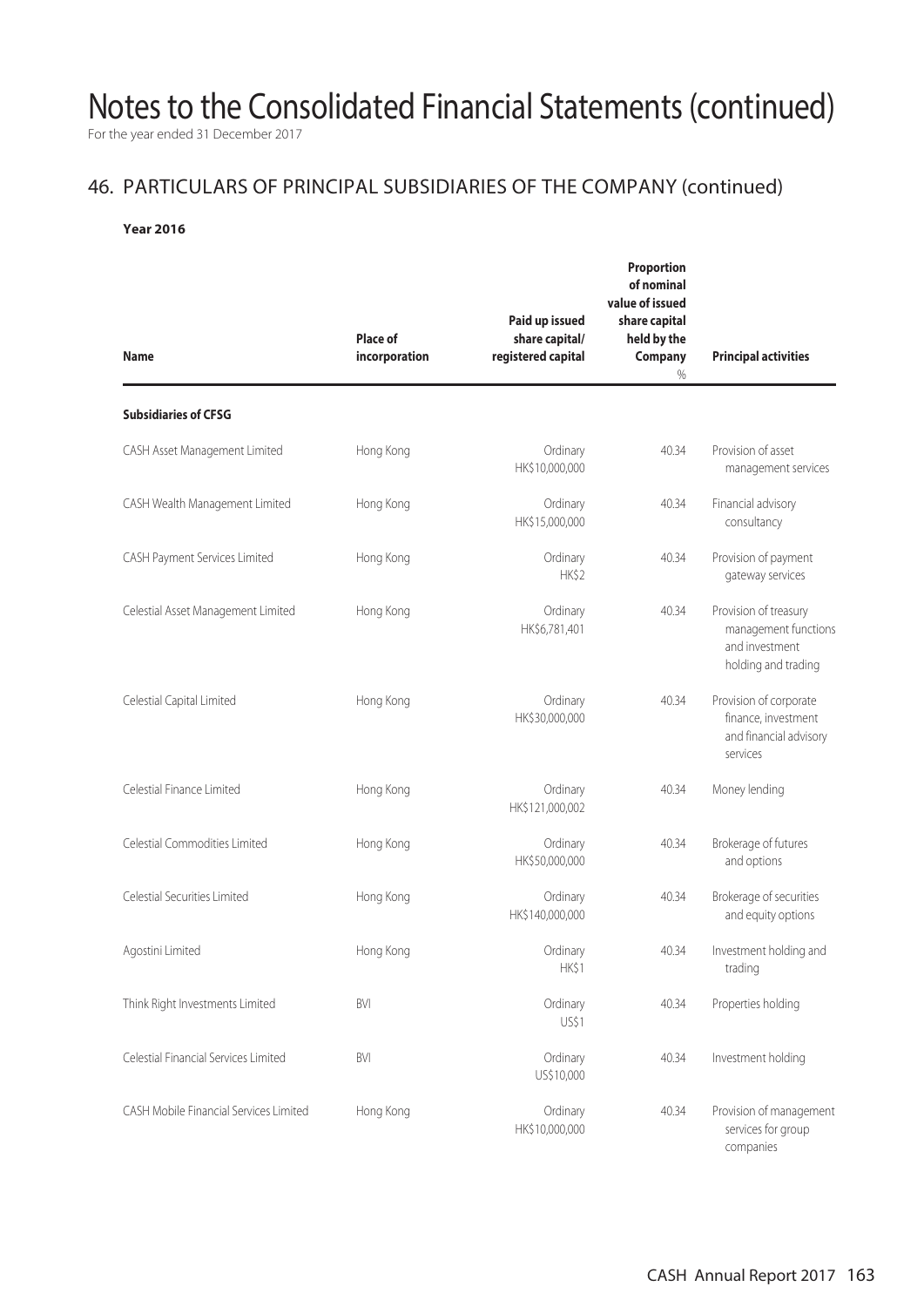For the year ended 31 December 2017

### 46. PARTICULARS OF PRINCIPAL SUBSIDIARIES OF THE COMPANY (continued)

### **Year 2016**

| <b>Name</b>                            | Place of<br>incorporation | Paid up issued<br>share capital/<br>registered capital | Proportion<br>of nominal<br>value of issued<br>share capital<br>held by the<br>Company | <b>Principal activities</b>                                                            |
|----------------------------------------|---------------------------|--------------------------------------------------------|----------------------------------------------------------------------------------------|----------------------------------------------------------------------------------------|
| <b>Subsidiaries of CFSG</b>            |                           |                                                        | $\%$                                                                                   |                                                                                        |
|                                        |                           |                                                        |                                                                                        |                                                                                        |
| CASH Asset Management Limited          | Hong Kong                 | Ordinary<br>HK\$10,000,000                             | 40.34                                                                                  | Provision of asset<br>management services                                              |
| CASH Wealth Management Limited         | Hong Kong                 | Ordinary<br>HK\$15,000,000                             | 40.34                                                                                  | Financial advisory<br>consultancy                                                      |
| CASH Payment Services Limited          | Hong Kong                 | Ordinary<br><b>HK\$2</b>                               | 40.34                                                                                  | Provision of payment<br>gateway services                                               |
| Celestial Asset Management Limited     | Hong Kong                 | Ordinary<br>HK\$6,781,401                              | 40.34                                                                                  | Provision of treasury<br>management functions<br>and investment<br>holding and trading |
| Celestial Capital Limited              | Hong Kong                 | Ordinary<br>HK\$30,000,000                             | 40.34                                                                                  | Provision of corporate<br>finance, investment<br>and financial advisory<br>services    |
| Celestial Finance Limited              | Hong Kong                 | Ordinary<br>HK\$121,000,002                            | 40.34                                                                                  | Money lending                                                                          |
| Celestial Commodities Limited          | Hong Kong                 | Ordinary<br>HK\$50,000,000                             | 40.34                                                                                  | Brokerage of futures<br>and options                                                    |
| Celestial Securities Limited           | Hong Kong                 | Ordinary<br>HK\$140,000,000                            | 40.34                                                                                  | Brokerage of securities<br>and equity options                                          |
| Agostini Limited                       | Hong Kong                 | Ordinary<br>HK\$1                                      | 40.34                                                                                  | Investment holding and<br>trading                                                      |
| Think Right Investments Limited        | BVI                       | Ordinary<br>US\$1                                      | 40.34                                                                                  | Properties holding                                                                     |
| Celestial Financial Services Limited   | BVI                       | Ordinary<br>US\$10,000                                 | 40.34                                                                                  | Investment holding                                                                     |
| CASH Mobile Financial Services Limited | Hong Kong                 | Ordinary<br>HK\$10,000,000                             | 40.34                                                                                  | Provision of management<br>services for group<br>companies                             |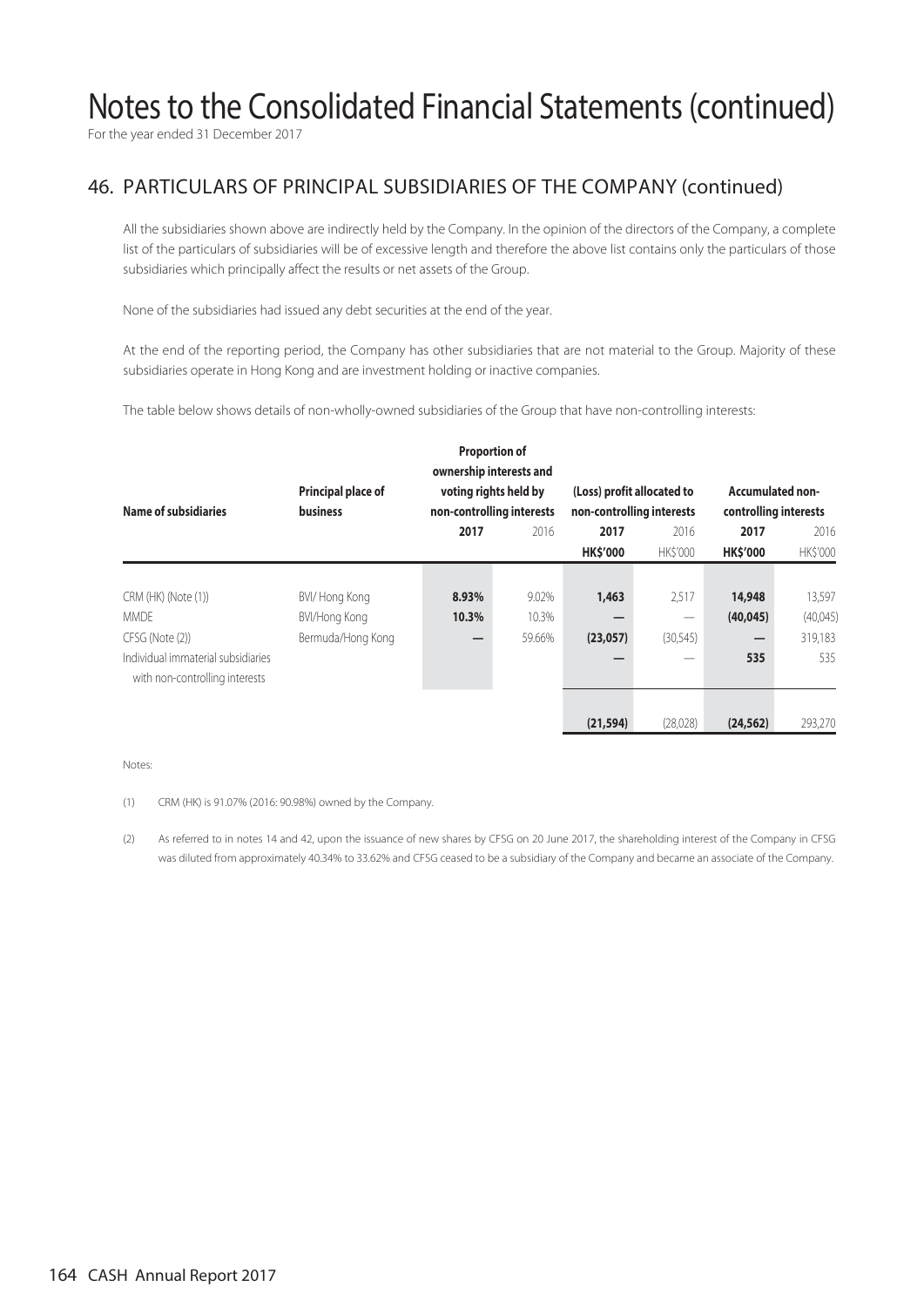For the year ended 31 December 2017

### 46. PARTICULARS OF PRINCIPAL SUBSIDIARIES OF THE COMPANY (continued)

All the subsidiaries shown above are indirectly held by the Company. In the opinion of the directors of the Company, a complete list of the particulars of subsidiaries will be of excessive length and therefore the above list contains only the particulars of those subsidiaries which principally affect the results or net assets of the Group.

None of the subsidiaries had issued any debt securities at the end of the year.

At the end of the reporting period, the Company has other subsidiaries that are not material to the Group. Majority of these subsidiaries operate in Hong Kong and are investment holding or inactive companies.

The table below shows details of non-wholly-owned subsidiaries of the Group that have non-controlling interests:

| Name of subsidiaries                                                 | Principal place of<br><b>business</b> | <b>Proportion of</b><br>ownership interests and<br>voting rights held by<br>non-controlling interests |        | (Loss) profit allocated to<br>non-controlling interests |                | <b>Accumulated non-</b><br>controlling interests |          |
|----------------------------------------------------------------------|---------------------------------------|-------------------------------------------------------------------------------------------------------|--------|---------------------------------------------------------|----------------|--------------------------------------------------|----------|
|                                                                      |                                       | 2017                                                                                                  | 2016   | 2017                                                    | 2016           | 2017                                             | 2016     |
|                                                                      |                                       |                                                                                                       |        | <b>HK\$'000</b>                                         | <b>HKS'000</b> | <b>HK\$'000</b>                                  | HK\$'000 |
| CRM (HK) (Note (1))                                                  | BVI/Hong Kong                         | 8.93%                                                                                                 | 9.02%  | 1,463                                                   | 2,517          | 14,948                                           | 13.597   |
| <b>MMDF</b>                                                          | BVI/Hong Kong                         | 10.3%                                                                                                 | 10.3%  |                                                         |                | (40, 045)                                        | (40,045) |
| CFSG (Note (2))                                                      | Bermuda/Hong Kong                     |                                                                                                       | 59.66% | (23,057)                                                | (30,545)       | –                                                | 319,183  |
| Individual immaterial subsidiaries<br>with non-controlling interests |                                       |                                                                                                       |        |                                                         |                | 535                                              | 535      |
|                                                                      |                                       |                                                                                                       |        | (21, 594)                                               | (28,028)       | (24, 562)                                        | 293,270  |

#### Notes:

(1) CRM (HK) is 91.07% (2016: 90.98%) owned by the Company.

(2) As referred to in notes 14 and 42, upon the issuance of new shares by CFSG on 20 June 2017, the shareholding interest of the Company in CFSG was diluted from approximately 40.34% to 33.62% and CFSG ceased to be a subsidiary of the Company and became an associate of the Company.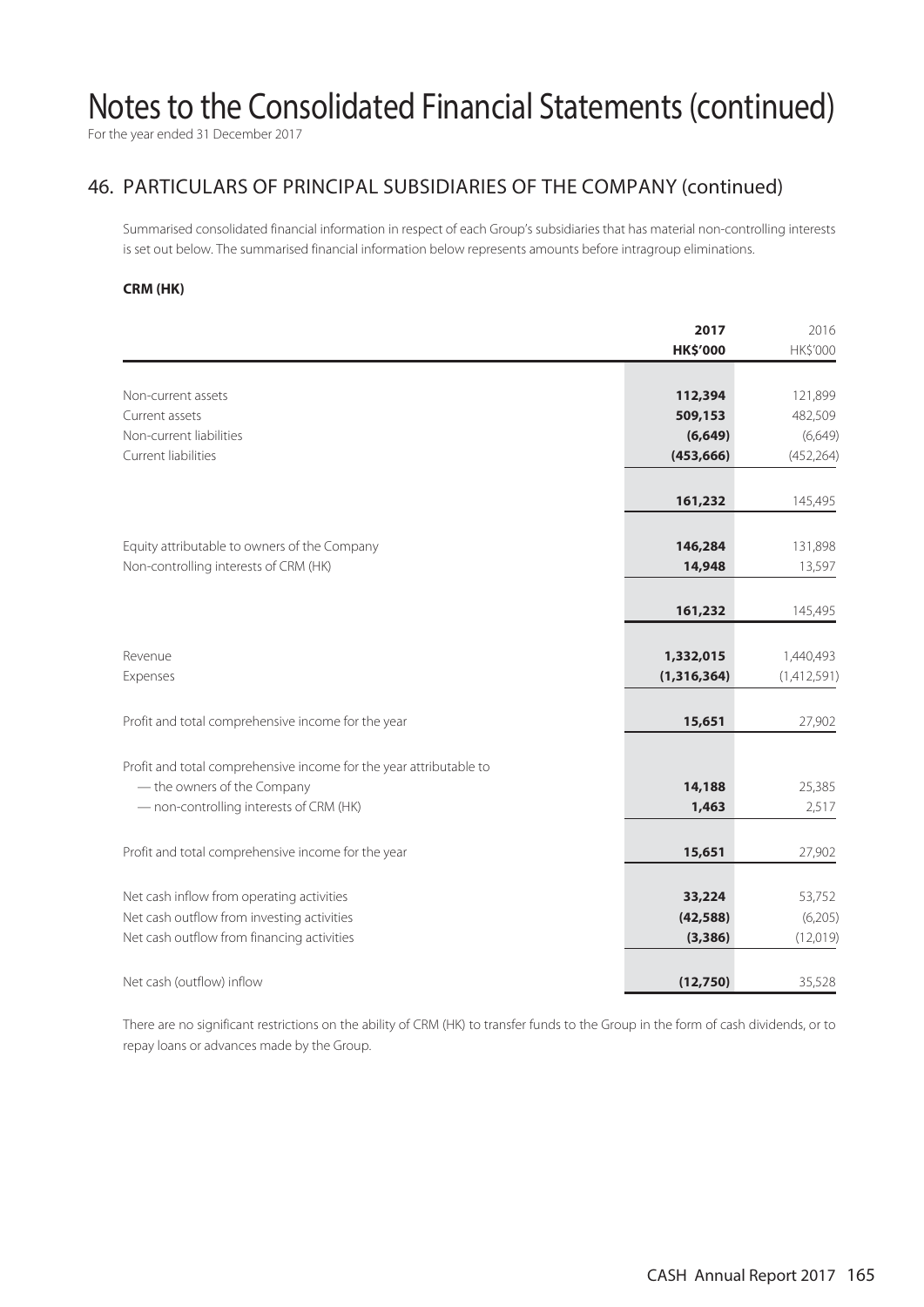For the year ended 31 December 2017

### 46. PARTICULARS OF PRINCIPAL SUBSIDIARIES OF THE COMPANY (continued)

Summarised consolidated financial information in respect of each Group's subsidiaries that has material non-controlling interests is set out below. The summarised financial information below represents amounts before intragroup eliminations.

### **CRM (HK)**

|                                                                    | 2017            | 2016        |
|--------------------------------------------------------------------|-----------------|-------------|
|                                                                    | <b>HK\$'000</b> | HK\$'000    |
|                                                                    |                 |             |
| Non-current assets                                                 | 112,394         | 121,899     |
| Current assets                                                     | 509,153         | 482,509     |
| Non-current liabilities                                            | (6, 649)        | (6,649)     |
| Current liabilities                                                | (453, 666)      | (452, 264)  |
|                                                                    | 161,232         | 145,495     |
| Equity attributable to owners of the Company                       | 146,284         | 131,898     |
| Non-controlling interests of CRM (HK)                              | 14,948          | 13,597      |
|                                                                    | 161,232         | 145,495     |
|                                                                    |                 |             |
| Revenue                                                            | 1,332,015       | 1,440,493   |
| Expenses                                                           | (1, 316, 364)   | (1,412,591) |
| Profit and total comprehensive income for the year                 | 15,651          | 27,902      |
| Profit and total comprehensive income for the year attributable to |                 |             |
| - the owners of the Company                                        | 14,188          | 25,385      |
| - non-controlling interests of CRM (HK)                            | 1,463           | 2,517       |
| Profit and total comprehensive income for the year                 | 15,651          | 27,902      |
|                                                                    |                 |             |
| Net cash inflow from operating activities                          | 33,224          | 53,752      |
| Net cash outflow from investing activities                         | (42, 588)       | (6,205)     |
| Net cash outflow from financing activities                         | (3, 386)        | (12,019)    |
| Net cash (outflow) inflow                                          | (12,750)        | 35,528      |

There are no significant restrictions on the ability of CRM (HK) to transfer funds to the Group in the form of cash dividends, or to repay loans or advances made by the Group.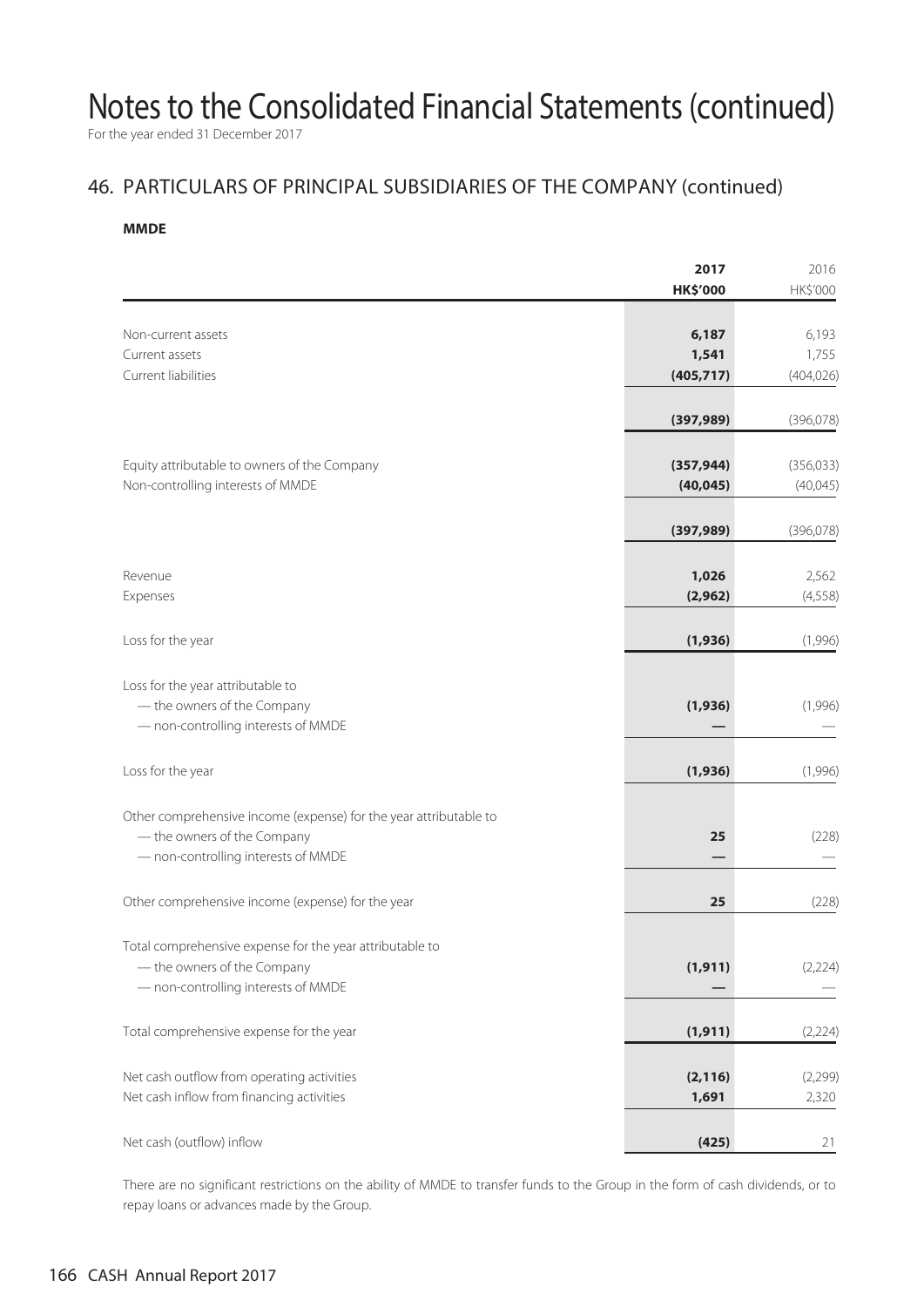For the year ended 31 December 2017

### 46. PARTICULARS OF PRINCIPAL SUBSIDIARIES OF THE COMPANY (continued)

### **MMDE**

|                                                                   | 2017            | 2016       |
|-------------------------------------------------------------------|-----------------|------------|
|                                                                   | <b>HK\$'000</b> | HK\$'000   |
|                                                                   |                 |            |
| Non-current assets                                                | 6,187           | 6,193      |
| Current assets                                                    | 1,541           | 1,755      |
| Current liabilities                                               | (405, 717)      | (404, 026) |
|                                                                   | (397, 989)      | (396,078)  |
|                                                                   |                 |            |
| Equity attributable to owners of the Company                      | (357, 944)      | (356, 033) |
| Non-controlling interests of MMDE                                 | (40, 045)       | (40,045)   |
|                                                                   | (397, 989)      | (396,078)  |
| Revenue                                                           | 1,026           | 2,562      |
| Expenses                                                          | (2,962)         | (4,558)    |
|                                                                   |                 |            |
| Loss for the year                                                 | (1,936)         | (1,996)    |
| Loss for the year attributable to                                 |                 |            |
| - the owners of the Company                                       | (1,936)         | (1,996)    |
| - non-controlling interests of MMDE                               |                 |            |
| Loss for the year                                                 | (1, 936)        | (1,996)    |
| Other comprehensive income (expense) for the year attributable to |                 |            |
| - the owners of the Company                                       | 25              | (228)      |
| - non-controlling interests of MMDE                               |                 |            |
| Other comprehensive income (expense) for the year                 | 25              | (228)      |
|                                                                   |                 |            |
| Total comprehensive expense for the year attributable to          |                 |            |
| - the owners of the Company                                       | (1, 911)        | (2,224)    |
| - non-controlling interests of MMDE                               |                 |            |
| Total comprehensive expense for the year                          | (1, 911)        | (2,224)    |
| Net cash outflow from operating activities                        | (2, 116)        | (2,299)    |
| Net cash inflow from financing activities                         | 1,691           | 2,320      |
|                                                                   |                 |            |
| Net cash (outflow) inflow                                         | (425)           | 21         |

There are no significant restrictions on the ability of MMDE to transfer funds to the Group in the form of cash dividends, or to repay loans or advances made by the Group.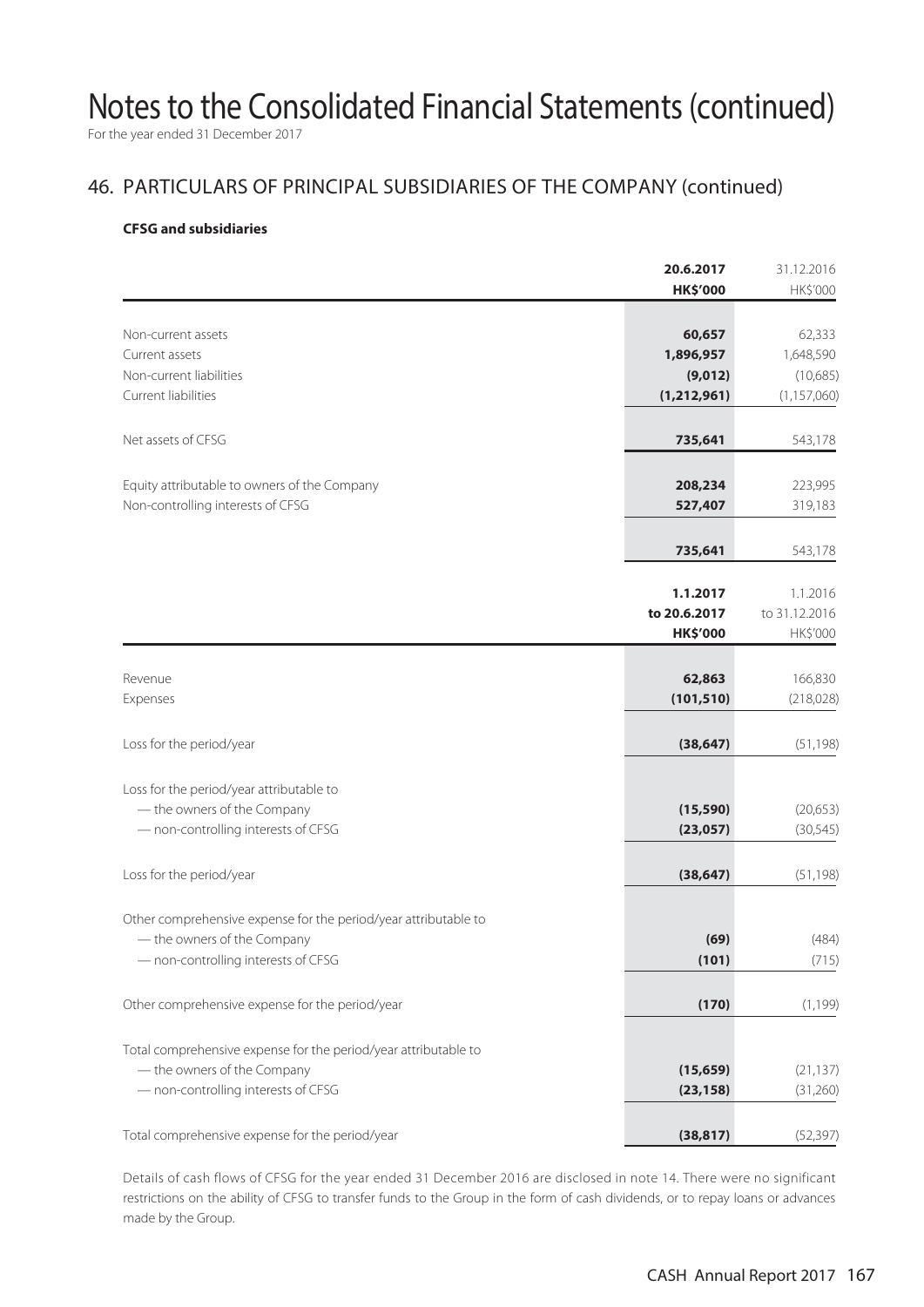For the year ended 31 December 2017

### 46. PARTICULARS OF PRINCIPAL SUBSIDIARIES OF THE COMPANY (continued)

### **CFSG and subsidiaries**

|                                                                 | 20.6.2017<br><b>HK\$'000</b> | 31.12.2016<br>HK\$'000 |
|-----------------------------------------------------------------|------------------------------|------------------------|
|                                                                 |                              |                        |
| Non-current assets                                              | 60,657                       | 62,333                 |
| Current assets                                                  | 1,896,957                    | 1,648,590              |
| Non-current liabilities                                         | (9,012)                      | (10,685)               |
| Current liabilities                                             | (1, 212, 961)                | (1, 157, 060)          |
| Net assets of CFSG                                              | 735,641                      | 543,178                |
| Equity attributable to owners of the Company                    | 208,234                      | 223,995                |
| Non-controlling interests of CFSG                               | 527,407                      | 319,183                |
|                                                                 | 735,641                      | 543,178                |
|                                                                 | 1.1.2017                     | 1.1.2016               |
|                                                                 | to 20.6.2017                 | to 31.12.2016          |
|                                                                 | <b>HK\$'000</b>              | HK\$'000               |
| Revenue                                                         | 62,863                       | 166,830                |
| Expenses                                                        | (101, 510)                   | (218, 028)             |
| Loss for the period/year                                        | (38, 647)                    | (51, 198)              |
|                                                                 |                              |                        |
| Loss for the period/year attributable to                        |                              |                        |
| - the owners of the Company                                     | (15, 590)                    | (20, 653)              |
| - non-controlling interests of CFSG                             | (23, 057)                    | (30, 545)              |
| Loss for the period/year                                        | (38, 647)                    | (51, 198)              |
| Other comprehensive expense for the period/year attributable to |                              |                        |
| - the owners of the Company                                     | (69)                         | (484)                  |
| - non-controlling interests of CFSG                             | (101)                        | (715)                  |
| Other comprehensive expense for the period/year                 | (170)                        | (1, 199)               |
| Total comprehensive expense for the period/year attributable to |                              |                        |
| - the owners of the Company                                     | (15, 659)                    | (21, 137)              |
| - non-controlling interests of CFSG                             | (23, 158)                    | (31,260)               |
| Total comprehensive expense for the period/year                 | (38, 817)                    | (52, 397)              |

Details of cash flows of CFSG for the year ended 31 December 2016 are disclosed in note 14. There were no significant restrictions on the ability of CFSG to transfer funds to the Group in the form of cash dividends, or to repay loans or advances made by the Group.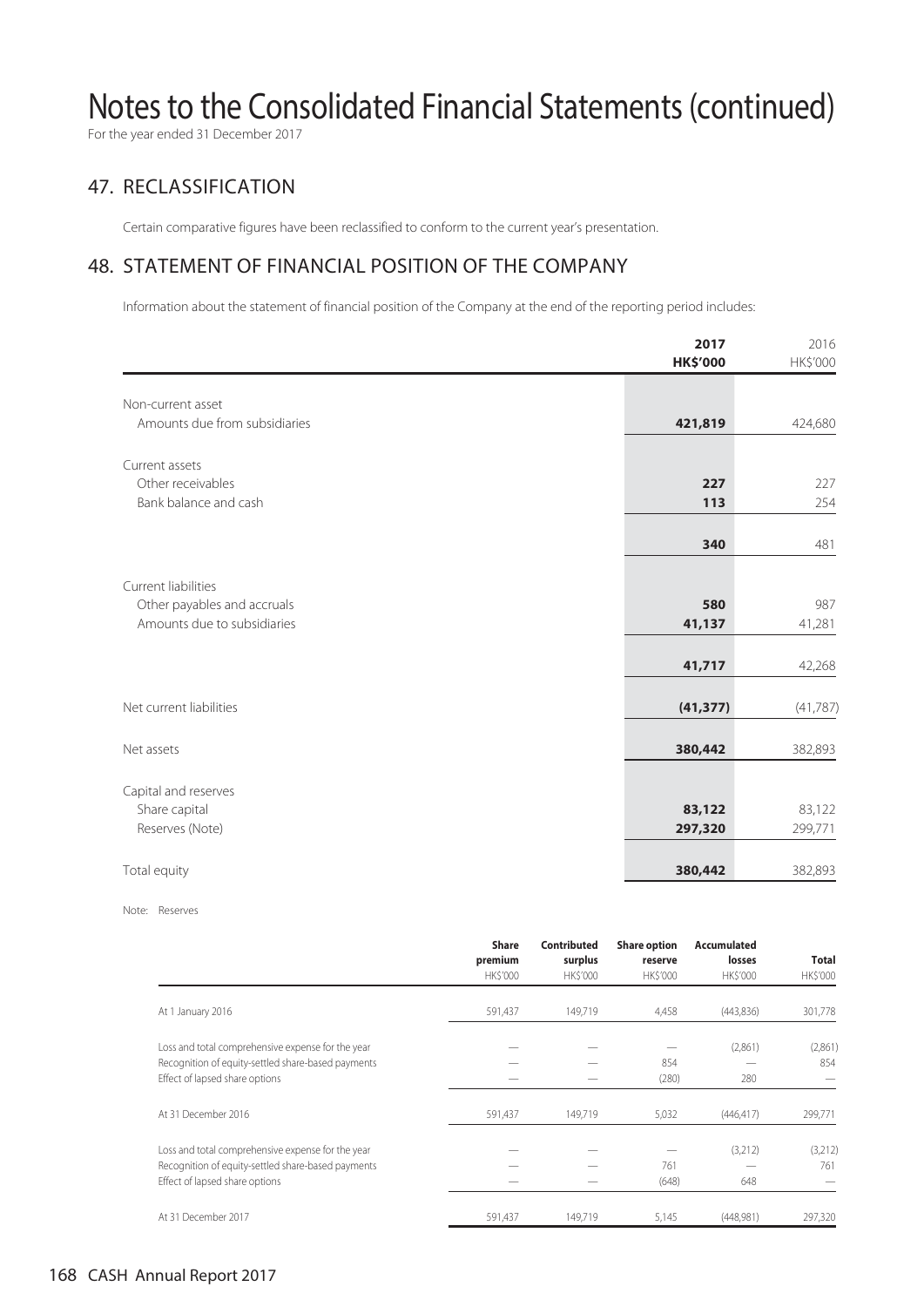For the year ended 31 December 2017

### 47. RECLASSIFICATION

Certain comparative figures have been reclassified to conform to the current year's presentation.

### 48. STATEMENT OF FINANCIAL POSITION OF THE COMPANY

Information about the statement of financial position of the Company at the end of the reporting period includes:

|                               | 2017            | 2016      |
|-------------------------------|-----------------|-----------|
|                               | <b>HK\$'000</b> | HK\$'000  |
| Non-current asset             |                 |           |
| Amounts due from subsidiaries | 421,819         | 424,680   |
|                               |                 |           |
| Current assets                |                 |           |
| Other receivables             | 227             | 227       |
| Bank balance and cash         | 113             | 254       |
|                               |                 |           |
|                               | 340             | 481       |
| Current liabilities           |                 |           |
| Other payables and accruals   | 580             | 987       |
| Amounts due to subsidiaries   | 41,137          | 41,281    |
|                               |                 |           |
|                               | 41,717          | 42,268    |
|                               |                 |           |
| Net current liabilities       | (41, 377)       | (41, 787) |
| Net assets                    | 380,442         | 382,893   |
|                               |                 |           |
| Capital and reserves          |                 |           |
| Share capital                 | 83,122          | 83,122    |
| Reserves (Note)               | 297,320         | 299,771   |
|                               | 380,442         | 382,893   |
| Total equity                  |                 |           |

Note: Reserves

|                                                                                                                                           | Share<br>premium<br><b>HK\$'000</b> | <b>Contributed</b><br>surplus<br><b>HKS'000</b> | <b>Share option</b><br>reserve<br>HK\$'000 | Accumulated<br>losses<br><b>HK\$'000</b> | Total<br>HK\$'000 |
|-------------------------------------------------------------------------------------------------------------------------------------------|-------------------------------------|-------------------------------------------------|--------------------------------------------|------------------------------------------|-------------------|
| At 1 January 2016                                                                                                                         | 591,437                             | 149,719                                         | 4,458                                      | (443,836)                                | 301,778           |
| Loss and total comprehensive expense for the year<br>Recognition of equity-settled share-based payments<br>Effect of lapsed share options |                                     |                                                 | 854<br>(280)                               | (2,861)<br>280                           | (2,861)<br>854    |
| At 31 December 2016                                                                                                                       | 591,437                             | 149,719                                         | 5,032                                      | (446, 417)                               | 299,771           |
| Loss and total comprehensive expense for the year<br>Recognition of equity-settled share-based payments<br>Effect of lapsed share options |                                     |                                                 | 761<br>(648)                               | (3,212)<br>648                           | (3,212)<br>761    |
| At 31 December 2017                                                                                                                       | 591,437                             | 149,719                                         | 5,145                                      | (448,981)                                | 297,320           |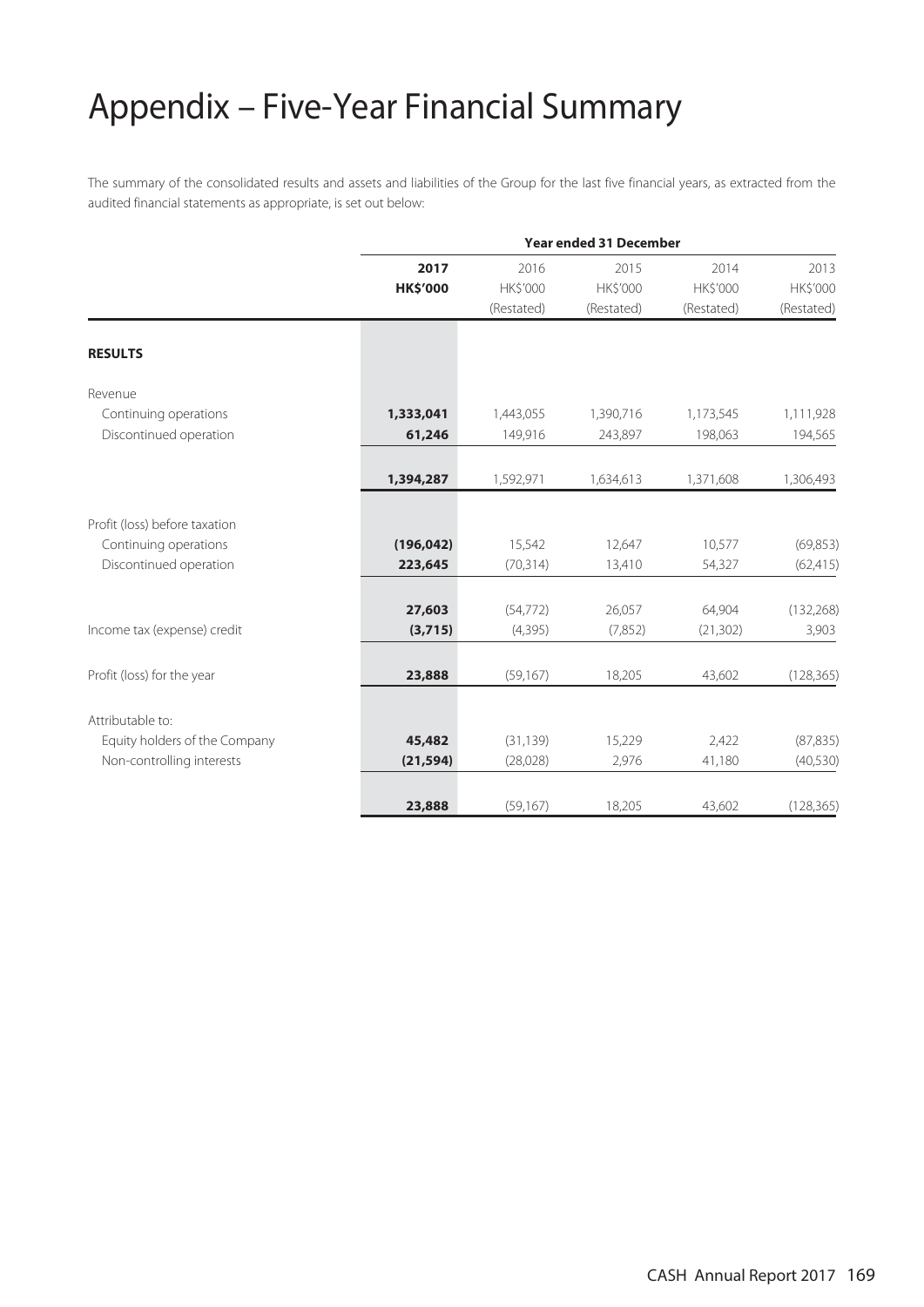# Appendix – Five-Year Financial Summary

The summary of the consolidated results and assets and liabilities of the Group for the last five financial years, as extracted from the audited financial statements as appropriate, is set out below:

|                               |                 |            | <b>Year ended 31 December</b> |            |            |
|-------------------------------|-----------------|------------|-------------------------------|------------|------------|
|                               | 2017            | 2016       | 2015                          | 2014       | 2013       |
|                               | <b>HK\$'000</b> | HK\$'000   | HK\$'000                      | HK\$'000   | HK\$'000   |
|                               |                 | (Restated) | (Restated)                    | (Restated) | (Restated) |
| <b>RESULTS</b>                |                 |            |                               |            |            |
| Revenue                       |                 |            |                               |            |            |
| Continuing operations         | 1,333,041       | 1,443,055  | 1,390,716                     | 1,173,545  | 1,111,928  |
| Discontinued operation        | 61,246          | 149,916    | 243,897                       | 198,063    | 194,565    |
|                               | 1,394,287       | 1,592,971  | 1,634,613                     | 1,371,608  | 1,306,493  |
| Profit (loss) before taxation |                 |            |                               |            |            |
| Continuing operations         | (196, 042)      | 15,542     | 12,647                        | 10,577     | (69, 853)  |
| Discontinued operation        | 223,645         | (70, 314)  | 13,410                        | 54,327     | (62, 415)  |
|                               | 27,603          | (54, 772)  | 26,057                        | 64,904     | (132, 268) |
| Income tax (expense) credit   | (3,715)         | (4,395)    | (7,852)                       | (21, 302)  | 3,903      |
| Profit (loss) for the year    | 23,888          | (59, 167)  | 18,205                        | 43,602     | (128, 365) |
| Attributable to:              |                 |            |                               |            |            |
| Equity holders of the Company | 45,482          | (31, 139)  | 15,229                        | 2,422      | (87, 835)  |
| Non-controlling interests     | (21, 594)       | (28,028)   | 2,976                         | 41,180     | (40, 530)  |
|                               | 23,888          | (59, 167)  | 18,205                        | 43,602     | (128, 365) |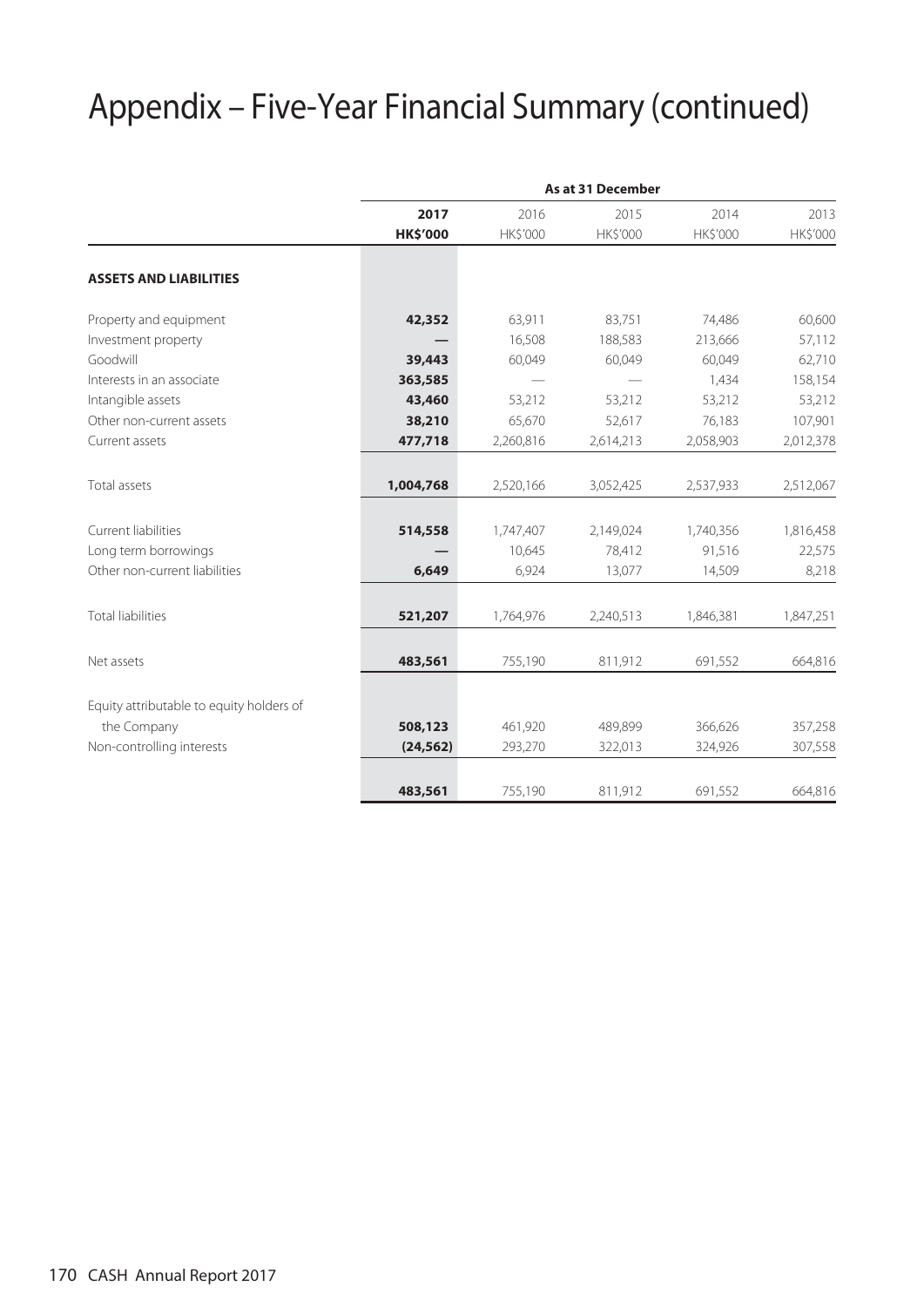# Appendix – Five-Year Financial Summary (continued)

|                                          |                 | As at 31 December |           |           |           |
|------------------------------------------|-----------------|-------------------|-----------|-----------|-----------|
|                                          | 2017            | 2016              | 2015      | 2014      | 2013      |
|                                          | <b>HK\$'000</b> | HK\$'000          | HK\$'000  | HK\$'000  | HK\$'000  |
| <b>ASSETS AND LIABILITIES</b>            |                 |                   |           |           |           |
| Property and equipment                   | 42,352          | 63,911            | 83,751    | 74,486    | 60,600    |
| Investment property                      |                 | 16,508            | 188,583   | 213,666   | 57,112    |
| Goodwill                                 | 39,443          | 60,049            | 60,049    | 60,049    | 62,710    |
| Interests in an associate                | 363,585         |                   |           | 1,434     | 158,154   |
| Intangible assets                        | 43,460          | 53,212            | 53,212    | 53,212    | 53,212    |
| Other non-current assets                 | 38,210          | 65,670            | 52,617    | 76,183    | 107,901   |
| Current assets                           | 477,718         | 2,260,816         | 2,614,213 | 2,058,903 | 2,012,378 |
| Total assets                             | 1,004,768       | 2,520,166         | 3,052,425 | 2,537,933 | 2,512,067 |
| Current liabilities                      | 514,558         | 1,747,407         | 2,149,024 | 1,740,356 | 1,816,458 |
| Long term borrowings                     |                 | 10,645            | 78,412    | 91,516    | 22,575    |
| Other non-current liabilities            | 6,649           | 6,924             | 13,077    | 14,509    | 8,218     |
| <b>Total liabilities</b>                 | 521,207         | 1,764,976         | 2,240,513 | 1,846,381 | 1,847,251 |
| Net assets                               | 483,561         | 755,190           | 811,912   | 691,552   | 664,816   |
| Equity attributable to equity holders of |                 |                   |           |           |           |
| the Company                              | 508,123         | 461,920           | 489,899   | 366,626   | 357,258   |
| Non-controlling interests                | (24, 562)       | 293,270           | 322,013   | 324,926   | 307,558   |
|                                          | 483,561         | 755,190           | 811,912   | 691,552   | 664,816   |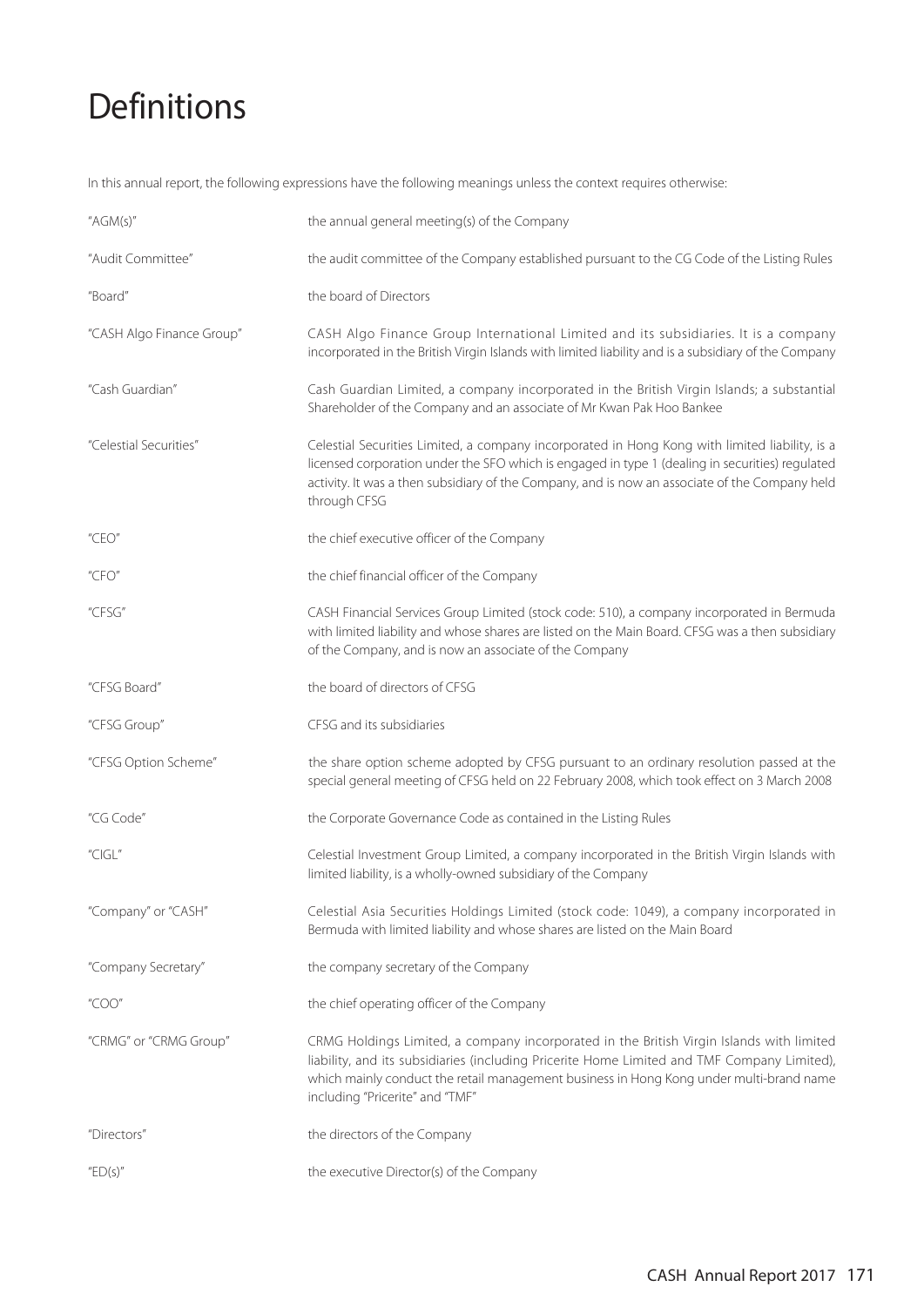# **Definitions**

In this annual report, the following expressions have the following meanings unless the context requires otherwise:

| " $AGM(s)$ "                            | the annual general meeting(s) of the Company                                                                                                                                                                                                                                                                          |
|-----------------------------------------|-----------------------------------------------------------------------------------------------------------------------------------------------------------------------------------------------------------------------------------------------------------------------------------------------------------------------|
| "Audit Committee"                       | the audit committee of the Company established pursuant to the CG Code of the Listing Rules                                                                                                                                                                                                                           |
| "Board"                                 | the board of Directors                                                                                                                                                                                                                                                                                                |
| "CASH Algo Finance Group"               | CASH Algo Finance Group International Limited and its subsidiaries. It is a company<br>incorporated in the British Virgin Islands with limited liability and is a subsidiary of the Company                                                                                                                           |
| "Cash Guardian"                         | Cash Guardian Limited, a company incorporated in the British Virgin Islands; a substantial<br>Shareholder of the Company and an associate of Mr Kwan Pak Hoo Bankee                                                                                                                                                   |
| "Celestial Securities"                  | Celestial Securities Limited, a company incorporated in Hong Kong with limited liability, is a<br>licensed corporation under the SFO which is engaged in type 1 (dealing in securities) regulated<br>activity. It was a then subsidiary of the Company, and is now an associate of the Company held<br>through CFSG   |
| $^{\prime\prime}$ CEO $^{\prime\prime}$ | the chief executive officer of the Company                                                                                                                                                                                                                                                                            |
| $^{\prime\prime}$ CFO $^{\prime\prime}$ | the chief financial officer of the Company                                                                                                                                                                                                                                                                            |
| "CFSG"                                  | CASH Financial Services Group Limited (stock code: 510), a company incorporated in Bermuda<br>with limited liability and whose shares are listed on the Main Board. CFSG was a then subsidiary<br>of the Company, and is now an associate of the Company                                                              |
| "CFSG Board"                            | the board of directors of CFSG                                                                                                                                                                                                                                                                                        |
| "CFSG Group"                            | CFSG and its subsidiaries                                                                                                                                                                                                                                                                                             |
| "CFSG Option Scheme"                    | the share option scheme adopted by CFSG pursuant to an ordinary resolution passed at the<br>special general meeting of CFSG held on 22 February 2008, which took effect on 3 March 2008                                                                                                                               |
| "CG Code"                               | the Corporate Governance Code as contained in the Listing Rules                                                                                                                                                                                                                                                       |
| "CIGL"                                  | Celestial Investment Group Limited, a company incorporated in the British Virgin Islands with<br>limited liability, is a wholly-owned subsidiary of the Company                                                                                                                                                       |
| "Company" or "CASH"                     | Celestial Asia Securities Holdings Limited (stock code: 1049), a company incorporated in<br>Bermuda with limited liability and whose shares are listed on the Main Board                                                                                                                                              |
| "Company Secretary"                     | the company secretary of the Company                                                                                                                                                                                                                                                                                  |
| "COO"                                   | the chief operating officer of the Company                                                                                                                                                                                                                                                                            |
| "CRMG" or "CRMG Group"                  | CRMG Holdings Limited, a company incorporated in the British Virgin Islands with limited<br>liability, and its subsidiaries (including Pricerite Home Limited and TMF Company Limited),<br>which mainly conduct the retail management business in Hong Kong under multi-brand name<br>including "Pricerite" and "TMF" |
| "Directors"                             | the directors of the Company                                                                                                                                                                                                                                                                                          |
| " $ED(s)$ "                             | the executive Director(s) of the Company                                                                                                                                                                                                                                                                              |